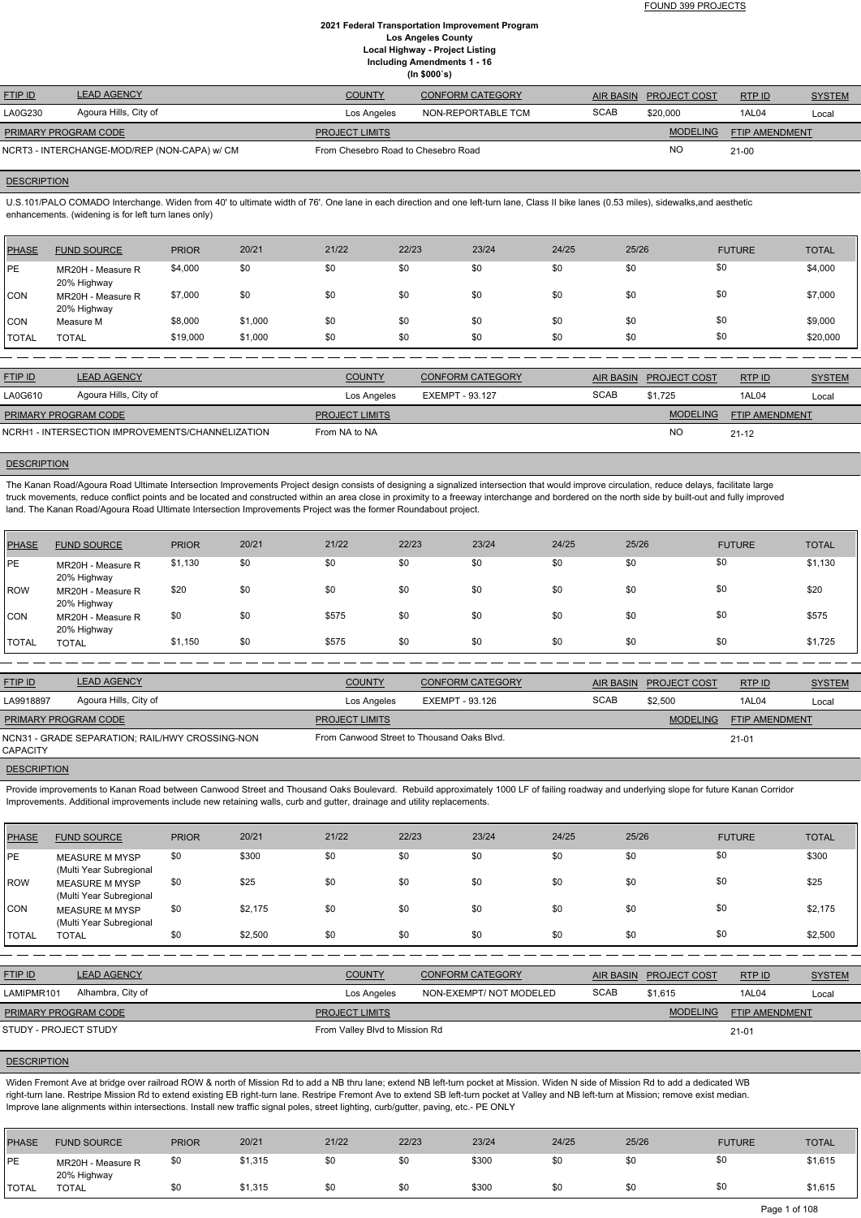|                      |                                              |                                     | $\cdots$ yvvv $\cdots$ |             |                        |                |               |
|----------------------|----------------------------------------------|-------------------------------------|------------------------|-------------|------------------------|----------------|---------------|
| <b>FTIP ID</b>       | <b>LEAD AGENCY</b>                           | <b>COUNTY</b>                       | CONFORM CATEGORY       |             | AIR BASIN PROJECT COST | RTPID          | <b>SYSTEM</b> |
| LA0G230              | Agoura Hills, City of                        | Los Angeles                         | NON-REPORTABLE TCM     | <b>SCAB</b> | \$20,000               | 1AL04          | Local         |
| PRIMARY PROGRAM CODE |                                              | <b>PROJECT LIMITS</b>               |                        |             | <b>MODELING</b>        | FTIP AMENDMENT |               |
|                      | NCRT3 - INTERCHANGE-MOD/REP (NON-CAPA) w/ CM | From Chesebro Road to Chesebro Road |                        |             | <b>NO</b>              | $21 - 00$      |               |

#### **DESCRIPTION**

U.S.101/PALO COMADO Interchange. Widen from 40' to ultimate width of 76'. One lane in each direction and one left-turn lane, Class II bike lanes (0.53 miles), sidewalks,and aesthetic enhancements. (widening is for left turn lanes only)

| <b>PHASE</b> | <b>FUND SOURCE</b>               | <b>PRIOR</b> | 20/21   | 21/22 | 22/23 | 23/24 | 24/25 | 25/26 | <b>FUTURE</b> | <b>TOTAL</b> |
|--------------|----------------------------------|--------------|---------|-------|-------|-------|-------|-------|---------------|--------------|
| <b>IPE</b>   | MR20H - Measure R<br>20% Highway | \$4,000      | \$0     | \$0   | \$0   | \$0   | \$0   | \$0   | \$0           | \$4,000      |
| <b>CON</b>   | MR20H - Measure R<br>20% Highway | \$7,000      | \$0     | \$0   | \$0   | \$0   | \$0   | \$0   | \$0           | \$7,000      |
| <b>CON</b>   | Measure M                        | \$8,000      | \$1,000 | \$0   | \$0   | \$0   | \$0   | \$0   | \$0           | \$9,000      |
| <b>TOTAL</b> | <b>TOTAL</b>                     | \$19,000     | \$1,000 | \$0   | \$0   | \$0   | \$0   | \$0   | \$0           | \$20,000     |

The Kanan Road/Agoura Road Ultimate Intersection Improvements Project design consists of designing a signalized intersection that would improve circulation, reduce delays, facilitate large truck movements, reduce conflict points and be located and constructed within an area close in proximity to a freeway interchange and bordered on the north side by built-out and fully improved land. The Kanan Road/Agoura Road Ultimate Intersection Improvements Project was the former Roundabout project.

| <b>FTIP ID</b>              | <b>LEAD AGENCY</b>                               | <b>COUNTY</b>         | <b>CONFORM CATEGORY</b> |             | AIR BASIN PROJECT COST | RTPID                 | <b>SYSTEM</b> |
|-----------------------------|--------------------------------------------------|-----------------------|-------------------------|-------------|------------------------|-----------------------|---------------|
| LA0G610                     | Agoura Hills, City of                            | Los Angeles           | EXEMPT - 93.127         | <b>SCAB</b> | \$1.725                | 1AL04                 | Local         |
| <b>PRIMARY PROGRAM CODE</b> |                                                  | <b>PROJECT LIMITS</b> |                         |             | <b>MODELING</b>        | <b>FTIP AMENDMENT</b> |               |
|                             | NCRH1 - INTERSECTION IMPROVEMENTS/CHANNELIZATION | From NA to NA         |                         |             | <b>NC</b>              | $21 - 12$             |               |

# **DESCRIPTION**

Provide improvements to Kanan Road between Canwood Street and Thousand Oaks Boulevard. Rebuild approximately 1000 LF of failing roadway and underlying slope for future Kanan Corridor Improvements. Additional improvements include new retaining walls, curb and gutter, drainage and utility replacements.

| PHASE        | <b>FUND SOURCE</b>               | <b>PRIOR</b> | 20/21 | 21/22 | 22/23 | 23/24 | 24/25 | 25/26 | <b>FUTURE</b> | <b>TOTAL</b> |
|--------------|----------------------------------|--------------|-------|-------|-------|-------|-------|-------|---------------|--------------|
| PE           | MR20H - Measure R<br>20% Highway | \$1,130      | \$0   | \$0   | \$0   | \$0   | \$0   | \$0   | \$0           | \$1,130      |
| ROW          | MR20H - Measure R<br>20% Highway | \$20         | \$0   | \$0   | \$0   | \$0   | \$0   | \$0   | \$0           | \$20         |
| <b>CON</b>   | MR20H - Measure R<br>20% Highway | \$0          | \$0   | \$575 | \$0   | \$0   | \$0   | \$0   | \$0           | \$575        |
| <b>TOTAL</b> | <b>TOTAL</b>                     | \$1,150      | \$0   | \$575 | \$0   | \$0   | \$0   | \$0   | \$0           | \$1,725      |

| <b>FTIP ID</b>                                              | <b>LEAD AGENCY</b>    | <b>COUNTY</b>                              | <b>CONFORM CATEGORY</b> |             | AIR BASIN PROJECT COST | RTP ID         | <b>SYSTEM</b> |
|-------------------------------------------------------------|-----------------------|--------------------------------------------|-------------------------|-------------|------------------------|----------------|---------------|
| LA9918897                                                   | Agoura Hills, City of | Los Angeles                                | EXEMPT - 93.126         | <b>SCAB</b> | \$2,500                | 1AL04          | Local         |
| <b>PRIMARY PROGRAM CODE</b>                                 |                       | <b>PROJECT LIMITS</b>                      |                         |             | <b>MODELING</b>        | FTIP AMENDMENT |               |
| NCN31 - GRADE SEPARATION: RAIL/HWY CROSSING-NON<br>CAPACITY |                       | From Canwood Street to Thousand Oaks Blvd. |                         |             |                        | $21 - 01$      |               |

**DESCRIPTION** 

| PHASE        | <b>FUND SOURCE</b>                               | <b>PRIOR</b> | 20/21   | 21/22 | 22/23 | 23/24 | 24/25 | 25/26 | <b>FUTURE</b> | <b>TOTAL</b> |
|--------------|--------------------------------------------------|--------------|---------|-------|-------|-------|-------|-------|---------------|--------------|
| PE           | MEASURE M MYSP<br>(Multi Year Subregional        | \$0          | \$300   | \$0   | \$0   | \$0   | \$0   | \$0   | \$0           | \$300        |
| ROW          | <b>MEASURE M MYSP</b><br>(Multi Year Subregional | \$0          | \$25    | \$0   | \$0   | \$0   | \$0   | \$0   | \$0           | \$25         |
| CON          | <b>MEASURE M MYSP</b><br>(Multi Year Subregional | \$0          | \$2,175 | \$0   | \$0   | \$0   | \$0   | \$0   | \$0           | \$2,175      |
| <b>TOTAL</b> | <b>TOTAL</b>                                     | \$0          | \$2,500 | \$0   | \$0   | \$0   | \$0   | \$0   | \$0           | \$2,500      |

| <b>FTIP ID</b>        | <b>LEAD AGENCY</b> | <b>COUNTY</b>                  | <b>CONFORM CATEGORY</b> | <b>AIR BASIN</b> | <b>PROJECT COST</b> | RTPID                 | <b>SYSTEM</b> |
|-----------------------|--------------------|--------------------------------|-------------------------|------------------|---------------------|-----------------------|---------------|
| LAMIPMR101            | Alhambra, City of  | Los Angeles                    | NON-EXEMPT/NOT MODELED  | <b>SCAB</b>      | \$1.615             | 1AL04                 | Local         |
| PRIMARY PROGRAM CODE  |                    | <b>PROJECT LIMITS</b>          |                         |                  | <b>MODELING</b>     | <b>FTIP AMENDMENT</b> |               |
| STUDY - PROJECT STUDY |                    | From Valley Blvd to Mission Rd |                         |                  |                     | $21 - 01$             |               |

#### **DESCRIPTION**

Widen Fremont Ave at bridge over railroad ROW & north of Mission Rd to add a NB thru lane; extend NB left-turn pocket at Mission. Widen N side of Mission Rd to add a dedicated WB right-turn lane. Restripe Mission Rd to extend existing EB right-turn lane. Restripe Fremont Ave to extend SB left-turn pocket at Valley and NB left-turn at Mission; remove exist median. Improve lane alignments within intersections. Install new traffic signal poles, street lighting, curb/gutter, paving, etc.- PE ONLY

| PHASE        | <b>FUND SOURCE</b>               | <b>PRIOR</b> | 20/21   | 21/22 | 22/23 | 23/24 | 24/25 | 25/26 | <b>FUTURE</b> | <b>TOTAL</b> |
|--------------|----------------------------------|--------------|---------|-------|-------|-------|-------|-------|---------------|--------------|
| <b>PE</b>    | MR20H - Measure R<br>20% Highway | \$0          | \$1,315 | \$0   |       | \$300 | \$0   | \$0   |               | \$1,615      |
| <b>TOTAL</b> | TOTAL                            | \$0          | \$1,315 | \$0   |       | \$300 | \$0   | \$0   |               | \$1,615      |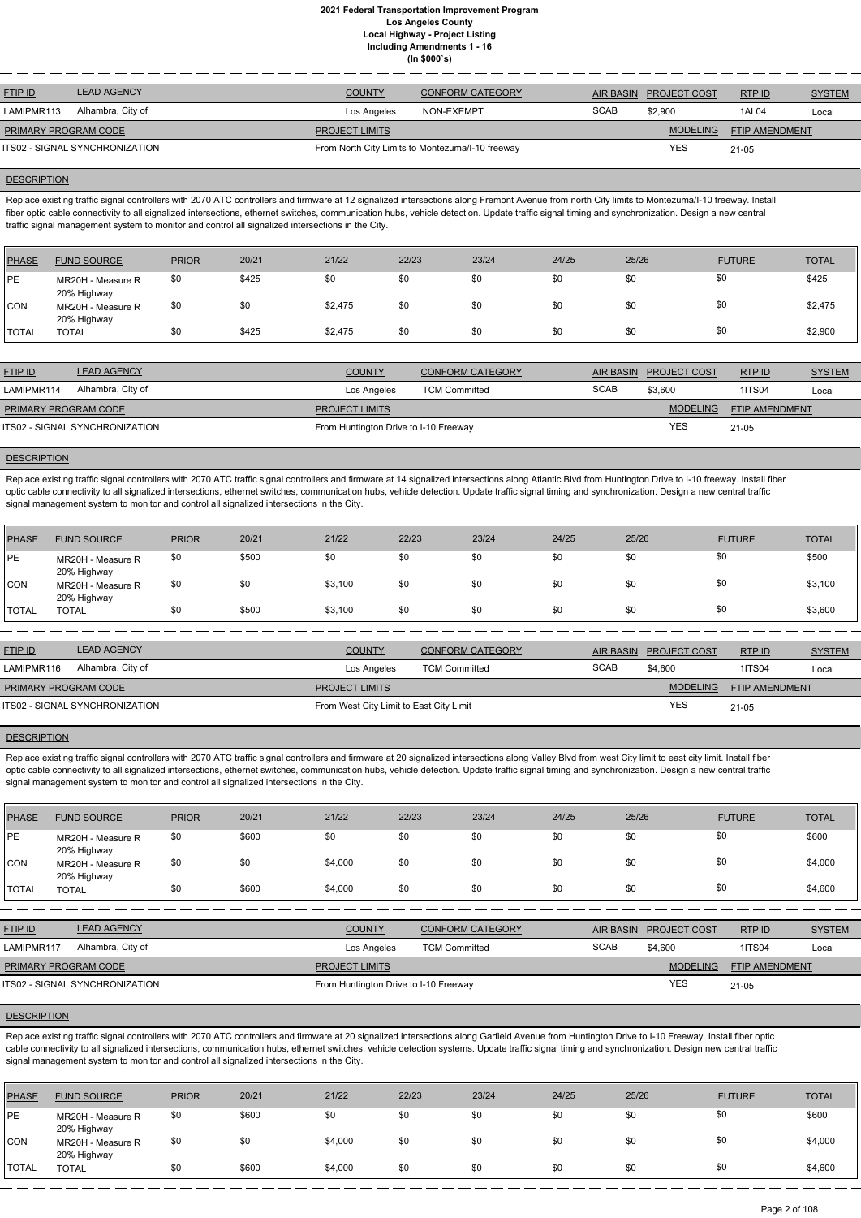| <b>COUNTY</b>         |             |                                                                                           | RTPID                  | <b>SYSTEM</b> |
|-----------------------|-------------|-------------------------------------------------------------------------------------------|------------------------|---------------|
| Los Angeles           | <b>SCAB</b> | \$2,900                                                                                   | 1AL04                  | Local         |
| <b>PROJECT LIMITS</b> |             | <b>MODELING</b>                                                                           | <b>FTIP AMENDMENT</b>  |               |
|                       |             | <b>YES</b>                                                                                | $21 - 05$              |               |
|                       |             | <b>CONFORM CATEGORY</b><br>NON-EXEMPT<br>From North City Limits to Montezuma/I-10 freeway | AIR BASIN PROJECT COST |               |

#### **DESCRIPTION**

Replace existing traffic signal controllers with 2070 ATC controllers and firmware at 12 signalized intersections along Fremont Avenue from north City limits to Montezuma/I-10 freeway. Install fiber optic cable connectivity to all signalized intersections, ethernet switches, communication hubs, vehicle detection. Update traffic signal timing and synchronization. Design a new central traffic signal management system to monitor and control all signalized intersections in the City.

Replace existing traffic signal controllers with 2070 ATC traffic signal controllers and firmware at 14 signalized intersections along Atlantic Blvd from Huntington Drive to I-10 freeway. Install fiber optic cable connectivity to all signalized intersections, ethernet switches, communication hubs, vehicle detection. Update traffic signal timing and synchronization. Design a new central traffic signal management system to monitor and control all signalized intersections in the City.

| PHASE        | <b>FUND SOURCE</b>               | <b>PRIOR</b> | 20/21 | 21/22   | 22/23 | 23/24 | 24/25 | 25/26 | <b>FUTURE</b> | <b>TOTAL</b> |
|--------------|----------------------------------|--------------|-------|---------|-------|-------|-------|-------|---------------|--------------|
| PE           | MR20H - Measure R<br>20% Highway | \$0          | \$425 | \$0     | \$0   | \$0   | \$0   | \$0   | \$0           | \$425        |
| CON          | MR20H - Measure R<br>20% Highway | \$0          | \$0   | \$2,475 | \$0   | \$0   | \$0   | \$0   | \$0           | \$2,475      |
| <b>TOTAL</b> | <b>TOTAL</b>                     | \$0          | \$425 | \$2,475 | \$0   | \$0   | \$0   | \$0   | \$0           | \$2,900      |

| <b>FTIP ID</b>              | <b>LEAD AGENCY</b>             | <b>COUNTY</b>                         | <b>CONFORM CATEGORY</b> | <b>AIR BASIN</b> | <b>PROJECT COST</b> | RTP ID                | <b>SYSTEM</b> |
|-----------------------------|--------------------------------|---------------------------------------|-------------------------|------------------|---------------------|-----------------------|---------------|
| LAMIPMR114                  | Alhambra, City of              | Los Angeles                           | <b>TCM Committed</b>    | <b>SCAB</b>      | \$3,600             | <b>1ITS04</b>         | Local         |
| <b>PRIMARY PROGRAM CODE</b> |                                | <b>PROJECT LIMITS</b>                 |                         |                  | <b>MODELING</b>     | <b>FTIP AMENDMENT</b> |               |
|                             | ITS02 - SIGNAL SYNCHRONIZATION | From Huntington Drive to I-10 Freeway |                         |                  | <b>YES</b>          | $21 - 05$             |               |

#### **DESCRIPTION**

Replace existing traffic signal controllers with 2070 ATC traffic signal controllers and firmware at 20 signalized intersections along Valley Blvd from west City limit to east city limit. Install fiber optic cable connectivity to all signalized intersections, ethernet switches, communication hubs, vehicle detection. Update traffic signal timing and synchronization. Design a new central traffic signal management system to monitor and control all signalized intersections in the City.

Replace existing traffic signal controllers with 2070 ATC controllers and firmware at 20 signalized intersections along Garfield Avenue from Huntington Drive to I-10 Freeway. Install fiber optic cable connectivity to all signalized intersections, communication hubs, ethernet switches, vehicle detection systems. Update traffic signal timing and synchronization. Design new central traffic signal management system to monitor and control all signalized intersections in the City.

| <b>PHASE</b> | <b>FUND SOURCE</b>               | <b>PRIOR</b> | 20/21 | 21/22   | 22/23 | 23/24 | 24/25 | 25/26 | <b>FUTURE</b> | <b>TOTAL</b> |
|--------------|----------------------------------|--------------|-------|---------|-------|-------|-------|-------|---------------|--------------|
| <b>PE</b>    | MR20H - Measure R<br>20% Highway | \$0          | \$500 | \$0     | \$0   | \$0   | \$0   | \$0   | \$0           | \$500        |
| <b>CON</b>   | MR20H - Measure R<br>20% Highway | \$0          | \$0   | \$3,100 | \$0   | \$0   | \$0   | \$0   | \$0           | \$3,100      |
| <b>TOTAL</b> | <b>TOTAL</b>                     | \$0          | \$500 | \$3,100 | \$0   | \$0   | \$0   | \$0   | \$0           | \$3,600      |

| <b>FTIP ID</b>              | <b>LEAD AGENCY</b>             | <b>COUNTY</b>                           | <b>CONFORM CATEGORY</b> |             | AIR BASIN PROJECT COST | RTPID                 | <b>SYSTEM</b> |
|-----------------------------|--------------------------------|-----------------------------------------|-------------------------|-------------|------------------------|-----------------------|---------------|
| LAMIPMR116                  | Alhambra, City of              | Los Angeles                             | <b>TCM Committed</b>    | <b>SCAB</b> | \$4,600                | <b>1ITS04</b>         | Local         |
| <b>PRIMARY PROGRAM CODE</b> |                                | <b>PROJECT LIMITS</b>                   |                         |             | <b>MODELING</b>        | <b>FTIP AMENDMENT</b> |               |
|                             | ITS02 - SIGNAL SYNCHRONIZATION | From West City Limit to East City Limit |                         |             | <b>YES</b>             | $21 - 05$             |               |

#### **DESCRIPTION**

| <b>PHASE</b> | <b>FUND SOURCE</b>               | <b>PRIOR</b> | 20/21 | 21/22   | 22/23 | 23/24 | 24/25 | 25/26 | <b>FUTURE</b> | <b>TOTAL</b> |
|--------------|----------------------------------|--------------|-------|---------|-------|-------|-------|-------|---------------|--------------|
| PE           | MR20H - Measure R<br>20% Highway | \$0          | \$600 | \$0     | \$0   | \$0   | \$0   | \$0   | \$0           | \$600        |
| <b>CON</b>   | MR20H - Measure R<br>20% Highway | \$0          | \$0   | \$4,000 | \$0   | \$0   | \$0   | \$0   | \$0           | \$4,000      |
| <b>TOTAL</b> | TOTAL                            | \$0          | \$600 | \$4,000 | \$0   | \$0   | \$0   | \$0   | \$0           | \$4,600      |

| <b>FTIP ID</b>                 | <b>LEAD AGENCY</b> | <b>COUNTY</b><br><b>CONFORM CATEGORY</b> |                      | AIR BASIN   | <b>PROJECT COST</b> | RTPID                 | <b>SYSTEM</b> |
|--------------------------------|--------------------|------------------------------------------|----------------------|-------------|---------------------|-----------------------|---------------|
| LAMIPMR117                     | Alhambra, City of  | Los Angeles                              | <b>TCM Committed</b> | <b>SCAB</b> | \$4,600             | <b>1ITS04</b>         | Local         |
| <b>PRIMARY PROGRAM CODE</b>    |                    | <b>PROJECT LIMITS</b>                    |                      |             | <b>MODELING</b>     | <b>FTIP AMENDMENT</b> |               |
| ITS02 - SIGNAL SYNCHRONIZATION |                    | From Huntington Drive to I-10 Freeway    |                      | YES         | $21 - 05$           |                       |               |

| PHASE        | <b>FUND SOURCE</b>               | <b>PRIOR</b> | 20/21 | 21/22   | 22/23 | 23/24 | 24/25 | 25/26 | <b>FUTURE</b> | <b>TOTAL</b> |
|--------------|----------------------------------|--------------|-------|---------|-------|-------|-------|-------|---------------|--------------|
| <b>IPE</b>   | MR20H - Measure R<br>20% Highway | \$0          | \$600 | \$0     | \$0   | \$0   | \$0   | \$0   | \$0           | \$600        |
| <b>CON</b>   | MR20H - Measure R<br>20% Highway | \$0          | \$0   | \$4,000 | \$0   | \$0   | \$0   | \$0   |               | \$4,000      |
| <b>TOTAL</b> | <b>TOTAL</b>                     | \$0          | \$600 | \$4,000 | \$0   | \$0   | \$0   | \$0   | \$0           | \$4,600      |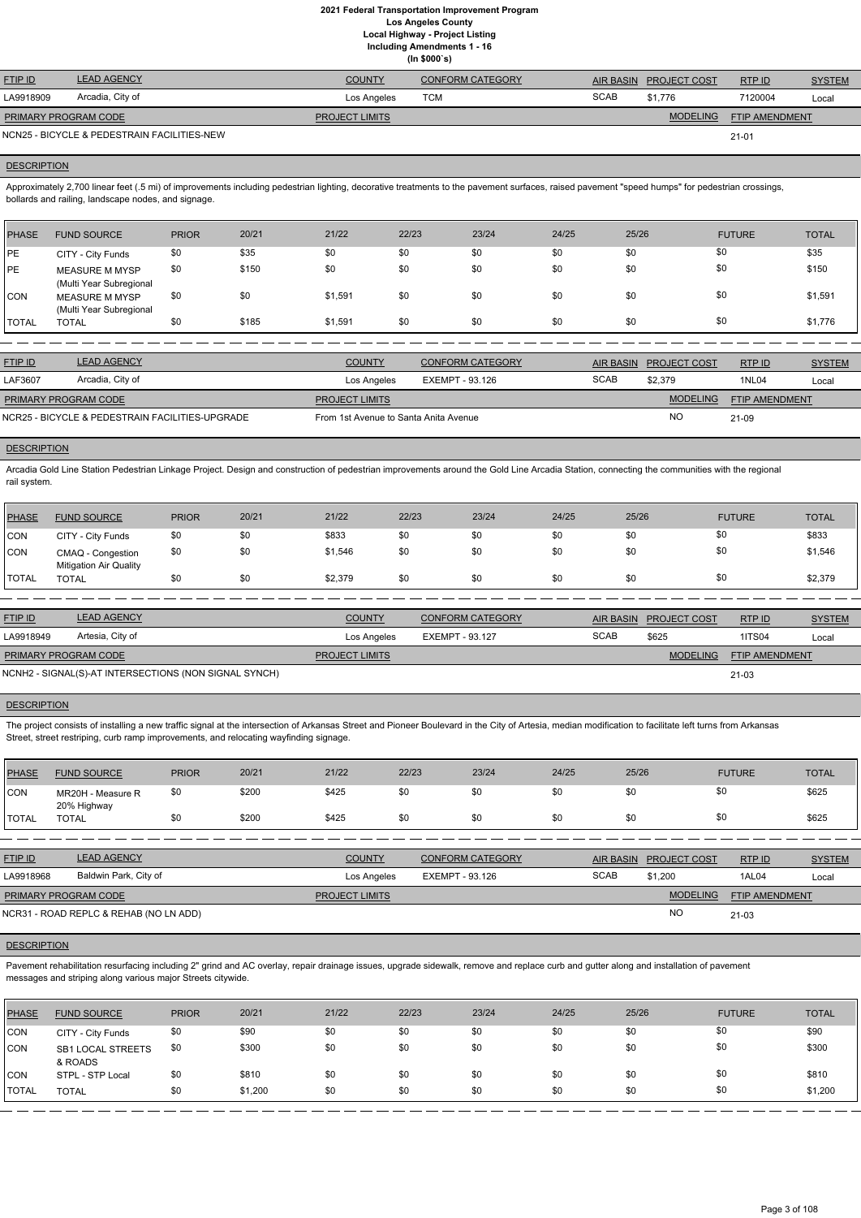| <b>FTIP ID</b>       | <b>LEAD AGENCY</b>                          | <b>COUNTY</b>         | <b>CONFORM CATEGORY</b> |             | AIR BASIN PROJECT COST | RTP ID                | <b>SYSTEM</b> |
|----------------------|---------------------------------------------|-----------------------|-------------------------|-------------|------------------------|-----------------------|---------------|
| LA9918909            | Arcadia, City of                            | Los Angeles           | TCM                     | <b>SCAB</b> | \$1.776                | 7120004               | Local         |
| PRIMARY PROGRAM CODE |                                             | <b>PROJECT LIMITS</b> |                         |             | <b>MODELING</b>        | <b>FTIP AMENDMENT</b> |               |
|                      | NCN25 - BICYCLE & PEDESTRAIN FACILITIES-NEW |                       |                         |             |                        | $21 - 01$             |               |

#### **DESCRIPTION**

Approximately 2,700 linear feet (.5 mi) of improvements including pedestrian lighting, decorative treatments to the pavement surfaces, raised pavement "speed humps" for pedestrian crossings, bollards and railing, landscape nodes, and signage.

| <b>PHASE</b> | <b>FUND SOURCE</b>                               | <b>PRIOR</b> | 20/21 | 21/22   | 22/23 | 23/24 | 24/25 | 25/26 | <b>FUTURE</b> | <b>TOTAL</b> |
|--------------|--------------------------------------------------|--------------|-------|---------|-------|-------|-------|-------|---------------|--------------|
| <b>PE</b>    | CITY - City Funds                                | \$0          | \$35  | \$0     | \$0   | \$0   | \$0   | \$0   | \$0           | \$35         |
| <b>IPE</b>   | <b>MEASURE M MYSP</b><br>(Multi Year Subregional | \$0          | \$150 | \$0     | \$0   | \$0   | \$0   | \$0   | \$0           | \$150        |
| <b>CON</b>   | <b>MEASURE M MYSP</b><br>(Multi Year Subregional | \$0          | \$0   | \$1,591 | \$0   | \$0   | \$0   | \$0   | \$0           | \$1,591      |
| <b>TOTAL</b> | <b>TOTAL</b>                                     | \$0          | \$185 | \$1,591 | \$0   | \$0   | \$0   | \$0   | \$0           | \$1,776      |

| <b>FTIP ID</b>              | <b>LEAD AGENCY</b>                              | <b>COUNTY</b>                         | <b>CONFORM CATEGORY</b> |             | AIR BASIN PROJECT COST | RTPID          | <b>SYSTEM</b> |
|-----------------------------|-------------------------------------------------|---------------------------------------|-------------------------|-------------|------------------------|----------------|---------------|
| LAF3607                     | Arcadia, City of                                | Los Angeles                           | EXEMPT - 93.126         | <b>SCAB</b> | \$2,379                | <b>1NL04</b>   | Local         |
| <b>PRIMARY PROGRAM CODE</b> |                                                 | <b>PROJECT LIMITS</b>                 |                         |             | <b>MODELING</b>        | FTIP AMENDMENT |               |
|                             | NCR25 - BICYCLE & PEDESTRAIN FACILITIES-UPGRADE | From 1st Avenue to Santa Anita Avenue |                         |             | <b>NO</b>              | 21-09          |               |

# **DESCRIPTION**

Arcadia Gold Line Station Pedestrian Linkage Project. Design and construction of pedestrian improvements around the Gold Line Arcadia Station, connecting the communities with the regional rail system.

Pavement rehabilitation resurfacing including 2" grind and AC overlay, repair drainage issues, upgrade sidewalk, remove and replace curb and gutter along and installation of pavement messages and striping along various major Streets citywide.

| PHASE        | <b>FUND SOURCE</b>                                 | <b>PRIOR</b> | 20/21 | 21/22   | 22/23 | 23/24 | 24/25 | 25/26 | <b>FUTURE</b> | <b>TOTAL</b> |
|--------------|----------------------------------------------------|--------------|-------|---------|-------|-------|-------|-------|---------------|--------------|
| <b>CON</b>   | CITY - City Funds                                  | \$0          | \$0   | \$833   | \$0   | \$0   | \$0   |       | \$0           | \$833        |
| CON          | CMAQ - Congestion<br><b>Mitigation Air Quality</b> | \$0          | \$0   | \$1,546 | \$0   | \$0   | \$0   |       | \$0           | \$1,546      |
| <b>TOTAL</b> | <b>TOTAL</b>                                       | \$0          | \$0   | \$2,379 | \$0   | \$0   | \$0   | \$0   | \$0           | \$2,379      |

| <b>FTIP ID</b>              | <b>LEAD AGENCY</b>                                    | <b>COUNTY</b>         | <b>CONFORM CATEGORY</b> |             | AIR BASIN PROJECT COST | RTPID                 | <b>SYSTEM</b> |
|-----------------------------|-------------------------------------------------------|-----------------------|-------------------------|-------------|------------------------|-----------------------|---------------|
| LA9918949                   | Artesia, City of                                      | Los Angeles           | EXEMPT - 93.127         | <b>SCAB</b> | \$625                  | <b>1ITS04</b>         | Local         |
| <b>PRIMARY PROGRAM CODE</b> |                                                       | <b>PROJECT LIMITS</b> |                         |             | MODELING               | <b>FTIP AMENDMENT</b> |               |
|                             | NCNH2 - SIGNAL(S)-AT INTERSECTIONS (NON SIGNAL SYNCH) |                       |                         |             |                        | $21 - 03$             |               |

## **DESCRIPTION**

The project consists of installing a new traffic signal at the intersection of Arkansas Street and Pioneer Boulevard in the City of Artesia, median modification to facilitate left turns from Arkansas Street, street restriping, curb ramp improvements, and relocating wayfinding signage.

| <b>PHASE</b> | <b>FUND SOURCE</b>               | <b>PRIOR</b> | 20/21 | 21/22 | 22/23 | 23/24 | 24/25 | 25/26 | <b>FUTURE</b> | <b>TOTAL</b> |
|--------------|----------------------------------|--------------|-------|-------|-------|-------|-------|-------|---------------|--------------|
| <b>CON</b>   | MR20H - Measure R<br>20% Highway | \$0          | \$200 | \$425 | \$0   |       | \$0   | \$0   | \$0           | \$625        |
| <b>TOTAL</b> | <b>TOTAL</b>                     | \$0          | \$200 | \$425 | \$0   | \$0   | \$0   | \$0   | \$0           | \$625        |

| <b>FTIP ID</b>              | <b>LEAD AGENCY</b>                     | <b>COUNTY</b>         | <b>CONFORM CATEGORY</b> | <b>AIR BASIN</b> | <b>PROJECT COST</b> | RTP ID                | <b>SYSTEM</b> |
|-----------------------------|----------------------------------------|-----------------------|-------------------------|------------------|---------------------|-----------------------|---------------|
| LA9918968                   | Baldwin Park, City of                  | Los Angeles           | EXEMPT - 93.126         | <b>SCAB</b>      | \$1,200             | 1AL04                 | Local         |
| <b>PRIMARY PROGRAM CODE</b> |                                        | <b>PROJECT LIMITS</b> |                         |                  | <b>MODELING</b>     | <b>FTIP AMENDMENT</b> |               |
|                             | NCR31 - ROAD REPLC & REHAB (NO LN ADD) |                       |                         |                  | <b>NC</b>           | 21-03                 |               |

| <b>PHASE</b>     | <b>FUND SOURCE</b>           | <b>PRIOR</b> | 20/21   | 21/22 | 22/23 | 23/24 | 24/25 | 25/26 | <b>FUTURE</b> | <b>TOTAL</b> |
|------------------|------------------------------|--------------|---------|-------|-------|-------|-------|-------|---------------|--------------|
| <b>CON</b>       | CITY - City Funds            | \$0          | \$90    | \$0   | \$0   | \$0   | \$0   | \$0   | \$0           | \$90         |
| CON <sup>'</sup> | SB1 LOCAL STREETS<br>& ROADS | \$0          | \$300   | \$0   | \$0   | \$0   | \$0   | \$0   | \$0           | \$300        |
| <b>CON</b>       | STPL - STP Local             | \$0          | \$810   | \$0   | \$0   | \$0   | \$0   | \$0   | \$0           | \$810        |
| <b>TOTAL</b>     | <b>TOTAL</b>                 | \$0          | \$1,200 | \$0   | \$0   | \$0   | \$0   | \$0   | \$0           | \$1,200      |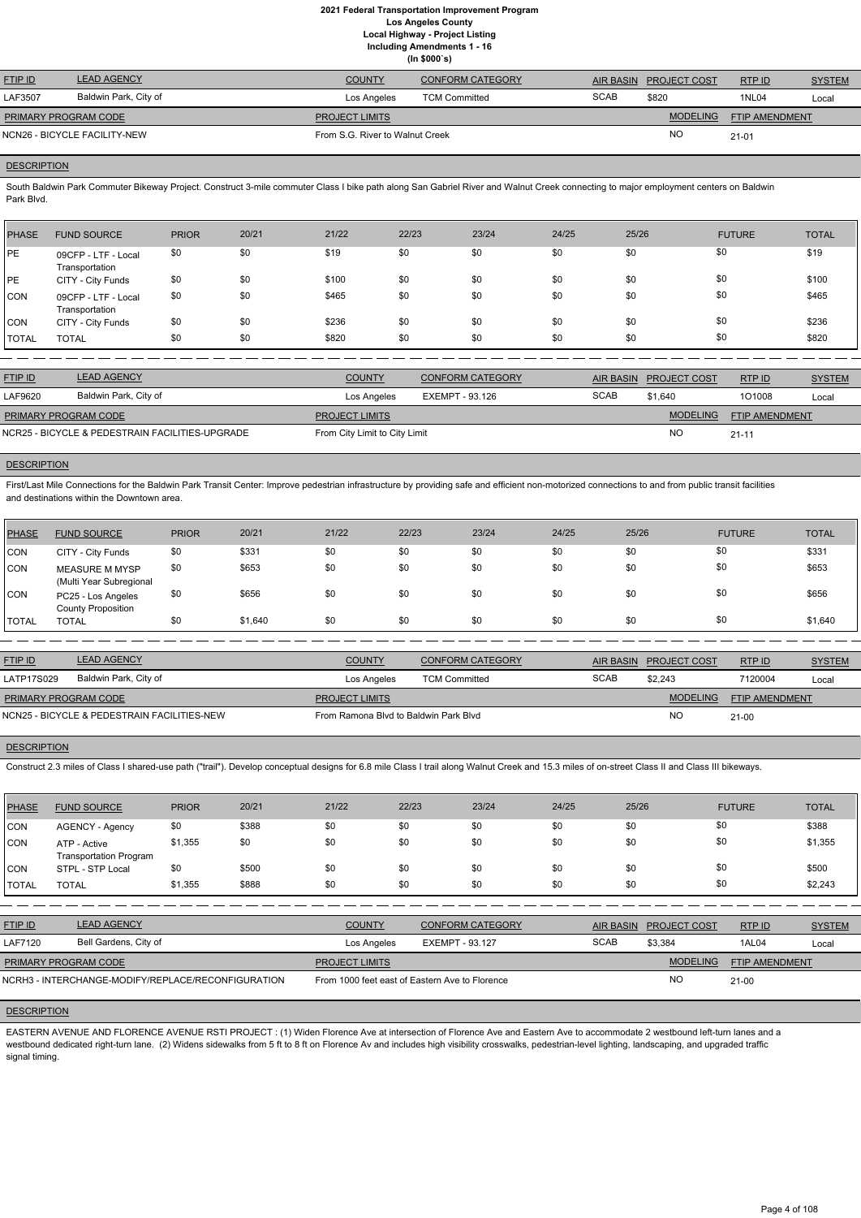**(In \$000`s)**

| <b>FTIP ID</b>       | <b>LEAD AGENCY</b>           | <b>COUNTY</b>                   | <b>CONFORM CATEGORY</b> |             | AIR BASIN PROJECT COST | RTP ID                | <b>SYSTEM</b> |
|----------------------|------------------------------|---------------------------------|-------------------------|-------------|------------------------|-----------------------|---------------|
| LAF3507              | Baldwin Park, City of        | Los Angeles                     | <b>TCM Committed</b>    | <b>SCAB</b> | \$820                  | <b>1NL04</b>          | Local         |
| PRIMARY PROGRAM CODE |                              | <b>PROJECT LIMITS</b>           |                         |             | <b>MODELING</b>        | <b>FTIP AMENDMENT</b> |               |
|                      | NCN26 - BICYCLE FACILITY-NEW | From S.G. River to Walnut Creek |                         |             | NO                     | $21 - 01$             |               |

# **DESCRIPTION**

South Baldwin Park Commuter Bikeway Project. Construct 3-mile commuter Class I bike path along San Gabriel River and Walnut Creek connecting to major employment centers on Baldwin Park Blvd.

First/Last Mile Connections for the Baldwin Park Transit Center: Improve pedestrian infrastructure by providing safe and efficient non-motorized connections to and from public transit facilities and destinations within the Downtown area.

| <b>PHASE</b> | <b>FUND SOURCE</b>                    | <b>PRIOR</b> | 20/21 | 21/22 | 22/23 | 23/24 | 24/25 | 25/26 | <b>FUTURE</b> | <b>TOTAL</b> |
|--------------|---------------------------------------|--------------|-------|-------|-------|-------|-------|-------|---------------|--------------|
| <b>PE</b>    | 09CFP - LTF - Local<br>Transportation | \$0          | \$0   | \$19  | \$0   | \$0   | \$0   | \$0   | \$0           | \$19         |
| <b>PE</b>    | CITY - City Funds                     | \$0          | \$0   | \$100 | \$0   | \$0   | \$0   | \$0   | \$0           | \$100        |
| <b>CON</b>   | 09CFP - LTF - Local<br>Transportation | \$0          | \$0   | \$465 | \$0   | \$0   | \$0   | \$0   | \$0           | \$465        |
| CON          | CITY - City Funds                     | \$0          | \$0   | \$236 | \$0   | \$0   | \$0   | \$0   | \$0           | \$236        |
| <b>TOTAL</b> | <b>TOTAL</b>                          | \$0          | \$0   | \$820 | \$0   | \$0   | \$0   | \$0   | \$0           | \$820        |

| <b>FTIP ID</b>                                  | <b>LEAD AGENCY</b>    | <b>COUNTY</b>                 | CONFORM CATEGORY | AIR BASIN   | <b>PROJECT COST</b> | RTP ID                | <b>SYSTEM</b> |
|-------------------------------------------------|-----------------------|-------------------------------|------------------|-------------|---------------------|-----------------------|---------------|
| LAF9620                                         | Baldwin Park, City of | Los Angeles                   | EXEMPT - 93.126  | <b>SCAB</b> | \$1.640             | 101008                | Local         |
| <b>PRIMARY PROGRAM CODE</b>                     |                       | <b>PROJECT LIMITS</b>         |                  |             | <b>MODELING</b>     | <b>FTIP AMENDMENT</b> |               |
| NCR25 - BICYCLE & PEDESTRAIN FACILITIES-UPGRADE |                       | From City Limit to City Limit |                  |             | N <sub>O</sub>      | $21 - 11$             |               |

# **DESCRIPTION**

| PHASE      | <b>FUND SOURCE</b>                               | <b>PRIOR</b> | 20/21   | 21/22 | 22/23 | 23/24 | 24/25 | 25/26 | <b>FUTURE</b> | <b>TOTAL</b> |
|------------|--------------------------------------------------|--------------|---------|-------|-------|-------|-------|-------|---------------|--------------|
| <b>CON</b> | CITY - City Funds                                | \$0          | \$331   | \$0   | \$0   | \$0   | \$0   | \$0   | \$0           | \$331        |
| <b>CON</b> | <b>MEASURE M MYSP</b><br>(Multi Year Subregional | \$0          | \$653   | \$0   | \$0   | \$0   | \$0   | \$0   | \$0           | \$653        |
| ICON       | PC25 - Los Angeles<br><b>County Proposition</b>  | \$0          | \$656   | \$0   | \$0   | \$0   | \$0   | \$0   | \$0           | \$656        |
| TOTAL      | <b>TOTAL</b>                                     | \$0          | \$1,640 | \$0   | \$0   | -\$0  | \$0   | \$0   | \$0           | \$1,640      |

| <b>FTIP ID</b>              | <b>LEAD AGENCY</b>                          | <b>COUNTY</b>                         | <b>CONFORM CATEGORY</b> |             | AIR BASIN PROJECT COST | RTPID                 | <b>SYSTEM</b> |
|-----------------------------|---------------------------------------------|---------------------------------------|-------------------------|-------------|------------------------|-----------------------|---------------|
| LATP17S029                  | Baldwin Park, City of                       | Los Angeles                           | <b>TCM Committed</b>    | <b>SCAB</b> | \$2,243                | 7120004               | Local         |
| <b>PRIMARY PROGRAM CODE</b> |                                             | <b>PROJECT LIMITS</b>                 |                         |             | MODELING               | <b>FTIP AMENDMENT</b> |               |
|                             | NCN25 - BICYCLE & PEDESTRAIN FACILITIES-NEW | From Ramona Blyd to Baldwin Park Blyd |                         |             | <b>NC</b>              | $21-00$               |               |

# **DESCRIPTION**

Construct 2.3 miles of Class I shared-use path ("trail"). Develop conceptual designs for 6.8 mile Class I trail along Walnut Creek and 15.3 miles of on-street Class II and Class III bikeways.

| PHASE        | <b>FUND SOURCE</b>                            | <b>PRIOR</b> | 20/21 | 21/22 | 22/23 | 23/24 | 24/25 | 25/26 | <b>FUTURE</b> | <b>TOTAL</b> |
|--------------|-----------------------------------------------|--------------|-------|-------|-------|-------|-------|-------|---------------|--------------|
| <b>CON</b>   | <b>AGENCY - Agency</b>                        | \$0          | \$388 | \$0   | \$0   | \$0   | \$0   | \$0   | \$0           | \$388        |
| <b>CON</b>   | ATP - Active<br><b>Transportation Program</b> | \$1,355      | \$0   | \$0   | \$0   | \$0   | \$0   | \$0   | \$0           | \$1,355      |
| <b>CON</b>   | STPL - STP Local                              | \$0          | \$500 | \$0   | \$0   | \$0   | \$0   | \$0   | \$0           | \$500        |
| <b>TOTAL</b> | <b>TOTAL</b>                                  | \$1,355      | \$888 | \$0   | \$0   | \$0   | \$0   | \$0   | \$0           | \$2,243      |

| <b>FTIP ID</b>              | <b>LEAD AGENCY</b>                                 | <b>COUNTY</b>                                  | CONFORM CATEGORY | <b>AIR BASIN</b> | <b>PROJECT COST</b> | RTP ID                | <b>SYSTEM</b> |
|-----------------------------|----------------------------------------------------|------------------------------------------------|------------------|------------------|---------------------|-----------------------|---------------|
| <b>LAF7120</b>              | Bell Gardens, City of                              | Los Angeles                                    | EXEMPT - 93.127  | <b>SCAB</b>      | \$3,384             | 1AL04                 | Local         |
| <b>PRIMARY PROGRAM CODE</b> |                                                    | <b>PROJECT LIMITS</b>                          |                  |                  | <b>MODELING</b>     | <b>FTIP AMENDMENT</b> |               |
|                             | NCRH3 - INTERCHANGE-MODIFY/REPLACE/RECONFIGURATION | From 1000 feet east of Eastern Ave to Florence |                  |                  | <b>NO</b>           | $21 - 00$             |               |

# **DESCRIPTION**

EASTERN AVENUE AND FLORENCE AVENUE RSTI PROJECT : (1) Widen Florence Ave at intersection of Florence Ave and Eastern Ave to accommodate 2 westbound left-turn lanes and a westbound dedicated right-turn lane. (2) Widens sidewalks from 5 ft to 8 ft on Florence Av and includes high visibility crosswalks, pedestrian-level lighting, landscaping, and upgraded traffic signal timing.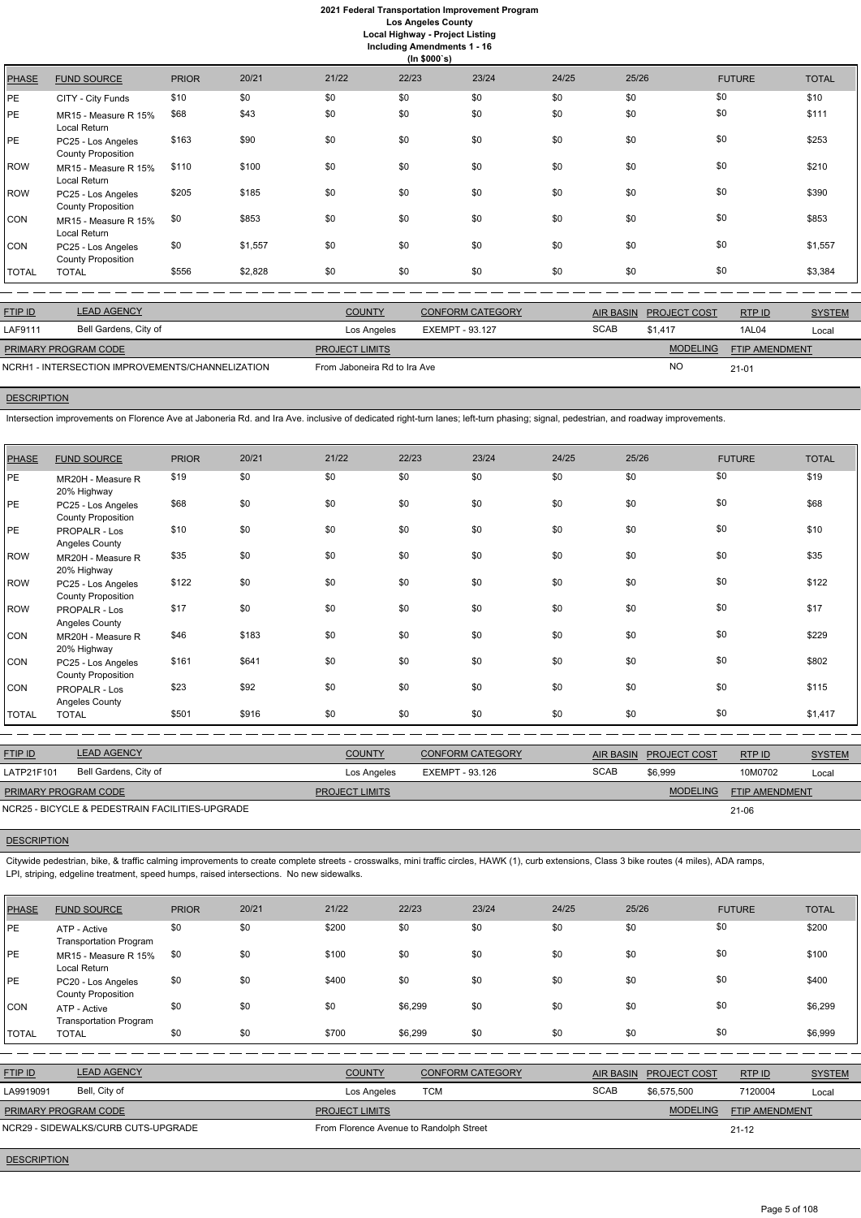# **2021 Federal Transportation Improvement Program Los Angeles County**

**Local Highway - Project Listing Including Amendments 1 - 16**

|              | (ln \$000's)                                    |              |         |       |       |       |       |       |               |              |  |  |
|--------------|-------------------------------------------------|--------------|---------|-------|-------|-------|-------|-------|---------------|--------------|--|--|
| <b>PHASE</b> | <b>FUND SOURCE</b>                              | <b>PRIOR</b> | 20/21   | 21/22 | 22/23 | 23/24 | 24/25 | 25/26 | <b>FUTURE</b> | <b>TOTAL</b> |  |  |
| PE           | CITY - City Funds                               | \$10         | \$0     | \$0   | \$0   | \$0   | \$0   | \$0   | \$0           | \$10         |  |  |
| PЕ           | MR15 - Measure R 15%<br>Local Return            | \$68         | \$43    | \$0   | \$0   | \$0   | \$0   | \$0   | \$0           | \$111        |  |  |
| PE           | PC25 - Los Angeles<br><b>County Proposition</b> | \$163        | \$90    | \$0   | \$0   | \$0   | \$0   | \$0   | \$0           | \$253        |  |  |
| ROW          | MR15 - Measure R 15%<br>Local Return            | \$110        | \$100   | \$0   | \$0   | \$0   | \$0   | \$0   | \$0           | \$210        |  |  |
| ROW          | PC25 - Los Angeles<br><b>County Proposition</b> | \$205        | \$185   | \$0   | \$0   | \$0   | \$0   | \$0   | \$0           | \$390        |  |  |
| <b>CON</b>   | MR15 - Measure R 15%<br>Local Return            | \$0          | \$853   | \$0   | \$0   | \$0   | \$0   | \$0   | \$0           | \$853        |  |  |
| CON          | PC25 - Los Angeles<br><b>County Proposition</b> | \$0          | \$1,557 | \$0   | \$0   | \$0   | \$0   | \$0   | \$0           | \$1,557      |  |  |
| <b>TOTAL</b> | <b>TOTAL</b>                                    | \$556        | \$2,828 | \$0   | \$0   | \$0   | \$0   | \$0   | \$0           | \$3,384      |  |  |
|              |                                                 |              |         |       |       |       |       |       |               |              |  |  |

| <b>FTIP ID</b>                                   | <b>LEAD AGENCY</b>    | <b>COUNTY</b>                | <b>CONFORM CATEGORY</b> |             | AIR BASIN PROJECT COST | RTP ID                | <b>SYSTEM</b> |
|--------------------------------------------------|-----------------------|------------------------------|-------------------------|-------------|------------------------|-----------------------|---------------|
| LAF9111                                          | Bell Gardens, City of | Los Angeles                  | EXEMPT - 93.127         | <b>SCAB</b> | \$1.417                | 1AL04                 | Local         |
| PRIMARY PROGRAM CODE                             |                       | <b>PROJECT LIMITS</b>        |                         |             | <b>MODELING</b>        | <b>FTIP AMENDMENT</b> |               |
| NCRH1 - INTERSECTION IMPROVEMENTS/CHANNELIZATION |                       | From Jaboneira Rd to Ira Ave |                         |             | <b>NC</b>              | $21 - 01$             |               |

# **DESCRIPTION**

Intersection improvements on Florence Ave at Jaboneria Rd. and Ira Ave. inclusive of dedicated right-turn lanes; left-turn phasing; signal, pedestrian, and roadway improvements.

| <b>PHASE</b> | <b>FUND SOURCE</b>                              | <b>PRIOR</b> | 20/21 | 21/22 | 22/23 | 23/24 | 24/25 | 25/26 | <b>FUTURE</b> | <b>TOTAL</b> |
|--------------|-------------------------------------------------|--------------|-------|-------|-------|-------|-------|-------|---------------|--------------|
| PE           | MR20H - Measure R<br>20% Highway                | \$19         | \$0   | \$0   | \$0   | \$0   | \$0   | \$0   | \$0           | \$19         |
| PE           | PC25 - Los Angeles<br><b>County Proposition</b> | \$68         | \$0   | \$0   | \$0   | \$0   | \$0   | \$0   | \$0           | \$68         |
| PE           | PROPALR - Los<br>Angeles County                 | \$10         | \$0   | \$0   | \$0   | \$0   | \$0   | \$0   | \$0           | \$10         |
| ROW          | MR20H - Measure R<br>20% Highway                | \$35         | \$0   | \$0   | \$0   | \$0   | \$0   | \$0   | \$0           | \$35         |
| ROW          | PC25 - Los Angeles<br><b>County Proposition</b> | \$122        | \$0   | \$0   | \$0   | \$0   | \$0   | \$0   | \$0           | \$122        |
| ROW          | PROPALR - Los<br>Angeles County                 | \$17         | \$0   | \$0   | \$0   | \$0   | \$0   | \$0   | \$0           | \$17         |
| <b>CON</b>   | MR20H - Measure R<br>20% Highway                | \$46         | \$183 | \$0   | \$0   | \$0   | \$0   | \$0   | \$0           | \$229        |
| <b>CON</b>   | PC25 - Los Angeles<br><b>County Proposition</b> | \$161        | \$641 | \$0   | \$0   | \$0   | \$0   | \$0   | \$0           | \$802        |
| <b>CON</b>   | PROPALR - Los<br>Angeles County                 | \$23         | \$92  | \$0   | \$0   | \$0   | \$0   | \$0   | \$0           | \$115        |
| <b>TOTAL</b> | <b>TOTAL</b>                                    | \$501        | \$916 | \$0   | \$0   | \$0   | \$0   | \$0   | \$0           | \$1,417      |

| <b>FTIP ID</b>       | <b>LEAD AGENCY</b>                              | <b>COUNTY</b>         | <b>CONFORM CATEGORY</b> | <b>AIR BASIN</b> | <b>PROJECT COST</b> | RTPID                 | <b>SYSTEM</b> |
|----------------------|-------------------------------------------------|-----------------------|-------------------------|------------------|---------------------|-----------------------|---------------|
| LATP21F101           | Bell Gardens, City of                           | Los Angeles           | EXEMPT - 93.126         | <b>SCAB</b>      | \$6,999             | 10M0702               | Local         |
| PRIMARY PROGRAM CODE |                                                 | <b>PROJECT LIMITS</b> |                         |                  | <b>MODELING</b>     | <b>FTIP AMENDMENT</b> |               |
|                      | NCR25 - BICYCLE & PEDESTRAIN FACILITIES-UPGRADE |                       |                         |                  |                     | 21-06                 |               |

# **DESCRIPTION**

Citywide pedestrian, bike, & traffic calming improvements to create complete streets - crosswalks, mini traffic circles, HAWK (1), curb extensions, Class 3 bike routes (4 miles), ADA ramps, LPI, striping, edgeline treatment, speed humps, raised intersections. No new sidewalks.

| PHASE | <b>FUND SOURCE</b> | <b>PRIOR</b> | 20/21 | 21/22 | 22/23 | 23/24 | 24/25 | 25/26 | <b>FUTURE</b> | <b>TOTAL</b> |
|-------|--------------------|--------------|-------|-------|-------|-------|-------|-------|---------------|--------------|
|       |                    |              |       |       |       |       |       |       |               |              |

| <b>PE</b>    | ATP - Active                                                          | \$0 | \$0 | \$200 | \$0     | \$0 | \$0 | \$0 | \$0 | \$200   |
|--------------|-----------------------------------------------------------------------|-----|-----|-------|---------|-----|-----|-----|-----|---------|
| PE           | <b>Transportation Program</b><br>MR15 - Measure R 15%<br>Local Return | \$0 | \$0 | \$100 | \$0     | \$0 | \$0 | \$0 | \$0 | \$100   |
| PE           | PC20 - Los Angeles<br><b>County Proposition</b>                       | \$0 | \$0 | \$400 | \$0     | \$0 | \$0 | \$0 | \$0 | \$400   |
| Icon         | ATP - Active<br><b>Transportation Program</b>                         | \$0 | \$0 | \$0   | \$6,299 | \$0 | \$0 | \$0 | \$0 | \$6,299 |
| <b>TOTAL</b> | <b>TOTAL</b>                                                          | \$0 | \$0 | \$700 | \$6,299 | \$0 | \$0 | \$0 | \$0 | \$6,999 |

| <b>FTIP ID</b>              | <b>LEAD AGENCY</b>                  | <b>COUNTY</b>                           | <b>CONFORM CATEGORY</b> | <b>AIR BASIN</b> | <b>PROJECT COST</b> | RTPID                 | <b>SYSTEM</b> |
|-----------------------------|-------------------------------------|-----------------------------------------|-------------------------|------------------|---------------------|-----------------------|---------------|
| LA9919091                   | Bell, City of                       | Los Angeles                             | TCM                     | <b>SCAB</b>      | \$6.575.500         | 7120004               | Local         |
| <b>PRIMARY PROGRAM CODE</b> |                                     | <b>PROJECT LIMITS</b>                   |                         |                  | <b>MODELING</b>     | <b>FTIP AMENDMENT</b> |               |
|                             | NCR29 - SIDEWALKS/CURB CUTS-UPGRADE | From Florence Avenue to Randolph Street |                         |                  |                     | $21 - 12$             |               |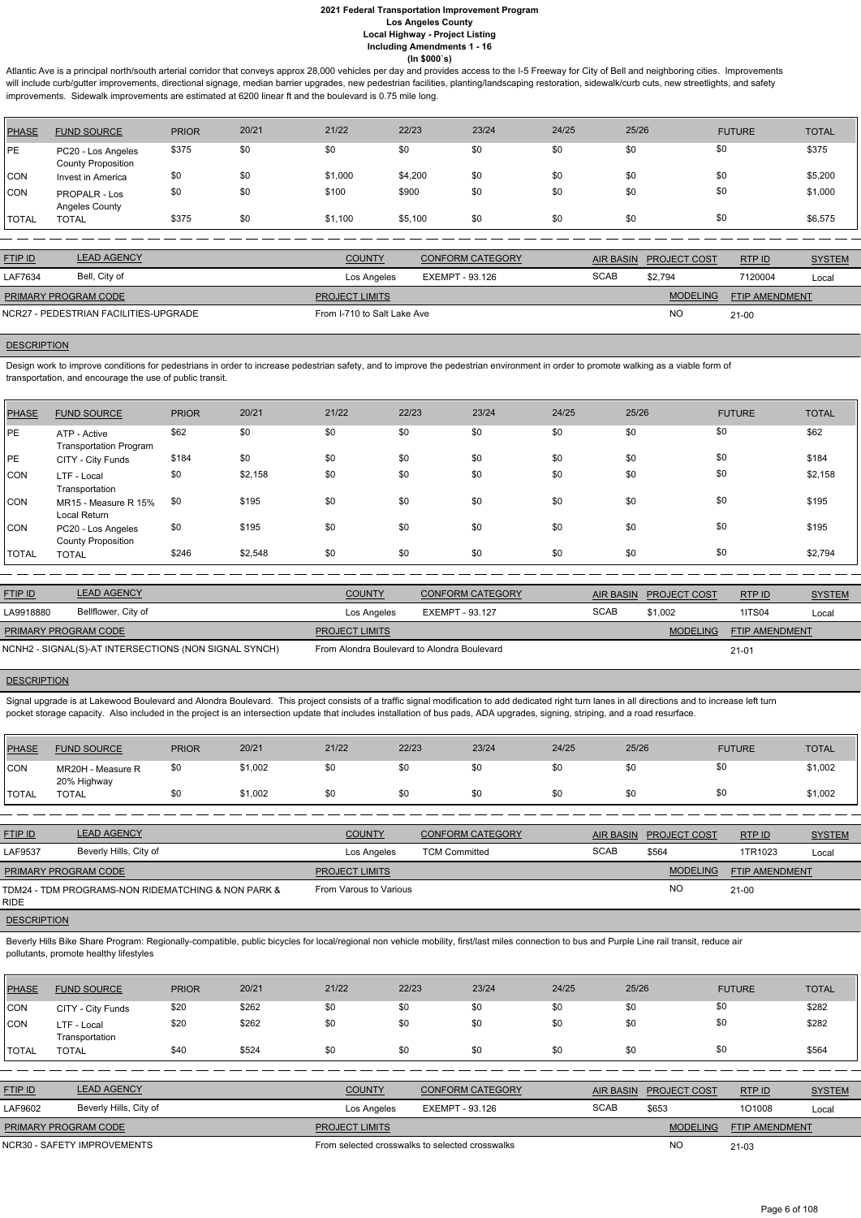Atlantic Ave is a principal north/south arterial corridor that conveys approx 28,000 vehicles per day and provides access to the I-5 Freeway for City of Bell and neighboring cities. Improvements will include curb/gutter improvements, directional signage, median barrier upgrades, new pedestrian facilities, planting/landscaping restoration, sidewalk/curb cuts, new streetlights, and safety improvements. Sidewalk improvements are estimated at 6200 linear ft and the boulevard is 0.75 mile long.

Design work to improve conditions for pedestrians in order to increase pedestrian safety, and to improve the pedestrian environment in order to promote walking as a viable form of transportation, and encourage the use of public transit.

| <b>PHASE</b> | <b>FUND SOURCE</b>                              | <b>PRIOR</b> | 20/21 | 21/22   | 22/23   | 23/24 | 24/25 | 25/26 | <b>FUTURE</b> | <b>TOTAL</b> |
|--------------|-------------------------------------------------|--------------|-------|---------|---------|-------|-------|-------|---------------|--------------|
| PE           | PC20 - Los Angeles<br><b>County Proposition</b> | \$375        | \$0   | \$0     | \$0     | \$0   | \$0   | \$0   | \$0           | \$375        |
| <b>CON</b>   | Invest in America                               | \$0          | \$0   | \$1,000 | \$4,200 | \$0   | \$0   | \$0   | \$0           | \$5,200      |
| <b>CON</b>   | <b>PROPALR - Los</b><br>Angeles County          | \$0          | \$0   | \$100   | \$900   | \$0   | \$0   | \$0   | \$0           | \$1,000      |
| <b>TOTAL</b> | <b>TOTAL</b>                                    | \$375        | \$0   | \$1,100 | \$5,100 | \$0   | \$0   | \$0   | \$0           | \$6,575      |

| <b>FTIP ID</b>              | <b>LEAD AGENCY</b>                    | <b>COUNTY</b>               | <b>CONFORM CATEGORY</b> |             | AIR BASIN PROJECT COST | RTPID                 | <b>SYSTEM</b> |
|-----------------------------|---------------------------------------|-----------------------------|-------------------------|-------------|------------------------|-----------------------|---------------|
| LAF7634                     | Bell, City of                         | Los Angeles                 | EXEMPT - 93.126         | <b>SCAB</b> | \$2.794                | 7120004               | Local         |
| <b>PRIMARY PROGRAM CODE</b> |                                       | <b>PROJECT LIMITS</b>       |                         |             | <b>MODELING</b>        | <b>FTIP AMENDMENT</b> |               |
|                             | NCR27 - PEDESTRIAN FACILITIES-UPGRADE | From I-710 to Salt Lake Ave |                         |             | <b>NO</b>              | $21-00$               |               |
|                             |                                       |                             |                         |             |                        |                       |               |

# **DESCRIPTION**

Signal upgrade is at Lakewood Boulevard and Alondra Boulevard. This project consists of a traffic signal modification to add dedicated right turn lanes in all directions and to increase left turn pocket storage capacity. Also included in the project is an intersection update that includes installation of bus pads, ADA upgrades, signing, striping, and a road resurface.

Beverly Hills Bike Share Program: Regionally-compatible, public bicycles for local/regional non vehicle mobility, first/last miles connection to bus and Purple Line rail transit, reduce air pollutants, promote healthy lifestyles

| PHASE        | <b>FUND SOURCE</b>                              | <b>PRIOR</b> | 20/21   | 21/22 | 22/23 | 23/24 | 24/25 | 25/26 | <b>FUTURE</b> | <b>TOTAL</b> |
|--------------|-------------------------------------------------|--------------|---------|-------|-------|-------|-------|-------|---------------|--------------|
| PE           | ATP - Active<br><b>Transportation Program</b>   | \$62         | \$0     | \$0   | \$0   | \$0   | \$0   | \$0   | \$0           | \$62         |
| PE           | CITY - City Funds                               | \$184        | \$0     | \$0   | \$0   | \$0   | \$0   | \$0   | \$0           | \$184        |
| CON          | LTF - Local<br>Transportation                   | \$0          | \$2,158 | \$0   | \$0   | \$0   | \$0   | \$0   | \$0           | \$2,158      |
| CON          | MR15 - Measure R 15%<br>Local Return            | \$0          | \$195   | \$0   | \$0   | \$0   | \$0   | \$0   | \$0           | \$195        |
| CON          | PC20 - Los Angeles<br><b>County Proposition</b> | \$0          | \$195   | \$0   | \$0   | \$0   | \$0   | \$0   | \$0           | \$195        |
| <b>TOTAL</b> | <b>TOTAL</b>                                    | \$246        | \$2,548 | \$0   | \$0   | \$0   | \$0   | \$0   | \$0           | \$2,794      |

| <b>FTIP ID</b>              | <b>LEAD AGENCY</b>                                    | <b>COUNTY</b>                               | <b>CONFORM CATEGORY</b> | <b>AIR BASIN</b> | <b>PROJECT COST</b> | RTPID                 | <b>SYSTEM</b> |
|-----------------------------|-------------------------------------------------------|---------------------------------------------|-------------------------|------------------|---------------------|-----------------------|---------------|
| LA9918880                   | Bellflower, City of                                   | Los Angeles                                 | EXEMPT - 93.127         | <b>SCAB</b>      | \$1,002             | 1ITS04                | Local         |
| <b>PRIMARY PROGRAM CODE</b> |                                                       | <b>PROJECT LIMITS</b>                       |                         |                  | <b>MODELING</b>     | <b>FTIP AMENDMENT</b> |               |
|                             | NCNH2 - SIGNAL(S)-AT INTERSECTIONS (NON SIGNAL SYNCH) | From Alondra Boulevard to Alondra Boulevard |                         |                  |                     | $21 - 01$             |               |

| PHASE        | <b>FUND SOURCE</b>               | <b>PRIOR</b> | 20/21   | 21/22 | 22/23 | 23/24 | 24/25 | 25/26 | <b>FUTURE</b> | <b>TOTAL</b> |
|--------------|----------------------------------|--------------|---------|-------|-------|-------|-------|-------|---------------|--------------|
| CON          | MR20H - Measure R<br>20% Highway | \$Ο          | \$1,002 | \$0   | \$0   | \$0   | \$0   |       |               | \$1,002      |
| <b>TOTAL</b> | <b>TOTAL</b>                     |              | \$1,002 | \$0   | \$0   | \$0   | \$0   |       |               | \$1,002      |

| <b>FTIP ID</b>              | <b>LEAD AGENCY</b>                                 | <b>COUNTY</b>          | <b>CONFORM CATEGORY</b> | <b>AIR BASIN</b> | <b>PROJECT COST</b> | RTPID                 | <b>SYSTEM</b> |
|-----------------------------|----------------------------------------------------|------------------------|-------------------------|------------------|---------------------|-----------------------|---------------|
| LAF9537                     | Beverly Hills, City of                             | Los Angeles            | <b>TCM Committed</b>    | <b>SCAB</b>      | \$564               | 1TR1023               | Local         |
| <b>PRIMARY PROGRAM CODE</b> |                                                    | <b>PROJECT LIMITS</b>  |                         |                  | <b>MODELING</b>     | <b>FTIP AMENDMENT</b> |               |
| <b>RIDE</b>                 | TDM24 - TDM PROGRAMS-NON RIDEMATCHING & NON PARK & | From Varous to Various |                         |                  | <b>NO</b>           | $21-00$               |               |

| <b>PHASE</b> | <b>FUND SOURCE</b>            | <b>PRIOR</b> | 20/21 | 21/22                                           | 22/23           | 23/24                   | 24/25       | 25/26            |                     | <b>FUTURE</b>  | <b>TOTAL</b>  |
|--------------|-------------------------------|--------------|-------|-------------------------------------------------|-----------------|-------------------------|-------------|------------------|---------------------|----------------|---------------|
| CON          | CITY - City Funds             | \$20         | \$262 | \$0                                             | \$0             | \$0                     | \$0         | \$0              | \$0                 |                | \$282         |
| <b>CON</b>   | LTF - Local<br>Transportation | \$20         | \$262 | \$0                                             | \$0             | \$0                     | \$0         | \$0              | \$0                 |                | \$282         |
| <b>TOTAL</b> | <b>TOTAL</b>                  | \$40         | \$524 | \$0                                             | \$0             | \$0                     | \$0         | \$0              | \$0                 |                | \$564         |
|              |                               |              |       |                                                 |                 |                         |             |                  |                     |                |               |
| FTIP ID      | <b>LEAD AGENCY</b>            |              |       | <b>COUNTY</b>                                   |                 | <b>CONFORM CATEGORY</b> |             | <b>AIR BASIN</b> | <b>PROJECT COST</b> | RTPID          | <b>SYSTEM</b> |
| LAF9602      | Beverly Hills, City of        |              |       | Los Angeles                                     | EXEMPT - 93.126 |                         | <b>SCAB</b> | \$653            |                     | 101008         | Local         |
|              | PRIMARY PROGRAM CODE          |              |       | <b>PROJECT LIMITS</b>                           |                 |                         |             |                  | <b>MODELING</b>     | FTIP AMENDMENT |               |
|              | NCR30 - SAFETY IMPROVEMENTS   |              |       | From selected crosswalks to selected crosswalks |                 |                         |             |                  | <b>NO</b>           | 21-03          |               |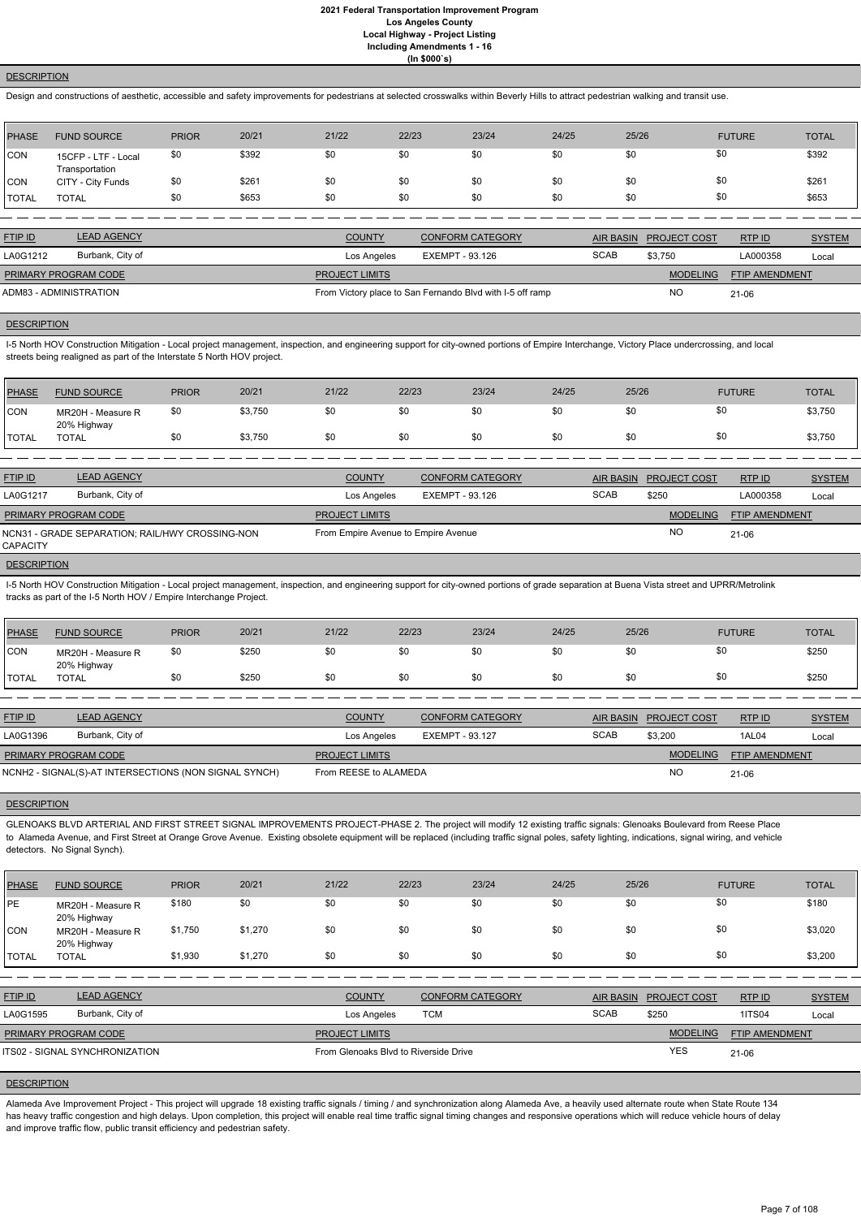## **DESCRIPTION**

Design and constructions of aesthetic, accessible and safety improvements for pedestrians at selected crosswalks within Beverly Hills to attract pedestrian walking and transit use.

| PHASE        | <b>FUND SOURCE</b>                    | <b>PRIOR</b> | 20/21 | 21/22 | 22/23 | 23/24 | 24/25 | 25/26 | <b>FUTURE</b> | <b>TOTAL</b> |
|--------------|---------------------------------------|--------------|-------|-------|-------|-------|-------|-------|---------------|--------------|
| <b>CON</b>   | 15CFP - LTF - Local<br>Transportation | \$0          | \$392 | \$0   | \$0   | \$0   | \$0   | \$0   | \$0           | \$392        |
| <b>CON</b>   | CITY - City Funds                     | \$0          | \$261 | \$0   | \$0   | \$0   | \$0   | \$0   | \$0           | \$261        |
| <b>TOTAL</b> | <b>TOTAL</b>                          | \$0          | \$653 | \$0   | \$0   | \$0   | \$0   | \$0   | \$0           | \$653        |

I-5 North HOV Construction Mitigation - Local project management, inspection, and engineering support for city-owned portions of Empire Interchange, Victory Place undercrossing, and local streets being realigned as part of the Interstate 5 North HOV project.

| <b>FTIP ID</b>              | <b>LEAD AGENCY</b> | <b>COUNTY</b>         | <b>CONFORM CATEGORY</b>                                   |             | AIR BASIN PROJECT COST | RTPID                 | <b>SYSTEM</b> |
|-----------------------------|--------------------|-----------------------|-----------------------------------------------------------|-------------|------------------------|-----------------------|---------------|
| LA0G1212                    | Burbank, City of   | Los Angeles           | EXEMPT - 93.126                                           | <b>SCAB</b> | \$3.750                | LA000358              | Local         |
| <b>PRIMARY PROGRAM CODE</b> |                    | <b>PROJECT LIMITS</b> |                                                           |             | <b>MODELING</b>        | <b>FTIP AMENDMENT</b> |               |
| ADM83 - ADMINISTRATION      |                    |                       | From Victory place to San Fernando Blvd with I-5 off ramp |             | <b>NO</b>              | $21 - 06$             |               |

## **DESCRIPTION**

I-5 North HOV Construction Mitigation - Local project management, inspection, and engineering support for city-owned portions of grade separation at Buena Vista street and UPRR/Metrolink tracks as part of the I-5 North HOV / Empire Interchange Project.

| <b>PHASE</b> | <b>FUND SOURCE</b>               | <b>PRIOR</b> | 20/21   | 21/22 | 22/23 | 23/24 | 24/25 | 25/26 | <b>FUTURE</b> | <b>TOTAL</b> |
|--------------|----------------------------------|--------------|---------|-------|-------|-------|-------|-------|---------------|--------------|
| <b>CON</b>   | MR20H - Measure R<br>20% Highway | \$0          | \$3,750 | \$0   | \$0   | \$0   | \$0   | \$0   | \$0           | \$3,750      |
| <b>TOTAL</b> | <b>TOTAL</b>                     | \$0          | \$3,750 | \$0   | \$0   | \$0   | \$0   | \$0   | \$0           | \$3,750      |
|              |                                  |              |         |       |       |       |       |       |               |              |

| <b>FTIP ID</b>              | <b>LEAD AGENCY</b>                              | <b>COUNTY</b>                       | <b>CONFORM CATEGORY</b> |             | AIR BASIN PROJECT COST | RTP ID                | <b>SYSTEM</b> |
|-----------------------------|-------------------------------------------------|-------------------------------------|-------------------------|-------------|------------------------|-----------------------|---------------|
| LA0G1217                    | Burbank, City of                                | Los Angeles                         | EXEMPT - 93.126         | <b>SCAB</b> | \$250                  | LA000358              | Local         |
| <b>PRIMARY PROGRAM CODE</b> |                                                 | <b>PROJECT LIMITS</b>               |                         |             | <b>MODELING</b>        | <b>FTIP AMENDMENT</b> |               |
| <b>CAPACITY</b>             | NCN31 - GRADE SEPARATION; RAIL/HWY CROSSING-NON | From Empire Avenue to Empire Avenue |                         |             | <b>NO</b>              | $21 - 06$             |               |

#### **DESCRIPTION**

Alameda Ave Improvement Project - This project will upgrade 18 existing traffic signals / timing / and synchronization along Alameda Ave, a heavily used alternate route when State Route 134 has heavy traffic congestion and high delays. Upon completion, this project will enable real time traffic signal timing changes and responsive operations which will reduce vehicle hours of delay and improve traffic flow, public transit efficiency and pedestrian safety.

| PHASE        | <b>FUND SOURCE</b>               | <b>PRIOR</b> | 20/21 | 21/22 | 22/23 | 23/24 | 24/25 | 25/26 | <b>FUTURE</b> | <b>TOTAL</b> |
|--------------|----------------------------------|--------------|-------|-------|-------|-------|-------|-------|---------------|--------------|
| CON          | MR20H - Measure R<br>20% Highway | \$0          | \$25C | \$0   | \$0   | \$0   | \$0   | \$0   |               | \$250        |
| <b>TOTAL</b> | <b>TOTAL</b>                     | \$0          | \$250 | \$0   | \$0   |       | \$0   | \$0   |               | \$250        |

| <b>FTIP ID</b>              | <b>LEAD AGENCY</b>                                    | <b>COUNTY</b>         | <b>CONFORM CATEGORY</b> |             | AIR BASIN PROJECT COST | RTPID                 | <b>SYSTEM</b> |
|-----------------------------|-------------------------------------------------------|-----------------------|-------------------------|-------------|------------------------|-----------------------|---------------|
| LA0G1396                    | Burbank, City of                                      | Los Angeles           | EXEMPT - 93.127         | <b>SCAB</b> | \$3,200                | <b>1AL04</b>          | Local         |
| <b>PRIMARY PROGRAM CODE</b> |                                                       | <b>PROJECT LIMITS</b> |                         |             | <b>MODELING</b>        | <b>FTIP AMENDMENT</b> |               |
|                             | NCNH2 - SIGNAL(S)-AT INTERSECTIONS (NON SIGNAL SYNCH) | From REESE to ALAMEDA |                         |             | <b>NO</b>              | 21-06                 |               |

#### **DESCRIPTION**

GLENOAKS BLVD ARTERIAL AND FIRST STREET SIGNAL IMPROVEMENTS PROJECT-PHASE 2. The project will modify 12 existing traffic signals: Glenoaks Boulevard from Reese Place to Alameda Avenue, and First Street at Orange Grove Avenue. Existing obsolete equipment will be replaced (including traffic signal poles, safety lighting, indications, signal wiring, and vehicle detectors. No Signal Synch).

| <b>PHASE</b> | <b>FUND SOURCE</b>               | <b>PRIOR</b> | 20/21 | 21/22 | 22/23 | 23/24 | 24/25 | 25/26 | <b>FUTURE</b> | <b>TOTAL</b> |
|--------------|----------------------------------|--------------|-------|-------|-------|-------|-------|-------|---------------|--------------|
| PE           | MR20H - Measure R<br>20% Highway | \$180        |       | \$0   | \$0   |       |       |       |               | \$180        |

| CON            | MR20H - Measure R<br>20% Highway      | \$1,750 | \$1,270 | \$0                                   | \$0        | \$0                     | \$0 | \$0              | \$0                 |                       | \$3,020       |
|----------------|---------------------------------------|---------|---------|---------------------------------------|------------|-------------------------|-----|------------------|---------------------|-----------------------|---------------|
| <b>TOTAL</b>   | <b>TOTAL</b>                          | \$1,930 | \$1,270 | \$0                                   | \$0        | \$0                     | \$0 | \$0              | \$0                 |                       | \$3,200       |
|                |                                       |         |         |                                       |            |                         |     |                  |                     |                       |               |
| <b>FTIP ID</b> | <b>LEAD AGENCY</b>                    |         |         | <b>COUNTY</b>                         |            | <b>CONFORM CATEGORY</b> |     | <b>AIR BASIN</b> | <b>PROJECT COST</b> | RTP ID                | <b>SYSTEM</b> |
| LA0G1595       | Burbank, City of                      |         |         | Los Angeles                           | <b>TCM</b> |                         |     | <b>SCAB</b>      | \$250               | <b>1ITS04</b>         | Local         |
|                | <b>PRIMARY PROGRAM CODE</b>           |         |         | <b>PROJECT LIMITS</b>                 |            |                         |     |                  | <b>MODELING</b>     | <b>FTIP AMENDMENT</b> |               |
|                | <b>ITS02 - SIGNAL SYNCHRONIZATION</b> |         |         | From Glenoaks Blyd to Riverside Drive |            |                         |     |                  | <b>YES</b>          | 21-06                 |               |
|                |                                       |         |         |                                       |            |                         |     |                  |                     |                       |               |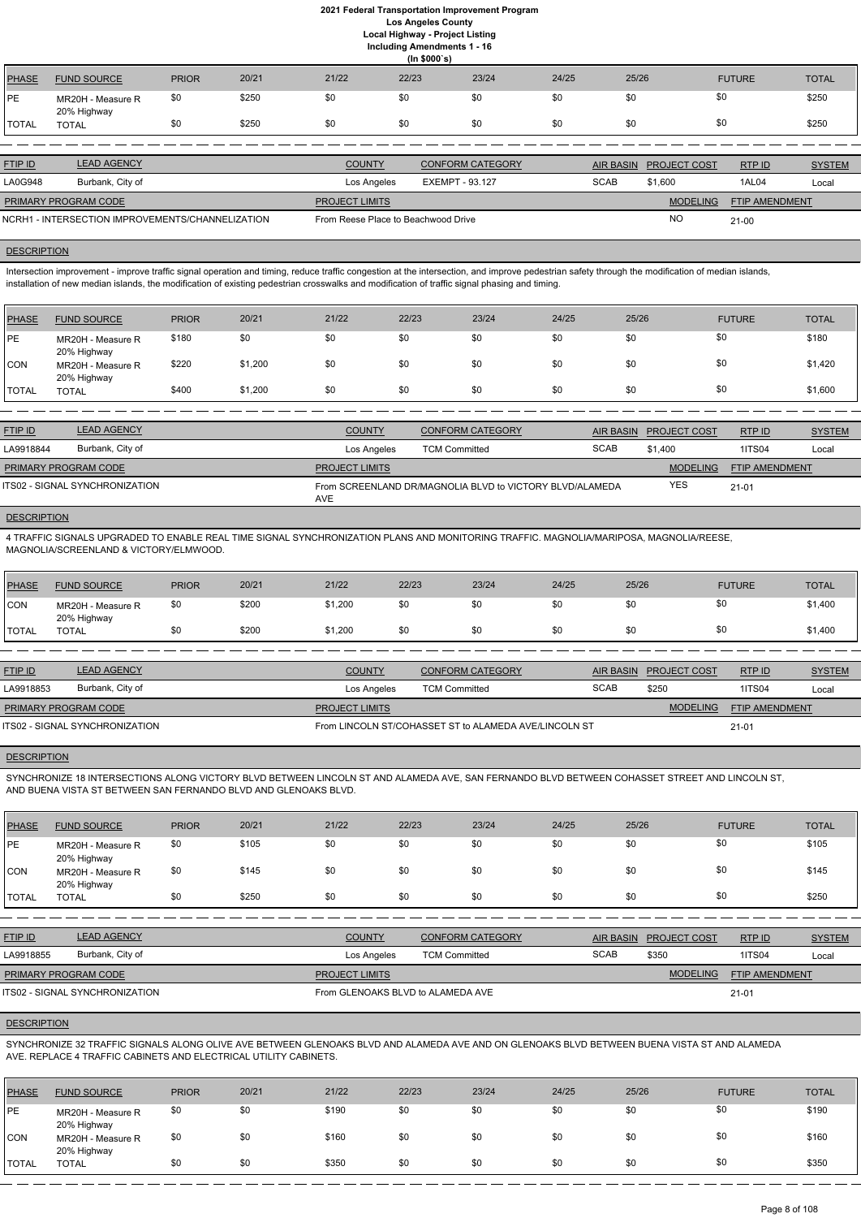**Including Amendments 1 - 16**

|              | (ln \$000's)                     |              |       |       |       |       |       |       |               |              |  |  |
|--------------|----------------------------------|--------------|-------|-------|-------|-------|-------|-------|---------------|--------------|--|--|
| <b>PHASE</b> | <b>FUND SOURCE</b>               | <b>PRIOR</b> | 20/21 | 21/22 | 22/23 | 23/24 | 24/25 | 25/26 | <b>FUTURE</b> | <b>TOTAL</b> |  |  |
| <b>PE</b>    | MR20H - Measure R<br>20% Highway | \$0          | \$250 | \$0   | \$0   | \$0   | \$0   | \$0   | \$0           | \$250        |  |  |
| <b>TOTAL</b> | TOTAL                            | \$0          | \$250 | \$0   | \$0   | \$0   | \$0   | \$0   | \$0           | \$250        |  |  |
|              |                                  |              |       |       |       |       |       |       |               |              |  |  |

| <b>FTIP ID</b>                                   | <b>LEAD AGENCY</b> | <b>COUNTY</b>                       | <b>CONFORM CATEGORY</b> | <b>AIR BASIN</b> | <b>PROJECT COST</b> | RTPID                 | <b>SYSTEM</b> |
|--------------------------------------------------|--------------------|-------------------------------------|-------------------------|------------------|---------------------|-----------------------|---------------|
| LA0G948                                          | Burbank, City of   | Los Angeles                         | EXEMPT - 93.127         | <b>SCAB</b>      | \$1.600             | 1AL04                 | Local         |
| <b>PRIMARY PROGRAM CODE</b>                      |                    | <b>PROJECT LIMITS</b>               |                         |                  | <b>MODELING</b>     | <b>FTIP AMENDMENT</b> |               |
| NCRH1 - INTERSECTION IMPROVEMENTS/CHANNELIZATION |                    | From Reese Place to Beachwood Drive |                         |                  | <b>NO</b>           | $21-00$               |               |

Intersection improvement - improve traffic signal operation and timing, reduce traffic congestion at the intersection, and improve pedestrian safety through the modification of median islands, installation of new median islands, the modification of existing pedestrian crosswalks and modification of traffic signal phasing and timing.

## DESCRIPTION

| PHASE        | <b>FUND SOURCE</b>                              | <b>PRIOR</b> | 20/21   | 21/22 | 22/23 | 23/24 | 24/25 | 25/26 | <b>FUTURE</b> | <b>TOTAL</b> |
|--------------|-------------------------------------------------|--------------|---------|-------|-------|-------|-------|-------|---------------|--------------|
| <b>IPE</b>   | MR20H - Measure R                               | \$180        | \$0     | \$0   | \$0   | \$0   | \$0   | \$0   | \$0           | \$180        |
| CON          | 20% Highway<br>MR20H - Measure R<br>20% Highway | \$220        | \$1,200 | \$0   | \$0   | \$0   | \$0   | \$0   | \$0           | \$1,420      |
| <b>TOTAL</b> | <b>TOTAL</b>                                    | \$400        | \$1,200 | \$0   | \$0   | \$0   | \$0   | \$0   | \$0           | \$1,600      |

| <b>LEAD AGENCY</b><br><b>FTIP ID</b> | <b>COUNTY</b>         | <b>CONFORM CATEGORY</b>                                  | AIR BASIN   | <b>PROJECT COST</b> | RTP ID                | <b>SYSTEM</b> |
|--------------------------------------|-----------------------|----------------------------------------------------------|-------------|---------------------|-----------------------|---------------|
| Burbank, City of<br>LA9918844        | Los Angeles           | <b>TCM Committed</b>                                     | <b>SCAB</b> | \$1.400             | <b>1ITS04</b>         | Local         |
| <b>PRIMARY PROGRAM CODE</b>          | <b>PROJECT LIMITS</b> |                                                          |             | <b>MODELING</b>     | <b>FTIP AMENDMENT</b> |               |
| ITS02 - SIGNAL SYNCHRONIZATION       | <b>AVE</b>            | From SCREENLAND DR/MAGNOLIA BLVD to VICTORY BLVD/ALAMEDA |             | <b>YES</b>          | $21 - 01$             |               |

# **DESCRIPTION**

4 TRAFFIC SIGNALS UPGRADED TO ENABLE REAL TIME SIGNAL SYNCHRONIZATION PLANS AND MONITORING TRAFFIC. MAGNOLIA/MARIPOSA, MAGNOLIA/REESE, MAGNOLIA/SCREENLAND & VICTORY/ELMWOOD.

| PHASE        | <b>FUND SOURCE</b>               | <b>PRIOR</b> | 20/21 | 21/22   | 22/23 | 23/24 | 24/25 | 25/26 | <b>FUTURE</b> | <b>TOTAL</b> |
|--------------|----------------------------------|--------------|-------|---------|-------|-------|-------|-------|---------------|--------------|
| <b>CON</b>   | MR20H - Measure R<br>20% Highway | \$0          | \$200 | \$1,200 | \$0   | \$0   | \$0   | \$0   |               | \$1,400      |
| <b>TOTAL</b> | <b>TOTAL</b>                     |              | \$200 | \$1,200 | \$0   | \$0   | \$0   | \$0   |               | \$1,400      |

| <b>FTIP ID</b>                 | <b>LEAD AGENCY</b> | <b>COUNTY</b>                                         | CONFORM CATEGORY     |             | AIR BASIN PROJECT COST | RTPID                 | <b>SYSTEM</b> |
|--------------------------------|--------------------|-------------------------------------------------------|----------------------|-------------|------------------------|-----------------------|---------------|
| LA9918853                      | Burbank, City of   | Los Angeles                                           | <b>TCM Committed</b> | <b>SCAB</b> | \$250                  | 1ITS04                | Local         |
| <b>PRIMARY PROGRAM CODE</b>    |                    | <b>PROJECT LIMITS</b>                                 |                      |             | <b>MODELING</b>        | <b>FTIP AMENDMENT</b> |               |
| ITS02 - SIGNAL SYNCHRONIZATION |                    | From LINCOLN ST/COHASSET ST to ALAMEDA AVE/LINCOLN ST |                      | $21 - 01$   |                        |                       |               |

#### **DESCRIPTION**

SYNCHRONIZE 18 INTERSECTIONS ALONG VICTORY BLVD BETWEEN LINCOLN ST AND ALAMEDA AVE, SAN FERNANDO BLVD BETWEEN COHASSET STREET AND LINCOLN ST, AND BUENA VISTA ST BETWEEN SAN FERNANDO BLVD AND GLENOAKS BLVD.

| <b>PHASE</b> | <b>FUND SOURCE</b>               | <b>PRIOR</b> | 20/21 | 21/22 | 22/23 | 23/24 | 24/25 | 25/26 | <b>FUTURE</b> | <b>TOTAL</b> |
|--------------|----------------------------------|--------------|-------|-------|-------|-------|-------|-------|---------------|--------------|
| PE           | MR20H - Measure R<br>20% Highway | \$0          | \$105 | \$0   | \$0   | \$0   | \$0   | \$0   | \$0           | \$105        |
| <b>CON</b>   | MR20H - Measure R<br>20% Highway | \$0          | \$145 | \$0   | \$0   | \$0   | \$0   | \$0   | \$0           | \$145        |
| TOTAL        | TOTAL                            | \$0          | \$250 | \$0   | \$0   | \$0   | \$0   | \$0   | \$0           | \$250        |

| <b>FTIP ID</b>                        | <b>LEAD AGENCY</b> | <b>COUNTY</b><br><b>CONFORM CATEGORY</b> |                      |             | AIR BASIN PROJECT COST | RTPID                 | <b>SYSTEM</b> |
|---------------------------------------|--------------------|------------------------------------------|----------------------|-------------|------------------------|-----------------------|---------------|
| LA9918855                             | Burbank, City of   | Los Angeles                              | <b>TCM Committed</b> | <b>SCAB</b> | \$350                  | 1ITS04                | Local         |
| <b>PRIMARY PROGRAM CODE</b>           |                    | <b>PROJECT LIMITS</b>                    |                      |             | <b>MODELING</b>        | <b>FTIP AMENDMENT</b> |               |
| <b>ITS02 - SIGNAL SYNCHRONIZATION</b> |                    | From GLENOAKS BLVD to ALAMEDA AVE        |                      | $21 - 01$   |                        |                       |               |

# **DESCRIPTION**

SYNCHRONIZE 32 TRAFFIC SIGNALS ALONG OLIVE AVE BETWEEN GLENOAKS BLVD AND ALAMEDA AVE AND ON GLENOAKS BLVD BETWEEN BUENA VISTA ST AND ALAMEDA AVE. REPLACE 4 TRAFFIC CABINETS AND ELECTRICAL UTILITY CABINETS.

| <b>PHASE</b>  | <b>FUND SOURCE</b>               | <b>PRIOR</b> | 20/21 | 21/22 | 22/23 | 23/24 | 24/25 | 25/26 | <b>FUTURE</b> | <b>TOTAL</b> |
|---------------|----------------------------------|--------------|-------|-------|-------|-------|-------|-------|---------------|--------------|
| <b>IPE</b>    | MR20H - Measure R<br>20% Highway | \$0          | \$0   | \$190 | \$0   | \$0   | \$0   | \$0   | \$0           | \$190        |
| <b>CON</b>    | MR20H - Measure R<br>20% Highway | \$0          | \$0   | \$160 | \$0   | \$0   | \$0   | \$0   | \$0           | \$160        |
| <b>ITOTAL</b> | <b>TOTAL</b>                     | \$0          | \$0   | \$350 | \$0   | \$0   | \$0   | \$0   | \$0           | \$350        |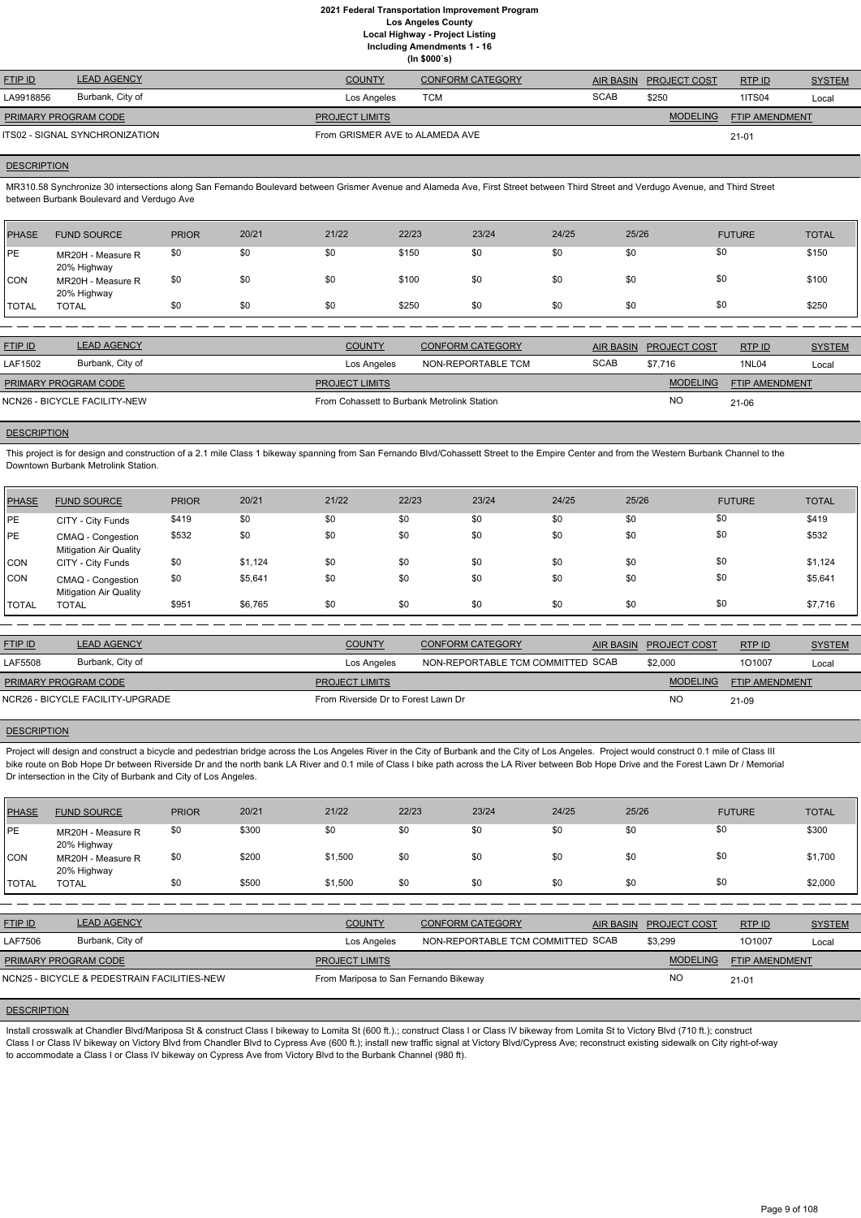|                      |                                |                                 | (ln \$000's)            |             |                        |                       |               |
|----------------------|--------------------------------|---------------------------------|-------------------------|-------------|------------------------|-----------------------|---------------|
| <b>FTIP ID</b>       | <b>LEAD AGENCY</b>             | <b>COUNTY</b>                   | <b>CONFORM CATEGORY</b> |             | AIR BASIN PROJECT COST | RTPID                 | <b>SYSTEM</b> |
| LA9918856            | Burbank, City of               | Los Angeles                     | тсм                     | <b>SCAB</b> | \$250                  | <b>1ITS04</b>         | Local         |
| PRIMARY PROGRAM CODE |                                | <b>PROJECT LIMITS</b>           |                         |             | <b>MODELING</b>        | <b>FTIP AMENDMENT</b> |               |
|                      | ITS02 - SIGNAL SYNCHRONIZATION | From GRISMER AVE to ALAMEDA AVE |                         |             |                        | $21 - 01$             |               |

#### **DESCRIPTION**

MR310.58 Synchronize 30 intersections along San Fernando Boulevard between Grismer Avenue and Alameda Ave, First Street between Third Street and Verdugo Avenue, and Third Street between Burbank Boulevard and Verdugo Ave

This project is for design and construction of a 2.1 mile Class 1 bikeway spanning from San Fernando Blvd/Cohassett Street to the Empire Center and from the Western Burbank Channel to the Downtown Burbank Metrolink Station.

| PHASE        | <b>FUND SOURCE</b>               | <b>PRIOR</b> | 20/21 | 21/22 | 22/23 | 23/24 | 24/25 | 25/26 | <b>FUTURE</b> | <b>TOTAL</b> |
|--------------|----------------------------------|--------------|-------|-------|-------|-------|-------|-------|---------------|--------------|
| PE           | MR20H - Measure R<br>20% Highway | \$0          | \$0   | \$0   | \$150 | \$0   | \$0   | \$0   | \$0           | \$150        |
| <b>CON</b>   | MR20H - Measure R<br>20% Highway | \$0          | \$0   | \$0   | \$100 | \$0   | \$0   | \$0   | \$0           | \$100        |
| <b>TOTAL</b> | <b>TOTAL</b>                     | \$0          | \$0   | \$0   | \$250 | \$0   | \$0   | \$0   | \$0           | \$250        |

| <b>FTIP ID</b>              | <b>LEAD AGENCY</b>           | <b>COUNTY</b>                               | CONFORM CATEGORY   |             | AIR BASIN PROJECT COST | RTPID                 | <b>SYSTEM</b> |
|-----------------------------|------------------------------|---------------------------------------------|--------------------|-------------|------------------------|-----------------------|---------------|
| LAF1502                     | Burbank, City of             | Los Angeles                                 | NON-REPORTABLE TCM | <b>SCAB</b> | \$7.716                | <b>1NL04</b>          | Local         |
| <b>PRIMARY PROGRAM CODE</b> |                              | <b>PROJECT LIMITS</b>                       |                    |             | <b>MODELING</b>        | <b>FTIP AMENDMENT</b> |               |
|                             | NCN26 - BICYCLE FACILITY-NEW | From Cohassett to Burbank Metrolink Station |                    |             | NC.                    | $21-06$               |               |

#### **DESCRIPTION**

Project will design and construct a bicycle and pedestrian bridge across the Los Angeles River in the City of Burbank and the City of Los Angeles. Project would construct 0.1 mile of Class III bike route on Bob Hope Dr between Riverside Dr and the north bank LA River and 0.1 mile of Class I bike path across the LA River between Bob Hope Drive and the Forest Lawn Dr / Memorial Dr intersection in the City of Burbank and City of Los Angeles.

| <b>PHASE</b> | <b>FUND SOURCE</b>                                 | <b>PRIOR</b> | 20/21   | 21/22 | 22/23 | 23/24 | 24/25 | 25/26 | <b>FUTURE</b> | <b>TOTAL</b> |
|--------------|----------------------------------------------------|--------------|---------|-------|-------|-------|-------|-------|---------------|--------------|
| PE           | CITY - City Funds                                  | \$419        | \$0     | \$0   | \$0   | \$0   | \$0   | \$0   | \$0           | \$419        |
| PE           | CMAQ - Congestion<br><b>Mitigation Air Quality</b> | \$532        | \$0     | \$0   | \$0   | \$0   | \$0   | \$0   | \$0           | \$532        |
| <b>CON</b>   | CITY - City Funds                                  | \$0          | \$1,124 | \$0   | \$0   | \$0   | \$0   | \$0   | \$0           | \$1,124      |
| <b>CON</b>   | CMAQ - Congestion<br><b>Mitigation Air Quality</b> | \$0          | \$5,641 | \$0   | \$0   | \$0   | \$0   | \$0   | \$0           | \$5,641      |
| TOTAL        | <b>TOTAL</b>                                       | \$951        | \$6,765 | \$0   | \$0   | \$0   | \$0   | \$0   | \$0           | \$7,716      |

Install crosswalk at Chandler Blvd/Mariposa St & construct Class I bikeway to Lomita St (600 ft.).; construct Class I or Class IV bikeway from Lomita St to Victory Blvd (710 ft.); construct Class I or Class IV bikeway on Victory Blvd from Chandler Blvd to Cypress Ave (600 ft.); install new traffic signal at Victory Blvd/Cypress Ave; reconstruct existing sidewalk on City right-of-way to accommodate a Class I or Class IV bikeway on Cypress Ave from Victory Blvd to the Burbank Channel (980 ft).

| <b>FTIP ID</b>              | <b>LEAD AGENCY</b>               | <b>COUNTY</b>                       | CONFORM CATEGORY                  | AIR BASIN PROJECT COST | RTPID                 | <b>SYSTEM</b> |
|-----------------------------|----------------------------------|-------------------------------------|-----------------------------------|------------------------|-----------------------|---------------|
| LAF5508                     | Burbank, City of                 | Los Angeles                         | NON-REPORTABLE TCM COMMITTED SCAB | \$2,000                | 101007                | Local         |
| <b>PRIMARY PROGRAM CODE</b> |                                  | <b>PROJECT LIMITS</b>               |                                   | <b>MODELING</b>        | <b>FTIP AMENDMENT</b> |               |
|                             | NCR26 - BICYCLE FACILITY-UPGRADE | From Riverside Dr to Forest Lawn Dr |                                   | <b>NO</b>              | 21-09                 |               |

#### **DESCRIPTION**

| PHASE   | <b>FUND SOURCE</b>               | <b>PRIOR</b> | 20/21 | 21/22   | 22/23 | 23/24 | 24/25 | 25/26 | <b>FUTURE</b> | <b>TOTAL</b> |
|---------|----------------------------------|--------------|-------|---------|-------|-------|-------|-------|---------------|--------------|
| PE      | MR20H - Measure R<br>20% Highway | \$0          | \$300 | \$0     | \$0   | \$0   | \$0   | \$0   | \$0           | \$300        |
| CON     | MR20H - Measure R<br>20% Highway | \$0          | \$200 | \$1,500 | \$0   | \$0   | \$0   | \$0   | \$0           | \$1,700      |
| I TOTAL | <b>TOTAL</b>                     | \$0          | \$500 | \$1,500 | \$0   | \$0   | \$0   | \$0   | \$0           | \$2,000      |

| <b>FTIP ID</b>              | <b>LEAD AGENCY</b>                          | <b>COUNTY</b>                         | <b>CONFORM CATEGORY</b>           | <b>AIR BASIN</b> | <b>PROJECT COST</b> | RTP ID                | <b>SYSTEM</b> |
|-----------------------------|---------------------------------------------|---------------------------------------|-----------------------------------|------------------|---------------------|-----------------------|---------------|
| LAF7506                     | Burbank, City of                            | Los Angeles                           | NON-REPORTABLE TCM COMMITTED SCAB |                  | \$3,299             | 101007                | Local         |
| <b>PRIMARY PROGRAM CODE</b> |                                             | <b>PROJECT LIMITS</b>                 |                                   |                  | <b>MODELING</b>     | <b>FTIP AMENDMENT</b> |               |
|                             | NCN25 - BICYCLE & PEDESTRAIN FACILITIES-NEW | From Mariposa to San Fernando Bikeway |                                   |                  | <b>NO</b>           | $21 - 01$             |               |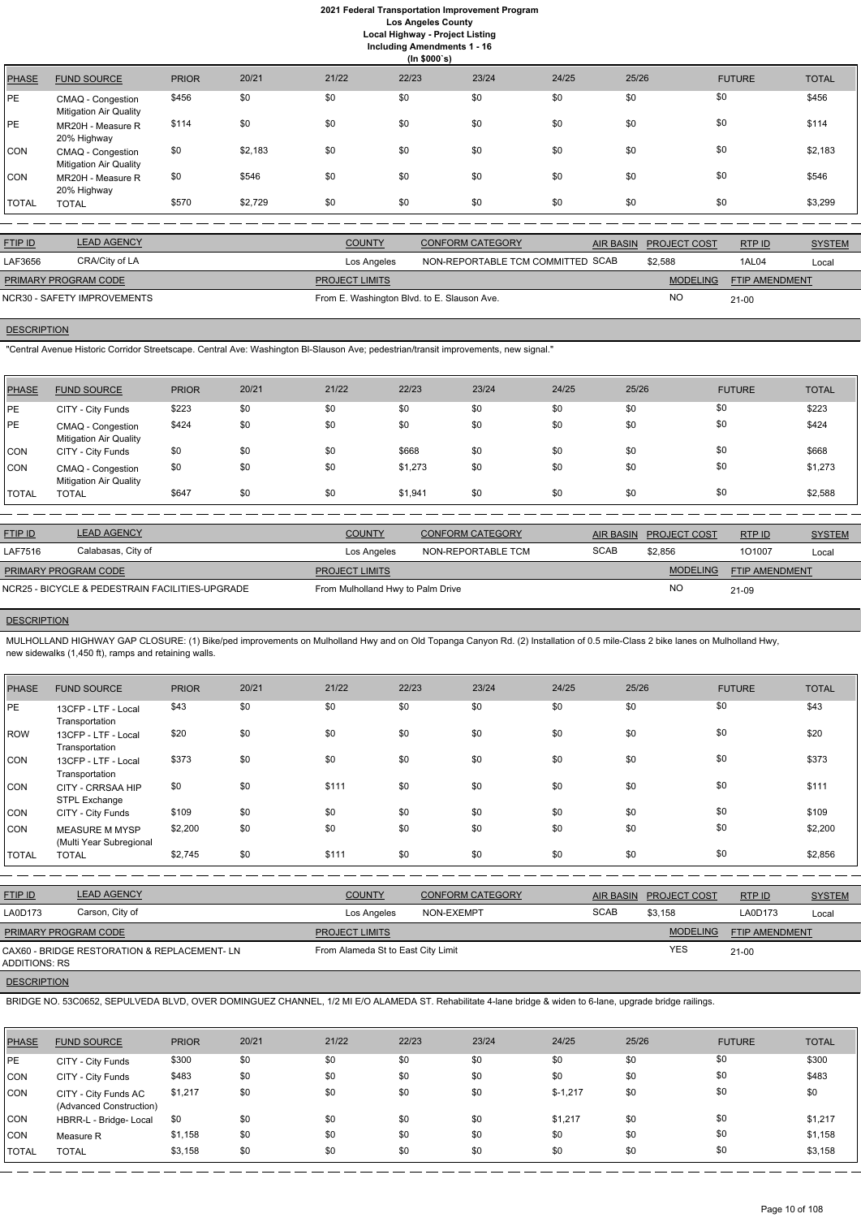# **2021 Federal Transportation Improvement Program Los Angeles County**

**Local Highway - Project Listing Including Amendments 1 - 16**

|       | (ln \$000's)                                       |              |         |       |       |       |       |       |               |              |  |
|-------|----------------------------------------------------|--------------|---------|-------|-------|-------|-------|-------|---------------|--------------|--|
| PHASE | <b>FUND SOURCE</b>                                 | <b>PRIOR</b> | 20/21   | 21/22 | 22/23 | 23/24 | 24/25 | 25/26 | <b>FUTURE</b> | <b>TOTAL</b> |  |
| РE    | CMAQ - Congestion<br><b>Mitigation Air Quality</b> | \$456        | \$0     | \$0   | \$0   | \$0   | \$0   | \$0   | \$0           | \$456        |  |
| РE    | MR20H - Measure R<br>20% Highway                   | \$114        | \$0     | \$0   | \$0   | \$0   | \$0   | \$0   | \$0           | \$114        |  |
| CON   | CMAQ - Congestion<br><b>Mitigation Air Quality</b> | \$0          | \$2,183 | \$0   | \$0   | \$0   | \$0   | \$0   | \$0           | \$2,183      |  |
| CON   | MR20H - Measure R<br>20% Highway                   | \$0          | \$546   | \$0   | \$0   | \$0   | \$0   | \$0   | \$0           | \$546        |  |
| TOTAL | <b>TOTAL</b>                                       | \$570        | \$2,729 | \$0   | \$0   | \$0   | \$0   | \$0   | \$0           | \$3,299      |  |

| <b>FTIP ID</b>       | <b>LEAD AGENCY</b>          | <b>COUNTY</b>                               | <b>CONFORM CATEGORY</b>           | AIR BASIN PROJECT COST | RTPID          | <b>SYSTEM</b> |
|----------------------|-----------------------------|---------------------------------------------|-----------------------------------|------------------------|----------------|---------------|
| LAF3656              | CRA/City of LA              | Los Angeles                                 | NON-REPORTABLE TCM COMMITTED SCAB | \$2,588                | 1AL04          | Local         |
| PRIMARY PROGRAM CODE |                             | <b>PROJECT LIMITS</b>                       |                                   | <b>MODELING</b>        | FTIP AMENDMENT |               |
|                      | NCR30 - SAFETY IMPROVEMENTS | From E. Washington Blvd. to E. Slauson Ave. |                                   | NO                     | $21 - 00$      |               |

# **DESCRIPTION**

"Central Avenue Historic Corridor Streetscape. Central Ave: Washington Bl-Slauson Ave; pedestrian/transit improvements, new signal."

| PHASE        | <b>FUND SOURCE</b>                                 | <b>PRIOR</b> | 20/21 | 21/22 | 22/23   | 23/24 | 24/25 | 25/26 | <b>FUTURE</b> | <b>TOTAL</b> |
|--------------|----------------------------------------------------|--------------|-------|-------|---------|-------|-------|-------|---------------|--------------|
| <b>IPE</b>   | CITY - City Funds                                  | \$223        | \$0   | \$0   | \$0     | \$0   | \$0   | \$0   | \$0           | \$223        |
| <b>PE</b>    | CMAQ - Congestion<br><b>Mitigation Air Quality</b> | \$424        | \$0   | \$0   | \$0     | \$0   | \$0   | \$0   | \$0           | \$424        |
| CON          | CITY - City Funds                                  | \$0          | \$0   | \$0   | \$668   | \$0   | \$0   | \$0   | \$0           | \$668        |
| CON          | CMAQ - Congestion<br><b>Mitigation Air Quality</b> | \$0          | \$0   | \$0   | \$1,273 | \$0   | \$0   | \$0   | \$0           | \$1,273      |
| <b>TOTAL</b> | <b>TOTAL</b>                                       | \$647        | \$0   | \$0   | \$1,941 | \$0   | \$0   | \$0   | \$0           | \$2,588      |

| <b>FTIP ID</b>              | <b>LEAD AGENCY</b>                              | <b>COUNTY</b>                     | <b>CONFORM CATEGORY</b> |             | AIR BASIN PROJECT COST | RTPID          | <b>SYSTEM</b> |
|-----------------------------|-------------------------------------------------|-----------------------------------|-------------------------|-------------|------------------------|----------------|---------------|
| LAF7516                     | Calabasas, City of                              | Los Angeles                       | NON-REPORTABLE TCM      | <b>SCAB</b> | \$2.856                | 101007         | Local         |
| <b>PRIMARY PROGRAM CODE</b> |                                                 | <b>PROJECT LIMITS</b>             |                         |             | <b>MODELING</b>        | FTIP AMENDMENT |               |
|                             | NCR25 - BICYCLE & PEDESTRAIN FACILITIES-UPGRADE | From Mulholland Hwy to Palm Drive |                         |             | ΝC                     | $21 - 09$      |               |

# **DESCRIPTION**

MULHOLLAND HIGHWAY GAP CLOSURE: (1) Bike/ped improvements on Mulholland Hwy and on Old Topanga Canyon Rd. (2) Installation of 0.5 mile-Class 2 bike lanes on Mulholland Hwy, new sidewalks (1,450 ft), ramps and retaining walls.

| <b>PHASE</b> | <b>FUND SOURCE</b>                               | <b>PRIOR</b> | 20/21 | 21/22 | 22/23 | 23/24 | 24/25 | 25/26 | <b>FUTURE</b> | <b>TOTAL</b> |
|--------------|--------------------------------------------------|--------------|-------|-------|-------|-------|-------|-------|---------------|--------------|
| PE           | 13CFP - LTF - Local<br>Transportation            | \$43         | \$0   | \$0   | \$0   | \$0   | \$0   | \$0   | \$0           | \$43         |
| <b>ROW</b>   | 13CFP - LTF - Local<br>Transportation            | \$20         | \$0   | \$0   | \$0   | \$0   | \$0   | \$0   | \$0           | \$20         |
| CON          | 13CFP - LTF - Local<br>Transportation            | \$373        | \$0   | \$0   | \$0   | \$0   | \$0   | \$0   | \$0           | \$373        |
| CON          | CITY - CRRSAA HIP<br>STPL Exchange               | \$0          | \$0   | \$111 | \$0   | \$0   | \$0   | \$0   | \$0           | \$111        |
| <b>CON</b>   | CITY - City Funds                                | \$109        | \$0   | \$0   | \$0   | \$0   | \$0   | \$0   | \$0           | \$109        |
| <b>CON</b>   | <b>MEASURE M MYSP</b><br>(Multi Year Subregional | \$2,200      | \$0   | \$0   | \$0   | \$0   | \$0   | \$0   | \$0           | \$2,200      |
| <b>TOTAL</b> | <b>TOTAL</b>                                     | \$2,745      | \$0   | \$111 | \$0   | \$0   | \$0   | \$0   | \$0           | \$2,856      |

| <b>FTIP ID</b> | <b>LEAD AGENCY</b> | <b>COUNTY</b> | <b>CONFORM CATEGORY</b> |             | AIR BASIN PROJECT COST | <b>RTP ID</b> | <b>SYSTEM</b> |
|----------------|--------------------|---------------|-------------------------|-------------|------------------------|---------------|---------------|
| LA0D173        | Carson, City of    | Los Angeles   | NON-EXEMPT              | <b>SCAB</b> | \$3,158                | LA0D173       | Loca          |

|               | <b>PRIMARY PROGRAM CODE</b>                                                                                                                               |              |       | <b>PROJECT LIMITS</b>              |       |       |           |       | <b>MODELING</b> | <b>FTIP AMENDMENT</b> |              |  |  |
|---------------|-----------------------------------------------------------------------------------------------------------------------------------------------------------|--------------|-------|------------------------------------|-------|-------|-----------|-------|-----------------|-----------------------|--------------|--|--|
| ADDITIONS: RS | CAX60 - BRIDGE RESTORATION & REPLACEMENT- LN                                                                                                              |              |       | From Alameda St to East City Limit |       |       |           |       | <b>YES</b>      | $21 - 00$             |              |  |  |
|               | <b>DESCRIPTION</b>                                                                                                                                        |              |       |                                    |       |       |           |       |                 |                       |              |  |  |
|               | BRIDGE NO. 53C0652, SEPULVEDA BLVD, OVER DOMINGUEZ CHANNEL, 1/2 MI E/O ALAMEDA ST. Rehabilitate 4-lane bridge & widen to 6-lane, upgrade bridge railings. |              |       |                                    |       |       |           |       |                 |                       |              |  |  |
|               |                                                                                                                                                           |              |       |                                    |       |       |           |       |                 |                       |              |  |  |
| <b>PHASE</b>  | <b>FUND SOURCE</b>                                                                                                                                        | <b>PRIOR</b> | 20/21 | 21/22                              | 22/23 | 23/24 | 24/25     | 25/26 |                 | <b>FUTURE</b>         | <b>TOTAL</b> |  |  |
| IPE.          | CITY - City Funds                                                                                                                                         | \$300        | \$0   | \$0                                | \$0   | \$0   | \$0       | \$0   | \$0             |                       | \$300        |  |  |
| <b>CON</b>    | CITY - City Funds                                                                                                                                         | \$483        | \$0   | \$0                                | \$0   | \$0   | \$0       | \$0   | \$0             |                       | \$483        |  |  |
| <b>CON</b>    | CITY - City Funds AC<br>(Advanced Construction)                                                                                                           | \$1,217      | \$0   | \$0                                | \$0   | \$0   | $$-1,217$ | \$0   | \$0             |                       | \$0          |  |  |
| <b>CON</b>    | HBRR-L - Bridge- Local                                                                                                                                    | \$0          | \$0   | \$0                                | \$0   | \$0   | \$1,217   | \$0   | \$0             |                       | \$1,217      |  |  |
| <b>CON</b>    | Measure R                                                                                                                                                 | \$1,158      | \$0   | \$0                                | \$0   | \$0   | \$0       | \$0   | \$0             |                       | \$1,158      |  |  |
| <b>TOTAL</b>  | <b>TOTAL</b>                                                                                                                                              | \$3,158      | \$0   | \$0                                | \$0   | \$0   | \$0       | \$0   | \$0             |                       | \$3,158      |  |  |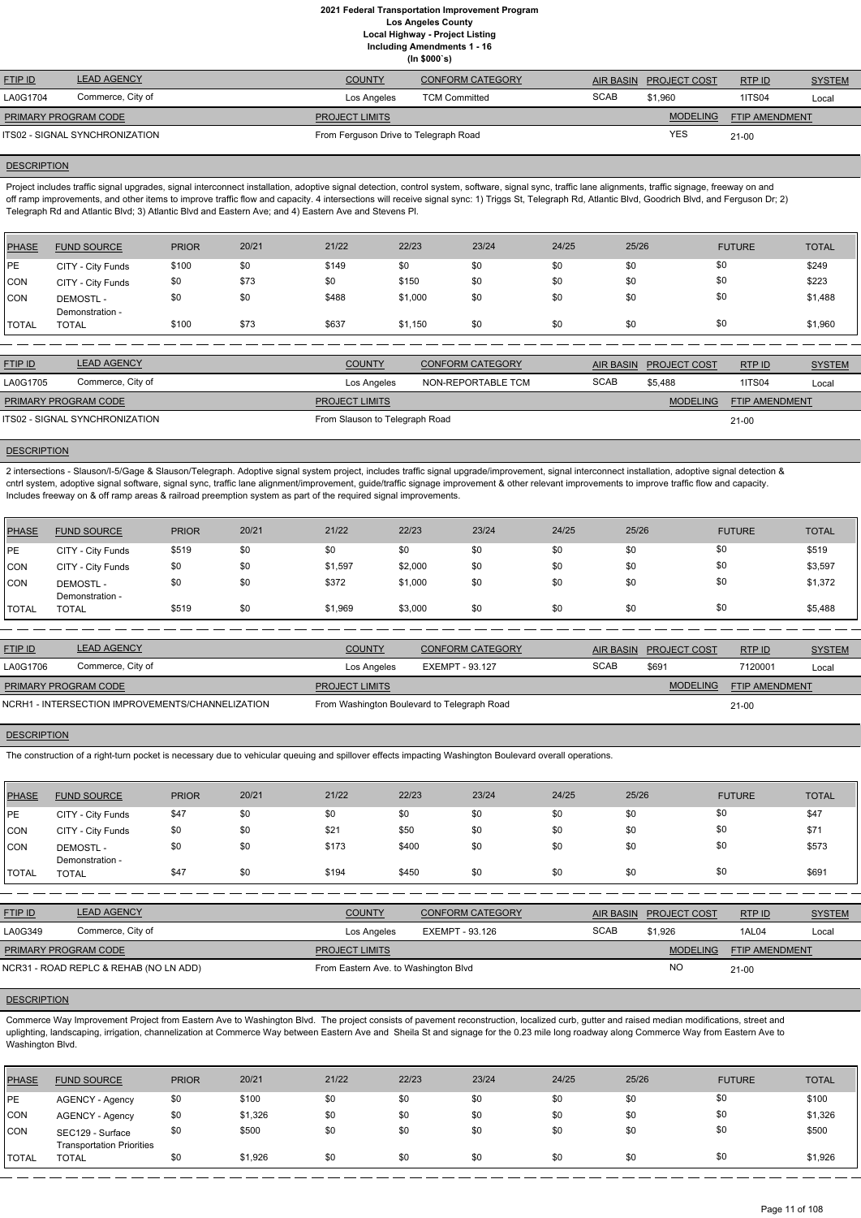**(In \$000`s)**

| <b>FTIP ID</b>       | <b>LEAD AGENCY</b>             | <b>COUNTY</b>                         | <b>CONFORM CATEGORY</b> |             | AIR BASIN PROJECT COST | RTPID          | <b>SYSTEM</b> |
|----------------------|--------------------------------|---------------------------------------|-------------------------|-------------|------------------------|----------------|---------------|
| LA0G1704             | Commerce, City of              | Los Angeles                           | <b>TCM Committed</b>    | <b>SCAB</b> | \$1.960                | <b>1ITS04</b>  | Local         |
| PRIMARY PROGRAM CODE |                                | <b>PROJECT LIMITS</b>                 |                         |             | <b>MODELING</b>        | FTIP AMENDMENT |               |
|                      | ITS02 - SIGNAL SYNCHRONIZATION | From Ferguson Drive to Telegraph Road |                         |             | <b>YES</b>             | $21 - 00$      |               |

#### **DESCRIPTION**

Project includes traffic signal upgrades, signal interconnect installation, adoptive signal detection, control system, software, signal sync, traffic lane alignments, traffic signage, freeway on and off ramp improvements, and other items to improve traffic flow and capacity. 4 intersections will receive signal sync: 1) Triggs St, Telegraph Rd, Atlantic Blvd, Goodrich Blvd, and Ferguson Dr; 2) Telegraph Rd and Atlantic Blvd; 3) Atlantic Blvd and Eastern Ave; and 4) Eastern Ave and Stevens Pl.

2 intersections - Slauson/I-5/Gage & Slauson/Telegraph. Adoptive signal system project, includes traffic signal upgrade/improvement, signal interconnect installation, adoptive signal detection & cntrl system, adoptive signal software, signal sync, traffic lane alignment/improvement, guide/traffic signage improvement & other relevant improvements to improve traffic flow and capacity. Includes freeway on & off ramp areas & railroad preemption system as part of the required signal improvements.

| PHASE        | <b>FUND SOURCE</b>                 | <b>PRIOR</b> | 20/21 | 21/22 | 22/23   | 23/24 | 24/25 | 25/26 | <b>FUTURE</b> | <b>TOTAL</b> |
|--------------|------------------------------------|--------------|-------|-------|---------|-------|-------|-------|---------------|--------------|
| <b>IPE</b>   | CITY - City Funds                  | \$100        | \$0   | \$149 | \$0     | \$0   | \$0   | \$0   | \$0           | \$249        |
| CON          | CITY - City Funds                  | \$0          | \$73  | \$0   | \$150   | \$0   | \$0   | \$0   | \$0           | \$223        |
| CON          | <b>DEMOSTL-</b><br>Demonstration - | \$0          | \$0   | \$488 | \$1,000 | \$0   | \$0   | \$0   | \$0           | \$1,488      |
| <b>TOTAL</b> | <b>TOTAL</b>                       | \$100        | \$73  | \$637 | \$1,150 | \$0   | \$0   | \$0   | \$0           | \$1,960      |

| <b>FTIP ID</b>              | <b>LEAD AGENCY</b>             | <b>COUNTY</b>                  | <b>CONFORM CATEGORY</b>                  | <b>AIR BASIN</b> | <b>PROJECT COST</b> | RTP ID    | <b>SYSTEM</b> |
|-----------------------------|--------------------------------|--------------------------------|------------------------------------------|------------------|---------------------|-----------|---------------|
| LA0G1705                    | Commerce, City of              | Los Angeles                    | NON-REPORTABLE TCM                       | <b>SCAB</b>      | \$5.488             | 1ITS04    | Local         |
| <b>PRIMARY PROGRAM CODE</b> |                                | <b>PROJECT LIMITS</b>          | <b>MODELING</b><br><b>FTIP AMENDMENT</b> |                  |                     |           |               |
|                             | ITS02 - SIGNAL SYNCHRONIZATION | From Slauson to Telegraph Road |                                          |                  |                     | $21 - 00$ |               |

# **DESCRIPTION**

| PHASE        | <b>FUND SOURCE</b>                 | <b>PRIOR</b> | 20/21 | 21/22   | 22/23   | 23/24 | 24/25 | 25/26 | <b>FUTURE</b> | <b>TOTAL</b> |
|--------------|------------------------------------|--------------|-------|---------|---------|-------|-------|-------|---------------|--------------|
| PE           | CITY - City Funds                  | \$519        | \$0   | \$0     | \$0     | \$0   | \$0   | \$0   | \$0           | \$519        |
| CON          | CITY - City Funds                  | \$0          | \$0   | \$1,597 | \$2,000 | \$0   | \$0   | \$0   | \$0           | \$3,597      |
| <b>CON</b>   | <b>DEMOSTL-</b><br>Demonstration - | \$0          | \$0   | \$372   | \$1,000 | \$0   | \$0   | \$0   | \$0           | \$1,372      |
| <b>TOTAL</b> | <b>TOTAL</b>                       | \$519        | \$0   | \$1,969 | \$3,000 | \$0   | \$0   | \$0   | \$0           | \$5,488      |

| <b>FTIP ID</b>              | <b>LEAD AGENCY</b>                               | <b>COUNTY</b>                               | <b>CONFORM CATEGORY</b> |                                          | AIR BASIN PROJECT COST | RTPID   | <b>SYSTEM</b> |
|-----------------------------|--------------------------------------------------|---------------------------------------------|-------------------------|------------------------------------------|------------------------|---------|---------------|
| LA0G1706                    | Commerce, City of                                | Los Angeles                                 | EXEMPT - 93.127         | <b>SCAB</b>                              | \$69'                  | 7120001 | Local         |
| <b>PRIMARY PROGRAM CODE</b> |                                                  | <b>PROJECT LIMITS</b>                       |                         | <b>MODELING</b><br><b>FTIP AMENDMENT</b> |                        |         |               |
|                             | NCRH1 - INTERSECTION IMPROVEMENTS/CHANNELIZATION | From Washington Boulevard to Telegraph Road |                         |                                          |                        | $21-00$ |               |

## **DESCRIPTION**

The construction of a right-turn pocket is necessary due to vehicular queuing and spillover effects impacting Washington Boulevard overall operations.

| <b>PHASE</b> | <b>FUND SOURCE</b>                 | <b>PRIOR</b> | 20/21 | 21/22 | 22/23 | 23/24 | 24/25 | 25/26 | <b>FUTURE</b> | <b>TOTAL</b> |
|--------------|------------------------------------|--------------|-------|-------|-------|-------|-------|-------|---------------|--------------|
| <b>IPE</b>   | CITY - City Funds                  | \$47         | \$0   | \$0   | \$0   | \$0   | \$0   | \$0   | \$0           | \$47         |
| CON          | CITY - City Funds                  | \$0          | \$0   | \$21  | \$50  | \$0   | \$0   | \$0   | \$0           | \$71         |
| CON          | <b>DEMOSTL-</b><br>Demonstration - | \$0          | \$0   | \$173 | \$400 | \$0   | \$0   | \$0   | \$0           | \$573        |
| 'TOTAL       | <b>TOTAL</b>                       | \$47         | \$0   | \$194 | \$450 | \$0   | \$0   | \$0   | \$0           | \$691        |

RTP ID

| LA0G349                     | Commerce, City of                      | Los Angeles                          | EXEMPT - 93.126 | <b>SCAB</b> | \$1.926   | 1AL04                 | Local |
|-----------------------------|----------------------------------------|--------------------------------------|-----------------|-------------|-----------|-----------------------|-------|
| <b>PRIMARY PROGRAM CODE</b> |                                        | <b>PROJECT LIMITS</b>                |                 |             | MODELING  | <b>FTIP AMENDMENT</b> |       |
|                             | NCR31 - ROAD REPLC & REHAB (NO LN ADD) | From Eastern Ave. to Washington Blvd |                 |             | <b>NC</b> | $21 - 00$             |       |

#### **DESCRIPTION**

Commerce Way Improvement Project from Eastern Ave to Washington Blvd. The project consists of pavement reconstruction, localized curb, gutter and raised median modifications, street and uplighting, landscaping, irrigation, channelization at Commerce Way between Eastern Ave and Sheila St and signage for the 0.23 mile long roadway along Commerce Way from Eastern Ave to Washington Blvd.

| PHASE        | <b>FUND SOURCE</b>                                   | <b>PRIOR</b> | 20/21   | 21/22 | 22/23 | 23/24 | 24/25 | 25/26 | <b>FUTURE</b> | <b>TOTAL</b> |
|--------------|------------------------------------------------------|--------------|---------|-------|-------|-------|-------|-------|---------------|--------------|
| <b>IPE</b>   | AGENCY - Agency                                      | \$0          | \$100   | \$0   | \$0   | \$0   | \$0   | \$0   | \$0           | \$100        |
| <b>CON</b>   | AGENCY - Agency                                      | \$0          | \$1,326 | \$0   | \$0   | \$0   | \$0   | \$0   | \$0           | \$1,326      |
| CON          | SEC129 - Surface<br><b>Transportation Priorities</b> | \$0          | \$500   | \$0   | \$0   | \$0   | \$0   | \$0   | \$0           | \$500        |
| <b>TOTAL</b> | TOTAL                                                | \$0          | \$1,926 | \$0   | \$0   | \$0   | \$0   | \$0   | \$0           | \$1,926      |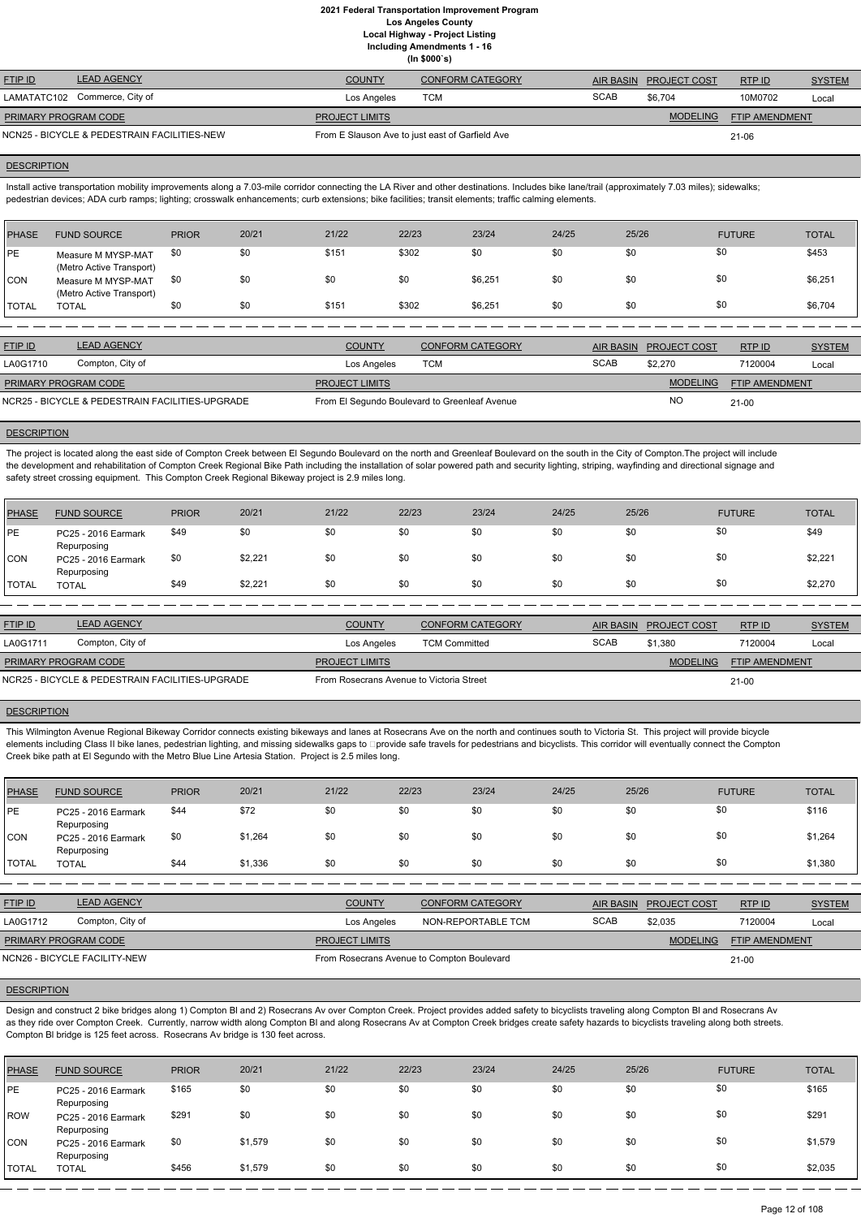**Including Amendments 1 - 16**

| -- |              |  |
|----|--------------|--|
|    | (ln \$000's) |  |

| <b>FTIP ID</b>       | <b>LEAD AGENCY</b>                          | <b>COUNTY</b>                                   | CONFORM CATEGORY |             | AIR BASIN PROJECT COST | RTPID          | <b>SYSTEM</b> |
|----------------------|---------------------------------------------|-------------------------------------------------|------------------|-------------|------------------------|----------------|---------------|
|                      | LAMATATC102 Commerce, City of               | Los Angeles                                     | <b>TCM</b>       | <b>SCAB</b> | \$6.704                | 10M0702        | Local         |
| PRIMARY PROGRAM CODE |                                             | <b>PROJECT LIMITS</b>                           |                  |             | <b>MODELING</b>        | FTIP AMENDMENT |               |
|                      | NCN25 - BICYCLE & PEDESTRAIN FACILITIES-NEW | From E Slauson Ave to just east of Garfield Ave |                  |             |                        | $21 - 06$      |               |

#### **DESCRIPTION**

Install active transportation mobility improvements along a 7.03-mile corridor connecting the LA River and other destinations. Includes bike lane/trail (approximately 7.03 miles); sidewalks; pedestrian devices; ADA curb ramps; lighting; crosswalk enhancements; curb extensions; bike facilities; transit elements; traffic calming elements.

| PHASE          | <b>FUND SOURCE</b>                             | <b>PRIOR</b> | 20/21 | 21/22 | 22/23 | 23/24   | 24/25 | 25/26 | <b>FUTURE</b> | <b>TOTAL</b> |
|----------------|------------------------------------------------|--------------|-------|-------|-------|---------|-------|-------|---------------|--------------|
| PE             | Measure M MYSP-MAT<br>(Metro Active Transport) | \$0          | \$0   | \$151 | \$302 | \$0     | \$0   | \$0   | \$0           | \$453        |
| <b>CON</b>     | Measure M MYSP-MAT<br>(Metro Active Transport) | \$0          | \$0   | \$0   | \$0   | \$6,251 | \$0   | \$0   | \$0           | \$6,251      |
| <b>I</b> TOTAL | <b>TOTAL</b>                                   | \$0          | \$0   | \$151 | \$302 | \$6,251 | \$0   | \$0   | \$0           | \$6,704      |

| <b>FTIP ID</b>              | <b>LEAD AGENCY</b>                              | <b>COUNTY</b>         | <b>CONFORM CATEGORY</b>                       |             | AIR BASIN PROJECT COST | RTPID                 | <b>SYSTEM</b> |
|-----------------------------|-------------------------------------------------|-----------------------|-----------------------------------------------|-------------|------------------------|-----------------------|---------------|
| LA0G1710                    | Compton, City of                                | Los Angeles           | тсм                                           | <b>SCAB</b> | \$2,270                | 7120004               | Local         |
| <b>PRIMARY PROGRAM CODE</b> |                                                 | <b>PROJECT LIMITS</b> |                                               |             | <b>MODELING</b>        | <b>FTIP AMENDMENT</b> |               |
|                             | NCR25 - BICYCLE & PEDESTRAIN FACILITIES-UPGRADE |                       | From El Segundo Boulevard to Greenleaf Avenue |             | <b>NC</b>              | $21 - 00$             |               |

#### **DESCRIPTION**

The project is located along the east side of Compton Creek between El Segundo Boulevard on the north and Greenleaf Boulevard on the south in the City of Compton.The project will include the development and rehabilitation of Compton Creek Regional Bike Path including the installation of solar powered path and security lighting, striping, wayfinding and directional signage and safety street crossing equipment. This Compton Creek Regional Bikeway project is 2.9 miles long.

| <b>PHASE</b> | <b>FUND SOURCE</b>                 | <b>PRIOR</b> | 20/21   | 21/22 | 22/23 | 23/24 | 24/25 | 25/26 | <b>FUTURE</b> | <b>TOTAL</b> |
|--------------|------------------------------------|--------------|---------|-------|-------|-------|-------|-------|---------------|--------------|
| .PE          | PC25 - 2016 Earmark<br>Repurposing | \$49         | \$0     | \$0   | \$0   | \$0   | \$0   | \$0   | \$0           | \$49         |
| CON          | PC25 - 2016 Earmark<br>Repurposing | \$0          | \$2,221 | \$0   | \$0   | \$0   | \$0   | \$0   | \$0           | \$2,221      |
| <b>TOTAL</b> | <b>TOTAL</b>                       | \$49         | \$2,221 | \$0   | \$0   | \$0   | \$0   | \$0   | \$0           | \$2,270      |

| <b>FTIP ID</b>       | <b>LEAD AGENCY</b>                              | <b>COUNTY</b>                            | CONFORM CATEGORY     |             | AIR BASIN PROJECT COST | RTPID                 | <b>SYSTEM</b> |
|----------------------|-------------------------------------------------|------------------------------------------|----------------------|-------------|------------------------|-----------------------|---------------|
| LA0G1711             | Compton, City of                                | Los Angeles                              | <b>TCM Committed</b> | <b>SCAB</b> | \$1,380                | 7120004               | Local         |
| PRIMARY PROGRAM CODE |                                                 | <b>PROJECT LIMITS</b>                    |                      |             | <b>MODELING</b>        | <b>FTIP AMENDMENT</b> |               |
|                      | NCR25 - BICYCLE & PEDESTRAIN FACILITIES-UPGRADE | From Rosecrans Avenue to Victoria Street |                      |             |                        | $21-00$               |               |

#### **DESCRIPTION**

This Wilmington Avenue Regional Bikeway Corridor connects existing bikeways and lanes at Rosecrans Ave on the north and continues south to Victoria St. This project will provide bicycle elements including Class II bike lanes, pedestrian lighting, and missing sidewalks gaps to **Dprovide safe travels for pedestrians and** bicyclists. This corridor will eventually connect the Compton Creek bike path at El Segundo with the Metro Blue Line Artesia Station. Project is 2.5 miles long.

| <b>PHASE</b> | <b>FUND SOURCE</b>                 | <b>PRIOR</b> | 20/21   | 21/22 | 22/23 | 23/24 | 24/25 | 25/26 | <b>FUTURE</b> | <b>TOTAL</b> |
|--------------|------------------------------------|--------------|---------|-------|-------|-------|-------|-------|---------------|--------------|
| <b>PE</b>    | PC25 - 2016 Earmark<br>Repurposing | \$44         | \$72    | \$0   | \$0   | \$0   | \$0   | \$0   | \$0           | \$116        |
| <b>CON</b>   | PC25 - 2016 Earmark<br>Repurposing | \$0          | \$1,264 | \$0   | \$0   | \$0   | \$0   | \$0   | \$0           | \$1,264      |
| <b>TOTAL</b> | <b>TOTAL</b>                       | \$44         | \$1,336 | \$0   | \$0   | \$0   | \$0   | \$0   | \$0           | \$1,380      |

| <b>FTIP ID</b> | <b>LEAD AGENCY</b><br>$\Delta$ ( $\div$ FNI | <b>COUNTY</b> | <b>CONFORM CATEGORY</b> | <b>AIR BASIN</b> | <b>PROJECT COST</b> | <b>RTP ID</b> | <b>YSTEM</b> |
|----------------|---------------------------------------------|---------------|-------------------------|------------------|---------------------|---------------|--------------|
| $\sqrt{2}$     | Compton City of                             | .             | NON BEBOBTABLE TOM      | $C$ $C$ $A$ $F$  | 0000                | 7100001       |              |

| Compton, City of<br>LA0G1712   | Los Angeles           | NON-REPORTABLE TCM                         | <b>SCAB</b> | \$2.035         | 7120004               | Local |
|--------------------------------|-----------------------|--------------------------------------------|-------------|-----------------|-----------------------|-------|
| PRIMARY PROGRAM CODE           | <b>PROJECT LIMITS</b> |                                            |             | <b>MODELING</b> | <b>FTIP AMENDMENT</b> |       |
| I NCN26 - BICYCLE FACILITY-NEW |                       | From Rosecrans Avenue to Compton Boulevard |             |                 | 21-00                 |       |

#### **DESCRIPTION**

Design and construct 2 bike bridges along 1) Compton Bl and 2) Rosecrans Av over Compton Creek. Project provides added safety to bicyclists traveling along Compton Bl and Rosecrans Av as they ride over Compton Creek. Currently, narrow width along Compton BI and along Rosecrans Av at Compton Creek bridges create safety hazards to bicyclists traveling along both streets. Compton Bl bridge is 125 feet across. Rosecrans Av bridge is 130 feet across.

| PHASE        | <b>FUND SOURCE</b>                 | <b>PRIOR</b> | 20/21   | 21/22 | 22/23 | 23/24 | 24/25 | 25/26 | <b>FUTURE</b> | <b>TOTAL</b> |
|--------------|------------------------------------|--------------|---------|-------|-------|-------|-------|-------|---------------|--------------|
| PE           | PC25 - 2016 Earmark<br>Repurposing | \$165        | \$0     | \$0   | \$0   | \$0   | \$0   | \$0   | \$0           | \$165        |
| ROW          | PC25 - 2016 Earmark<br>Repurposing | \$291        | \$0     | \$0   | \$0   | \$0   | \$0   | \$0   | \$0           | \$291        |
| CON          | PC25 - 2016 Earmark<br>Repurposing | \$0          | \$1,579 | \$0   | \$0   | \$0   | \$0   | \$0   | \$0           | \$1,579      |
| <b>TOTAL</b> | <b>TOTAL</b>                       | \$456        | \$1,579 | \$0   | \$0   | \$0   | \$0   | \$0   | \$0           | \$2,035      |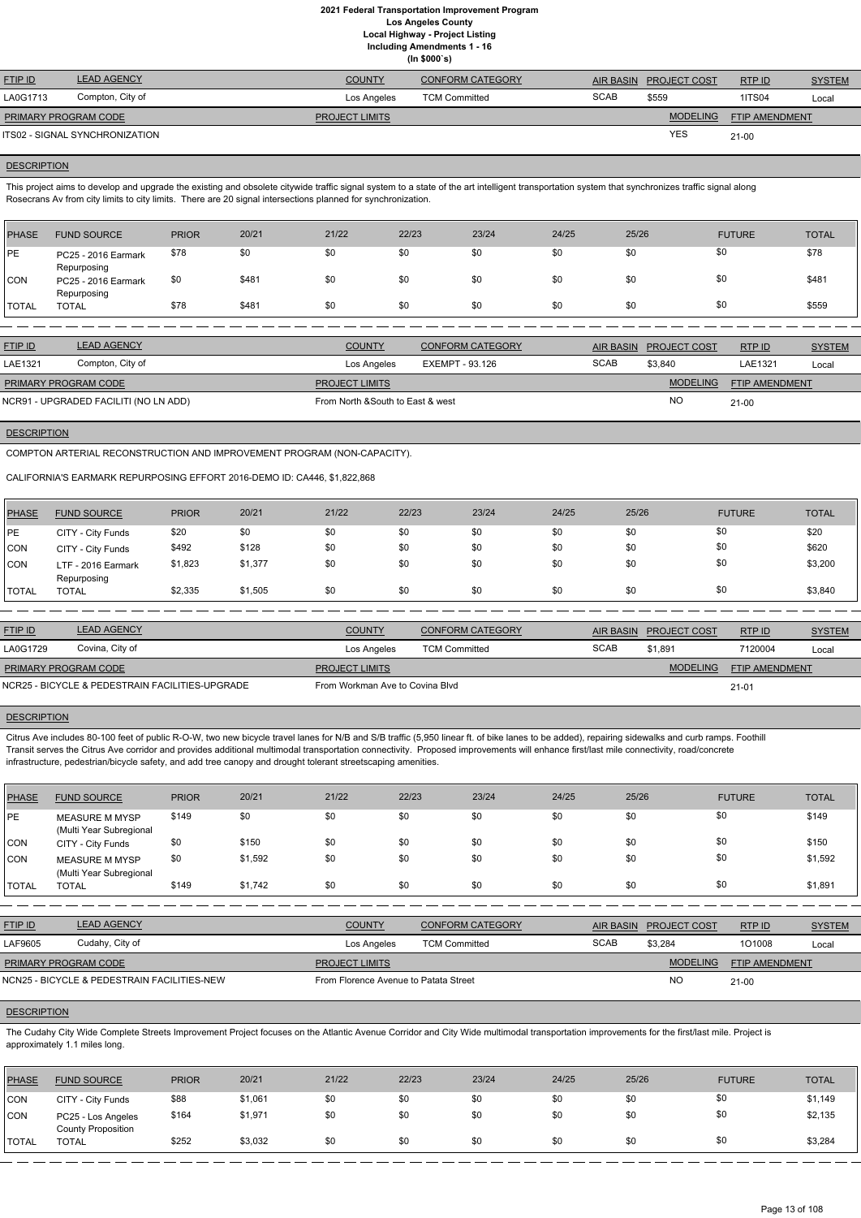**(In \$000`s)**

| <b>FTIP ID</b>              | <b>LEAD AGENCY</b>             | <b>COUNTY</b>         | <b>CONFORM CATEGORY</b> | AIR BASIN   | <b>PROJECT COST</b> | RTPID          | <b>SYSTEM</b> |
|-----------------------------|--------------------------------|-----------------------|-------------------------|-------------|---------------------|----------------|---------------|
| LA0G1713                    | Compton, City of               | Los Angeles           | <b>TCM Committed</b>    | <b>SCAB</b> | \$559               | <b>1ITS04</b>  | Local         |
| <b>PRIMARY PROGRAM CODE</b> |                                | <b>PROJECT LIMITS</b> |                         |             | <b>MODELING</b>     | FTIP AMENDMENT |               |
|                             | ITS02 - SIGNAL SYNCHRONIZATION |                       |                         |             | YES                 | $21 - 00$      |               |

#### **DESCRIPTION**

This project aims to develop and upgrade the existing and obsolete citywide traffic signal system to a state of the art intelligent transportation system that synchronizes traffic signal along Rosecrans Av from city limits to city limits. There are 20 signal intersections planned for synchronization.

| PHASE        | <b>FUND SOURCE</b>                 | <b>PRIOR</b> | 20/21 | 21/22 | 22/23 | 23/24 | 24/25 | 25/26 | <b>FUTURE</b> | <b>TOTAL</b> |
|--------------|------------------------------------|--------------|-------|-------|-------|-------|-------|-------|---------------|--------------|
| PE           | PC25 - 2016 Earmark<br>Repurposing | \$78         | \$0   | \$0   | \$0   | \$0   | \$0   | \$0   | \$0           | \$78         |
| CON          | PC25 - 2016 Earmark<br>Repurposing | \$0          | \$481 | \$0   | \$0   | \$0   | \$0   | \$0   | \$0           | \$481        |
| <b>TOTAL</b> | TOTAL                              | \$78         | \$481 | \$0   | \$0   | \$0   | \$0   | \$0   | \$0           | \$559        |

| <b>FTIP ID</b>              | <b>LEAD AGENCY</b>                    | <b>COUNTY</b>                     | <b>CONFORM CATEGORY</b> |             | AIR BASIN PROJECT COST | RTPID                 | <b>SYSTEM</b> |
|-----------------------------|---------------------------------------|-----------------------------------|-------------------------|-------------|------------------------|-----------------------|---------------|
| LAE1321                     | Compton, City of                      | Los Angeles                       | EXEMPT - 93.126         | <b>SCAB</b> | \$3,840                | LAE1321               | Local         |
| <b>PRIMARY PROGRAM CODE</b> |                                       | <b>PROJECT LIMITS</b>             |                         |             | <b>MODELING</b>        | <b>FTIP AMENDMENT</b> |               |
|                             | NCR91 - UPGRADED FACILITI (NO LN ADD) | From North & South to East & west |                         |             | <b>NO</b>              | $21 - 00$             |               |

## **DESCRIPTION**

COMPTON ARTERIAL RECONSTRUCTION AND IMPROVEMENT PROGRAM (NON-CAPACITY).

CALIFORNIA'S EARMARK REPURPOSING EFFORT 2016-DEMO ID: CA446, \$1,822,868

| <b>PHASE</b> | <b>FUND SOURCE</b>                | <b>PRIOR</b> | 20/21   | 21/22 | 22/23 | 23/24 | 24/25 | 25/26 | <b>FUTURE</b> | <b>TOTAL</b> |
|--------------|-----------------------------------|--------------|---------|-------|-------|-------|-------|-------|---------------|--------------|
| PE           | CITY - City Funds                 | \$20         | \$0     | \$0   | \$0   | \$0   | \$0   | \$0   | \$0           | \$20         |
| <b>CON</b>   | CITY - City Funds                 | \$492        | \$128   | \$0   | \$0   | \$0   | \$0   | \$0   | \$0           | \$620        |
| <b>CON</b>   | LTF - 2016 Earmark<br>Repurposing | \$1,823      | \$1,377 | \$0   | \$0   | \$0   | \$0   | \$0   | \$0           | \$3,200      |
| TOTAL        | <b>TOTAL</b>                      | \$2,335      | \$1,505 | \$0   | \$0   | \$0   | \$0   | \$0   | \$0           | \$3,840      |

| <b>FTIP ID</b>              | <b>LEAD AGENCY</b>                              | <b>COUNTY</b>                   | CONFORM CATEGORY     |             | AIR BASIN PROJECT COST | RTPID                 | <b>SYSTEM</b> |
|-----------------------------|-------------------------------------------------|---------------------------------|----------------------|-------------|------------------------|-----------------------|---------------|
| LA0G1729                    | Covina, City of                                 | Los Angeles                     | <b>TCM Committed</b> | <b>SCAB</b> | \$1,891                | 7120004               | Local         |
| <b>PRIMARY PROGRAM CODE</b> |                                                 | <b>PROJECT LIMITS</b>           |                      |             | <b>MODELING</b>        | <b>FTIP AMENDMENT</b> |               |
|                             | NCR25 - BICYCLE & PEDESTRAIN FACILITIES-UPGRADE | From Workman Ave to Covina Blyd |                      |             |                        | $21 - 01$             |               |

#### **DESCRIPTION**

Citrus Ave includes 80-100 feet of public R-O-W, two new bicycle travel lanes for N/B and S/B traffic (5,950 linear ft. of bike lanes to be added), repairing sidewalks and curb ramps. Foothill Transit serves the Citrus Ave corridor and provides additional multimodal transportation connectivity. Proposed improvements will enhance first/last mile connectivity, road/concrete infrastructure, pedestrian/bicycle safety, and add tree canopy and drought tolerant streetscaping amenities.

| <b>PHASE</b> | <b>FUND SOURCE</b>                               | <b>PRIOR</b> | 20/21   | 21/22 | 22/23 | 23/24 | 24/25 | 25/26 | <b>FUTURE</b> | <b>TOTAL</b> |
|--------------|--------------------------------------------------|--------------|---------|-------|-------|-------|-------|-------|---------------|--------------|
| PE           | MEASURE M MYSP<br>(Multi Year Subregional        | \$149        | \$0     | \$0   | \$0   | \$0   | \$0   | \$0   | \$0           | \$149        |
| <b>CON</b>   | CITY - City Funds                                | \$0          | \$150   | \$0   | \$0   | \$0   | \$0   | \$0   | \$0           | \$150        |
| <b>CON</b>   | <b>MEASURE M MYSP</b><br>(Multi Year Subregional | \$0          | \$1,592 | \$0   | \$0   | \$0   | \$0   | \$0   | \$0           | \$1,592      |
| <b>TOTAL</b> | TOTAL                                            | \$149        | \$1,742 | \$0   | \$0   | \$0   | \$0   | \$0   | \$0           | \$1,891      |

| <b>FTIP ID</b>              | <b>LEAD AGENCY</b>                          | <b>COUNTY</b>                         | <b>CONFORM CATEGORY</b> |             | AIR BASIN PROJECT COST | RTP ID                | <b>SYSTEM</b> |
|-----------------------------|---------------------------------------------|---------------------------------------|-------------------------|-------------|------------------------|-----------------------|---------------|
| LAF9605                     | Cudahy, City of                             | Los Angeles                           | <b>TCM Committed</b>    | <b>SCAB</b> | \$3.284                | 101008                | Local         |
| <b>PRIMARY PROGRAM CODE</b> |                                             | <b>PROJECT LIMITS</b>                 |                         |             | <b>MODELING</b>        | <b>FTIP AMENDMENT</b> |               |
|                             | NCN25 - BICYCLE & PEDESTRAIN FACILITIES-NEW | From Florence Avenue to Patata Street |                         |             | <b>NO</b>              | $21 - 00$             |               |

#### **DESCRIPTION**

The Cudahy City Wide Complete Streets Improvement Project focuses on the Atlantic Avenue Corridor and City Wide multimodal transportation improvements for the first/last mile. Project is approximately 1.1 miles long.

| <b>PHASE</b> | <b>FUND SOURCE</b>                              | <b>PRIOR</b> | 20/21   | 21/22 | 22/23 | 23/24 | 24/25 | 25/26 | <b>FUTURE</b> | <b>TOTAL</b> |
|--------------|-------------------------------------------------|--------------|---------|-------|-------|-------|-------|-------|---------------|--------------|
| <b>CON</b>   | CITY - City Funds                               | \$88         | \$1,061 | \$0   | \$0   | \$0   | \$0   | \$0   | \$0           | \$1,149      |
| CON          | PC25 - Los Angeles<br><b>County Proposition</b> | \$164        | \$1,971 | \$0   | \$0   | \$0   | \$0   |       | \$0           | \$2,135      |
| <b>TOTAL</b> | TOTAL                                           | \$252        | \$3,032 | \$0   | \$0   | \$0   | \$0   |       | \$0           | \$3,284      |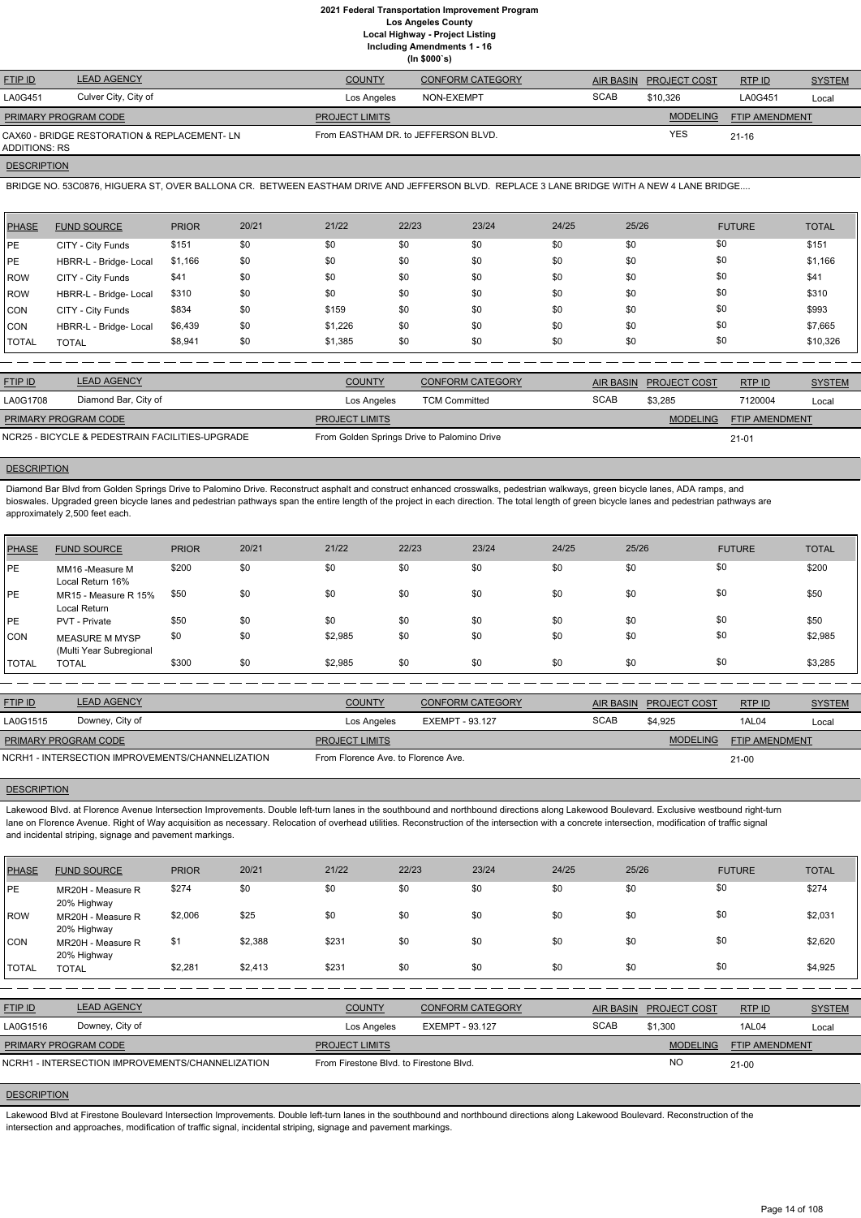|                                                               |                      |                                     | (ln \$000's)            |             |                        |                       |               |
|---------------------------------------------------------------|----------------------|-------------------------------------|-------------------------|-------------|------------------------|-----------------------|---------------|
| <b>FTIP ID</b>                                                | <b>LEAD AGENCY</b>   | <b>COUNTY</b>                       | <b>CONFORM CATEGORY</b> |             | AIR BASIN PROJECT COST | RTP ID                | <b>SYSTEM</b> |
| LA0G451                                                       | Culver City, City of | Los Angeles                         | NON-EXEMPT              | <b>SCAB</b> | \$10.326               | LA0G451               | Local         |
| <b>PRIMARY PROGRAM CODE</b>                                   |                      | <b>PROJECT LIMITS</b>               |                         |             | <b>MODELING</b>        | <b>FTIP AMENDMENT</b> |               |
| CAX60 - BRIDGE RESTORATION & REPLACEMENT- LN<br>ADDITIONS: RS |                      | From EASTHAM DR. to JEFFERSON BLVD. |                         |             | <b>YES</b>             | $21 - 16$             |               |

### **DESCRIPTION**

BRIDGE NO. 53C0876, HIGUERA ST, OVER BALLONA CR. BETWEEN EASTHAM DRIVE AND JEFFERSON BLVD. REPLACE 3 LANE BRIDGE WITH A NEW 4 LANE BRIDGE....

| <b>PHASE</b> | <b>FUND SOURCE</b>     | <b>PRIOR</b> | 20/21 | 21/22   | 22/23 | 23/24 | 24/25 | 25/26 | <b>FUTURE</b> | <b>TOTAL</b> |
|--------------|------------------------|--------------|-------|---------|-------|-------|-------|-------|---------------|--------------|
| PE           | CITY - City Funds      | \$151        | \$0   | \$0     | \$0   | \$0   | \$0   | \$0   | \$0           | \$151        |
| PE           | HBRR-L - Bridge- Local | \$1,166      | \$0   | \$0     | \$0   | \$0   | \$0   | \$0   | \$0           | \$1,166      |
| <b>ROW</b>   | CITY - City Funds      | \$41         | \$0   | \$0     | \$0   | \$0   | \$0   | \$0   | \$0           | \$41         |
| <b>ROW</b>   | HBRR-L - Bridge- Local | \$310        | \$0   | \$0     | \$0   | \$0   | \$0   | \$0   | \$0           | \$310        |
| CON          | CITY - City Funds      | \$834        | \$0   | \$159   | \$0   | \$0   | \$0   | \$0   | \$0           | \$993        |
| CON          | HBRR-L - Bridge- Local | \$6,439      | \$0   | \$1,226 | \$0   | \$0   | \$0   | \$0   | \$0           | \$7,665      |
| <b>TOTAL</b> | <b>TOTAL</b>           | \$8,941      | \$0   | \$1,385 | \$0   | \$0   | \$0   | \$0   | \$0           | \$10,326     |

| <b>FTIP ID</b>              | <b>LEAD AGENCY</b>                              | <b>COUNTY</b>                               | <b>CONFORM CATEGORY</b> |             | AIR BASIN PROJECT COST | RTP ID                | <b>SYSTEM</b> |
|-----------------------------|-------------------------------------------------|---------------------------------------------|-------------------------|-------------|------------------------|-----------------------|---------------|
| LA0G1708                    | Diamond Bar, City of                            | Los Angeles                                 | <b>TCM Committed</b>    | <b>SCAB</b> | \$3.285                | 7120004               | Local         |
| <b>PRIMARY PROGRAM CODE</b> |                                                 | <b>PROJECT LIMITS</b>                       |                         |             | <b>MODELING</b>        | <b>FTIP AMENDMENT</b> |               |
|                             | NCR25 - BICYCLE & PEDESTRAIN FACILITIES-UPGRADE | From Golden Springs Drive to Palomino Drive |                         |             |                        | $21 - 01$             |               |

#### **DESCRIPTION**

ETIP ID LEAD AGENCY DE SYSTEM COUNTY CONFORM CATEGORY AIR BASIN PROJECT COST RTP ID SYSTEM STREM AND TRUP OF SA MODELING FTIP AMENDMENT RTP ID LA0G1515 Downey, City of Los Angeles EXEMPT - 93.127 SCAB \$4,925 1AL04 Local 21-00 **PROJECT LIMITS** NCRH1 - INTERSECTION IMPROVEMENTS/CHANNELIZATION From Florence Ave. to Florence Ave. PRIMARY PROGRAM CODE

# **DESCRIPTION**

Lakewood Blvd. at Florence Avenue Intersection Improvements. Double left-turn lanes in the southbound and northbound directions along Lakewood Boulevard. Exclusive westbound right-turn lane on Florence Avenue. Right of Way acquisition as necessary. Relocation of overhead utilities. Reconstruction of the intersection with a concrete intersection, modification of traffic signal and incidental striping, signage and pavement markings.

Diamond Bar Blvd from Golden Springs Drive to Palomino Drive. Reconstruct asphalt and construct enhanced crosswalks, pedestrian walkways, green bicycle lanes, ADA ramps, and bioswales. Upgraded green bicycle lanes and pedestrian pathways span the entire length of the project in each direction. The total length of green bicycle lanes and pedestrian pathways are approximately 2,500 feet each.

Lakewood Blvd at Firestone Boulevard Intersection Improvements. Double left-turn lanes in the southbound and northbound directions along Lakewood Boulevard. Reconstruction of the intersection and approaches, modification of traffic signal, incidental striping, signage and pavement markings.

| <b>PHASE</b> | <b>FUND SOURCE</b>                               | <b>PRIOR</b> | 20/21 | 21/22   | 22/23 | 23/24 | 24/25 | 25/26 | <b>FUTURE</b> | <b>TOTAL</b> |
|--------------|--------------------------------------------------|--------------|-------|---------|-------|-------|-------|-------|---------------|--------------|
| <b>PE</b>    | MM16 -Measure M<br>Local Return 16%              | \$200        | \$0   | \$0     | \$0   | \$0   | \$0   | \$0   | \$0           | \$200        |
| PE           | MR15 - Measure R 15%<br>Local Return             | \$50         | \$0   | \$0     | \$0   | \$0   | \$0   | \$0   | \$0           | \$50         |
| <b>PE</b>    | PVT - Private                                    | \$50         | \$0   | \$0     | \$0   | \$0   | \$0   | \$0   | \$0           | \$50         |
| CON          | <b>MEASURE M MYSP</b><br>(Multi Year Subregional | \$0          | \$0   | \$2,985 | \$0   | \$0   | \$0   | \$0   | \$0           | \$2,985      |
| <b>TOTAL</b> | <b>TOTAL</b>                                     | \$300        | \$0   | \$2,985 | \$0   | \$0   | \$0   | \$0   | \$0           | \$3,285      |

| PHASE      | <b>FUND SOURCE</b>               | <b>PRIOR</b> | 20/21 | 21/22 | 22/23 | 23/24 | 24/25 | 25/26 | <b>FUTURE</b> | <b>TOTAL</b> |
|------------|----------------------------------|--------------|-------|-------|-------|-------|-------|-------|---------------|--------------|
| <b>IPE</b> | MR20H - Measure R<br>20% Highway | \$274        |       | \$0   | \$0   | \$0   | \$0   | \$0   | S٥            | \$274        |
| ROW        | MR20H - Measure R                | \$2,006      | \$25  | \$0   | \$0   | \$0   | \$0   | \$0   | \$0           | \$2,031      |

| <b>CON</b>   | 20% Highway<br>MR20H - Measure R<br>20% Highway  | \$1     | \$2,388 | \$231                                   | \$0 | \$0                     | \$0 | \$0              | \$0                 |                       | \$2,620       |
|--------------|--------------------------------------------------|---------|---------|-----------------------------------------|-----|-------------------------|-----|------------------|---------------------|-----------------------|---------------|
| <b>TOTAL</b> | TOTAL                                            | \$2,281 | \$2,413 | \$231                                   | \$0 | \$0                     | \$0 | \$0              | \$0                 |                       | \$4,925       |
|              |                                                  |         |         |                                         |     |                         |     |                  |                     |                       |               |
| FTIP ID      | <b>LEAD AGENCY</b>                               |         |         | <b>COUNTY</b>                           |     | <b>CONFORM CATEGORY</b> |     | <b>AIR BASIN</b> | <b>PROJECT COST</b> | RTPID                 | <b>SYSTEM</b> |
| LA0G1516     | Downey, City of                                  |         |         | Los Angeles                             |     | EXEMPT - 93.127         |     | <b>SCAB</b>      | \$1,300             | 1AL04                 | Local         |
|              | PRIMARY PROGRAM CODE                             |         |         | <b>PROJECT LIMITS</b>                   |     |                         |     |                  | <b>MODELING</b>     | <b>FTIP AMENDMENT</b> |               |
|              | NCRH1 - INTERSECTION IMPROVEMENTS/CHANNELIZATION |         |         | From Firestone Blvd, to Firestone Blvd. |     |                         |     |                  | <b>NO</b>           | $21-00$               |               |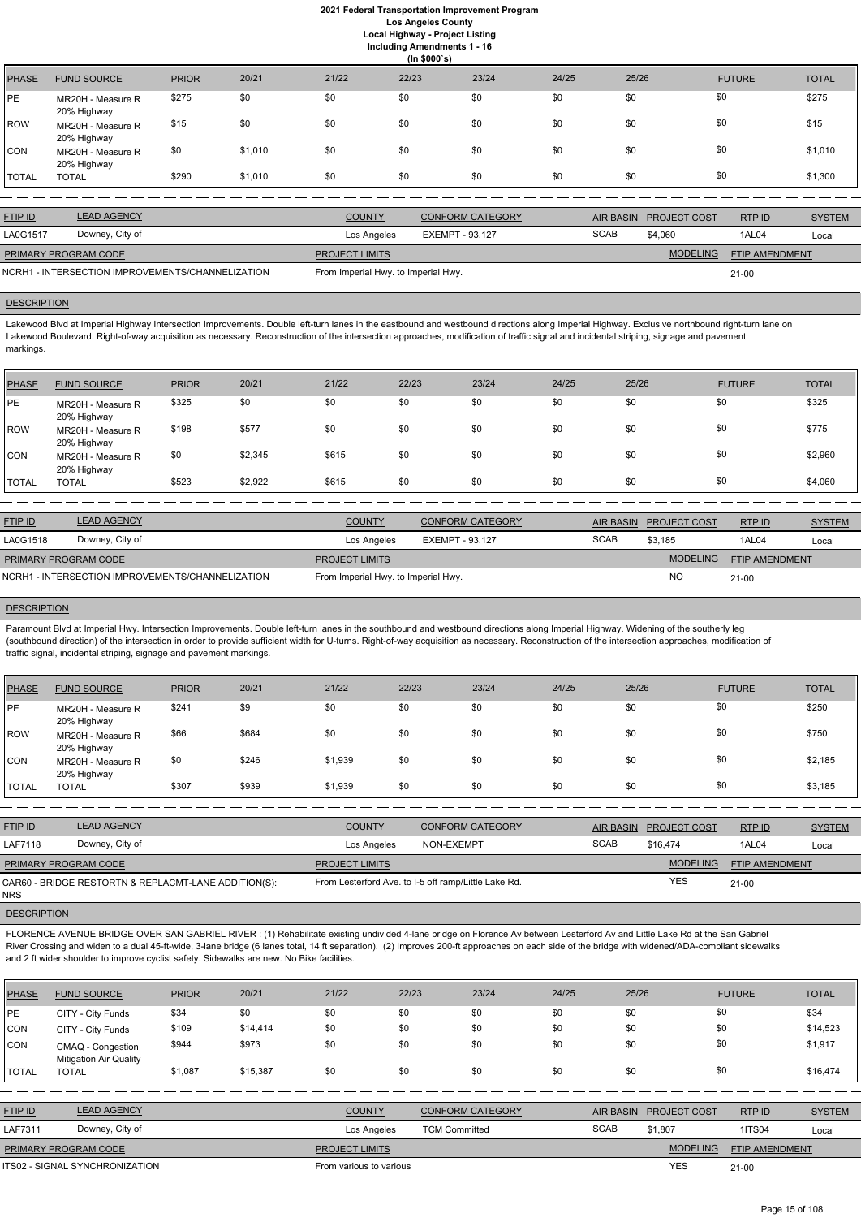**Including Amendments 1 - 16**

**(In \$000`s)** PHASE FUND SOURCE PRIOR 20/21 21/22 22/23 23/24 24/25 25/26 FUTURE TOTAL PE MR20H - Measure R 20% Highway \$275 \$0 \$0 \$0 \$0 \$0 \$0 \$0 \$275 ROW MR20H - Measure R 20% Highway \$15 \$0 \$0 \$0 \$0 \$0 \$0 \$0 \$0 \$0 \$0 \$0 \$0 \$15 CON MR20H - Measure R 20% Highway \$0 \$1,010 \$0 \$0 \$0 \$0 \$0 \$0 \$0 \$0 \$0 \$0 \$1,010 TOTAL TOTAL \$290 \$1,010 \$0 \$0 \$0 \$0 \$0 \$0 \$1,300

Lakewood Blvd at Imperial Highway Intersection Improvements. Double left-turn lanes in the eastbound and westbound directions along Imperial Highway. Exclusive northbound right-turn lane on Lakewood Boulevard. Right-of-way acquisition as necessary. Reconstruction of the intersection approaches, modification of traffic signal and incidental striping, signage and pavement markings.

| <b>FTIP ID</b>                                   | <b>LEAD AGENCY</b> | <b>COUNTY</b>                       | <b>CONFORM CATEGORY</b> |             | AIR BASIN PROJECT COST | RTPID                 | <b>SYSTEM</b> |
|--------------------------------------------------|--------------------|-------------------------------------|-------------------------|-------------|------------------------|-----------------------|---------------|
| LA0G1517                                         | Downey, City of    | Los Angeles                         | EXEMPT - 93.127         | <b>SCAB</b> | \$4,060                | 1AL04                 | Local         |
| <b>PRIMARY PROGRAM CODE</b>                      |                    | <b>PROJECT LIMITS</b>               |                         |             | <b>MODELING</b>        | <b>FTIP AMENDMENT</b> |               |
| NCRH1 - INTERSECTION IMPROVEMENTS/CHANNELIZATION |                    | From Imperial Hwy. to Imperial Hwy. |                         | $21 - 00$   |                        |                       |               |

#### **DESCRIPTION**

Paramount Blvd at Imperial Hwy. Intersection Improvements. Double left-turn lanes in the southbound and westbound directions along Imperial Highway. Widening of the southerly leg (southbound direction) of the intersection in order to provide sufficient width for U-turns. Right-of-way acquisition as necessary. Reconstruction of the intersection approaches, modification of traffic signal, incidental striping, signage and pavement markings.

| PHASE        | <b>FUND SOURCE</b>               | <b>PRIOR</b> | 20/21   | 21/22 | 22/23 | 23/24 | 24/25 | 25/26 | <b>FUTURE</b> | <b>TOTAL</b> |
|--------------|----------------------------------|--------------|---------|-------|-------|-------|-------|-------|---------------|--------------|
| <b>PE</b>    | MR20H - Measure R<br>20% Highway | \$325        | \$0     | \$0   | \$0   | \$0   | \$0   | \$0   | \$0           | \$325        |
| ROW          | MR20H - Measure R<br>20% Highway | \$198        | \$577   | \$0   | \$0   | \$0   | \$0   | \$0   | \$0           | \$775        |
| <b>CON</b>   | MR20H - Measure R<br>20% Highway | \$0          | \$2,345 | \$615 | \$0   | \$0   | \$0   | \$0   | \$0           | \$2,960      |
| <b>TOTAL</b> | <b>TOTAL</b>                     | \$523        | \$2,922 | \$615 | \$0   | \$0   | \$0   | \$0   | \$0           | \$4,060      |

| <b>FTIP ID</b>                                   | <b>LEAD AGENCY</b> | <b>COUNTY</b>                       | <b>CONFORM CATEGORY</b> | AIR BASIN   | <b>PROJECT COST</b> | RTP ID                | <b>SYSTEM</b> |
|--------------------------------------------------|--------------------|-------------------------------------|-------------------------|-------------|---------------------|-----------------------|---------------|
| LA0G1518                                         | Downey, City of    | Los Angeles                         | EXEMPT - 93.127         | <b>SCAB</b> | \$3,185             | 1AL04                 | Local         |
| PRIMARY PROGRAM CODE                             |                    | <b>PROJECT LIMITS</b>               |                         |             | <b>MODELING</b>     | <b>FTIP AMENDMENT</b> |               |
| NCRH1 - INTERSECTION IMPROVEMENTS/CHANNELIZATION |                    | From Imperial Hwy. to Imperial Hwy. |                         |             | NO                  | $21 - 00$             |               |

#### **DESCRIPTION**

| PHASE        | <b>FUND SOURCE</b>               | <b>PRIOR</b> | 20/21 | 21/22   | 22/23 | 23/24 | 24/25 | 25/26 | <b>FUTURE</b> | <b>TOTAL</b> |
|--------------|----------------------------------|--------------|-------|---------|-------|-------|-------|-------|---------------|--------------|
| PE           | MR20H - Measure R<br>20% Highway | \$241        | \$9   | \$0     | \$0   | \$0   | \$0   | \$0   | \$0           | \$250        |
| ROW          | MR20H - Measure R<br>20% Highway | \$66         | \$684 | \$0     | \$0   | \$0   | \$0   | \$0   | \$0           | \$750        |
| <b>CON</b>   | MR20H - Measure R<br>20% Highway | \$0          | \$246 | \$1,939 | \$0   | \$0   | \$0   | \$0   | \$0           | \$2,185      |
| <b>TOTAL</b> | <b>TOTAL</b>                     | \$307        | \$939 | \$1,939 | \$0   | \$0   | \$0   | \$0   | \$0           | \$3,185      |

| <b>FTIP ID</b>              | <b>LEAD AGENCY</b>                                   | <b>COUNTY</b>         | CONFORM CATEGORY                                     | <b>AIR BASIN</b> | <b>PROJECT COST</b> | RTPID                 | <b>SYSTEM</b> |
|-----------------------------|------------------------------------------------------|-----------------------|------------------------------------------------------|------------------|---------------------|-----------------------|---------------|
| <b>LAF7118</b>              | Downey, City of                                      | Los Angeles           | NON-EXEMPT                                           | <b>SCAB</b>      | \$16.474            | 1AL04                 | Local         |
| <b>PRIMARY PROGRAM CODE</b> |                                                      | <b>PROJECT LIMITS</b> |                                                      |                  | <b>MODELING</b>     | <b>FTIP AMENDMENT</b> |               |
| <b>NRS</b>                  | CAR60 - BRIDGE RESTORTN & REPLACMT-LANE ADDITION(S): |                       | From Lesterford Ave. to I-5 off ramp/Little Lake Rd. |                  | <b>YES</b>          | $21-00$               |               |

FLORENCE AVENUE BRIDGE OVER SAN GABRIEL RIVER : (1) Rehabilitate existing undivided 4-lane bridge on Florence Av between Lesterford Av and Little Lake Rd at the San Gabriel River Crossing and widen to a dual 45-ft-wide, 3-lane bridge (6 lanes total, 14 ft separation). (2) Improves 200-ft approaches on each side of the bridge with widened/ADA-compliant sidewalks and 2 ft wider shoulder to improve cyclist safety. Sidewalks are new. No Bike facilities.

| <b>PHASE</b>   | <b>FUND SOURCE</b>                                 | <b>PRIOR</b> | 20/21    | 21/22                   | 22/23       | 23/24                   | 24/25 | 25/26            |                     | <b>FUTURE</b>  | <b>TOTAL</b>  |
|----------------|----------------------------------------------------|--------------|----------|-------------------------|-------------|-------------------------|-------|------------------|---------------------|----------------|---------------|
| <b>IPE</b>     | CITY - City Funds                                  | \$34         | \$0      | \$0                     | \$0         | \$0                     | \$0   | \$0              | \$0                 |                | \$34          |
| CON            | CITY - City Funds                                  | \$109        | \$14,414 | \$0                     | \$0         | \$0                     | \$0   | \$0              | \$0                 |                | \$14,523      |
| CON            | CMAQ - Congestion<br><b>Mitigation Air Quality</b> | \$944        | \$973    | \$0                     | \$0         | \$0                     | \$0   | \$0              | \$0                 |                | \$1,917       |
| TOTAL          | <b>TOTAL</b>                                       | \$1,087      | \$15,387 | \$0                     | \$0         | \$0                     | \$0   | \$0              | \$0                 |                | \$16,474      |
|                |                                                    |              |          |                         |             |                         |       |                  |                     |                |               |
| <b>FTIP ID</b> | <b>LEAD AGENCY</b>                                 |              |          | <b>COUNTY</b>           |             | <b>CONFORM CATEGORY</b> |       | <b>AIR BASIN</b> | <b>PROJECT COST</b> | RTP ID         | <b>SYSTEM</b> |
| LAF7311        | Downey, City of                                    |              |          |                         | Los Angeles | <b>TCM Committed</b>    |       | <b>SCAB</b>      | \$1,807             | <b>1ITS04</b>  | Local         |
|                | PRIMARY PROGRAM CODE                               |              |          | <b>PROJECT LIMITS</b>   |             |                         |       |                  | <b>MODELING</b>     | FTIP AMENDMENT |               |
|                | ITS02 - SIGNAL SYNCHRONIZATION                     |              |          | From various to various |             |                         |       |                  | <b>YES</b>          | $21 - 00$      |               |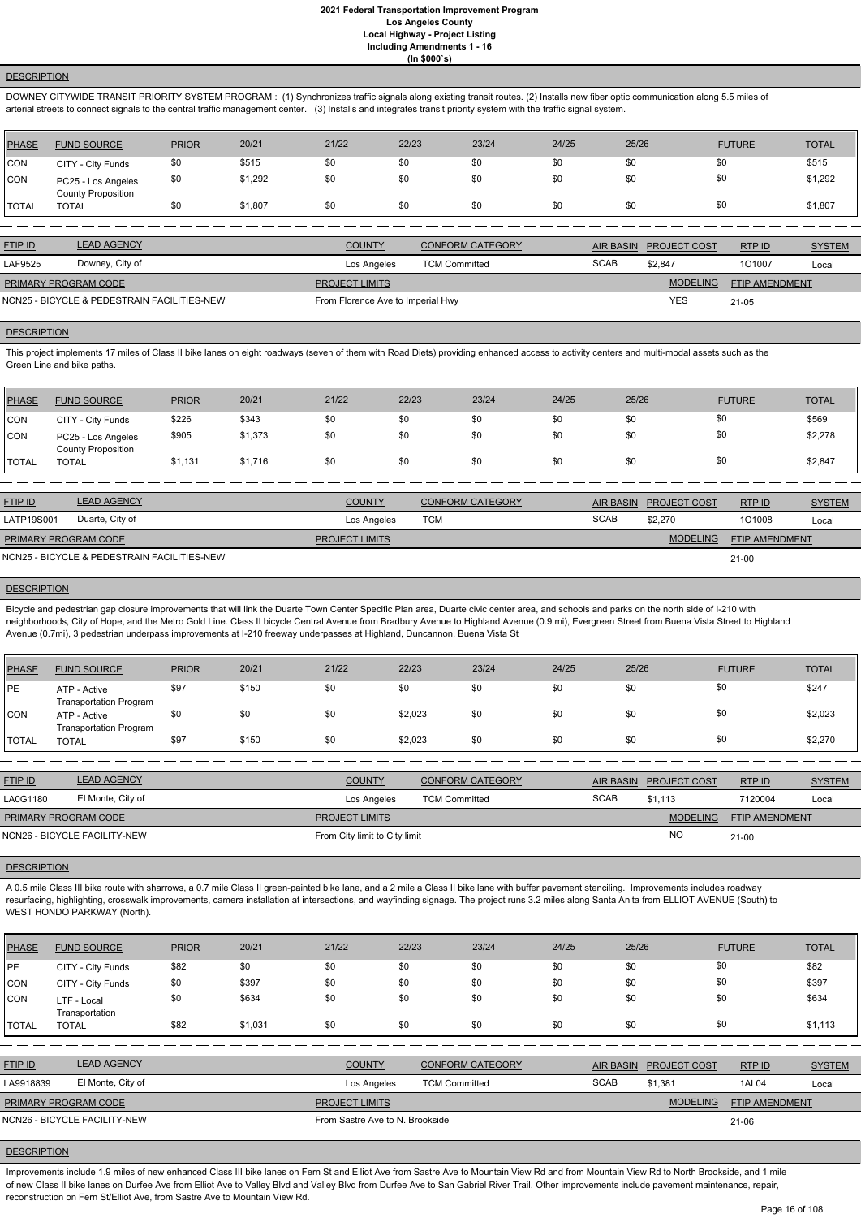# **DESCRIPTION**

DOWNEY CITYWIDE TRANSIT PRIORITY SYSTEM PROGRAM : (1) Synchronizes traffic signals along existing transit routes. (2) Installs new fiber optic communication along 5.5 miles of arterial streets to connect signals to the central traffic management center. (3) Installs and integrates transit priority system with the traffic signal system.

| PHASE        | <b>FUND SOURCE</b>                              | <b>PRIOR</b> | 20/21   | 21/22 | 22/23 | 23/24 | 24/25 | 25/26 | <b>FUTURE</b> | <b>TOTAL</b> |
|--------------|-------------------------------------------------|--------------|---------|-------|-------|-------|-------|-------|---------------|--------------|
| CON          | CITY - City Funds                               | \$0          | \$515   | \$0   | \$0   | \$0   | \$0   | \$0   | \$0           | \$515        |
| <b>CON</b>   | PC25 - Los Angeles<br><b>County Proposition</b> | \$0          | \$1,292 | \$0   |       | \$0   | \$0   | \$0   | \$0           | \$1,292      |
| <b>TOTAL</b> | <b>TOTAL</b>                                    |              | \$1,807 | \$0   | \$0   | \$0   | \$0   | \$0   | \$0           | \$1,807      |

This project implements 17 miles of Class II bike lanes on eight roadways (seven of them with Road Diets) providing enhanced access to activity centers and multi-modal assets such as the Green Line and bike paths.

| <b>FTIP ID</b>                              | <b>LEAD AGENCY</b> | <b>COUNTY</b>                     | <b>CONFORM CATEGORY</b> |             | AIR BASIN PROJECT COST | RTP ID                | <b>SYSTEM</b> |
|---------------------------------------------|--------------------|-----------------------------------|-------------------------|-------------|------------------------|-----------------------|---------------|
| LAF9525                                     | Downey, City of    | Los Angeles                       | <b>TCM Committed</b>    | <b>SCAB</b> | \$2.847                | 101007                | Local         |
| <b>PRIMARY PROGRAM CODE</b>                 |                    | <b>PROJECT LIMITS</b>             |                         |             | <b>MODELING</b>        | <b>FTIP AMENDMENT</b> |               |
| NCN25 - BICYCLE & PEDESTRAIN FACILITIES-NEW |                    | From Florence Ave to Imperial Hwy |                         | <b>YES</b>  | $21 - 05$              |                       |               |

### **DESCRIPTION**

Bicycle and pedestrian gap closure improvements that will link the Duarte Town Center Specific Plan area, Duarte civic center area, and schools and parks on the north side of I-210 with neighborhoods, City of Hope, and the Metro Gold Line. Class II bicycle Central Avenue from Bradbury Avenue to Highland Avenue (0.9 mi), Evergreen Street from Buena Vista Street to Highland Avenue (0.7mi), 3 pedestrian underpass improvements at I-210 freeway underpasses at Highland, Duncannon, Buena Vista St

| PHASE          | <b>FUND SOURCE</b>                              | <b>PRIOR</b> | 20/21   | 21/22 | 22/23 | 23/24 | 24/25 | 25/26 | <b>FUTURE</b> | <b>TOTAL</b> |
|----------------|-------------------------------------------------|--------------|---------|-------|-------|-------|-------|-------|---------------|--------------|
| CON            | CITY - City Funds                               | \$226        | \$343   | \$0   | \$0   | \$0   | \$0   | \$0   | \$0           | \$569        |
| <b>CON</b>     | PC25 - Los Angeles<br><b>County Proposition</b> | \$905        | \$1,373 | \$0   | \$0   | \$0   | \$0   | \$0   | \$0           | \$2,278      |
| <b>I</b> TOTAL | <b>TOTAL</b>                                    | \$1,131      | \$1,716 | \$0   | \$0   | \$0   | \$0   | \$0   | \$0           | \$2,847      |

A 0.5 mile Class III bike route with sharrows, a 0.7 mile Class II green-painted bike lane, and a 2 mile a Class II bike lane with buffer pavement stenciling. Improvements includes roadway resurfacing, highlighting, crosswalk improvements, camera installation at intersections, and wayfinding signage. The project runs 3.2 miles along Santa Anita from ELLIOT AVENUE (South) to WEST HONDO PARKWAY (North).

| <b>FTIP ID</b>       | <b>LEAD AGENCY</b>                          | <b>COUNTY</b>         | <b>CONFORM CATEGORY</b> |             | AIR BASIN PROJECT COST | <b>RTPID</b>          | <b>SYSTEM</b> |
|----------------------|---------------------------------------------|-----------------------|-------------------------|-------------|------------------------|-----------------------|---------------|
| LATP19S001           | Duarte, City of                             | Los Angeles           | TCM                     | <b>SCAB</b> | \$2,270                | 101008                | Local         |
| PRIMARY PROGRAM CODE |                                             | <b>PROJECT LIMITS</b> |                         |             | <b>MODELING</b>        | <b>FTIP AMENDMENT</b> |               |
|                      | NCN25 - BICYCLE & PEDESTRAIN FACILITIES-NEW |                       |                         |             |                        | $21 - 00$             |               |

#### **DESCRIPTION**

Improvements include 1.9 miles of new enhanced Class III bike lanes on Fern St and Elliot Ave from Sastre Ave to Mountain View Rd and from Mountain View Rd to North Brookside, and 1 mile of new Class II bike lanes on Durfee Ave from Elliot Ave to Valley Blvd and Valley Blvd from Durfee Ave to San Gabriel River Trail. Other improvements include pavement maintenance, repair, reconstruction on Fern St/Elliot Ave, from Sastre Ave to Mountain View Rd.

| <b>PHASE</b> | <b>FUND SOURCE</b>                            | <b>PRIOR</b> | 20/21 | 21/22 | 22/23   | 23/24 | 24/25 | 25/26 | <b>FUTURE</b> | <b>TOTAL</b> |
|--------------|-----------------------------------------------|--------------|-------|-------|---------|-------|-------|-------|---------------|--------------|
| PE           | ATP - Active<br><b>Transportation Program</b> | \$97         | \$150 | \$0   | \$0     | \$0   | \$0   | \$0   | \$0           | \$247        |
| <b>CON</b>   | ATP - Active<br><b>Transportation Program</b> | \$0          | \$0   | \$0   | \$2,023 | \$0   | \$0   | \$0   | \$0           | \$2,023      |
| <b>TOTAL</b> | <b>TOTAL</b>                                  | \$97         | \$150 | \$0   | \$2,023 | \$0   | \$0   | \$0   | \$0           | \$2,270      |

| <b>FTIP ID</b>       | <b>LEAD AGENCY</b>           | <b>COUNTY</b>                 | <b>CONFORM CATEGORY</b> | <b>AIR BASIN</b> | <b>PROJECT COST</b> | RTP ID                | <b>SYSTEM</b> |
|----------------------|------------------------------|-------------------------------|-------------------------|------------------|---------------------|-----------------------|---------------|
| LA0G1180             | El Monte, City of            | Los Angeles                   | <b>TCM Committed</b>    | <b>SCAB</b>      | \$1.113             | 7120004               | Local         |
| PRIMARY PROGRAM CODE |                              | <b>PROJECT LIMITS</b>         |                         |                  | <b>MODELING</b>     | <b>FTIP AMENDMENT</b> |               |
|                      | NCN26 - BICYCLE FACILITY-NEW | From City limit to City limit |                         |                  | N <sub>O</sub>      | $21 - 00$             |               |

#### **DESCRIPTION**

| <b>PHASE</b>   | <b>FUND SOURCE</b>            | <b>PRIOR</b> | 20/21   | 21/22                           | 22/23                | 23/24                   | 24/25       | 25/26            |                     | <b>FUTURE</b>         | <b>TOTAL</b>  |
|----------------|-------------------------------|--------------|---------|---------------------------------|----------------------|-------------------------|-------------|------------------|---------------------|-----------------------|---------------|
| PE             | CITY - City Funds             | \$82         | \$0     | \$0                             | \$0                  | \$0                     | \$0         | \$0              | \$0                 |                       | \$82          |
| CON            | CITY - City Funds             | \$0          | \$397   | \$0                             | \$0                  | \$0                     | \$0         | \$0              | \$0                 |                       | \$397         |
| CON            | LTF - Local<br>Transportation | \$0          | \$634   | \$0                             | \$0                  | \$0                     | \$0         | \$0              | \$0                 |                       | \$634         |
| <b>I</b> TOTAL | <b>TOTAL</b>                  | \$82         | \$1,031 | \$0                             | \$0                  | \$0                     | \$0         | \$0              | \$0                 |                       | \$1,113       |
|                |                               |              |         |                                 |                      |                         |             |                  |                     |                       |               |
| <b>FTIP ID</b> | <b>LEAD AGENCY</b>            |              |         | <b>COUNTY</b>                   |                      | <b>CONFORM CATEGORY</b> |             | <b>AIR BASIN</b> | <b>PROJECT COST</b> | RTP ID                | <b>SYSTEM</b> |
| LA9918839      | El Monte, City of             |              |         | Los Angeles                     | <b>TCM Committed</b> |                         | <b>SCAB</b> |                  | \$1,381             | 1AL04                 | Local         |
|                | PRIMARY PROGRAM CODE          |              |         | <b>PROJECT LIMITS</b>           |                      |                         |             |                  | <b>MODELING</b>     | <b>FTIP AMENDMENT</b> |               |
|                | NCN26 - BICYCLE FACILITY-NEW  |              |         | From Sastre Ave to N. Brookside |                      |                         |             |                  |                     | $21 - 06$             |               |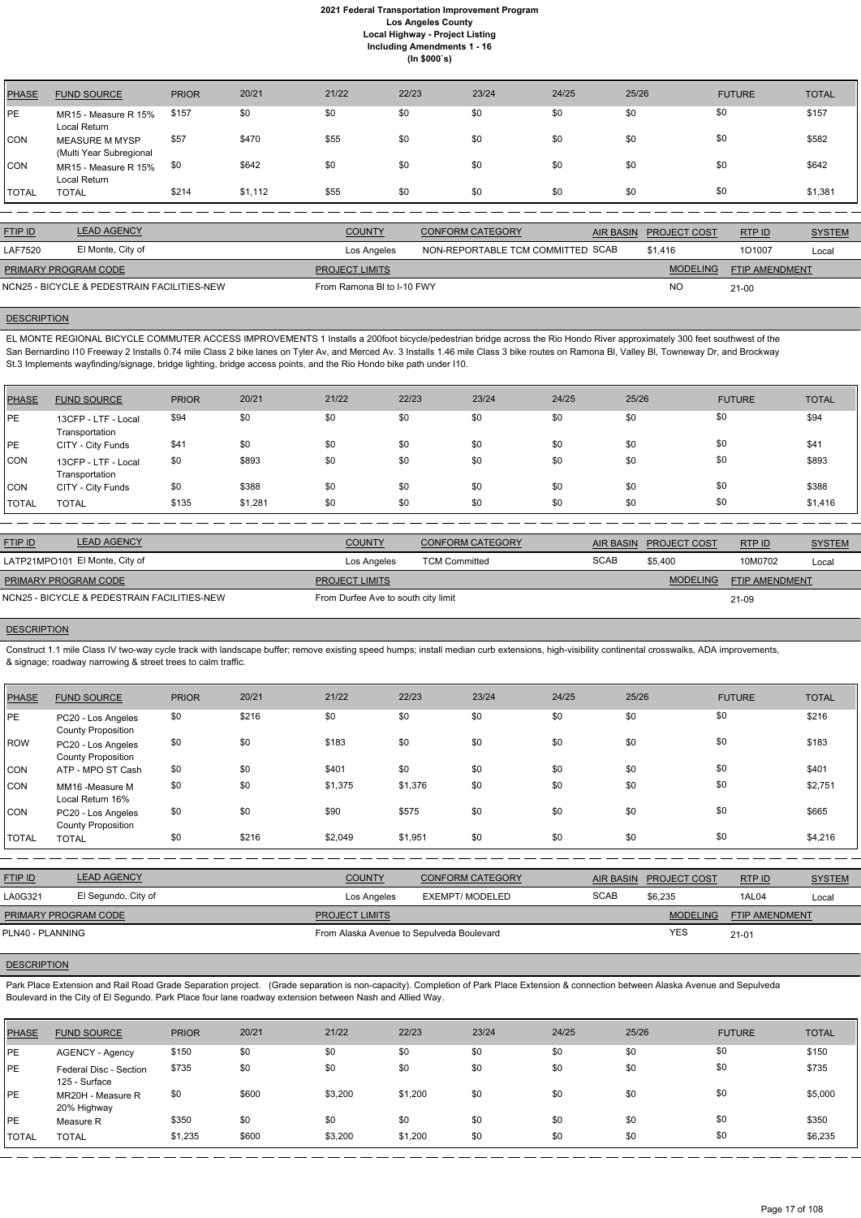| <b>PHASE</b> | <b>FUND SOURCE</b>                               | <b>PRIOR</b> | 20/21   | 21/22 | 22/23 | 23/24 | 24/25 | 25/26 | <b>FUTURE</b> | <b>TOTAL</b> |
|--------------|--------------------------------------------------|--------------|---------|-------|-------|-------|-------|-------|---------------|--------------|
| PE           | MR15 - Measure R 15%<br>Local Return             | \$157        | \$0     | \$0   | \$0   | \$0   | \$0   | \$0   | \$0           | \$157        |
| <b>CON</b>   | <b>MEASURE M MYSP</b><br>(Multi Year Subregional | \$57         | \$470   | \$55  | \$0   | \$0   | \$0   | \$0   | \$0           | \$582        |
| <b>CON</b>   | MR15 - Measure R 15%<br>Local Return             | \$0          | \$642   | \$0   | \$0   | \$0   | \$0   | \$0   | \$0           | \$642        |
| <b>TOTAL</b> | <b>TOTAL</b>                                     | \$214        | \$1,112 | \$55  | \$0   | \$0   | \$0   | \$0   | \$0           | \$1,381      |

| <b>FTIP ID</b>              | <b>LEAD AGENCY</b>                          | <b>COUNTY</b>              | <b>CONFORM CATEGORY</b>           | AIR BASIN PROJECT COST | RTPID          | <b>SYSTEM</b> |
|-----------------------------|---------------------------------------------|----------------------------|-----------------------------------|------------------------|----------------|---------------|
| <b>LAF7520</b>              | El Monte, City of                           | Los Angeles                | NON-REPORTABLE TCM COMMITTED SCAB | \$1,416                | 101007         | Local         |
| <b>PRIMARY PROGRAM CODE</b> |                                             | <b>PROJECT LIMITS</b>      |                                   | <b>MODELING</b>        | FTIP AMENDMENT |               |
|                             | NCN25 - BICYCLE & PEDESTRAIN FACILITIES-NEW | From Ramona BI to I-10 FWY |                                   | <b>NC</b>              | $21 - 00$      |               |

#### **DESCRIPTION**

EL MONTE REGIONAL BICYCLE COMMUTER ACCESS IMPROVEMENTS 1 Installs a 200foot bicycle/pedestrian bridge across the Rio Hondo River approximately 300 feet southwest of the San Bernardino I10 Freeway 2 Installs 0.74 mile Class 2 bike lanes on Tyler Av, and Merced Av. 3 Installs 1.46 mile Class 3 bike routes on Ramona BI, Valley BI, Towneway Dr, and Brockway St.3 Implements wayfinding/signage, bridge lighting, bridge access points, and the Rio Hondo bike path under I10.

| <b>PHASE</b> | <b>FUND SOURCE</b>                    | <b>PRIOR</b> | 20/21   | 21/22 | 22/23 | 23/24 | 24/25 | 25/26 | <b>FUTURE</b> | <b>TOTAL</b> |
|--------------|---------------------------------------|--------------|---------|-------|-------|-------|-------|-------|---------------|--------------|
| <b>IPE</b>   | 13CFP - LTF - Local<br>Transportation | \$94         | \$0     | \$0   | \$0   | \$0   | \$0   | \$0   | \$0           | \$94         |
| <b>PE</b>    | CITY - City Funds                     | \$41         | \$0     | \$0   | \$0   | \$0   | \$0   | \$0   | \$0           | \$41         |
| <b>CON</b>   | 13CFP - LTF - Local<br>Transportation | \$0          | \$893   | \$0   | \$0   | \$0   | \$0   | \$0   | \$0           | \$893        |
| <b>CON</b>   | CITY - City Funds                     | \$0          | \$388   | \$0   | \$0   | \$0   | \$0   | \$0   | \$0           | \$388        |
| <b>TOTAL</b> | <b>TOTAL</b>                          | \$135        | \$1,281 | \$0   | \$0   | \$0   | \$0   | \$0   | \$0           | \$1,416      |

Park Place Extension and Rail Road Grade Separation project. (Grade separation is non-capacity). Completion of Park Place Extension & connection between Alaska Avenue and Sepulveda Boulevard in the City of El Segundo. Park Place four lane roadway extension between Nash and Allied Way.

| <b>FTIP ID</b>              | <b>LEAD AGENCY</b>                          | <b>COUNTY</b>                       | <b>CONFORM CATEGORY</b> | AIR BASIN   | <b>PROJECT COST</b> | RTP ID                | <b>SYSTEM</b> |
|-----------------------------|---------------------------------------------|-------------------------------------|-------------------------|-------------|---------------------|-----------------------|---------------|
|                             | LATP21MPO101 El Monte, City of              | Los Angeles                         | <b>TCM Committed</b>    | <b>SCAB</b> | \$5.400             | 10M0702               | Local         |
| <b>PRIMARY PROGRAM CODE</b> |                                             | <b>PROJECT LIMITS</b>               |                         |             | <b>MODELING</b>     | <b>FTIP AMENDMENT</b> |               |
|                             | NCN25 - BICYCLE & PEDESTRAIN FACILITIES-NEW | From Durfee Ave to south city limit |                         |             |                     | 21-09                 |               |

# **DESCRIPTION**

Construct 1.1 mile Class IV two-way cycle track with landscape buffer; remove existing speed humps; install median curb extensions, high-visibility continental crosswalks, ADA improvements, & signage; roadway narrowing & street trees to calm traffic.

| <b>PHASE</b> | <b>FUND SOURCE</b>                              | <b>PRIOR</b> | 20/21 | 21/22   | 22/23   | 23/24 | 24/25 | 25/26 | <b>FUTURE</b> | <b>TOTAL</b> |
|--------------|-------------------------------------------------|--------------|-------|---------|---------|-------|-------|-------|---------------|--------------|
| I PE         | PC20 - Los Angeles<br><b>County Proposition</b> | \$0          | \$216 | \$0     | \$0     | \$0   | \$0   | \$0   | \$0           | \$216        |
| ROW          | PC20 - Los Angeles<br><b>County Proposition</b> | \$0          | \$0   | \$183   | \$0     | \$0   | \$0   | \$0   | \$0           | \$183        |
| <b>CON</b>   | ATP - MPO ST Cash                               | \$0          | \$0   | \$401   | \$0     | \$0   | \$0   | \$0   | \$0           | \$401        |
| <b>CON</b>   | MM16 -Measure M<br>Local Return 16%             | \$0          | \$0   | \$1,375 | \$1,376 | \$0   | \$0   | \$0   | \$0           | \$2,751      |
| <b>CON</b>   | PC20 - Los Angeles<br><b>County Proposition</b> | \$0          | \$0   | \$90    | \$575   | \$0   | \$0   | \$0   | \$0           | \$665        |
| <b>TOTAL</b> | <b>TOTAL</b>                                    | \$0          | \$216 | \$2,049 | \$1,951 | \$0   | \$0   | \$0   | \$0           | \$4,216      |
|              |                                                 |              |       |         |         |       |       |       |               |              |

| <u>FTIP ID</u>              | <b>LEAD AGENCY</b>  | <b>COUNTY</b>         | <b>CONFORM CATEGORY</b> |      | AIR BASIN PROJECT COST | RTPID                 | <b>SYSTEM</b> |
|-----------------------------|---------------------|-----------------------|-------------------------|------|------------------------|-----------------------|---------------|
| LA0G321                     | El Segundo, City of | Los Angeles           | EXEMPT/ MODELED         | SCAB | \$6,235                | 1AL04                 | Loca          |
| <b>PRIMARY PROGRAM CODE</b> |                     | <b>PROJECT LIMITS</b> |                         |      | <b>MODELING</b>        | <b>FTIP AMENDMENT</b> |               |

| <b>PHASE</b> | <b>FUND SOURCE</b>                      | <b>PRIOR</b> | 20/21 | 21/22   | 22/23   | 23/24 | 24/25 | 25/26 | <b>FUTURE</b> | <b>TOTAL</b> |
|--------------|-----------------------------------------|--------------|-------|---------|---------|-------|-------|-------|---------------|--------------|
| <b>IPE</b>   | <b>AGENCY - Agency</b>                  | \$150        | \$0   | \$0     | \$0     | \$0   | \$0   | \$0   | \$0           | \$150        |
| <b>PE</b>    | Federal Disc - Section<br>125 - Surface | \$735        | \$0   | \$0     | \$0     | \$0   | \$0   | \$0   | \$0           | \$735        |
| <b>IPE</b>   | MR20H - Measure R<br>20% Highway        | \$0          | \$600 | \$3,200 | \$1,200 | \$0   | \$0   | \$0   | \$0           | \$5,000      |
| PE           | Measure R                               | \$350        | \$0   | \$0     | \$0     | \$0   | \$0   | \$0   | \$0           | \$350        |
| <b>TOTAL</b> | <b>TOTAL</b>                            | \$1,235      | \$600 | \$3,200 | \$1,200 | \$0   | \$0   | \$0   | \$0           | \$6,235      |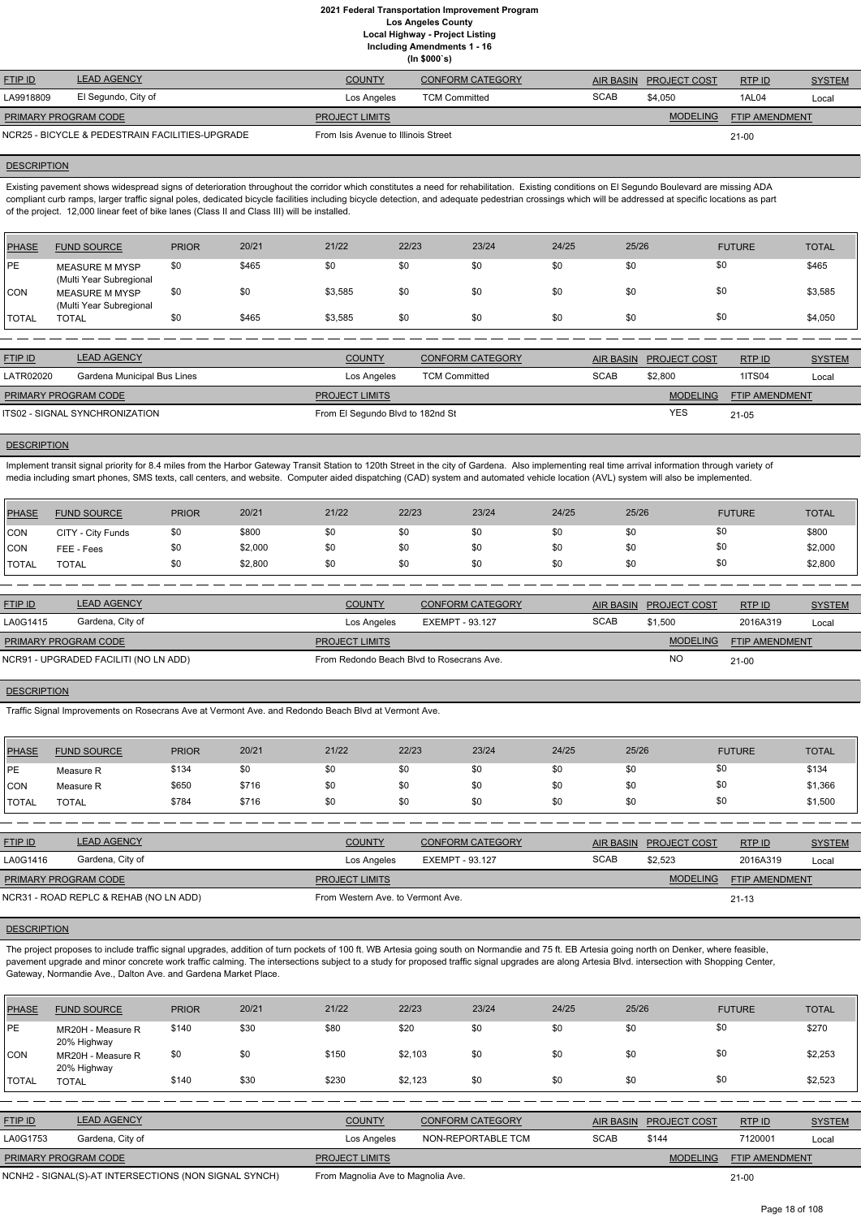**(In \$000`s)**

| <b>FTIP ID</b>              | <b>LEAD AGENCY</b>                              | <b>COUNTY</b>                       | <b>CONFORM CATEGORY</b> | AIR BASIN   | <b>PROJECT COST</b> | RTPID                 | <b>SYSTEM</b> |
|-----------------------------|-------------------------------------------------|-------------------------------------|-------------------------|-------------|---------------------|-----------------------|---------------|
| LA9918809                   | El Segundo, City of                             | Los Angeles                         | <b>TCM Committed</b>    | <b>SCAB</b> | \$4.050             | 1AL04                 | Local         |
| <b>PRIMARY PROGRAM CODE</b> |                                                 | <b>PROJECT LIMITS</b>               |                         |             | <b>MODELING</b>     | <b>FTIP AMENDMENT</b> |               |
|                             | NCR25 - BICYCLE & PEDESTRAIN FACILITIES-UPGRADE | From Isis Avenue to Illinois Street |                         |             |                     | $21 - 00$             |               |

#### **DESCRIPTION**

Existing pavement shows widespread signs of deterioration throughout the corridor which constitutes a need for rehabilitation. Existing conditions on El Segundo Boulevard are missing ADA compliant curb ramps, larger traffic signal poles, dedicated bicycle facilities including bicycle detection, and adequate pedestrian crossings which will be addressed at specific locations as part of the project. 12,000 linear feet of bike lanes (Class II and Class III) will be installed.

Implement transit signal priority for 8.4 miles from the Harbor Gateway Transit Station to 120th Street in the city of Gardena. Also implementing real time arrival information through variety of media including smart phones, SMS texts, call centers, and website. Computer aided dispatching (CAD) system and automated vehicle location (AVL) system will also be implemented.

| PHASE        | <b>FUND SOURCE</b>                               | <b>PRIOR</b> | 20/21 | 21/22   | 22/23 | 23/24 | 24/25 | 25/26 | <b>FUTURE</b> | <b>TOTAL</b> |
|--------------|--------------------------------------------------|--------------|-------|---------|-------|-------|-------|-------|---------------|--------------|
| PE           | <b>MEASURE M MYSP</b><br>(Multi Year Subregional | \$0          | \$465 | \$0     | \$0   | \$0   | \$0   | \$0   | \$0           | \$465        |
| CON          | <b>MEASURE M MYSP</b><br>(Multi Year Subregional | \$0          | \$0   | \$3,585 | \$0   | \$0   | \$0   | \$0   | \$0           | \$3,585      |
| <b>TOTAL</b> | <b>TOTAL</b>                                     | \$0          | \$465 | \$3,585 | \$0   | \$0   | \$0   | \$0   | \$0           | \$4,050      |

| <b>FTIP ID</b>              | <b>LEAD AGENCY</b>             | <b>COUNTY</b>                    | <b>CONFORM CATEGORY</b> |             | AIR BASIN PROJECT COST | RTPID                 | <b>SYSTEM</b> |
|-----------------------------|--------------------------------|----------------------------------|-------------------------|-------------|------------------------|-----------------------|---------------|
| <b>LATR02020</b>            | Gardena Municipal Bus Lines    | Los Angeles                      | <b>TCM Committed</b>    | <b>SCAB</b> | \$2,800                | 1ITS04                | Local         |
| <b>PRIMARY PROGRAM CODE</b> |                                | <b>PROJECT LIMITS</b>            |                         |             | <b>MODELING</b>        | <b>FTIP AMENDMENT</b> |               |
|                             | ITS02 - SIGNAL SYNCHRONIZATION | From El Segundo Blvd to 182nd St |                         |             | YES                    | $21 - 05$             |               |

### **DESCRIPTION**

The project proposes to include traffic signal upgrades, addition of turn pockets of 100 ft. WB Artesia going south on Normandie and 75 ft. EB Artesia going north on Denker, where feasible, pavement upgrade and minor concrete work traffic calming. The intersections subject to a study for proposed traffic signal upgrades are along Artesia Blvd. intersection with Shopping Center, Gateway, Normandie Ave., Dalton Ave. and Gardena Market Place.

| <b>PHASE</b> | <b>FUND SOURCE</b> | <b>PRIOR</b> | 20/21   | 21/22 | 22/23 | 23/24 | 24/25 | 25/26 | <b>FUTURE</b> | <b>TOTAL</b> |
|--------------|--------------------|--------------|---------|-------|-------|-------|-------|-------|---------------|--------------|
| <b>CON</b>   | CITY - City Funds  | \$0          | \$800   | \$0   | \$0   | \$0   | \$0   |       | \$0           | \$800        |
| <b>CON</b>   | FEE - Fees         | \$0          | \$2,000 | \$0   | \$0   | \$0   | \$0   |       | \$0           | \$2,000      |
| <b>TOTAL</b> | <b>TOTAL</b>       | \$0          | \$2,800 | \$0   | \$0   | \$0   | \$0   |       | \$0           | \$2,800      |

| <b>FTIP ID</b>                        | <b>LEAD AGENCY</b> | <b>COUNTY</b>                             | <b>CONFORM CATEGORY</b> | AIR BASIN   | <b>PROJECT COST</b> | RTP ID                | <b>SYSTEM</b> |
|---------------------------------------|--------------------|-------------------------------------------|-------------------------|-------------|---------------------|-----------------------|---------------|
| LA0G1415                              | Gardena, City of   | Los Angeles                               | EXEMPT - 93.127         | <b>SCAB</b> | \$1.500             | 2016A319              | Local         |
| <b>PRIMARY PROGRAM CODE</b>           |                    | <b>PROJECT LIMITS</b>                     |                         |             | <b>MODELING</b>     | <b>FTIP AMENDMENT</b> |               |
| NCR91 - UPGRADED FACILITI (NO LN ADD) |                    | From Redondo Beach Blvd to Rosecrans Ave. |                         | NO          | $21 - 00$           |                       |               |
|                                       |                    |                                           |                         |             |                     |                       |               |

## **DESCRIPTION**

Traffic Signal Improvements on Rosecrans Ave at Vermont Ave. and Redondo Beach Blvd at Vermont Ave.

| PHASE        | <b>FUND SOURCE</b> | <b>PRIOR</b> | 20/21 | 21/22 | 22/23 | 23/24 | 24/25 | 25/26 | <b>FUTURE</b> | <b>TOTAL</b> |
|--------------|--------------------|--------------|-------|-------|-------|-------|-------|-------|---------------|--------------|
| <b>IPE</b>   | Measure R          | \$134        |       | \$0   | \$0   | \$0   | \$0   | \$0   | \$0           | \$134        |
| CON          | Measure R          | \$650        | \$716 | \$0   | \$0   | \$0   | \$0   | \$0   | \$0           | \$1,366      |
| <b>TOTAL</b> | <b>TOTAL</b>       | \$784        | \$716 | \$0   | \$0   | \$0   | \$0   | \$0   | \$0           | \$1,500      |

| <b>LEAD AGENCY</b>                     | <b>COUNTY</b>         | <b>CONFORM CATEGORY</b> |                                   |                 | RTP ID                 | <b>SYSTEM</b> |
|----------------------------------------|-----------------------|-------------------------|-----------------------------------|-----------------|------------------------|---------------|
| Gardena, City of                       | Los Angeles           | EXEMPT - 93.127         | <b>SCAB</b>                       | \$2,523         | 2016A319               | Local         |
| PRIMARY PROGRAM CODE                   | <b>PROJECT LIMITS</b> |                         |                                   | <b>MODELING</b> | FTIP AMENDMENT         |               |
| NCR31 - ROAD REPLC & REHAB (NO LN ADD) |                       |                         |                                   | $21 - 13$       |                        |               |
|                                        |                       |                         | From Western Ave. to Vermont Ave. |                 | AIR BASIN PROJECT COST |               |

| <b>PHASE</b>   | <b>FUND SOURCE</b>               | <b>PRIOR</b> | 20/21 | 21/22         | 22/23   | 23/24                   | 24/25            | 25/26               | <b>FUTURE</b> | <b>TOTAL</b>  |
|----------------|----------------------------------|--------------|-------|---------------|---------|-------------------------|------------------|---------------------|---------------|---------------|
| <b>PE</b>      | MR20H - Measure R<br>20% Highway | \$140        | \$30  | \$80          | \$20    | \$0                     | \$0              | \$0                 | \$0           | \$270         |
| <b>CON</b>     | MR20H - Measure R<br>20% Highway | \$0          | \$0   | \$150         | \$2,103 | \$0                     | \$0              | \$0                 | \$0           | \$2,253       |
| <b>TOTAL</b>   | <b>TOTAL</b>                     | \$140        | \$30  | \$230         | \$2,123 | \$0                     | \$0              | \$0                 | \$0           | \$2,523       |
|                |                                  |              |       |               |         |                         |                  |                     |               |               |
| <b>FTIP ID</b> | <b>LEAD AGENCY</b>               |              |       | <b>COUNTY</b> |         | <b>CONFORM CATEGORY</b> | <b>AIR BASIN</b> | <b>PROJECT COST</b> | RTP ID        | <b>SYSTEM</b> |

| LA0G1753                    | Gardena, City of                                      | Los Angeles                        | NON-REPORTABLE TCM | <b>SCAB</b> | \$144           | 7120001               | Local |  |
|-----------------------------|-------------------------------------------------------|------------------------------------|--------------------|-------------|-----------------|-----------------------|-------|--|
| <b>PRIMARY PROGRAM CODE</b> |                                                       | <b>PROJECT LIMITS</b>              |                    |             | <b>MODELING</b> | <b>FTIP AMENDMENT</b> |       |  |
|                             | NCNH2 - SIGNAL(S)-AT INTERSECTIONS (NON SIGNAL SYNCH) | From Magnolia Ave to Magnolia Ave. |                    |             |                 | 21-00                 |       |  |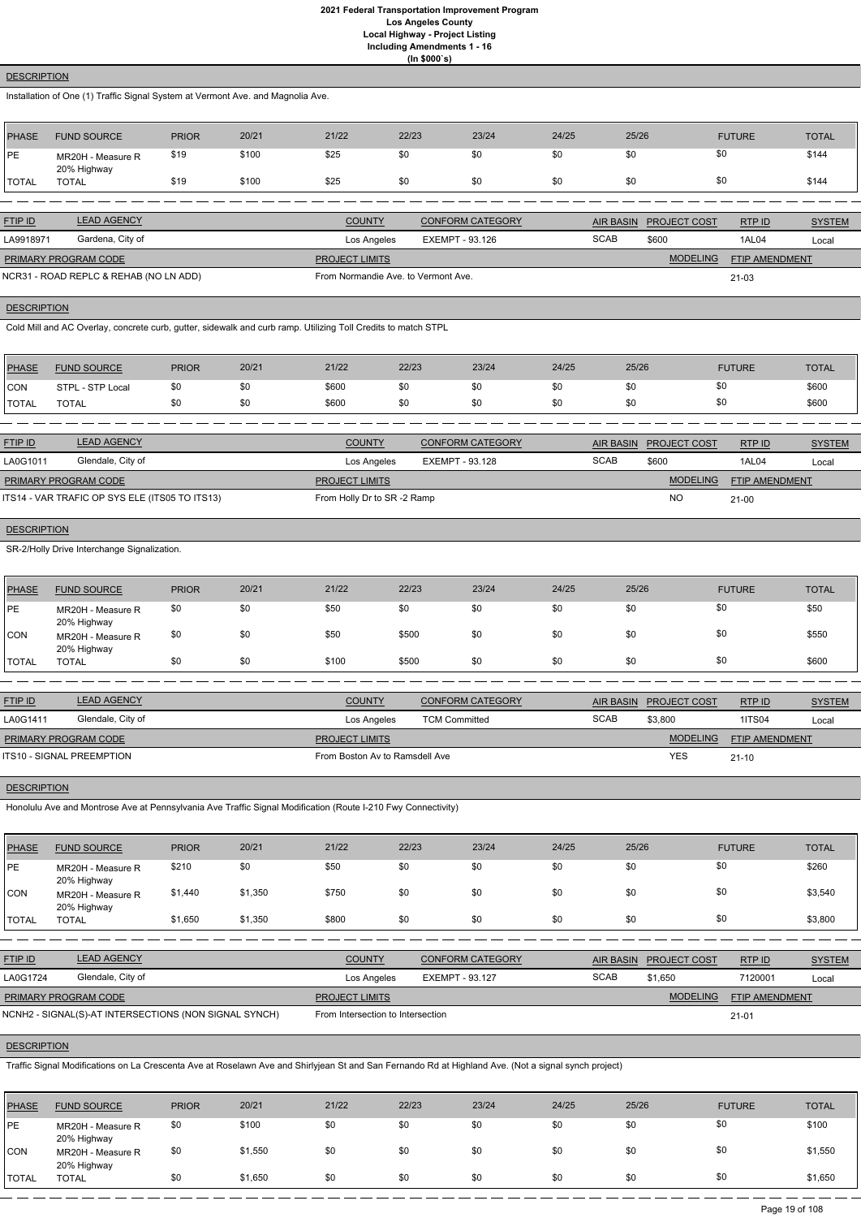# **DESCRIPTION**

Installation of One (1) Traffic Signal System at Vermont Ave. and Magnolia Ave.

| PHASE         | <b>FUND SOURCE</b>               | <b>PRIOR</b> | 20/21 | 21/22 | 22/23 | 23/24 | 24/25 | 25/26 | <b>FUTURE</b> | <b>TOTAL</b> |
|---------------|----------------------------------|--------------|-------|-------|-------|-------|-------|-------|---------------|--------------|
| PE            | MR20H - Measure R<br>20% Highway | \$19         | \$100 | \$25  | \$0   | \$0   | \$0   | \$0   | \$0           | \$144        |
| <b>ITOTAL</b> | <b>TOTAL</b>                     | \$19         | \$100 | \$25  | \$0   | \$0   | \$0   | \$0   | \$0           | \$144        |

| <b>FTIP ID</b>       | <b>LEAD AGENCY</b>                     | <b>COUNTY</b>                       | <b>CONFORM CATEGORY</b> | <b>AIR BASIN</b> | <b>PROJECT COST</b> | RTPID                 | <b>SYSTEM</b> |
|----------------------|----------------------------------------|-------------------------------------|-------------------------|------------------|---------------------|-----------------------|---------------|
| LA9918971            | Gardena, City of                       | Los Angeles                         | EXEMPT - 93.126         | <b>SCAB</b>      | \$600               | 1AL04                 | Local         |
| PRIMARY PROGRAM CODE |                                        | <b>PROJECT LIMITS</b>               |                         |                  | <b>MODELING</b>     | <b>FTIP AMENDMENT</b> |               |
|                      | NCR31 - ROAD REPLC & REHAB (NO LN ADD) | From Normandie Ave. to Vermont Ave. |                         |                  |                     | $21 - 03$             |               |

# **DESCRIPTION**

Cold Mill and AC Overlay, concrete curb, gutter, sidewalk and curb ramp. Utilizing Toll Credits to match STPL

| <b>PHASE</b> | <b>FUND SOURCE</b> | <b>PRIOR</b> | 20/21 | 21/22 | 22/23 | 23/24 | 24/25 | 25/26 | <b>FUTURE</b> | <b>TOTAL</b> |
|--------------|--------------------|--------------|-------|-------|-------|-------|-------|-------|---------------|--------------|
| <b>CON</b>   | STPL - STP Local   | \$0          | \$0   | \$600 |       | \$0   | \$0   | \$0   | ა∪            | \$600        |
| <b>TOTAL</b> | <b>TOTAL</b>       | \$0          | \$0   | \$600 |       | \$0   | \$0   | \$0   | งบ            | \$600        |

| <b>FTIP ID</b>                                 | <b>LEAD AGENCY</b> | <b>COUNTY</b>              | <b>CONFORM CATEGORY</b> | AIR BASIN   | <b>PROJECT COST</b> | RTPID                 | <b>SYSTEM</b> |
|------------------------------------------------|--------------------|----------------------------|-------------------------|-------------|---------------------|-----------------------|---------------|
| LA0G1011                                       | Glendale, City of  | Los Angeles                | EXEMPT - 93.128         | <b>SCAB</b> | \$600               | 1AL04                 | Local         |
| <b>PRIMARY PROGRAM CODE</b>                    |                    | <b>PROJECT LIMITS</b>      |                         |             | <b>MODELING</b>     | <b>FTIP AMENDMENT</b> |               |
| ITS14 - VAR TRAFIC OP SYS ELE (ITS05 TO ITS13) |                    | From Holly Dr to SR-2 Ramp |                         |             | <b>NC</b>           | $21 - 00$             |               |

# **DESCRIPTION**

SR-2/Holly Drive Interchange Signalization.

| <b>PHASE</b> | <b>FUND SOURCE</b>               | <b>PRIOR</b> | 20/21 | 21/22 | 22/23 | 23/24 | 24/25 | 25/26 | <b>FUTURE</b> | <b>TOTAL</b> |
|--------------|----------------------------------|--------------|-------|-------|-------|-------|-------|-------|---------------|--------------|
| PE           | MR20H - Measure R<br>20% Highway | \$0          | \$0   | \$50  | \$0   | \$0   | \$0   | \$0   | \$0           | \$50         |
| <b>CON</b>   | MR20H - Measure R<br>20% Highway | \$0          | \$0   | \$50  | \$500 | \$0   | \$0   | \$0   | \$0           | \$550        |
| TOTAL        | <b>TOTAL</b>                     | \$0          | \$0   | \$100 | \$500 | \$0   | \$0   | \$0   | \$0           | \$600        |

| <b>FTIP ID</b>            | <b>LEAD AGENCY</b> | <b>COUNTY</b>                  | <b>CONFORM CATEGORY</b> |             | AIR BASIN PROJECT COST | RTP ID                | <b>SYSTEM</b> |
|---------------------------|--------------------|--------------------------------|-------------------------|-------------|------------------------|-----------------------|---------------|
| LA0G1411                  | Glendale, City of  | Los Angeles                    | <b>TCM Committed</b>    | <b>SCAB</b> | \$3,800                | <b>1ITS04</b>         | Local         |
| PRIMARY PROGRAM CODE      |                    | <b>PROJECT LIMITS</b>          |                         |             | <b>MODELING</b>        | <b>FTIP AMENDMENT</b> |               |
| ITS10 - SIGNAL PREEMPTION |                    | From Boston Av to Ramsdell Ave |                         |             | <b>YES</b>             | $21 - 10$             |               |
|                           |                    |                                |                         |             |                        |                       |               |

# **DESCRIPTION**

Honolulu Ave and Montrose Ave at Pennsylvania Ave Traffic Signal Modification (Route I-210 Fwy Connectivity)

| PHASE          | <b>FUND SOURCE</b>                                    | <b>PRIOR</b> | 20/21   | 21/22                             | 22/23                  | 23/24                   | 24/25            | 25/26               | <b>FUTURE</b>  | <b>TOTAL</b>  |
|----------------|-------------------------------------------------------|--------------|---------|-----------------------------------|------------------------|-------------------------|------------------|---------------------|----------------|---------------|
| <b>PE</b>      | MR20H - Measure R<br>20% Highway                      | \$210        | \$0     | \$50                              | \$0                    | \$0                     | \$0              | \$0                 | \$0            | \$260         |
| CON            | MR20H - Measure R<br>20% Highway                      | \$1,440      | \$1,350 | \$750                             | \$0                    | \$0                     | \$0              | \$0                 | \$0            | \$3,540       |
| <b>TOTAL</b>   | <b>TOTAL</b>                                          | \$1,650      | \$1,350 | \$800                             | \$0                    | \$0                     | \$0              | \$0                 | \$0            | \$3,800       |
|                |                                                       |              |         |                                   |                        |                         |                  |                     |                |               |
| <b>FTIP ID</b> | <b>LEAD AGENCY</b>                                    |              |         | <b>COUNTY</b>                     |                        | <b>CONFORM CATEGORY</b> | <b>AIR BASIN</b> | <b>PROJECT COST</b> | RTP ID         | <b>SYSTEM</b> |
| LA0G1724       | Glendale, City of                                     |              |         | Los Angeles                       | <b>EXEMPT - 93.127</b> |                         | <b>SCAB</b>      | \$1,650             | 7120001        | Local         |
|                | PRIMARY PROGRAM CODE                                  |              |         | <b>PROJECT LIMITS</b>             |                        |                         |                  | <b>MODELING</b>     | FTIP AMENDMENT |               |
|                | NCNH2 - SIGNAL(S)-AT INTERSECTIONS (NON SIGNAL SYNCH) |              |         | From Intersection to Intersection |                        |                         |                  |                     | $21 - 01$      |               |

# **DESCRIPTION**

Traffic Signal Modifications on La Crescenta Ave at Roselawn Ave and Shirlyjean St and San Fernando Rd at Highland Ave. (Not a signal synch project)

| <b>PHASE</b> | <b>FUND SOURCE</b>               | <b>PRIOR</b> | 20/21   | 21/22 | 22/23 | 23/24 | 24/25 | 25/26 | <b>FUTURE</b> | <b>TOTAL</b> |
|--------------|----------------------------------|--------------|---------|-------|-------|-------|-------|-------|---------------|--------------|
| <b>IPE</b>   | MR20H - Measure R<br>20% Highway | \$0          | \$100   | \$0   | \$0   | \$0   | \$0   | \$0   | \$0           | \$100        |
| <b>CON</b>   | MR20H - Measure R<br>20% Highway | \$0          | \$1,550 | \$0   | \$0   | \$0   | \$0   | \$0   | \$0           | \$1,550      |
| <b>TOTAL</b> | TOTAL                            | \$0          | \$1,650 | \$0   | \$0   | \$0   | \$0   | \$0   | \$0           | \$1,650      |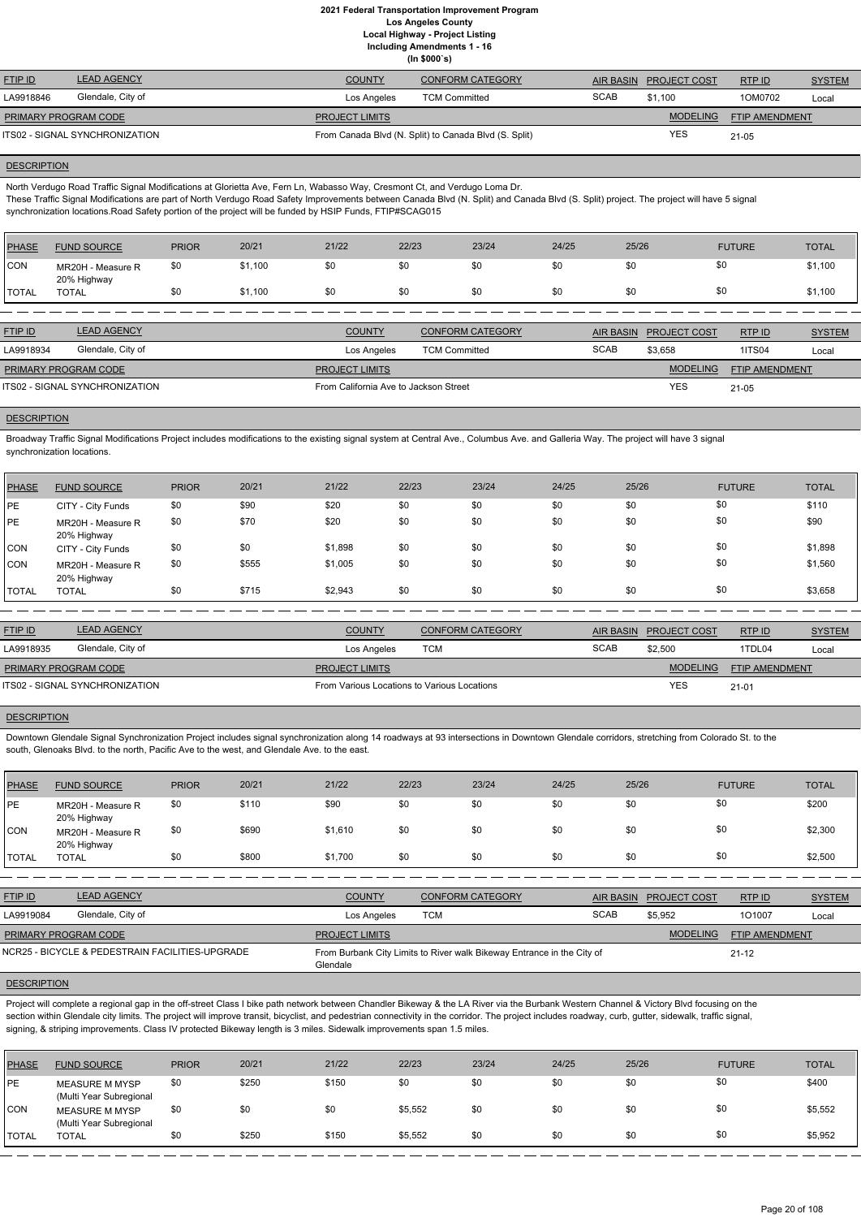**Including Amendments 1 - 16**

| (ln \$000's) |  |
|--------------|--|

| <b>FTIP ID</b>                 | <b>LEAD AGENCY</b> | <b>COUNTY</b>         | <b>CONFORM CATEGORY</b>                               | AIR BASIN   | <b>PROJECT COST</b> | RTPID                 | <b>SYSTEM</b> |
|--------------------------------|--------------------|-----------------------|-------------------------------------------------------|-------------|---------------------|-----------------------|---------------|
| LA9918846                      | Glendale, City of  | Los Angeles           | <b>TCM Committed</b>                                  | <b>SCAB</b> | \$1.100             | 1OM0702               | Local         |
| <b>PRIMARY PROGRAM CODE</b>    |                    | <b>PROJECT LIMITS</b> |                                                       |             | <b>MODELING</b>     | <b>FTIP AMENDMENT</b> |               |
| ITS02 - SIGNAL SYNCHRONIZATION |                    |                       | From Canada Blvd (N. Split) to Canada Blvd (S. Split) |             | YES                 | 21-05                 |               |

#### **DESCRIPTION**

North Verdugo Road Traffic Signal Modifications at Glorietta Ave, Fern Ln, Wabasso Way, Cresmont Ct, and Verdugo Loma Dr.

These Traffic Signal Modifications are part of North Verdugo Road Safety Improvements between Canada Blvd (N. Split) and Canada Blvd (S. Split) project. The project will have 5 signal synchronization locations.Road Safety portion of the project will be funded by HSIP Funds, FTIP#SCAG015

| <b>PHASE</b> | <b>FUND SOURCE</b>               | <b>PRIOR</b> | 20/21   | 21/22 | 22/23 | 23/24 | 24/25 | 25/26 | <b>FUTURE</b> | <b>TOTAL</b> |
|--------------|----------------------------------|--------------|---------|-------|-------|-------|-------|-------|---------------|--------------|
| CON          | MR20H - Measure R<br>20% Highway | \$0          | \$1,100 | \$0   |       | \$0   | \$0   | \$0   | \$0           | \$1,100      |
| <b>TOTAL</b> | <b>TOTAL</b>                     | \$0          | \$1,100 | \$0   |       | \$0   | \$0   | \$0   | \$0           | \$1,100      |

| <b>FTIP ID</b>                 | <b>LEAD AGENCY</b> | <b>COUNTY</b>                         | <b>CONFORM CATEGORY</b> | AIR BASIN   | <b>PROJECT COST</b> | RTP ID         | <b>SYSTEM</b> |
|--------------------------------|--------------------|---------------------------------------|-------------------------|-------------|---------------------|----------------|---------------|
| LA9918934                      | Glendale, City of  | Los Angeles                           | <b>TCM Committed</b>    | <b>SCAB</b> | \$3,658             | <b>1ITS04</b>  | Local         |
| <b>PRIMARY PROGRAM CODE</b>    |                    | <b>PROJECT LIMITS</b>                 |                         |             | <b>MODELING</b>     | FTIP AMENDMENT |               |
| ITS02 - SIGNAL SYNCHRONIZATION |                    | From California Ave to Jackson Street |                         |             | <b>YES</b>          | $21 - 05$      |               |

# **DESCRIPTION**

Broadway Traffic Signal Modifications Project includes modifications to the existing signal system at Central Ave., Columbus Ave. and Galleria Way. The project will have 3 signal synchronization locations.

| PHASE        | <b>FUND SOURCE</b>               | <b>PRIOR</b> | 20/21 | 21/22   | 22/23 | 23/24 | 24/25 | 25/26 | <b>FUTURE</b> | <b>TOTAL</b> |
|--------------|----------------------------------|--------------|-------|---------|-------|-------|-------|-------|---------------|--------------|
| <b>PE</b>    | CITY - City Funds                | \$0          | \$90  | \$20    | \$0   | \$0   | \$0   | \$0   | \$0           | \$110        |
| PE           | MR20H - Measure R<br>20% Highway | \$0          | \$70  | \$20    | \$0   | \$0   | \$0   | \$0   | \$0           | \$90         |
| CON          | CITY - City Funds                | \$0          | \$0   | \$1,898 | \$0   | \$0   | \$0   | \$0   | \$0           | \$1,898      |
| CON          | MR20H - Measure R<br>20% Highway | \$0          | \$555 | \$1,005 | \$0   | \$0   | \$0   | \$0   | \$0           | \$1,560      |
| <b>TOTAL</b> | <b>TOTAL</b>                     | \$0          | \$715 | \$2,943 | \$0   | \$0   | \$0   | \$0   | \$0           | \$3,658      |

Project will complete a regional gap in the off-street Class I bike path network between Chandler Bikeway & the LA River via the Burbank Western Channel & Victory Blvd focusing on the section within Glendale city limits. The project will improve transit, bicyclist, and pedestrian connectivity in the corridor. The project includes roadway, curb, gutter, sidewalk, traffic signal, signing, & striping improvements. Class IV protected Bikeway length is 3 miles. Sidewalk improvements span 1.5 miles.

| <b>FTIP ID</b>                 | <b>LEAD AGENCY</b> | <b>COUNTY</b>                               | <b>CONFORM CATEGORY</b> |             | AIR BASIN PROJECT COST | <b>RTPID</b>          | <b>SYSTEM</b> |
|--------------------------------|--------------------|---------------------------------------------|-------------------------|-------------|------------------------|-----------------------|---------------|
| LA9918935                      | Glendale, City of  | Los Angeles                                 | тсм                     | <b>SCAB</b> | \$2,500                | 1TDL04                | Local         |
| PRIMARY PROGRAM CODE           |                    | <b>PROJECT LIMITS</b>                       |                         |             | <b>MODELING</b>        | <b>FTIP AMENDMENT</b> |               |
| ITS02 - SIGNAL SYNCHRONIZATION |                    | From Various Locations to Various Locations |                         |             | <b>YES</b>             | $21 - 01$             |               |

#### **DESCRIPTION**

Downtown Glendale Signal Synchronization Project includes signal synchronization along 14 roadways at 93 intersections in Downtown Glendale corridors, stretching from Colorado St. to the south, Glenoaks Blvd. to the north, Pacific Ave to the west, and Glendale Ave. to the east.

| PHASE        | <b>FUND SOURCE</b>               | <b>PRIOR</b> | 20/21 | 21/22   | 22/23 | 23/24 | 24/25 | 25/26 | <b>FUTURE</b> | <b>TOTAL</b> |
|--------------|----------------------------------|--------------|-------|---------|-------|-------|-------|-------|---------------|--------------|
| PE           | MR20H - Measure R<br>20% Highway | \$0          | \$110 | \$90    | \$0   | \$0   | \$0   | \$0   | \$0           | \$200        |
| <b>CON</b>   | MR20H - Measure R<br>20% Highway | \$0          | \$690 | \$1,610 | \$0   | \$0   | \$0   | \$0   | \$0           | \$2,300      |
| <b>TOTAL</b> | <b>TOTAL</b>                     | \$0          | \$800 | \$1,700 | \$0   | \$0   | \$0   | \$0   | \$0           | \$2,500      |

| <b>FTIP ID</b> | <b>LEAD AGENCY</b> | <b>COUNTY</b> | <b>CONFORM CATEGORY</b> | <b>AIR BASIN</b> | <b>PROJECT COST</b> | RTP ID | <u>SYSTEM</u> |
|----------------|--------------------|---------------|-------------------------|------------------|---------------------|--------|---------------|
| LA9919084      | Glendale, City of  | Los Angeles   | <b>TCM</b>              | <b>SCAB</b>      | \$5,952             | 1O1007 | Loca          |

| PRIMARY PROGRAM CODE                            | <b>PROJECT LIMITS</b>                                                              | <b>MODELING</b> | <b>FTIP AMENDMENT</b> |
|-------------------------------------------------|------------------------------------------------------------------------------------|-----------------|-----------------------|
| NCR25 - BICYCLE & PEDESTRAIN FACILITIES-UPGRADE | From Burbank City Limits to River walk Bikeway Entrance in the City of<br>Glendale |                 | $21 - 12$             |
| <b>DESCRIPTION</b>                              |                                                                                    |                 |                       |

| <b>PHASE</b>  | <b>FUND SOURCE</b>                               | <b>PRIOR</b> | 20/21 | 21/22 | 22/23   | 23/24 | 24/25 | 25/26 | <b>FUTURE</b> | <b>TOTAL</b> |
|---------------|--------------------------------------------------|--------------|-------|-------|---------|-------|-------|-------|---------------|--------------|
| <b>PE</b>     | <b>MEASURE M MYSP</b><br>(Multi Year Subregional | \$0          | \$250 | \$150 | \$0     | \$0   | \$0   | \$0   | \$0           | \$400        |
| CON           | MEASURE M MYSP<br>(Multi Year Subregional        | \$0          | \$0   | \$0   | \$5,552 | \$0   | \$0   |       | \$0           | \$5,552      |
| <b>ITOTAL</b> | <b>TOTAL</b>                                     | \$0          | \$250 | \$150 | \$5,552 | \$0   | \$0   | \$0   | \$0           | \$5,952      |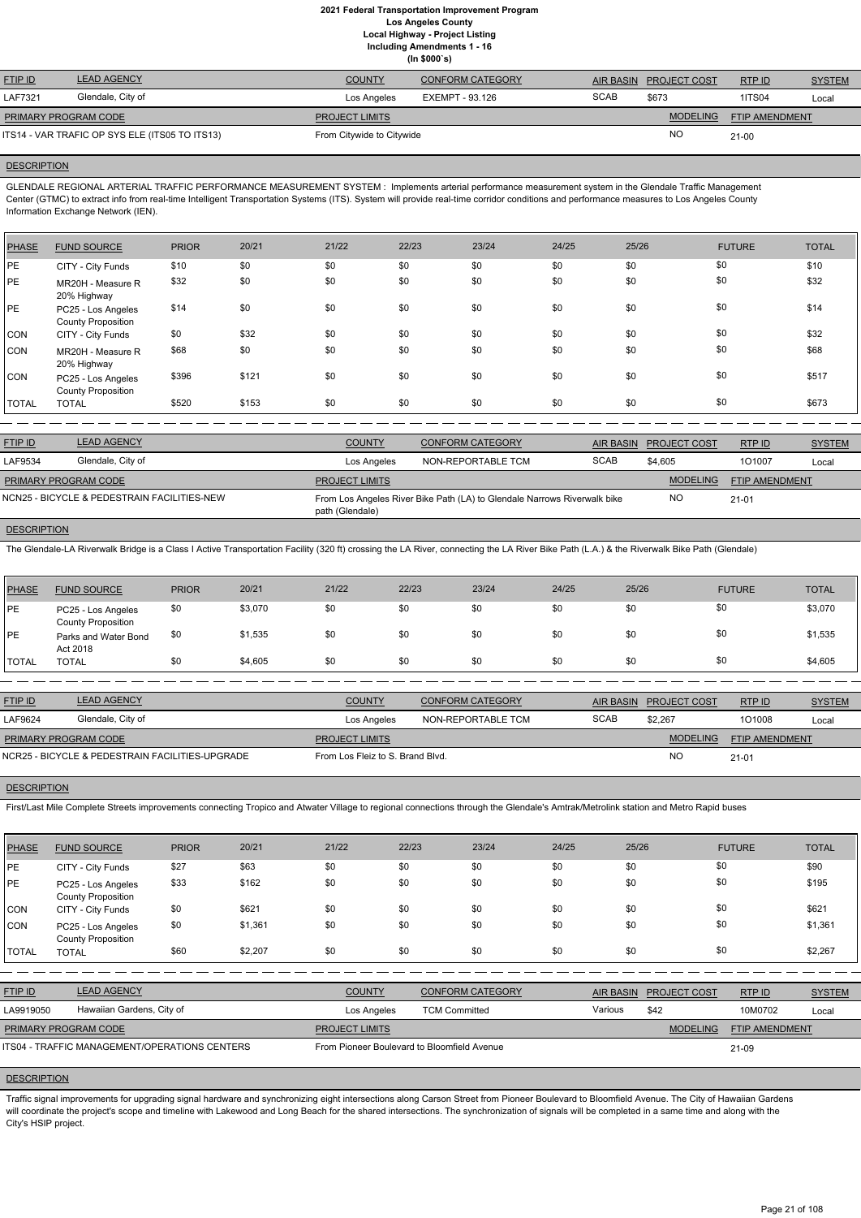|                                                |                    |                           | (ln \$000's)     |             |                     |                       |               |
|------------------------------------------------|--------------------|---------------------------|------------------|-------------|---------------------|-----------------------|---------------|
| <b>FTIP ID</b>                                 | <b>LEAD AGENCY</b> | <b>COUNTY</b>             | CONFORM CATEGORY | AIR BASIN   | <b>PROJECT COST</b> | RTPID                 | <b>SYSTEM</b> |
| LAF7321                                        | Glendale, City of  | Los Angeles               | EXEMPT - 93.126  | <b>SCAB</b> | \$673               | <b>1ITS04</b>         | Local         |
| <b>PRIMARY PROGRAM CODE</b>                    |                    | <b>PROJECT LIMITS</b>     |                  |             | <b>MODELING</b>     | <b>FTIP AMENDMENT</b> |               |
| ITS14 - VAR TRAFIC OP SYS ELE (ITS05 TO ITS13) |                    | From Citywide to Citywide |                  |             | <b>NO</b>           | $21 - 00$             |               |

ITS14 - VAR TRAFIC OP SYS ELE (ITS05 TO ITS13) From Citywide to Citywide

#### **DESCRIPTION**

GLENDALE REGIONAL ARTERIAL TRAFFIC PERFORMANCE MEASUREMENT SYSTEM : Implements arterial performance measurement system in the Glendale Traffic Management Center (GTMC) to extract info from real-time Intelligent Transportation Systems (ITS). System will provide real-time corridor conditions and performance measures to Los Angeles County Information Exchange Network (IEN).

| PHASE        | <b>FUND SOURCE</b>                              | <b>PRIOR</b> | 20/21 | 21/22 | 22/23 | 23/24 | 24/25 | 25/26 | <b>FUTURE</b> | <b>TOTAL</b> |
|--------------|-------------------------------------------------|--------------|-------|-------|-------|-------|-------|-------|---------------|--------------|
| PE           | CITY - City Funds                               | \$10         | \$0   | \$0   | \$0   | \$0   | \$0   | \$0   | \$0           | \$10         |
| PE           | MR20H - Measure R<br>20% Highway                | \$32         | \$0   | \$0   | \$0   | \$0   | \$0   | \$0   | \$0           | \$32         |
| <b>PE</b>    | PC25 - Los Angeles<br><b>County Proposition</b> | \$14         | \$0   | \$0   | \$0   | \$0   | \$0   | \$0   | \$0           | \$14         |
| CON          | CITY - City Funds                               | \$0          | \$32  | \$0   | \$0   | \$0   | \$0   | \$0   | \$0           | \$32         |
| CON          | MR20H - Measure R<br>20% Highway                | \$68         | \$0   | \$0   | \$0   | \$0   | \$0   | \$0   | \$0           | \$68         |
| <b>CON</b>   | PC25 - Los Angeles<br><b>County Proposition</b> | \$396        | \$121 | \$0   | \$0   | \$0   | \$0   | \$0   | \$0           | \$517        |
| <b>TOTAL</b> | <b>TOTAL</b>                                    | \$520        | \$153 | \$0   | \$0   | \$0   | \$0   | \$0   | \$0           | \$673        |

| <b>FTIP ID</b>       | <b>LEAD AGENCY</b>                          | <b>COUNTY</b>                                                                               | CONFORM CATEGORY   |             | AIR BASIN PROJECT COST | RTPID          | <b>SYSTEM</b> |
|----------------------|---------------------------------------------|---------------------------------------------------------------------------------------------|--------------------|-------------|------------------------|----------------|---------------|
| LAF9534              | Glendale, City of                           | Los Angeles                                                                                 | NON-REPORTABLE TCM | <b>SCAB</b> | \$4.605                | 101007         | Local         |
| PRIMARY PROGRAM CODE |                                             | <b>PROJECT LIMITS</b>                                                                       |                    |             | <b>MODELING</b>        | FTIP AMENDMENT |               |
|                      | NCN25 - BICYCLE & PEDESTRAIN FACILITIES-NEW | From Los Angeles River Bike Path (LA) to Glendale Narrows Riverwalk bike<br>path (Glendale) |                    | NO.         | $21 - 01$              |                |               |

#### **DESCRIPTION**

The Glendale-LA Riverwalk Bridge is a Class I Active Transportation Facility (320 ft) crossing the LA River, connecting the LA River Bike Path (L.A.) & the Riverwalk Bike Path (Glendale)

| <b>PHASE</b> | <b>FUND SOURCE</b>                              | <b>PRIOR</b> | 20/21   | 21/22 | 22/23 | 23/24 | 24/25 | 25/26 | <b>FUTURE</b> | <b>TOTAL</b> |
|--------------|-------------------------------------------------|--------------|---------|-------|-------|-------|-------|-------|---------------|--------------|
| PE           | PC25 - Los Angeles<br><b>County Proposition</b> | \$0          | \$3,070 | \$0   | \$0   | \$0   | \$0   | \$0   | \$0           | \$3,070      |
| PE           | Parks and Water Bond<br>Act 2018                | \$0          | \$1,535 | \$0   | \$0   | \$0   | \$0   | \$0   | \$0           | \$1,535      |
| <b>TOTAL</b> | <b>TOTAL</b>                                    | \$0          | \$4,605 | \$0   | \$0   | \$0   | \$0   | \$0   | \$0           | \$4,605      |

| <b>FTIP ID</b>              | <b>LEAD AGENCY</b>                              | <b>COUNTY</b>                    | <b>CONFORM CATEGORY</b> |             | AIR BASIN PROJECT COST | RTPID          | <b>SYSTEM</b> |
|-----------------------------|-------------------------------------------------|----------------------------------|-------------------------|-------------|------------------------|----------------|---------------|
| LAF9624                     | Glendale, City of                               | Los Angeles                      | NON-REPORTABLE TCM      | <b>SCAB</b> | \$2.267                | 101008         | Local         |
| <b>PRIMARY PROGRAM CODE</b> |                                                 | <b>PROJECT LIMITS</b>            |                         |             | <b>MODELING</b>        | FTIP AMENDMENT |               |
|                             | NCR25 - BICYCLE & PEDESTRAIN FACILITIES-UPGRADE | From Los Fleiz to S. Brand Blvd. |                         |             | <b>NO</b>              | $21 - 01$      |               |
|                             |                                                 |                                  |                         |             |                        |                |               |

#### **DESCRIPTION**

First/Last Mile Complete Streets improvements connecting Tropico and Atwater Village to regional connections through the Glendale's Amtrak/Metrolink station and Metro Rapid buses

| <b>PHASE</b>         | <b>FUND SOURCE</b>                              | <b>PRIOR</b> | 20/21   | 21/22                                       | 22/23                | 23/24                   | 24/25   | 25/26            |                     | <b>FUTURE</b>  | <b>TOTAL</b>  |
|----------------------|-------------------------------------------------|--------------|---------|---------------------------------------------|----------------------|-------------------------|---------|------------------|---------------------|----------------|---------------|
| PE                   | CITY - City Funds                               | \$27         | \$63    | \$0                                         | \$0                  | \$0                     | \$0     | \$0              | \$0                 |                | \$90          |
| <b>PE</b>            | PC25 - Los Angeles<br><b>County Proposition</b> | \$33         | \$162   | \$0                                         | \$0                  | \$0                     | \$0     | \$0              | \$0                 |                | \$195         |
| CON                  | CITY - City Funds                               | \$0          | \$621   | \$0                                         | \$0                  | \$0                     | \$0     | \$0              | \$0                 |                | \$621         |
| CON                  | PC25 - Los Angeles<br><b>County Proposition</b> | \$0          | \$1,361 | \$0                                         | \$0                  | \$0                     | \$0     | \$0              | \$0                 |                | \$1,361       |
| <b>TOTAL</b>         | <b>TOTAL</b>                                    | \$60         | \$2,207 | \$0                                         | \$0                  | \$0                     | \$0     | \$0              | \$0                 |                | \$2,267       |
|                      |                                                 |              |         |                                             |                      |                         |         |                  |                     |                |               |
| FTIP ID              | <b>LEAD AGENCY</b>                              |              |         | <b>COUNTY</b>                               |                      | <b>CONFORM CATEGORY</b> |         | <b>AIR BASIN</b> | <b>PROJECT COST</b> | RTP ID         | <b>SYSTEM</b> |
| LA9919050            | Hawaiian Gardens, City of                       |              |         | Los Angeles                                 | <b>TCM Committed</b> |                         | Various |                  | \$42                | 10M0702        | Local         |
| PRIMARY PROGRAM CODE |                                                 |              |         | <b>PROJECT LIMITS</b>                       |                      |                         |         |                  | <b>MODELING</b>     | FTIP AMENDMENT |               |
|                      | ITS04 - TRAFFIC MANAGEMENT/OPERATIONS CENTERS   |              |         | From Pioneer Boulevard to Bloomfield Avenue |                      |                         |         |                  |                     | 21-09          |               |

## **DESCRIPTION**

Traffic signal improvements for upgrading signal hardware and synchronizing eight intersections along Carson Street from Pioneer Boulevard to Bloomfield Avenue. The City of Hawaiian Gardens will coordinate the project's scope and timeline with Lakewood and Long Beach for the shared intersections. The synchronization of signals will be completed in a same time and along with the City's HSIP project.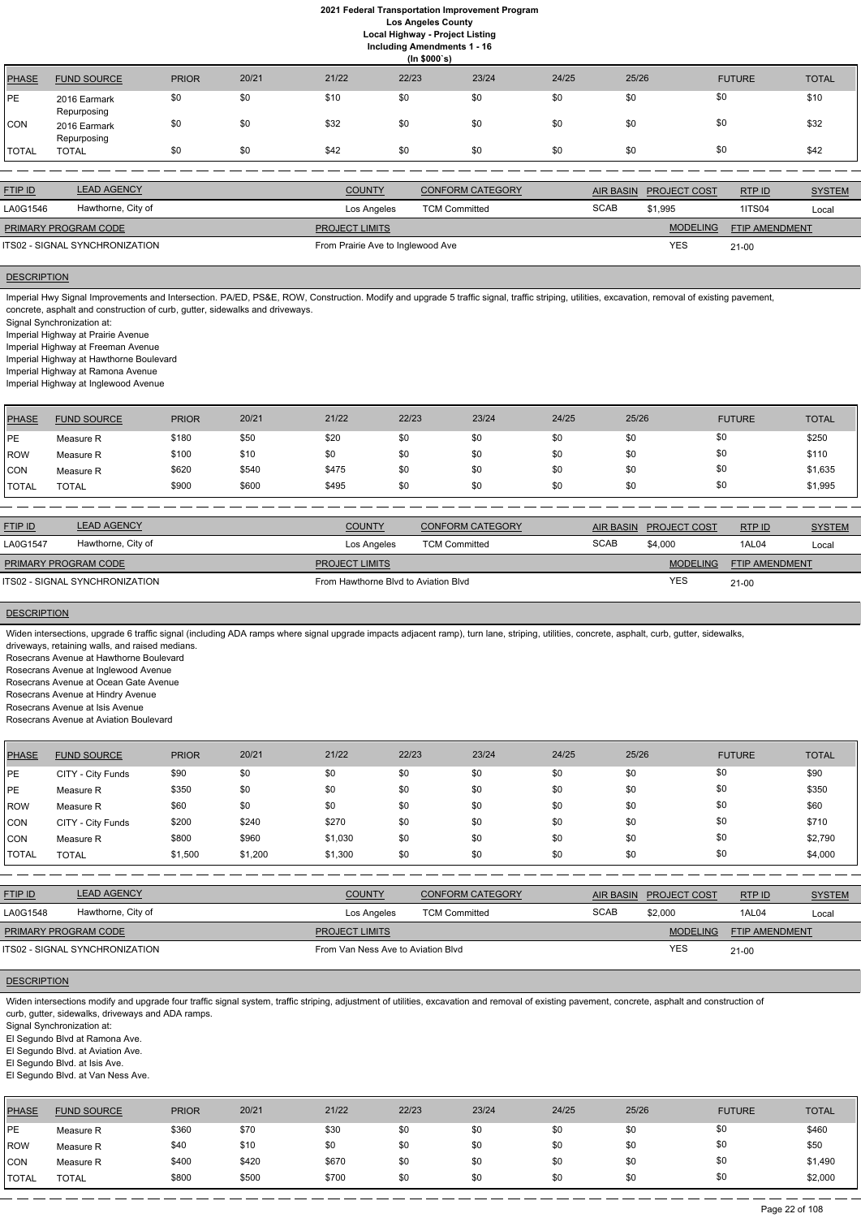| <b>Including Amendments 1 - 16</b> |  |
|------------------------------------|--|
|                                    |  |

|              | (ln \$000's)                |              |       |       |       |       |       |       |               |              |  |  |
|--------------|-----------------------------|--------------|-------|-------|-------|-------|-------|-------|---------------|--------------|--|--|
| <b>PHASE</b> | <b>FUND SOURCE</b>          | <b>PRIOR</b> | 20/21 | 21/22 | 22/23 | 23/24 | 24/25 | 25/26 | <b>FUTURE</b> | <b>TOTAL</b> |  |  |
| PE           | 2016 Earmark<br>Repurposing | \$0          | \$0   | \$10  | \$0   | \$0   | \$0   | \$0   | \$0           | \$10         |  |  |
| CON          | 2016 Earmark<br>Repurposing | \$0          | \$0   | \$32  | \$0   | \$0   | \$0   | \$0   | \$0           | \$32         |  |  |
| TOTAL        | <b>TOTAL</b>                | \$0          | \$0   | \$42  | \$0   | \$0   | \$0   | \$0   | \$0           | \$42         |  |  |

Imperial Hwy Signal Improvements and Intersection. PA/ED, PS&E, ROW, Construction. Modify and upgrade 5 traffic signal, traffic striping, utilities, excavation, removal of existing pavement, concrete, asphalt and construction of curb, gutter, sidewalks and driveways.

| <b>FTIP ID</b>              | <b>LEAD AGENCY</b>             | <b>COUNTY</b>                     | <b>CONFORM CATEGORY</b> |             | AIR BASIN PROJECT COST | RTP ID                | <b>SYSTEM</b> |
|-----------------------------|--------------------------------|-----------------------------------|-------------------------|-------------|------------------------|-----------------------|---------------|
| LA0G1546                    | Hawthorne, City of             | Los Angeles                       | <b>TCM Committed</b>    | <b>SCAB</b> | \$1,995                | <b>1ITS04</b>         | Local         |
| <b>PRIMARY PROGRAM CODE</b> |                                | <b>PROJECT LIMITS</b>             |                         |             | <b>MODELING</b>        | <b>FTIP AMENDMENT</b> |               |
|                             | ITS02 - SIGNAL SYNCHRONIZATION | From Prairie Ave to Inglewood Ave |                         | <b>YES</b>  | $21 - 00$              |                       |               |

# **DESCRIPTION**

Signal Synchronization at:

Imperial Highway at Prairie Avenue

Imperial Highway at Freeman Avenue

Imperial Highway at Hawthorne Boulevard

Imperial Highway at Ramona Avenue

Imperial Highway at Inglewood Avenue

| PHASE        | <b>FUND SOURCE</b> | <b>PRIOR</b> | 20/21 | 21/22 | 22/23 | 23/24 | 24/25 | 25/26 | <b>FUTURE</b> | <b>TOTAL</b> |
|--------------|--------------------|--------------|-------|-------|-------|-------|-------|-------|---------------|--------------|
| <b>IPE</b>   | Measure R          | \$180        | \$50  | \$20  | \$0   | \$0   | \$0   | \$0   | \$0           | \$250        |
| ROW          | Measure R          | \$100        | \$10  | \$0   | \$0   | \$0   | \$0   | \$0   | \$0           | \$110        |
| <b>CON</b>   | Measure R          | \$620        | \$540 | \$475 | \$0   | \$0   | \$0   | \$0   | \$0           | \$1,635      |
| <b>TOTAL</b> | TOTAL              | \$900        | \$600 | \$495 | \$0   | \$0   | \$0   | \$0   | \$0           | \$1,995      |

| <b>FTIP ID</b>                 | <b>LEAD AGENCY</b> | <b>COUNTY</b>                        | <b>CONFORM CATEGORY</b> | AIR BASIN   | <b>PROJECT COST</b> | RTPID                 | <b>SYSTEM</b> |
|--------------------------------|--------------------|--------------------------------------|-------------------------|-------------|---------------------|-----------------------|---------------|
| LA0G1547                       | Hawthorne, City of | Los Angeles                          | <b>TCM Committed</b>    | <b>SCAB</b> | \$4,000             | 1AL04                 | Local         |
| PRIMARY PROGRAM CODE           |                    | <b>PROJECT LIMITS</b>                |                         |             | <b>MODELING</b>     | <b>FTIP AMENDMENT</b> |               |
| ITS02 - SIGNAL SYNCHRONIZATION |                    | From Hawthorne Blvd to Aviation Blvd |                         |             | <b>YES</b>          | $21 - 00$             |               |

#### **DESCRIPTION**

Widen intersections, upgrade 6 traffic signal (including ADA ramps where signal upgrade impacts adjacent ramp), turn lane, striping, utilities, concrete, asphalt, curb, gutter, sidewalks,

driveways, retaining walls, and raised medians.

Rosecrans Avenue at Hawthorne Boulevard

Rosecrans Avenue at Inglewood Avenue Rosecrans Avenue at Ocean Gate Avenue

Rosecrans Avenue at Hindry Avenue

Rosecrans Avenue at Isis Avenue

Rosecrans Avenue at Aviation Boulevard

| <b>PHASE</b> | <b>FUND SOURCE</b> | <b>PRIOR</b> | 20/21   | 21/22   | 22/23 | 23/24 | 24/25 | 25/26 | <b>FUTURE</b> | <b>TOTAL</b> |
|--------------|--------------------|--------------|---------|---------|-------|-------|-------|-------|---------------|--------------|
| <b>PE</b>    | CITY - City Funds  | \$90         | \$0     | \$0     | \$0   | \$0   | \$0   | \$0   | \$0           | \$90         |
| <b>PE</b>    | Measure R          | \$350        | \$0     | \$0     | \$0   | \$0   | \$0   | \$0   | \$0           | \$350        |
| <b>ROW</b>   | Measure R          | \$60         | \$0     | \$0     | \$0   | \$0   | \$0   | \$0   | \$0           | \$60         |
| CON          | CITY - City Funds  | \$200        | \$240   | \$270   | \$0   | \$0   | \$0   | \$0   | \$0           | \$710        |
| <b>CON</b>   | Measure R          | \$800        | \$960   | \$1,030 | \$0   | \$0   | \$0   | \$0   | \$0           | \$2,790      |
| <b>TOTAL</b> | <b>TOTAL</b>       | \$1,500      | \$1,200 | \$1,300 | \$0   | \$0   | \$0   | \$0   | \$0           | \$4,000      |

| <b>FTIP ID</b>     | <b>LEAD AGENCY</b>                                                                                                                                                                                                                                                                                                                                                                                                               |              |       | <b>COUNTY</b>                      |       | <b>CONFORM CATEGORY</b> |       | <b>AIR BASIN</b> | PROJECT COST    | RTP ID         | <b>SYSTEM</b> |
|--------------------|----------------------------------------------------------------------------------------------------------------------------------------------------------------------------------------------------------------------------------------------------------------------------------------------------------------------------------------------------------------------------------------------------------------------------------|--------------|-------|------------------------------------|-------|-------------------------|-------|------------------|-----------------|----------------|---------------|
| LA0G1548           | Hawthorne, City of                                                                                                                                                                                                                                                                                                                                                                                                               |              |       | Los Angeles                        |       | <b>TCM Committed</b>    |       | <b>SCAB</b>      | \$2,000         | 1AL04          | Local         |
|                    | PRIMARY PROGRAM CODE                                                                                                                                                                                                                                                                                                                                                                                                             |              |       | <b>PROJECT LIMITS</b>              |       |                         |       |                  | <b>MODELING</b> | FTIP AMENDMENT |               |
|                    | ITS02 - SIGNAL SYNCHRONIZATION                                                                                                                                                                                                                                                                                                                                                                                                   |              |       | From Van Ness Ave to Aviation Blyd |       |                         |       |                  | <b>YES</b>      | $21-00$        |               |
| <b>DESCRIPTION</b> |                                                                                                                                                                                                                                                                                                                                                                                                                                  |              |       |                                    |       |                         |       |                  |                 |                |               |
|                    | Widen intersections modify and upgrade four traffic signal system, traffic striping, adjustment of utilities, excavation and removal of existing pavement, concrete, asphalt and construction of<br>curb, gutter, sidewalks, driveways and ADA ramps.<br>Signal Synchronization at:<br>El Segundo Blvd at Ramona Ave.<br>El Segundo Blvd. at Aviation Ave.<br>El Segundo Blvd. at Isis Ave.<br>El Segundo Blvd. at Van Ness Ave. |              |       |                                    |       |                         |       |                  |                 |                |               |
| <b>PHASE</b>       | <b>FUND SOURCE</b>                                                                                                                                                                                                                                                                                                                                                                                                               | <b>PRIOR</b> | 20/21 | 21/22                              | 22/23 | 23/24                   | 24/25 | 25/26            |                 | <b>FUTURE</b>  | <b>TOTAL</b>  |
| PE                 | Measure R                                                                                                                                                                                                                                                                                                                                                                                                                        | \$360        | \$70  | \$30                               | \$0   | \$0                     | \$0   | \$0              | \$0             |                | \$460         |
| ROW                | Measure R                                                                                                                                                                                                                                                                                                                                                                                                                        | \$40         | \$10  | \$0                                | \$0   | \$0                     | \$0   | \$0              | \$0             |                | \$50          |

CON Measure R \$400 \$420 \$670 \$0 \$0 \$0 \$0 \$0 \$1,490 TOTAL TOTAL \$800 \$500 \$700 \$0 \$0 \$0 \$0 \$0 \$2,000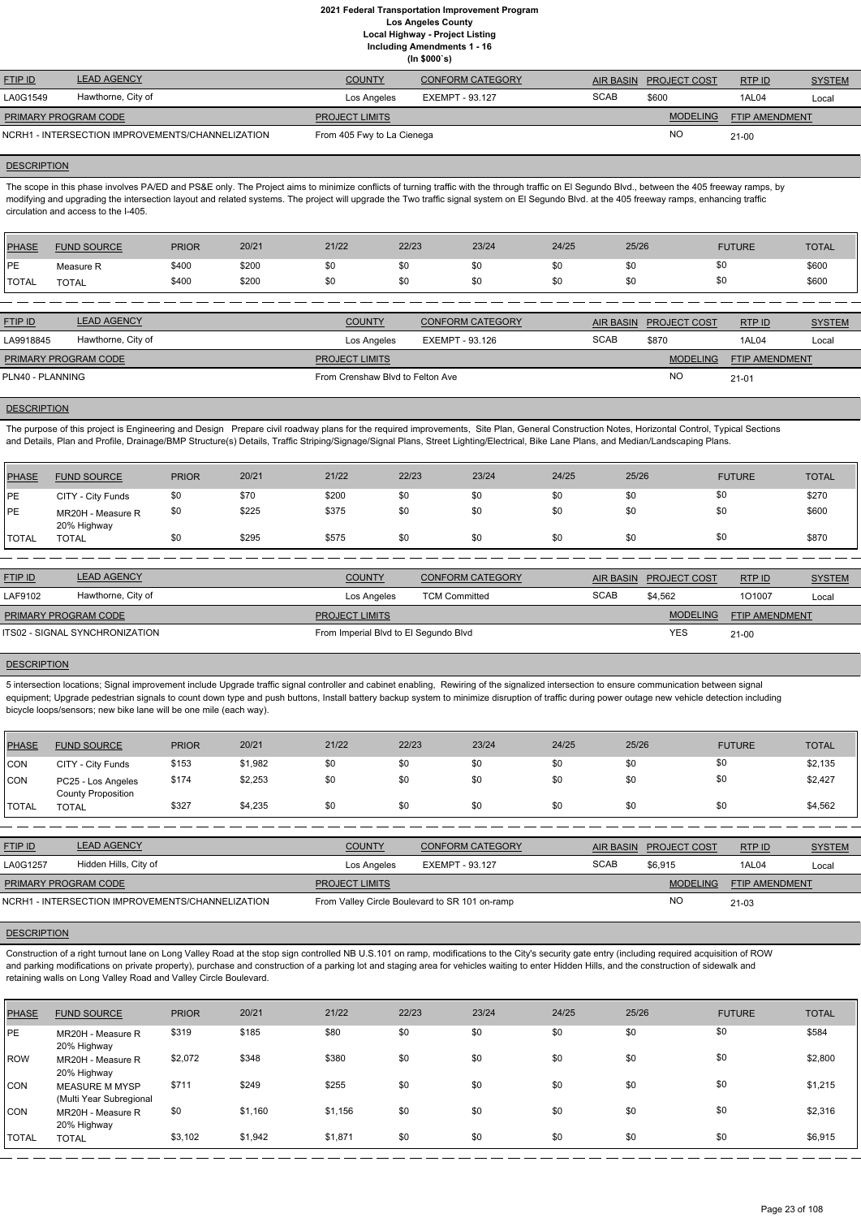**(In \$000`s)**

| <b>FTIP ID</b>                                   | <b>LEAD AGENCY</b> | <b>COUNTY</b>              | <b>CONFORM CATEGORY</b> | <b>AIR BASIN</b> | <b>PROJECT COST</b> | RTP ID                | <b>SYSTEM</b> |
|--------------------------------------------------|--------------------|----------------------------|-------------------------|------------------|---------------------|-----------------------|---------------|
| LA0G1549                                         | Hawthorne, City of | Los Angeles                | EXEMPT - 93.127         | <b>SCAB</b>      | \$600               | 1AL04                 | Local         |
| <b>PRIMARY PROGRAM CODE</b>                      |                    | <b>PROJECT LIMITS</b>      |                         |                  | <b>MODELING</b>     | <b>FTIP AMENDMENT</b> |               |
| NCRH1 - INTERSECTION IMPROVEMENTS/CHANNELIZATION |                    | From 405 Fwy to La Cienega |                         |                  | NO                  | $21 - 00$             |               |

#### **DESCRIPTION**

The scope in this phase involves PA/ED and PS&E only. The Project aims to minimize conflicts of turning traffic with the through traffic on El Segundo Blvd., between the 405 freeway ramps, by modifying and upgrading the intersection layout and related systems. The project will upgrade the Two traffic signal system on El Segundo Blvd. at the 405 freeway ramps, enhancing traffic circulation and access to the I-405.

| <b>PHASE</b> | <b>FUND SOURCE</b> | <b>PRIOR</b> | 20/21 | 21/22 | 22/23 | 23/24 | 24/25 | 25/26 | <b>FUTURE</b> | <b>TOTAL</b> |
|--------------|--------------------|--------------|-------|-------|-------|-------|-------|-------|---------------|--------------|
| <b>PE</b>    | Measure R          | \$400        | \$200 | \$0   | \$0   | \$0   | \$0   | \$0   | \$0           | \$600        |
| <b>TOTAL</b> | <b>TOTAL</b>       | \$400        | \$200 | \$0   | \$0   | \$0   | \$0   | \$0   | \$0           | \$600        |
|              |                    |              |       |       |       |       |       |       |               |              |

| <b>FTIP ID</b>              | <b>LEAD AGENCY</b> | <b>COUNTY</b>                    | <b>CONFORM CATEGORY</b> | <b>AIR BASIN</b> | <b>PROJECT COST</b> | RTP ID                | <b>SYSTEM</b> |
|-----------------------------|--------------------|----------------------------------|-------------------------|------------------|---------------------|-----------------------|---------------|
| LA9918845                   | Hawthorne, City of | Los Angeles                      | EXEMPT - 93.126         | <b>SCAB</b>      | \$870               | 1AL04                 | Local         |
| <b>PRIMARY PROGRAM CODE</b> |                    | <b>PROJECT LIMITS</b>            |                         |                  | <b>MODELING</b>     | <b>FTIP AMENDMENT</b> |               |
| PLN40 - PLANNING            |                    | From Crenshaw Blyd to Felton Ave |                         |                  | <b>NO</b>           | $21 - 01$             |               |

#### **DESCRIPTION**

The purpose of this project is Engineering and Design Prepare civil roadway plans for the required improvements, Site Plan, General Construction Notes, Horizontal Control, Typical Sections and Details, Plan and Profile, Drainage/BMP Structure(s) Details, Traffic Striping/Signage/Signal Plans, Street Lighting/Electrical, Bike Lane Plans, and Median/Landscaping Plans.

| PHASE        | <b>FUND SOURCE</b>               | <b>PRIOR</b> | 20/21 | 21/22 | 22/23 | 23/24 | 24/25 | 25/26 | <b>FUTURE</b> | <b>TOTAL</b> |
|--------------|----------------------------------|--------------|-------|-------|-------|-------|-------|-------|---------------|--------------|
| <b>IPE</b>   | CITY - City Funds                | \$0          | \$70  | \$200 | \$0   | \$0   | \$0   | \$0   | \$0           | \$270        |
| <b>PE</b>    | MR20H - Measure R<br>20% Highway | \$0          | \$225 | \$375 | \$0   | \$0   | \$0   | \$0   | \$0           | \$600        |
| <b>TOTAL</b> | <b>TOTAL</b>                     | \$0          | \$295 | \$575 | \$0   | \$0   | \$0   | \$0   | \$0           | \$870        |

| <b>FTIP ID</b>                 | <b>LEAD AGENCY</b> | <b>COUNTY</b>                         | <b>CONFORM CATEGORY</b> | <b>AIR BASIN</b> | <b>PROJECT COST</b> | RTPID                 | <b>SYSTEM</b> |
|--------------------------------|--------------------|---------------------------------------|-------------------------|------------------|---------------------|-----------------------|---------------|
| LAF9102                        | Hawthorne, City of | Los Angeles                           | <b>TCM Committed</b>    | <b>SCAB</b>      | \$4.562             | 101007                | Local         |
| <b>PRIMARY PROGRAM CODE</b>    |                    | <b>PROJECT LIMITS</b>                 |                         |                  | <b>MODELING</b>     | <b>FTIP AMENDMENT</b> |               |
| ITS02 - SIGNAL SYNCHRONIZATION |                    | From Imperial Blvd to El Segundo Blvd |                         |                  | YES                 | $21 - 00$             |               |

# **DESCRIPTION**

5 intersection locations; Signal improvement include Upgrade traffic signal controller and cabinet enabling, Rewiring of the signalized intersection to ensure communication between signal equipment; Upgrade pedestrian signals to count down type and push buttons, Install battery backup system to minimize disruption of traffic during power outage new vehicle detection including bicycle loops/sensors; new bike lane will be one mile (each way).

| <b>PHASE</b> | <b>FUND SOURCE</b>                              | <b>PRIOR</b> | 20/21   | 21/22 | 22/23 | 23/24 | 24/25 | 25/26 | <b>FUTURE</b> | <b>TOTAL</b> |
|--------------|-------------------------------------------------|--------------|---------|-------|-------|-------|-------|-------|---------------|--------------|
| <b>CON</b>   | CITY - City Funds                               | \$153        | \$1,982 | \$0   | \$0   | \$0   | \$0   | \$0   | \$0           | \$2,135      |
| <b>CON</b>   | PC25 - Los Angeles<br><b>County Proposition</b> | \$174        | \$2,253 | \$0   | \$0   | \$0   | \$0   | \$0   | \$0           | \$2,427      |
| <b>TOTAL</b> | <b>TOTAL</b>                                    | \$327        | \$4,235 | \$0   | \$0   | \$0   | \$0   | \$0   | \$0           | \$4,562      |

| <b>FTIP ID</b>                                   | <b>LEAD AGENCY</b>    | <b>COUNTY</b>         | <b>CONFORM CATEGORY</b>                        |             | AIR BASIN PROJECT COST | RTPID                 | <b>SYSTEM</b> |
|--------------------------------------------------|-----------------------|-----------------------|------------------------------------------------|-------------|------------------------|-----------------------|---------------|
| LA0G1257                                         | Hidden Hills, City of | Los Angeles           | EXEMPT - 93.127                                | <b>SCAB</b> | \$6.915                | 1AL04                 | Local         |
| <b>PRIMARY PROGRAM CODE</b>                      |                       | <b>PROJECT LIMITS</b> |                                                |             | <b>MODELING</b>        | <b>FTIP AMENDMENT</b> |               |
| NCRH1 - INTERSECTION IMPROVEMENTS/CHANNELIZATION |                       |                       | From Valley Circle Boulevard to SR 101 on-ramp |             | <b>NO</b>              | $21-03$               |               |

#### **DESCRIPTION**

Construction of a right turnout lane on Long Valley Road at the stop sign controlled NB U.S.101 on ramp, modifications to the City's security gate entry (including required acquisition of ROW and parking modifications on private property), purchase and construction of a parking lot and staging area for vehicles waiting to enter Hidden Hills, and the construction of sidewalk and retaining walls on Long Valley Road and Valley Circle Boulevard.

| <b>TOTAL</b> | 20% Highway<br><b>TOTAL</b>                      | \$3,102      | \$1,942 | \$1,871 | \$0   | \$0   | \$0   | \$0   | \$0           | \$6,915      |
|--------------|--------------------------------------------------|--------------|---------|---------|-------|-------|-------|-------|---------------|--------------|
| <b>CON</b>   | MR20H - Measure R                                | \$0          | \$1,160 | \$1,156 | \$0   | \$0   | \$0   | \$0   | \$0           | \$2,316      |
| <b>CON</b>   | <b>MEASURE M MYSP</b><br>(Multi Year Subregional | \$711        | \$249   | \$255   | \$0   | \$0   | \$0   | \$0   | \$0           | \$1,215      |
| ROW          | MR20H - Measure R<br>20% Highway                 | \$2,072      | \$348   | \$380   | \$0   | \$0   | \$0   | \$0   | \$0           | \$2,800      |
| <b>PE</b>    | MR20H - Measure R<br>20% Highway                 | \$319        | \$185   | \$80    | \$0   | \$0   | \$0   | \$0   | \$0           | \$584        |
| <b>PHASE</b> | <b>FUND SOURCE</b>                               | <b>PRIOR</b> | 20/21   | 21/22   | 22/23 | 23/24 | 24/25 | 25/26 | <b>FUTURE</b> | <b>TOTAL</b> |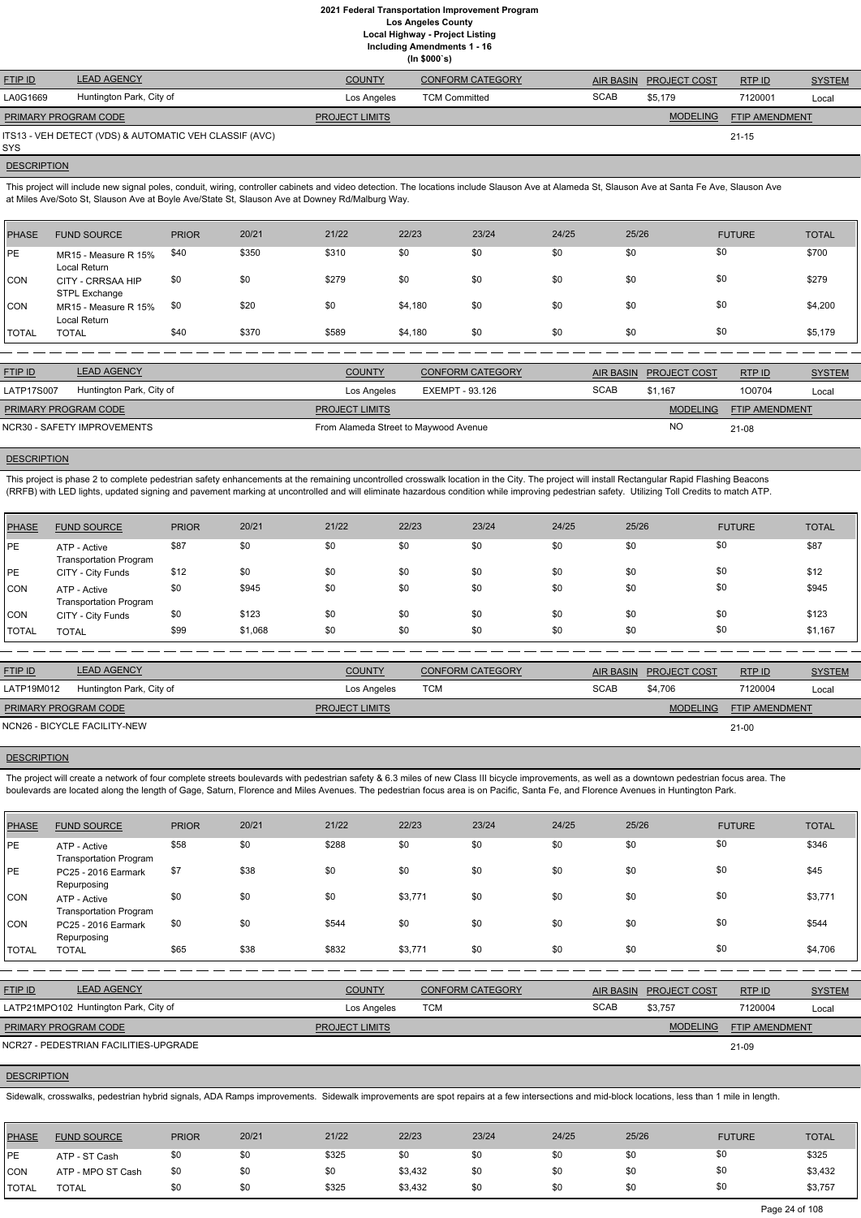**Including Amendments 1 - 16**

| (ln \$000's) |  |  |
|--------------|--|--|
|--------------|--|--|

| <b>FTIP ID</b>              | <b>LEAD AGENCY</b>                                     | <b>COUNTY</b>         | <b>CONFORM CATEGORY</b> |             | AIR BASIN PROJECT COST | RTPID          | <b>SYSTEM</b> |
|-----------------------------|--------------------------------------------------------|-----------------------|-------------------------|-------------|------------------------|----------------|---------------|
| LA0G1669                    | Huntington Park, City of                               | Los Angeles           | <b>TCM Committed</b>    | <b>SCAB</b> | \$5,179                | 7120001        | Local         |
| <b>PRIMARY PROGRAM CODE</b> |                                                        | <b>PROJECT LIMITS</b> |                         |             | <b>MODELING</b>        | FTIP AMENDMENT |               |
| SYS                         | ITS13 - VEH DETECT (VDS) & AUTOMATIC VEH CLASSIF (AVC) |                       |                         |             |                        | $21 - 15$      |               |

# **DESCRIPTION**

This project will include new signal poles, conduit, wiring, controller cabinets and video detection. The locations include Slauson Ave at Alameda St, Slauson Ave at Santa Fe Ave, Slauson Ave at Miles Ave/Soto St, Slauson Ave at Boyle Ave/State St, Slauson Ave at Downey Rd/Malburg Way.

This project is phase 2 to complete pedestrian safety enhancements at the remaining uncontrolled crosswalk location in the City. The project will install Rectangular Rapid Flashing Beacons (RRFB) with LED lights, updated signing and pavement marking at uncontrolled and will eliminate hazardous condition while improving pedestrian safety. Utilizing Toll Credits to match ATP.

| <b>PHASE</b> | <b>FUND SOURCE</b>                   | <b>PRIOR</b> | 20/21 | 21/22 | 22/23   | 23/24 | 24/25 | 25/26 | <b>FUTURE</b> | <b>TOTAL</b> |
|--------------|--------------------------------------|--------------|-------|-------|---------|-------|-------|-------|---------------|--------------|
| PE           | MR15 - Measure R 15%<br>Local Return | \$40         | \$350 | \$310 | \$0     | \$0   | \$0   | \$0   | \$0           | \$700        |
| ICON.        | CITY - CRRSAA HIP<br>STPL Exchange   | \$0          | \$0   | \$279 | \$0     | \$0   | \$0   | \$0   | \$0           | \$279        |
| CON          | MR15 - Measure R 15%<br>Local Return | \$0          | \$20  | \$0   | \$4,180 | \$0   | \$0   | \$0   | \$0           | \$4,200      |
| <b>TOTAL</b> | <b>TOTAL</b>                         | \$40         | \$370 | \$589 | \$4,180 | \$0   | \$0   | \$0   | \$0           | \$5,179      |

| <b>FTIP ID</b>              | <b>LEAD AGENCY</b>       | <b>COUNTY</b>                         | <b>CONFORM CATEGORY</b> |             | AIR BASIN PROJECT COST | RTP ID         | <b>SYSTEM</b> |
|-----------------------------|--------------------------|---------------------------------------|-------------------------|-------------|------------------------|----------------|---------------|
| LATP17S007                  | Huntington Park, City of | Los Angeles                           | EXEMPT - 93.126         | <b>SCAB</b> | \$1.167                | 100704         | Local         |
| PRIMARY PROGRAM CODE        |                          | <b>PROJECT LIMITS</b>                 |                         |             | <b>MODELING</b>        | FTIP AMENDMENT |               |
| NCR30 - SAFETY IMPROVEMENTS |                          | From Alameda Street to Maywood Avenue |                         |             | <b>NO</b>              | 21-08          |               |

# **DESCRIPTION**

The project will create a network of four complete streets boulevards with pedestrian safety & 6.3 miles of new Class III bicycle improvements, as well as a downtown pedestrian focus area. The boulevards are located along the length of Gage, Saturn, Florence and Miles Avenues. The pedestrian focus area is on Pacific, Santa Fe, and Florence Avenues in Huntington Park.

| <b>PHASE</b> | <b>FUND SOURCE</b>                            | <b>PRIOR</b> | 20/21   | 21/22 | 22/23 | 23/24 | 24/25 | 25/26 | <b>FUTURE</b> | <b>TOTAL</b> |
|--------------|-----------------------------------------------|--------------|---------|-------|-------|-------|-------|-------|---------------|--------------|
| <b>PE</b>    | ATP - Active<br><b>Transportation Program</b> | \$87         | \$0     | \$0   | \$0   | \$0   | \$0   | \$0   | \$0           | \$87         |
| <b>PE</b>    | CITY - City Funds                             | \$12         | \$0     | \$0   | \$0   | \$0   | \$0   | \$0   | \$0           | \$12         |
| <b>ICON</b>  | ATP - Active<br><b>Transportation Program</b> | \$0          | \$945   | \$0   | \$0   | \$0   | \$0   | \$0   | \$0           | \$945        |
| <b>CON</b>   | CITY - City Funds                             | \$0          | \$123   | \$0   | \$0   | \$0   | \$0   | \$0   | \$0           | \$123        |
| <b>TOTAL</b> | <b>TOTAL</b>                                  | \$99         | \$1,068 | \$0   | \$0   | \$0   | \$0   | \$0   | \$0           | \$1,167      |

| <b>FTIP ID</b>              | <b>LEAD AGENCY</b>           | <b>COUNTY</b>         | <b>CONFORM CATEGORY</b> | AIR BASIN   | <b>PROJECT COST</b> | RTPID                 | <b>SYSTEM</b> |
|-----------------------------|------------------------------|-----------------------|-------------------------|-------------|---------------------|-----------------------|---------------|
| LATP19M012                  | Huntington Park, City of     | Los Angeles           | тсм                     | <b>SCAB</b> | \$4.706             | 7120004               | Local         |
| <b>PRIMARY PROGRAM CODE</b> |                              | <b>PROJECT LIMITS</b> |                         |             | <b>MODELING</b>     | <b>FTIP AMENDMENT</b> |               |
|                             | NCN26 - BICYCLE FACILITY-NEW |                       |                         |             |                     | $21 - 00$             |               |

## **DESCRIPTION**

| <b>PHASE</b>                                                       | <b>FUND SOURCE</b>                            | <b>PRIOR</b> | 20/21 | 21/22                 | 22/23   | 23/24                   | 24/25   | 25/26            | <b>FUTURE</b>                            | <b>TOTAL</b>  |
|--------------------------------------------------------------------|-----------------------------------------------|--------------|-------|-----------------------|---------|-------------------------|---------|------------------|------------------------------------------|---------------|
| IPE                                                                | ATP - Active<br><b>Transportation Program</b> | \$58         | \$0   | \$288                 | \$0     | \$0                     | \$0     | \$0              | \$0                                      | \$346         |
| <b>IPE</b>                                                         | PC25 - 2016 Earmark<br>Repurposing            | \$7          | \$38  | \$0                   | \$0     | \$0                     | \$0     | \$0              | \$0                                      | \$45          |
| CON                                                                | ATP - Active<br><b>Transportation Program</b> | \$0          | \$0   | \$0                   | \$3,771 | \$0                     | \$0     | \$0              | \$0                                      | \$3,771       |
| <b>CON</b>                                                         | PC25 - 2016 Earmark<br>Repurposing            | \$0          | \$0   | \$544                 | \$0     | \$0                     | \$0     | \$0              | \$0                                      | \$544         |
| <b>TOTAL</b>                                                       | <b>TOTAL</b>                                  | \$65         | \$38  | \$832                 | \$3,771 | \$0                     | \$0     | \$0              | \$0                                      | \$4,706       |
|                                                                    |                                               |              |       |                       |         |                         |         |                  |                                          |               |
| FTIP ID                                                            | <b>LEAD AGENCY</b>                            |              |       | <b>COUNTY</b>         |         | <b>CONFORM CATEGORY</b> |         | <b>AIR BASIN</b> | <b>PROJECT COST</b><br>RTP ID            | <b>SYSTEM</b> |
| LATP21MPO102 Huntington Park, City of<br><b>TCM</b><br>Los Angeles |                                               |              |       |                       |         | <b>SCAB</b>             | \$3,757 | 7120004          | Local                                    |               |
|                                                                    | PRIMARY PROGRAM CODE                          |              |       | <b>PROJECT LIMITS</b> |         |                         |         |                  | <b>MODELING</b><br><b>FTIP AMENDMENT</b> |               |
|                                                                    | NCR27 - PEDESTRIAN FACILITIES-UPGRADE         |              |       |                       |         |                         |         |                  | 21-09                                    |               |

## **DESCRIPTION**

Sidewalk, crosswalks, pedestrian hybrid signals, ADA Ramps improvements. Sidewalk improvements are spot repairs at a few intersections and mid-block locations, less than 1 mile in length.

| PHASE         | <b>FUND SOURCE</b> | <b>PRIOR</b> | 20/21 | 21/22 | 22/23   | 23/24 | 24/25 | 25/26 | <b>FUTURE</b> | <b>TOTAL</b> |
|---------------|--------------------|--------------|-------|-------|---------|-------|-------|-------|---------------|--------------|
| <b>IPE</b>    | ATP - ST Cash      | \$0          | \$0   | \$325 | \$0     | \$0   | \$0   | \$0   |               | \$325        |
| <b>CON</b>    | ATP - MPO ST Cash  | \$0          | \$0   | \$0   | \$3,432 | \$0   | \$0   | \$0   |               | \$3,432      |
| <b>ITOTAL</b> | <b>TOTAL</b>       | \$0          | \$0   | \$325 | \$3,432 | \$0   | \$0   | \$0   |               | \$3,757      |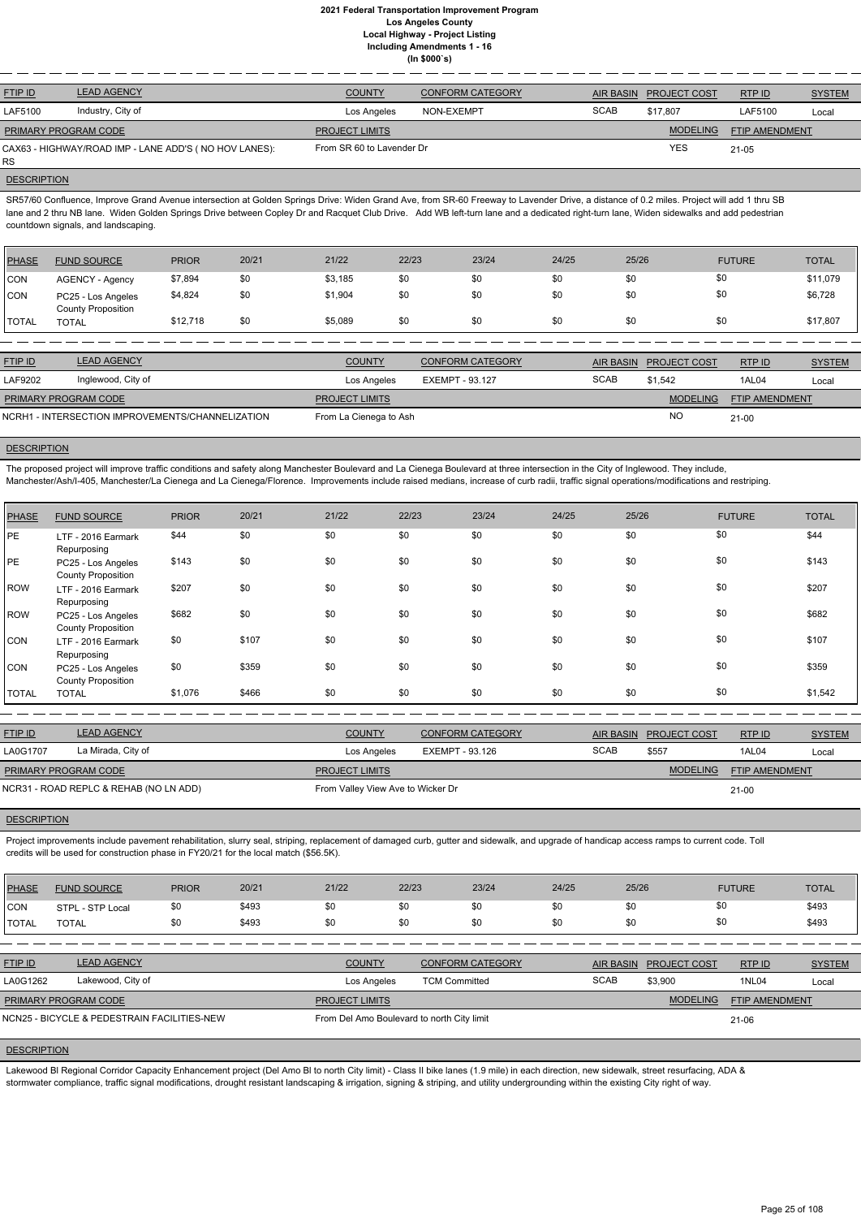| <b>FTIP ID</b>              | <b>LEAD AGENCY</b>                                    | <b>COUNTY</b>             | <b>CONFORM CATEGORY</b> | <b>AIR BASIN</b> | <b>PROJECT COST</b> | RTP ID                | <b>SYSTEM</b> |
|-----------------------------|-------------------------------------------------------|---------------------------|-------------------------|------------------|---------------------|-----------------------|---------------|
| LAF5100                     | Industry, City of                                     | Los Angeles               | NON-EXEMPT              | <b>SCAB</b>      | \$17.807            | LAF5100               | Local         |
| <b>PRIMARY PROGRAM CODE</b> |                                                       | <b>PROJECT LIMITS</b>     |                         |                  | <b>MODELING</b>     | <b>FTIP AMENDMENT</b> |               |
| RS.                         | CAX63 - HIGHWAY/ROAD IMP - LANE ADD'S (NO HOV LANES): | From SR 60 to Lavender Dr |                         |                  | <b>YES</b>          | 21-05                 |               |

# **DESCRIPTION**

SR57/60 Confluence, Improve Grand Avenue intersection at Golden Springs Drive: Widen Grand Ave, from SR-60 Freeway to Lavender Drive, a distance of 0.2 miles. Project will add 1 thru SB lane and 2 thru NB lane. Widen Golden Springs Drive between Copley Dr and Racquet Club Drive. Add WB left-turn lane and a dedicated right-turn lane, Widen sidewalks and add pedestrian countdown signals, and landscaping.

The proposed project will improve traffic conditions and safety along Manchester Boulevard and La Cienega Boulevard at three intersection in the City of Inglewood. They include, Manchester/Ash/I-405, Manchester/La Cienega and La Cienega/Florence. Improvements include raised medians, increase of curb radii, traffic signal operations/modifications and restriping.

| <b>PHASE</b> | <b>FUND SOURCE</b>                              | <b>PRIOR</b> | 20/21 | 21/22   | 22/23 | 23/24 | 24/25 | 25/26 | <b>FUTURE</b> | <b>TOTAL</b> |
|--------------|-------------------------------------------------|--------------|-------|---------|-------|-------|-------|-------|---------------|--------------|
| CON          | <b>AGENCY - Agency</b>                          | \$7,894      | \$0   | \$3,185 | \$0   | \$0   | \$0   | \$0   | \$0           | \$11,079     |
| <b>CON</b>   | PC25 - Los Angeles<br><b>County Proposition</b> | \$4,824      | \$0   | \$1,904 | \$0   | \$0   | \$0   | \$0   | \$0           | \$6,728      |
| <b>TOTAL</b> | <b>TOTAL</b>                                    | \$12,718     | \$0   | \$5,089 | \$0   | \$0   | \$0   | \$0   | \$0           | \$17,807     |

| <b>FTIP ID</b>              | <b>LEAD AGENCY</b>                               | <b>COUNTY</b>          | <b>CONFORM CATEGORY</b> |             | AIR BASIN PROJECT COST | RTPID                 | <b>SYSTEM</b> |
|-----------------------------|--------------------------------------------------|------------------------|-------------------------|-------------|------------------------|-----------------------|---------------|
| LAF9202                     | Inglewood, City of                               | Los Angeles            | EXEMPT - 93.127         | <b>SCAB</b> | \$1.542                | 1AL04                 | Local         |
| <b>PRIMARY PROGRAM CODE</b> |                                                  | <b>PROJECT LIMITS</b>  |                         |             | <b>MODELING</b>        | <b>FTIP AMENDMENT</b> |               |
|                             | NCRH1 - INTERSECTION IMPROVEMENTS/CHANNELIZATION | From La Cienega to Ash |                         |             | NC.                    | $21 - 00$             |               |

#### **DESCRIPTION**

Project improvements include pavement rehabilitation, slurry seal, striping, replacement of damaged curb, gutter and sidewalk, and upgrade of handicap access ramps to current code. Toll credits will be used for construction phase in FY20/21 for the local match (\$56.5K).

| PHASE        | <b>FUND SOURCE</b>                              | <b>PRIOR</b> | 20/21 | 21/22 | 22/23 | 23/24 | 24/25 | 25/26 | <b>FUTURE</b> | <b>TOTAL</b> |
|--------------|-------------------------------------------------|--------------|-------|-------|-------|-------|-------|-------|---------------|--------------|
| PE           | LTF - 2016 Earmark<br>Repurposing               | \$44         | \$0   | \$0   | \$0   | \$0   | \$0   | \$0   | \$0           | \$44         |
| PE           | PC25 - Los Angeles<br><b>County Proposition</b> | \$143        | \$0   | \$0   | \$0   | \$0   | \$0   | \$0   | \$0           | \$143        |
| ROW          | LTF - 2016 Earmark<br>Repurposing               | \$207        | \$0   | \$0   | \$0   | \$0   | \$0   | \$0   | \$0           | \$207        |
| ROW          | PC25 - Los Angeles<br><b>County Proposition</b> | \$682        | \$0   | \$0   | \$0   | \$0   | \$0   | \$0   | \$0           | \$682        |
| CON          | LTF - 2016 Earmark<br>Repurposing               | \$0          | \$107 | \$0   | \$0   | \$0   | \$0   | \$0   | \$0           | \$107        |
| <b>CON</b>   | PC25 - Los Angeles                              | \$0          | \$359 | \$0   | \$0   | \$0   | \$0   | \$0   | \$0           | \$359        |
| <b>TOTAL</b> | <b>County Proposition</b><br><b>TOTAL</b>       | \$1,076      | \$466 | \$0   | \$0   | \$0   | \$0   | \$0   | \$0           | \$1,542      |

| <b>FTIP ID</b>                         | <b>LEAD AGENCY</b> | <b>COUNTY</b>                     | <b>CONFORM CATEGORY</b> |             | AIR BASIN PROJECT COST | RTP ID                | <b>SYSTEM</b> |
|----------------------------------------|--------------------|-----------------------------------|-------------------------|-------------|------------------------|-----------------------|---------------|
| LA0G1707                               | La Mirada, City of | Los Angeles                       | EXEMPT - 93.126         | <b>SCAB</b> | \$557                  | 1AL04                 | Local         |
| <b>PRIMARY PROGRAM CODE</b>            |                    | <b>PROJECT LIMITS</b>             |                         |             | <b>MODELING</b>        | <b>FTIP AMENDMENT</b> |               |
| NCR31 - ROAD REPLC & REHAB (NO LN ADD) |                    | From Valley View Ave to Wicker Dr |                         |             |                        | $21 - 00$             |               |

#### **DESCRIPTION**

| <b>PHASE</b> | <b>FUND SOURCE</b> | <b>PRIOR</b>  | 20/21                | 21/22         | 22/23         | 23/24         | 24/25         | 25/26         | <b>FUTURE</b> | <b>TOTAL</b>         |
|--------------|--------------------|---------------|----------------------|---------------|---------------|---------------|---------------|---------------|---------------|----------------------|
| <b>CON</b>   | STPL - STP Local   | \$0           | \$493                | \$0           | \$0           |               |               | \$0           |               | \$493                |
|              | _____              | $\sim$ $\sim$ | $\sim$ $\sim$ $\sim$ | $\sim$ $\sim$ | $\sim$ $\sim$ | $\sim$ $\sim$ | $\sim$ $\sim$ | $\sim$ $\sim$ |               | $\sim$ $\sim$ $\sim$ |

| <b>TOTAL</b>   | <b>TOTAL</b>                                | \$0 | \$493 | \$0                                        | \$0 | \$0                     | \$0 | \$0         | \$0                 |                | \$493         |
|----------------|---------------------------------------------|-----|-------|--------------------------------------------|-----|-------------------------|-----|-------------|---------------------|----------------|---------------|
|                |                                             |     |       |                                            |     |                         |     |             |                     |                |               |
| <b>FTIP ID</b> | <b>LEAD AGENCY</b>                          |     |       | <b>COUNTY</b>                              |     | <b>CONFORM CATEGORY</b> |     | AIR BASIN   | <b>PROJECT COST</b> | RTPID          | <b>SYSTEM</b> |
| LA0G1262       | Lakewood, City of                           |     |       | Los Angeles                                |     | <b>TCM Committed</b>    |     | <b>SCAB</b> | \$3,900             | 1NL04          | Local         |
|                | <b>PRIMARY PROGRAM CODE</b>                 |     |       | <b>PROJECT LIMITS</b>                      |     |                         |     |             | <b>MODELING</b>     | FTIP AMENDMENT |               |
|                | NCN25 - BICYCLE & PEDESTRAIN FACILITIES-NEW |     |       | From Del Amo Boulevard to north City limit |     |                         |     |             |                     | $21 - 06$      |               |

# **DESCRIPTION**

Lakewood Bl Regional Corridor Capacity Enhancement project (Del Amo Bl to north City limit) - Class II bike lanes (1.9 mile) in each direction, new sidewalk, street resurfacing, ADA & stormwater compliance, traffic signal modifications, drought resistant landscaping & irrigation, signing & striping, and utility undergrounding within the existing City right of way.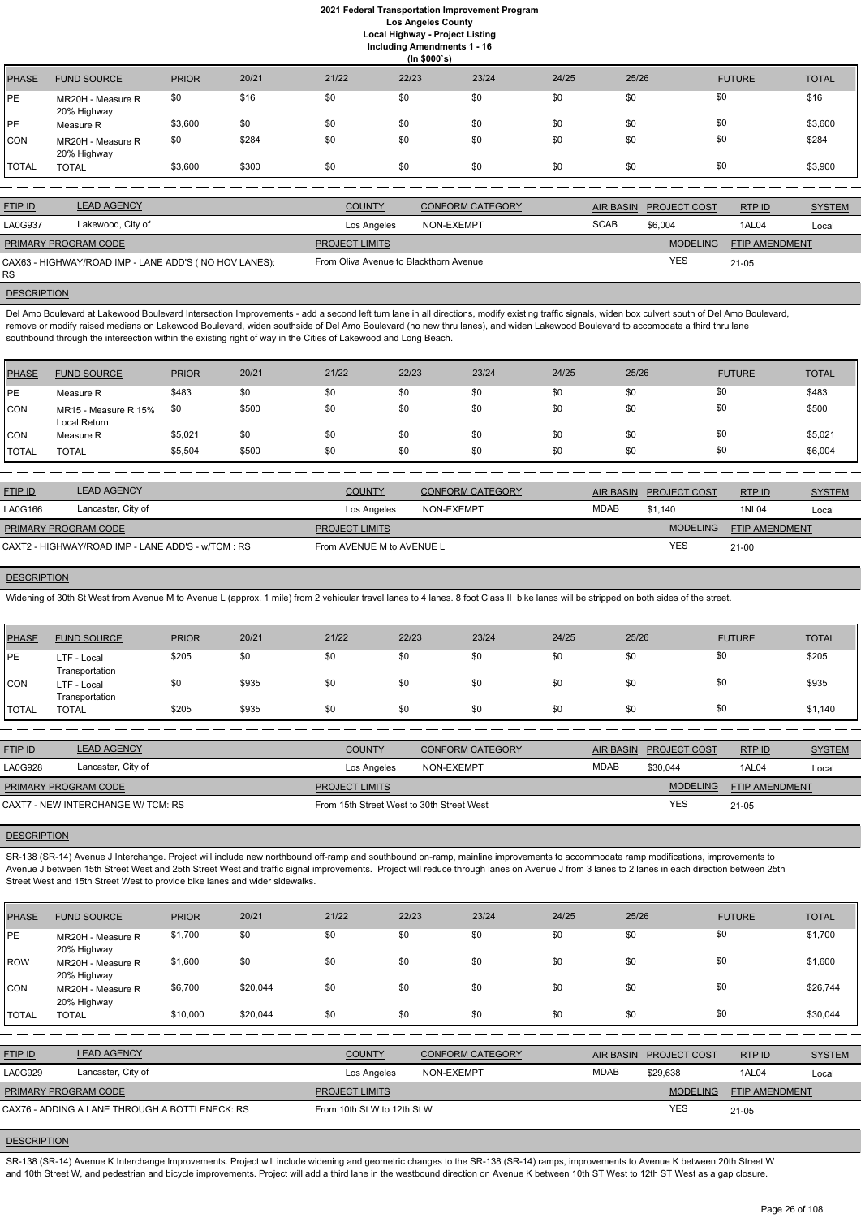**Including Amendments 1 - 16**

|              | (ln \$000's)                     |              |       |       |       |       |       |       |               |              |  |  |
|--------------|----------------------------------|--------------|-------|-------|-------|-------|-------|-------|---------------|--------------|--|--|
| <b>PHASE</b> | <b>FUND SOURCE</b>               | <b>PRIOR</b> | 20/21 | 21/22 | 22/23 | 23/24 | 24/25 | 25/26 | <b>FUTURE</b> | <b>TOTAL</b> |  |  |
| PE           | MR20H - Measure R<br>20% Highway | \$0          | \$16  | \$0   | \$0   | \$0   | \$0   | \$0   | \$0           | \$16         |  |  |
| PE           | Measure R                        | \$3,600      | \$0   | \$0   | \$0   | \$0   | \$0   | \$0   | \$0           | \$3,600      |  |  |
| CON          | MR20H - Measure R<br>20% Highway | \$0          | \$284 | \$0   | \$0   | \$0   | \$0   | \$0   | \$0           | \$284        |  |  |
| <b>TOTAL</b> | <b>TOTAL</b>                     | \$3,600      | \$300 | \$0   | \$0   | \$0   | \$0   | \$0   | \$0           | \$3,900      |  |  |

| <b>FTIP ID</b>              | <b>LEAD AGENCY</b>                                    | <b>COUNTY</b>                          | <b>CONFORM CATEGORY</b> |             | AIR BASIN PROJECT COST | RTP ID         | <b>SYSTEM</b> |
|-----------------------------|-------------------------------------------------------|----------------------------------------|-------------------------|-------------|------------------------|----------------|---------------|
| LA0G937                     | Lakewood, City of                                     | Los Angeles                            | NON-EXEMPT              | <b>SCAB</b> | \$6,004                | 1AL04          | Local         |
| <b>PRIMARY PROGRAM CODE</b> |                                                       | <b>PROJECT LIMITS</b>                  |                         |             | <b>MODELING</b>        | FTIP AMENDMENT |               |
| <b>RS</b>                   | CAX63 - HIGHWAY/ROAD IMP - LANE ADD'S (NO HOV LANES): | From Oliva Avenue to Blackthorn Avenue |                         |             | <b>YES</b>             | $21 - 05$      |               |

**DESCRIPTION** 

Del Amo Boulevard at Lakewood Boulevard Intersection Improvements - add a second left turn lane in all directions, modify existing traffic signals, widen box culvert south of Del Amo Boulevard, remove or modify raised medians on Lakewood Boulevard, widen southside of Del Amo Boulevard (no new thru lanes), and widen Lakewood Boulevard to accomodate a third thru lane southbound through the intersection within the existing right of way in the Cities of Lakewood and Long Beach.

| PHASE        | <b>FUND SOURCE</b>                   | <b>PRIOR</b> | 20/21 | 21/22 | 22/23 | 23/24 | 24/25 | 25/26 | <b>FUTURE</b> | <b>TOTAL</b> |
|--------------|--------------------------------------|--------------|-------|-------|-------|-------|-------|-------|---------------|--------------|
| <b>IPE</b>   | Measure R                            | \$483        | \$0   | \$0   | \$0   | \$0   | \$0   | \$0   | \$0           | \$483        |
| <b>CON</b>   | MR15 - Measure R 15%<br>Local Return | \$0          | \$500 | \$0   | \$0   | \$0   | \$0   | \$0   | \$0           | \$500        |
| <b>CON</b>   | Measure R                            | \$5,021      | \$0   | \$0   | \$0   | \$0   | \$0   | \$0   | \$0           | \$5,021      |
| <b>TOTAL</b> | <b>TOTAL</b>                         | \$5,504      | \$500 | \$0   | \$0   | \$0   | \$0   | \$0   | \$0           | \$6,004      |

SR-138 (SR-14) Avenue J Interchange. Project will include new northbound off-ramp and southbound on-ramp, mainline improvements to accommodate ramp modifications, improvements to Avenue J between 15th Street West and 25th Street West and traffic signal improvements. Project will reduce through lanes on Avenue J from 3 lanes to 2 lanes in each direction between 25th Street West and 15th Street West to provide bike lanes and wider sidewalks.

| <b>FTIP ID</b>              | <b>LEAD AGENCY</b>                                 | <b>COUNTY</b>             | <b>CONFORM CATEGORY</b> |      | AIR BASIN PROJECT COST | RTPID                 | <b>SYSTEM</b> |
|-----------------------------|----------------------------------------------------|---------------------------|-------------------------|------|------------------------|-----------------------|---------------|
| LA0G166                     | Lancaster, City of                                 | Los Angeles               | NON-EXEMPT              | MDAB | \$1.140                | <b>1NL04</b>          | Local         |
| <b>PRIMARY PROGRAM CODE</b> |                                                    | <b>PROJECT LIMITS</b>     |                         |      | <b>MODELING</b>        | <b>FTIP AMENDMENT</b> |               |
|                             | CAXT2 - HIGHWAY/ROAD IMP - LANE ADD'S - w/TCM : RS | From AVENUE M to AVENUE L |                         |      | YES                    | $21 - 00$             |               |

# **DESCRIPTION**

Widening of 30th St West from Avenue M to Avenue L (approx. 1 mile) from 2 vehicular travel lanes to 4 lanes. 8 foot Class II bike lanes will be stripped on both sides of the street.

SR-138 (SR-14) Avenue K Interchange Improvements. Project will include widening and geometric changes to the SR-138 (SR-14) ramps, improvements to Avenue K between 20th Street W and 10th Street W, and pedestrian and bicycle improvements. Project will add a third lane in the westbound direction on Avenue K between 10th ST West to 12th ST West as a gap closure.

| <b>PHASE</b> | <b>FUND SOURCE</b>            | <b>PRIOR</b> | 20/21 | 21/22 | 22/23 | 23/24 | 24/25 | 25/26 | <b>FUTURE</b> | <b>TOTAL</b> |
|--------------|-------------------------------|--------------|-------|-------|-------|-------|-------|-------|---------------|--------------|
| <b>IPE</b>   | LTF - Local<br>Transportation | \$205        | \$0   | \$0   | \$0   | \$0   | \$0   | \$0   | \$0           | \$205        |
| CON          | LTF - Local<br>Transportation | \$0          | \$935 | \$0   | \$0   | \$0   | \$0   | \$0   | \$0           | \$935        |
| <b>TOTAL</b> | <b>TOTAL</b>                  | \$205        | \$935 | \$0   | \$0   | \$0   | \$0   | \$0   | \$0           | \$1,140      |

| <b>FTIP ID</b>                     | <b>LEAD AGENCY</b> | <b>COUNTY</b>                             | <b>CONFORM CATEGORY</b> | AIR BASIN   | <b>PROJECT COST</b> | <b>RTPID</b>          | <b>SYSTEM</b> |
|------------------------------------|--------------------|-------------------------------------------|-------------------------|-------------|---------------------|-----------------------|---------------|
| LA0G928                            | Lancaster, City of | Los Angeles                               | NON-EXEMPT              | <b>MDAB</b> | \$30.044            | 1AL04                 | Local         |
| <b>PRIMARY PROGRAM CODE</b>        |                    | <b>PROJECT LIMITS</b>                     |                         |             | <b>MODELING</b>     | <b>FTIP AMENDMENT</b> |               |
| CAXT7 - NEW INTERCHANGE W/ TCM: RS |                    | From 15th Street West to 30th Street West |                         |             | YES                 | $21 - 05$             |               |

# **DESCRIPTION**

| PHASE | <b>FUND SOURCE</b> | <b>PRIOR</b> | 20/21 | 21/22 | 22/23 | 23/24 | 24/25 | 25/26 | <b>FUTURE</b> | <b>TOTAL</b> |
|-------|--------------------|--------------|-------|-------|-------|-------|-------|-------|---------------|--------------|

| PE           | MR20H - Measure R<br>20% Highway               | \$1,700  | \$0      | \$0                   | \$0                         | \$0                     | \$0 | \$0              | \$0                 |                | \$1,700       |
|--------------|------------------------------------------------|----------|----------|-----------------------|-----------------------------|-------------------------|-----|------------------|---------------------|----------------|---------------|
| ROW          | MR20H - Measure R<br>20% Highway               | \$1,600  | \$0      | \$0                   | \$0                         | \$0                     | \$0 | \$0              | \$0                 |                | \$1,600       |
| CON          | MR20H - Measure R<br>20% Highway               | \$6,700  | \$20,044 | \$0                   | \$0                         | \$0                     | \$0 | \$0              | \$0                 |                | \$26,744      |
| <b>TOTAL</b> | <b>TOTAL</b>                                   | \$10,000 | \$20,044 | \$0                   | \$0                         | \$0                     | \$0 | \$0              | \$0                 |                | \$30,044      |
|              |                                                |          |          |                       |                             |                         |     |                  |                     |                |               |
| FTIP ID      | <b>LEAD AGENCY</b>                             |          |          | <b>COUNTY</b>         |                             | <b>CONFORM CATEGORY</b> |     | <b>AIR BASIN</b> | <b>PROJECT COST</b> | RTP ID         | <b>SYSTEM</b> |
| LA0G929      | Lancaster, City of                             |          |          |                       | Los Angeles                 | NON-EXEMPT              |     | <b>MDAB</b>      | \$29,638            | <b>1AL04</b>   | Local         |
|              | PRIMARY PROGRAM CODE                           |          |          | <b>PROJECT LIMITS</b> |                             |                         |     |                  | <b>MODELING</b>     | FTIP AMENDMENT |               |
|              | CAX76 - ADDING A LANE THROUGH A BOTTLENECK: RS |          |          |                       | From 10th St W to 12th St W |                         |     |                  | <b>YES</b>          | $21 - 05$      |               |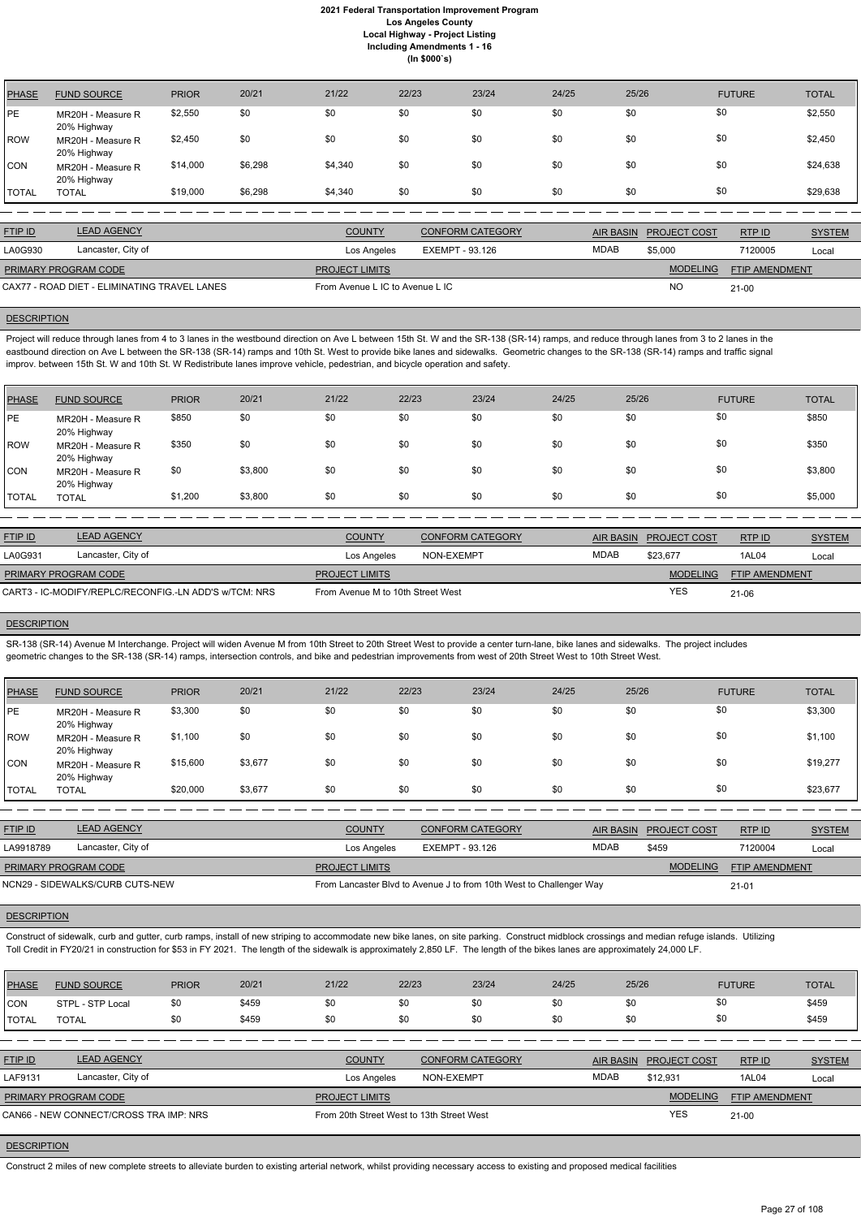| <b>PHASE</b> | <b>FUND SOURCE</b>               | <b>PRIOR</b> | 20/21   | 21/22   | 22/23 | 23/24 | 24/25 | 25/26 | <b>FUTURE</b> | <b>TOTAL</b> |
|--------------|----------------------------------|--------------|---------|---------|-------|-------|-------|-------|---------------|--------------|
| PE           | MR20H - Measure R<br>20% Highway | \$2,550      | \$0     | \$0     | \$0   | \$0   | \$0   | \$0   | \$0           | \$2,550      |
| <b>ROW</b>   | MR20H - Measure R<br>20% Highway | \$2,450      | \$0     | \$0     | \$0   | \$0   | \$0   | \$0   | \$0           | \$2,450      |
| <b>CON</b>   | MR20H - Measure R<br>20% Highway | \$14,000     | \$6,298 | \$4,340 | \$0   | \$0   | \$0   | \$0   | \$0           | \$24,638     |
| TOTAL        | <b>TOTAL</b>                     | \$19,000     | \$6,298 | \$4,340 | \$0   | \$0   | \$0   | \$0   | \$0           | \$29,638     |

Project will reduce through lanes from 4 to 3 lanes in the westbound direction on Ave L between 15th St. W and the SR-138 (SR-14) ramps, and reduce through lanes from 3 to 2 lanes in the eastbound direction on Ave L between the SR-138 (SR-14) ramps and 10th St. West to provide bike lanes and sidewalks. Geometric changes to the SR-138 (SR-14) ramps and traffic signal improv. between 15th St. W and 10th St. W Redistribute lanes improve vehicle, pedestrian, and bicycle operation and safety.

| <b>FTIP ID</b>                               | <b>LEAD AGENCY</b> | <b>COUNTY</b>                   | <b>CONFORM CATEGORY</b> |      | AIR BASIN PROJECT COST | RTPID                 | <b>SYSTEM</b> |
|----------------------------------------------|--------------------|---------------------------------|-------------------------|------|------------------------|-----------------------|---------------|
| LA0G930                                      | Lancaster, City of | Los Angeles                     | EXEMPT - 93.126         | MDAB | \$5,000                | 7120005               | Local         |
| <b>PRIMARY PROGRAM CODE</b>                  |                    | <b>PROJECT LIMITS</b>           |                         |      | <b>MODELING</b>        | <b>FTIP AMENDMENT</b> |               |
| CAX77 - ROAD DIET - ELIMINATING TRAVEL LANES |                    | From Avenue L IC to Avenue L IC |                         |      | <b>NO</b>              | $21 - 00$             |               |

#### **DESCRIPTION**

| PHASE        | <b>FUND SOURCE</b>               | <b>PRIOR</b> | 20/21   | 21/22 | 22/23 | 23/24 | 24/25 | 25/26 | <b>FUTURE</b> | <b>TOTAL</b> |
|--------------|----------------------------------|--------------|---------|-------|-------|-------|-------|-------|---------------|--------------|
| <b>IPE</b>   | MR20H - Measure R<br>20% Highway | \$850        | \$0     | \$0   | \$0   | \$0   | \$0   | \$0   | \$0           | \$850        |
| ROW          | MR20H - Measure R<br>20% Highway | \$350        | \$0     | \$0   | \$0   | \$0   | \$0   | \$0   | \$0           | \$350        |
| <b>CON</b>   | MR20H - Measure R<br>20% Highway | \$0          | \$3,800 | \$0   | \$0   | \$0   | \$0   | \$0   | \$0           | \$3,800      |
| <b>TOTAL</b> | <b>TOTAL</b>                     | \$1,200      | \$3,800 | \$0   | \$0   | \$0   | \$0   | \$0   | \$0           | \$5,000      |

| <b>FTIP ID</b>                                        | <b>LEAD AGENCY</b> | <b>COUNTY</b>                     | <b>CONFORM CATEGORY</b> |             | AIR BASIN PROJECT COST | RTPID                 | <b>SYSTEM</b> |
|-------------------------------------------------------|--------------------|-----------------------------------|-------------------------|-------------|------------------------|-----------------------|---------------|
| LA0G931                                               | Lancaster, City of | Los Angeles                       | NON-EXEMPT              | <b>MDAB</b> | \$23.677               | 1AL04                 | Local         |
| <b>PRIMARY PROGRAM CODE</b>                           |                    | <b>PROJECT LIMITS</b>             |                         |             | <b>MODELING</b>        | <b>FTIP AMENDMENT</b> |               |
| CART3 - IC-MODIFY/REPLC/RECONFIG.-LN ADD'S w/TCM: NRS |                    | From Avenue M to 10th Street West |                         |             | <b>YES</b>             | 21-06                 |               |

### **DESCRIPTION**

SR-138 (SR-14) Avenue M Interchange. Project will widen Avenue M from 10th Street to 20th Street West to provide a center turn-lane, bike lanes and sidewalks. The project includes geometric changes to the SR-138 (SR-14) ramps, intersection controls, and bike and pedestrian improvements from west of 20th Street West to 10th Street West.

| <b>PHASE</b> | <b>FUND SOURCE</b>               | <b>PRIOR</b> | 20/21   | 21/22 | 22/23 | 23/24 | 24/25 | 25/26 | <b>FUTURE</b> | <b>TOTAL</b> |
|--------------|----------------------------------|--------------|---------|-------|-------|-------|-------|-------|---------------|--------------|
| PE           | MR20H - Measure R<br>20% Highway | \$3,300      | \$0     | \$0   | \$0   | \$0   | \$0   | \$0   | \$0           | \$3,300      |
| <b>ROW</b>   | MR20H - Measure R<br>20% Highway | \$1,100      | \$0     | \$0   | \$0   | \$0   | \$0   | \$0   | \$0           | \$1,100      |
| CON          | MR20H - Measure R<br>20% Highway | \$15,600     | \$3,677 | \$0   | \$0   | \$0   | \$0   | \$0   | \$0           | \$19,277     |
| <b>TOTAL</b> | <b>TOTAL</b>                     | \$20,000     | \$3,677 | \$0   | \$0   | \$0   | \$0   | \$0   | \$0           | \$23,677     |

| <b>FTIP ID</b>              | <b>LEAD AGENCY</b>              | <b>COUNTY</b>         | <b>CONFORM CATEGORY</b>                                             |             | AIR BASIN PROJECT COST | RTPID                 | <b>SYSTEM</b> |
|-----------------------------|---------------------------------|-----------------------|---------------------------------------------------------------------|-------------|------------------------|-----------------------|---------------|
| LA9918789                   | Lancaster, City of              | Los Angeles           | EXEMPT - 93.126                                                     | <b>MDAB</b> | \$459                  | 7120004               | Local         |
| <b>PRIMARY PROGRAM CODE</b> |                                 | <b>PROJECT LIMITS</b> |                                                                     |             | <b>MODELING</b>        | <b>FTIP AMENDMENT</b> |               |
|                             | NCN29 - SIDEWALKS/CURB CUTS-NEW |                       | From Lancaster Blvd to Avenue J to from 10th West to Challenger Way |             |                        | $21 - 01$             |               |

Construct of sidewalk, curb and gutter, curb ramps, install of new striping to accommodate new bike lanes, on site parking. Construct midblock crossings and median refuge islands. Utilizing Toll Credit in FY20/21 in construction for \$53 in FY 2021. The length of the sidewalk is approximately 2,850 LF. The length of the bikes lanes are approximately 24,000 LF.

| <b>PHASE</b>   | <b>FUND SOURCE</b>                     | <b>PRIOR</b> | 20/21 | 21/22                                     | 22/23      | 23/24                   | 24/25 | 25/26            |                     | <b>FUTURE</b>         | <b>TOTAL</b>  |
|----------------|----------------------------------------|--------------|-------|-------------------------------------------|------------|-------------------------|-------|------------------|---------------------|-----------------------|---------------|
| ICON           | STPL - STP Local                       | \$0          | \$459 | \$0                                       | \$0        | \$0                     | \$0   | \$0              | \$0                 |                       | \$459         |
| <b>TOTAL</b>   | <b>TOTAL</b>                           | \$0          | \$459 | \$0                                       | \$0        | \$0                     | \$0   | \$0              | \$0                 |                       | \$459         |
|                |                                        |              |       |                                           |            |                         |       |                  |                     |                       |               |
| <b>FTIP ID</b> | <b>LEAD AGENCY</b>                     |              |       | <b>COUNTY</b>                             |            | <b>CONFORM CATEGORY</b> |       | <b>AIR BASIN</b> | <b>PROJECT COST</b> | RTP ID                | <b>SYSTEM</b> |
| LAF9131        | Lancaster, City of                     |              |       | Los Angeles                               | NON-EXEMPT |                         |       | <b>MDAB</b>      | \$12,931            | <b>1AL04</b>          | Local         |
|                | PRIMARY PROGRAM CODE                   |              |       | <b>PROJECT LIMITS</b>                     |            |                         |       |                  | <b>MODELING</b>     | <b>FTIP AMENDMENT</b> |               |
|                | CAN66 - NEW CONNECT/CROSS TRA IMP: NRS |              |       | From 20th Street West to 13th Street West |            |                         |       |                  | <b>YES</b>          | 21-00                 |               |

# **DESCRIPTION**

Construct 2 miles of new complete streets to alleviate burden to existing arterial network, whilst providing necessary access to existing and proposed medical facilities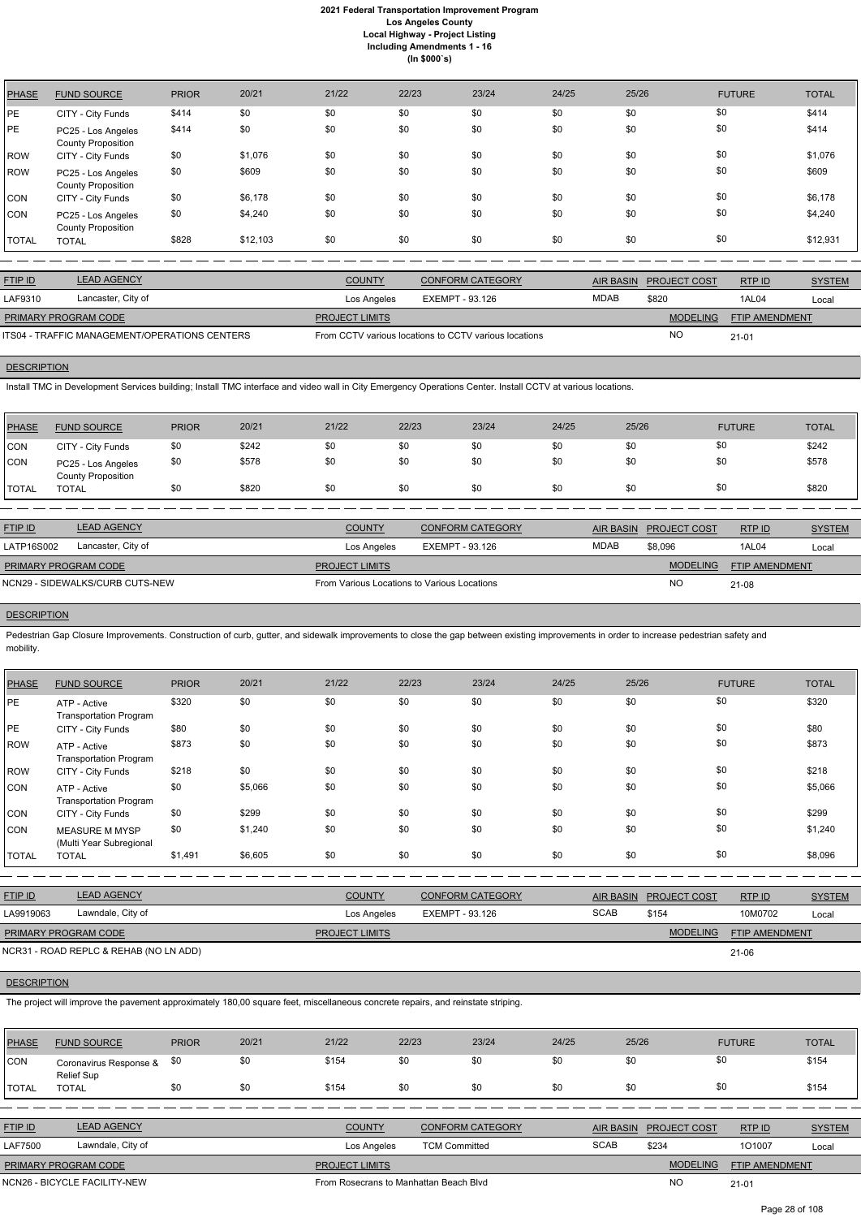| <b>PHASE</b> | <b>FUND SOURCE</b>                              | <b>PRIOR</b> | 20/21    | 21/22 | 22/23 | 23/24 | 24/25 | 25/26 | <b>FUTURE</b> | <b>TOTAL</b> |
|--------------|-------------------------------------------------|--------------|----------|-------|-------|-------|-------|-------|---------------|--------------|
| PE           | CITY - City Funds                               | \$414        | \$0      | \$0   | \$0   | \$0   | \$0   | \$0   | \$0           | \$414        |
| <b>PE</b>    | PC25 - Los Angeles<br><b>County Proposition</b> | \$414        | \$0      | \$0   | \$0   | \$0   | \$0   | \$0   | \$0           | \$414        |
| <b>ROW</b>   | CITY - City Funds                               | \$0          | \$1,076  | \$0   | \$0   | \$0   | \$0   | \$0   | \$0           | \$1,076      |
| <b>ROW</b>   | PC25 - Los Angeles<br><b>County Proposition</b> | \$0          | \$609    | \$0   | \$0   | \$0   | \$0   | \$0   | \$0           | \$609        |
| <b>CON</b>   | CITY - City Funds                               | \$0          | \$6,178  | \$0   | \$0   | \$0   | \$0   | \$0   | \$0           | \$6,178      |
| <b>CON</b>   | PC25 - Los Angeles<br><b>County Proposition</b> | \$0          | \$4,240  | \$0   | \$0   | \$0   | \$0   | \$0   | \$0           | \$4,240      |
| <b>TOTAL</b> | <b>TOTAL</b>                                    | \$828        | \$12,103 | \$0   | \$0   | \$0   | \$0   | \$0   | \$0           | \$12,931     |

| <b>FTIP ID</b>              | <b>LEAD AGENCY</b>                            | <b>COUNTY</b>         | CONFORM CATEGORY                                      | AIR BASIN   | <b>PROJECT COST</b> | RTPID                 | <b>SYSTEM</b> |
|-----------------------------|-----------------------------------------------|-----------------------|-------------------------------------------------------|-------------|---------------------|-----------------------|---------------|
| LAF9310                     | Lancaster, City of                            | Los Angeles           | EXEMPT - 93.126                                       | <b>MDAB</b> | \$820               | 1AL04                 | Local         |
| <b>PRIMARY PROGRAM CODE</b> |                                               | <b>PROJECT LIMITS</b> |                                                       |             | <b>MODELING</b>     | <b>FTIP AMENDMENT</b> |               |
|                             | ITS04 - TRAFFIC MANAGEMENT/OPERATIONS CENTERS |                       | From CCTV various locations to CCTV various locations |             | <b>NC</b>           | $21 - 01$             |               |

#### **DESCRIPTION**

Pedestrian Gap Closure Improvements. Construction of curb, gutter, and sidewalk improvements to close the gap between existing improvements in order to increase pedestrian safety and mobility.

Install TMC in Development Services building; Install TMC interface and video wall in City Emergency Operations Center. Install CCTV at various locations.

| PHASE         | <b>FUND SOURCE</b>                              | <b>PRIOR</b> | 20/21 | 21/22 | 22/23 | 23/24 | 24/25 | 25/26 | <b>FUTURE</b> | <b>TOTAL</b> |
|---------------|-------------------------------------------------|--------------|-------|-------|-------|-------|-------|-------|---------------|--------------|
| <b>CON</b>    | CITY - City Funds                               | \$0          | \$242 | \$0   | \$0   | \$0   | \$0   | \$0   | \$0           | \$242        |
| <b>CON</b>    | PC25 - Los Angeles<br><b>County Proposition</b> | \$0          | \$578 | \$0   | \$0   | \$0   | \$0   | \$0   | \$0           | \$578        |
| <b>ITOTAL</b> | TOTAL                                           | \$0          | \$820 | \$0   | \$0   | \$0   | \$0   | \$0   | \$0           | \$820        |

| <b>FTIP ID</b>              | <b>LEAD AGENCY</b>              | <b>COUNTY</b>                               | <b>CONFORM CATEGORY</b> | AIR BASIN   | <b>PROJECT COST</b> | RTP ID         | <b>SYSTEM</b> |
|-----------------------------|---------------------------------|---------------------------------------------|-------------------------|-------------|---------------------|----------------|---------------|
| LATP16S002                  | Lancaster, City of              | Los Angeles                                 | EXEMPT - 93.126         | <b>MDAB</b> | \$8,096             | 1AL04          | Local         |
| <b>PRIMARY PROGRAM CODE</b> |                                 | <b>PROJECT LIMITS</b>                       |                         |             | <b>MODELING</b>     | FTIP AMENDMENT |               |
|                             | NCN29 - SIDEWALKS/CURB CUTS-NEW | From Various Locations to Various Locations |                         |             | <b>NC</b>           | 21-08          |               |

# **DESCRIPTION**

| <b>PHASE</b> | <b>FUND SOURCE</b>                               | <b>PRIOR</b> | 20/21   | 21/22 | 22/23 | 23/24 | 24/25 | 25/26 | <b>FUTURE</b> | <b>TOTAL</b> |
|--------------|--------------------------------------------------|--------------|---------|-------|-------|-------|-------|-------|---------------|--------------|
| PE           | ATP - Active<br><b>Transportation Program</b>    | \$320        | \$0     | \$0   | \$0   | \$0   | \$0   | \$0   | \$0           | \$320        |
| PE           | CITY - City Funds                                | \$80         | \$0     | \$0   | \$0   | \$0   | \$0   | \$0   | \$0           | \$80         |
| <b>ROW</b>   | ATP - Active<br><b>Transportation Program</b>    | \$873        | \$0     | \$0   | \$0   | \$0   | \$0   | \$0   | \$0           | \$873        |
| <b>ROW</b>   | CITY - City Funds                                | \$218        | \$0     | \$0   | \$0   | \$0   | \$0   | \$0   | \$0           | \$218        |
| <b>CON</b>   | ATP - Active<br><b>Transportation Program</b>    | \$0          | \$5,066 | \$0   | \$0   | \$0   | \$0   | \$0   | \$0           | \$5,066      |
| CON          | CITY - City Funds                                | \$0          | \$299   | \$0   | \$0   | \$0   | \$0   | \$0   | \$0           | \$299        |
| <b>CON</b>   | <b>MEASURE M MYSP</b><br>(Multi Year Subregional | \$0          | \$1,240 | \$0   | \$0   | \$0   | \$0   | \$0   | \$0           | \$1,240      |
| <b>TOTAL</b> | <b>TOTAL</b>                                     | \$1,491      | \$6,605 | \$0   | \$0   | \$0   | \$0   | \$0   | \$0           | \$8,096      |

| <u>FTIP ID</u> | <b>LEAD AGENCY</b> | <b>COUNTY</b> | <b>CONFORM CATEGORY</b> |      | AIR BASIN PROJECT COST | <b>RTP ID</b> | <u>SYSTEM</u> |
|----------------|--------------------|---------------|-------------------------|------|------------------------|---------------|---------------|
| LA9919063      | Lawndale, City of  | Los Angeles   | EXEMPT - 93.126         | SCAB | \$154                  | 10M0702       | Loca          |

21-06

The project will improve the pavement approximately 180,00 square feet, miscellaneous concrete repairs, and reinstate striping.

| <b>PHASE</b>   | <b>FUND SOURCE</b>                   | <b>PRIOR</b> | 20/21 | 21/22                 | 22/23                | 23/24                   | 24/25 | 25/26            |                     | <b>FUTURE</b>         | <b>TOTAL</b>  |
|----------------|--------------------------------------|--------------|-------|-----------------------|----------------------|-------------------------|-------|------------------|---------------------|-----------------------|---------------|
| <b>CON</b>     | Coronavirus Response &<br>Relief Sup | \$0          | \$0   | \$154                 | \$0                  | \$0                     | \$0   | \$0              | \$0                 |                       | \$154         |
| <b>I</b> TOTAL | <b>TOTAL</b>                         | \$0          | \$0   | \$154                 | \$0                  | \$0                     | \$0   | \$0              | \$0                 |                       | \$154         |
|                |                                      |              |       |                       |                      |                         |       |                  |                     |                       |               |
| <b>FTIP ID</b> | <b>LEAD AGENCY</b>                   |              |       | <b>COUNTY</b>         |                      | <b>CONFORM CATEGORY</b> |       | <b>AIR BASIN</b> | <b>PROJECT COST</b> | RTP ID                | <b>SYSTEM</b> |
| <b>LAF7500</b> | Lawndale, City of                    |              |       | Los Angeles           | <b>TCM Committed</b> |                         |       | <b>SCAB</b>      | \$234               | 101007                | Local         |
|                | PRIMARY PROGRAM CODE                 |              |       | <b>PROJECT LIMITS</b> |                      |                         |       |                  | <b>MODELING</b>     | <b>FTIP AMENDMENT</b> |               |

NCN26 - BICYCLE FACILITY-NEW **From Rosecrans to Manhattan Beach Blvd** 

NO

21-01

# **DESCRIPTION**

Page 28 of 108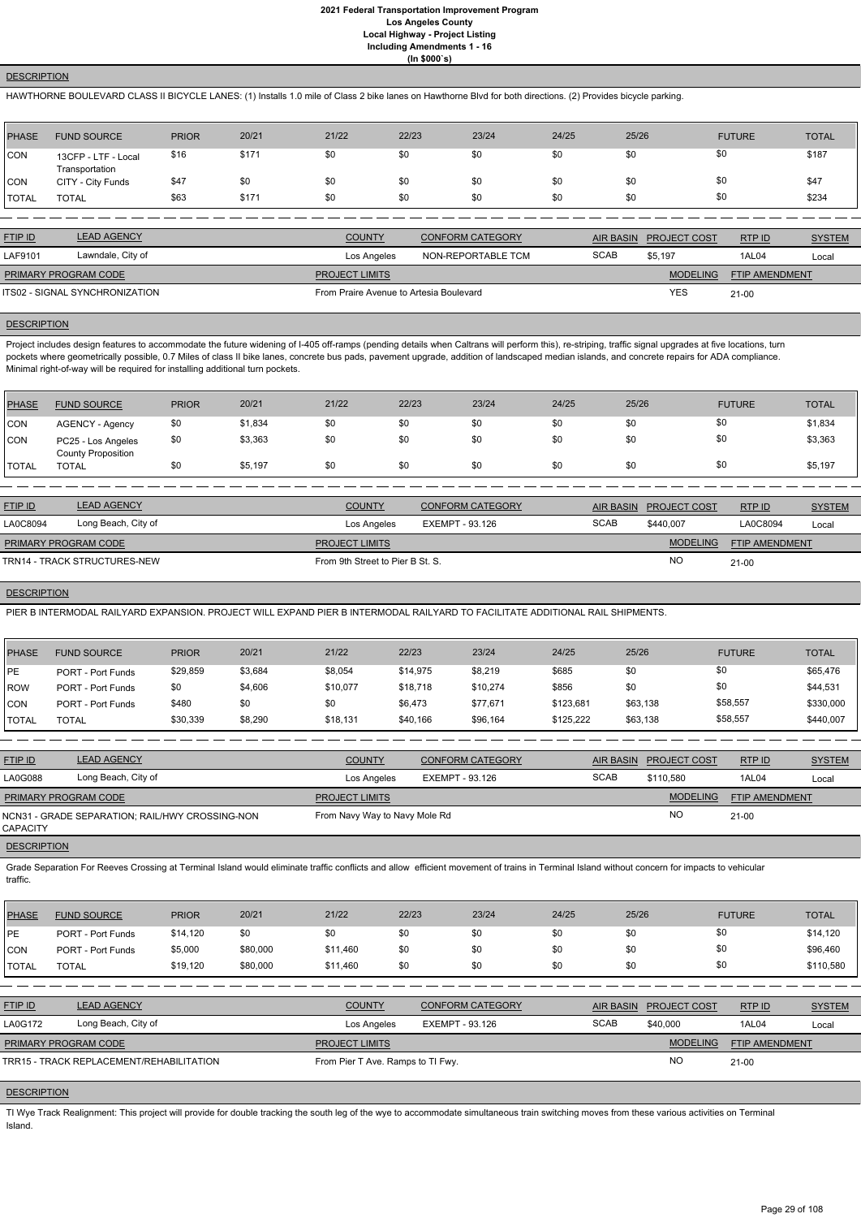## **DESCRIPTION**

HAWTHORNE BOULEVARD CLASS II BICYCLE LANES: (1) Installs 1.0 mile of Class 2 bike lanes on Hawthorne Blvd for both directions. (2) Provides bicycle parking.

| PHASE        | <b>FUND SOURCE</b>                    | <b>PRIOR</b> | 20/21 | 21/22 | 22/23 | 23/24 | 24/25 | 25/26 | <b>FUTURE</b> | <b>TOTAL</b> |
|--------------|---------------------------------------|--------------|-------|-------|-------|-------|-------|-------|---------------|--------------|
| <b>CON</b>   | 13CFP - LTF - Local<br>Transportation | \$16         | \$171 | \$0   | \$0   | \$0   | \$0   | \$0   | \$0           | \$187        |
| <b>CON</b>   | CITY - City Funds                     | \$47         | \$0   | \$0   | \$0   | \$0   | \$0   | \$0   | \$0           | \$47         |
| <b>TOTAL</b> | <b>TOTAL</b>                          | \$63         | \$171 | \$0   | \$0   | \$0   | \$0   | \$0   | \$0           | \$234        |

Project includes design features to accommodate the future widening of I-405 off-ramps (pending details when Caltrans will perform this), re-striping, traffic signal upgrades at five locations, turn pockets where geometrically possible, 0.7 Miles of class II bike lanes, concrete bus pads, pavement upgrade, addition of landscaped median islands, and concrete repairs for ADA compliance. Minimal right-of-way will be required for installing additional turn pockets.

| <b>FTIP ID</b>              | <b>LEAD AGENCY</b>             | <b>COUNTY</b>                           | CONFORM CATEGORY   | <b>AIR BASIN</b> | <b>PROJECT COST</b> | RTPID                 | <b>SYSTEM</b> |
|-----------------------------|--------------------------------|-----------------------------------------|--------------------|------------------|---------------------|-----------------------|---------------|
| LAF9101                     | Lawndale, City of              | Los Angeles                             | NON-REPORTABLE TCM | <b>SCAB</b>      | \$5.197             | 1AL04                 | Local         |
| <b>PRIMARY PROGRAM CODE</b> |                                | <b>PROJECT LIMITS</b>                   |                    |                  | <b>MODELING</b>     | <b>FTIP AMENDMENT</b> |               |
|                             | ITS02 - SIGNAL SYNCHRONIZATION | From Praire Avenue to Artesia Boulevard |                    |                  | <b>YES</b>          | $21 - 00$             |               |

## **DESCRIPTION**

| PHASE        | <b>FUND SOURCE</b>                              | <b>PRIOR</b> | 20/21   | 21/22 | 22/23 | 23/24 | 24/25 | 25/26 | <b>FUTURE</b> | <b>TOTAL</b> |
|--------------|-------------------------------------------------|--------------|---------|-------|-------|-------|-------|-------|---------------|--------------|
| CON          | AGENCY - Agency                                 | \$0          | \$1,834 | \$0   | \$0   | \$0   | \$0   | \$0   | \$0           | \$1,834      |
| <b>CON</b>   | PC25 - Los Angeles<br><b>County Proposition</b> | \$0          | \$3,363 | \$0   | \$0   | \$0   | \$0   | \$0   | \$0           | \$3,363      |
| <b>TOTAL</b> | <b>TOTAL</b>                                    | \$0          | \$5,197 | \$0   | \$0   | \$0   | \$0   | \$0   | \$0           | \$5,197      |

| <b>FTIP ID</b>              | <b>LEAD AGENCY</b>           | <b>COUNTY</b>                    | <b>CONFORM CATEGORY</b> |             | AIR BASIN PROJECT COST | RTPID                 | <b>SYSTEM</b> |
|-----------------------------|------------------------------|----------------------------------|-------------------------|-------------|------------------------|-----------------------|---------------|
| LA0C8094                    | Long Beach, City of          | Los Angeles                      | EXEMPT - 93.126         | <b>SCAB</b> | \$440,007              | LA0C8094              | Local         |
| <b>PRIMARY PROGRAM CODE</b> |                              | <b>PROJECT LIMITS</b>            |                         |             | <b>MODELING</b>        | <b>FTIP AMENDMENT</b> |               |
|                             | TRN14 - TRACK STRUCTURES-NEW | From 9th Street to Pier B St. S. |                         |             | <b>NO</b>              | $21-00$               |               |

#### **DESCRIPTION**

PIER B INTERMODAL RAILYARD EXPANSION. PROJECT WILL EXPAND PIER B INTERMODAL RAILYARD TO FACILITATE ADDITIONAL RAIL SHIPMENTS.

| <b>PHASE</b>   | <b>FUND SOURCE</b>       | <b>PRIOR</b> | 20/21   | 21/22    | 22/23    | 23/24    | 24/25     | 25/26    | <b>FUTURE</b> | <b>TOTAL</b> |
|----------------|--------------------------|--------------|---------|----------|----------|----------|-----------|----------|---------------|--------------|
| <b>IPE</b>     | <b>PORT - Port Funds</b> | \$29,859     | \$3,684 | \$8,054  | \$14,975 | \$8,219  | \$685     | \$0      | \$0           | \$65,476     |
| <b>IROW</b>    | <b>PORT - Port Funds</b> | \$0          | \$4,606 | \$10,077 | \$18,718 | \$10,274 | \$856     | \$0      | \$0           | \$44,531     |
| <b>CON</b>     | <b>PORT - Port Funds</b> | \$480        | \$0     | \$0      | \$6,473  | \$77,671 | \$123,681 | \$63,138 | \$58,557      | \$330,000    |
| <b>I</b> TOTAL | TOTAL                    | \$30,339     | \$8,290 | \$18,131 | \$40,166 | \$96,164 | \$125,222 | \$63,138 | \$58,557      | \$440,007    |

| <b>FTIP ID</b>                                              | <b>LEAD AGENCY</b>  | <b>COUNTY</b>                 | <b>CONFORM CATEGORY</b> | AIR BASIN   | <b>PROJECT COST</b> | RTPID                 | <b>SYSTEM</b> |
|-------------------------------------------------------------|---------------------|-------------------------------|-------------------------|-------------|---------------------|-----------------------|---------------|
| <b>LA0G088</b>                                              | Long Beach, City of | Los Angeles                   | EXEMPT - 93.126         | <b>SCAB</b> | \$110.580           | 1AL04                 | Local         |
| PRIMARY PROGRAM CODE                                        |                     | <b>PROJECT LIMITS</b>         |                         |             | <b>MODELING</b>     | <b>FTIP AMENDMENT</b> |               |
| NCN31 - GRADE SEPARATION; RAIL/HWY CROSSING-NON<br>CAPACITY |                     | From Navy Way to Navy Mole Rd |                         |             | NO                  | $21 - 00$             |               |
| $- - - - - - - - - - - - - -$                               |                     |                               |                         |             |                     |                       |               |

#### **DESCRIPTION**

Grade Separation For Reeves Crossing at Terminal Island would eliminate traffic conflicts and allow efficient movement of trains in Terminal Island without concern for impacts to vehicular traffic.

| PHASE | <b>FUND SOURCE</b> | <b>PRIOR</b> | 20/21 | 21/22 | 22/23 | 23/24 | 24/25 | 25/26 | <b>FUTURE</b> | <b>TOTAL</b> |
|-------|--------------------|--------------|-------|-------|-------|-------|-------|-------|---------------|--------------|

| <b>IPE</b>     | <b>PORT - Port Funds</b>                 | \$14,120 | \$0      | \$0                               | \$0 | \$0                     | \$0 | \$0              | \$0                 |                       | \$14,120      |
|----------------|------------------------------------------|----------|----------|-----------------------------------|-----|-------------------------|-----|------------------|---------------------|-----------------------|---------------|
| <b>CON</b>     | <b>PORT - Port Funds</b>                 | \$5,000  | \$80,000 | \$11,460                          | \$0 | \$0                     | \$0 | \$0              | \$0                 |                       | \$96,460      |
| TOTAL          | <b>TOTAL</b>                             | \$19,120 | \$80,000 | \$11,460                          | \$0 | \$0                     | \$0 | \$0              | \$0                 |                       | \$110,580     |
|                |                                          |          |          |                                   |     |                         |     |                  |                     |                       |               |
| FTIP ID        | <b>LEAD AGENCY</b>                       |          |          | <b>COUNTY</b>                     |     | <b>CONFORM CATEGORY</b> |     | <b>AIR BASIN</b> | <b>PROJECT COST</b> | RTPID                 | <b>SYSTEM</b> |
| <b>LA0G172</b> | Long Beach, City of                      |          |          | Los Angeles                       |     | EXEMPT - 93.126         |     | <b>SCAB</b>      | \$40,000            | <b>1AL04</b>          | Local         |
|                | <b>PRIMARY PROGRAM CODE</b>              |          |          | <b>PROJECT LIMITS</b>             |     |                         |     |                  | <b>MODELING</b>     | <b>FTIP AMENDMENT</b> |               |
|                | TRR15 - TRACK REPLACEMENT/REHABILITATION |          |          | From Pier T Ave. Ramps to TI Fwy. |     |                         |     |                  | <b>NO</b>           | $21-00$               |               |
|                |                                          |          |          |                                   |     |                         |     |                  |                     |                       |               |

# **DESCRIPTION**

TI Wye Track Realignment: This project will provide for double tracking the south leg of the wye to accommodate simultaneous train switching moves from these various activities on Terminal Island.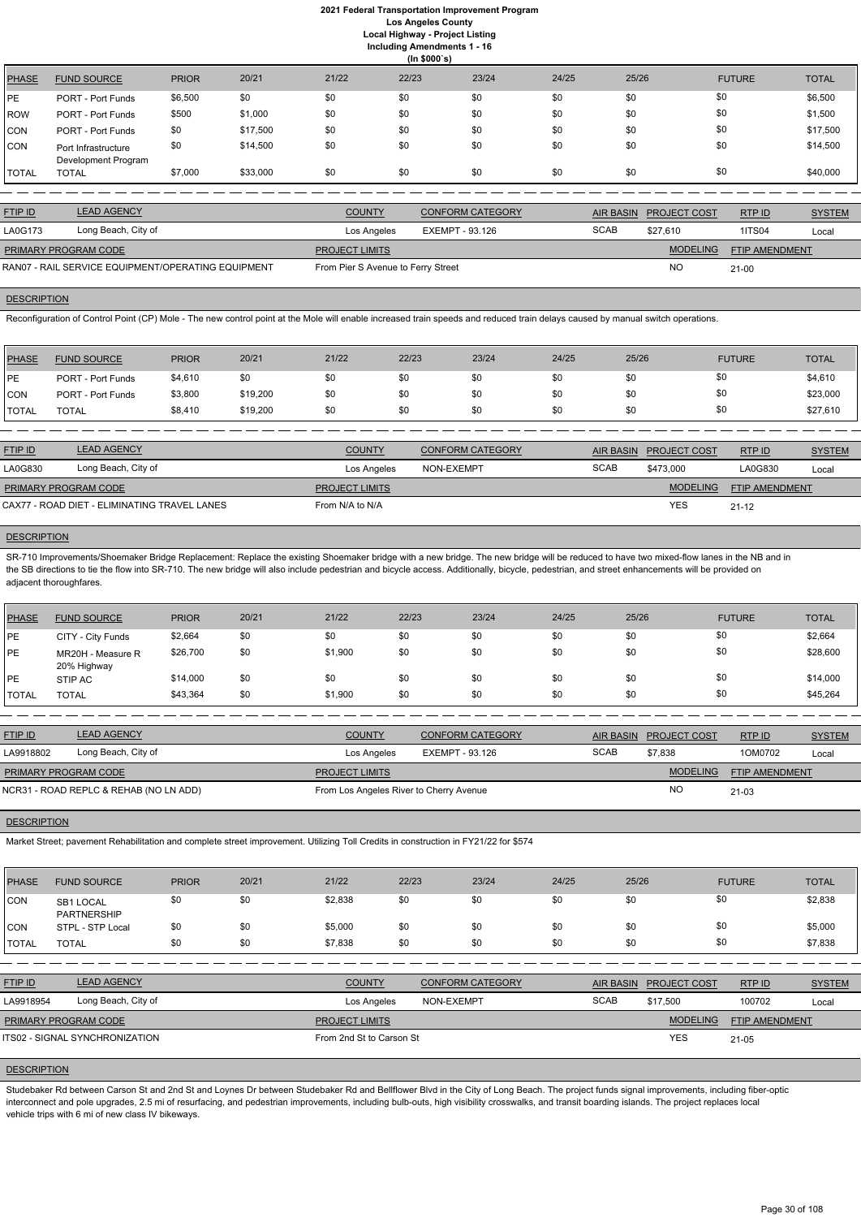|         | (ln \$000's)                               |              |          |       |       |       |       |       |               |              |  |  |
|---------|--------------------------------------------|--------------|----------|-------|-------|-------|-------|-------|---------------|--------------|--|--|
| PHASE   | <b>FUND SOURCE</b>                         | <b>PRIOR</b> | 20/21    | 21/22 | 22/23 | 23/24 | 24/25 | 25/26 | <b>FUTURE</b> | <b>TOTAL</b> |  |  |
| PE      | <b>PORT - Port Funds</b>                   | \$6,500      | \$0      | \$0   | \$0   | \$0   | \$0   | \$0   | \$0           | \$6,500      |  |  |
| ROW     | <b>PORT - Port Funds</b>                   | \$500        | \$1,000  | \$0   | \$0   | \$0   | \$0   | \$0   | \$0           | \$1,500      |  |  |
| CON     | <b>PORT - Port Funds</b>                   | \$0          | \$17,500 | \$0   | \$0   | \$0   | \$0   | \$0   | \$0           | \$17,500     |  |  |
| ICON    | Port Infrastructure<br>Development Program | \$0          | \$14,500 | \$0   | \$0   | \$0   | \$0   | \$0   | \$0           | \$14,500     |  |  |
| I TOTAL | <b>TOTAL</b>                               | \$7,000      | \$33,000 | \$0   | \$0   | \$0   | \$0   | \$0   | \$0           | \$40,000     |  |  |

| <b>FTIP ID</b>                                     | <b>LEAD AGENCY</b>  | <b>COUNTY</b>                      | <b>CONFORM CATEGORY</b> |             | AIR BASIN PROJECT COST | RTP ID                | <b>SYSTEM</b> |
|----------------------------------------------------|---------------------|------------------------------------|-------------------------|-------------|------------------------|-----------------------|---------------|
| LA0G173                                            | Long Beach, City of | Los Angeles                        | EXEMPT - 93.126         | <b>SCAB</b> | \$27.610               | <b>1ITS04</b>         | Local         |
| <b>PRIMARY PROGRAM CODE</b>                        |                     | <b>PROJECT LIMITS</b>              |                         |             | <b>MODELING</b>        | <b>FTIP AMENDMENT</b> |               |
| RAN07 - RAIL SERVICE EQUIPMENT/OPERATING EQUIPMENT |                     | From Pier S Avenue to Ferry Street |                         |             | <b>NC</b>              | $21 - 00$             |               |

# **DESCRIPTION**

Reconfiguration of Control Point (CP) Mole - The new control point at the Mole will enable increased train speeds and reduced train delays caused by manual switch operations.

SR-710 Improvements/Shoemaker Bridge Replacement: Replace the existing Shoemaker bridge with a new bridge. The new bridge will be reduced to have two mixed-flow lanes in the NB and in the SB directions to tie the flow into SR-710. The new bridge will also include pedestrian and bicycle access. Additionally, bicycle, pedestrian, and street enhancements will be provided on adjacent thoroughfares.

| <b>PHASE</b>  | <b>FUND SOURCE</b>       | <b>PRIOR</b> | 20/21    | 21/22 | 22/23 | 23/24 | 24/25 | 25/26 | <b>FUTURE</b> | <b>TOTAL</b> |
|---------------|--------------------------|--------------|----------|-------|-------|-------|-------|-------|---------------|--------------|
| <b>IPE</b>    | <b>PORT - Port Funds</b> | \$4,610      | \$0      | \$0   | \$0   | \$0   | \$0   | \$0   |               | \$4,610      |
| <b>CON</b>    | PORT - Port Funds        | \$3,800      | \$19,200 | \$0   | \$0   | \$0   | \$0   | \$0   |               | \$23,000     |
| <b>'TOTAL</b> | <b>TOTAL</b>             | \$8,410      | \$19,200 | \$0   | \$0   | \$0   | \$0   | \$0   |               | \$27,610     |

| <b>FTIP ID</b>                               | <b>LEAD AGENCY</b>  | <b>COUNTY</b>         | <b>CONFORM CATEGORY</b> | AIR BASIN   | <b>PROJECT COST</b> | RTP ID                | <b>SYSTEM</b> |
|----------------------------------------------|---------------------|-----------------------|-------------------------|-------------|---------------------|-----------------------|---------------|
| LA0G830                                      | Long Beach, City of | Los Angeles           | NON-EXEMPT              | <b>SCAB</b> | \$473,000           | LA0G830               | Local         |
| <b>PRIMARY PROGRAM CODE</b>                  |                     | <b>PROJECT LIMITS</b> |                         |             | <b>MODELING</b>     | <b>FTIP AMENDMENT</b> |               |
| CAX77 - ROAD DIET - ELIMINATING TRAVEL LANES |                     | From N/A to N/A       |                         |             | <b>YES</b>          | $21 - 12$             |               |

#### **DESCRIPTION**

| PHASE        | <b>FUND SOURCE</b>               | <b>PRIOR</b> | 20/21 | 21/22   | 22/23 | 23/24 | 24/25 | 25/26 | <b>FUTURE</b> | <b>TOTAL</b> |
|--------------|----------------------------------|--------------|-------|---------|-------|-------|-------|-------|---------------|--------------|
| <b>IPE</b>   | CITY - City Funds                | \$2,664      | \$0   | \$0     | \$0   | \$0   | \$0   | \$0   | \$0           | \$2,664      |
| <b>IPE</b>   | MR20H - Measure R<br>20% Highway | \$26,700     | \$0   | \$1,900 | \$0   | \$0   | \$0   | \$0   | \$0           | \$28,600     |
| <b>IPE</b>   | STIP AC                          | \$14,000     | \$0   | \$0     | \$0   | \$0   | \$0   | \$0   | \$0           | \$14,000     |
| <b>TOTAL</b> | <b>TOTAL</b>                     | \$43,364     | \$0   | \$1,900 | \$0   | \$0   | \$0   | \$0   | \$0           | \$45,264     |

| <b>FTIP ID</b>                         | <b>LEAD AGENCY</b>  | <b>COUNTY</b>                           | <b>CONFORM CATEGORY</b> |             | AIR BASIN PROJECT COST | RTP ID         | <b>SYSTEM</b> |
|----------------------------------------|---------------------|-----------------------------------------|-------------------------|-------------|------------------------|----------------|---------------|
| LA9918802                              | Long Beach, City of | Los Angeles                             | EXEMPT - 93.126         | <b>SCAB</b> | \$7.838                | 1OM0702        | Local         |
| <b>PRIMARY PROGRAM CODE</b>            |                     | <b>PROJECT LIMITS</b>                   |                         |             | <b>MODELING</b>        | FTIP AMENDMENT |               |
| NCR31 - ROAD REPLC & REHAB (NO LN ADD) |                     | From Los Angeles River to Cherry Avenue |                         |             | <b>NO</b>              | $21 - 03$      |               |

#### **DESCRIPTION**

Market Street; pavement Rehabilitation and complete street improvement. Utilizing Toll Credits in construction in FY21/22 for \$574

| PHASE | <b>FUND SOURCE</b>              | <b>PRIOR</b> | 20/21 | 21/22   | 22/23 | 23/24 | 24/25 | 25/26 | <b>FUTURE</b> | <b>TOTAL</b> |
|-------|---------------------------------|--------------|-------|---------|-------|-------|-------|-------|---------------|--------------|
| CON   | SB1 LOCAL<br><b>PARTNERSHIP</b> |              | \$0   | \$2.838 | \$0   | \$0   |       | ፍበ    | \$0           | \$2,838      |

| <b>CON</b>     | STPL - STP Local                      | \$0 | \$0 | \$5,000                  | \$0 | \$0                     | \$0 | \$0         | \$0                    |                       | \$5,000       |
|----------------|---------------------------------------|-----|-----|--------------------------|-----|-------------------------|-----|-------------|------------------------|-----------------------|---------------|
| <b>I</b> TOTAL | <b>TOTAL</b>                          | \$0 | \$0 | \$7,838                  | \$0 | \$0                     | \$0 | \$0         | \$0                    |                       | \$7,838       |
|                |                                       |     |     |                          |     |                         |     |             |                        |                       |               |
| <b>FTIP ID</b> | <b>LEAD AGENCY</b>                    |     |     | <b>COUNTY</b>            |     | <b>CONFORM CATEGORY</b> |     |             | AIR BASIN PROJECT COST | RTPID                 | <b>SYSTEM</b> |
| LA9918954      | Long Beach, City of                   |     |     | Los Angeles              |     | NON-EXEMPT              |     | <b>SCAB</b> | \$17,500               | 100702                | Local         |
|                | <b>PRIMARY PROGRAM CODE</b>           |     |     | <b>PROJECT LIMITS</b>    |     |                         |     |             | <b>MODELING</b>        | <b>FTIP AMENDMENT</b> |               |
|                | <b>ITS02 - SIGNAL SYNCHRONIZATION</b> |     |     | From 2nd St to Carson St |     |                         |     |             | <b>YES</b>             | $21 - 05$             |               |

# **DESCRIPTION**

Studebaker Rd between Carson St and 2nd St and Loynes Dr between Studebaker Rd and Bellflower Blvd in the City of Long Beach. The project funds signal improvements, including fiber-optic interconnect and pole upgrades, 2.5 mi of resurfacing, and pedestrian improvements, including bulb-outs, high visibility crosswalks, and transit boarding islands. The project replaces local vehicle trips with 6 mi of new class IV bikeways.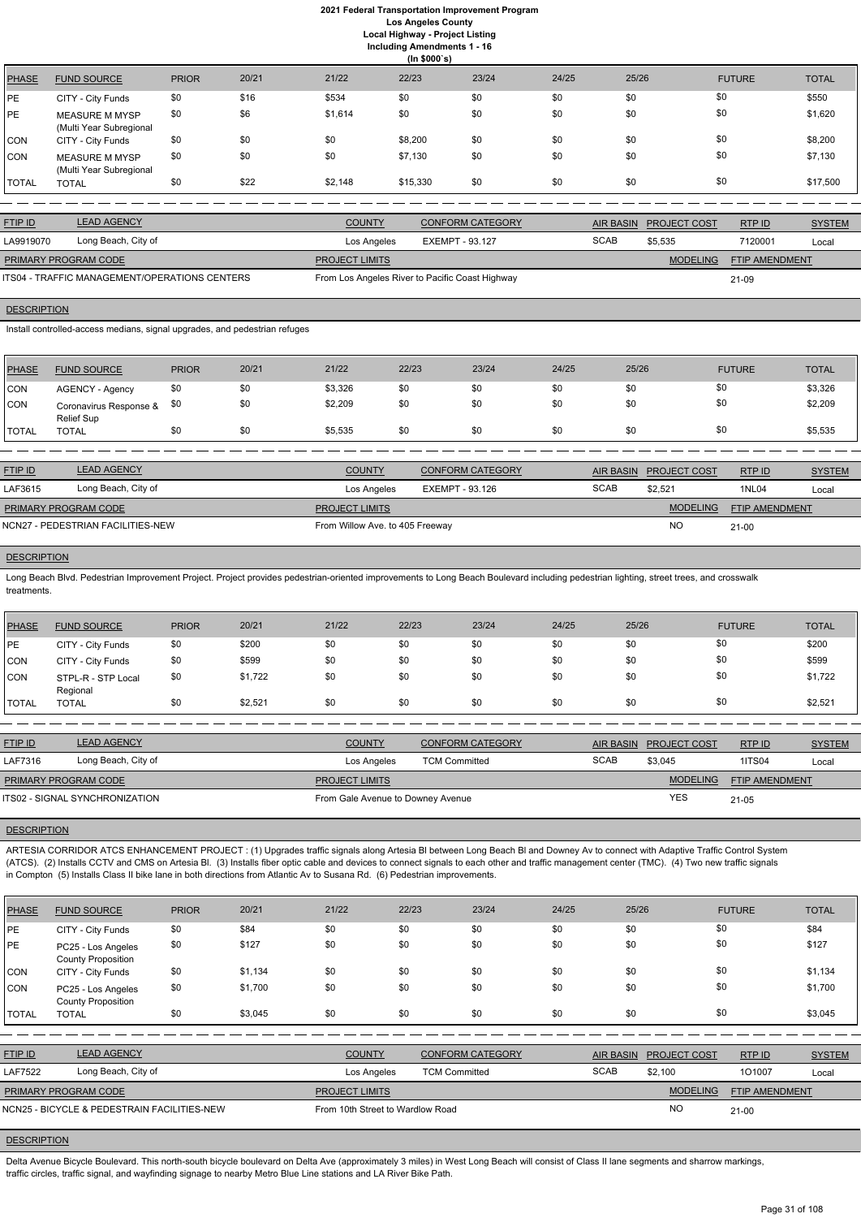**Including Amendments 1 - 16**

| 22/23<br>23/24<br>20/21<br>21/22<br>24/25<br>25/26<br><b>TOTAL</b><br><b>PRIOR</b><br><b>FUTURE</b><br><b>PHASE</b><br><b>FUND SOURCE</b><br>\$0<br>\$534<br>\$0<br>\$0<br>\$0<br>\$0<br>\$550<br>\$0<br>\$16<br>РE<br>CITY - City Funds<br>\$0<br>\$1,620<br>\$6<br>\$0<br>\$0<br>\$0<br>\$0<br>\$1,614<br>\$0<br>PE<br><b>MEASURE M MYSP</b><br>(Multi Year Subregional<br>\$0<br>\$0<br>\$0<br>\$0<br>\$0<br>\$8,200<br>\$0<br>\$0<br>\$8,200<br>CON<br>CITY - City Funds<br>\$0<br>\$0<br>\$0<br>\$0<br>\$7,130<br>\$0<br>\$0<br>\$7,130<br>\$0<br>CON<br><b>MEASURE M MYSP</b><br>(Multi Year Subregional<br>\$0<br>\$0<br>\$22<br>\$0<br>\$2,148<br>\$0<br>\$17,500<br>\$0<br>\$15,330<br>TOTAL<br><b>TOTAL</b> | (ln \$000's) |  |  |  |  |  |  |  |  |  |  |
|-----------------------------------------------------------------------------------------------------------------------------------------------------------------------------------------------------------------------------------------------------------------------------------------------------------------------------------------------------------------------------------------------------------------------------------------------------------------------------------------------------------------------------------------------------------------------------------------------------------------------------------------------------------------------------------------------------------------------|--------------|--|--|--|--|--|--|--|--|--|--|
|                                                                                                                                                                                                                                                                                                                                                                                                                                                                                                                                                                                                                                                                                                                       |              |  |  |  |  |  |  |  |  |  |  |
|                                                                                                                                                                                                                                                                                                                                                                                                                                                                                                                                                                                                                                                                                                                       |              |  |  |  |  |  |  |  |  |  |  |
|                                                                                                                                                                                                                                                                                                                                                                                                                                                                                                                                                                                                                                                                                                                       |              |  |  |  |  |  |  |  |  |  |  |
|                                                                                                                                                                                                                                                                                                                                                                                                                                                                                                                                                                                                                                                                                                                       |              |  |  |  |  |  |  |  |  |  |  |
|                                                                                                                                                                                                                                                                                                                                                                                                                                                                                                                                                                                                                                                                                                                       |              |  |  |  |  |  |  |  |  |  |  |
|                                                                                                                                                                                                                                                                                                                                                                                                                                                                                                                                                                                                                                                                                                                       |              |  |  |  |  |  |  |  |  |  |  |

| <b>FTIP ID</b>                                | <b>LEAD AGENCY</b>  | <b>COUNTY</b>         | <b>CONFORM CATEGORY</b>                         |             | AIR BASIN PROJECT COST | RTP ID                | <b>SYSTEM</b> |
|-----------------------------------------------|---------------------|-----------------------|-------------------------------------------------|-------------|------------------------|-----------------------|---------------|
| LA9919070                                     | Long Beach, City of | Los Angeles           | EXEMPT - 93.127                                 | <b>SCAB</b> | \$5.535                | 7120001               | Local         |
| <b>PRIMARY PROGRAM CODE</b>                   |                     | <b>PROJECT LIMITS</b> |                                                 |             | <b>MODELING</b>        | <b>FTIP AMENDMENT</b> |               |
| ITS04 - TRAFFIC MANAGEMENT/OPERATIONS CENTERS |                     |                       | From Los Angeles River to Pacific Coast Highway |             |                        | 21-09                 |               |

# **DESCRIPTION**

Install controlled-access medians, signal upgrades, and pedestrian refuges

| PHASE       | <b>FUND SOURCE</b>                   | <b>PRIOR</b> | 20/21 | 21/22   | 22/23 | 23/24 | 24/25 | 25/26 | <b>FUTURE</b> | <b>TOTAL</b> |
|-------------|--------------------------------------|--------------|-------|---------|-------|-------|-------|-------|---------------|--------------|
| CON         | AGENCY - Agency                      | \$0          | \$0   | \$3,326 | \$0   | \$0   | \$0   | \$0   | \$0           | \$3,326      |
| <b>ICON</b> | Coronavirus Response &<br>Relief Sup | \$0          | \$0   | \$2,209 | \$0   | \$0   | \$0   | \$0   | \$0           | \$2,209      |
| 'TOTAL      | <b>TOTAL</b>                         | \$0          | \$0   | \$5,535 | \$0   | \$0   | \$0   | \$0   | \$0           | \$5,535      |
|             |                                      |              |       |         |       |       |       |       |               |              |

| <b>FTIP ID</b>       | <b>LEAD AGENCY</b>                | <b>COUNTY</b>                   | <b>CONFORM CATEGORY</b> | <b>AIR BASIN</b> | <b>PROJECT COST</b> | RTP ID                | <b>SYSTEM</b> |
|----------------------|-----------------------------------|---------------------------------|-------------------------|------------------|---------------------|-----------------------|---------------|
| LAF3615              | Long Beach, City of               | Los Angeles                     | EXEMPT - 93.126         | <b>SCAB</b>      | \$2,521             | 1NL04                 | Local         |
| PRIMARY PROGRAM CODE |                                   | <b>PROJECT LIMITS</b>           |                         |                  | <b>MODELING</b>     | <b>FTIP AMENDMENT</b> |               |
|                      | NCN27 - PEDESTRIAN FACILITIES-NEW | From Willow Ave. to 405 Freeway |                         |                  | NO                  | $21 - 00$             |               |

#### **DESCRIPTION**

Long Beach Blvd. Pedestrian Improvement Project. Project provides pedestrian-oriented improvements to Long Beach Boulevard including pedestrian lighting, street trees, and crosswalk treatments.

| <b>PHASE</b> | <b>FUND SOURCE</b>             | <b>PRIOR</b> | 20/21   | 21/22 | 22/23 | 23/24 | 24/25 | 25/26 | <b>FUTURE</b> | <b>TOTAL</b> |
|--------------|--------------------------------|--------------|---------|-------|-------|-------|-------|-------|---------------|--------------|
| IPE.         | CITY - City Funds              | \$0          | \$200   | \$0   | \$0   | \$0   | \$0   | \$0   | \$0           | \$200        |
| <b>CON</b>   | CITY - City Funds              | \$0          | \$599   | \$0   | \$0   | \$0   | \$0   | \$0   | \$0           | \$599        |
| <b>CON</b>   | STPL-R - STP Local<br>Regional | \$0          | \$1,722 | \$0   | \$0   | \$0   | \$0   | \$0   | \$0           | \$1,722      |
| <b>TOTAL</b> | <b>TOTAL</b>                   | \$0          | \$2,521 | \$0   | \$0   | \$0   | \$0   | \$0   | \$0           | \$2,521      |

Delta Avenue Bicycle Boulevard. This north-south bicycle boulevard on Delta Ave (approximately 3 miles) in West Long Beach will consist of Class II lane segments and sharrow markings, traffic circles, traffic signal, and wayfinding signage to nearby Metro Blue Line stations and LA River Bike Path.

| <b>FTIP ID</b>              | <b>LEAD AGENCY</b>             | <b>COUNTY</b>                     | <b>CONFORM CATEGORY</b> |             | AIR BASIN PROJECT COST | RTPID          | <b>SYSTEM</b> |
|-----------------------------|--------------------------------|-----------------------------------|-------------------------|-------------|------------------------|----------------|---------------|
| LAF7316                     | Long Beach, City of            | Los Angeles                       | <b>TCM Committed</b>    | <b>SCAB</b> | \$3.045                | <b>1ITS04</b>  | Local         |
| <b>PRIMARY PROGRAM CODE</b> |                                | <b>PROJECT LIMITS</b>             |                         |             | <b>MODELING</b>        | FTIP AMENDMENT |               |
|                             | ITS02 - SIGNAL SYNCHRONIZATION | From Gale Avenue to Downey Avenue |                         |             | YES                    | 21-05          |               |

# **DESCRIPTION**

ARTESIA CORRIDOR ATCS ENHANCEMENT PROJECT : (1) Upgrades traffic signals along Artesia Bl between Long Beach Bl and Downey Av to connect with Adaptive Traffic Control System (ATCS). (2) Installs CCTV and CMS on Artesia Bl. (3) Installs fiber optic cable and devices to connect signals to each other and traffic management center (TMC). (4) Two new traffic signals in Compton (5) Installs Class II bike lane in both directions from Atlantic Av to Susana Rd. (6) Pedestrian improvements.

| <b>PHASE</b>                                | <b>FUND SOURCE</b>                              | <b>PRIOR</b> | 20/21   | 21/22                            | 22/23                | 23/24                   | 24/25            | 25/26           | <b>FUTURE</b>         | <b>TOTAL</b>  |
|---------------------------------------------|-------------------------------------------------|--------------|---------|----------------------------------|----------------------|-------------------------|------------------|-----------------|-----------------------|---------------|
| PE                                          | CITY - City Funds                               | \$0          | \$84    | \$0                              | \$0                  | \$0                     | \$0              | \$0             | \$0                   | \$84          |
| <b>PE</b>                                   | PC25 - Los Angeles<br><b>County Proposition</b> | \$0          | \$127   | \$0                              | \$0                  | \$0                     | \$0              | \$0             | \$0                   | \$127         |
| CON                                         | CITY - City Funds                               | \$0          | \$1,134 | \$0                              | \$0                  | \$0                     | \$0              | \$0             | \$0                   | \$1,134       |
| CON                                         | PC25 - Los Angeles<br><b>County Proposition</b> | \$0          | \$1,700 | \$0                              | \$0                  | \$0                     | \$0              | \$0             | \$0                   | \$1,700       |
| <b>TOTAL</b>                                | <b>TOTAL</b>                                    | \$0          | \$3,045 | \$0                              | \$0                  | \$0                     | \$0              | \$0             | \$0                   | \$3,045       |
|                                             |                                                 |              |         |                                  |                      |                         |                  |                 |                       |               |
| FTIP ID                                     | <b>LEAD AGENCY</b>                              |              |         | <b>COUNTY</b>                    |                      | <b>CONFORM CATEGORY</b> | <b>AIR BASIN</b> | PROJECT COST    | RTP ID                | <b>SYSTEM</b> |
| <b>LAF7522</b>                              | Long Beach, City of                             |              |         | Los Angeles                      | <b>TCM Committed</b> |                         | <b>SCAB</b>      | \$2,100         | 101007                | Local         |
|                                             | PRIMARY PROGRAM CODE                            |              |         | <b>PROJECT LIMITS</b>            |                      |                         |                  | <b>MODELING</b> | <b>FTIP AMENDMENT</b> |               |
| NCN25 - BICYCLE & PEDESTRAIN FACILITIES-NEW |                                                 |              |         | From 10th Street to Wardlow Road |                      |                         |                  | <b>NO</b>       | $21-00$               |               |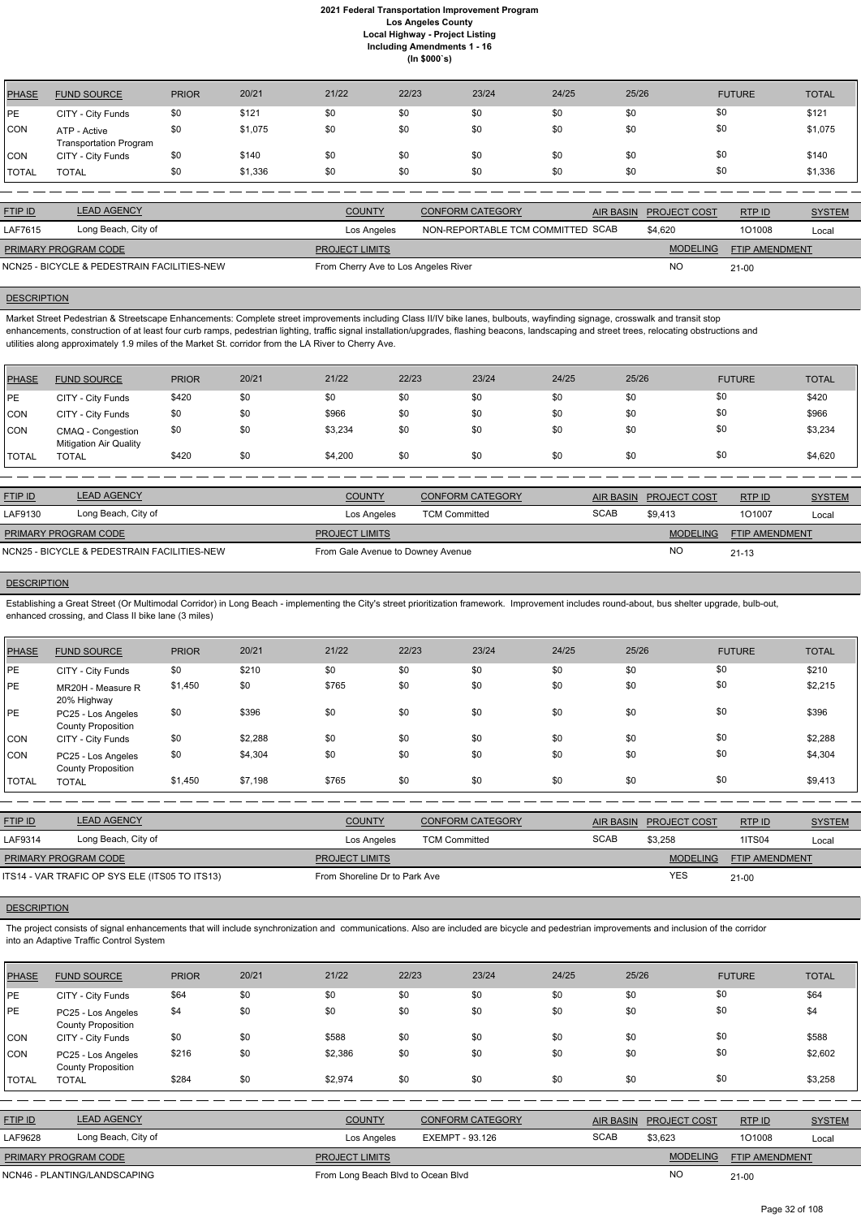| <b>PHASE</b> | <b>FUND SOURCE</b>                            | <b>PRIOR</b> | 20/21   | 21/22 | 22/23 | 23/24 | 24/25 | 25/26 | <b>FUTURE</b> | <b>TOTAL</b> |
|--------------|-----------------------------------------------|--------------|---------|-------|-------|-------|-------|-------|---------------|--------------|
| PE           | CITY - City Funds                             | \$0          | \$121   | \$0   | \$0   | \$0   | \$0   | \$0   | \$0           | \$121        |
| CON          | ATP - Active<br><b>Transportation Program</b> | \$0          | \$1,075 | \$0   | \$0   | \$0   | \$0   | \$0   | \$0           | \$1,075      |
| <b>CON</b>   | CITY - City Funds                             | \$0          | \$140   | \$0   | \$0   | \$0   | \$0   | \$0   | \$0           | \$140        |
| <b>TOTAL</b> | <b>TOTAL</b>                                  | \$0          | \$1,336 | \$0   | \$0   | \$0   | \$0   | \$0   | \$0           | \$1,336      |

| <b>FTIP ID</b>              | <b>LEAD AGENCY</b>                          | <b>COUNTY</b>                        | CONFORM CATEGORY                  | AIR BASIN PROJECT COST | RTP ID                | <b>SYSTEM</b> |
|-----------------------------|---------------------------------------------|--------------------------------------|-----------------------------------|------------------------|-----------------------|---------------|
| LAF7615                     | Long Beach, City of                         | Los Angeles                          | NON-REPORTABLE TCM COMMITTED SCAB | \$4.620                | 101008                | Local         |
| <b>PRIMARY PROGRAM CODE</b> |                                             | <b>PROJECT LIMITS</b>                |                                   | <b>MODELING</b>        | <b>FTIP AMENDMENT</b> |               |
|                             | NCN25 - BICYCLE & PEDESTRAIN FACILITIES-NEW | From Cherry Ave to Los Angeles River |                                   | NO                     | $21 - 00$             |               |

# **DESCRIPTION**

Market Street Pedestrian & Streetscape Enhancements: Complete street improvements including Class II/IV bike lanes, bulbouts, wayfinding signage, crosswalk and transit stop enhancements, construction of at least four curb ramps, pedestrian lighting, traffic signal installation/upgrades, flashing beacons, landscaping and street trees, relocating obstructions and utilities along approximately 1.9 miles of the Market St. corridor from the LA River to Cherry Ave.

| <b>PHASE</b> | <b>FUND SOURCE</b>                                 | <b>PRIOR</b> | 20/21 | 21/22   | 22/23 | 23/24 | 24/25 | 25/26 | <b>FUTURE</b> | <b>TOTAL</b> |
|--------------|----------------------------------------------------|--------------|-------|---------|-------|-------|-------|-------|---------------|--------------|
| <b>IPE</b>   | CITY - City Funds                                  | \$420        | \$0   | \$0     | \$0   | \$0   | \$0   | \$0   | \$0           | \$420        |
| <b>CON</b>   | CITY - City Funds                                  | \$0          | \$0   | \$966   | \$0   | \$0   | \$0   | \$0   | \$0           | \$966        |
| <b>CON</b>   | CMAQ - Congestion<br><b>Mitigation Air Quality</b> | \$0          | \$0   | \$3,234 | \$0   | \$0   | \$0   | \$0   | \$0           | \$3,234      |
| <b>TOTAL</b> | <b>TOTAL</b>                                       | \$420        | \$0   | \$4,200 | \$0   | \$0   | \$0   | \$0   | \$0           | \$4,620      |

| <b>FTIP ID</b>              | <b>LEAD AGENCY</b>                          | <b>COUNTY</b>                     | <b>CONFORM CATEGORY</b> | <b>AIR BASIN</b> | <b>PROJECT COST</b> | RTP ID                | <b>SYSTEM</b> |
|-----------------------------|---------------------------------------------|-----------------------------------|-------------------------|------------------|---------------------|-----------------------|---------------|
| LAF9130                     | Long Beach, City of                         | Los Angeles                       | <b>TCM Committed</b>    | <b>SCAB</b>      | \$9.413             | 101007                | Local         |
| <b>PRIMARY PROGRAM CODE</b> |                                             | <b>PROJECT LIMITS</b>             |                         |                  | <b>MODELING</b>     | <b>FTIP AMENDMENT</b> |               |
|                             | NCN25 - BICYCLE & PEDESTRAIN FACILITIES-NEW | From Gale Avenue to Downey Avenue |                         |                  | <b>NO</b>           | $21 - 13$             |               |

# **DESCRIPTION**

Establishing a Great Street (Or Multimodal Corridor) in Long Beach - implementing the City's street prioritization framework. Improvement includes round-about, bus shelter upgrade, bulb-out, enhanced crossing, and Class II bike lane (3 miles)

| <b>PHASE</b> | <b>FUND SOURCE</b>                              | <b>PRIOR</b> | 20/21   | 21/22 | 22/23 | 23/24 | 24/25 | 25/26 | <b>FUTURE</b> | <b>TOTAL</b> |
|--------------|-------------------------------------------------|--------------|---------|-------|-------|-------|-------|-------|---------------|--------------|
| PE           | CITY - City Funds                               | \$0          | \$210   | \$0   | \$0   | \$0   | \$0   | \$0   | \$0           | \$210        |
| PE           | MR20H - Measure R<br>20% Highway                | \$1,450      | \$0     | \$765 | \$0   | \$0   | \$0   | \$0   | \$0           | \$2,215      |
| PE           | PC25 - Los Angeles<br><b>County Proposition</b> | \$0          | \$396   | \$0   | \$0   | \$0   | \$0   | \$0   | \$0           | \$396        |
| <b>CON</b>   | CITY - City Funds                               | \$0          | \$2,288 | \$0   | \$0   | \$0   | \$0   | \$0   | \$0           | \$2,288      |
| <b>CON</b>   | PC25 - Los Angeles<br><b>County Proposition</b> | \$0          | \$4,304 | \$0   | \$0   | \$0   | \$0   | \$0   | \$0           | \$4,304      |
| <b>TOTAL</b> | <b>TOTAL</b>                                    | \$1,450      | \$7,198 | \$765 | \$0   | \$0   | \$0   | \$0   | \$0           | \$9,413      |

| <b>FTIP ID</b>              | <b>LEAD AGENCY</b>                             | <b>COUNTY</b>                 | <b>CONFORM CATEGORY</b> |             | AIR BASIN PROJECT COST | RTPID                 | <b>SYSTEM</b> |
|-----------------------------|------------------------------------------------|-------------------------------|-------------------------|-------------|------------------------|-----------------------|---------------|
| LAF9314                     | Long Beach, City of                            | Los Angeles                   | <b>TCM Committed</b>    | <b>SCAB</b> | \$3.258                | <b>1ITS04</b>         | Local         |
| <b>PRIMARY PROGRAM CODE</b> |                                                | <b>PROJECT LIMITS</b>         |                         |             | <b>MODELING</b>        | <b>FTIP AMENDMENT</b> |               |
|                             | ITS14 - VAR TRAFIC OP SYS ELE (ITS05 TO ITS13) | From Shoreline Dr to Park Ave |                         |             | <b>YES</b>             | $21 - 00$             |               |

The project consists of signal enhancements that will include synchronization and communications. Also are included are bicycle and pedestrian improvements and inclusion of the corridor into an Adaptive Traffic Control System

| <b>PHASE</b>   | <b>FUND SOURCE</b>                              | <b>PRIOR</b> | 20/21 | 21/22                              | 22/23           | 23/24                   | 24/25 | 25/26            |                 | <b>FUTURE</b>         | <b>TOTAL</b>  |
|----------------|-------------------------------------------------|--------------|-------|------------------------------------|-----------------|-------------------------|-------|------------------|-----------------|-----------------------|---------------|
| PE             | CITY - City Funds                               | \$64         | \$0   | \$0                                | \$0             | \$0                     | \$0   | \$0              |                 | \$0                   | \$64          |
| PE             | PC25 - Los Angeles<br><b>County Proposition</b> | \$4          | \$0   | \$0                                | \$0             | \$0                     | \$0   | \$0              |                 | \$0                   | \$4           |
| CON            | CITY - City Funds                               | \$0          | \$0   | \$588                              | \$0             | \$0                     | \$0   | \$0              |                 | \$0                   | \$588         |
| CON            | PC25 - Los Angeles<br><b>County Proposition</b> | \$216        | \$0   | \$2,386                            | \$0             | \$0                     | \$0   | \$0              |                 | \$0                   | \$2,602       |
| TOTAL          | <b>TOTAL</b>                                    | \$284        | \$0   | \$2,974                            | \$0             | \$0                     | \$0   | \$0              |                 | \$0                   | \$3,258       |
|                |                                                 |              |       |                                    |                 |                         |       |                  |                 |                       |               |
| <b>FTIP ID</b> | <b>LEAD AGENCY</b>                              |              |       | <b>COUNTY</b>                      |                 | <b>CONFORM CATEGORY</b> |       | <b>AIR BASIN</b> | PROJECT COST    | RTP ID                | <b>SYSTEM</b> |
| LAF9628        | Long Beach, City of                             |              |       | Los Angeles                        | EXEMPT - 93.126 |                         |       | <b>SCAB</b>      | \$3,623         | 1O1008                | Local         |
|                | PRIMARY PROGRAM CODE                            |              |       | <b>PROJECT LIMITS</b>              |                 |                         |       |                  | <b>MODELING</b> | <b>FTIP AMENDMENT</b> |               |
|                | NCN46 - PLANTING/LANDSCAPING                    |              |       | From Long Beach Blvd to Ocean Blvd |                 |                         |       |                  | <b>NO</b>       | $21 - 00$             |               |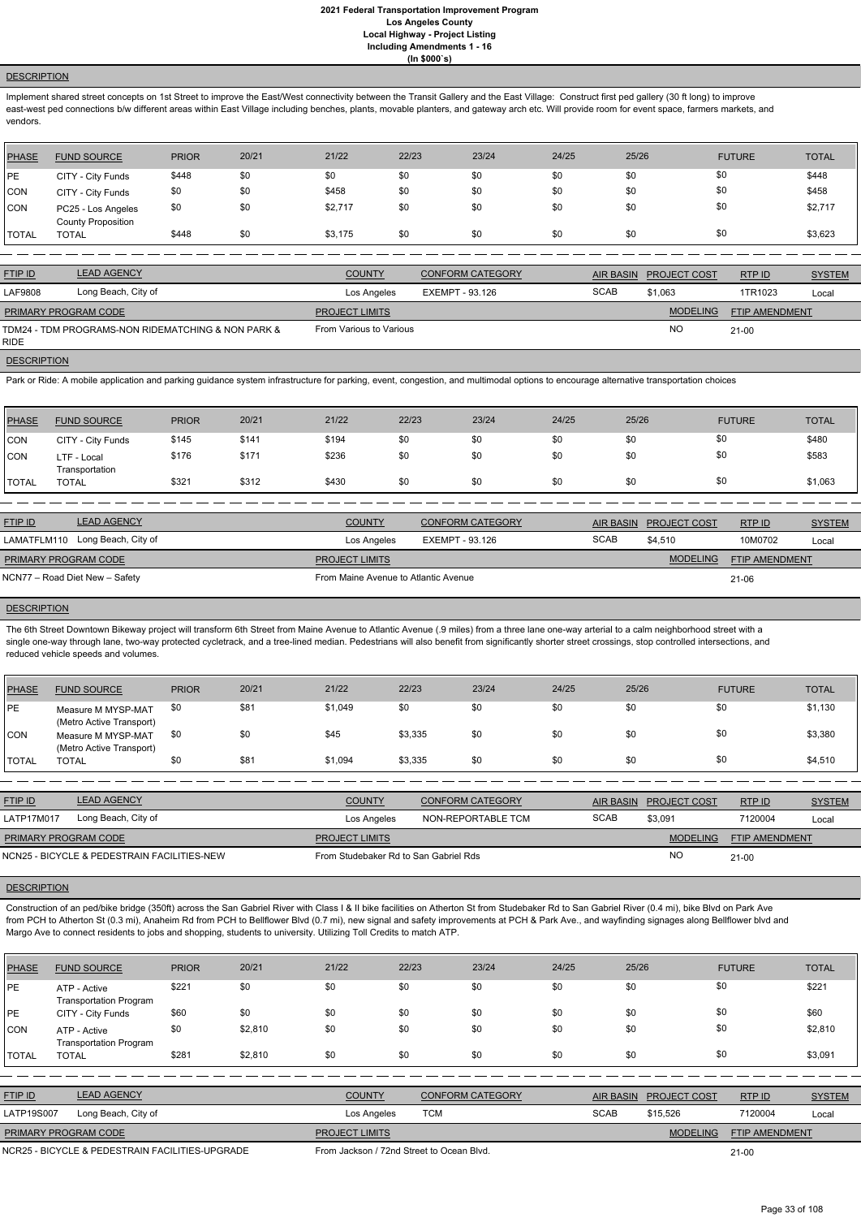# **DESCRIPTION**

Implement shared street concepts on 1st Street to improve the East/West connectivity between the Transit Gallery and the East Village: Construct first ped gallery (30 ft long) to improve east-west ped connections b/w different areas within East Village including benches, plants, movable planters, and gateway arch etc. Will provide room for event space, farmers markets, and vendors.

| PHASE        | <b>FUND SOURCE</b>                              | <b>PRIOR</b> | 20/21 | 21/22   | 22/23 | 23/24 | 24/25 | 25/26 | <b>FUTURE</b> | <b>TOTAL</b> |
|--------------|-------------------------------------------------|--------------|-------|---------|-------|-------|-------|-------|---------------|--------------|
| PE           | CITY - City Funds                               | \$448        | \$0   | \$0     | \$0   | \$0   | \$0   | \$0   | \$0           | \$448        |
| <b>CON</b>   | CITY - City Funds                               | \$0          | \$0   | \$458   | \$0   | \$0   | \$0   | \$0   | \$0           | \$458        |
| CON          | PC25 - Los Angeles<br><b>County Proposition</b> | \$0          | \$0   | \$2,717 | \$0   | \$0   | \$0   | \$0   | \$0           | \$2,717      |
| <b>TOTAL</b> | <b>TOTAL</b>                                    | \$448        | \$0   | \$3,175 | \$0   | \$0   | \$0   | \$0   | \$0           | \$3,623      |

| <b>FTIP ID</b>       | <b>LEAD AGENCY</b>                                 | <b>COUNTY</b>           | <b>CONFORM CATEGORY</b> | <b>AIR BASIN</b> | <b>PROJECT COST</b> | RTP ID                | <b>SYSTEM</b> |
|----------------------|----------------------------------------------------|-------------------------|-------------------------|------------------|---------------------|-----------------------|---------------|
| LAF9808              | Long Beach, City of                                | Los Angeles             | EXEMPT - 93.126         | <b>SCAB</b>      | \$1,063             | 1TR1023               | Local         |
| PRIMARY PROGRAM CODE |                                                    | <b>PROJECT LIMITS</b>   |                         |                  | <b>MODELING</b>     | <b>FTIP AMENDMENT</b> |               |
| RIDE.                | TDM24 - TDM PROGRAMS-NON RIDEMATCHING & NON PARK & | From Various to Various |                         |                  | <b>NO</b>           | $21 - 00$             |               |

#### **DESCRIPTION**

Park or Ride: A mobile application and parking guidance system infrastructure for parking, event, congestion, and multimodal options to encourage alternative transportation choices

| <b>PHASE</b> | <b>FUND SOURCE</b>            | <b>PRIOR</b> | 20/21 | 21/22 | 22/23 | 23/24 | 24/25 | 25/26 | <b>FUTURE</b> | <b>TOTAL</b> |
|--------------|-------------------------------|--------------|-------|-------|-------|-------|-------|-------|---------------|--------------|
| CON          | CITY - City Funds             | \$145        | \$141 | \$194 | \$0   | \$0   | \$0   | \$0   | \$0           | \$480        |
| <b>CON</b>   | LTF - Local<br>Transportation | \$176        | \$171 | \$236 | \$0   | \$0   | \$0   | \$0   | \$0           | \$583        |
| <b>TOTAL</b> | <b>TOTAL</b>                  | \$321        | \$312 | \$430 | \$0   | \$0   | \$0   | \$0   | \$0           | \$1,063      |

Construction of an ped/bike bridge (350ft) across the San Gabriel River with Class I & II bike facilities on Atherton St from Studebaker Rd to San Gabriel River (0.4 mi), bike Blvd on Park Ave from PCH to Atherton St (0.3 mi), Anaheim Rd from PCH to Bellflower Blvd (0.7 mi), new signal and safety improvements at PCH & Park Ave., and wayfinding signages along Bellflower blvd and Margo Ave to connect residents to jobs and shopping, students to university. Utilizing Toll Credits to match ATP.

| <b>FTIP ID</b>                 | <b>LEAD AGENCY</b>              | <b>COUNTY</b>                        | <b>CONFORM CATEGORY</b> | <b>AIR BASIN</b> | <b>PROJECT COST</b> | RTPID                 | <b>SYSTEM</b> |
|--------------------------------|---------------------------------|--------------------------------------|-------------------------|------------------|---------------------|-----------------------|---------------|
|                                | LAMATFLM110 Long Beach, City of | Los Angeles                          | EXEMPT - 93.126         | <b>SCAB</b>      | \$4,510             | 10M0702               | Local         |
| PRIMARY PROGRAM CODE           |                                 | <b>PROJECT LIMITS</b>                |                         |                  | <b>MODELING</b>     | <b>FTIP AMENDMENT</b> |               |
| NCN77 – Road Diet New – Safety |                                 | From Maine Avenue to Atlantic Avenue |                         |                  |                     | 21-06                 |               |

# **DESCRIPTION**

The 6th Street Downtown Bikeway project will transform 6th Street from Maine Avenue to Atlantic Avenue (.9 miles) from a three lane one-way arterial to a calm neighborhood street with a single one-way through lane, two-way protected cycletrack, and a tree-lined median. Pedestrians will also benefit from significantly shorter street crossings, stop controlled intersections, and reduced vehicle speeds and volumes.

| PHASE        | <b>FUND SOURCE</b>                             | <b>PRIOR</b> | 20/21 | 21/22   | 22/23   | 23/24 | 24/25 | 25/26 | <b>FUTURE</b> | <b>TOTAL</b> |
|--------------|------------------------------------------------|--------------|-------|---------|---------|-------|-------|-------|---------------|--------------|
| l PE         | Measure M MYSP-MAT<br>(Metro Active Transport) | \$0          | \$81  | \$1,049 | \$0     | \$0   | \$0   | \$0   | \$0           | \$1,130      |
| CON          | Measure M MYSP-MAT<br>(Metro Active Transport) | \$0          | \$0   | \$45    | \$3,335 | \$0   | \$0   | \$0   | \$0           | \$3,380      |
| <b>TOTAL</b> | <b>TOTAL</b>                                   | \$0          | \$81  | \$1,094 | \$3,335 | \$0   | \$0   | \$0   | \$0           | \$4,510      |

| <b>FTIP ID</b>                              | <b>LEAD AGENCY</b>  | <b>COUNTY</b>                         | CONFORM CATEGORY   |             | AIR BASIN PROJECT COST | RTP ID                | <b>SYSTEM</b> |
|---------------------------------------------|---------------------|---------------------------------------|--------------------|-------------|------------------------|-----------------------|---------------|
| LATP17M017                                  | Long Beach, City of | Los Angeles                           | NON-REPORTABLE TCM | <b>SCAB</b> | \$3,091                | 7120004               | Local         |
| <b>PRIMARY PROGRAM CODE</b>                 |                     | <b>PROJECT LIMITS</b>                 |                    |             | <b>MODELING</b>        | <b>FTIP AMENDMENT</b> |               |
| NCN25 - BICYCLE & PEDESTRAIN FACILITIES-NEW |                     | From Studebaker Rd to San Gabriel Rds |                    |             | <b>NO</b>              | $21 - 00$             |               |

| <b>PHASE</b>   | <b>FUND SOURCE</b>                              | <b>PRIOR</b> | 20/21   | 21/22                                     | 22/23      | 23/24                   | 24/25       | 25/26                                   | <b>FUTURE</b>  | <b>TOTAL</b>  |
|----------------|-------------------------------------------------|--------------|---------|-------------------------------------------|------------|-------------------------|-------------|-----------------------------------------|----------------|---------------|
| PE             | ATP - Active<br><b>Transportation Program</b>   | \$221        | \$0     | \$0                                       | \$0        | \$0                     | \$0         | \$0                                     | \$0            | \$221         |
| PE             | CITY - City Funds                               | \$60         | \$0     | \$0                                       | \$0        | \$0                     | \$0         | \$0                                     | \$0            | \$60          |
| <b>CON</b>     | ATP - Active<br><b>Transportation Program</b>   | \$0          | \$2,810 | \$0                                       | \$0        | \$0                     | \$0         | \$0                                     | \$0            | \$2,810       |
| <b>TOTAL</b>   | <b>TOTAL</b>                                    | \$281        | \$2,810 | \$0                                       | \$0        | \$0                     | \$0         | \$0                                     | \$0            | \$3,091       |
|                |                                                 |              |         |                                           |            |                         |             |                                         |                |               |
| <b>FTIP ID</b> | <b>LEAD AGENCY</b>                              |              |         | <b>COUNTY</b>                             |            | <b>CONFORM CATEGORY</b> |             | <b>AIR BASIN</b><br><b>PROJECT COST</b> | RTP ID         | <b>SYSTEM</b> |
| LATP19S007     | Long Beach, City of                             |              |         | Los Angeles                               | <b>TCM</b> |                         | <b>SCAB</b> | \$15,526                                | 7120004        | Local         |
|                | PRIMARY PROGRAM CODE                            |              |         | <b>PROJECT LIMITS</b>                     |            |                         |             | <b>MODELING</b>                         | FTIP AMENDMENT |               |
|                | NCR25 - BICYCLE & PEDESTRAIN FACILITIES-UPGRADE |              |         | From Jackson / 72nd Street to Ocean Blvd. |            |                         |             |                                         | $21 - 00$      |               |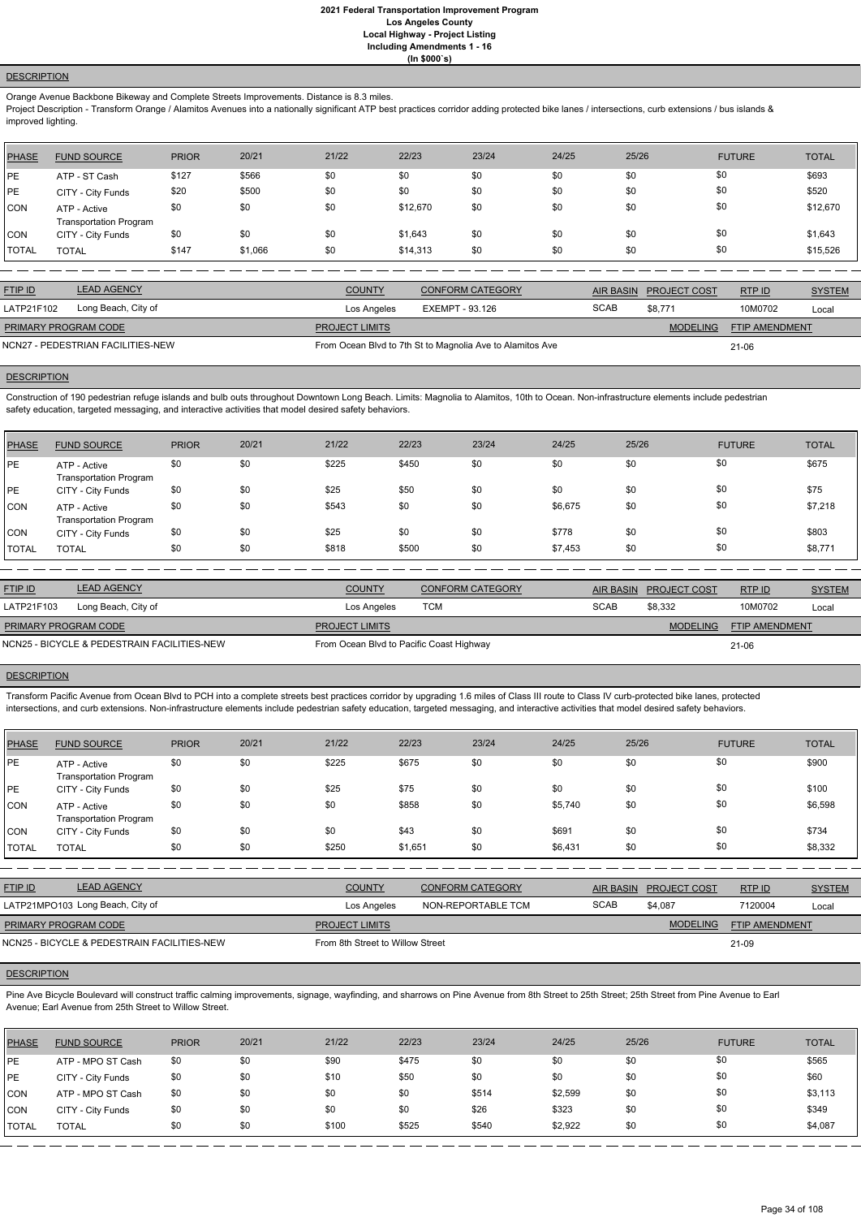# **DESCRIPTION**

Orange Avenue Backbone Bikeway and Complete Streets Improvements. Distance is 8.3 miles.

Project Description - Transform Orange / Alamitos Avenues into a nationally significant ATP best practices corridor adding protected bike lanes / intersections, curb extensions / bus islands & improved lighting.

| <b>PHASE</b> | <b>FUND SOURCE</b>                            | <b>PRIOR</b> | 20/21   | 21/22 | 22/23    | 23/24 | 24/25 | 25/26 | <b>FUTURE</b> | <b>TOTAL</b> |
|--------------|-----------------------------------------------|--------------|---------|-------|----------|-------|-------|-------|---------------|--------------|
| <b>PE</b>    | ATP - ST Cash                                 | \$127        | \$566   | \$0   | \$0      | \$0   | \$0   | \$0   | \$0           | \$693        |
| PE           | CITY - City Funds                             | \$20         | \$500   | \$0   | \$0      | \$0   | \$0   | \$0   | \$0           | \$520        |
| <b>CON</b>   | ATP - Active<br><b>Transportation Program</b> | \$0          | \$0     | \$0   | \$12,670 | \$0   | \$0   | \$0   | \$0           | \$12,670     |
| <b>CON</b>   | CITY - City Funds                             | \$0          | \$0     | \$0   | \$1,643  | \$0   | \$0   | \$0   | \$0           | \$1,643      |
| <b>TOTAL</b> | <b>TOTAL</b>                                  | \$147        | \$1,066 | \$0   | \$14,313 | \$0   | \$0   | \$0   | \$0           | \$15,526     |

| <b>FTIP ID</b>                    | <b>LEAD AGENCY</b>  | <b>COUNTY</b>         | <b>CONFORM CATEGORY</b>                                   | AIR BASIN   | <b>PROJECT COST</b> | <b>RTPID</b>          | <b>SYSTEM</b> |
|-----------------------------------|---------------------|-----------------------|-----------------------------------------------------------|-------------|---------------------|-----------------------|---------------|
| LATP21F102                        | Long Beach, City of | Los Angeles           | EXEMPT - 93.126                                           | <b>SCAB</b> | \$8,771             | 10M0702               | Local         |
| <b>PRIMARY PROGRAM CODE</b>       |                     | <b>PROJECT LIMITS</b> |                                                           |             | <b>MODELING</b>     | <b>FTIP AMENDMENT</b> |               |
| NCN27 - PEDESTRIAN FACILITIES-NEW |                     |                       | From Ocean Blvd to 7th St to Magnolia Ave to Alamitos Ave |             |                     | $21 - 06$             |               |

# **DESCRIPTION**

Construction of 190 pedestrian refuge islands and bulb outs throughout Downtown Long Beach. Limits: Magnolia to Alamitos, 10th to Ocean. Non-infrastructure elements include pedestrian safety education, targeted messaging, and interactive activities that model desired safety behaviors.

| <b>PHASE</b> | <b>FUND SOURCE</b>                            | <b>PRIOR</b> | 20/21 | 21/22 | 22/23 | 23/24 | 24/25   | 25/26 | <b>FUTURE</b> | <b>TOTAL</b> |
|--------------|-----------------------------------------------|--------------|-------|-------|-------|-------|---------|-------|---------------|--------------|
| PE           | ATP - Active<br><b>Transportation Program</b> | \$0          | \$0   | \$225 | \$450 | \$0   | \$0     | \$0   | \$0           | \$675        |
| <b>IPE</b>   | CITY - City Funds                             | \$0          | \$0   | \$25  | \$50  | \$0   | \$0     | \$0   | \$0           | \$75         |
| <b>CON</b>   | ATP - Active<br><b>Transportation Program</b> | \$0          | \$0   | \$543 | \$0   | \$0   | \$6,675 | \$0   | \$0           | \$7,218      |
| <b>CON</b>   | CITY - City Funds                             | \$0          | \$0   | \$25  | \$0   | \$0   | \$778   | \$0   | \$0           | \$803        |
| <b>TOTAL</b> | <b>TOTAL</b>                                  | \$0          | \$0   | \$818 | \$500 | \$0   | \$7,453 | \$0   | \$0           | \$8,771      |

Pine Ave Bicycle Boulevard will construct traffic calming improvements, signage, wayfinding, and sharrows on Pine Avenue from 8th Street to 25th Street; 25th Street from Pine Avenue to Earl Avenue; Earl Avenue from 25th Street to Willow Street.

| <b>FTIP ID</b>                              | <b>LEAD AGENCY</b>  | <b>COUNTY</b>                            | <b>CONFORM CATEGORY</b> |             | AIR BASIN PROJECT COST | RTPID                 | <b>SYSTEM</b> |
|---------------------------------------------|---------------------|------------------------------------------|-------------------------|-------------|------------------------|-----------------------|---------------|
| LATP21F103                                  | Long Beach, City of | Los Angeles                              | TCM                     | <b>SCAB</b> | \$8.332                | 10M0702               | Local         |
| <b>PRIMARY PROGRAM CODE</b>                 |                     | <b>PROJECT LIMITS</b>                    |                         |             | <b>MODELING</b>        | <b>FTIP AMENDMENT</b> |               |
| NCN25 - BICYCLE & PEDESTRAIN FACILITIES-NEW |                     | From Ocean Blvd to Pacific Coast Highway |                         |             |                        | 21-06                 |               |

#### **DESCRIPTION**

Transform Pacific Avenue from Ocean Blvd to PCH into a complete streets best practices corridor by upgrading 1.6 miles of Class III route to Class IV curb-protected bike lanes, protected intersections, and curb extensions. Non-infrastructure elements include pedestrian safety education, targeted messaging, and interactive activities that model desired safety behaviors.

| <b>PHASE</b> | <b>FUND SOURCE</b>                            | <b>PRIOR</b> | 20/21 | 21/22 | 22/23   | 23/24 | 24/25   | 25/26 | <b>FUTURE</b> | <b>TOTAL</b> |
|--------------|-----------------------------------------------|--------------|-------|-------|---------|-------|---------|-------|---------------|--------------|
| PE           | ATP - Active<br><b>Transportation Program</b> | \$0          | \$0   | \$225 | \$675   | \$0   | \$0     | \$0   | \$0           | \$900        |
| <b>PE</b>    | CITY - City Funds                             | \$0          | \$0   | \$25  | \$75    | \$0   | \$0     | \$0   | \$0           | \$100        |
| <b>CON</b>   | ATP - Active<br><b>Transportation Program</b> | \$0          | \$0   | \$0   | \$858   | \$0   | \$5,740 | \$0   | \$0           | \$6,598      |
| <b>CON</b>   | CITY - City Funds                             | \$0          | \$0   | \$0   | \$43    | \$0   | \$691   | \$0   | \$0           | \$734        |
| <b>TOTAL</b> | <b>TOTAL</b>                                  | \$0          | \$0   | \$250 | \$1,651 | \$0   | \$6,431 | \$0   | \$0           | \$8,332      |

| <b>FTIP ID</b> | <b>LEAD AGENCY</b>               | <b>COUNTY</b> | <b>CONFORM CATEGORY</b> |      | AIR BASIN PROJECT COST | <b>RTP ID</b> | <b>SYSTEM</b> |
|----------------|----------------------------------|---------------|-------------------------|------|------------------------|---------------|---------------|
|                | LATP21MPO103 Long Beach, City of | Los Angeles   | NON-REPORTABLE TCM      | SCAB | \$4,087                | 7120004       | Local         |

21-09

# **DESCRIPTION**

NCN25 - BICYCLE & PEDESTRAIN FACILITIES-NEW FROM From 8th Street to Willow Street

| <b>PHASE</b> | <b>FUND SOURCE</b> | <b>PRIOR</b> | 20/21 | 21/22 | 22/23 | 23/24 | 24/25   | 25/26 | <b>FUTURE</b> | <b>TOTAL</b> |
|--------------|--------------------|--------------|-------|-------|-------|-------|---------|-------|---------------|--------------|
| PE           | ATP - MPO ST Cash  | \$0          | \$0   | \$90  | \$475 | \$0   | \$0     | \$0   | \$0           | \$565        |
| <b>IPE</b>   | CITY - City Funds  | \$0          | \$0   | \$10  | \$50  | \$0   | \$0     | \$0   | \$0           | \$60         |
| <b>CON</b>   | ATP - MPO ST Cash  | \$0          | \$0   | \$0   | \$0   | \$514 | \$2,599 | \$0   | \$0           | \$3,113      |
| CON          | CITY - City Funds  | \$0          | \$0   | \$0   | \$0   | \$26  | \$323   | \$0   | \$0           | \$349        |
| <b>TOTAL</b> | <b>TOTAL</b>       | \$0          | \$0   | \$100 | \$525 | \$540 | \$2,922 | \$0   | \$0           | \$4,087      |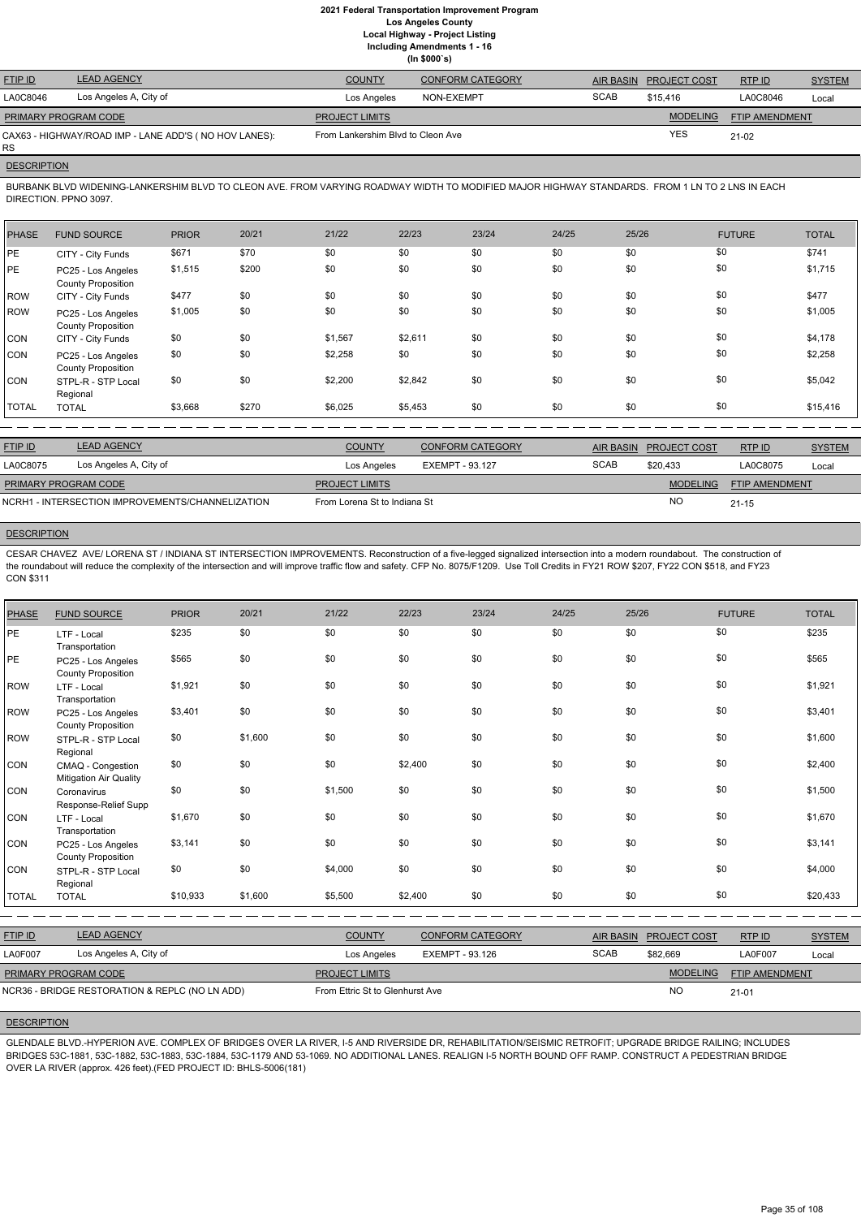**(In \$000`s)**

| <b>FTIP ID</b>       | <b>LEAD AGENCY</b>                                    | <b>COUNTY</b>                     | <b>CONFORM CATEGORY</b> |             | AIR BASIN PROJECT COST | RTPID          | <b>SYSTEM</b> |
|----------------------|-------------------------------------------------------|-----------------------------------|-------------------------|-------------|------------------------|----------------|---------------|
| LA0C8046             | Los Angeles A, City of                                | Los Angeles                       | NON-EXEMPT              | <b>SCAB</b> | \$15.416               | LA0C8046       | Local         |
| PRIMARY PROGRAM CODE |                                                       | <b>PROJECT LIMITS</b>             |                         |             | <b>MODELING</b>        | FTIP AMENDMENT |               |
| RS.                  | CAX63 - HIGHWAY/ROAD IMP - LANE ADD'S (NO HOV LANES): | From Lankershim Blvd to Cleon Ave |                         |             | <b>YES</b>             | $21-02$        |               |

# **DESCRIPTION**

BURBANK BLVD WIDENING-LANKERSHIM BLVD TO CLEON AVE. FROM VARYING ROADWAY WIDTH TO MODIFIED MAJOR HIGHWAY STANDARDS. FROM 1 LN TO 2 LNS IN EACH DIRECTION. PPNO 3097.

| <b>PHASE</b> | <b>FUND SOURCE</b>                              | <b>PRIOR</b> | 20/21 | 21/22   | 22/23   | 23/24 | 24/25 | 25/26 | <b>FUTURE</b> | <b>TOTAL</b> |
|--------------|-------------------------------------------------|--------------|-------|---------|---------|-------|-------|-------|---------------|--------------|
| PE           | CITY - City Funds                               | \$671        | \$70  | \$0     | \$0     | \$0   | \$0   | \$0   | \$0           | \$741        |
| PE           | PC25 - Los Angeles<br><b>County Proposition</b> | \$1,515      | \$200 | \$0     | \$0     | \$0   | \$0   | \$0   | \$0           | \$1,715      |
| ROW          | CITY - City Funds                               | \$477        | \$0   | \$0     | \$0     | \$0   | \$0   | \$0   | \$0           | \$477        |
| ROW          | PC25 - Los Angeles<br><b>County Proposition</b> | \$1,005      | \$0   | \$0     | \$0     | \$0   | \$0   | \$0   | \$0           | \$1,005      |
| CON          | CITY - City Funds                               | \$0          | \$0   | \$1,567 | \$2,611 | \$0   | \$0   | \$0   | \$0           | \$4,178      |
| ICON.        | PC25 - Los Angeles<br><b>County Proposition</b> | \$0          | \$0   | \$2,258 | \$0     | \$0   | \$0   | \$0   | \$0           | \$2,258      |
| ICON.        | STPL-R - STP Local<br>Regional                  | \$0          | \$0   | \$2,200 | \$2,842 | \$0   | \$0   | \$0   | \$0           | \$5,042      |
| TOTAL        | <b>TOTAL</b>                                    | \$3,668      | \$270 | \$6,025 | \$5,453 | \$0   | \$0   | \$0   | \$0           | \$15,416     |

| <b>FTIP ID</b>                                   | <b>LEAD AGENCY</b>     | <b>COUNTY</b>                | CONFORM CATEGORY | <b>AIR BASIN</b> | <b>PROJECT COST</b> | RTP ID                | <b>SYSTEM</b> |
|--------------------------------------------------|------------------------|------------------------------|------------------|------------------|---------------------|-----------------------|---------------|
| LA0C8075                                         | Los Angeles A, City of | Los Angeles                  | EXEMPT - 93.127  | <b>SCAB</b>      | \$20.433            | LA0C8075              | Local         |
| <b>PRIMARY PROGRAM CODE</b>                      |                        | <b>PROJECT LIMITS</b>        |                  |                  | <b>MODELING</b>     | <b>FTIP AMENDMENT</b> |               |
| NCRH1 - INTERSECTION IMPROVEMENTS/CHANNELIZATION |                        | From Lorena St to Indiana St |                  |                  | NO                  | $21 - 15$             |               |
|                                                  |                        |                              |                  |                  |                     |                       |               |

# **DESCRIPTION**

CESAR CHAVEZ AVE/ LORENA ST / INDIANA ST INTERSECTION IMPROVEMENTS. Reconstruction of a five-legged signalized intersection into a modern roundabout. The construction of the roundabout will reduce the complexity of the intersection and will improve traffic flow and safety. CFP No. 8075/F1209. Use Toll Credits in FY21 ROW \$207, FY22 CON \$518, and FY23 CON \$311

| <b>PHASE</b> | <b>FUND SOURCE</b>                              | <b>PRIOR</b> | 20/21   | 21/22   | 22/23   | 23/24 | 24/25 | 25/26 | <b>FUTURE</b> | <b>TOTAL</b> |
|--------------|-------------------------------------------------|--------------|---------|---------|---------|-------|-------|-------|---------------|--------------|
| PE           | LTF - Local<br>Transportation                   | \$235        | \$0     | \$0     | \$0     | \$0   | \$0   | \$0   | \$0           | \$235        |
| PE           | PC25 - Los Angeles<br><b>County Proposition</b> | \$565        | \$0     | \$0     | \$0     | \$0   | \$0   | \$0   | \$0           | \$565        |
| ROW          | LTF - Local<br>Transportation                   | \$1,921      | \$0     | \$0     | \$0     | \$0   | \$0   | \$0   | \$0           | \$1,921      |
| ROW          | PC25 - Los Angeles<br><b>County Proposition</b> | \$3,401      | \$0     | \$0     | \$0     | \$0   | \$0   | \$0   | \$0           | \$3,401      |
| ROW          | STPL-R - STP Local<br>Regional                  | \$0          | \$1,600 | \$0     | \$0     | \$0   | \$0   | \$0   | \$0           | \$1,600      |
| <b>CON</b>   | CMAQ - Congestion<br>Mitigation Air Quality     | \$0          | \$0     | \$0     | \$2,400 | \$0   | \$0   | \$0   | \$0           | \$2,400      |
| CON          | Coronavirus<br>Response-Relief Supp             | \$0          | \$0     | \$1,500 | \$0     | \$0   | \$0   | \$0   | \$0           | \$1,500      |
| CON          | LTF - Local<br>Transportation                   | \$1,670      | \$0     | \$0     | \$0     | \$0   | \$0   | \$0   | \$0           | \$1,670      |
| CON          | PC25 - Los Angeles<br><b>County Proposition</b> | \$3,141      | \$0     | \$0     | \$0     | \$0   | \$0   | \$0   | \$0           | \$3,141      |
| <b>CON</b>   | STPL-R - STP Local<br>Regional                  | \$0          | \$0     | \$4,000 | \$0     | \$0   | \$0   | \$0   | \$0           | \$4,000      |
| <b>TOTAL</b> | <b>TOTAL</b>                                    | \$10,933     | \$1,600 | \$5,500 | \$2,400 | \$0   | \$0   | \$0   | \$0           | \$20,433     |

| <b>FTIP ID</b>       | <b>LEAD AGENCY</b>                             | <b>COUNTY</b>                   | <b>CONFORM CATEGORY</b> | AIR BASIN   | <b>PROJECT COST</b> | RTPID          | <b>SYSTEM</b> |
|----------------------|------------------------------------------------|---------------------------------|-------------------------|-------------|---------------------|----------------|---------------|
| LA0F007              | Los Angeles A, City of                         | Los Angeles                     | EXEMPT - 93.126         | <b>SCAB</b> | \$82.669            | LA0F007        | Local         |
| PRIMARY PROGRAM CODE |                                                | <b>PROJECT LIMITS</b>           |                         |             | <b>MODELING</b>     | FTIP AMENDMENT |               |
|                      | NCR36 - BRIDGE RESTORATION & REPLC (NO LN ADD) | From Ettric St to Glenhurst Ave |                         |             | <b>NO</b>           | $21 - 01$      |               |

# **DESCRIPTION**

GLENDALE BLVD.-HYPERION AVE. COMPLEX OF BRIDGES OVER LA RIVER, I-5 AND RIVERSIDE DR, REHABILITATION/SEISMIC RETROFIT; UPGRADE BRIDGE RAILING; INCLUDES BRIDGES 53C-1881, 53C-1882, 53C-1883, 53C-1884, 53C-1179 AND 53-1069. NO ADDITIONAL LANES. REALIGN I-5 NORTH BOUND OFF RAMP. CONSTRUCT A PEDESTRIAN BRIDGE OVER LA RIVER (approx. 426 feet).(FED PROJECT ID: BHLS-5006(181)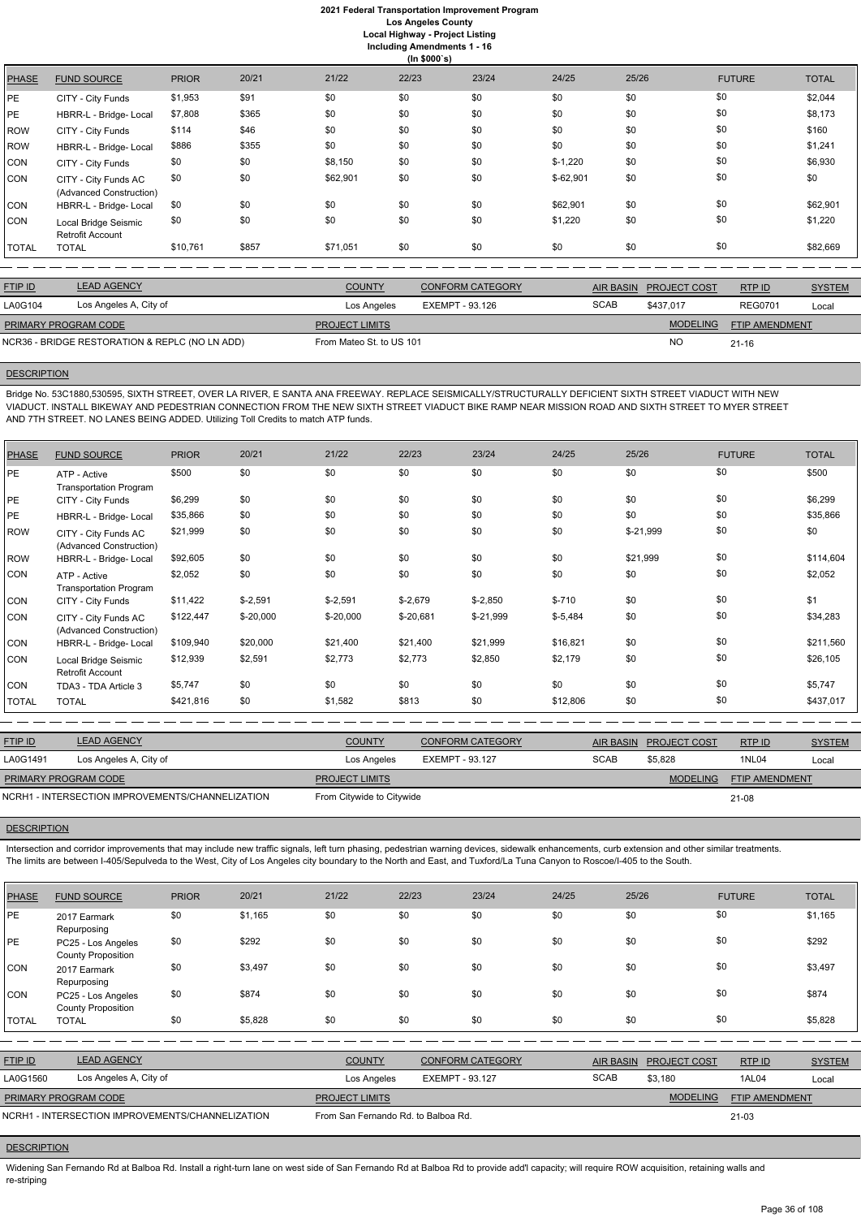|              | (ln \$000's)                                    |              |       |          |       |       |            |       |               |              |  |
|--------------|-------------------------------------------------|--------------|-------|----------|-------|-------|------------|-------|---------------|--------------|--|
| <b>PHASE</b> | <b>FUND SOURCE</b>                              | <b>PRIOR</b> | 20/21 | 21/22    | 22/23 | 23/24 | 24/25      | 25/26 | <b>FUTURE</b> | <b>TOTAL</b> |  |
| PE.          | CITY - City Funds                               | \$1,953      | \$91  | \$0      | \$0   | \$0   | \$0        | \$0   | \$0           | \$2,044      |  |
| PE.          | HBRR-L - Bridge- Local                          | \$7,808      | \$365 | \$0      | \$0   | \$0   | \$0        | \$0   | \$0           | \$8,173      |  |
| ROW          | CITY - City Funds                               | \$114        | \$46  | \$0      | \$0   | \$0   | \$0        | \$0   | \$0           | \$160        |  |
| ROW          | HBRR-L - Bridge- Local                          | \$886        | \$355 | \$0      | \$0   | \$0   | \$0        | \$0   | \$0           | \$1,241      |  |
| CON          | CITY - City Funds                               | \$0          | \$0   | \$8,150  | \$0   | \$0   | $$-1,220$  | \$0   | \$0           | \$6,930      |  |
| CON          | CITY - City Funds AC<br>(Advanced Construction) | \$0          | \$0   | \$62,901 | \$0   | \$0   | $$-62,901$ | \$0   | \$0           | \$0          |  |
| CON          | HBRR-L - Bridge- Local                          | \$0          | \$0   | \$0      | \$0   | \$0   | \$62,901   | \$0   | \$0           | \$62,901     |  |
| CON          | Local Bridge Seismic<br><b>Retrofit Account</b> | \$0          | \$0   | \$0      | \$0   | \$0   | \$1,220    | \$0   | \$0           | \$1,220      |  |
| TOTAL        | <b>TOTAL</b>                                    | \$10,761     | \$857 | \$71,051 | \$0   | \$0   | \$0        | \$0   | \$0           | \$82,669     |  |

| <b>FTIP ID</b>                                 | <b>LEAD AGENCY</b>     | <b>COUNTY</b>            | CONFORM CATEGORY |             | AIR BASIN PROJECT COST | RTP ID         | <b>SYSTEM</b> |
|------------------------------------------------|------------------------|--------------------------|------------------|-------------|------------------------|----------------|---------------|
| LA0G104                                        | Los Angeles A, City of | Los Angeles              | EXEMPT - 93.126  | <b>SCAB</b> | \$437.017              | <b>REG0701</b> | Local         |
| <b>PRIMARY PROGRAM CODE</b>                    |                        | <b>PROJECT LIMITS</b>    |                  |             | <b>MODELING</b>        | FTIP AMENDMENT |               |
| NCR36 - BRIDGE RESTORATION & REPLC (NO LN ADD) |                        | From Mateo St. to US 101 |                  |             | <b>NC</b>              | $21 - 16$      |               |
|                                                |                        |                          |                  |             |                        |                |               |

## **DESCRIPTION**

Bridge No. 53C1880,530595, SIXTH STREET, OVER LA RIVER, E SANTA ANA FREEWAY. REPLACE SEISMICALLY/STRUCTURALLY DEFICIENT SIXTH STREET VIADUCT WITH NEW VIADUCT. INSTALL BIKEWAY AND PEDESTRIAN CONNECTION FROM THE NEW SIXTH STREET VIADUCT BIKE RAMP NEAR MISSION ROAD AND SIXTH STREET TO MYER STREET AND 7TH STREET. NO LANES BEING ADDED. Utilizing Toll Credits to match ATP funds.

| <b>PHASE</b> | <b>FUND SOURCE</b>                              | <b>PRIOR</b> | 20/21       | 21/22       | 22/23       | 23/24      | 24/25     | 25/26      | <b>FUTURE</b> | <b>TOTAL</b> |
|--------------|-------------------------------------------------|--------------|-------------|-------------|-------------|------------|-----------|------------|---------------|--------------|
| PE           | ATP - Active<br><b>Transportation Program</b>   | \$500        | \$0         | \$0         | \$0         | \$0        | \$0       | \$0        | \$0           | \$500        |
| <b>PE</b>    | CITY - City Funds                               | \$6,299      | \$0         | \$0         | \$0         | \$0        | \$0       | \$0        | \$0           | \$6,299      |
| PE           | HBRR-L - Bridge- Local                          | \$35,866     | \$0         | \$0         | \$0         | \$0        | \$0       | \$0        | \$0           | \$35,866     |
| ROW          | CITY - City Funds AC<br>(Advanced Construction) | \$21,999     | \$0         | \$0         | \$0         | \$0        | \$0       | $$-21,999$ | \$0           | \$0          |
| ROW          | HBRR-L - Bridge- Local                          | \$92,605     | \$0         | \$0         | \$0         | \$0        | \$0       | \$21,999   | \$0           | \$114,604    |
| CON          | ATP - Active<br><b>Transportation Program</b>   | \$2,052      | \$0         | \$0         | \$0         | \$0        | \$0       | \$0        | \$0           | \$2,052      |
| CON          | CITY - City Funds                               | \$11,422     | $$-2,591$   | $$-2,591$   | $$-2,679$   | $$-2,850$  | $$-710$   | \$0        | \$0           | \$1          |
| <b>CON</b>   | CITY - City Funds AC<br>(Advanced Construction) | \$122,447    | $$ -20,000$ | $$ -20,000$ | $$ -20,681$ | $$-21,999$ | $$-5,484$ | \$0        | \$0           | \$34,283     |
| CON          | HBRR-L - Bridge- Local                          | \$109,940    | \$20,000    | \$21,400    | \$21,400    | \$21,999   | \$16,821  | \$0        | \$0           | \$211,560    |
| <b>CON</b>   | Local Bridge Seismic<br><b>Retrofit Account</b> | \$12,939     | \$2,591     | \$2,773     | \$2,773     | \$2,850    | \$2,179   | \$0        | \$0           | \$26,105     |
| <b>CON</b>   | TDA3 - TDA Article 3                            | \$5,747      | \$0         | \$0         | \$0         | \$0        | \$0       | \$0        | \$0           | \$5,747      |
| <b>TOTAL</b> | <b>TOTAL</b>                                    | \$421,816    | \$0         | \$1,582     | \$813       | \$0        | \$12,806  | \$0        | \$0           | \$437,017    |

Widening San Fernando Rd at Balboa Rd. Install a right-turn lane on west side of San Fernando Rd at Balboa Rd to provide add'l capacity; will require ROW acquisition, retaining walls and re-striping

| <b>FTIP ID</b>              | <b>LEAD AGENCY</b>                               | <b>COUNTY</b>             | CONFORM CATEGORY |             | AIR BASIN PROJECT COST | RTP ID         | <b>SYSTEM</b> |
|-----------------------------|--------------------------------------------------|---------------------------|------------------|-------------|------------------------|----------------|---------------|
| LA0G1491                    | Los Angeles A, City of                           | Los Angeles               | EXEMPT - 93.127  | <b>SCAB</b> | \$5,828                | 1NL04          | Local         |
| <b>PRIMARY PROGRAM CODE</b> |                                                  | <b>PROJECT LIMITS</b>     |                  |             | <b>MODELING</b>        | FTIP AMENDMENT |               |
|                             | NCRH1 - INTERSECTION IMPROVEMENTS/CHANNELIZATION | From Citywide to Citywide |                  |             |                        | 21-08          |               |

#### **DESCRIPTION**

Intersection and corridor improvements that may include new traffic signals, left turn phasing, pedestrian warning devices, sidewalk enhancements, curb extension and other similar treatments. The limits are between I-405/Sepulveda to the West, City of Los Angeles city boundary to the North and East, and Tuxford/La Tuna Canyon to Roscoe/I-405 to the South.

| PHASE | <b>FUND SOURCE</b> | <b>PRIOR</b> | 20/21   | 21/22 | 22/23 | 23/24 | 24/25 | 25/26 | FUTURE | <b>TOTAL</b> |
|-------|--------------------|--------------|---------|-------|-------|-------|-------|-------|--------|--------------|
| PE    | 2017 Earmark       | \$0          | \$1,165 |       |       |       |       | աս    |        | \$1,165      |

| \$292                   |
|-------------------------|
|                         |
| \$3,497                 |
|                         |
| \$874                   |
|                         |
| \$5,828                 |
|                         |
|                         |
| <b>SYSTEM</b><br>RTP ID |
| <b>1AL04</b><br>Local   |
| FTIP AMENDMENT          |
| $21 - 03$               |
|                         |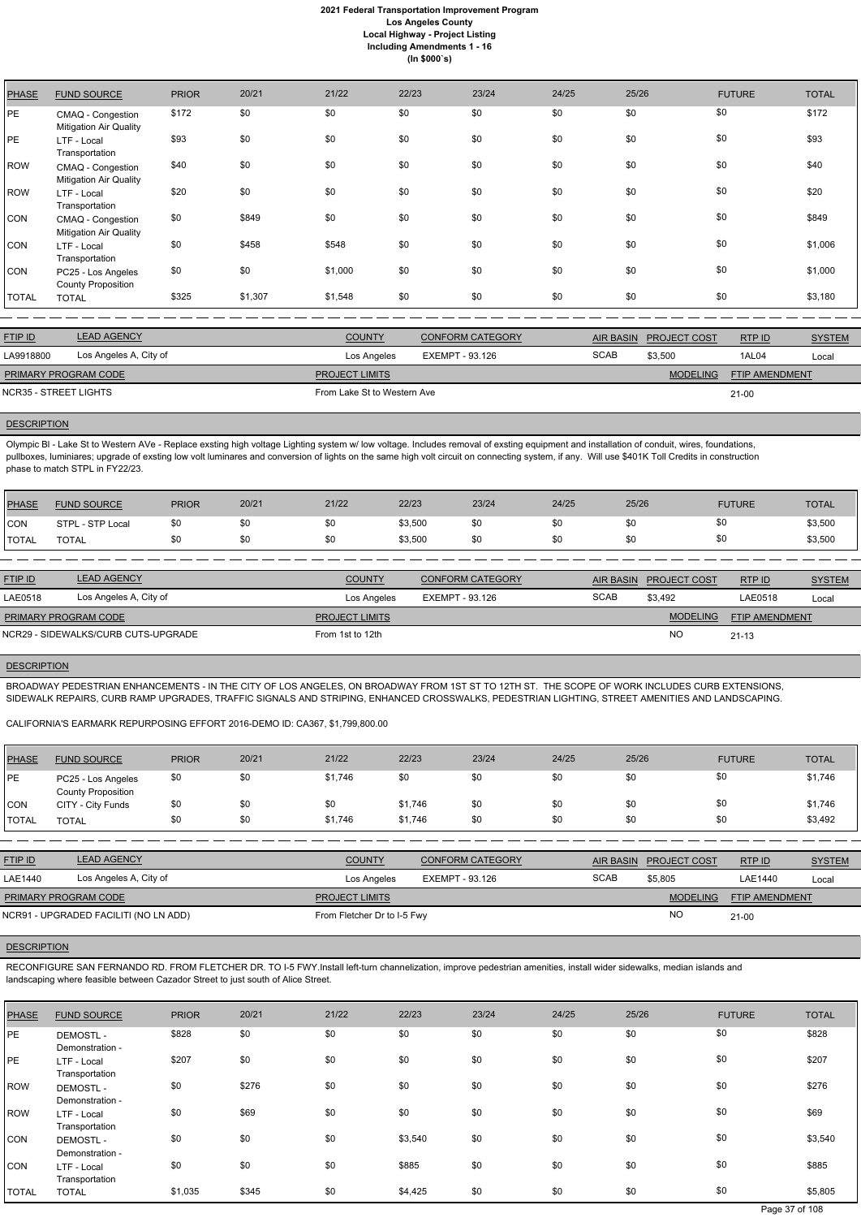| <b>PHASE</b> | <b>FUND SOURCE</b>                                 | <b>PRIOR</b> | 20/21   | 21/22                 | 22/23                  | 23/24                   | 24/25       | 25/26            |                     | <b>FUTURE</b>         | <b>TOTAL</b>  |
|--------------|----------------------------------------------------|--------------|---------|-----------------------|------------------------|-------------------------|-------------|------------------|---------------------|-----------------------|---------------|
| PE           | CMAQ - Congestion<br><b>Mitigation Air Quality</b> | \$172        | \$0     | \$0                   | \$0                    | \$0                     | \$0         | \$0              | \$0                 |                       | \$172         |
| PE           | LTF - Local<br>Transportation                      | \$93         | \$0     | \$0                   | \$0                    | \$0                     | \$0         | \$0              | \$0                 |                       | \$93          |
| ROW          | CMAQ - Congestion<br><b>Mitigation Air Quality</b> | \$40         | \$0     | \$0                   | \$0                    | \$0                     | \$0         | \$0              | \$0                 |                       | \$40          |
| ROW          | LTF - Local<br>Transportation                      | \$20         | \$0     | \$0                   | \$0                    | \$0                     | \$0         | \$0              | \$0                 |                       | \$20          |
| <b>CON</b>   | CMAQ - Congestion<br>Mitigation Air Quality        | \$0          | \$849   | \$0                   | \$0                    | \$0                     | \$0         | \$0              | \$0                 |                       | \$849         |
| CON          | LTF - Local<br>Transportation                      | \$0          | \$458   | \$548                 | \$0                    | \$0                     | \$0         | \$0              | \$0                 |                       | \$1,006       |
| <b>CON</b>   | PC25 - Los Angeles<br><b>County Proposition</b>    | \$0          | \$0     | \$1,000               | \$0                    | \$0                     | \$0         | \$0              | \$0                 |                       | \$1,000       |
| <b>TOTAL</b> | <b>TOTAL</b>                                       | \$325        | \$1,307 | \$1,548               | \$0                    | \$0                     | \$0         | \$0              | \$0                 |                       | \$3,180       |
|              |                                                    |              |         |                       |                        |                         |             |                  |                     |                       |               |
| FTIP ID      | <b>LEAD AGENCY</b>                                 |              |         | <b>COUNTY</b>         |                        | <b>CONFORM CATEGORY</b> |             | <b>AIR BASIN</b> | <b>PROJECT COST</b> | RTP ID                | <b>SYSTEM</b> |
| LA9918800    | Los Angeles A, City of                             |              |         | Los Angeles           | <b>EXEMPT - 93.126</b> |                         | <b>SCAB</b> | \$3,500          |                     | 1AL04                 | Local         |
|              | PRIMARY PROGRAM CODE                               |              |         | <b>PROJECT LIMITS</b> |                        |                         |             |                  | <b>MODELING</b>     | <b>FTIP AMENDMENT</b> |               |

NCR35 - STREET LIGHTS FROM LAKE STREET LIGHTS

### **DESCRIPTION**

21-00

Olympic Bl - Lake St to Western AVe - Replace exsting high voltage Lighting system w/ low voltage. Includes removal of exsting equipment and installation of conduit, wires, foundations, pullboxes, luminiares; upgrade of exsting low volt luminares and conversion of lights on the same high volt circuit on connecting system, if any. Will use \$401K Toll Credits in construction phase to match STPL in FY22/23.

| <b>PHASE</b> | <b>FUND SOURCE</b> | <b>PRIOR</b> | 20/21 | 21/22 | 22/23   | 23/24 | 24/25 | 25/26 | <b>FUTURE</b> | <b>TOTAL</b> |
|--------------|--------------------|--------------|-------|-------|---------|-------|-------|-------|---------------|--------------|
| <b>CON</b>   | STPL - STP Local   | \$0          |       | \$0   | \$3,500 | \$0   | \$0   |       | \$0           | \$3,500      |
| TOTAL        | TOTAL              | \$0          |       | \$0   | \$3,500 | \$0   | \$0   | \$0   | \$0           | \$3,500      |

| <b>FTIP ID</b>       | <b>LEAD AGENCY</b>                  | <b>COUNTY</b>         | <b>CONFORM CATEGORY</b> |             | AIR BASIN PROJECT COST | RTPID                 | <b>SYSTEM</b> |
|----------------------|-------------------------------------|-----------------------|-------------------------|-------------|------------------------|-----------------------|---------------|
| LAE0518              | Los Angeles A, City of              | Los Angeles           | EXEMPT - 93.126         | <b>SCAB</b> | \$3,492                | LAE0518               | Local         |
| PRIMARY PROGRAM CODE |                                     | <b>PROJECT LIMITS</b> |                         |             | <b>MODELING</b>        | <b>FTIP AMENDMENT</b> |               |
|                      | NCR29 - SIDEWALKS/CURB CUTS-UPGRADE | From 1st to 12th      |                         |             | <sub>NO</sub>          | $21 - 13$             |               |

### **DESCRIPTION**

BROADWAY PEDESTRIAN ENHANCEMENTS - IN THE CITY OF LOS ANGELES, ON BROADWAY FROM 1ST ST TO 12TH ST. THE SCOPE OF WORK INCLUDES CURB EXTENSIONS, SIDEWALK REPAIRS, CURB RAMP UPGRADES, TRAFFIC SIGNALS AND STRIPING, ENHANCED CROSSWALKS, PEDESTRIAN LIGHTING, STREET AMENITIES AND LANDSCAPING.

### CALIFORNIA'S EARMARK REPURPOSING EFFORT 2016-DEMO ID: CA367, \$1,799,800.00

| PHASE        | <b>FUND SOURCE</b>                              | <b>PRIOR</b> | 20/21 | 21/22   | 22/23   | 23/24 | 24/25 | 25/26 | <b>FUTURE</b> | TOTAL   |
|--------------|-------------------------------------------------|--------------|-------|---------|---------|-------|-------|-------|---------------|---------|
| <b>IPE</b>   | PC25 - Los Angeles<br><b>County Proposition</b> | \$0          | \$0   | \$1,746 | \$0     | \$0   | \$0   | \$0   | \$0           | \$1,746 |
| CON          | CITY - City Funds                               | \$0          | \$0   | \$0     | \$1,746 | \$0   | \$0   | \$0   | \$0           | \$1,746 |
| <b>TOTAL</b> | <b>TOTAL</b>                                    |              | \$0   | \$1,746 | \$1,746 | \$0   | \$0   | \$0   | \$0           | \$3,492 |

| <b>FTIP ID</b>       | <b>LEAD AGENCY</b>                    | <b>COUNTY</b>               | <b>CONFORM CATEGORY</b> |             | AIR BASIN PROJECT COST | RTPID                 | <b>SYSTEM</b> |
|----------------------|---------------------------------------|-----------------------------|-------------------------|-------------|------------------------|-----------------------|---------------|
| LAE1440              | Los Angeles A, City of                | Los Angeles                 | EXEMPT - 93.126         | <b>SCAB</b> | \$5,805                | LAE1440               | Local         |
| PRIMARY PROGRAM CODE |                                       | <b>PROJECT LIMITS</b>       |                         |             | <b>MODELING</b>        | <b>FTIP AMENDMENT</b> |               |
|                      | NCR91 - UPGRADED FACILITI (NO LN ADD) | From Fletcher Dr to I-5 Fwy |                         |             | <b>NO</b>              | $21-00$               |               |

## **DESCRIPTION**

RECONFIGURE SAN FERNANDO RD. FROM FLETCHER DR. TO I-5 FWY.Install left-turn channelization, improve pedestrian amenities, install wider sidewalks, median islands and landscaping where feasible between Cazador Street to just south of Alice Street.

| <b>PHASE</b> | <b>FUND SOURCE</b>                 | <b>PRIOR</b> | 20/21 | 21/22 | 22/23   | 23/24 | 24/25 | 25/26 | <b>FUTURE</b> | <b>TOTAL</b> |
|--------------|------------------------------------|--------------|-------|-------|---------|-------|-------|-------|---------------|--------------|
| PE           | DEMOSTL -<br>Demonstration -       | \$828        | \$0   | \$0   | \$0     | \$0   | \$0   | \$0   | \$0           | \$828        |
| PE           | LTF - Local<br>Transportation      | \$207        | \$0   | \$0   | \$0     | \$0   | \$0   | \$0   | \$0           | \$207        |
| <b>ROW</b>   | <b>DEMOSTL-</b><br>Demonstration - | \$0          | \$276 | \$0   | \$0     | \$0   | \$0   | \$0   | \$0           | \$276        |
| <b>ROW</b>   | LTF - Local<br>Transportation      | \$0          | \$69  | \$0   | \$0     | \$0   | \$0   | \$0   | \$0           | \$69         |
| <b>CON</b>   | DEMOSTL -<br>Demonstration -       | \$0          | \$0   | \$0   | \$3,540 | \$0   | \$0   | \$0   | \$0           | \$3,540      |
| <b>CON</b>   | LTF - Local<br>Transportation      | \$0          | \$0   | \$0   | \$885   | \$0   | \$0   | \$0   | \$0           | \$885        |
| <b>TOTAL</b> | <b>TOTAL</b>                       | \$1,035      | \$345 | \$0   | \$4,425 | \$0   | \$0   | \$0   | \$0           | \$5,805      |

Page 37 of 108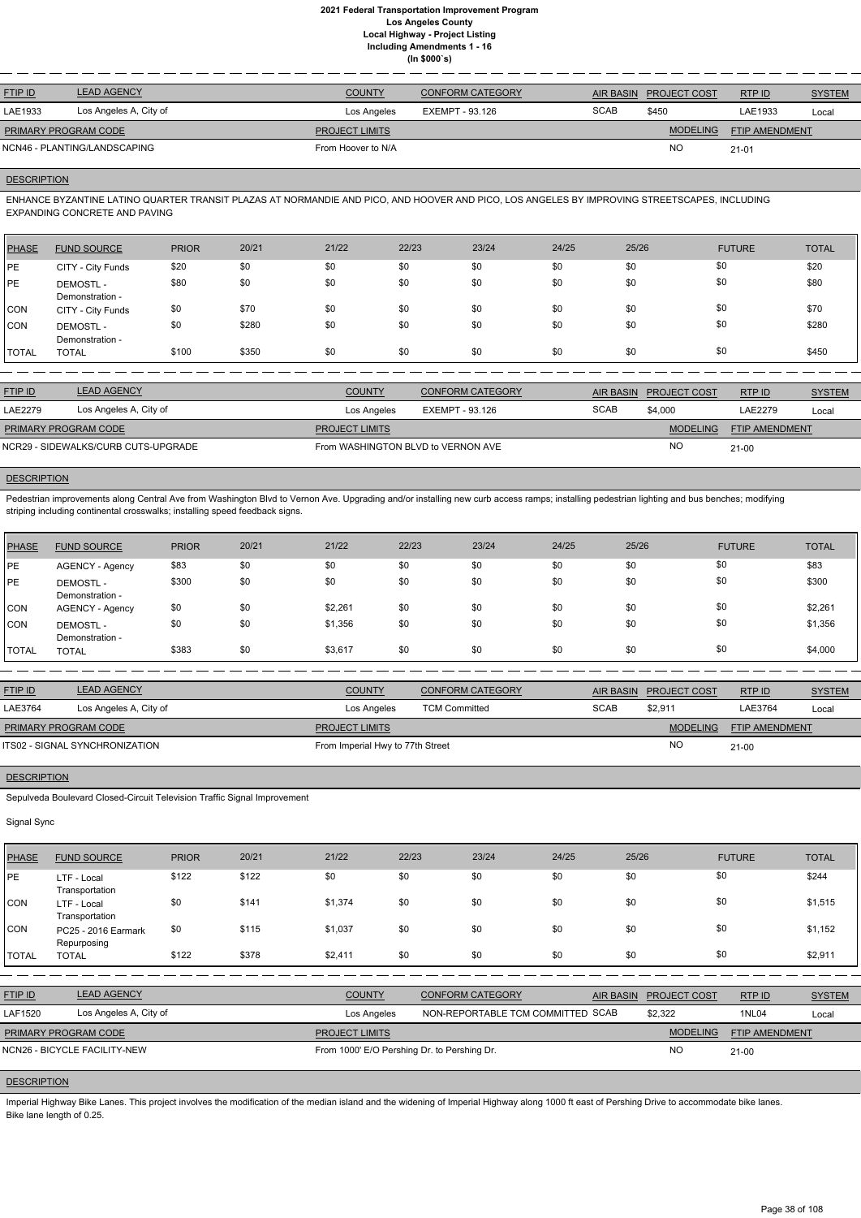| <b>LEAD AGENCY</b>           | <b>COUNTY</b>         | <b>CONFORM CATEGORY</b> |             | <b>PROJECT COST</b> | RTP ID                | <b>SYSTEM</b> |
|------------------------------|-----------------------|-------------------------|-------------|---------------------|-----------------------|---------------|
| Los Angeles A, City of       | Los Angeles           | EXEMPT - 93.126         | <b>SCAB</b> | \$450               | LAE1933               | Local         |
| <b>PRIMARY PROGRAM CODE</b>  | <b>PROJECT LIMITS</b> |                         |             | <b>MODELING</b>     | <b>FTIP AMENDMENT</b> |               |
| NCN46 - PLANTING/LANDSCAPING | From Hoover to N/A    |                         |             | NO                  | $21 - 01$             |               |
|                              |                       |                         |             |                     | AIR BASIN             |               |

# **DESCRIPTION**

ENHANCE BYZANTINE LATINO QUARTER TRANSIT PLAZAS AT NORMANDIE AND PICO, AND HOOVER AND PICO, LOS ANGELES BY IMPROVING STREETSCAPES, INCLUDING EXPANDING CONCRETE AND PAVING

Pedestrian improvements along Central Ave from Washington Blvd to Vernon Ave. Upgrading and/or installing new curb access ramps; installing pedestrian lighting and bus benches; modifying striping including continental crosswalks; installing speed feedback signs.

| <b>PHASE</b> | <b>FUND SOURCE</b>                 | <b>PRIOR</b> | 20/21 | 21/22 | 22/23 | 23/24 | 24/25 | 25/26 | <b>FUTURE</b> | <b>TOTAL</b> |
|--------------|------------------------------------|--------------|-------|-------|-------|-------|-------|-------|---------------|--------------|
| <b>IPE</b>   | CITY - City Funds                  | \$20         | \$0   | \$0   | \$0   | \$0   | \$0   | \$0   | \$0           | \$20         |
| <b>PE</b>    | <b>DEMOSTL-</b><br>Demonstration - | \$80         | \$0   | \$0   | \$0   | \$0   | \$0   | \$0   | \$0           | \$80         |
| <b>CON</b>   | CITY - City Funds                  | \$0          | \$70  | \$0   | \$0   | \$0   | \$0   | \$0   | \$0           | \$70         |
| <b>CON</b>   | <b>DEMOSTL-</b><br>Demonstration - | \$0          | \$280 | \$0   | \$0   | \$0   | \$0   | \$0   | \$0           | \$280        |
| <b>TOTAL</b> | <b>TOTAL</b>                       | \$100        | \$350 | \$0   | \$0   | \$0   | \$0   | \$0   | \$0           | \$450        |

| <b>FTIP ID</b>       | <b>LEAD AGENCY</b>                  | <b>COUNTY</b>                      | <b>CONFORM CATEGORY</b> |             | AIR BASIN PROJECT COST | RTP ID                | <b>SYSTEM</b> |
|----------------------|-------------------------------------|------------------------------------|-------------------------|-------------|------------------------|-----------------------|---------------|
| LAE2279              | Los Angeles A, City of              | Los Angeles                        | EXEMPT - 93.126         | <b>SCAB</b> | \$4,000                | LAE2279               | Local         |
| PRIMARY PROGRAM CODE |                                     | <b>PROJECT LIMITS</b>              |                         |             | <b>MODELING</b>        | <b>FTIP AMENDMENT</b> |               |
|                      | NCR29 - SIDEWALKS/CURB CUTS-UPGRADE | From WASHINGTON BLVD to VERNON AVE |                         |             | <b>NO</b>              | $21 - 00$             |               |

# **DESCRIPTION**

Imperial Highway Bike Lanes. This project involves the modification of the median island and the widening of Imperial Highway along 1000 ft east of Pershing Drive to accommodate bike lanes. Bike lane length of 0.25.

| PHASE        | <b>FUND SOURCE</b>                 | <b>PRIOR</b> | 20/21 | 21/22   | 22/23 | 23/24 | 24/25 | 25/26 | <b>FUTURE</b> | <b>TOTAL</b> |
|--------------|------------------------------------|--------------|-------|---------|-------|-------|-------|-------|---------------|--------------|
| PE           | AGENCY - Agency                    | \$83         | \$0   | \$0     | \$0   | \$0   | \$0   | \$0   | \$0           | \$83         |
| PE           | <b>DEMOSTL-</b><br>Demonstration - | \$300        | \$0   | \$0     | \$0   | \$0   | \$0   | \$0   | \$0           | \$300        |
| CON          | AGENCY - Agency                    | \$0          | \$0   | \$2,261 | \$0   | \$0   | \$0   | \$0   | \$0           | \$2,261      |
| <b>CON</b>   | <b>DEMOSTL-</b><br>Demonstration - | \$0          | \$0   | \$1,356 | \$0   | \$0   | \$0   | \$0   | \$0           | \$1,356      |
| <b>TOTAL</b> | <b>TOTAL</b>                       | \$383        | \$0   | \$3,617 | \$0   | \$0   | \$0   | \$0   | \$0           | \$4,000      |

| <b>FTIP ID</b>              | <b>LEAD AGENCY</b>             | <b>COUNTY</b>                    | <b>CONFORM CATEGORY</b> |             | <b>AIR BASIN PROJECT COST</b> | RTP ID                | <b>SYSTEM</b> |
|-----------------------------|--------------------------------|----------------------------------|-------------------------|-------------|-------------------------------|-----------------------|---------------|
| LAE3764                     | Los Angeles A, City of         | Los Angeles                      | <b>TCM Committed</b>    | <b>SCAB</b> | \$2,911                       | LAE3764               | Local         |
| <b>PRIMARY PROGRAM CODE</b> |                                | <b>PROJECT LIMITS</b>            |                         |             | MODELING                      | <b>FTIP AMENDMENT</b> |               |
|                             | ITS02 - SIGNAL SYNCHRONIZATION | From Imperial Hwy to 77th Street |                         |             | <b>NC</b>                     | $21 - 00$             |               |

# **DESCRIPTION**

Sepulveda Boulevard Closed-Circuit Television Traffic Signal Improvement

## Signal Sync

| <b>PHASE</b> | <b>FUND SOURCE</b>            | <b>PRIOR</b> | 20/21 | 21/22   | 22/23 | 23/24 | 24/25 | 25/26 | <b>FUTURE</b> | <b>TOTAL</b> |
|--------------|-------------------------------|--------------|-------|---------|-------|-------|-------|-------|---------------|--------------|
| <b>PE</b>    | LTF - Local<br>Transportation | \$122        | \$122 | \$0     | \$0   | \$0   | \$0   | \$0   | \$0           | \$244        |
| <b>CON</b>   | LTF - Local<br>Transportation | \$0          | \$141 | \$1,374 | \$0   | \$0   | \$0   | \$0   | \$0           | \$1,515      |

| <b>CON</b>     | PC25 - 2016 Earmark<br>Repurposing | \$0   | \$115 | \$1,037               | \$0 | \$0                                         | \$0 | \$0       | \$0                 |                       | \$1,152       |
|----------------|------------------------------------|-------|-------|-----------------------|-----|---------------------------------------------|-----|-----------|---------------------|-----------------------|---------------|
| <b>TOTAL</b>   | <b>TOTAL</b>                       | \$122 | \$378 | \$2.411               | \$0 | \$0                                         | \$0 | \$0       | \$0                 |                       | \$2,911       |
|                |                                    |       |       |                       |     |                                             |     |           |                     |                       |               |
| <b>FTIP ID</b> | <b>LEAD AGENCY</b>                 |       |       | <b>COUNTY</b>         |     | <b>CONFORM CATEGORY</b>                     |     | AIR BASIN | <b>PROJECT COST</b> | RTP ID                | <b>SYSTEM</b> |
| LAF1520        | Los Angeles A, City of             |       |       | Los Angeles           |     | NON-REPORTABLE TCM COMMITTED SCAB           |     |           | \$2,322             | 1NL04                 | Local         |
|                | <b>PRIMARY PROGRAM CODE</b>        |       |       | <b>PROJECT LIMITS</b> |     |                                             |     |           | <b>MODELING</b>     | <b>FTIP AMENDMENT</b> |               |
|                | NCN26 - BICYCLE FACILITY-NEW       |       |       |                       |     | From 1000' E/O Pershing Dr. to Pershing Dr. |     |           | NO                  | 21-00                 |               |
|                |                                    |       |       |                       |     |                                             |     |           |                     |                       |               |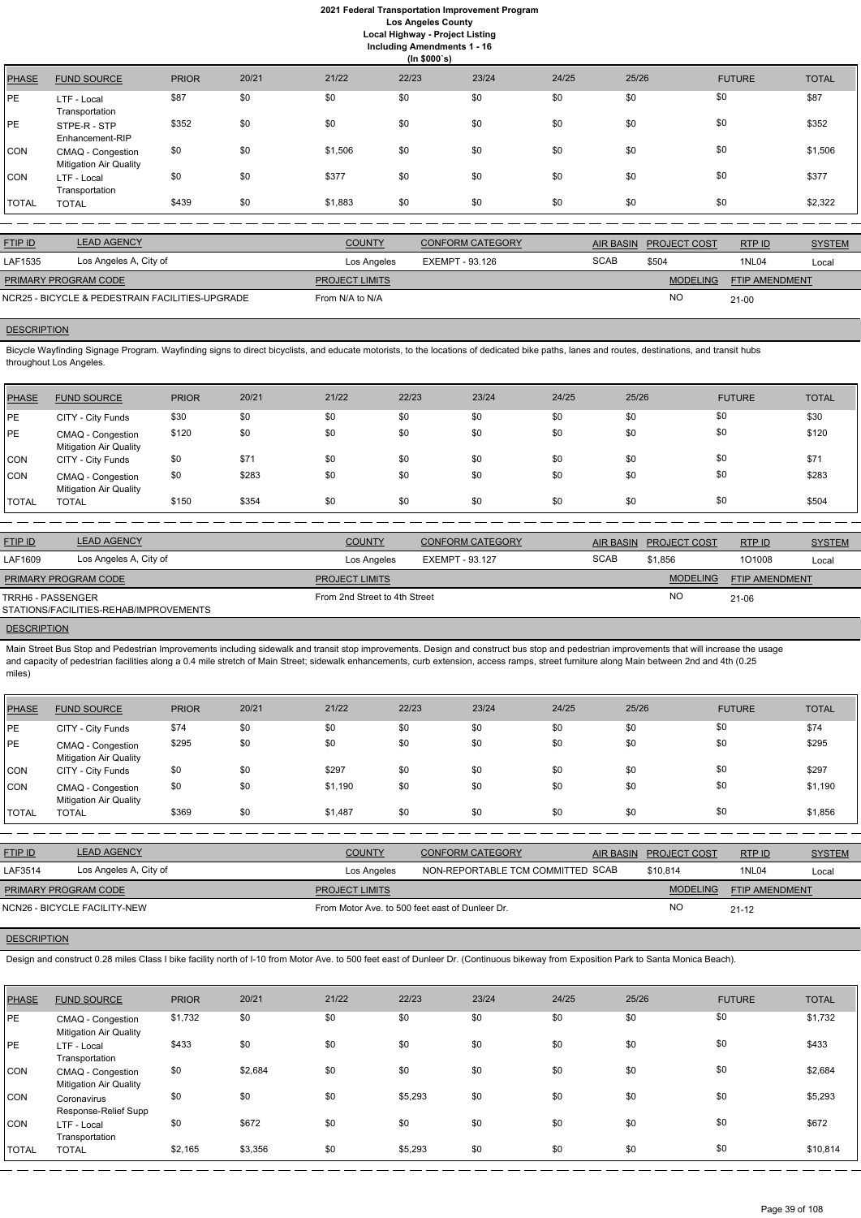**Including Amendments 1 - 16**

|              | (ln \$000's)                                       |              |       |         |       |       |       |       |               |              |
|--------------|----------------------------------------------------|--------------|-------|---------|-------|-------|-------|-------|---------------|--------------|
| <b>PHASE</b> | <b>FUND SOURCE</b>                                 | <b>PRIOR</b> | 20/21 | 21/22   | 22/23 | 23/24 | 24/25 | 25/26 | <b>FUTURE</b> | <b>TOTAL</b> |
| PE           | LTF - Local<br>Transportation                      | \$87         | \$0   | \$0     | \$0   | \$0   | \$0   | \$0   | \$0           | \$87         |
| PE           | STPE-R - STP<br>Enhancement-RIP                    | \$352        | \$0   | \$0     | \$0   | \$0   | \$0   | \$0   | \$0           | \$352        |
| CON          | CMAQ - Congestion<br><b>Mitigation Air Quality</b> | \$0          | \$0   | \$1,506 | \$0   | \$0   | \$0   | \$0   | \$0           | \$1,506      |
| <b>CON</b>   | LTF - Local<br>Transportation                      | \$0          | \$0   | \$377   | \$0   | \$0   | \$0   | \$0   | \$0           | \$377        |
| <b>TOTAL</b> | <b>TOTAL</b>                                       | \$439        | \$0   | \$1,883 | \$0   | \$0   | \$0   | \$0   | \$0           | \$2,322      |

| <b>FTIP ID</b>                                  | <b>LEAD AGENCY</b>     | <b>COUNTY</b>         | <b>CONFORM CATEGORY</b> |             | AIR BASIN PROJECT COST | RTPID          | <b>SYSTEM</b> |
|-------------------------------------------------|------------------------|-----------------------|-------------------------|-------------|------------------------|----------------|---------------|
| LAF1535                                         | Los Angeles A, City of | Los Angeles           | EXEMPT - 93.126         | <b>SCAB</b> | \$504                  | 1NL04          | Local         |
| PRIMARY PROGRAM CODE                            |                        | <b>PROJECT LIMITS</b> |                         |             | <b>MODELING</b>        | FTIP AMENDMENT |               |
| NCR25 - BICYCLE & PEDESTRAIN FACILITIES-UPGRADE |                        | From N/A to N/A       |                         |             | <b>NO</b>              | $21 - 00$      |               |

# **DESCRIPTION**

Bicycle Wayfinding Signage Program. Wayfinding signs to direct bicyclists, and educate motorists, to the locations of dedicated bike paths, lanes and routes, destinations, and transit hubs throughout Los Angeles.

Main Street Bus Stop and Pedestrian Improvements including sidewalk and transit stop improvements. Design and construct bus stop and pedestrian improvements that will increase the usage and capacity of pedestrian facilities along a 0.4 mile stretch of Main Street; sidewalk enhancements, curb extension, access ramps, street furniture along Main between 2nd and 4th (0.25 miles)

| PHASE        | <b>FUND SOURCE</b>                                 | <b>PRIOR</b> | 20/21 | 21/22 | 22/23 | 23/24 | 24/25 | 25/26 | <b>FUTURE</b> | <b>TOTAL</b> |
|--------------|----------------------------------------------------|--------------|-------|-------|-------|-------|-------|-------|---------------|--------------|
| PE           | CITY - City Funds                                  | \$30         | \$0   | \$0   | \$0   | \$0   | \$0   | \$0   | \$0           | \$30         |
| <b>IPE</b>   | CMAQ - Congestion<br><b>Mitigation Air Quality</b> | \$120        | \$0   | \$0   | \$0   | \$0   | \$0   | \$0   | \$0           | \$120        |
| CON          | CITY - City Funds                                  | \$0          | \$71  | \$0   | \$0   | \$0   | \$0   | \$0   | \$0           | \$71         |
| ICON.        | CMAQ - Congestion<br><b>Mitigation Air Quality</b> | \$0          | \$283 | \$0   | \$0   | \$0   | \$0   | \$0   | \$0           | \$283        |
| <b>TOTAL</b> | <b>TOTAL</b>                                       | \$150        | \$354 | \$0   | \$0   | \$0   | \$0   | \$0   | \$0           | \$504        |

| <b>FTIP ID</b>                                              | <b>LEAD AGENCY</b>     | <b>COUNTY</b>                 | <b>CONFORM CATEGORY</b> | <b>AIR BASIN</b> | <b>PROJECT COST</b> | RTP ID                | <b>SYSTEM</b> |
|-------------------------------------------------------------|------------------------|-------------------------------|-------------------------|------------------|---------------------|-----------------------|---------------|
| LAF1609                                                     | Los Angeles A, City of | Los Angeles                   | EXEMPT - 93.127         | <b>SCAB</b>      | \$1.856             | 101008                | Local         |
| <b>PRIMARY PROGRAM CODE</b>                                 |                        | <b>PROJECT LIMITS</b>         |                         |                  | <b>MODELING</b>     | <b>FTIP AMENDMENT</b> |               |
| TRRH6 - PASSENGER<br>STATIONS/FACILITIES-REHAB/IMPROVEMENTS |                        | From 2nd Street to 4th Street |                         |                  | <b>NO</b>           | 21-06                 |               |

# **DESCRIPTION**

| <b>PHASE</b> | <b>FUND SOURCE</b>                                 | <b>PRIOR</b> | 20/21 | 21/22   | 22/23 | 23/24 | 24/25 | 25/26 | <b>FUTURE</b> | <b>TOTAL</b> |
|--------------|----------------------------------------------------|--------------|-------|---------|-------|-------|-------|-------|---------------|--------------|
| PE           | CITY - City Funds                                  | \$74         | \$0   | \$0     | \$0   | \$0   | \$0   | \$0   | \$0           | \$74         |
| PE           | CMAQ - Congestion<br><b>Mitigation Air Quality</b> | \$295        | \$0   | \$0     | \$0   | \$0   | \$0   | \$0   | \$0           | \$295        |
| CON          | CITY - City Funds                                  | \$0          | \$0   | \$297   | \$0   | \$0   | \$0   | \$0   | \$0           | \$297        |
| <b>CON</b>   | CMAQ - Congestion<br><b>Mitigation Air Quality</b> | \$0          | \$0   | \$1,190 | \$0   | \$0   | \$0   | \$0   | \$0           | \$1,190      |
| TOTAL        | <b>TOTAL</b>                                       | \$369        | \$0   | \$1,487 | \$0   | \$0   | \$0   | \$0   | \$0           | \$1,856      |

| <b>FTIP ID</b>       | <b>LEAD AGENCY</b>           | <b>COUNTY</b>                                   | <b>CONFORM CATEGORY</b>           | AIR BASIN PROJECT COST | <u>RTP ID</u>         | <b>SYSTEM</b> |
|----------------------|------------------------------|-------------------------------------------------|-----------------------------------|------------------------|-----------------------|---------------|
| LAF3514              | Los Angeles A, City of       | Los Angeles                                     | NON-REPORTABLE TCM COMMITTED SCAB | \$10,814               | 1NL04                 | Local         |
| PRIMARY PROGRAM CODE |                              | <b>PROJECT LIMITS</b>                           |                                   | <b>MODELING</b>        | <b>FTIP AMENDMENT</b> |               |
|                      | NCN26 - BICYCLE FACILITY-NEW | From Motor Ave. to 500 feet east of Dunleer Dr. |                                   | NC                     | $21 - 12$             |               |

# **DESCRIPTION**

Design and construct 0.28 miles Class I bike facility north of I-10 from Motor Ave. to 500 feet east of Dunleer Dr. (Continuous bikeway from Exposition Park to Santa Monica Beach).

| PHASE        | <b>FUND SOURCE</b>                                 | <b>PRIOR</b> | 20/21   | 21/22 | 22/23   | 23/24 | 24/25 | 25/26 | <b>FUTURE</b> | <b>TOTAL</b> |
|--------------|----------------------------------------------------|--------------|---------|-------|---------|-------|-------|-------|---------------|--------------|
| <b>PE</b>    | CMAQ - Congestion<br><b>Mitigation Air Quality</b> | \$1,732      | \$0     | \$0   | \$0     | \$0   | \$0   | \$0   | \$0           | \$1,732      |
| <b>PE</b>    | LTF - Local<br>Transportation                      | \$433        | \$0     | \$0   | \$0     | \$0   | \$0   | \$0   | \$0           | \$433        |
| CON          | CMAQ - Congestion<br><b>Mitigation Air Quality</b> | \$0          | \$2,684 | \$0   | \$0     | \$0   | \$0   | \$0   | \$0           | \$2,684      |
| <b>CON</b>   | Coronavirus<br>Response-Relief Supp                | \$0          | \$0     | \$0   | \$5,293 | \$0   | \$0   | \$0   | \$0           | \$5,293      |
| CON          | LTF - Local<br>Transportation                      | \$0          | \$672   | \$0   | \$0     | \$0   | \$0   | \$0   | \$0           | \$672        |
| <b>TOTAL</b> | <b>TOTAL</b>                                       | \$2,165      | \$3,356 | \$0   | \$5,293 | \$0   | \$0   | \$0   | \$0           | \$10,814     |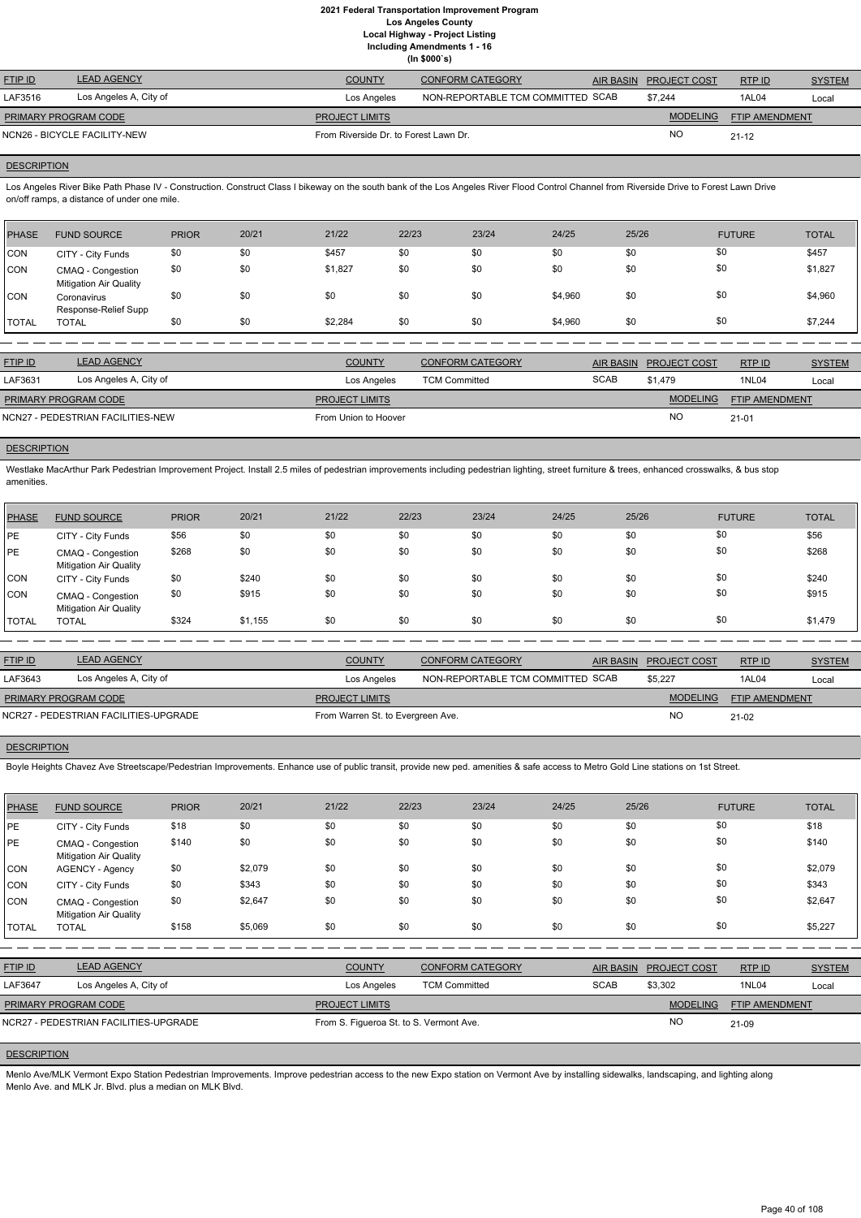**Including Amendments 1 - 16**

|  | (ln \$000's) |  |
|--|--------------|--|

| <b>FTIP ID</b>       | <b>LEAD AGENCY</b>           | <b>COUNTY</b>                         | <b>CONFORM CATEGORY</b>           | AIR BASIN PROJECT COST | RTPID          | <b>SYSTEM</b> |
|----------------------|------------------------------|---------------------------------------|-----------------------------------|------------------------|----------------|---------------|
| LAF3516              | Los Angeles A, City of       | Los Angeles                           | NON-REPORTABLE TCM COMMITTED SCAB | \$7,244                | 1AL04          | Local         |
| PRIMARY PROGRAM CODE |                              | <b>PROJECT LIMITS</b>                 |                                   | <b>MODELING</b>        | FTIP AMENDMENT |               |
|                      | NCN26 - BICYCLE FACILITY-NEW | From Riverside Dr. to Forest Lawn Dr. |                                   | <b>NC</b>              | $21 - 12$      |               |

# **DESCRIPTION**

Los Angeles River Bike Path Phase IV - Construction. Construct Class I bikeway on the south bank of the Los Angeles River Flood Control Channel from Riverside Drive to Forest Lawn Drive on/off ramps, a distance of under one mile.

Westlake MacArthur Park Pedestrian Improvement Project. Install 2.5 miles of pedestrian improvements including pedestrian lighting, street furniture & trees, enhanced crosswalks, & bus stop amenities.

| PHASE        | <b>FUND SOURCE</b>                                 | <b>PRIOR</b> | 20/21 | 21/22   | 22/23 | 23/24 | 24/25   | 25/26 | <b>FUTURE</b> | <b>TOTAL</b> |
|--------------|----------------------------------------------------|--------------|-------|---------|-------|-------|---------|-------|---------------|--------------|
| CON          | CITY - City Funds                                  | \$0          | \$0   | \$457   | \$0   | \$0   | \$0     | \$0   | \$0           | \$457        |
| ICON.        | CMAQ - Congestion<br><b>Mitigation Air Quality</b> | \$0          | \$0   | \$1,827 | \$0   | \$0   | \$0     | \$0   | \$0           | \$1,827      |
| ICON.        | Coronavirus<br>Response-Relief Supp                | \$0          | \$0   | \$0     | \$0   | \$0   | \$4,960 | \$0   | \$0           | \$4,960      |
| <b>TOTAL</b> | <b>TOTAL</b>                                       | \$0          | \$0   | \$2,284 | \$0   | \$0   | \$4,960 | \$0   | \$0           | \$7,244      |

| <b>FTIP ID</b>              | <b>LEAD AGENCY</b>                | <b>COUNTY</b>         | <b>CONFORM CATEGORY</b> |             | AIR BASIN PROJECT COST | RTPID                 | <b>SYSTEM</b> |
|-----------------------------|-----------------------------------|-----------------------|-------------------------|-------------|------------------------|-----------------------|---------------|
| LAF3631                     | Los Angeles A, City of            | Los Angeles           | <b>TCM Committed</b>    | <b>SCAB</b> | \$1.479                | <b>1NL04</b>          | Local         |
| <b>PRIMARY PROGRAM CODE</b> |                                   | <b>PROJECT LIMITS</b> |                         |             | <b>MODELING</b>        | <b>FTIP AMENDMENT</b> |               |
|                             | NCN27 - PEDESTRIAN FACILITIES-NEW | From Union to Hoover  |                         |             | <b>NO</b>              | $21 - 01$             |               |

## **DESCRIPTION**

Menlo Ave/MLK Vermont Expo Station Pedestrian Improvements. Improve pedestrian access to the new Expo station on Vermont Ave by installing sidewalks, landscaping, and lighting along Menlo Ave. and MLK Jr. Blvd. plus a median on MLK Blvd.

| <b>PHASE</b> | <b>FUND SOURCE</b>                                 | <b>PRIOR</b> | 20/21   | 21/22 | 22/23 | 23/24 | 24/25 | 25/26 | <b>FUTURE</b> | <b>TOTAL</b> |
|--------------|----------------------------------------------------|--------------|---------|-------|-------|-------|-------|-------|---------------|--------------|
| PE           | CITY - City Funds                                  | \$56         | \$0     | \$0   | \$0   | \$0   | \$0   | \$0   | \$0           | \$56         |
| PE           | CMAQ - Congestion<br><b>Mitigation Air Quality</b> | \$268        | \$0     | \$0   | \$0   | \$0   | \$0   | \$0   | \$0           | \$268        |
| CON          | CITY - City Funds                                  | \$0          | \$240   | \$0   | \$0   | \$0   | \$0   | \$0   | \$0           | \$240        |
| CON          | CMAQ - Congestion<br><b>Mitigation Air Quality</b> | \$0          | \$915   | \$0   | \$0   | \$0   | \$0   | \$0   | \$0           | \$915        |
| <b>TOTAL</b> | <b>TOTAL</b>                                       | \$324        | \$1,155 | \$0   | \$0   | \$0   | \$0   | \$0   | \$0           | \$1,479      |

| <b>FTIP ID</b>       | LEAD AGENCY                           | <b>COUNTY</b>                     | <b>CONFORM CATEGORY</b>           | AIR BASIN PROJECT COST | RTPID                 | <b>SYSTEM</b> |
|----------------------|---------------------------------------|-----------------------------------|-----------------------------------|------------------------|-----------------------|---------------|
| LAF3643              | Los Angeles A, City of                | Los Angeles                       | NON-REPORTABLE TCM COMMITTED SCAB | \$5,227                | 1AL04                 | Local         |
| PRIMARY PROGRAM CODE |                                       | <b>PROJECT LIMITS</b>             |                                   | <b>MODELING</b>        | <b>FTIP AMENDMENT</b> |               |
|                      | NCR27 - PEDESTRIAN FACILITIES-UPGRADE | From Warren St. to Evergreen Ave. |                                   | NC.                    | $21-02$               |               |

## **DESCRIPTION**

Boyle Heights Chavez Ave Streetscape/Pedestrian Improvements. Enhance use of public transit, provide new ped. amenities & safe access to Metro Gold Line stations on 1st Street.

| <b>PHASE</b>                          | <b>FUND SOURCE</b>                                 | <b>PRIOR</b> | 20/21   | 21/22                                   | 22/23                | 23/24                   | 24/25       | 25/26                            | <b>FUTURE</b>  | <b>TOTAL</b>  |
|---------------------------------------|----------------------------------------------------|--------------|---------|-----------------------------------------|----------------------|-------------------------|-------------|----------------------------------|----------------|---------------|
| PE                                    | CITY - City Funds                                  | \$18         | \$0     | \$0                                     | \$0                  | \$0                     | \$0         | \$0                              | \$0            | \$18          |
| PE                                    | CMAQ - Congestion<br><b>Mitigation Air Quality</b> | \$140        | \$0     | \$0                                     | \$0                  | \$0                     | \$0         | \$0                              | \$0            | \$140         |
| <b>CON</b>                            | <b>AGENCY - Agency</b>                             | \$0          | \$2,079 | \$0                                     | \$0                  | \$0                     | \$0         | \$0                              | \$0            | \$2,079       |
| <b>CON</b>                            | CITY - City Funds                                  | \$0          | \$343   | \$0                                     | \$0                  | \$0                     | \$0         | \$0                              | \$0            | \$343         |
| <b>CON</b>                            | CMAQ - Congestion<br><b>Mitigation Air Quality</b> | \$0          | \$2,647 | \$0                                     | \$0                  | \$0                     | \$0         | \$0                              | \$0            | \$2,647       |
| <b>TOTAL</b>                          | <b>TOTAL</b>                                       | \$158        | \$5,069 | \$0                                     | \$0                  | \$0                     | \$0         | \$0                              | \$0            | \$5,227       |
|                                       |                                                    |              |         |                                         |                      |                         |             |                                  |                |               |
| FTIP ID                               | <b>LEAD AGENCY</b>                                 |              |         | <b>COUNTY</b>                           |                      | <b>CONFORM CATEGORY</b> |             | <b>AIR BASIN</b><br>PROJECT COST | RTP ID         | <b>SYSTEM</b> |
| LAF3647                               | Los Angeles A, City of                             |              |         | Los Angeles                             | <b>TCM Committed</b> |                         | <b>SCAB</b> | \$3,302                          | 1NL04          | Local         |
|                                       | PRIMARY PROGRAM CODE                               |              |         | <b>PROJECT LIMITS</b>                   |                      |                         |             | <b>MODELING</b>                  | FTIP AMENDMENT |               |
| NCR27 - PEDESTRIAN FACILITIES-UPGRADE |                                                    |              |         | From S. Figueroa St. to S. Vermont Ave. |                      |                         |             | <b>NO</b>                        | 21-09          |               |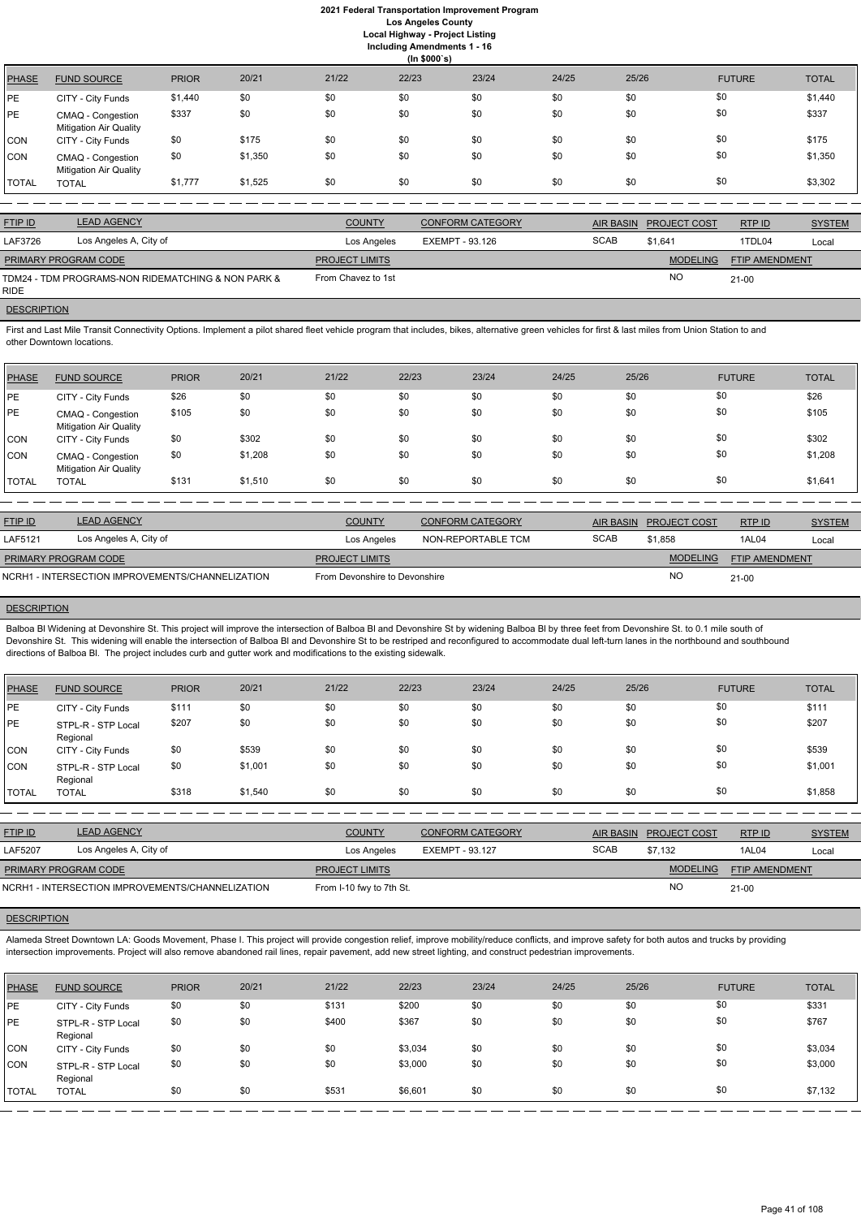**Including Amendments 1 - 16**

| 22/23<br>21/22<br>20/21<br>23/24<br>24/25<br>25/26<br><b>TOTAL</b><br><b>PRIOR</b><br><b>FUTURE</b><br><b>PHASE</b><br><b>FUND SOURCE</b><br>\$0<br>\$0<br>\$0<br>\$0<br>\$1,440<br>\$0<br>\$0<br>\$0<br>\$1,440<br>PЕ<br>CITY - City Funds<br>\$0<br>\$337<br>\$0<br>\$337<br>\$0<br>\$0<br>\$0<br>\$0<br>\$0<br>PE<br>CMAQ - Congestion<br><b>Mitigation Air Quality</b><br>\$0<br>\$0<br>\$175<br>\$0<br>\$0<br>\$0<br>\$175<br>\$0<br>\$0<br>CON<br>CITY - City Funds<br>\$0<br>\$1,350<br>\$0<br>\$0<br>\$1,350<br>\$0<br>\$0<br>\$0<br>\$0<br>CON<br>CMAQ - Congestion<br><b>Mitigation Air Quality</b><br>\$0<br>\$0<br>\$1,777<br>\$0<br>\$0<br>\$3,302<br>\$0<br>\$0<br>\$1,525<br>TOTAL<br><b>TOTAL</b> |  |  | (ln \$000's) |  |  |  |
|-------------------------------------------------------------------------------------------------------------------------------------------------------------------------------------------------------------------------------------------------------------------------------------------------------------------------------------------------------------------------------------------------------------------------------------------------------------------------------------------------------------------------------------------------------------------------------------------------------------------------------------------------------------------------------------------------------------------|--|--|--------------|--|--|--|
|                                                                                                                                                                                                                                                                                                                                                                                                                                                                                                                                                                                                                                                                                                                   |  |  |              |  |  |  |
|                                                                                                                                                                                                                                                                                                                                                                                                                                                                                                                                                                                                                                                                                                                   |  |  |              |  |  |  |
|                                                                                                                                                                                                                                                                                                                                                                                                                                                                                                                                                                                                                                                                                                                   |  |  |              |  |  |  |
|                                                                                                                                                                                                                                                                                                                                                                                                                                                                                                                                                                                                                                                                                                                   |  |  |              |  |  |  |
|                                                                                                                                                                                                                                                                                                                                                                                                                                                                                                                                                                                                                                                                                                                   |  |  |              |  |  |  |
|                                                                                                                                                                                                                                                                                                                                                                                                                                                                                                                                                                                                                                                                                                                   |  |  |              |  |  |  |

First and Last Mile Transit Connectivity Options. Implement a pilot shared fleet vehicle program that includes, bikes, alternative green vehicles for first & last miles from Union Station to and other Downtown locations.

| <b>FTIP ID</b>              | <b>LEAD AGENCY</b>                                 | <b>COUNTY</b>         | <b>CONFORM CATEGORY</b> | <b>AIR BASIN</b> | <b>PROJECT COST</b> | RTP ID                | <b>SYSTEM</b> |
|-----------------------------|----------------------------------------------------|-----------------------|-------------------------|------------------|---------------------|-----------------------|---------------|
| LAF3726                     | Los Angeles A, City of                             | Los Angeles           | EXEMPT - 93.126         | <b>SCAB</b>      | \$1.641             | 1TDL04                | Local         |
| <b>PRIMARY PROGRAM CODE</b> |                                                    | <b>PROJECT LIMITS</b> |                         |                  | <b>MODELING</b>     | <b>FTIP AMENDMENT</b> |               |
| <b>RIDE</b>                 | TDM24 - TDM PROGRAMS-NON RIDEMATCHING & NON PARK & | From Chavez to 1st    |                         |                  | <b>NO</b>           | $21 - 00$             |               |

# **DESCRIPTION**

Balboa Bl Widening at Devonshire St. This project will improve the intersection of Balboa Bl and Devonshire St by widening Balboa Bl by three feet from Devonshire St. to 0.1 mile south of Devonshire St. This widening will enable the intersection of Balboa Bl and Devonshire St to be restriped and reconfigured to accommodate dual left-turn lanes in the northbound and southbound directions of Balboa Bl. The project includes curb and gutter work and modifications to the existing sidewalk.

| PHASE        | <b>FUND SOURCE</b>                                 | <b>PRIOR</b> | 20/21   | 21/22 | 22/23 | 23/24 | 24/25 | 25/26 | <b>FUTURE</b> | <b>TOTAL</b> |
|--------------|----------------------------------------------------|--------------|---------|-------|-------|-------|-------|-------|---------------|--------------|
| <b>IPE</b>   | CITY - City Funds                                  | \$26         | \$0     | \$0   | \$0   | \$0   | \$0   | \$0   | \$0           | \$26         |
| <b>PE</b>    | CMAQ - Congestion<br><b>Mitigation Air Quality</b> | \$105        | \$0     | \$0   | \$0   | \$0   | \$0   | \$0   | \$0           | \$105        |
| <b>CON</b>   | CITY - City Funds                                  | \$0          | \$302   | \$0   | \$0   | \$0   | \$0   | \$0   | \$0           | \$302        |
| <b>CON</b>   | CMAQ - Congestion<br><b>Mitigation Air Quality</b> | \$0          | \$1,208 | \$0   | \$0   | \$0   | \$0   | \$0   | \$0           | \$1,208      |
| <b>TOTAL</b> | <b>TOTAL</b>                                       | \$131        | \$1,510 | \$0   | \$0   | \$0   | \$0   | \$0   | \$0           | \$1,641      |

| <b>LEAD AGENCY</b>                               | <b>COUNTY</b>         | <b>CONFORM CATEGORY</b> |                               |                 | RTPID                  | <b>SYSTEM</b>  |
|--------------------------------------------------|-----------------------|-------------------------|-------------------------------|-----------------|------------------------|----------------|
| Los Angeles A, City of                           | Los Angeles           | NON-REPORTABLE TCM      | <b>SCAB</b>                   | \$1,858         | 1AL04                  | Local          |
| <b>PRIMARY PROGRAM CODE</b>                      | <b>PROJECT LIMITS</b> |                         |                               | <b>MODELING</b> |                        |                |
| NCRH1 - INTERSECTION IMPROVEMENTS/CHANNELIZATION |                       |                         |                               | <b>NC</b>       | $21 - 00$              |                |
|                                                  |                       |                         | From Devonshire to Devonshire |                 | AIR BASIN PROJECT COST | FTIP AMENDMENT |

## **DESCRIPTION**

Alameda Street Downtown LA: Goods Movement, Phase I. This project will provide congestion relief, improve mobility/reduce conflicts, and improve safety for both autos and trucks by providing intersection improvements. Project will also remove abandoned rail lines, repair pavement, add new street lighting, and construct pedestrian improvements.

| <b>PHASE</b> | <b>FUND SOURCE</b>             | <b>PRIOR</b> | 20/21   | 21/22 | 22/23 | 23/24 | 24/25 | 25/26 | <b>FUTURE</b> | <b>TOTAL</b> |
|--------------|--------------------------------|--------------|---------|-------|-------|-------|-------|-------|---------------|--------------|
| PE           | CITY - City Funds              | \$111        | \$0     | \$0   | \$0   | \$0   | \$0   | \$0   | \$0           | \$111        |
| IPE.         | STPL-R - STP Local<br>Regional | \$207        | \$0     | \$0   | \$0   | \$0   | \$0   | \$0   | \$0           | \$207        |
| <b>CON</b>   | CITY - City Funds              | \$0          | \$539   | \$0   | \$0   | \$0   | \$0   | \$0   | \$0           | \$539        |
| <b>CON</b>   | STPL-R - STP Local<br>Regional | \$0          | \$1,001 | \$0   | \$0   | \$0   | \$0   | \$0   | \$0           | \$1,001      |
| <b>TOTAL</b> | <b>TOTAL</b>                   | \$318        | \$1,540 | \$0   | \$0   | \$0   | \$0   | \$0   | \$0           | \$1,858      |

| <b>FTIP ID</b>              | <b>LEAD AGENCY</b>                               | <b>COUNTY</b>            | <b>CONFORM CATEGORY</b> |             | AIR BASIN PROJECT COST | RTP ID                | <b>SYSTEM</b> |
|-----------------------------|--------------------------------------------------|--------------------------|-------------------------|-------------|------------------------|-----------------------|---------------|
| <b>LAF5207</b>              | Los Angeles A, City of                           | Los Angeles              | EXEMPT - 93.127         | <b>SCAB</b> | \$7.132                | 1AL04                 | Local         |
| <b>PRIMARY PROGRAM CODE</b> |                                                  | <b>PROJECT LIMITS</b>    |                         |             | <b>MODELING</b>        | <b>FTIP AMENDMENT</b> |               |
|                             | NCRH1 - INTERSECTION IMPROVEMENTS/CHANNELIZATION | From I-10 fwy to 7th St. |                         |             | ΝC                     | $21-00$               |               |



| <b>PHASE</b> | <b>FUND SOURCE</b>             | <b>PRIOR</b> | 20/21 | 21/22 | 22/23   | 23/24 | 24/25 | 25/26 | <b>FUTURE</b> | <b>TOTAL</b> |
|--------------|--------------------------------|--------------|-------|-------|---------|-------|-------|-------|---------------|--------------|
| <b>IPE</b>   | CITY - City Funds              | \$0          | \$0   | \$131 | \$200   | \$0   | \$0   | \$0   | \$0           | \$331        |
| <b>PE</b>    | STPL-R - STP Local<br>Regional | \$0          | \$0   | \$400 | \$367   | \$0   | \$0   | \$0   | \$0           | \$767        |
| <b>CON</b>   | CITY - City Funds              | \$0          | \$0   | \$0   | \$3,034 | \$0   | \$0   | \$0   | \$0           | \$3,034      |
| CON          | STPL-R - STP Local<br>Regional | \$0          | \$0   | \$0   | \$3,000 | \$0   | \$0   | \$0   | \$0           | \$3,000      |
| <b>TOTAL</b> | <b>TOTAL</b>                   | \$0          | \$0   | \$531 | \$6,601 | \$0   | \$0   | \$0   | \$0           | \$7,132      |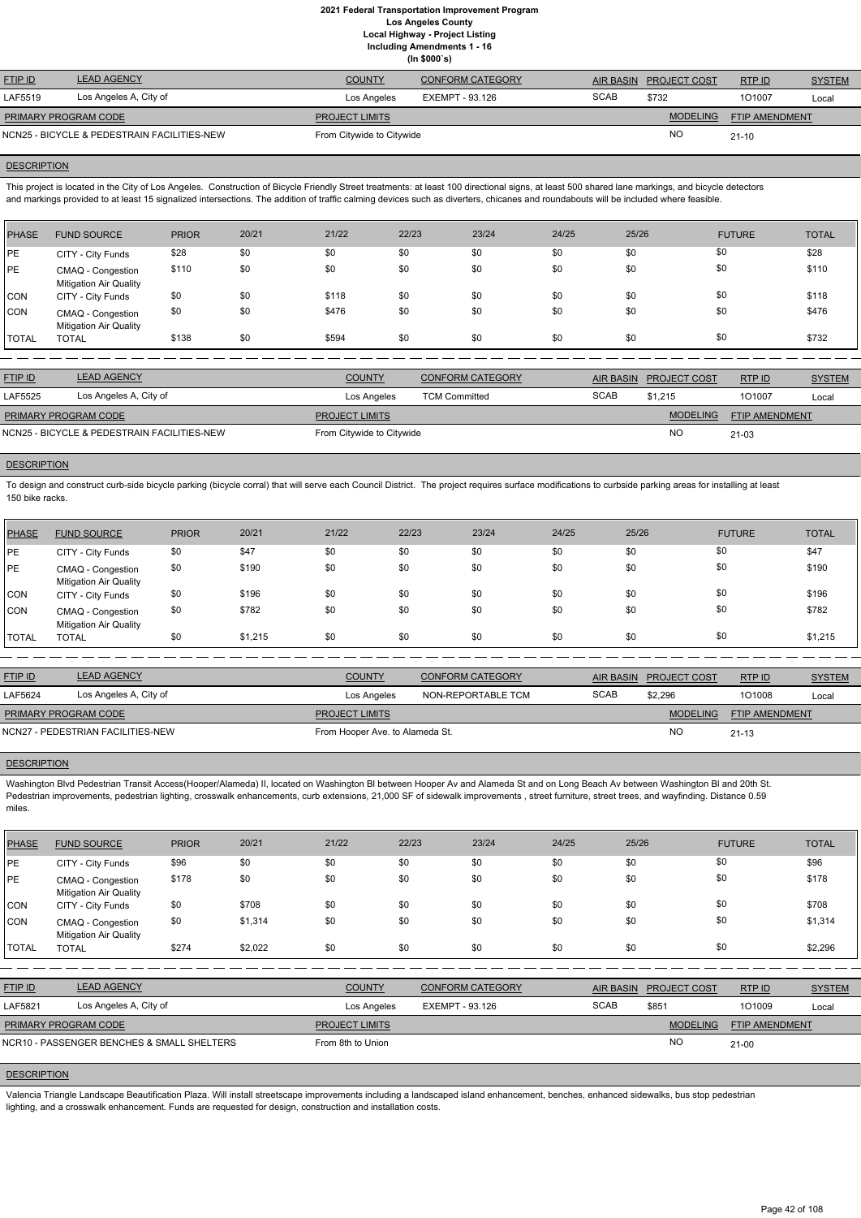|                      |                                             |                           | 1114                    |             |                        |                |               |
|----------------------|---------------------------------------------|---------------------------|-------------------------|-------------|------------------------|----------------|---------------|
| <b>FTIP ID</b>       | <b>LEAD AGENCY</b>                          | <b>COUNTY</b>             | <b>CONFORM CATEGORY</b> |             | AIR BASIN PROJECT COST | RTPID          | <b>SYSTEM</b> |
| LAF5519              | Los Angeles A, City of                      | Los Angeles               | EXEMPT - 93.126         | <b>SCAB</b> | \$732                  | 101007         | Local         |
| PRIMARY PROGRAM CODE |                                             | <b>PROJECT LIMITS</b>     |                         |             | <b>MODELING</b>        | FTIP AMENDMENT |               |
|                      | NCN25 - BICYCLE & PEDESTRAIN FACILITIES-NEW | From Citywide to Citywide |                         |             | <b>NO</b>              | $21 - 10$      |               |

### **DESCRIPTION**

This project is located in the City of Los Angeles. Construction of Bicycle Friendly Street treatments: at least 100 directional signs, at least 500 shared lane markings, and bicycle detectors and markings provided to at least 15 signalized intersections. The addition of traffic calming devices such as diverters, chicanes and roundabouts will be included where feasible.

| PHASE        | <b>FUND SOURCE</b>                                 | <b>PRIOR</b> | 20/21 | 21/22 | 22/23 | 23/24 | 24/25 | 25/26 | <b>FUTURE</b> | <b>TOTAL</b> |
|--------------|----------------------------------------------------|--------------|-------|-------|-------|-------|-------|-------|---------------|--------------|
| PE           | CITY - City Funds                                  | \$28         | \$0   | \$0   | \$0   | \$0   | \$0   | \$0   | \$0           | \$28         |
| <b>PE</b>    | CMAQ - Congestion<br><b>Mitigation Air Quality</b> | \$110        | \$0   | \$0   | \$0   | \$0   | \$0   | \$0   | \$0           | \$110        |
| CON          | CITY - City Funds                                  | \$0          | \$0   | \$118 | \$0   | \$0   | \$0   | \$0   | \$0           | \$118        |
| <b>CON</b>   | CMAQ - Congestion<br><b>Mitigation Air Quality</b> | \$0          | \$0   | \$476 | \$0   | \$0   | \$0   | \$0   | \$0           | \$476        |
| <b>TOTAL</b> | <b>TOTAL</b>                                       | \$138        | \$0   | \$594 | \$0   | \$0   | \$0   | \$0   | \$0           | \$732        |

| <b>FTIP ID</b>                              | <b>LEAD AGENCY</b>     | <b>COUNTY</b>             | CONFORM CATEGORY     | <b>AIR BASIN</b> | <b>PROJECT COST</b> | RTP ID                | <b>SYSTEM</b> |
|---------------------------------------------|------------------------|---------------------------|----------------------|------------------|---------------------|-----------------------|---------------|
| LAF5525                                     | Los Angeles A, City of | Los Angeles               | <b>TCM Committed</b> | <b>SCAB</b>      | \$1.215             | 101007                | Local         |
| <b>PRIMARY PROGRAM CODE</b>                 |                        | <b>PROJECT LIMITS</b>     |                      |                  | <b>MODELING</b>     | <b>FTIP AMENDMENT</b> |               |
| NCN25 - BICYCLE & PEDESTRAIN FACILITIES-NEW |                        | From Citywide to Citywide |                      |                  | NO                  | $21 - 03$             |               |

# **DESCRIPTION**

To design and construct curb-side bicycle parking (bicycle corral) that will serve each Council District. The project requires surface modifications to curbside parking areas for installing at least 150 bike racks.

| PHASE        | <b>FUND SOURCE</b>                                 | <b>PRIOR</b> | 20/21   | 21/22 | 22/23 | 23/24 | 24/25 | 25/26 | <b>FUTURE</b> | <b>TOTAL</b> |
|--------------|----------------------------------------------------|--------------|---------|-------|-------|-------|-------|-------|---------------|--------------|
| PE           | CITY - City Funds                                  | \$0          | \$47    | \$0   | \$0   | \$0   | \$0   | \$0   | \$0           | \$47         |
| PE           | CMAQ - Congestion<br><b>Mitigation Air Quality</b> | \$0          | \$190   | \$0   | \$0   | \$0   | \$0   | \$0   | \$0           | \$190        |
| CON          | CITY - City Funds                                  | \$0          | \$196   | \$0   | \$0   | \$0   | \$0   | \$0   | \$0           | \$196        |
| ICON.        | CMAQ - Congestion<br><b>Mitigation Air Quality</b> | \$0          | \$782   | \$0   | \$0   | \$0   | \$0   | \$0   | \$0           | \$782        |
| <b>TOTAL</b> | <b>TOTAL</b>                                       | \$0          | \$1,215 | \$0   | \$0   | \$0   | \$0   | \$0   | \$0           | \$1,215      |

| <b>LEAD AGENCY</b>                | <b>COUNTY</b><br><b>CONFORM CATEGORY</b> |                       | AIR BASIN                       |                 | RTP ID                | <b>SYSTEM</b> |
|-----------------------------------|------------------------------------------|-----------------------|---------------------------------|-----------------|-----------------------|---------------|
| Los Angeles A, City of            | Los Angeles                              | NON-REPORTABLE TCM    | <b>SCAB</b>                     | \$2.296         | 101008                | Local         |
| <b>PRIMARY PROGRAM CODE</b>       |                                          |                       |                                 | <b>MODELING</b> | <b>FTIP AMENDMENT</b> |               |
| NCN27 - PEDESTRIAN FACILITIES-NEW |                                          |                       |                                 | <b>NO</b>       | $21 - 13$             |               |
|                                   |                                          | <b>PROJECT LIMITS</b> | From Hooper Ave. to Alameda St. |                 | <b>PROJECT COST</b>   |               |

### **DESCRIPTION**

Washington Blvd Pedestrian Transit Access(Hooper/Alameda) II, located on Washington Bl between Hooper Av and Alameda St and on Long Beach Av between Washington Bl and 20th St. Pedestrian improvements, pedestrian lighting, crosswalk enhancements, curb extensions, 21,000 SF of sidewalk improvements, street furniture, street trees, and wayfinding. Distance 0.59 miles.

| <b>PHASE</b>                               | <b>FUND SOURCE</b>                                 | <b>PRIOR</b> | 20/21   | 21/22             | 22/23                  | 23/24                   | 24/25            | 25/26 |                     | <b>FUTURE</b>  | <b>TOTAL</b>  |
|--------------------------------------------|----------------------------------------------------|--------------|---------|-------------------|------------------------|-------------------------|------------------|-------|---------------------|----------------|---------------|
| PE                                         | CITY - City Funds                                  | \$96         | \$0     | \$0               | \$0                    | \$0                     | \$0              | \$0   | \$0                 |                | \$96          |
| <b>PE</b>                                  | CMAQ - Congestion<br><b>Mitigation Air Quality</b> | \$178        | \$0     | \$0               | \$0                    | \$0                     | \$0              | \$0   | \$0                 |                | \$178         |
| CON                                        | CITY - City Funds                                  | \$0          | \$708   | \$0               | \$0                    | \$0                     | \$0              | \$0   | \$0                 |                | \$708         |
| CON                                        | CMAQ - Congestion<br><b>Mitigation Air Quality</b> | \$0          | \$1,314 | \$0               | \$0                    | \$0                     | \$0              | \$0   | \$0                 |                | \$1,314       |
| <b>TOTAL</b>                               | <b>TOTAL</b>                                       | \$274        | \$2,022 | \$0               | \$0                    | \$0                     | \$0              | \$0   | \$0                 |                | \$2,296       |
|                                            |                                                    |              |         |                   |                        |                         |                  |       |                     |                |               |
| <b>FTIP ID</b>                             | <b>LEAD AGENCY</b>                                 |              |         | <b>COUNTY</b>     |                        | <b>CONFORM CATEGORY</b> | <b>AIR BASIN</b> |       | <b>PROJECT COST</b> | RTP ID         | <b>SYSTEM</b> |
| LAF5821                                    | Los Angeles A, City of                             |              |         | Los Angeles       | <b>EXEMPT - 93.126</b> |                         | <b>SCAB</b>      | \$851 |                     | 101009         | Local         |
|                                            | PRIMARY PROGRAM CODE                               |              |         |                   |                        |                         |                  |       | <b>MODELING</b>     | FTIP AMENDMENT |               |
| NCR10 - PASSENGER BENCHES & SMALL SHELTERS |                                                    |              |         | From 8th to Union |                        |                         |                  |       | <b>NO</b>           | $21 - 00$      |               |

# **DESCRIPTION**

Valencia Triangle Landscape Beautification Plaza. Will install streetscape improvements including a landscaped island enhancement, benches, enhanced sidewalks, bus stop pedestrian lighting, and a crosswalk enhancement. Funds are requested for design, construction and installation costs.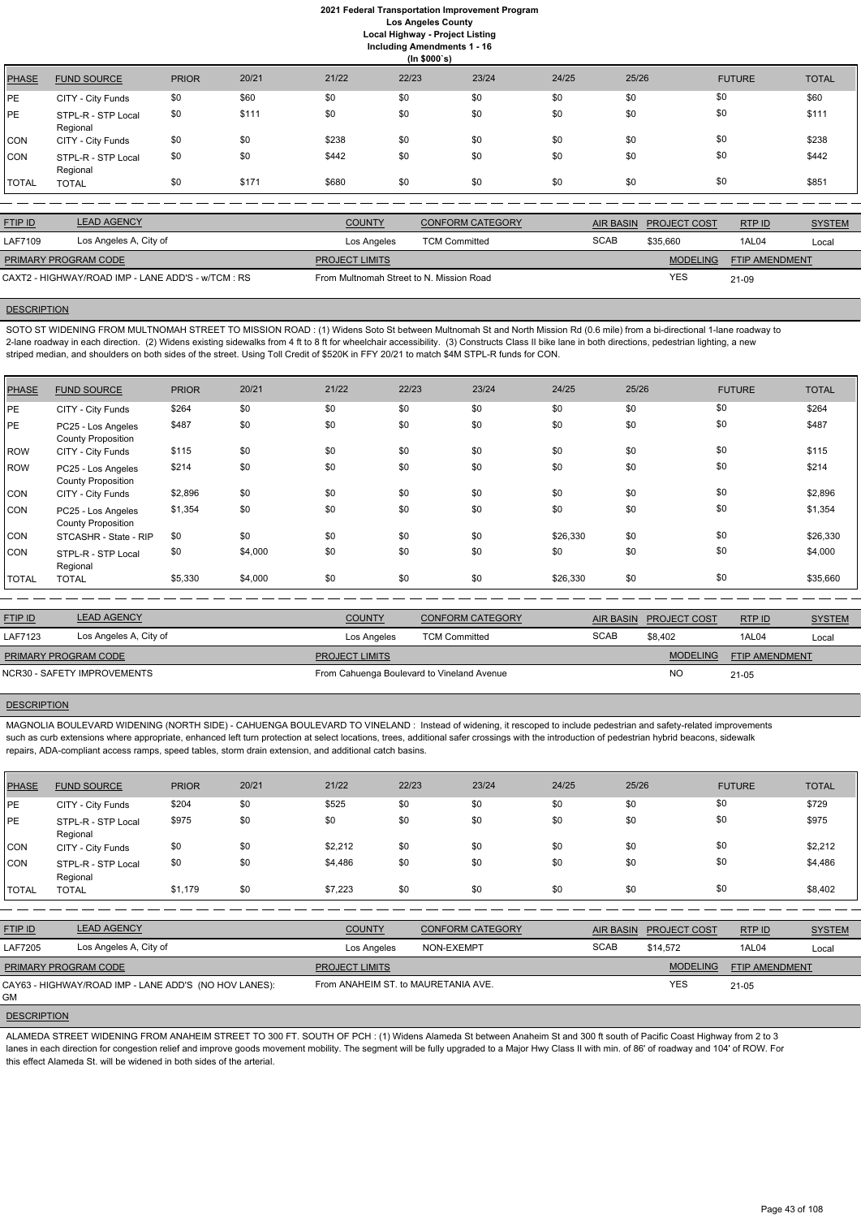**Including Amendments 1 - 16**

**(In \$000`s)** PHASE FUND SOURCE PRIOR 20/21 21/22 22/23 23/24 24/25 25/26 FUTURE TOTAL PE CITY - City Funds \$0 \$60 \$0 \$0 \$0 \$0 \$0 \$0 \$0 \$0 \$0 \$0 \$1 \$1 \$60 PE STPL-R - STP Local Regional \$0 \$111 \$0 \$0 \$0 \$0 \$0 \$0 \$111 CON CITY - City Funds \$0 \$0 \$238 \$0 \$0 \$0 \$0 \$0 \$238 CON STPL-R - STP Local Regional \$0 \$0 \$1442 \$0 \$0 \$0 \$0 \$0 \$0 \$0 \$0 \$0 \$142 TOTAL TOTAL \$0 \$171 \$680 \$0 \$0 \$0 \$0 \$0 \$851

SOTO ST WIDENING FROM MULTNOMAH STREET TO MISSION ROAD : (1) Widens Soto St between Multnomah St and North Mission Rd (0.6 mile) from a bi-directional 1-lane roadway to 2-lane roadway in each direction. (2) Widens existing sidewalks from 4 ft to 8 ft for wheelchair accessibility. (3) Constructs Class II bike lane in both directions, pedestrian lighting, a new striped median, and shoulders on both sides of the street. Using Toll Credit of \$520K in FFY 20/21 to match \$4M STPL-R funds for CON.

| <b>FTIP ID</b>                                     | <b>LEAD AGENCY</b>     | <b>COUNTY</b>                            | <b>CONFORM CATEGORY</b> | AIR BASIN   | <b>PROJECT COST</b> | RTP ID                | <b>SYSTEM</b> |
|----------------------------------------------------|------------------------|------------------------------------------|-------------------------|-------------|---------------------|-----------------------|---------------|
| LAF7109                                            | Los Angeles A, City of | Los Angeles                              | <b>TCM Committed</b>    | <b>SCAB</b> | \$35,660            | 1AL04                 | Local         |
| PRIMARY PROGRAM CODE                               |                        | <b>PROJECT LIMITS</b>                    |                         |             | <b>MODELING</b>     | <b>FTIP AMENDMENT</b> |               |
| CAXT2 - HIGHWAY/ROAD IMP - LANE ADD'S - w/TCM : RS |                        | From Multnomah Street to N. Mission Road |                         |             | <b>YES</b>          | 21-09                 |               |

## **DESCRIPTION**

| <b>PHASE</b> | <b>FUND SOURCE</b>                              | <b>PRIOR</b> | 20/21   | 21/22 | 22/23 | 23/24 | 24/25    | 25/26 | <b>FUTURE</b> | <b>TOTAL</b> |
|--------------|-------------------------------------------------|--------------|---------|-------|-------|-------|----------|-------|---------------|--------------|
| PE           | CITY - City Funds                               | \$264        | \$0     | \$0   | \$0   | \$0   | \$0      | \$0   | \$0           | \$264        |
| PE           | PC25 - Los Angeles<br><b>County Proposition</b> | \$487        | \$0     | \$0   | \$0   | \$0   | \$0      | \$0   | \$0           | \$487        |
| ROW          | CITY - City Funds                               | \$115        | \$0     | \$0   | \$0   | \$0   | \$0      | \$0   | \$0           | \$115        |
| ROW          | PC25 - Los Angeles<br><b>County Proposition</b> | \$214        | \$0     | \$0   | \$0   | \$0   | \$0      | \$0   | \$0           | \$214        |
| CON          | CITY - City Funds                               | \$2,896      | \$0     | \$0   | \$0   | \$0   | \$0      | \$0   | \$0           | \$2,896      |
| <b>CON</b>   | PC25 - Los Angeles<br><b>County Proposition</b> | \$1,354      | \$0     | \$0   | \$0   | \$0   | \$0      | \$0   | \$0           | \$1,354      |
| CON          | STCASHR - State - RIP                           | \$0          | \$0     | \$0   | \$0   | \$0   | \$26,330 | \$0   | \$0           | \$26,330     |
| <b>CON</b>   | STPL-R - STP Local<br>Regional                  | \$0          | \$4,000 | \$0   | \$0   | \$0   | \$0      | \$0   | \$0           | \$4,000      |
| <b>TOTAL</b> | <b>TOTAL</b>                                    | \$5,330      | \$4,000 | \$0   | \$0   | \$0   | \$26,330 | \$0   | \$0           | \$35,660     |

| <b>LEAD AGENCY</b><br><b>FTIP ID</b><br><b>COUNTY</b><br><b>CONFORM CATEGORY</b><br>AIR BASIN PROJECT COST<br>RTP ID |               |
|----------------------------------------------------------------------------------------------------------------------|---------------|
|                                                                                                                      | <b>SYSTEM</b> |
| <b>SCAB</b><br>Los Angeles A, City of<br><b>LAF7123</b><br>\$8.402<br>1AL04<br><b>TCM Committed</b><br>Los Angeles   | Local         |
| <b>MODELING</b><br><b>PRIMARY PROGRAM CODE</b><br><b>FTIP AMENDMENT</b><br><b>PROJECT LIMITS</b>                     |               |
| <b>NO</b><br>NCR30 - SAFETY IMPROVEMENTS<br>From Cahuenga Boulevard to Vineland Avenue<br>$21 - 05$                  |               |

### **DESCRIPTION**

MAGNOLIA BOULEVARD WIDENING (NORTH SIDE) - CAHUENGA BOULEVARD TO VINELAND : Instead of widening, it rescoped to include pedestrian and safety-related improvements such as curb extensions where appropriate, enhanced left turn protection at select locations, trees, additional safer crossings with the introduction of pedestrian hybrid beacons, sidewalk repairs, ADA-compliant access ramps, speed tables, storm drain extension, and additional catch basins.

| <b>PHASE</b> | <b>FUND SOURCE</b>             | <b>PRIOR</b> | 20/21 | 21/22   | 22/23 | 23/24 | 24/25 | 25/26 | <b>FUTURE</b> | <b>TOTAL</b> |
|--------------|--------------------------------|--------------|-------|---------|-------|-------|-------|-------|---------------|--------------|
| PE           | CITY - City Funds              | \$204        | \$0   | \$525   | \$0   | \$0   | \$0   | \$0   | \$0           | \$729        |
| <b>IPE</b>   | STPL-R - STP Local<br>Regional | \$975        | \$0   | \$0     | \$0   | \$0   | \$0   | \$0   | \$0           | \$975        |
| <b>CON</b>   | CITY - City Funds              | \$0          | \$0   | \$2,212 | \$0   | \$0   | \$0   | \$0   | \$0           | \$2,212      |
| <b>CON</b>   | STPL-R - STP Local<br>Regional | \$0          | \$0   | \$4,486 | \$0   | \$0   | \$0   | \$0   | \$0           | \$4,486      |
| TOTAL        | <b>TOTAL</b>                   | \$1,179      | \$0   | \$7,223 | \$0   | \$0   | \$0   | \$0   | \$0           | \$8,402      |

| <b>FTIP ID</b>              | <b>LEAD AGENCY</b>                                    | <b>COUNTY</b>                       | <b>CONFORM CATEGORY</b> | AIR BASIN   | <b>PROJECT COST</b> | RTPID          | <b>SYSTEM</b> |
|-----------------------------|-------------------------------------------------------|-------------------------------------|-------------------------|-------------|---------------------|----------------|---------------|
| <b>LAF7205</b>              | Los Angeles A, City of                                | Los Angeles                         | NON-EXEMPT              | <b>SCAB</b> | \$14,572            | 1AL04          | Local         |
| <b>PRIMARY PROGRAM CODE</b> |                                                       | <b>PROJECT LIMITS</b>               |                         |             | <b>MODELING</b>     | FTIP AMENDMENT |               |
| <b>GM</b>                   | CAY63 - HIGHWAY/ROAD IMP - LANE ADD'S (NO HOV LANES): | From ANAHEIM ST. to MAURETANIA AVE. |                         |             | <b>YES</b>          | $21 - 05$      |               |
| <b>DESCRIPTION</b>          |                                                       |                                     |                         |             |                     |                |               |

ALAMEDA STREET WIDENING FROM ANAHEIM STREET TO 300 FT. SOUTH OF PCH : (1) Widens Alameda St between Anaheim St and 300 ft south of Pacific Coast Highway from 2 to 3 lanes in each direction for congestion relief and improve goods movement mobility. The segment will be fully upgraded to a Major Hwy Class II with min. of 86' of roadway and 104' of ROW. For this effect Alameda St. will be widened in both sides of the arterial.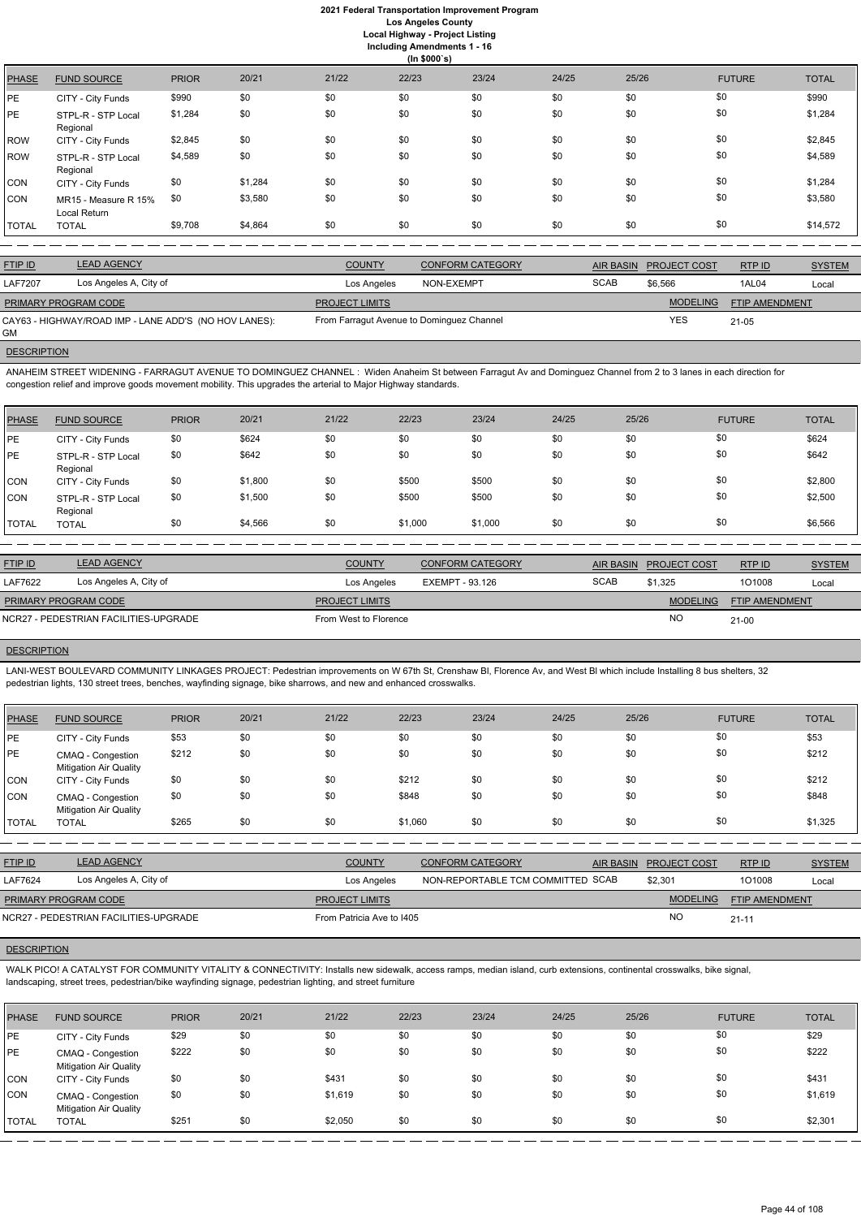**Including Amendments 1 - 16 (In \$000`s)** PHASE FUND SOURCE PRIOR 20/21 21/22 22/23 23/24 24/25 25/26 FUTURE TOTAL PE CITY - City Funds \$990 \$0 \$0 \$0 \$0 \$0 \$0 \$0 \$0 \$0 \$0 \$0 \$0 \$990 PE STPL-R - STP Local Regional \$1,284 \$0 \$0 \$0 \$0 \$0 \$0 \$0 \$0 \$0 \$0 \$0 \$0 \$1,284 ROW CITY - City Funds \$2,845 \$0 \$0 \$0 \$0 \$0 \$0 \$0 \$2,845 ROW STPL-R - STP Local Regional \$4,589 \$0 \$0 \$0 \$0 \$0 \$0 \$0 \$0 \$0 \$0 \$0 \$4,589 CON CITY - City Funds \$0 \$1,284 \$0 \$0 \$0 \$0 \$0 \$0 \$1,284 CON MR15 - Measure R 15% Local Return \$0 \$3,580 \$0 \$0 \$0 \$0 \$0 \$0 \$0 \$0 \$0 \$0 \$3,580 \$3,580 TOTAL TOTAL \$9,708 \$4,864 \$0 \$0 \$0 \$0 \$0 \$0 \$14,572

| <b>FTIP ID</b>       | <b>LEAD AGENCY</b>                                    | <b>COUNTY</b>                             | <b>CONFORM CATEGORY</b> | <b>AIR BASIN</b> | <b>PROJECT COST</b> | RTP ID                | <b>SYSTEM</b> |
|----------------------|-------------------------------------------------------|-------------------------------------------|-------------------------|------------------|---------------------|-----------------------|---------------|
| <b>LAF7207</b>       | Los Angeles A, City of                                | Los Angeles                               | NON-EXEMPT              | <b>SCAB</b>      | \$6.566             | 1AL04                 | Local         |
| PRIMARY PROGRAM CODE |                                                       | <b>PROJECT LIMITS</b>                     |                         |                  | <b>MODELING</b>     | <b>FTIP AMENDMENT</b> |               |
| GM                   | CAY63 - HIGHWAY/ROAD IMP - LANE ADD'S (NO HOV LANES): | From Farragut Avenue to Dominguez Channel |                         |                  | YES                 | $21 - 05$             |               |

## **DESCRIPTION**

ANAHEIM STREET WIDENING - FARRAGUT AVENUE TO DOMINGUEZ CHANNEL : Widen Anaheim St between Farragut Av and Dominguez Channel from 2 to 3 lanes in each direction for congestion relief and improve goods movement mobility. This upgrades the arterial to Major Highway standards.

| <b>PHASE</b> | <b>FUND SOURCE</b>             | <b>PRIOR</b> | 20/21   | 21/22 | 22/23   | 23/24   | 24/25 | 25/26 | <b>FUTURE</b> | <b>TOTAL</b> |
|--------------|--------------------------------|--------------|---------|-------|---------|---------|-------|-------|---------------|--------------|
| PE           | CITY - City Funds              | \$0          | \$624   | \$0   | \$0     | \$0     | \$0   | \$0   | \$0           | \$624        |
| PE           | STPL-R - STP Local<br>Regional | \$0          | \$642   | \$0   | \$0     | \$0     | \$0   | \$0   | \$0           | \$642        |
| <b>CON</b>   | CITY - City Funds              | \$0          | \$1,800 | \$0   | \$500   | \$500   | \$0   | \$0   | \$0           | \$2,800      |
| CON          | STPL-R - STP Local<br>Regional | \$0          | \$1,500 | \$0   | \$500   | \$500   | \$0   | \$0   | \$0           | \$2,500      |
| <b>TOTAL</b> | <b>TOTAL</b>                   | \$0          | \$4,566 | \$0   | \$1,000 | \$1,000 | \$0   | \$0   | \$0           | \$6,566      |

| <b>FTIP ID</b>                        | <b>LEAD AGENCY</b>     | <b>COUNTY</b>         | <b>CONFORM CATEGORY</b> | <b>AIR BASIN</b> | <b>PROJECT COST</b> | RTPID                 | <b>SYSTEM</b> |
|---------------------------------------|------------------------|-----------------------|-------------------------|------------------|---------------------|-----------------------|---------------|
| <b>LAF7622</b>                        | Los Angeles A, City of | Los Angeles           | EXEMPT - 93.126         | <b>SCAB</b>      | \$1,325             | 101008                | Local         |
| PRIMARY PROGRAM CODE                  |                        | <b>PROJECT LIMITS</b> |                         |                  | <b>MODELING</b>     | <b>FTIP AMENDMENT</b> |               |
| NCR27 - PEDESTRIAN FACILITIES-UPGRADE |                        | From West to Florence |                         |                  | <b>NC</b>           | $21 - 00$             |               |
|                                       |                        |                       |                         |                  |                     |                       |               |

### **DESCRIPTION**

LANI-WEST BOULEVARD COMMUNITY LINKAGES PROJECT: Pedestrian improvements on W 67th St, Crenshaw Bl, Florence Av, and West Bl which include Installing 8 bus shelters, 32 pedestrian lights, 130 street trees, benches, wayfinding signage, bike sharrows, and new and enhanced crosswalks.

| <b>PHASE</b> | <b>FUND SOURCE</b>                                 | <b>PRIOR</b> | 20/21 | 21/22 | 22/23   | 23/24 | 24/25 | 25/26 | <b>FUTURE</b> | <b>TOTAL</b> |
|--------------|----------------------------------------------------|--------------|-------|-------|---------|-------|-------|-------|---------------|--------------|
| PE           | CITY - City Funds                                  | \$53         | \$0   | \$0   | \$0     | \$0   | \$0   | \$0   | \$0           | \$53         |
| PE           | CMAQ - Congestion<br><b>Mitigation Air Quality</b> | \$212        | \$0   | \$0   | \$0     | \$0   | \$0   | \$0   | \$0           | \$212        |
| <b>CON</b>   | CITY - City Funds                                  | \$0          | \$0   | \$0   | \$212   | \$0   | \$0   | \$0   | \$0           | \$212        |
| <b>CON</b>   | CMAQ - Congestion<br><b>Mitigation Air Quality</b> | \$0          | \$0   | \$0   | \$848   | \$0   | \$0   | \$0   | \$0           | \$848        |
| TOTAL        | <b>TOTAL</b>                                       | \$265        | \$0   | \$0   | \$1,060 | \$0   | \$0   | \$0   | \$0           | \$1,325      |
|              |                                                    |              |       |       |         |       |       |       |               |              |

| <b>FTIP ID</b>              | <b>LEAD AGENCY</b>                    | <b>COUNTY</b>             | <b>CONFORM CATEGORY</b>           | AIR BASIN | <b>PROJECT COST</b> | RTP ID                | <b>SYSTEM</b> |
|-----------------------------|---------------------------------------|---------------------------|-----------------------------------|-----------|---------------------|-----------------------|---------------|
| LAF7624                     | Los Angeles A, City of                | Los Angeles               | NON-REPORTABLE TCM COMMITTED SCAB |           | \$2,301             | 101008                | Local         |
| <b>PRIMARY PROGRAM CODE</b> |                                       | <b>PROJECT LIMITS</b>     |                                   |           | <b>MODELING</b>     | <b>FTIP AMENDMENT</b> |               |
|                             | NCR27 - PEDESTRIAN FACILITIES-UPGRADE | From Patricia Ave to I405 |                                   |           | NO                  | $21 - 11$             |               |

# **DESCRIPTION**

WALK PICO! A CATALYST FOR COMMUNITY VITALITY & CONNECTIVITY: Installs new sidewalk, access ramps, median island, curb extensions, continental crosswalks, bike signal, landscaping, street trees, pedestrian/bike wayfinding signage, pedestrian lighting, and street furniture

| <b>PHASE</b>   | <b>FUND SOURCE</b>                                 | <b>PRIOR</b> | 20/21 | 21/22   | 22/23 | 23/24 | 24/25 | 25/26 | <b>FUTURE</b> | <b>TOTAL</b> |
|----------------|----------------------------------------------------|--------------|-------|---------|-------|-------|-------|-------|---------------|--------------|
| PE             | CITY - City Funds                                  | \$29         | \$0   | \$0     | \$0   | \$0   | \$0   | \$0   | \$0           | \$29         |
| <b>PE</b>      | CMAQ - Congestion<br><b>Mitigation Air Quality</b> | \$222        | \$0   | \$0     | \$0   | \$0   | \$0   | \$0   | \$0           | \$222        |
| CON            | CITY - City Funds                                  | \$0          | \$0   | \$431   | \$0   | \$0   | \$0   | \$0   | \$0           | \$431        |
| CON            | CMAQ - Congestion<br><b>Mitigation Air Quality</b> | \$0          | \$0   | \$1,619 | \$0   | \$0   | \$0   | \$0   | \$0           | \$1,619      |
| <b>I</b> TOTAL | <b>TOTAL</b>                                       | \$251        | \$0   | \$2,050 | \$0   | \$0   | \$0   | \$0   | \$0           | \$2,301      |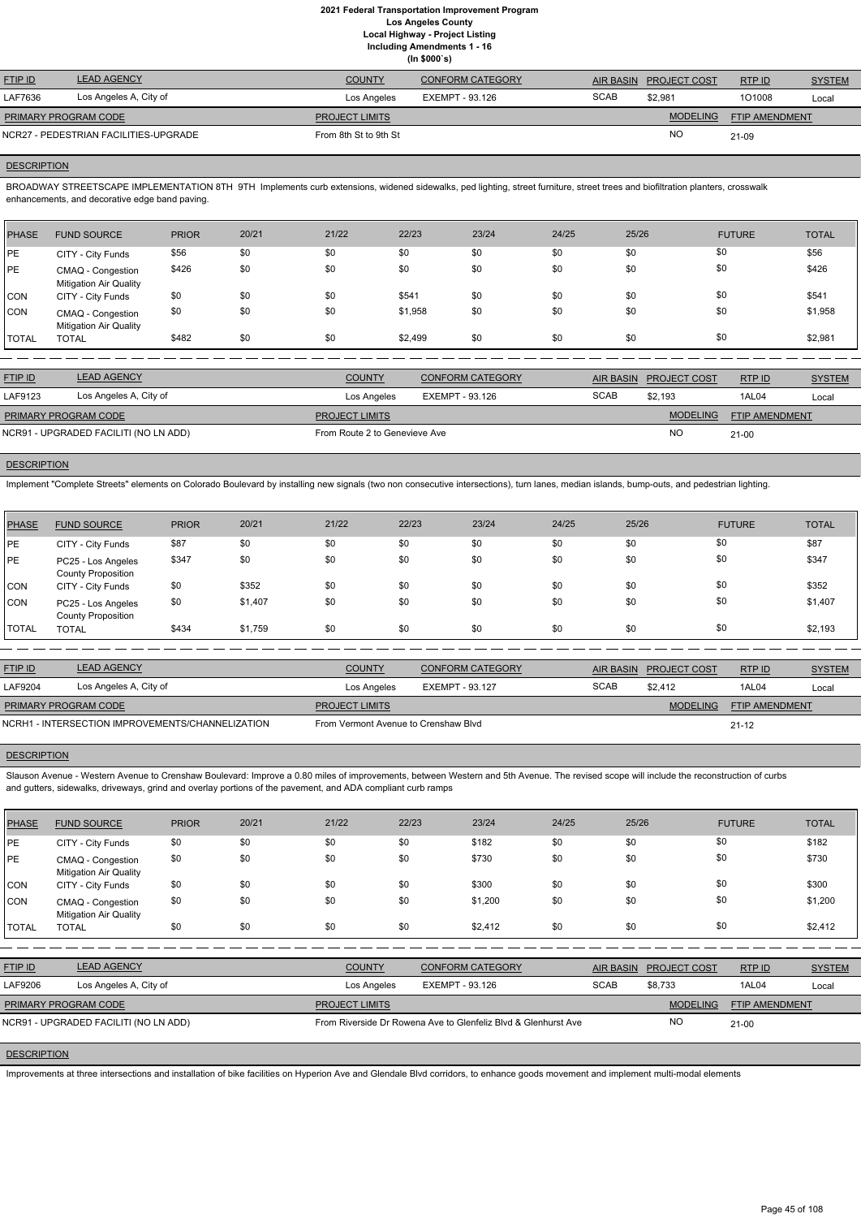| <b>FTIP ID</b>              | <b>LEAD AGENCY</b>                    | <b>COUNTY</b>         | <b>CONFORM CATEGORY</b> |             | AIR BASIN PROJECT COST | RTPID          | <b>SYSTEM</b> |
|-----------------------------|---------------------------------------|-----------------------|-------------------------|-------------|------------------------|----------------|---------------|
| LAF7636                     | Los Angeles A, City of                | Los Angeles           | EXEMPT - 93.126         | <b>SCAB</b> | \$2.981                | 101008         | Local         |
| <b>PRIMARY PROGRAM CODE</b> |                                       | <b>PROJECT LIMITS</b> |                         |             | <b>MODELING</b>        | FTIP AMENDMENT |               |
|                             | NCR27 - PEDESTRIAN FACILITIES-UPGRADE | From 8th St to 9th St |                         |             | <b>NC</b>              | 21-09          |               |

### **DESCRIPTION**

BROADWAY STREETSCAPE IMPLEMENTATION 8TH 9TH Implements curb extensions, widened sidewalks, ped lighting, street furniture, street trees and biofiltration planters, crosswalk enhancements, and decorative edge band paving.

| PHASE        | <b>FUND SOURCE</b>                                 | <b>PRIOR</b> | 20/21 | 21/22 | 22/23   | 23/24 | 24/25 | 25/26 | <b>FUTURE</b> | <b>TOTAL</b> |
|--------------|----------------------------------------------------|--------------|-------|-------|---------|-------|-------|-------|---------------|--------------|
| <b>IPE</b>   | CITY - City Funds                                  | \$56         | \$0   | \$0   | \$0     | \$0   | \$0   | \$0   | \$0           | \$56         |
| PE           | CMAQ - Congestion<br><b>Mitigation Air Quality</b> | \$426        | \$0   | \$0   | \$0     | \$0   | \$0   | \$0   | \$0           | \$426        |
| CON          | CITY - City Funds                                  | \$0          | \$0   | \$0   | \$541   | \$0   | \$0   | \$0   | \$0           | \$541        |
| <b>CON</b>   | CMAQ - Congestion<br><b>Mitigation Air Quality</b> | \$0          | \$0   | \$0   | \$1,958 | \$0   | \$0   | \$0   | \$0           | \$1,958      |
| <b>TOTAL</b> | <b>TOTAL</b>                                       | \$482        | \$0   | \$0   | \$2,499 | \$0   | \$0   | \$0   | \$0           | \$2,981      |

| <b>FTIP ID</b>              | <b>LEAD AGENCY</b>                    | <b>COUNTY</b>                 | <b>CONFORM CATEGORY</b> |             | AIR BASIN PROJECT COST | RTPID                 | <b>SYSTEM</b> |
|-----------------------------|---------------------------------------|-------------------------------|-------------------------|-------------|------------------------|-----------------------|---------------|
| LAF9123                     | Los Angeles A, City of                | Los Angeles                   | EXEMPT - 93.126         | <b>SCAB</b> | \$2,193                | 1AL04                 | Local         |
| <b>PRIMARY PROGRAM CODE</b> |                                       | <b>PROJECT LIMITS</b>         |                         |             | <b>MODELING</b>        | <b>FTIP AMENDMENT</b> |               |
|                             | NCR91 - UPGRADED FACILITI (NO LN ADD) | From Route 2 to Genevieve Ave |                         |             | NC                     | $21-00$               |               |

# **DESCRIPTION**

Slauson Avenue - Western Avenue to Crenshaw Boulevard: Improve a 0.80 miles of improvements, between Western and 5th Avenue. The revised scope will include the reconstruction of curbs and gutters, sidewalks, driveways, grind and overlay portions of the pavement, and ADA compliant curb ramps

Implement "Complete Streets" elements on Colorado Boulevard by installing new signals (two non consecutive intersections), turn lanes, median islands, bump-outs, and pedestrian lighting.

| <b>PHASE</b> | <b>FUND SOURCE</b>                              | <b>PRIOR</b> | 20/21   | 21/22 | 22/23 | 23/24 | 24/25 | 25/26 | <b>FUTURE</b> | <b>TOTAL</b> |
|--------------|-------------------------------------------------|--------------|---------|-------|-------|-------|-------|-------|---------------|--------------|
| <b>IPE</b>   | CITY - City Funds                               | \$87         | \$0     | \$0   | \$0   | \$0   | \$0   | \$0   | \$0           | \$87         |
| <b>IPE</b>   | PC25 - Los Angeles<br><b>County Proposition</b> | \$347        | \$0     | \$0   | \$0   | \$0   | \$0   | \$0   | \$0           | \$347        |
| <b>CON</b>   | CITY - City Funds                               | \$0          | \$352   | \$0   | \$0   | \$0   | \$0   | \$0   | \$0           | \$352        |
| <b>CON</b>   | PC25 - Los Angeles<br><b>County Proposition</b> | \$0          | \$1,407 | \$0   | \$0   | \$0   | \$0   | \$0   | \$0           | \$1,407      |
| <b>TOTAL</b> | <b>TOTAL</b>                                    | \$434        | \$1,759 | \$0   | \$0   | \$0   | \$0   | \$0   | \$0           | \$2,193      |

| <b>FTIP ID</b>                                   | <b>LEAD AGENCY</b>     | <b>COUNTY</b>                        | CONFORM CATEGORY | <b>AIR BASIN</b> | <b>PROJECT COST</b> | RTPID                 | <b>SYSTEM</b> |
|--------------------------------------------------|------------------------|--------------------------------------|------------------|------------------|---------------------|-----------------------|---------------|
| LAF9204                                          | Los Angeles A, City of | Los Angeles                          | EXEMPT - 93.127  | <b>SCAB</b>      | \$2.412             | 1AL04                 | Local         |
| <b>PRIMARY PROGRAM CODE</b>                      |                        | <b>PROJECT LIMITS</b>                |                  |                  | <b>MODELING</b>     | <b>FTIP AMENDMENT</b> |               |
| NCRH1 - INTERSECTION IMPROVEMENTS/CHANNELIZATION |                        | From Vermont Avenue to Crenshaw Blyd |                  |                  |                     | $21 - 12$             |               |

## **DESCRIPTION**

| <b>PHASE</b>       | <b>FUND SOURCE</b>                                 | <b>PRIOR</b> | 20/21 | 21/22          | 22/23                  | 23/24                                                          | 24/25 | 25/26            |                 | <b>FUTURE</b>  | <b>TOTAL</b>  |
|--------------------|----------------------------------------------------|--------------|-------|----------------|------------------------|----------------------------------------------------------------|-------|------------------|-----------------|----------------|---------------|
| PE                 | CITY - City Funds                                  | \$0          | \$0   | \$0            | \$0                    | \$182                                                          | \$0   | \$0              |                 | \$0            | \$182         |
| PE                 | CMAQ - Congestion<br><b>Mitigation Air Quality</b> | \$0          | \$0   | \$0            | \$0                    | \$730                                                          | \$0   | \$0              |                 | \$0            | \$730         |
| <b>CON</b>         | CITY - City Funds                                  | \$0          | \$0   | \$0            | \$0                    | \$300                                                          | \$0   | \$0              |                 | \$0            | \$300         |
| <b>CON</b>         | CMAQ - Congestion<br><b>Mitigation Air Quality</b> | \$0          | \$0   | \$0            | \$0                    | \$1,200                                                        | \$0   | \$0              |                 | \$0            | \$1,200       |
| <b>TOTAL</b>       | <b>TOTAL</b>                                       | \$0          | \$0   | \$0            | \$0                    | \$2,412                                                        | \$0   | \$0              |                 | \$0            | \$2,412       |
|                    |                                                    |              |       |                |                        |                                                                |       |                  |                 |                |               |
| FTIP ID            | <b>LEAD AGENCY</b>                                 |              |       | <b>COUNTY</b>  |                        | <b>CONFORM CATEGORY</b>                                        |       | <b>AIR BASIN</b> | PROJECT COST    | RTP ID         | <b>SYSTEM</b> |
| LAF9206            | Los Angeles A, City of                             |              |       | Los Angeles    | <b>EXEMPT - 93.126</b> |                                                                |       | <b>SCAB</b>      | \$8,733         | 1AL04          | Local         |
|                    | PRIMARY PROGRAM CODE                               |              |       | PROJECT LIMITS |                        |                                                                |       |                  | <b>MODELING</b> | FTIP AMENDMENT |               |
|                    | NCR91 - UPGRADED FACILITI (NO LN ADD)              |              |       |                |                        | From Riverside Dr Rowena Ave to Glenfeliz Blyd & Glenhurst Ave |       |                  | <b>NO</b>       | $21 - 00$      |               |
| <b>DESCRIPTION</b> |                                                    |              |       |                |                        |                                                                |       |                  |                 |                |               |

Improvements at three intersections and installation of bike facilities on Hyperion Ave and Glendale Blvd corridors, to enhance goods movement and implement multi-modal elements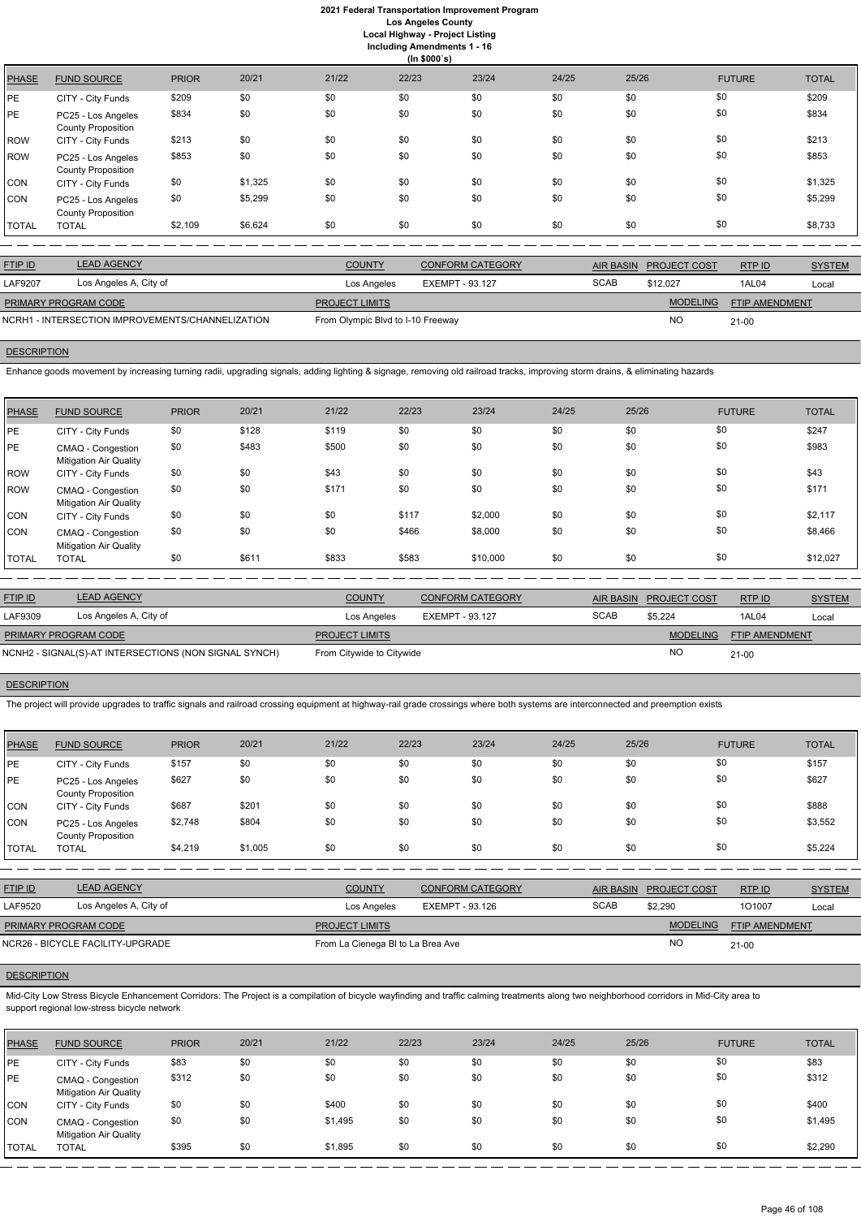**Including Amendments 1 - 16**

|              | (ln \$000's)                                    |              |         |       |       |       |       |       |               |              |  |  |
|--------------|-------------------------------------------------|--------------|---------|-------|-------|-------|-------|-------|---------------|--------------|--|--|
| <b>PHASE</b> | <b>FUND SOURCE</b>                              | <b>PRIOR</b> | 20/21   | 21/22 | 22/23 | 23/24 | 24/25 | 25/26 | <b>FUTURE</b> | <b>TOTAL</b> |  |  |
| PE           | CITY - City Funds                               | \$209        | \$0     | \$0   | \$0   | \$0   | \$0   | \$0   | \$0           | \$209        |  |  |
| PE.          | PC25 - Los Angeles<br><b>County Proposition</b> | \$834        | \$0     | \$0   | \$0   | \$0   | \$0   | \$0   | \$0           | \$834        |  |  |
| <b>ROW</b>   | CITY - City Funds                               | \$213        | \$0     | \$0   | \$0   | \$0   | \$0   | \$0   | \$0           | \$213        |  |  |
| <b>ROW</b>   | PC25 - Los Angeles<br><b>County Proposition</b> | \$853        | \$0     | \$0   | \$0   | \$0   | \$0   | \$0   | \$0           | \$853        |  |  |
| CON          | CITY - City Funds                               | \$0          | \$1,325 | \$0   | \$0   | \$0   | \$0   | \$0   | \$0           | \$1,325      |  |  |
| CON          | PC25 - Los Angeles<br><b>County Proposition</b> | \$0          | \$5,299 | \$0   | \$0   | \$0   | \$0   | \$0   | \$0           | \$5,299      |  |  |
| <b>TOTAL</b> | <b>TOTAL</b>                                    | \$2,109      | \$6,624 | \$0   | \$0   | \$0   | \$0   | \$0   | \$0           | \$8,733      |  |  |
|              |                                                 |              |         |       |       |       |       |       |               |              |  |  |

| <b>FTIP ID</b>                                   | <b>LEAD AGENCY</b>     | <b>COUNTY</b>                     | <b>CONFORM CATEGORY</b> |             | AIR BASIN PROJECT COST | RTPID                 | <b>SYSTEM</b> |
|--------------------------------------------------|------------------------|-----------------------------------|-------------------------|-------------|------------------------|-----------------------|---------------|
| LAF9207                                          | Los Angeles A, City of | Los Angeles                       | EXEMPT - 93.127         | <b>SCAB</b> | \$12.027               | 1AL04                 | Local         |
| <b>PRIMARY PROGRAM CODE</b>                      |                        | <b>PROJECT LIMITS</b>             |                         |             | <b>MODELING</b>        | <b>FTIP AMENDMENT</b> |               |
| NCRH1 - INTERSECTION IMPROVEMENTS/CHANNELIZATION |                        | From Olympic Blvd to I-10 Freeway |                         |             | <b>NO</b>              | $21 - 00$             |               |

# **DESCRIPTION**

Enhance goods movement by increasing turning radii, upgrading signals, adding lighting & signage, removing old railroad tracks, improving storm drains, & eliminating hazards

| <b>PHASE</b> | <b>FUND SOURCE</b>                                 | <b>PRIOR</b> | 20/21 | 21/22 | 22/23 | 23/24    | 24/25 | 25/26 | <b>FUTURE</b> | <b>TOTAL</b> |
|--------------|----------------------------------------------------|--------------|-------|-------|-------|----------|-------|-------|---------------|--------------|
| <b>PE</b>    | CITY - City Funds                                  | \$0          | \$128 | \$119 | \$0   | \$0      | \$0   | \$0   | \$0           | \$247        |
| IPE          | CMAQ - Congestion<br><b>Mitigation Air Quality</b> | \$0          | \$483 | \$500 | \$0   | \$0      | \$0   | \$0   | \$0           | \$983        |
| ROW          | CITY - City Funds                                  | \$0          | \$0   | \$43  | \$0   | \$0      | \$0   | \$0   | \$0           | \$43         |
| ROW          | CMAQ - Congestion<br><b>Mitigation Air Quality</b> | \$0          | \$0   | \$171 | \$0   | \$0      | \$0   | \$0   | \$0           | \$171        |
| <b>CON</b>   | CITY - City Funds                                  | \$0          | \$0   | \$0   | \$117 | \$2,000  | \$0   | \$0   | \$0           | \$2,117      |
| <b>CON</b>   | CMAQ - Congestion<br><b>Mitigation Air Quality</b> | \$0          | \$0   | \$0   | \$466 | \$8,000  | \$0   | \$0   | \$0           | \$8,466      |
| <b>TOTAL</b> | <b>TOTAL</b>                                       | \$0          | \$611 | \$833 | \$583 | \$10,000 | \$0   | \$0   | \$0           | \$12,027     |

| <b>FTIP ID</b>              | <b>LEAD AGENCY</b>                                    | <b>COUNTY</b>             | CONFORM CATEGORY |             | AIR BASIN PROJECT COST | RTPID                 | <b>SYSTEM</b> |
|-----------------------------|-------------------------------------------------------|---------------------------|------------------|-------------|------------------------|-----------------------|---------------|
| LAF9309                     | Los Angeles A, City of                                | Los Angeles               | EXEMPT - 93.127  | <b>SCAB</b> | \$5.224                | 1AL04                 | Local         |
| <b>PRIMARY PROGRAM CODE</b> |                                                       | <b>PROJECT LIMITS</b>     |                  |             | <b>MODELING</b>        | <b>FTIP AMENDMENT</b> |               |
|                             | NCNH2 - SIGNAL(S)-AT INTERSECTIONS (NON SIGNAL SYNCH) | From Citywide to Citywide |                  |             | <b>NO</b>              | $21 - 00$             |               |

# **DESCRIPTION**

The project will provide upgrades to traffic signals and railroad crossing equipment at highway-rail grade crossings where both systems are interconnected and preemption exists

| PHASE        | <b>FUND SOURCE</b>                              | <b>PRIOR</b> | 20/21   | 21/22 | 22/23 | 23/24 | 24/25 | 25/26 | <b>FUTURE</b> | <b>TOTAL</b> |
|--------------|-------------------------------------------------|--------------|---------|-------|-------|-------|-------|-------|---------------|--------------|
| PE           | CITY - City Funds                               | \$157        | \$0     | \$0   | \$0   | \$0   | \$0   | \$0   | \$0           | \$157        |
| PE           | PC25 - Los Angeles<br><b>County Proposition</b> | \$627        | \$0     | \$0   | \$0   | \$0   | \$0   | \$0   | \$0           | \$627        |
| CON          | CITY - City Funds                               | \$687        | \$201   | \$0   | \$0   | \$0   | \$0   | \$0   | \$0           | \$888        |
| ICON         | PC25 - Los Angeles<br><b>County Proposition</b> | \$2,748      | \$804   | \$0   | \$0   | \$0   | \$0   | \$0   | \$0           | \$3,552      |
| <b>TOTAL</b> | <b>TOTAL</b>                                    | \$4,219      | \$1,005 | \$0   | \$0   | \$0   | \$0   | \$0   | \$0           | \$5,224      |

| <b>FTIP ID</b> | <b>LEAD AGENCY</b>     | <b>COUNTY</b> | <b>CONFORM CATEGORY</b> | <b>AIR BASIN</b> | <b>PROJECT COST</b> | RTP ID | <b>SYSTEM</b> |
|----------------|------------------------|---------------|-------------------------|------------------|---------------------|--------|---------------|
| LAF9520        | Los Angeles A, City of | Los Angeles   | EXEMPT - 93.126         | SCAB             | \$2,290             | 101007 | Loca          |

|                    | PRIMARY PROGRAM CODE                                                                                                                                                                                                                     |              |       |         | <b>PROJECT LIMITS</b>             |       |       |       |               | FTIP AMENDMENT |  |  |
|--------------------|------------------------------------------------------------------------------------------------------------------------------------------------------------------------------------------------------------------------------------------|--------------|-------|---------|-----------------------------------|-------|-------|-------|---------------|----------------|--|--|
|                    | NCR26 - BICYCLE FACILITY-UPGRADE                                                                                                                                                                                                         |              |       |         | From La Cienega BI to La Brea Ave |       |       | NO.   | $21 - 00$     |                |  |  |
| <b>DESCRIPTION</b> |                                                                                                                                                                                                                                          |              |       |         |                                   |       |       |       |               |                |  |  |
|                    | Mid-City Low Stress Bicycle Enhancement Corridors: The Project is a compilation of bicycle wayfinding and traffic calming treatments along two neighborhood corridors in Mid-City area to<br>support regional low-stress bicycle network |              |       |         |                                   |       |       |       |               |                |  |  |
| <b>PHASE</b>       | <b>FUND SOURCE</b>                                                                                                                                                                                                                       | <b>PRIOR</b> | 20/21 | 21/22   | 22/23                             | 23/24 | 24/25 | 25/26 | <b>FUTURE</b> | <b>TOTAL</b>   |  |  |
| PE                 | CITY - City Funds                                                                                                                                                                                                                        | \$83         | \$0   | \$0     | \$0                               | \$0   | \$0   | \$0   | \$0           | \$83           |  |  |
| PE                 | <b>CMAQ - Congestion</b><br><b>Mitigation Air Quality</b>                                                                                                                                                                                | \$312        | \$0   | \$0     | \$0                               | \$0   | \$0   | \$0   | \$0           | \$312          |  |  |
| <b>CON</b>         | CITY - City Funds                                                                                                                                                                                                                        | \$0          | \$0   | \$400   | \$0                               | \$0   | \$0   | \$0   | \$0           | \$400          |  |  |
| <b>CON</b>         | CMAQ - Congestion<br><b>Mitigation Air Quality</b>                                                                                                                                                                                       | \$0          | \$0   | \$1,495 | \$0                               | \$0   | \$0   | \$0   | \$0           | \$1,495        |  |  |

TOTAL TOTAL \$395 \$0 \$1,895 \$0 \$0 \$0 \$0 \$0 \$2,290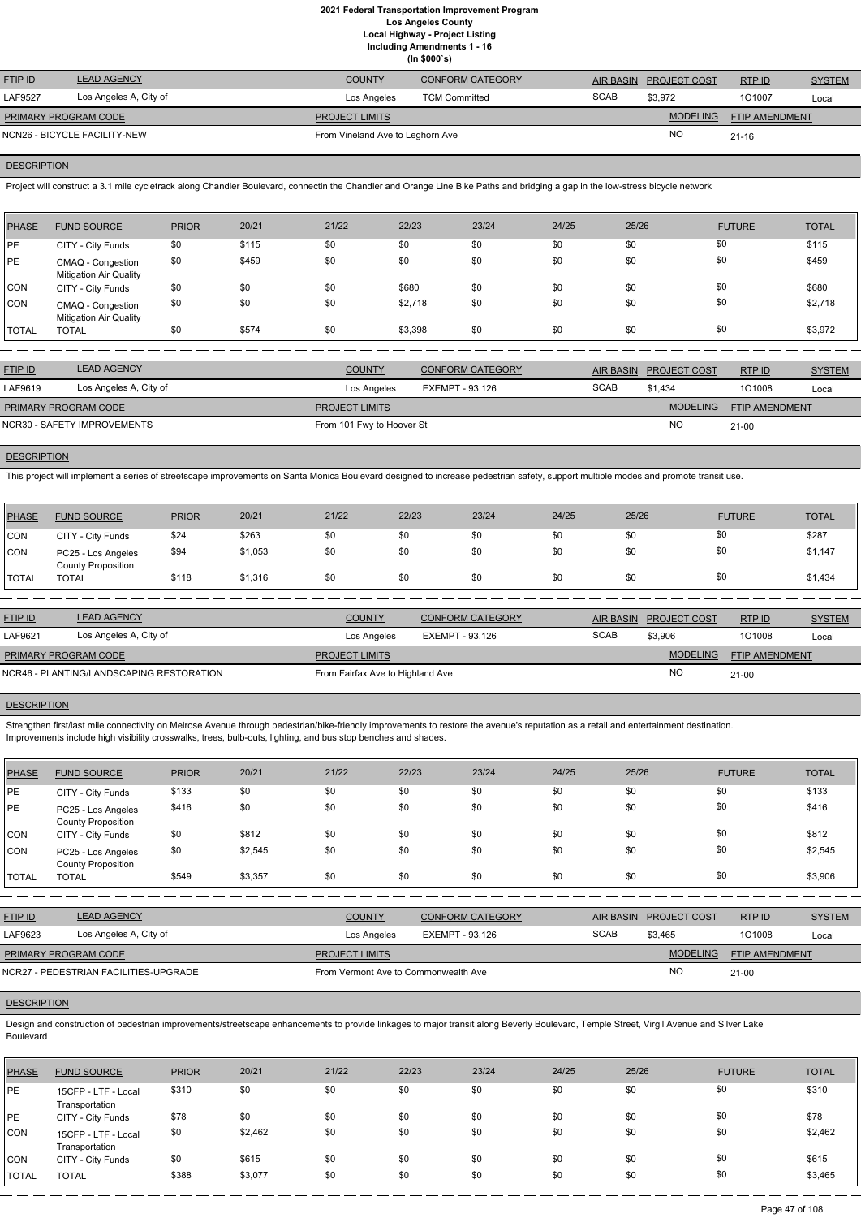**(In \$000`s)**

| <b>FTIP ID</b>       | <b>LEAD AGENCY</b>           | <b>COUNTY</b>                    | <b>CONFORM CATEGORY</b> |             | AIR BASIN PROJECT COST | RTPID          | <b>SYSTEM</b> |
|----------------------|------------------------------|----------------------------------|-------------------------|-------------|------------------------|----------------|---------------|
| LAF9527              | Los Angeles A, City of       | Los Angeles                      | <b>TCM Committed</b>    | <b>SCAB</b> | \$3,972                | 101007         | Local         |
| PRIMARY PROGRAM CODE |                              | <b>PROJECT LIMITS</b>            |                         |             | <b>MODELING</b>        | FTIP AMENDMENT |               |
|                      | NCN26 - BICYCLE FACILITY-NEW | From Vineland Ave to Leghorn Ave |                         |             | <b>NO</b>              | $21 - 16$      |               |

## **DESCRIPTION**

Project will construct a 3.1 mile cycletrack along Chandler Boulevard, connectin the Chandler and Orange Line Bike Paths and bridging a gap in the low-stress bicycle network

| <b>PHASE</b> | <b>FUND SOURCE</b>                                 | <b>PRIOR</b> | 20/21 | 21/22 | 22/23   | 23/24 | 24/25 | 25/26 | <b>FUTURE</b> | <b>TOTAL</b> |
|--------------|----------------------------------------------------|--------------|-------|-------|---------|-------|-------|-------|---------------|--------------|
| <b>IPE</b>   | CITY - City Funds                                  | \$0          | \$115 | \$0   | \$0     | \$0   | \$0   | \$0   | \$0           | \$115        |
| PE           | CMAQ - Congestion<br><b>Mitigation Air Quality</b> | \$0          | \$459 | \$0   | \$0     | \$0   | \$0   | \$0   | \$0           | \$459        |
| <b>CON</b>   | CITY - City Funds                                  | \$0          | \$0   | \$0   | \$680   | \$0   | \$0   | \$0   | \$0           | \$680        |
| <b>CON</b>   | CMAQ - Congestion<br><b>Mitigation Air Quality</b> | \$0          | \$0   | \$0   | \$2,718 | \$0   | \$0   | \$0   | \$0           | \$2,718      |
| <b>TOTAL</b> | <b>TOTAL</b>                                       | \$0          | \$574 | \$0   | \$3,398 | \$0   | \$0   | \$0   | \$0           | \$3,972      |

| <b>FTIP ID</b>              | <b>LEAD AGENCY</b>          | <b>COUNTY</b>             | <b>CONFORM CATEGORY</b> | <b>AIR BASIN</b> | <b>PROJECT COST</b> | RTPID                 | <b>SYSTEM</b> |
|-----------------------------|-----------------------------|---------------------------|-------------------------|------------------|---------------------|-----------------------|---------------|
| LAF9619                     | Los Angeles A, City of      | Los Angeles               | EXEMPT - 93.126         | <b>SCAB</b>      | \$1.434             | 101008                | Local         |
| <b>PRIMARY PROGRAM CODE</b> |                             | <b>PROJECT LIMITS</b>     |                         |                  | <b>MODELING</b>     | <b>FTIP AMENDMENT</b> |               |
|                             | NCR30 - SAFETY IMPROVEMENTS | From 101 Fwy to Hoover St |                         |                  | <b>NO</b>           | 21-00                 |               |

### **DESCRIPTION**

Strengthen first/last mile connectivity on Melrose Avenue through pedestrian/bike-friendly improvements to restore the avenue's reputation as a retail and entertainment destination. Improvements include high visibility crosswalks, trees, bulb-outs, lighting, and bus stop benches and shades.

This project will implement a series of streetscape improvements on Santa Monica Boulevard designed to increase pedestrian safety, support multiple modes and promote transit use.

| PHASE          | <b>FUND SOURCE</b>                              | <b>PRIOR</b> | 20/21   | 21/22 | 22/23 | 23/24 | 24/25 | 25/26 | <b>FUTURE</b> | <b>TOTAL</b> |
|----------------|-------------------------------------------------|--------------|---------|-------|-------|-------|-------|-------|---------------|--------------|
| CON            | CITY - City Funds                               | \$24         | \$263   | \$0   | \$0   | \$0   | \$0   | \$0   | \$0           | \$287        |
| <b>CON</b>     | PC25 - Los Angeles<br><b>County Proposition</b> | \$94         | \$1,053 | \$0   |       | \$0   | \$0   | \$0   | \$0           | \$1,147      |
| <b>I</b> TOTAL | TOTAL                                           | \$118        | \$1,316 | \$0   | \$0   | \$0   | \$0   | \$0   | \$0           | \$1,434      |

Design and construction of pedestrian improvements/streetscape enhancements to provide linkages to major transit along Beverly Boulevard, Temple Street, Virgil Avenue and Silver Lake Boulevard

| <b>FTIP ID</b>                           | <b>LEAD AGENCY</b>     | <b>COUNTY</b>                    | CONFORM CATEGORY | AIR BASIN   | <b>PROJECT COST</b> | RTPID                 | <b>SYSTEM</b> |
|------------------------------------------|------------------------|----------------------------------|------------------|-------------|---------------------|-----------------------|---------------|
| LAF9621                                  | Los Angeles A, City of | Los Angeles                      | EXEMPT - 93.126  | <b>SCAB</b> | \$3,906             | 101008                | Local         |
| PRIMARY PROGRAM CODE                     |                        | <b>PROJECT LIMITS</b>            |                  |             | <b>MODELING</b>     | <b>FTIP AMENDMENT</b> |               |
| NCR46 - PLANTING/LANDSCAPING RESTORATION |                        | From Fairfax Ave to Highland Ave |                  |             | NO                  | $21 - 00$             |               |
|                                          |                        |                                  |                  |             |                     |                       |               |

### **DESCRIPTION**

| PHASE        | <b>FUND SOURCE</b>                              | <b>PRIOR</b> | 20/21   | 21/22 | 22/23 | 23/24 | 24/25 | 25/26 | <b>FUTURE</b> | <b>TOTAL</b> |
|--------------|-------------------------------------------------|--------------|---------|-------|-------|-------|-------|-------|---------------|--------------|
| <b>PE</b>    | CITY - City Funds                               | \$133        | \$0     | \$0   | \$0   | \$0   | \$0   | \$0   | \$0           | \$133        |
| <b>IPE</b>   | PC25 - Los Angeles<br><b>County Proposition</b> | \$416        | \$0     | \$0   | \$0   | \$0   | \$0   | \$0   | \$0           | \$416        |
| <b>CON</b>   | CITY - City Funds                               | \$0          | \$812   | \$0   | \$0   | \$0   | \$0   | \$0   | \$0           | \$812        |
| <b>CON</b>   | PC25 - Los Angeles<br><b>County Proposition</b> | \$0          | \$2,545 | \$0   | \$0   | \$0   | \$0   | \$0   | \$0           | \$2,545      |
| <b>TOTAL</b> | <b>TOTAL</b>                                    | \$549        | \$3,357 | \$0   | \$0   | \$0   | \$0   | \$0   | \$0           | \$3,906      |

RTP ID

| LAF9623                     | Los Angeles A, City of                | Los Angeles                          | EXEMPT - 93.126 | <b>SCAB</b> | \$3,465         | 101008                | Local |
|-----------------------------|---------------------------------------|--------------------------------------|-----------------|-------------|-----------------|-----------------------|-------|
| <b>PRIMARY PROGRAM CODE</b> |                                       | <b>PROJECT LIMITS</b>                |                 |             | <b>MODELING</b> | <b>FTIP AMENDMENT</b> |       |
|                             | NCR27 - PEDESTRIAN FACILITIES-UPGRADE | From Vermont Ave to Commonwealth Ave |                 |             | <b>NC</b>       | $21 - 00$             |       |

| <b>PHASE</b> | <b>FUND SOURCE</b>                    | <b>PRIOR</b> | 20/21   | 21/22 | 22/23 | 23/24 | 24/25 | 25/26 | <b>FUTURE</b> | <b>TOTAL</b> |
|--------------|---------------------------------------|--------------|---------|-------|-------|-------|-------|-------|---------------|--------------|
| PE           | 15CFP - LTF - Local<br>Transportation | \$310        | \$0     | \$0   | \$0   | \$0   | \$0   | \$0   | \$0           | \$310        |
| PE           | CITY - City Funds                     | \$78         | \$0     | \$0   | \$0   | \$0   | \$0   | \$0   | \$0           | \$78         |
| CON          | 15CFP - LTF - Local<br>Transportation | \$0          | \$2,462 | \$0   | \$0   | \$0   | \$0   | \$0   | \$0           | \$2,462      |
| CON          | CITY - City Funds                     | \$0          | \$615   | \$0   | \$0   | \$0   | \$0   | \$0   | \$0           | \$615        |
| <b>TOTAL</b> | <b>TOTAL</b>                          | \$388        | \$3,077 | \$0   | \$0   | \$0   | \$0   | \$0   | \$0           | \$3,465      |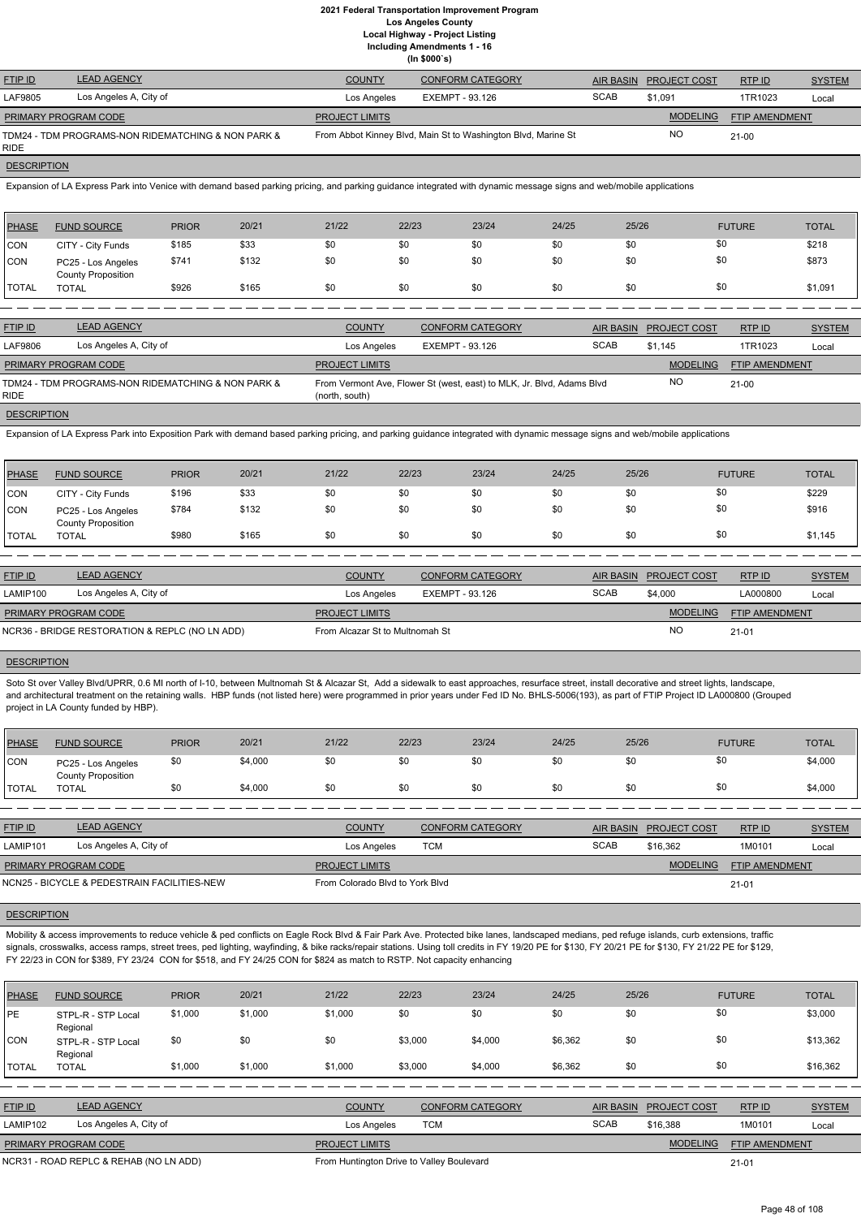**Including Amendments 1 - 16**

|  | (ln \$000's) |  |
|--|--------------|--|

| <b>FTIP ID</b>              | <b>LEAD AGENCY</b>                                 | <b>COUNTY</b>         | <b>CONFORM CATEGORY</b>                                       |             | AIR BASIN PROJECT COST | RTP ID                | <b>SYSTEM</b> |
|-----------------------------|----------------------------------------------------|-----------------------|---------------------------------------------------------------|-------------|------------------------|-----------------------|---------------|
| LAF9805                     | Los Angeles A, City of                             | Los Angeles           | EXEMPT - 93.126                                               | <b>SCAB</b> | \$1.091                | 1TR1023               | Local         |
| <b>PRIMARY PROGRAM CODE</b> |                                                    | <b>PROJECT LIMITS</b> |                                                               |             | <b>MODELING</b>        | <b>FTIP AMENDMENT</b> |               |
| <b>RIDE</b>                 | TDM24 - TDM PROGRAMS-NON RIDEMATCHING & NON PARK & |                       | From Abbot Kinney Blvd, Main St to Washington Blvd, Marine St |             | NO                     | $21-00$               |               |

## **DESCRIPTION**

Expansion of LA Express Park into Venice with demand based parking pricing, and parking guidance integrated with dynamic message signs and web/mobile applications

| PHASE        | <b>FUND SOURCE</b>                              | <b>PRIOR</b> | 20/21 | 21/22 | 22/23 | 23/24 | 24/25 | 25/26 | <b>FUTURE</b> | <b>TOTAL</b> |
|--------------|-------------------------------------------------|--------------|-------|-------|-------|-------|-------|-------|---------------|--------------|
| CON          | CITY - City Funds                               | \$185        | \$33  | \$0   | \$0   | \$0   | \$0   | \$0   | \$0           | \$218        |
| <b>CON</b>   | PC25 - Los Angeles<br><b>County Proposition</b> | \$741        | \$132 | \$0   | \$0   | \$0   | \$0   | \$0   | \$0           | \$873        |
| <b>TOTAL</b> | <b>TOTAL</b>                                    | \$926        | \$165 | \$0   | \$0   | \$0   | \$0   | \$0   | \$0           | \$1,091      |

| <b>FTIP ID</b>              | <b>LEAD AGENCY</b>                                 | <b>COUNTY</b>         | <b>CONFORM CATEGORY</b>                                               |             | AIR BASIN PROJECT COST | RTP ID                | <b>SYSTEM</b> |
|-----------------------------|----------------------------------------------------|-----------------------|-----------------------------------------------------------------------|-------------|------------------------|-----------------------|---------------|
| LAF9806                     | Los Angeles A, City of                             | Los Angeles           | EXEMPT - 93.126                                                       | <b>SCAB</b> | \$1.145                | 1TR1023               | Local         |
| <b>PRIMARY PROGRAM CODE</b> |                                                    | <b>PROJECT LIMITS</b> |                                                                       |             | <b>MODELING</b>        | <b>FTIP AMENDMENT</b> |               |
| RIDE.                       | TDM24 - TDM PROGRAMS-NON RIDEMATCHING & NON PARK & | (north, south)        | From Vermont Ave, Flower St (west, east) to MLK, Jr. Blvd, Adams Blvd |             | <b>NO</b>              | $21-00$               |               |
| <b>DESCRIPTION</b>          |                                                    |                       |                                                                       |             |                        |                       |               |

Soto St over Valley Blvd/UPRR, 0.6 MI north of I-10, between Multnomah St & Alcazar St, Add a sidewalk to east approaches, resurface street, install decorative and street lights, landscape, and architectural treatment on the retaining walls. HBP funds (not listed here) were programmed in prior years under Fed ID No. BHLS-5006(193), as part of FTIP Project ID LA000800 (Grouped project in LA County funded by HBP).

Expansion of LA Express Park into Exposition Park with demand based parking pricing, and parking guidance integrated with dynamic message signs and web/mobile applications

| PHASE        | <b>FUND SOURCE</b>                              | <b>PRIOR</b> | 20/21 | 21/22 | 22/23 | 23/24 | 24/25 | 25/26 | <b>FUTURE</b> | <b>TOTAL</b> |
|--------------|-------------------------------------------------|--------------|-------|-------|-------|-------|-------|-------|---------------|--------------|
| CON          | CITY - City Funds                               | \$196        | \$33  | \$0   | \$0   | \$0   | \$0   | \$0   | \$0           | \$229        |
| <b>CON</b>   | PC25 - Los Angeles<br><b>County Proposition</b> | \$784        | \$132 | \$0   | \$0   | \$0   | \$0   | \$0   | \$0           | \$916        |
| <b>TOTAL</b> | TOTAL                                           | \$980        | \$165 | \$0   | \$0   | \$0   | \$0   | \$0   | \$0           | \$1,145      |

Mobility & access improvements to reduce vehicle & ped conflicts on Eagle Rock Blvd & Fair Park Ave. Protected bike lanes, landscaped medians, ped refuge islands, curb extensions, traffic signals, crosswalks, access ramps, street trees, ped lighting, wayfinding, & bike racks/repair stations. Using toll credits in FY 19/20 PE for \$130, FY 20/21 PE for \$130, FY 21/22 PE for \$129, FY 22/23 in CON for \$389, FY 23/24 CON for \$518, and FY 24/25 CON for \$824 as match to RSTP. Not capacity enhancing

| <b>LEAD AGENCY</b>                             | <b>COUNTY</b>               | <b>CONFORM CATEGORY</b> |                                 |                 | RTP ID                        | <b>SYSTEM</b>         |
|------------------------------------------------|-----------------------------|-------------------------|---------------------------------|-----------------|-------------------------------|-----------------------|
| Los Angeles A, City of                         | Los Angeles                 | EXEMPT - 93.126         | <b>SCAB</b>                     | \$4,000         | LA000800                      | Local                 |
|                                                | <b>PROJECT LIMITS</b>       |                         |                                 | <b>MODELING</b> |                               |                       |
| NCR36 - BRIDGE RESTORATION & REPLC (NO LN ADD) |                             |                         |                                 | <b>NC</b>       | $21 - 01$                     |                       |
|                                                | <b>PRIMARY PROGRAM CODE</b> |                         | From Alcazar St to Multnomah St |                 | <b>AIR BASIN PROJECT COST</b> | <b>FTIP AMENDMENT</b> |

| PHASE      | <b>FUND SOURCE</b>                              | <b>PRIOR</b> | 20/21   | 21/22 | 22/23 | 23/24 | 24/25 | 25/26 | <b>FUTURE</b> | <b>TOTAL</b> |
|------------|-------------------------------------------------|--------------|---------|-------|-------|-------|-------|-------|---------------|--------------|
| <b>CON</b> | PC25 - Los Angeles<br><b>County Proposition</b> | \$0          | \$4,000 | \$0   | \$0   | \$0   | \$0   | งเ    | \$0           | \$4,000      |
| 'TOTAL     | <b>TOTAL</b>                                    | \$0          | \$4,000 | \$0   | \$0   | \$0   | \$0   |       | \$0           | \$4,000      |

| <b>FTIP ID</b>                              | <b>LEAD AGENCY</b>     | <b>COUNTY</b>                   | <b>CONFORM CATEGORY</b> | AIR BASIN   | <b>PROJECT COST</b> | RTPID                 | <b>SYSTEM</b> |
|---------------------------------------------|------------------------|---------------------------------|-------------------------|-------------|---------------------|-----------------------|---------------|
| LAMIP101                                    | Los Angeles A, City of | Los Angeles                     | TCM                     | <b>SCAB</b> | \$16,362            | 1M0101                | Local         |
| <b>PRIMARY PROGRAM CODE</b>                 |                        | <b>PROJECT LIMITS</b>           |                         |             | <b>MODELING</b>     | <b>FTIP AMENDMENT</b> |               |
| NCN25 - BICYCLE & PEDESTRAIN FACILITIES-NEW |                        | From Colorado Blyd to York Blyd |                         |             |                     | $21 - 01$             |               |

| <b>PHASE</b>   | <b>FUND SOURCE</b>                     | <b>PRIOR</b> | 20/21   | 21/22                 | 22/23                                     | 23/24                   | 24/25   | 25/26            |                     | <b>FUTURE</b>         | <b>TOTAL</b>  |
|----------------|----------------------------------------|--------------|---------|-----------------------|-------------------------------------------|-------------------------|---------|------------------|---------------------|-----------------------|---------------|
| <b>IPE</b>     | STPL-R - STP Local<br>Regional         | \$1,000      | \$1,000 | \$1,000               | \$0                                       | \$0                     | \$0     | \$0              | \$0                 |                       | \$3,000       |
| <b>ICON</b>    | STPL-R - STP Local<br>Regional         | \$0          | \$0     | \$0                   | \$3,000                                   | \$4,000                 | \$6,362 | \$0              | \$0                 |                       | \$13,362      |
| I TOTAL        | <b>TOTAL</b>                           | \$1,000      | \$1,000 | \$1,000               | \$3,000                                   | \$4,000                 | \$6,362 | \$0              | \$0                 |                       | \$16,362      |
|                |                                        |              |         |                       |                                           |                         |         |                  |                     |                       |               |
| <b>FTIP ID</b> | <b>LEAD AGENCY</b>                     |              |         | <b>COUNTY</b>         |                                           | <b>CONFORM CATEGORY</b> |         | <b>AIR BASIN</b> | <b>PROJECT COST</b> | RTP ID                | <b>SYSTEM</b> |
| LAMIP102       | Los Angeles A, City of                 |              |         | Los Angeles           | <b>TCM</b>                                |                         |         | <b>SCAB</b>      | \$16,388            | 1M0101                | Local         |
|                | PRIMARY PROGRAM CODE                   |              |         | <b>PROJECT LIMITS</b> |                                           |                         |         |                  | <b>MODELING</b>     | <b>FTIP AMENDMENT</b> |               |
|                | NCR31 - ROAD REPLC & REHAB (NO LN ADD) |              |         |                       | From Huntington Drive to Valley Boulevard |                         |         |                  |                     | $21 - 01$             |               |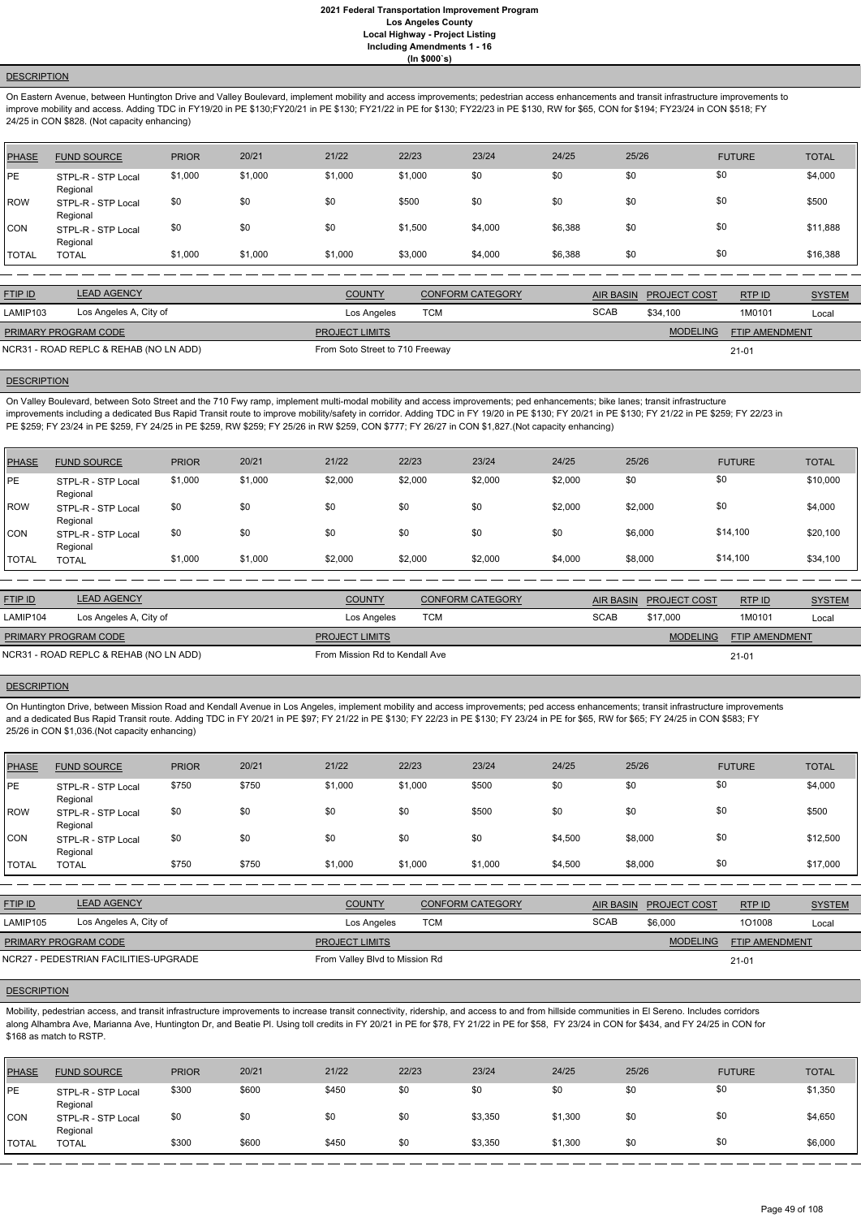### **DESCRIPTION**

On Eastern Avenue, between Huntington Drive and Valley Boulevard, implement mobility and access improvements; pedestrian access enhancements and transit infrastructure improvements to improve mobility and access. Adding TDC in FY19/20 in PE \$130;FY20/21 in PE \$130; FY21/22 in PE for \$130; FY22/23 in PE \$130, RW for \$65, CON for \$194; FY23/24 in CON \$518; FY 24/25 in CON \$828. (Not capacity enhancing)

| PHASE        | <b>FUND SOURCE</b>             | <b>PRIOR</b> | 20/21   | 21/22   | 22/23   | 23/24   | 24/25   | 25/26 | <b>FUTURE</b> | <b>TOTAL</b> |
|--------------|--------------------------------|--------------|---------|---------|---------|---------|---------|-------|---------------|--------------|
| <b>IPE</b>   | STPL-R - STP Local<br>Regional | \$1,000      | \$1,000 | \$1,000 | \$1,000 | \$0     | \$0     | \$0   | \$0           | \$4,000      |
| ROW          | STPL-R - STP Local<br>Regional | \$0          | \$0     | \$0     | \$500   | \$0     | \$0     | \$0   | \$0           | \$500        |
| <b>CON</b>   | STPL-R - STP Local<br>Regional | \$0          | \$0     | \$0     | \$1,500 | \$4,000 | \$6,388 | \$0   | \$0           | \$11,888     |
| <b>TOTAL</b> | <b>TOTAL</b>                   | \$1,000      | \$1,000 | \$1,000 | \$3,000 | \$4,000 | \$6,388 | \$0   | \$0           | \$16,388     |

| <b>FTIP ID</b>                         | <b>LEAD AGENCY</b>     | <b>COUNTY</b>                   | <b>CONFORM CATEGORY</b> |             | AIR BASIN PROJECT COST | RTPID                 | <b>SYSTEM</b> |
|----------------------------------------|------------------------|---------------------------------|-------------------------|-------------|------------------------|-----------------------|---------------|
| LAMIP103                               | Los Angeles A, City of | Los Angeles                     | TCM                     | <b>SCAB</b> | \$34,100               | 1M0101                | Local         |
| <b>PRIMARY PROGRAM CODE</b>            |                        | <b>PROJECT LIMITS</b>           |                         |             | <b>MODELING</b>        | <b>FTIP AMENDMENT</b> |               |
| NCR31 - ROAD REPLC & REHAB (NO LN ADD) |                        | From Soto Street to 710 Freeway |                         |             |                        | $21 - 01$             |               |

## **DESCRIPTION**

On Valley Boulevard, between Soto Street and the 710 Fwy ramp, implement multi-modal mobility and access improvements; ped enhancements; bike lanes; transit infrastructure improvements including a dedicated Bus Rapid Transit route to improve mobility/safety in corridor. Adding TDC in FY 19/20 in PE \$130; FY 20/21 in PE \$130; FY 21/22 in PE \$259; FY 22/23 in PE \$259; FY 23/24 in PE \$259, FY 24/25 in PE \$259, RW \$259; FY 25/26 in RW \$259, CON \$777; FY 26/27 in CON \$1,827.(Not capacity enhancing)

| PHASE        | <b>FUND SOURCE</b>             | <b>PRIOR</b> | 20/21   | 21/22   | 22/23   | 23/24   | 24/25   | 25/26   | <b>FUTURE</b> | <b>TOTAL</b> |
|--------------|--------------------------------|--------------|---------|---------|---------|---------|---------|---------|---------------|--------------|
| <b>IPE</b>   | STPL-R - STP Local<br>Regional | \$1,000      | \$1,000 | \$2,000 | \$2,000 | \$2,000 | \$2,000 | \$0     | \$0           | \$10,000     |
| ROW          | STPL-R - STP Local<br>Regional | \$0          | \$0     | \$0     | \$0     | \$0     | \$2,000 | \$2,000 | \$0           | \$4,000      |
| <b>CON</b>   | STPL-R - STP Local<br>Regional | \$0          | \$0     | \$0     | \$0     | \$0     | \$0     | \$6,000 | \$14,100      | \$20,100     |
| <b>TOTAL</b> | <b>TOTAL</b>                   | \$1,000      | \$1,000 | \$2,000 | \$2,000 | \$2,000 | \$4,000 | \$8,000 | \$14,100      | \$34,100     |

| <b>FTIP ID</b>                         | <b>LEAD AGENCY</b>     | <b>COUNTY</b>                  | <b>CONFORM CATEGORY</b> | AIR BASIN   | <b>PROJECT COST</b> | RTP ID                | <b>SYSTEM</b> |
|----------------------------------------|------------------------|--------------------------------|-------------------------|-------------|---------------------|-----------------------|---------------|
| LAMIP104                               | Los Angeles A, City of | Los Angeles                    | TCM                     | <b>SCAB</b> | \$17,000            | 1M0101                | Local         |
| <b>PRIMARY PROGRAM CODE</b>            |                        | <b>PROJECT LIMITS</b>          |                         |             | <b>MODELING</b>     | <b>FTIP AMENDMENT</b> |               |
| NCR31 - ROAD REPLC & REHAB (NO LN ADD) |                        | From Mission Rd to Kendall Ave |                         |             |                     | $21 - 01$             |               |

# **DESCRIPTION**

On Huntington Drive, between Mission Road and Kendall Avenue in Los Angeles, implement mobility and access improvements; ped access enhancements; transit infrastructure improvements and a dedicated Bus Rapid Transit route. Adding TDC in FY 20/21 in PE \$97; FY 21/22 in PE \$130; FY 22/23 in PE \$130; FY 23/24 in PE for \$65, RW for \$65; FY 24/25 in CON \$583; FY 25/26 in CON \$1,036.(Not capacity enhancing)

| PHASE        | <b>FUND SOURCE</b>             | <b>PRIOR</b> | 20/21 | 21/22   | 22/23   | 23/24   | 24/25   | 25/26   | <b>FUTURE</b> | <b>TOTAL</b> |
|--------------|--------------------------------|--------------|-------|---------|---------|---------|---------|---------|---------------|--------------|
| PE           | STPL-R - STP Local<br>Regional | \$750        | \$750 | \$1,000 | \$1,000 | \$500   | \$0     | \$0     | \$0           | \$4,000      |
| ROW          | STPL-R - STP Local<br>Regional | \$0          | \$0   | \$0     | \$0     | \$500   | \$0     | \$0     | \$0           | \$500        |
| CON          | STPL-R - STP Local<br>Regional | \$0          | \$0   | \$0     | \$0     | \$0     | \$4,500 | \$8,000 | \$0           | \$12,500     |
| <b>TOTAL</b> | <b>TOTAL</b>                   | \$750        | \$750 | \$1,000 | \$1,000 | \$1,000 | \$4,500 | \$8,000 | \$0           | \$17,000     |

| <b>FTIP ID</b>                        | <b>LEAD AGENCY</b>     | <b>COUNTY</b>                  | <b>CONFORM CATEGORY</b> | AIR BASIN   | <b>PROJECT COST</b> | <b>RTPID</b>          | <b>SYSTEM</b> |
|---------------------------------------|------------------------|--------------------------------|-------------------------|-------------|---------------------|-----------------------|---------------|
| LAMIP105                              | Los Angeles A, City of | Los Angeles                    | тсм                     | <b>SCAB</b> | \$6,000             | 101008                | Local         |
| <b>PRIMARY PROGRAM CODE</b>           |                        | <b>PROJECT LIMITS</b>          |                         |             | <b>MODELING</b>     | <b>FTIP AMENDMENT</b> |               |
| NCR27 - PEDESTRIAN FACILITIES-UPGRADE |                        | From Valley Blvd to Mission Rd |                         |             |                     | $21 - 01$             |               |

### **DESCRIPTION**

Mobility, pedestrian access, and transit infrastructure improvements to increase transit connectivity, ridership, and access to and from hillside communities in El Sereno. Includes corridors along Alhambra Ave, Marianna Ave, Huntington Dr, and Beatie Pl. Using toll credits in FY 20/21 in PE for \$78, FY 21/22 in PE for \$58, FY 23/24 in CON for \$434, and FY 24/25 in CON for \$168 as match to RSTP.

| <b>PHASE</b> | <b>FUND SOURCE</b>             | <b>PRIOR</b> | 20/21 | 21/22 | 22/23 | 23/24   | 24/25   | 25/26 | <b>FUTURE</b> | <b>TOTAL</b> |
|--------------|--------------------------------|--------------|-------|-------|-------|---------|---------|-------|---------------|--------------|
| <b>IPE</b>   | STPL-R - STP Local<br>Regional | \$300        | \$600 | \$450 | \$0   | \$0     | \$0     | \$0   | \$0           | \$1,350      |
| CON          | STPL-R - STP Local<br>Regional | \$0          | \$0   | \$0   | \$0   | \$3,350 | \$1,300 | \$0   | \$0           | \$4,650      |
| <b>TOTAL</b> | <b>TOTAL</b>                   | \$300        | \$600 | \$450 | \$0   | \$3,350 | \$1,300 | \$0   | \$0           | \$6,000      |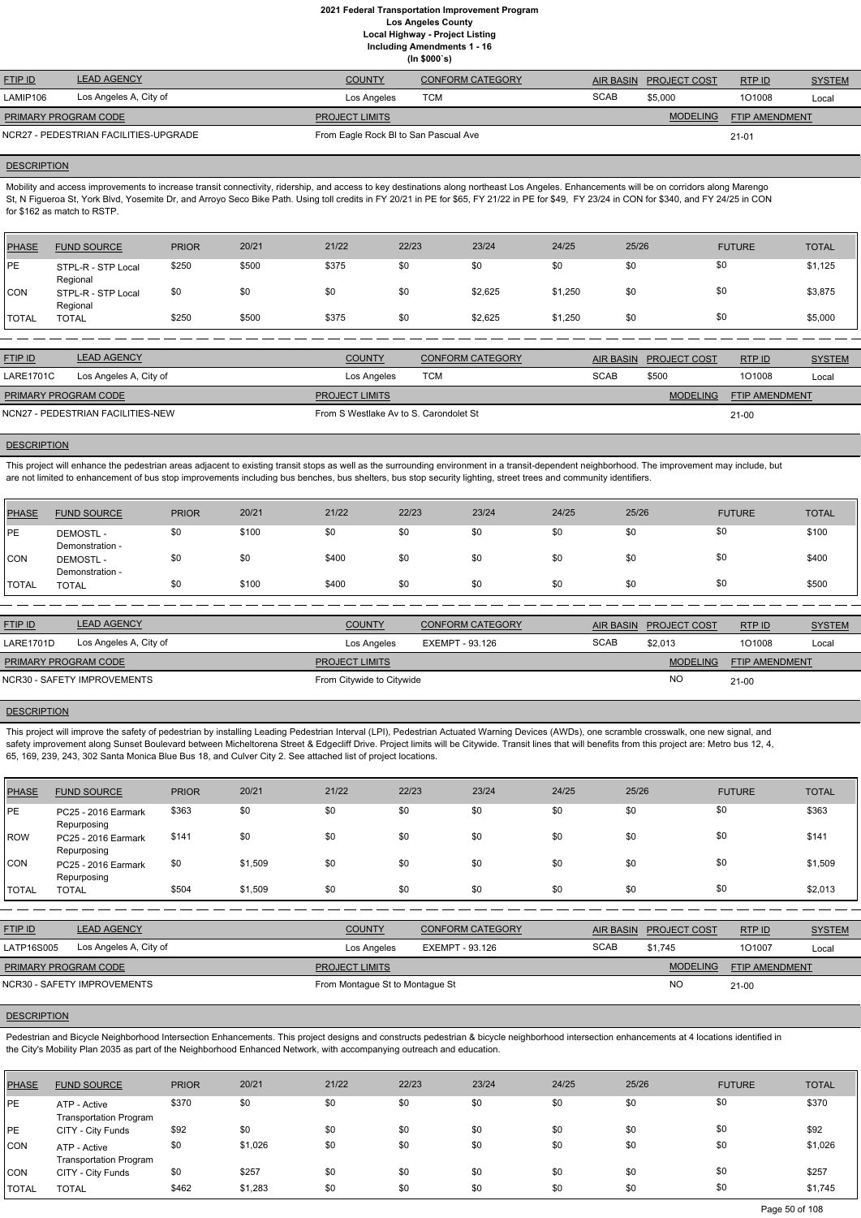**(In \$000`s)**

| <b>FTIP ID</b>       | <b>LEAD AGENCY</b>                    | <b>COUNTY</b>                         | <b>CONFORM CATEGORY</b> |             | AIR BASIN PROJECT COST | RTPID                 | <b>SYSTEM</b> |
|----------------------|---------------------------------------|---------------------------------------|-------------------------|-------------|------------------------|-----------------------|---------------|
| LAMIP106             | Los Angeles A, City of                | Los Angeles                           | тсм                     | <b>SCAB</b> | \$5,000                | 101008                | Local         |
| PRIMARY PROGRAM CODE |                                       | <b>PROJECT LIMITS</b>                 |                         |             | <b>MODELING</b>        | <b>FTIP AMENDMENT</b> |               |
|                      | NCR27 - PEDESTRIAN FACILITIES-UPGRADE | From Eagle Rock BI to San Pascual Ave |                         |             |                        | $21 - 01$             |               |

### **DESCRIPTION**

Mobility and access improvements to increase transit connectivity, ridership, and access to key destinations along northeast Los Angeles. Enhancements will be on corridors along Marengo St, N Figueroa St, York Blvd, Yosemite Dr, and Arroyo Seco Bike Path. Using toll credits in FY 20/21 in PE for \$65, FY 21/22 in PE for \$49, FY 23/24 in CON for \$340, and FY 24/25 in CON for \$162 as match to RSTP.

| PHASE        | <b>FUND SOURCE</b>             | <b>PRIOR</b> | 20/21 | 21/22 | 22/23 | 23/24   | 24/25   | 25/26 | <b>FUTURE</b> | <b>TOTAL</b> |
|--------------|--------------------------------|--------------|-------|-------|-------|---------|---------|-------|---------------|--------------|
| <b>PE</b>    | STPL-R - STP Local<br>Regional | \$250        | \$500 | \$375 | \$0   | \$0     | \$0     | \$0   | \$0           | \$1,125      |
| <b>CON</b>   | STPL-R - STP Local<br>Regional | \$0          | \$0   | \$0   | \$0   | \$2,625 | \$1,250 | \$0   | \$0           | \$3,875      |
| <b>TOTAL</b> | <b>TOTAL</b>                   | \$250        | \$500 | \$375 | \$0   | \$2,625 | \$1,250 | \$0   | \$0           | \$5,000      |

| <b>FTIP ID</b>              | <b>LEAD AGENCY</b>                | <b>COUNTY</b>                          | <b>CONFORM CATEGORY</b> | <b>AIR BASIN</b> | <b>PROJECT COST</b> | RTP ID                | <b>SYSTEM</b> |  |
|-----------------------------|-----------------------------------|----------------------------------------|-------------------------|------------------|---------------------|-----------------------|---------------|--|
| <b>LARE1701C</b>            | Los Angeles A, City of            | Los Angeles                            | TCM                     | <b>SCAB</b>      | \$500               | 101008                | Local         |  |
| <b>PRIMARY PROGRAM CODE</b> |                                   | <b>PROJECT LIMITS</b>                  |                         |                  | <b>MODELING</b>     | <b>FTIP AMENDMENT</b> |               |  |
|                             | NCN27 - PEDESTRIAN FACILITIES-NEW | From S Westlake Ay to S. Carondolet St |                         |                  |                     | $21 - 00$             |               |  |

### **DESCRIPTION**

This project will enhance the pedestrian areas adjacent to existing transit stops as well as the surrounding environment in a transit-dependent neighborhood. The improvement may include, but are not limited to enhancement of bus stop improvements including bus benches, bus shelters, bus stop security lighting, street trees and community identifiers.

This project will improve the safety of pedestrian by installing Leading Pedestrian Interval (LPI), Pedestrian Actuated Warning Devices (AWDs), one scramble crosswalk, one new signal, and safety improvement along Sunset Boulevard between Micheltorena Street & Edgecliff Drive. Project limits will be Citywide. Transit lines that will benefits from this project are: Metro bus 12, 4, 65, 169, 239, 243, 302 Santa Monica Blue Bus 18, and Culver City 2. See attached list of project locations.

Pedestrian and Bicycle Neighborhood Intersection Enhancements. This project designs and constructs pedestrian & bicycle neighborhood intersection enhancements at 4 locations identified in the City's Mobility Plan 2035 as part of the Neighborhood Enhanced Network, with accompanying outreach and education.

| PHASE        | <b>FUND SOURCE</b>                 | <b>PRIOR</b> | 20/21 | 21/22 | 22/23 | 23/24 | 24/25 | 25/26 | <b>FUTURE</b> | <b>TOTAL</b> |
|--------------|------------------------------------|--------------|-------|-------|-------|-------|-------|-------|---------------|--------------|
| PE           | <b>DEMOSTL-</b><br>Demonstration - | \$0          | \$100 | \$0   | \$0   | \$0   | \$0   | \$0   | \$0           | \$100        |
| CON          | <b>DEMOSTL-</b><br>Demonstration - | \$0          | \$0   | \$400 | \$0   | \$0   | \$0   | \$0   | \$0           | \$400        |
| <b>TOTAL</b> | TOTAL                              | \$0          | \$100 | \$400 | \$0   | \$0   | \$0   | \$0   | \$0           | \$500        |

| <b>FTIP ID</b>       | <b>LEAD AGENCY</b>          | <b>COUNTY</b>             | <b>CONFORM CATEGORY</b> |             | AIR BASIN PROJECT COST | RTPID          | <b>SYSTEM</b> |
|----------------------|-----------------------------|---------------------------|-------------------------|-------------|------------------------|----------------|---------------|
| <b>LARE1701D</b>     | Los Angeles A, City of      | Los Angeles               | EXEMPT - 93.126         | <b>SCAB</b> | \$2,013                | 101008         | Local         |
| PRIMARY PROGRAM CODE |                             | <b>PROJECT LIMITS</b>     |                         |             | <b>MODELING</b>        | FTIP AMENDMENT |               |
|                      | NCR30 - SAFETY IMPROVEMENTS | From Citywide to Citywide |                         |             | <b>NO</b>              | $21 - 00$      |               |

### **DESCRIPTION**

| <b>PHASE</b> | <b>FUND SOURCE</b>                 | <b>PRIOR</b> | 20/21   | 21/22 | 22/23 | 23/24 | 24/25 | 25/26 | <b>FUTURE</b> | <b>TOTAL</b> |
|--------------|------------------------------------|--------------|---------|-------|-------|-------|-------|-------|---------------|--------------|
| PE           | PC25 - 2016 Earmark<br>Repurposing | \$363        | \$0     | \$0   | \$0   | \$0   | \$0   | \$0   | \$0           | \$363        |
| <b>IROW</b>  | PC25 - 2016 Earmark<br>Repurposing | \$141        | \$0     | \$0   | \$0   | \$0   | \$0   | \$0   | \$0           | \$141        |
| <b>CON</b>   | PC25 - 2016 Earmark<br>Repurposing | \$0          | \$1,509 | \$0   | \$0   | \$0   | \$0   | \$0   | \$0           | \$1,509      |
| <b>TOTAL</b> | <b>TOTAL</b>                       | \$504        | \$1,509 | \$0   | \$0   | \$0   | \$0   | \$0   | \$0           | \$2,013      |

| <b>FTIP ID</b>       | <b>LEAD AGENCY</b>          | <b>COUNTY</b>                   | CONFORM CATEGORY |             | AIR BASIN PROJECT COST | RTP ID                | <b>SYSTEM</b> |
|----------------------|-----------------------------|---------------------------------|------------------|-------------|------------------------|-----------------------|---------------|
| LATP16S005           | Los Angeles A, City of      | Los Angeles                     | EXEMPT - 93.126  | <b>SCAB</b> | \$1.745                | 101007                | Local         |
| PRIMARY PROGRAM CODE |                             | <b>PROJECT LIMITS</b>           |                  |             | <b>MODELING</b>        | <b>FTIP AMENDMENT</b> |               |
|                      | NCR30 - SAFETY IMPROVEMENTS | From Montague St to Montague St |                  |             | <b>NO</b>              | $21 - 00$             |               |

| PHASE      | <b>FUND SOURCE</b>                            | <b>PRIOR</b> | 20/21   | 21/22 | 22/23 | 23/24 | 24/25 | 25/26 | <b>FUTURE</b> | <b>TOTAL</b> |
|------------|-----------------------------------------------|--------------|---------|-------|-------|-------|-------|-------|---------------|--------------|
| PE         | ATP - Active<br><b>Transportation Program</b> | \$370        | \$0     | \$0   | \$0   | \$0   | \$0   | \$0   | \$0           | \$370        |
| <b>IPE</b> | CITY - City Funds                             | \$92         | \$0     | \$0   | \$0   | \$0   | \$0   | \$0   | \$0           | \$92         |
| CON        | ATP - Active<br><b>Transportation Program</b> | \$0          | \$1,026 | \$0   | \$0   | \$0   | \$0   | \$0   | \$0           | \$1,026      |
| CON        | CITY - City Funds                             | \$0          | \$257   | \$0   | \$0   | \$0   | \$0   | \$0   | \$0           | \$257        |
| I TOTAL    | <b>TOTAL</b>                                  | \$462        | \$1,283 | \$0   | \$0   | \$0   | \$0   | \$0   | \$0           | \$1,745      |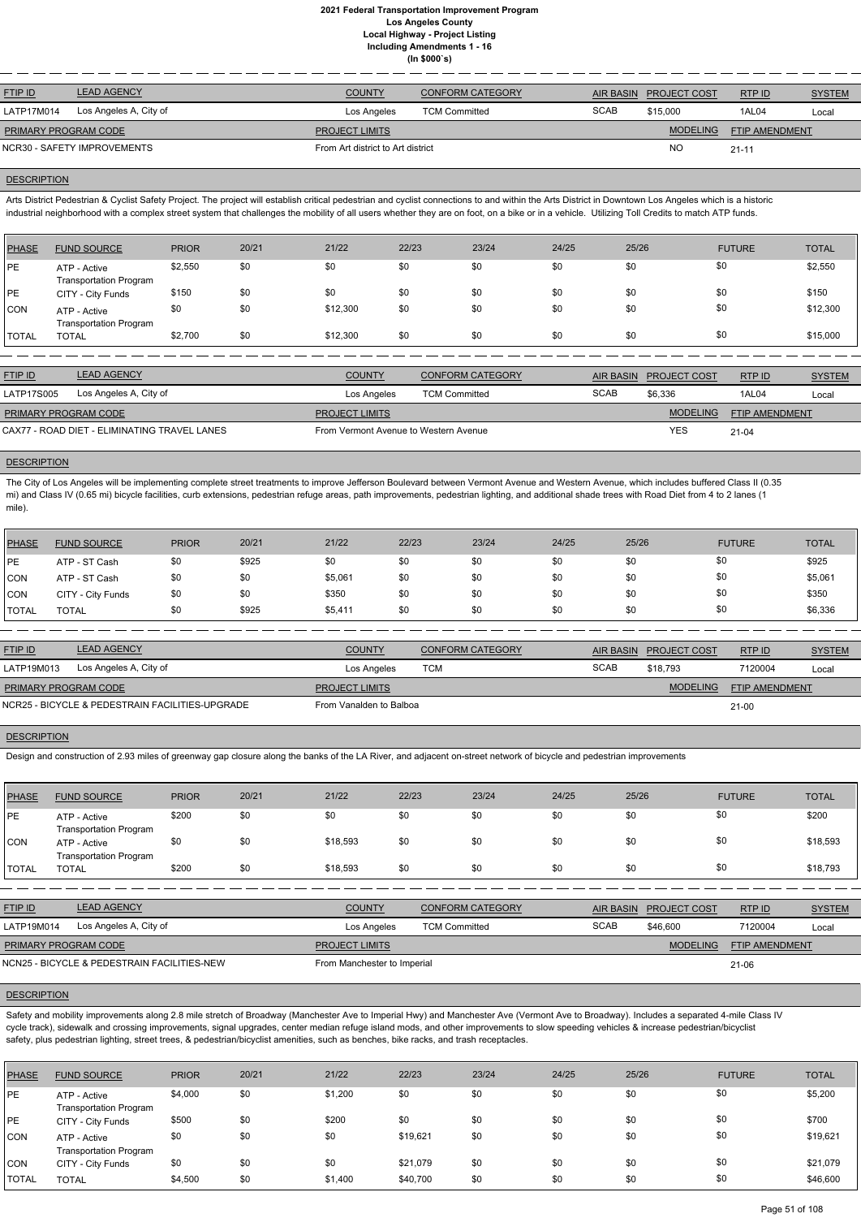| <b>LEAD AGENCY</b><br><b>FTIP ID</b> | <b>COUNTY</b>                     | <b>CONFORM CATEGORY</b> | <b>AIR BASIN</b> | <b>PROJECT COST</b> | RTP ID                | <b>SYSTEM</b> |
|--------------------------------------|-----------------------------------|-------------------------|------------------|---------------------|-----------------------|---------------|
| Los Angeles A, City of<br>LATP17M014 | Los Angeles                       | <b>TCM Committed</b>    | <b>SCAB</b>      | \$15,000            | <b>1AL04</b>          | Local         |
| PRIMARY PROGRAM CODE                 | <b>PROJECT LIMITS</b>             |                         |                  | <b>MODELING</b>     | <b>FTIP AMENDMENT</b> |               |
| NCR30 - SAFETY IMPROVEMENTS          | From Art district to Art district |                         |                  | <b>NO</b>           | $21 - 11$             |               |
|                                      |                                   |                         |                  |                     |                       |               |

### **DESCRIPTION**

Arts District Pedestrian & Cyclist Safety Project. The project will establish critical pedestrian and cyclist connections to and within the Arts District in Downtown Los Angeles which is a historic industrial neighborhood with a complex street system that challenges the mobility of all users whether they are on foot, on a bike or in a vehicle. Utilizing Toll Credits to match ATP funds.

| <b>PHASE</b> | <b>FUND SOURCE</b>                            | <b>PRIOR</b> | 20/21 | 21/22    | 22/23 | 23/24 | 24/25 | 25/26 | <b>FUTURE</b> | <b>TOTAL</b> |
|--------------|-----------------------------------------------|--------------|-------|----------|-------|-------|-------|-------|---------------|--------------|
| <b>IPE</b>   | ATP - Active<br><b>Transportation Program</b> | \$2,550      | \$0   | \$0      | \$0   | \$0   | \$0   | \$0   | \$0           | \$2,550      |
| <b>IPE</b>   | CITY - City Funds                             | \$150        | \$0   | \$0      | \$0   | \$0   | \$0   | \$0   | \$0           | \$150        |
| <b>CON</b>   | ATP - Active<br><b>Transportation Program</b> | \$0          | \$0   | \$12,300 | \$0   | \$0   | \$0   | \$0   | \$0           | \$12,300     |
| <b>TOTAL</b> | <b>TOTAL</b>                                  | \$2,700      | \$0   | \$12,300 | \$0   | \$0   | \$0   | \$0   | \$0           | \$15,000     |

| <b>FTIP ID</b>                               | <b>LEAD AGENCY</b>     | <b>COUNTY</b>                         | <b>CONFORM CATEGORY</b> |             | AIR BASIN PROJECT COST | RTP ID                | <b>SYSTEM</b> |
|----------------------------------------------|------------------------|---------------------------------------|-------------------------|-------------|------------------------|-----------------------|---------------|
| LATP17S005                                   | Los Angeles A, City of | Los Angeles                           | <b>TCM Committed</b>    | <b>SCAB</b> | \$6.336                | 1AL04                 | Local         |
| <b>PRIMARY PROGRAM CODE</b>                  |                        | <b>PROJECT LIMITS</b>                 |                         |             | <b>MODELING</b>        | <b>FTIP AMENDMENT</b> |               |
| CAX77 - ROAD DIET - ELIMINATING TRAVEL LANES |                        | From Vermont Avenue to Western Avenue |                         |             | YES                    | $21 - 04$             |               |

### **DESCRIPTION**

The City of Los Angeles will be implementing complete street treatments to improve Jefferson Boulevard between Vermont Avenue and Western Avenue, which includes buffered Class II (0.35 mi) and Class IV (0.65 mi) bicycle facilities, curb extensions, pedestrian refuge areas, path improvements, pedestrian lighting, and additional shade trees with Road Diet from 4 to 2 lanes (1 mile).

Safety and mobility improvements along 2.8 mile stretch of Broadway (Manchester Ave to Imperial Hwy) and Manchester Ave (Vermont Ave to Broadway). Includes a separated 4-mile Class IV cycle track), sidewalk and crossing improvements, signal upgrades, center median refuge island mods, and other improvements to slow speeding vehicles & increase pedestrian/bicyclist safety, plus pedestrian lighting, street trees, & pedestrian/bicyclist amenities, such as benches, bike racks, and trash receptacles.

| PHASE      | <b>FUND SOURCE</b> | <b>PRIOR</b> | 20/21 | 21/22   | 22/23 | 23/24 | 24/25 | 25/26 | <b>FUTURE</b> | <b>TOTAL</b> |
|------------|--------------------|--------------|-------|---------|-------|-------|-------|-------|---------------|--------------|
| PE         | ATP - ST Cash      | \$0          | \$925 | \$0     | \$0   | \$0   | \$0   | \$0   | \$0           | \$925        |
| <b>CON</b> | ATP - ST Cash      | \$0          | \$0   | \$5,061 | \$0   | \$0   | \$0   | \$0   | \$0           | \$5,061      |
| CON        | CITY - City Funds  | \$0          | \$0   | \$350   | \$0   | \$0   | \$0   | \$0   | \$0           | \$350        |
| TOTAL      | <b>TOTAL</b>       | \$0          | \$925 | \$5,411 | \$0   | \$0   | \$0   | \$0   | \$0           | \$6,336      |

| <b>FTIP ID</b>              | <b>LEAD AGENCY</b>                              | <b>COUNTY</b>           | <b>CONFORM CATEGORY</b> |      | AIR BASIN PROJECT COST | RTPID                 | <b>SYSTEM</b> |
|-----------------------------|-------------------------------------------------|-------------------------|-------------------------|------|------------------------|-----------------------|---------------|
| LATP19M013                  | Los Angeles A, City of                          | Los Angeles             | тсм                     | SCAB | \$18.793               | 7120004               | Local         |
| <b>PRIMARY PROGRAM CODE</b> |                                                 | <b>PROJECT LIMITS</b>   |                         |      | <b>MODELING</b>        | <b>FTIP AMENDMENT</b> |               |
|                             | NCR25 - BICYCLE & PEDESTRAIN FACILITIES-UPGRADE | From Vanalden to Balboa |                         |      |                        | $21 - 00$             |               |

## **DESCRIPTION**

Design and construction of 2.93 miles of greenway gap closure along the banks of the LA River, and adjacent on-street network of bicycle and pedestrian improvements

| PHASE        | <b>FUND SOURCE</b>                            | <b>PRIOR</b> | 20/21 | 21/22    | 22/23 | 23/24 | 24/25 | 25/26 | <b>FUTURE</b> | <b>TOTAL</b> |
|--------------|-----------------------------------------------|--------------|-------|----------|-------|-------|-------|-------|---------------|--------------|
| PE           | ATP - Active<br><b>Transportation Program</b> | \$200        | \$0   | \$0      | \$0   | \$0   | \$0   | \$0   | \$0           | \$200        |
| <b>CON</b>   | ATP - Active<br><b>Transportation Program</b> | \$0          | \$0   | \$18,593 | \$0   | \$0   | \$0   | \$0   | \$0           | \$18,593     |
| <b>TOTAL</b> | <b>TOTAL</b>                                  | \$200        | \$0   | \$18,593 | \$0   | \$0   | \$0   | \$0   | \$0           | \$18,793     |

RTP ID

| Los Angeles A, City of<br>LATP19M014        | Los Angeles                 | <b>TCM Committed</b> | <b>SCAB</b> | \$46,600        | 7120004               | Local |
|---------------------------------------------|-----------------------------|----------------------|-------------|-----------------|-----------------------|-------|
| PRIMARY PROGRAM CODE                        | <b>PROJECT LIMITS</b>       |                      |             | <b>MODELING</b> | <b>FTIP AMENDMENT</b> |       |
| NCN25 - BICYCLE & PEDESTRAIN FACILITIES-NEW | From Manchester to Imperial |                      |             |                 | $21 - 06$             |       |

| PHASE        | <b>FUND SOURCE</b>                            | <b>PRIOR</b> | 20/21 | 21/22   | 22/23    | 23/24 | 24/25 | 25/26 | <b>FUTURE</b> | <b>TOTAL</b> |
|--------------|-----------------------------------------------|--------------|-------|---------|----------|-------|-------|-------|---------------|--------------|
| PE           | ATP - Active<br><b>Transportation Program</b> | \$4,000      | \$0   | \$1,200 | \$0      | \$0   | \$0   | \$0   | \$0           | \$5,200      |
| <b>IPE</b>   | CITY - City Funds                             | \$500        | \$0   | \$200   | \$0      | \$0   | \$0   | \$0   | \$0           | \$700        |
| ICON.        | ATP - Active<br><b>Transportation Program</b> | \$0          | \$0   | \$0     | \$19,621 | \$0   | \$0   | \$0   | \$0           | \$19,621     |
| CON          | CITY - City Funds                             | \$0          | \$0   | \$0     | \$21,079 | \$0   | \$0   | \$0   | \$0           | \$21,079     |
| <b>TOTAL</b> | <b>TOTAL</b>                                  | \$4,500      | \$0   | \$1,400 | \$40,700 | \$0   | \$0   | \$0   | \$0           | \$46,600     |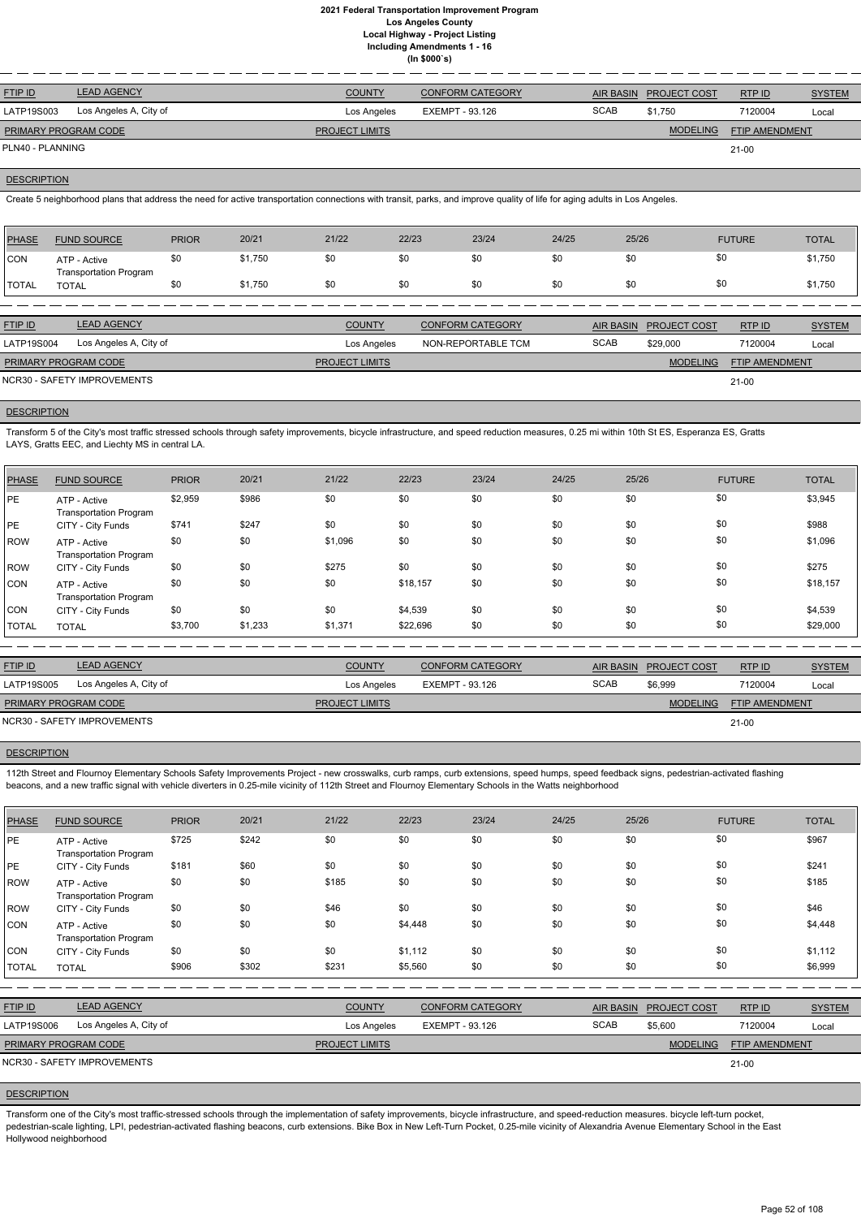| <b>FTIP ID</b>              | <b>LEAD AGENCY</b>     | <b>COUNTY</b>         | <b>CONFORM CATEGORY</b> | AIR BASIN   | <b>PROJECT COST</b> | RTP ID                | <b>SYSTEM</b> |
|-----------------------------|------------------------|-----------------------|-------------------------|-------------|---------------------|-----------------------|---------------|
| LATP19S003                  | Los Angeles A, City of | Los Angeles           | EXEMPT - 93.126         | <b>SCAB</b> | \$1.750             | 7120004               | Local         |
| <b>PRIMARY PROGRAM CODE</b> |                        | <b>PROJECT LIMITS</b> |                         |             | <b>MODELING</b>     | <b>FTIP AMENDMENT</b> |               |
| PLN40 - PLANNING            |                        |                       |                         |             |                     | 21-00                 |               |

### **DESCRIPTION**

Create 5 neighborhood plans that address the need for active transportation connections with transit, parks, and improve quality of life for aging adults in Los Angeles.

| <b>PHASE</b>   | <b>FUND SOURCE</b>                            | <b>PRIOR</b> | 20/21   | 21/22                 | 22/23 | 23/24                   | 24/25 | 25/26            |                     | <b>FUTURE</b>         | <b>TOTAL</b>  |
|----------------|-----------------------------------------------|--------------|---------|-----------------------|-------|-------------------------|-------|------------------|---------------------|-----------------------|---------------|
| <b>CON</b>     | ATP - Active                                  | \$0          | \$1,750 | \$0                   | \$0   | \$0                     | \$0   | \$0              | \$0                 |                       | \$1,750       |
| <b>TOTAL</b>   | <b>Transportation Program</b><br><b>TOTAL</b> | \$0          | \$1,750 | \$0                   | \$0   | \$0                     | \$0   | \$0              | \$0                 |                       | \$1,750       |
|                |                                               |              |         |                       |       |                         |       |                  |                     |                       |               |
| <b>FTIP ID</b> | <b>LEAD AGENCY</b>                            |              |         | <b>COUNTY</b>         |       | <b>CONFORM CATEGORY</b> |       | <b>AIR BASIN</b> | <b>PROJECT COST</b> | RTP ID                | <b>SYSTEM</b> |
| LATP19S004     | Los Angeles A, City of                        |              |         | Los Angeles           |       | NON-REPORTABLE TCM      |       | <b>SCAB</b>      | \$29,000            | 7120004               | Local         |
|                | PRIMARY PROGRAM CODE                          |              |         | <b>PROJECT LIMITS</b> |       |                         |       |                  | <b>MODELING</b>     | <b>FTIP AMENDMENT</b> |               |
|                | <b>NCR30 - SAFETY IMPROVEMENTS</b>            |              |         |                       |       |                         |       |                  |                     | $21 - 00$             |               |

# **DESCRIPTION**

Transform 5 of the City's most traffic stressed schools through safety improvements, bicycle infrastructure, and speed reduction measures, 0.25 mi within 10th St ES, Esperanza ES, Gratts LAYS, Gratts EEC, and Liechty MS in central LA.

112th Street and Flournoy Elementary Schools Safety Improvements Project - new crosswalks, curb ramps, curb extensions, speed humps, speed feedback signs, pedestrian-activated flashing beacons, and a new traffic signal with vehicle diverters in 0.25-mile vicinity of 112th Street and Flournoy Elementary Schools in the Watts neighborhood

| PHASE        | <b>FUND SOURCE</b>                            | <b>PRIOR</b> | 20/21   | 21/22   | 22/23    | 23/24 | 24/25 | 25/26 | <b>FUTURE</b> | <b>TOTAL</b> |
|--------------|-----------------------------------------------|--------------|---------|---------|----------|-------|-------|-------|---------------|--------------|
| PE           | ATP - Active<br><b>Transportation Program</b> | \$2,959      | \$986   | \$0     | \$0      | \$0   | \$0   | \$0   | \$0           | \$3,945      |
| PE           | CITY - City Funds                             | \$741        | \$247   | \$0     | \$0      | \$0   | \$0   | \$0   | \$0           | \$988        |
| ROW          | ATP - Active<br><b>Transportation Program</b> | \$0          | \$0     | \$1,096 | \$0      | \$0   | \$0   | \$0   | \$0           | \$1,096      |
| ROW          | CITY - City Funds                             | \$0          | \$0     | \$275   | \$0      | \$0   | \$0   | \$0   | \$0           | \$275        |
| Icon         | ATP - Active<br><b>Transportation Program</b> | \$0          | \$0     | \$0     | \$18,157 | \$0   | \$0   | \$0   | \$0           | \$18,157     |
| <b>CON</b>   | CITY - City Funds                             | \$0          | \$0     | \$0     | \$4,539  | \$0   | \$0   | \$0   | \$0           | \$4,539      |
| <b>TOTAL</b> | <b>TOTAL</b>                                  | \$3,700      | \$1,233 | \$1,371 | \$22,696 | \$0   | \$0   | \$0   | \$0           | \$29,000     |

| <b>FTIP ID</b>              | <b>LEAD AGENCY</b>          | <b>COUNTY</b>         | <b>CONFORM CATEGORY</b> |             | AIR BASIN PROJECT COST | RTP ID                | <b>SYSTEM</b> |
|-----------------------------|-----------------------------|-----------------------|-------------------------|-------------|------------------------|-----------------------|---------------|
| LATP19S005                  | Los Angeles A, City of      | Los Angeles           | EXEMPT - 93.126         | <b>SCAB</b> | \$6.999                | 7120004               | Local         |
| <b>PRIMARY PROGRAM CODE</b> |                             | <b>PROJECT LIMITS</b> |                         |             | <b>MODELING</b>        | <b>FTIP AMENDMENT</b> |               |
|                             | NCR30 - SAFETY IMPROVEMENTS |                       |                         |             |                        | $21 - 00$             |               |

## **DESCRIPTION**

| <b>PHASE</b> | <b>FUND SOURCE</b>                            | <b>PRIOR</b> | 20/21 | 21/22          | 22/23           | 23/24                   | 24/25       | 25/26            |                 | <b>FUTURE</b>  | <b>TOTAL</b>  |
|--------------|-----------------------------------------------|--------------|-------|----------------|-----------------|-------------------------|-------------|------------------|-----------------|----------------|---------------|
| PE           | ATP - Active<br><b>Transportation Program</b> | \$725        | \$242 | \$0            | \$0             | \$0                     | \$0         | \$0              |                 | \$0            | \$967         |
| PE           | CITY - City Funds                             | \$181        | \$60  | \$0            | \$0             | \$0                     | \$0         | \$0              |                 | \$0            | \$241         |
| ROW          | ATP - Active<br><b>Transportation Program</b> | \$0          | \$0   | \$185          | \$0             | \$0                     | \$0         | \$0              |                 | \$0            | \$185         |
| ROW          | CITY - City Funds                             | \$0          | \$0   | \$46           | \$0             | \$0                     | \$0         | \$0              |                 | \$0            | \$46          |
| <b>CON</b>   | ATP - Active<br><b>Transportation Program</b> | \$0          | \$0   | \$0            | \$4,448         | \$0                     | \$0         | \$0              |                 | \$0            | \$4,448       |
| <b>CON</b>   | CITY - City Funds                             | \$0          | \$0   | \$0            | \$1,112         | \$0                     | \$0         | \$0              |                 | \$0            | \$1,112       |
| <b>TOTAL</b> | <b>TOTAL</b>                                  | \$906        | \$302 | \$231          | \$5,560         | \$0                     | \$0         | \$0              |                 | \$0            | \$6,999       |
|              |                                               |              |       |                |                 |                         |             |                  |                 |                |               |
| FTIP ID      | <b>LEAD AGENCY</b>                            |              |       | <b>COUNTY</b>  |                 | <b>CONFORM CATEGORY</b> |             | <b>AIR BASIN</b> | PROJECT COST    | RTP ID         | <b>SYSTEM</b> |
| LATP19S006   | Los Angeles A, City of                        |              |       | Los Angeles    | EXEMPT - 93.126 |                         | <b>SCAB</b> |                  | \$5,600         | 7120004        | Local         |
|              | PRIMARY PROGRAM CODE                          |              |       | PROJECT LIMITS |                 |                         |             |                  | <b>MODELING</b> | FTIP AMENDMENT |               |
|              | NCR30 - SAFETY IMPROVEMENTS                   |              |       |                |                 |                         |             |                  |                 | $21-00$        |               |

# **DESCRIPTION**

Transform one of the City's most traffic-stressed schools through the implementation of safety improvements, bicycle infrastructure, and speed-reduction measures. bicycle left-turn pocket, pedestrian-scale lighting, LPI, pedestrian-activated flashing beacons, curb extensions. Bike Box in New Left-Turn Pocket, 0.25-mile vicinity of Alexandria Avenue Elementary School in the East Hollywood neighborhood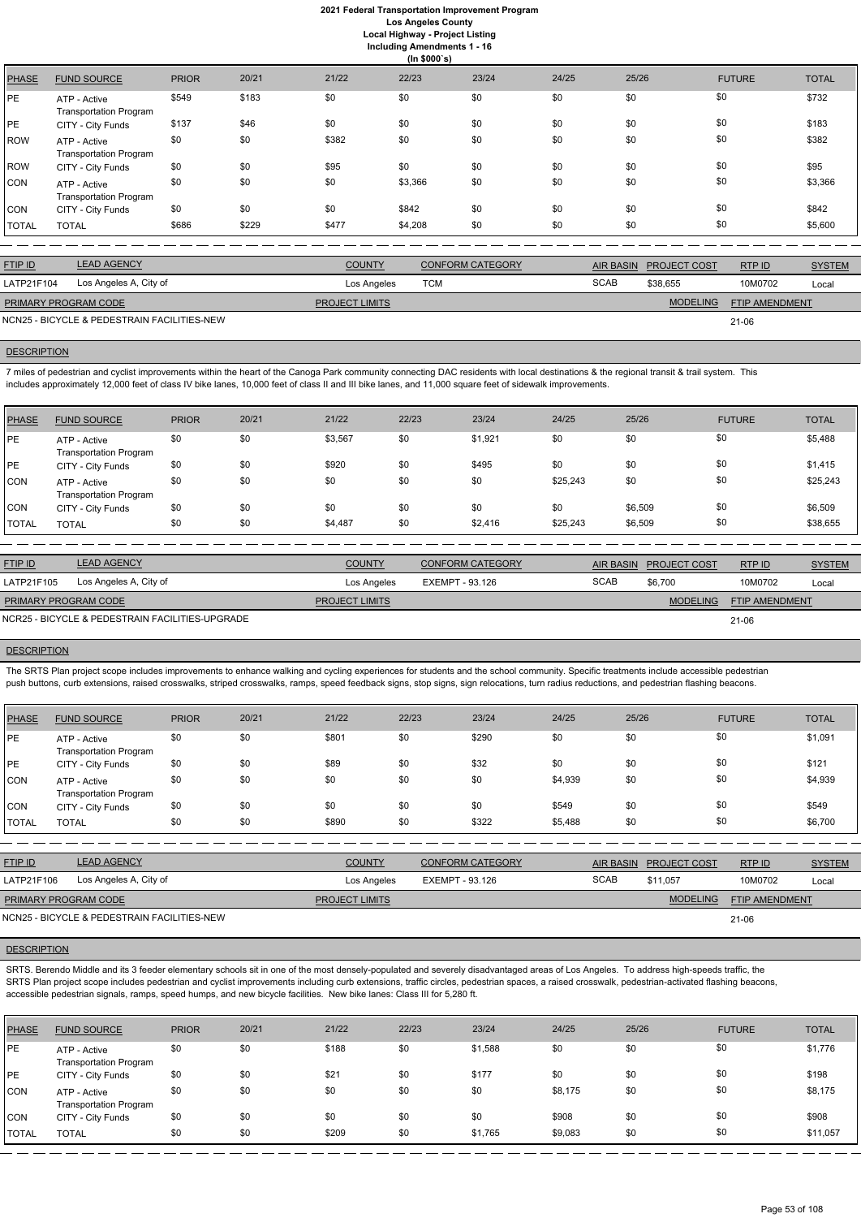**Including Amendments 1 - 16**

| ng Amenuments  |  |
|----------------|--|
| $(ln $000 \s)$ |  |

|              |                                               |              |       |       | $\cdots$ + - - - - $\prime$ |       |       |       |               |              |
|--------------|-----------------------------------------------|--------------|-------|-------|-----------------------------|-------|-------|-------|---------------|--------------|
| <b>PHASE</b> | <b>FUND SOURCE</b>                            | <b>PRIOR</b> | 20/21 | 21/22 | 22/23                       | 23/24 | 24/25 | 25/26 | <b>FUTURE</b> | <b>TOTAL</b> |
| PE           | ATP - Active<br><b>Transportation Program</b> | \$549        | \$183 | \$0   | \$0                         | \$0   | \$0   | \$0   | \$0           | \$732        |
| PE           | CITY - City Funds                             | \$137        | \$46  | \$0   | \$0                         | \$0   | \$0   | \$0   | \$0           | \$183        |
| <b>ROW</b>   | ATP - Active<br><b>Transportation Program</b> | \$0          | \$0   | \$382 | \$0                         | \$0   | \$0   | \$0   | \$0           | \$382        |
| <b>ROW</b>   | CITY - City Funds                             | \$0          | \$0   | \$95  | \$0                         | \$0   | \$0   | \$0   | \$0           | \$95         |
| CON          | ATP - Active<br><b>Transportation Program</b> | \$0          | \$0   | \$0   | \$3,366                     | \$0   | \$0   | \$0   | \$0           | \$3,366      |
| CON          | CITY - City Funds                             | \$0          | \$0   | \$0   | \$842                       | \$0   | \$0   | \$0   | \$0           | \$842        |
| <b>TOTAL</b> | <b>TOTAL</b>                                  | \$686        | \$229 | \$477 | \$4,208                     | \$0   | \$0   | \$0   | \$0           | \$5,600      |

| <b>FTIP ID</b>              | <b>LEAD AGENCY</b>                          | <b>COUNTY</b>         | <b>CONFORM CATEGORY</b> |             | AIR BASIN PROJECT COST | RTP ID         | <b>SYSTEM</b> |
|-----------------------------|---------------------------------------------|-----------------------|-------------------------|-------------|------------------------|----------------|---------------|
| LATP21F104                  | Los Angeles A, City of                      | Los Angeles           | TCM                     | <b>SCAB</b> | \$38,655               | 10M0702        | Local         |
| <b>PRIMARY PROGRAM CODE</b> |                                             | <b>PROJECT LIMITS</b> |                         |             | <b>MODELING</b>        | FTIP AMENDMENT |               |
|                             | NCN25 - BICYCLE & PEDESTRAIN FACILITIES-NEW |                       |                         |             |                        | $21 - 06$      |               |

## **DESCRIPTION**

7 miles of pedestrian and cyclist improvements within the heart of the Canoga Park community connecting DAC residents with local destinations & the regional transit & trail system. This includes approximately 12,000 feet of class IV bike lanes, 10,000 feet of class II and III bike lanes, and 11,000 square feet of sidewalk improvements.

| PHASE        | <b>FUND SOURCE</b>                            | <b>PRIOR</b> | 20/21 | 21/22   | 22/23 | 23/24   | 24/25    | 25/26   | <b>FUTURE</b> | <b>TOTAL</b> |
|--------------|-----------------------------------------------|--------------|-------|---------|-------|---------|----------|---------|---------------|--------------|
| PE           | ATP - Active<br><b>Transportation Program</b> | \$0          | \$0   | \$3,567 | \$0   | \$1,921 | \$0      | \$0     | \$0           | \$5,488      |
| PE           | CITY - City Funds                             | \$0          | \$0   | \$920   | \$0   | \$495   | \$0      | \$0     | \$0           | \$1,415      |
| <b>CON</b>   | ATP - Active<br><b>Transportation Program</b> | \$0          | \$0   | \$0     | \$0   | \$0     | \$25,243 | \$0     | \$0           | \$25,243     |
| <b>CON</b>   | CITY - City Funds                             | \$0          | \$0   | \$0     | \$0   | \$0     | \$0      | \$6,509 | \$0           | \$6,509      |
| <b>TOTAL</b> | <b>TOTAL</b>                                  | \$0          | \$0   | \$4,487 | \$0   | \$2,416 | \$25,243 | \$6,509 | \$0           | \$38,655     |

SRTS. Berendo Middle and its 3 feeder elementary schools sit in one of the most densely-populated and severely disadvantaged areas of Los Angeles. To address high-speeds traffic, the SRTS Plan project scope includes pedestrian and cyclist improvements including curb extensions, traffic circles, pedestrian spaces, a raised crosswalk, pedestrian-activated flashing beacons, accessible pedestrian signals, ramps, speed humps, and new bicycle facilities. New bike lanes: Class III for 5,280 ft.

| <b>FTIP ID</b>              | <b>LEAD AGENCY</b>                              | <b>COUNTY</b>         | <b>CONFORM CATEGORY</b> | AIR BASIN   | <b>PROJECT COST</b> | RTP ID                | <b>SYSTEM</b> |
|-----------------------------|-------------------------------------------------|-----------------------|-------------------------|-------------|---------------------|-----------------------|---------------|
| LATP21F105                  | Los Angeles A, City of                          | Los Angeles           | EXEMPT - 93.126         | <b>SCAB</b> | \$6.700             | 10M0702               | Local         |
| <b>PRIMARY PROGRAM CODE</b> |                                                 | <b>PROJECT LIMITS</b> |                         |             | <b>MODELING</b>     | <b>FTIP AMENDMENT</b> |               |
|                             | NCR25 - BICYCLE & PEDESTRAIN FACILITIES-UPGRADE |                       |                         |             |                     | 21-06                 |               |

## **DESCRIPTION**

The SRTS Plan project scope includes improvements to enhance walking and cycling experiences for students and the school community. Specific treatments include accessible pedestrian push buttons, curb extensions, raised crosswalks, striped crosswalks, ramps, speed feedback signs, stop signs, sign relocations, turn radius reductions, and pedestrian flashing beacons.

| <b>PHASE</b> | <b>FUND SOURCE</b>                            | <b>PRIOR</b> | 20/21 | 21/22 | 22/23 | 23/24 | 24/25   | 25/26 | <b>FUTURE</b> | <b>TOTAL</b> |
|--------------|-----------------------------------------------|--------------|-------|-------|-------|-------|---------|-------|---------------|--------------|
| PE           | ATP - Active<br><b>Transportation Program</b> | \$0          | \$0   | \$801 | \$0   | \$290 | \$0     | \$0   | \$0           | \$1,091      |
| PE           | CITY - City Funds                             | \$0          | \$0   | \$89  | \$0   | \$32  | \$0     | \$0   | \$0           | \$121        |
| <b>CON</b>   | ATP - Active<br><b>Transportation Program</b> | \$0          | \$0   | \$0   | \$0   | \$0   | \$4,939 | \$0   | \$0           | \$4,939      |
| <b>CON</b>   | CITY - City Funds                             | \$0          | \$0   | \$0   | \$0   | \$0   | \$549   | \$0   | \$0           | \$549        |
| <b>TOTAL</b> | <b>TOTAL</b>                                  | \$0          | \$0   | \$890 | \$0   | \$322 | \$5,488 | \$0   | \$0           | \$6,700      |

| <b>FTIP ID</b>                              | <b>LEAD AGENCY</b>     | <b>COUNTY</b>         | CONFORM CATEGORY |             | AIR BASIN PROJECT COST | RTPID                 | <b>SYSTEM</b> |
|---------------------------------------------|------------------------|-----------------------|------------------|-------------|------------------------|-----------------------|---------------|
| LATP21F106                                  | Los Angeles A, City of | Los Angeles           | EXEMPT - 93.126  | <b>SCAB</b> | \$11.057               | 10M0702               | Local         |
| PRIMARY PROGRAM CODE                        |                        | <b>PROJECT LIMITS</b> |                  |             | <b>MODELING</b>        | <b>FTIP AMENDMENT</b> |               |
| NCN25 - BICYCLE & PEDESTRAIN FACILITIES-NEW |                        |                       |                  |             |                        | $21 - 06$             |               |

| <b>PHASE</b> | <b>FUND SOURCE</b>                            | <b>PRIOR</b> | 20/21 | 21/22 | 22/23 | 23/24   | 24/25   | 25/26 | <b>FUTURE</b> | <b>TOTAL</b> |
|--------------|-----------------------------------------------|--------------|-------|-------|-------|---------|---------|-------|---------------|--------------|
| IPE          | ATP - Active<br><b>Transportation Program</b> | \$0          | \$0   | \$188 | \$0   | \$1,588 | \$0     | \$0   | \$0           | \$1,776      |
| PE           | CITY - City Funds                             | \$0          | \$0   | \$21  | \$0   | \$177   | \$0     | \$0   | \$0           | \$198        |
| ICON.        | ATP - Active<br><b>Transportation Program</b> | \$0          | \$0   | \$0   | \$0   | \$0     | \$8,175 | \$0   | \$0           | \$8,175      |
| <b>CON</b>   | CITY - City Funds                             | \$0          | \$0   | \$0   | \$0   | \$0     | \$908   | \$0   | \$0           | \$908        |
| TOTAL        | <b>TOTAL</b>                                  | \$0          | \$0   | \$209 | \$0   | \$1,765 | \$9,083 | \$0   | \$0           | \$11,057     |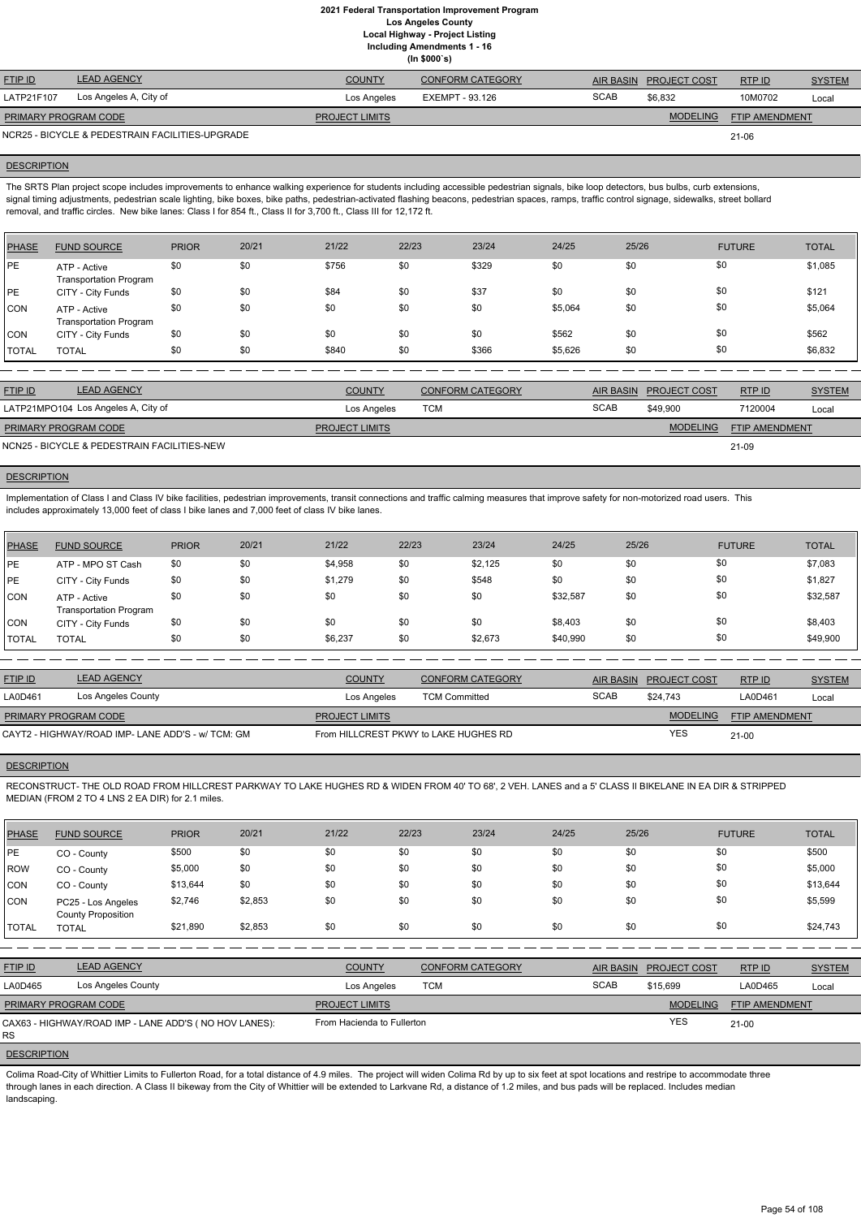**(In \$000`s)**

| <b>FTIP ID</b>              | <b>LEAD AGENCY</b>                              | <b>COUNTY</b>         | <b>CONFORM CATEGORY</b> | <b>AIR BASIN</b> | <b>PROJECT COST</b> | RTP ID                | <b>SYSTEM</b> |
|-----------------------------|-------------------------------------------------|-----------------------|-------------------------|------------------|---------------------|-----------------------|---------------|
| LATP21F107                  | Los Angeles A, City of                          | Los Angeles           | EXEMPT - 93.126         | <b>SCAB</b>      | \$6.832             | 10M0702               | Local         |
| <b>PRIMARY PROGRAM CODE</b> |                                                 | <b>PROJECT LIMITS</b> |                         |                  | <b>MODELING</b>     | <b>FTIP AMENDMENT</b> |               |
|                             | NCR25 - BICYCLE & PEDESTRAIN FACILITIES-UPGRADE |                       |                         |                  |                     | 21-06                 |               |

### **DESCRIPTION**

The SRTS Plan project scope includes improvements to enhance walking experience for students including accessible pedestrian signals, bike loop detectors, bus bulbs, curb extensions, signal timing adjustments, pedestrian scale lighting, bike boxes, bike paths, pedestrian-activated flashing beacons, pedestrian spaces, ramps, traffic control signage, sidewalks, street bollard removal, and traffic circles. New bike lanes: Class I for 854 ft., Class II for 3,700 ft., Class III for 12,172 ft.

Implementation of Class I and Class IV bike facilities, pedestrian improvements, transit connections and traffic calming measures that improve safety for non-motorized road users. This includes approximately 13,000 feet of class I bike lanes and 7,000 feet of class IV bike lanes.

| PHASE        | <b>FUND SOURCE</b>                            | <b>PRIOR</b> | 20/21 | 21/22 | 22/23 | 23/24 | 24/25   | 25/26 | <b>FUTURE</b> | <b>TOTAL</b> |
|--------------|-----------------------------------------------|--------------|-------|-------|-------|-------|---------|-------|---------------|--------------|
| <b>IPE</b>   | ATP - Active<br><b>Transportation Program</b> | \$0          | \$0   | \$756 | \$0   | \$329 | \$0     | \$0   | \$0           | \$1,085      |
| <b>IPE</b>   | CITY - City Funds                             | \$0          | \$0   | \$84  | \$0   | \$37  | \$0     | \$0   | \$0           | \$121        |
| <b>CON</b>   | ATP - Active<br><b>Transportation Program</b> | \$0          | \$0   | \$0   | \$0   | \$0   | \$5,064 | \$0   | \$0           | \$5,064      |
| CON          | CITY - City Funds                             | \$0          | \$0   | \$0   | \$0   | \$0   | \$562   | \$0   | \$0           | \$562        |
| <b>TOTAL</b> | <b>TOTAL</b>                                  | \$0          | \$0   | \$840 | \$0   | \$366 | \$5,626 | \$0   | \$0           | \$6,832      |

| FTIP ID              | <b>LEAD AGENCY</b>                          | <b>COUNTY</b>         | <b>CONFORM CATEGORY</b> |             | AIR BASIN PROJECT COST | RTP ID                | <b>SYSTEM</b> |
|----------------------|---------------------------------------------|-----------------------|-------------------------|-------------|------------------------|-----------------------|---------------|
|                      | LATP21MPO104 Los Angeles A, City of         | Los Angeles           | TCM                     | <b>SCAB</b> | \$49,900               | 7120004               | Local         |
| PRIMARY PROGRAM CODE |                                             | <b>PROJECT LIMITS</b> |                         |             | <b>MODELING</b>        | <b>FTIP AMENDMENT</b> |               |
|                      | NCN25 - BICYCLE & PEDESTRAIN FACILITIES-NEW |                       |                         |             |                        | 21-09                 |               |

# **DESCRIPTION**

| PHASE        | <b>FUND SOURCE</b>                            | <b>PRIOR</b> | 20/21 | 21/22   | 22/23 | 23/24   | 24/25    | 25/26 | <b>FUTURE</b> | <b>TOTAL</b> |
|--------------|-----------------------------------------------|--------------|-------|---------|-------|---------|----------|-------|---------------|--------------|
| PE           | ATP - MPO ST Cash                             | \$0          | \$0   | \$4,958 | \$0   | \$2,125 | \$0      | \$0   | \$0           | \$7,083      |
| PE           | CITY - City Funds                             | \$0          | \$0   | \$1,279 | \$0   | \$548   | \$0      | \$0   | \$0           | \$1,827      |
| CON          | ATP - Active<br><b>Transportation Program</b> | \$0          | \$0   | \$0     | \$0   | \$0     | \$32,587 | \$0   | \$0           | \$32,587     |
| CON          | CITY - City Funds                             | \$0          | \$0   | \$0     | \$0   | \$0     | \$8,403  | \$0   | \$0           | \$8,403      |
| <b>TOTAL</b> | <b>TOTAL</b>                                  | \$0          | \$0   | \$6,237 | \$0   | \$2,673 | \$40,990 | \$0   | \$0           | \$49,900     |

| <b>FTIP ID</b>              | <b>LEAD AGENCY</b>                                | <b>COUNTY</b>                         | <b>CONFORM CATEGORY</b> |             | AIR BASIN PROJECT COST | <b>RTP ID</b>  | <b>SYSTEM</b> |
|-----------------------------|---------------------------------------------------|---------------------------------------|-------------------------|-------------|------------------------|----------------|---------------|
| LA0D461                     | Los Angeles County                                | Los Angeles                           | <b>TCM Committed</b>    | <b>SCAB</b> | \$24.743               | LA0D461        | Local         |
| <b>PRIMARY PROGRAM CODE</b> |                                                   | <b>PROJECT LIMITS</b>                 |                         |             | <b>MODELING</b>        | FTIP AMENDMENT |               |
|                             | CAYT2 - HIGHWAY/ROAD IMP- LANE ADD'S - w/ TCM: GM | From HILLCREST PKWY to LAKE HUGHES RD |                         |             | YES                    | $21 - 00$      |               |

# **DESCRIPTION**

RECONSTRUCT- THE OLD ROAD FROM HILLCREST PARKWAY TO LAKE HUGHES RD & WIDEN FROM 40' TO 68', 2 VEH. LANES and a 5' CLASS II BIKELANE IN EA DIR & STRIPPED MEDIAN (FROM 2 TO 4 LNS 2 EA DIR) for 2.1 miles.

| <b>PHASE</b> | <b>FUND SOURCE</b>                                                                                                                                                                               | <b>PRIOR</b> | 20/21   | 21/22                      | 22/23      | 23/24                   | 24/25            | 25/26               | <b>FUTURE</b>         | <b>TOTAL</b>  |
|--------------|--------------------------------------------------------------------------------------------------------------------------------------------------------------------------------------------------|--------------|---------|----------------------------|------------|-------------------------|------------------|---------------------|-----------------------|---------------|
| PE           | CO - County                                                                                                                                                                                      | \$500        | \$0     | \$0                        | \$0        | \$0                     | \$0              | \$0                 | \$0                   | \$500         |
| ROW          | CO - County                                                                                                                                                                                      | \$5,000      | \$0     | \$0                        | \$0        | \$0                     | \$0              | \$0                 | \$0                   | \$5,000       |
| <b>CON</b>   | CO - County                                                                                                                                                                                      | \$13,644     | \$0     | \$0                        | \$0        | \$0                     | \$0              | \$0                 | \$0                   | \$13,644      |
| <b>CON</b>   | PC25 - Los Angeles<br><b>County Proposition</b>                                                                                                                                                  | \$2,746      | \$2,853 | \$0                        | \$0        | \$0                     | \$0              | \$0                 | \$0                   | \$5,599       |
| <b>TOTAL</b> | <b>TOTAL</b>                                                                                                                                                                                     | \$21,890     | \$2,853 | \$0                        | \$0        | \$0                     | \$0              | \$0                 | \$0                   | \$24,743      |
|              |                                                                                                                                                                                                  |              |         |                            |            |                         |                  |                     |                       |               |
| FTIP ID      | <b>LEAD AGENCY</b>                                                                                                                                                                               |              |         | <b>COUNTY</b>              |            | <b>CONFORM CATEGORY</b> | <b>AIR BASIN</b> | <b>PROJECT COST</b> | RTPID                 | <b>SYSTEM</b> |
| LA0D465      | Los Angeles County                                                                                                                                                                               |              |         | Los Angeles                | <b>TCM</b> |                         | <b>SCAB</b>      | \$15,699            | LA0D465               | Local         |
|              | PRIMARY PROGRAM CODE                                                                                                                                                                             |              |         | <b>PROJECT LIMITS</b>      |            |                         |                  | <b>MODELING</b>     | <b>FTIP AMENDMENT</b> |               |
| <b>RS</b>    | CAX63 - HIGHWAY/ROAD IMP - LANE ADD'S (NO HOV LANES):                                                                                                                                            |              |         | From Hacienda to Fullerton |            |                         |                  | <b>YES</b>          | $21 - 00$             |               |
|              | <b>DESCRIPTION</b>                                                                                                                                                                               |              |         |                            |            |                         |                  |                     |                       |               |
|              | Colima Road-City of Whittier Limits to Fullerton Road, for a total distance of 4.9 miles. The project will widen Colima Rd by up to six feet at spot locations and restripe to accommodate three |              |         |                            |            |                         |                  |                     |                       |               |

through lanes in each direction. A Class II bikeway from the City of Whittier will be extended to Larkvane Rd, a distance of 1.2 miles, and bus pads will be replaced. Includes median landscaping.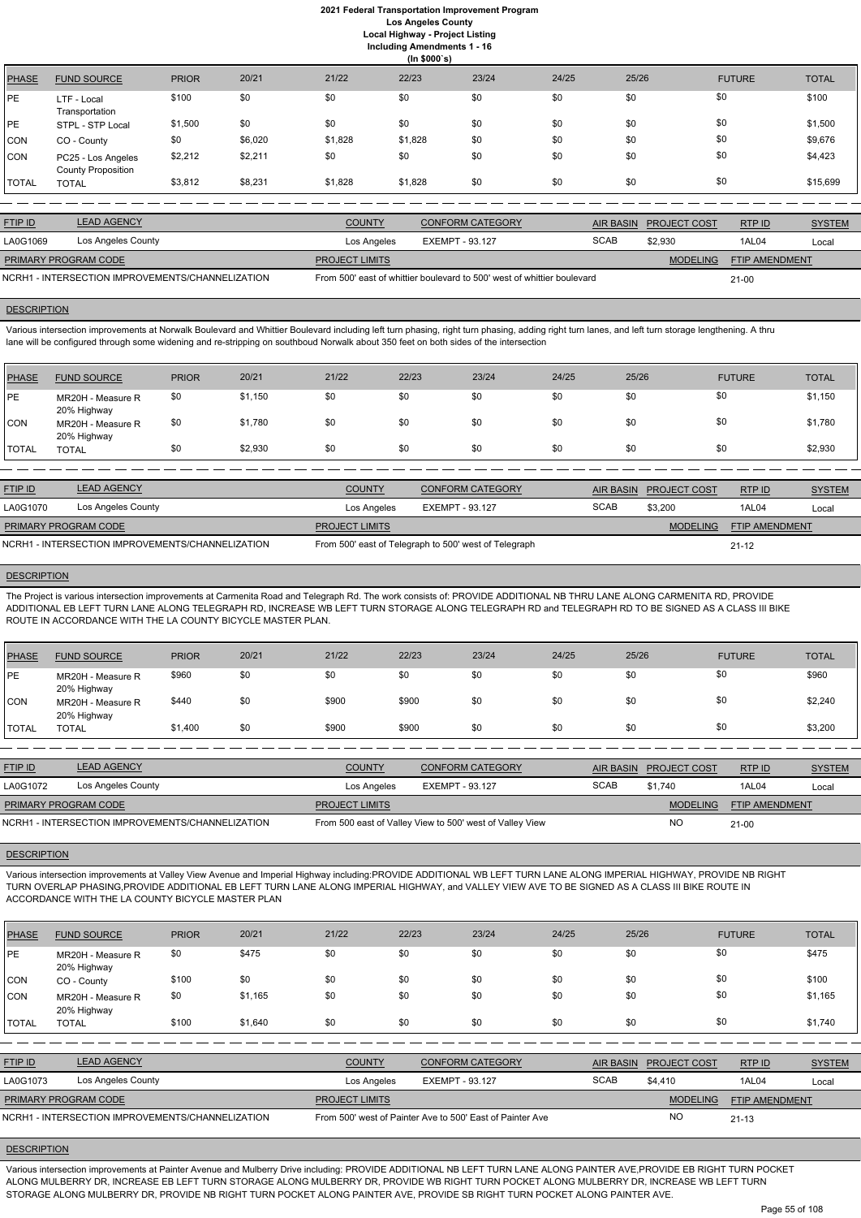**Including Amendments 1 - 16**

| 22/23<br>20/21<br>21/22<br>23/24<br>24/25<br>25/26<br><b>PRIOR</b><br><b>FUTURE</b><br><b>PHASE</b><br><b>FUND SOURCE</b><br>\$0<br>\$0<br>\$0<br>\$0<br>\$0<br>\$0<br>\$100<br>\$0<br>PЕ<br>LTF - Local<br>Transportation | (ln \$000's) |  |  |  |  |  |  |  |  |  |  |
|----------------------------------------------------------------------------------------------------------------------------------------------------------------------------------------------------------------------------|--------------|--|--|--|--|--|--|--|--|--|--|
|                                                                                                                                                                                                                            | <b>TOTAL</b> |  |  |  |  |  |  |  |  |  |  |
|                                                                                                                                                                                                                            | \$100        |  |  |  |  |  |  |  |  |  |  |
| \$0<br>\$0<br>\$0<br>\$0<br>\$0<br>\$0<br>\$0<br>\$1,500<br>PE<br>STPL - STP Local                                                                                                                                         | \$1,500      |  |  |  |  |  |  |  |  |  |  |
| \$0<br>\$0<br>\$0<br>\$0<br>\$6,020<br>\$1,828<br>\$1,828<br>\$0<br>CON<br>CO - County                                                                                                                                     | \$9,676      |  |  |  |  |  |  |  |  |  |  |
| \$0<br>\$0<br>\$0<br>\$0<br>\$0<br>\$2,212<br>\$2,211<br>\$0<br>CON<br>PC25 - Los Angeles<br><b>County Proposition</b>                                                                                                     | \$4,423      |  |  |  |  |  |  |  |  |  |  |
| \$0<br>\$0<br>\$0<br>\$3,812<br>\$8,231<br>\$0<br>\$1,828<br>\$1,828<br>TOTAL<br><b>TOTAL</b>                                                                                                                              | \$15,699     |  |  |  |  |  |  |  |  |  |  |

| <b>FTIP ID</b>       | <b>LEAD AGENCY</b>                               | <b>COUNTY</b>         | <b>CONFORM CATEGORY</b>                                                 |             | AIR BASIN PROJECT COST | RTP ID                | <b>SYSTEM</b> |
|----------------------|--------------------------------------------------|-----------------------|-------------------------------------------------------------------------|-------------|------------------------|-----------------------|---------------|
| LA0G1069             | Los Angeles County                               | Los Angeles           | EXEMPT - 93.127                                                         | <b>SCAB</b> | \$2,930                | 1AL04                 | Local         |
| PRIMARY PROGRAM CODE |                                                  | <b>PROJECT LIMITS</b> |                                                                         |             | <b>MODELING</b>        | <b>FTIP AMENDMENT</b> |               |
|                      | NCRH1 - INTERSECTION IMPROVEMENTS/CHANNELIZATION |                       | From 500' east of whittier boulevard to 500' west of whittier boulevard |             |                        | $21 - 00$             |               |

### **DESCRIPTION**

Various intersection improvements at Norwalk Boulevard and Whittier Boulevard including left turn phasing, right turn phasing, adding right turn lanes, and left turn storage lengthening. A thru lane will be configured through some widening and re-stripping on southboud Norwalk about 350 feet on both sides of the intersection

| PHASE         | <b>FUND SOURCE</b>               | <b>PRIOR</b> | 20/21   | 21/22 | 22/23 | 23/24 | 24/25 | 25/26 | <b>FUTURE</b> | <b>TOTAL</b> |
|---------------|----------------------------------|--------------|---------|-------|-------|-------|-------|-------|---------------|--------------|
| <b>PE</b>     | MR20H - Measure R<br>20% Highway | \$0          | \$1,150 | \$0   | \$0   | \$0   | \$0   | \$0   | \$0           | \$1,150      |
| CON           | MR20H - Measure R<br>20% Highway | \$0          | \$1,780 | \$0   | \$0   | \$0   | \$0   | \$0   | \$0           | \$1,780      |
| <b>ITOTAL</b> | <b>TOTAL</b>                     | \$0          | \$2,930 | \$0   | \$0   | \$0   | \$0   | \$0   | \$0           | \$2,930      |

| <b>FTIP ID</b>              | <b>LEAD AGENCY</b>                               | <b>COUNTY</b>         | <b>CONFORM CATEGORY</b>                               |             | AIR BASIN PROJECT COST | RTPID                 | <b>SYSTEM</b> |
|-----------------------------|--------------------------------------------------|-----------------------|-------------------------------------------------------|-------------|------------------------|-----------------------|---------------|
| LA0G1070                    | Los Angeles County                               | Los Angeles           | EXEMPT - 93.127                                       | <b>SCAB</b> | \$3,200                | 1AL04                 | Local         |
| <b>PRIMARY PROGRAM CODE</b> |                                                  | <b>PROJECT LIMITS</b> |                                                       |             | <b>MODELING</b>        | <b>FTIP AMENDMENT</b> |               |
|                             | NCRH1 - INTERSECTION IMPROVEMENTS/CHANNELIZATION |                       | From 500' east of Telegraph to 500' west of Telegraph |             |                        | $21 - 12$             |               |

#### **DESCRIPTION**

The Project is various intersection improvements at Carmenita Road and Telegraph Rd. The work consists of: PROVIDE ADDITIONAL NB THRU LANE ALONG CARMENITA RD, PROVIDE ADDITIONAL EB LEFT TURN LANE ALONG TELEGRAPH RD, INCREASE WB LEFT TURN STORAGE ALONG TELEGRAPH RD and TELEGRAPH RD TO BE SIGNED AS A CLASS III BIKE ROUTE IN ACCORDANCE WITH THE LA COUNTY BICYCLE MASTER PLAN.

| <b>PHASE</b> | <b>FUND SOURCE</b>                               | <b>PRIOR</b> | 20/21 | 21/22                 | 22/23                  | 23/24                                                    | 24/25       | 25/26            |                     | <b>FUTURE</b>         | <b>TOTAL</b>  |
|--------------|--------------------------------------------------|--------------|-------|-----------------------|------------------------|----------------------------------------------------------|-------------|------------------|---------------------|-----------------------|---------------|
| <b>IPE</b>   | MR20H - Measure R<br>20% Highway                 | \$960        | \$0   | \$0                   | \$0                    | \$0                                                      | \$0         | \$0              | \$0                 |                       | \$960         |
| CON          | MR20H - Measure R<br>20% Highway                 | \$440        | \$0   | \$900                 | \$900                  | \$0                                                      | \$0         | \$0              | \$0                 |                       | \$2,240       |
| <b>TOTAL</b> | <b>TOTAL</b>                                     | \$1,400      | \$0   | \$900                 | \$900                  | \$0                                                      | \$0         | \$0              | \$0                 |                       | \$3,200       |
|              |                                                  |              |       |                       |                        |                                                          |             |                  |                     |                       |               |
| FTIP ID      | <b>LEAD AGENCY</b>                               |              |       | <b>COUNTY</b>         |                        | <b>CONFORM CATEGORY</b>                                  |             | <b>AIR BASIN</b> | <b>PROJECT COST</b> | RTP ID                | <b>SYSTEM</b> |
| LA0G1072     | Los Angeles County                               |              |       | Los Angeles           | <b>EXEMPT - 93.127</b> |                                                          | <b>SCAB</b> |                  | \$1,740             | 1AL04                 | Local         |
|              | PRIMARY PROGRAM CODE                             |              |       | <b>PROJECT LIMITS</b> |                        |                                                          |             |                  | <b>MODELING</b>     | <b>FTIP AMENDMENT</b> |               |
|              | NCRH1 - INTERSECTION IMPROVEMENTS/CHANNELIZATION |              |       |                       |                        | From 500 east of Valley View to 500' west of Valley View |             |                  | <b>NO</b>           | $21 - 00$             |               |

### **DESCRIPTION**

Various intersection improvements at Valley View Avenue and Imperial Highway including:PROVIDE ADDITIONAL WB LEFT TURN LANE ALONG IMPERIAL HIGHWAY, PROVIDE NB RIGHT TURN OVERLAP PHASING,PROVIDE ADDITIONAL EB LEFT TURN LANE ALONG IMPERIAL HIGHWAY, and VALLEY VIEW AVE TO BE SIGNED AS A CLASS III BIKE ROUTE IN ACCORDANCE WITH THE LA COUNTY BICYCLE MASTER PLAN

| <b>PHASE</b>   | <b>FUND SOURCE</b>                               | <b>PRIOR</b> | 20/21   | 21/22                 | 22/23                  | 23/24                                                     | 24/25 | 25/26            |                     | <b>FUTURE</b>  | <b>TOTAL</b>  |
|----------------|--------------------------------------------------|--------------|---------|-----------------------|------------------------|-----------------------------------------------------------|-------|------------------|---------------------|----------------|---------------|
| IPE.           | MR20H - Measure R<br>20% Highway                 | \$0          | \$475   | \$0                   | \$0                    | \$0                                                       | \$0   | \$0              |                     | \$0            | \$475         |
| <b>CON</b>     | CO - County                                      | \$100        | \$0     | \$0                   | \$0                    | \$0                                                       | \$0   | \$0              |                     | \$0            | \$100         |
| CON            | MR20H - Measure R<br>20% Highway                 | \$0          | \$1,165 | \$0                   | \$0                    | \$0                                                       | \$0   | \$0              |                     | \$0            | \$1,165       |
| <b>TOTAL</b>   | <b>TOTAL</b>                                     | \$100        | \$1,640 | \$0                   | \$0                    | \$0                                                       | \$0   | \$0              |                     | \$0            | \$1,740       |
|                |                                                  |              |         |                       |                        |                                                           |       |                  |                     |                |               |
| <b>FTIP ID</b> | <b>LEAD AGENCY</b>                               |              |         | <b>COUNTY</b>         |                        | <b>CONFORM CATEGORY</b>                                   |       | <b>AIR BASIN</b> | <b>PROJECT COST</b> | RTP ID         | <b>SYSTEM</b> |
| LA0G1073       | Los Angeles County                               |              |         | Los Angeles           | <b>EXEMPT - 93.127</b> |                                                           |       | <b>SCAB</b>      | \$4,410             | <b>1AL04</b>   | Local         |
|                | PRIMARY PROGRAM CODE                             |              |         | <b>PROJECT LIMITS</b> |                        |                                                           |       |                  | <b>MODELING</b>     | FTIP AMENDMENT |               |
|                | NCRH1 - INTERSECTION IMPROVEMENTS/CHANNELIZATION |              |         |                       |                        | From 500' west of Painter Ave to 500' East of Painter Ave |       |                  | <b>NO</b>           | $21 - 13$      |               |

## **DESCRIPTION**

Various intersection improvements at Painter Avenue and Mulberry Drive including: PROVIDE ADDITIONAL NB LEFT TURN LANE ALONG PAINTER AVE,PROVIDE EB RIGHT TURN POCKET ALONG MULBERRY DR, INCREASE EB LEFT TURN STORAGE ALONG MULBERRY DR, PROVIDE WB RIGHT TURN POCKET ALONG MULBERRY DR, INCREASE WB LEFT TURN STORAGE ALONG MULBERRY DR, PROVIDE NB RIGHT TURN POCKET ALONG PAINTER AVE, PROVIDE SB RIGHT TURN POCKET ALONG PAINTER AVE.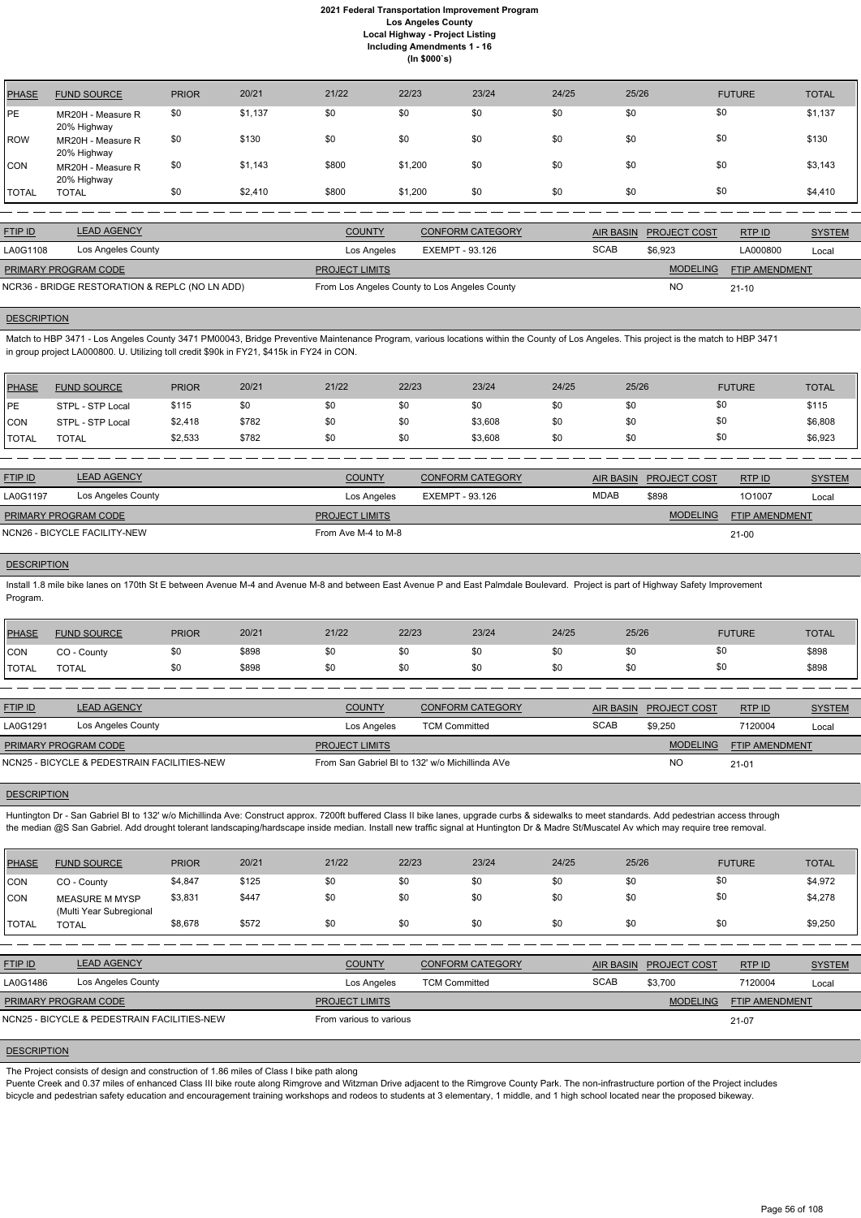| <b>PHASE</b> | <b>FUND SOURCE</b>               | <b>PRIOR</b> | 20/21   | 21/22 | 22/23   | 23/24 | 24/25 | 25/26 | <b>FUTURE</b> | <b>TOTAL</b> |
|--------------|----------------------------------|--------------|---------|-------|---------|-------|-------|-------|---------------|--------------|
| PE           | MR20H - Measure R<br>20% Highway | \$0          | \$1,137 | \$0   | \$0     | \$0   | \$0   | \$0   | \$0           | \$1,137      |
| <b>ROW</b>   | MR20H - Measure R<br>20% Highway | \$0          | \$130   | \$0   | \$0     | \$0   | \$0   | \$0   | \$0           | \$130        |
| CON          | MR20H - Measure R<br>20% Highway | \$0          | \$1,143 | \$800 | \$1,200 | \$0   | \$0   | \$0   | \$0           | \$3,143      |
| <b>TOTAL</b> | <b>TOTAL</b>                     | \$0          | \$2,410 | \$800 | \$1,200 | \$0   | \$0   | \$0   | \$0           | \$4,410      |

| <b>FTIP ID</b>                                 | <b>LEAD AGENCY</b> | <b>COUNTY</b>         | <b>CONFORM CATEGORY</b>                       |             | AIR BASIN PROJECT COST | RTPID                 | <b>SYSTEM</b> |
|------------------------------------------------|--------------------|-----------------------|-----------------------------------------------|-------------|------------------------|-----------------------|---------------|
| LA0G1108                                       | Los Angeles County | Los Angeles           | EXEMPT - 93.126                               | <b>SCAB</b> | \$6.923                | LA000800              | Local         |
| PRIMARY PROGRAM CODE                           |                    | <b>PROJECT LIMITS</b> |                                               |             | <b>MODELING</b>        | <b>FTIP AMENDMENT</b> |               |
| NCR36 - BRIDGE RESTORATION & REPLC (NO LN ADD) |                    |                       | From Los Angeles County to Los Angeles County |             | NO                     | $21 - 10$             |               |

### **DESCRIPTION**

Match to HBP 3471 - Los Angeles County 3471 PM00043, Bridge Preventive Maintenance Program, various locations within the County of Los Angeles. This project is the match to HBP 3471 in group project LA000800. U. Utilizing toll credit \$90k in FY21, \$415k in FY24 in CON.

| PHASE        | <b>FUND SOURCE</b> | <b>PRIOR</b> | 20/21 | 21/22 | 22/23 | 23/24   | 24/25 | 25/26 | <b>FUTURE</b> | <b>TOTAL</b> |
|--------------|--------------------|--------------|-------|-------|-------|---------|-------|-------|---------------|--------------|
| <b>IPE</b>   | STPL - STP Local   | \$115        | \$0   | \$0   | \$0   | \$0     | \$0   | \$0   | \$0           | \$115        |
| <b>CON</b>   | STPL - STP Local   | \$2,418      | \$782 | \$0   | \$0   | \$3,608 | \$0   | \$0   | \$0           | \$6,808      |
| <b>TOTAL</b> | TOTAL              | \$2,533      | \$782 | \$0   | \$0   | \$3,608 | \$0   | \$0   | \$0           | \$6,923      |
|              |                    |              |       |       |       |         |       |       |               |              |

Huntington Dr - San Gabriel BI to 132' w/o Michillinda Ave: Construct approx. 7200ft buffered Class II bike lanes, upgrade curbs & sidewalks to meet standards. Add pedestrian access through the median @S San Gabriel. Add drought tolerant landscaping/hardscape inside median. Install new traffic signal at Huntington Dr & Madre St/Muscatel Av which may require tree removal.

| <b>FTIP ID</b>              | <b>LEAD AGENCY</b>           | <b>COUNTY</b>         | <b>CONFORM CATEGORY</b> | AIR BASIN   | <b>PROJECT COST</b> | RTP ID                | <b>SYSTEM</b> |
|-----------------------------|------------------------------|-----------------------|-------------------------|-------------|---------------------|-----------------------|---------------|
| LA0G1197                    | Los Angeles County           | Los Angeles           | EXEMPT - 93.126         | <b>MDAB</b> | \$898               | 101007                | Local         |
| <b>PRIMARY PROGRAM CODE</b> |                              | <b>PROJECT LIMITS</b> |                         |             | <b>MODELING</b>     | <b>FTIP AMENDMENT</b> |               |
|                             | NCN26 - BICYCLE FACILITY-NEW | From Ave M-4 to M-8   |                         |             |                     | $21 - 00$             |               |

#### **DESCRIPTION**

Install 1.8 mile bike lanes on 170th St E between Avenue M-4 and Avenue M-8 and between East Avenue P and East Palmdale Boulevard. Project is part of Highway Safety Improvement Program.

| <b>PHASE</b>   | <b>FUND SOURCE</b>                          | <b>PRIOR</b> | 20/21 | 21/22                                           | 22/23                | 23/24                   | 24/25 | 25/26            |                     | <b>FUTURE</b>         | <b>TOTAL</b>  |
|----------------|---------------------------------------------|--------------|-------|-------------------------------------------------|----------------------|-------------------------|-------|------------------|---------------------|-----------------------|---------------|
| <b>ICON</b>    | CO - County                                 | \$0          | \$898 | \$0                                             | \$0                  | \$0                     | \$0   | \$0              |                     | \$0                   | \$898         |
| <b>ITOTAL</b>  | <b>TOTAL</b>                                | \$0          | \$898 | \$0                                             | \$0                  | \$0                     | \$0   | \$0              |                     | \$0                   | \$898         |
|                |                                             |              |       |                                                 |                      |                         |       |                  |                     |                       |               |
| <b>FTIP ID</b> | <b>LEAD AGENCY</b>                          |              |       | <b>COUNTY</b>                                   |                      | <b>CONFORM CATEGORY</b> |       | <b>AIR BASIN</b> | <b>PROJECT COST</b> | RTPID                 | <b>SYSTEM</b> |
| LA0G1291       | Los Angeles County                          |              |       | Los Angeles                                     | <b>TCM Committed</b> |                         |       | <b>SCAB</b>      | \$9,250             | 7120004               | Local         |
|                | PRIMARY PROGRAM CODE                        |              |       | <b>PROJECT LIMITS</b>                           |                      |                         |       |                  | <b>MODELING</b>     | <b>FTIP AMENDMENT</b> |               |
|                | NCN25 - BICYCLE & PEDESTRAIN FACILITIES-NEW |              |       | From San Gabriel BI to 132' w/o Michillinda AVe |                      |                         |       |                  | NO                  | $21 - 01$             |               |

## **DESCRIPTION**

| <b>PHASE</b> | <b>FUND SOURCE</b>                               | <b>PRIOR</b> | 20/21 | 21/22 | 22/23 | 23/24 | 24/25 | 25/26 | <b>FUTURE</b> | <b>TOTAL</b> |
|--------------|--------------------------------------------------|--------------|-------|-------|-------|-------|-------|-------|---------------|--------------|
| CON          | CO - County                                      | \$4,847      | \$125 | \$0   | \$0   | \$0   | \$0   | \$0   |               | \$4,972      |
| CON          | <b>MEASURE M MYSP</b><br>(Multi Year Subregional | \$3,831      | \$447 | \$0   | \$0   | \$0   | \$0   | \$0   |               | \$4,278      |

| <b>TOTAL</b>   | TOTAL                                       | \$8,678 | \$572 | \$0                     | \$0 | \$0                     | \$0 | \$0         | \$0                    |                       | \$9,250       |
|----------------|---------------------------------------------|---------|-------|-------------------------|-----|-------------------------|-----|-------------|------------------------|-----------------------|---------------|
|                |                                             |         |       |                         |     |                         |     |             |                        |                       |               |
| <b>FTIP ID</b> | <b>LEAD AGENCY</b>                          |         |       | <b>COUNTY</b>           |     | <b>CONFORM CATEGORY</b> |     |             | AIR BASIN PROJECT COST | RTP ID                | <b>SYSTEM</b> |
| LA0G1486       | Los Angeles County                          |         |       | Los Angeles             |     | <b>TCM Committed</b>    |     | <b>SCAB</b> | \$3,700                | 7120004               | Local         |
|                | PRIMARY PROGRAM CODE                        |         |       | <b>PROJECT LIMITS</b>   |     |                         |     |             | <b>MODELING</b>        | <b>FTIP AMENDMENT</b> |               |
|                | NCN25 - BICYCLE & PEDESTRAIN FACILITIES-NEW |         |       | From various to various |     |                         |     |             |                        | 21-07                 |               |

## **DESCRIPTION**

The Project consists of design and construction of 1.86 miles of Class I bike path along

Puente Creek and 0.37 miles of enhanced Class III bike route along Rimgrove and Witzman Drive adjacent to the Rimgrove County Park. The non-infrastructure portion of the Project includes

bicycle and pedestrian safety education and encouragement training workshops and rodeos to students at 3 elementary, 1 middle, and 1 high school located near the proposed bikeway.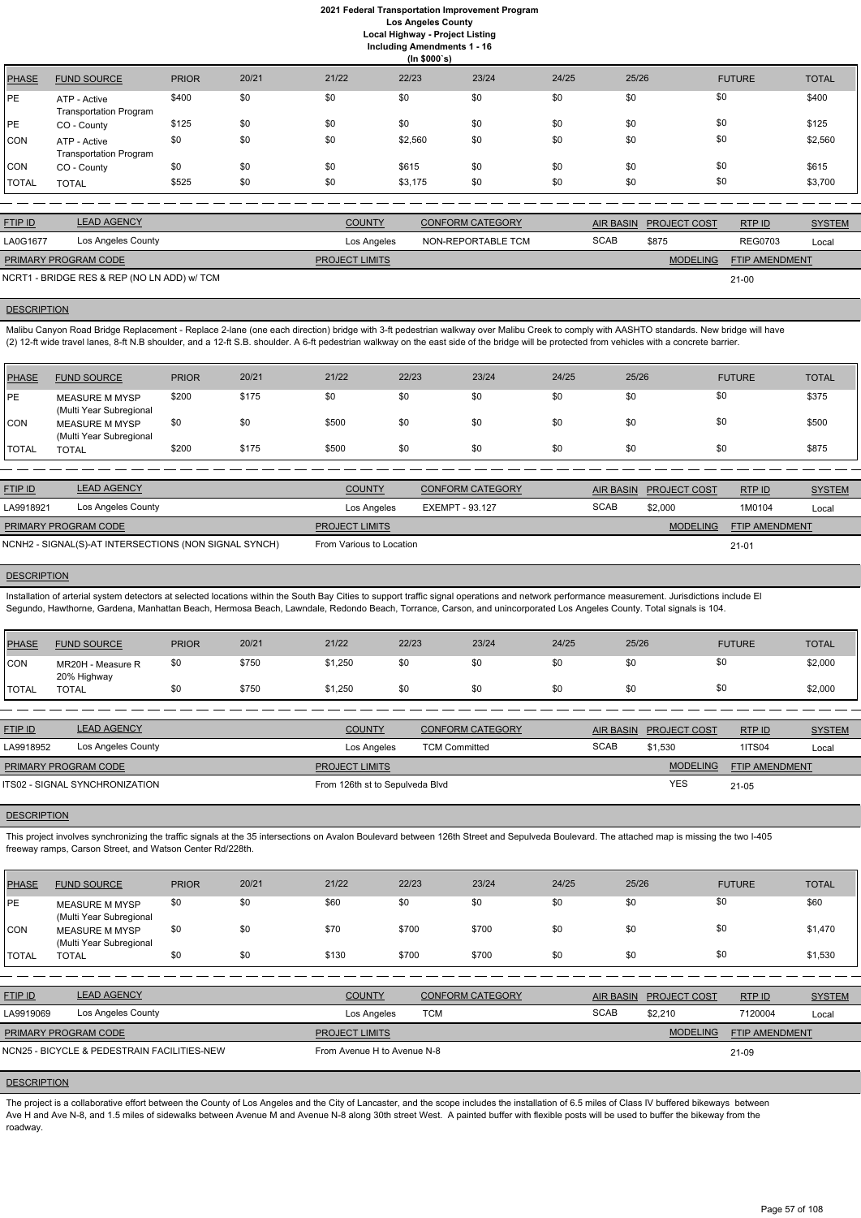**Including Amendments 1 - 16**

| (ln \$000's) |                                               |              |       |       |         |       |       |       |               |              |
|--------------|-----------------------------------------------|--------------|-------|-------|---------|-------|-------|-------|---------------|--------------|
| <b>PHASE</b> | <b>FUND SOURCE</b>                            | <b>PRIOR</b> | 20/21 | 21/22 | 22/23   | 23/24 | 24/25 | 25/26 | <b>FUTURE</b> | <b>TOTAL</b> |
| PЕ           | ATP - Active<br><b>Transportation Program</b> | \$400        | \$0   | \$0   | \$0     | \$0   | \$0   | \$0   | \$0           | \$400        |
| PЕ           | CO - County                                   | \$125        | \$0   | \$0   | \$0     | \$0   | \$0   | \$0   | \$0           | \$125        |
| CON          | ATP - Active<br><b>Transportation Program</b> | \$0          | \$0   | \$0   | \$2,560 | \$0   | \$0   | \$0   | \$0           | \$2,560      |
| CON          | CO - County                                   | \$0          | \$0   | \$0   | \$615   | \$0   | \$0   | \$0   | \$0           | \$615        |
| TOTAL        | <b>TOTAL</b>                                  | \$525        | \$0   | \$0   | \$3,175 | \$0   | \$0   | \$0   | \$0           | \$3,700      |
|              |                                               |              |       |       |         |       |       |       |               |              |

| <b>FTIP ID</b>              | <b>LEAD AGENCY</b>                          | <b>COUNTY</b>         | <b>CONFORM CATEGORY</b> |             | AIR BASIN PROJECT COST | RTP ID                | <b>SYSTEM</b> |
|-----------------------------|---------------------------------------------|-----------------------|-------------------------|-------------|------------------------|-----------------------|---------------|
| LA0G1677                    | Los Angeles County                          | Los Angeles           | NON-REPORTABLE TCM      | <b>SCAB</b> | \$875                  | <b>REG0703</b>        | Local         |
| <b>PRIMARY PROGRAM CODE</b> |                                             | <b>PROJECT LIMITS</b> |                         |             | <b>MODELING</b>        | <b>FTIP AMENDMENT</b> |               |
|                             | NCRT1 - BRIDGE RES & REP (NO LN ADD) w/ TCM |                       |                         |             |                        | $21 - 00$             |               |

#### **DESCRIPTION**

Installation of arterial system detectors at selected locations within the South Bay Cities to support traffic signal operations and network performance measurement. Jurisdictions include El Segundo, Hawthorne, Gardena, Manhattan Beach, Hermosa Beach, Lawndale, Redondo Beach, Torrance, Carson, and unincorporated Los Angeles County. Total signals is 104.

Malibu Canyon Road Bridge Replacement - Replace 2-lane (one each direction) bridge with 3-ft pedestrian walkway over Malibu Creek to comply with AASHTO standards. New bridge will have (2) 12-ft wide travel lanes, 8-ft N.B shoulder, and a 12-ft S.B. shoulder. A 6-ft pedestrian walkway on the east side of the bridge will be protected from vehicles with a concrete barrier.

| PHASE       | <b>FUND SOURCE</b>                        | <b>PRIOR</b> | 20/21 | 21/22 | 22/23 | 23/24 | 24/25 | 25/26 | <b>FUTURE</b> | <b>TOTAL</b> |
|-------------|-------------------------------------------|--------------|-------|-------|-------|-------|-------|-------|---------------|--------------|
| <b>IPE</b>  | MEASURE M MYSP<br>(Multi Year Subregional | \$200        | \$175 | \$0   | \$0   | \$0   | \$0   | \$0   | \$0           | \$375        |
| <b>ICON</b> | MEASURE M MYSP<br>(Multi Year Subregional | \$0          | \$0   | \$500 | \$0   | \$0   | \$0   | \$0   | \$0           | \$500        |
| I TOTAL     | <b>TOTAL</b>                              | \$200        | \$175 | \$500 | \$0   | \$0   | \$0   | \$0   | \$0           | \$875        |

| <b>FTIP ID</b>              | <b>LEAD AGENCY</b>                                    | <b>COUNTY</b>            | <b>CONFORM CATEGORY</b> |             | AIR BASIN PROJECT COST | RTPID                 | <b>SYSTEM</b> |
|-----------------------------|-------------------------------------------------------|--------------------------|-------------------------|-------------|------------------------|-----------------------|---------------|
| LA9918921                   | Los Angeles County                                    | Los Angeles              | EXEMPT - 93.127         | <b>SCAB</b> | \$2,000                | 1M0104                | Local         |
| <b>PRIMARY PROGRAM CODE</b> |                                                       | <b>PROJECT LIMITS</b>    |                         |             | <b>MODELING</b>        | <b>FTIP AMENDMENT</b> |               |
|                             | NCNH2 - SIGNAL(S)-AT INTERSECTIONS (NON SIGNAL SYNCH) | From Various to Location |                         |             |                        | $21 - 01$             |               |

### **DESCRIPTION**

The project is a collaborative effort between the County of Los Angeles and the City of Lancaster, and the scope includes the installation of 6.5 miles of Class IV buffered bikeways between Ave H and Ave N-8, and 1.5 miles of sidewalks between Avenue M and Avenue N-8 along 30th street West. A painted buffer with flexible posts will be used to buffer the bikeway from the roadway.

| <b>PHASE</b>   | <b>FUND SOURCE</b>                    | <b>PRIOR</b> | 20/21 | 21/22                           | 22/23                | 23/24                   | 24/25 | 25/26            |                     | <b>FUTURE</b>         | <b>TOTAL</b>  |
|----------------|---------------------------------------|--------------|-------|---------------------------------|----------------------|-------------------------|-------|------------------|---------------------|-----------------------|---------------|
| <b>CON</b>     | MR20H - Measure R                     | \$0          | \$750 | \$1,250                         | \$0                  | \$0                     | \$0   | \$0              | \$0                 |                       | \$2,000       |
| <b>TOTAL</b>   | 20% Highway<br><b>TOTAL</b>           | \$0          | \$750 | \$1,250                         | \$0                  | \$0                     | \$0   | \$0              | \$0                 |                       | \$2,000       |
|                |                                       |              |       |                                 |                      |                         |       |                  |                     |                       |               |
| <b>FTIP ID</b> | <b>LEAD AGENCY</b>                    |              |       | <b>COUNTY</b>                   |                      | <b>CONFORM CATEGORY</b> |       | <b>AIR BASIN</b> | <b>PROJECT COST</b> | RTPID                 | <b>SYSTEM</b> |
| LA9918952      | Los Angeles County                    |              |       | Los Angeles                     | <b>TCM Committed</b> |                         |       | <b>SCAB</b>      | \$1,530             | <b>1ITS04</b>         | Local         |
|                | PRIMARY PROGRAM CODE                  |              |       | <b>PROJECT LIMITS</b>           |                      |                         |       |                  | <b>MODELING</b>     | <b>FTIP AMENDMENT</b> |               |
|                | <b>ITS02 - SIGNAL SYNCHRONIZATION</b> |              |       | From 126th st to Sepulveda Blvd |                      |                         |       |                  | <b>YES</b>          | $21 - 05$             |               |

#### **DESCRIPTION**

This project involves synchronizing the traffic signals at the 35 intersections on Avalon Boulevard between 126th Street and Sepulveda Boulevard. The attached map is missing the two I-405 freeway ramps, Carson Street, and Watson Center Rd/228th.

| <b>PHASE</b> | <b>FUND SOURCE</b>                               | <b>PRIOR</b> | 20/21 | 21/22 | 22/23 | 23/24 | 24/25 | 25/26 | <b>FUTURE</b> | <b>TOTAL</b> |
|--------------|--------------------------------------------------|--------------|-------|-------|-------|-------|-------|-------|---------------|--------------|
| PE           | <b>MEASURE M MYSP</b><br>(Multi Year Subregional | \$0          |       | \$60  |       |       | \$0   | \$0   | \$0           | \$60         |

| <b>CON</b>     | <b>MEASURE M MYSP</b><br>(Multi Year Subregional | \$0 | \$0 | \$70                        | \$700      | \$700                   | \$0 | \$0              | \$0                 |                | \$1,470       |
|----------------|--------------------------------------------------|-----|-----|-----------------------------|------------|-------------------------|-----|------------------|---------------------|----------------|---------------|
| <b>I</b> TOTAL | <b>TOTAL</b>                                     | \$0 | \$0 | \$130                       | \$700      | \$700                   | \$0 | \$0              | \$0                 |                | \$1,530       |
|                |                                                  |     |     |                             |            |                         |     |                  |                     |                |               |
| <b>FTIP ID</b> | <b>LEAD AGENCY</b>                               |     |     | <b>COUNTY</b>               |            | <b>CONFORM CATEGORY</b> |     | <b>AIR BASIN</b> | <b>PROJECT COST</b> | RTPID          | <b>SYSTEM</b> |
| LA9919069      | Los Angeles County                               |     |     | Los Angeles                 | <b>TCM</b> |                         |     | <b>SCAB</b>      | \$2.210             | 7120004        | Local         |
|                | PRIMARY PROGRAM CODE                             |     |     | <b>PROJECT LIMITS</b>       |            |                         |     |                  | <b>MODELING</b>     | FTIP AMENDMENT |               |
|                | NCN25 - BICYCLE & PEDESTRAIN FACILITIES-NEW      |     |     | From Avenue H to Avenue N-8 |            |                         |     |                  |                     | 21-09          |               |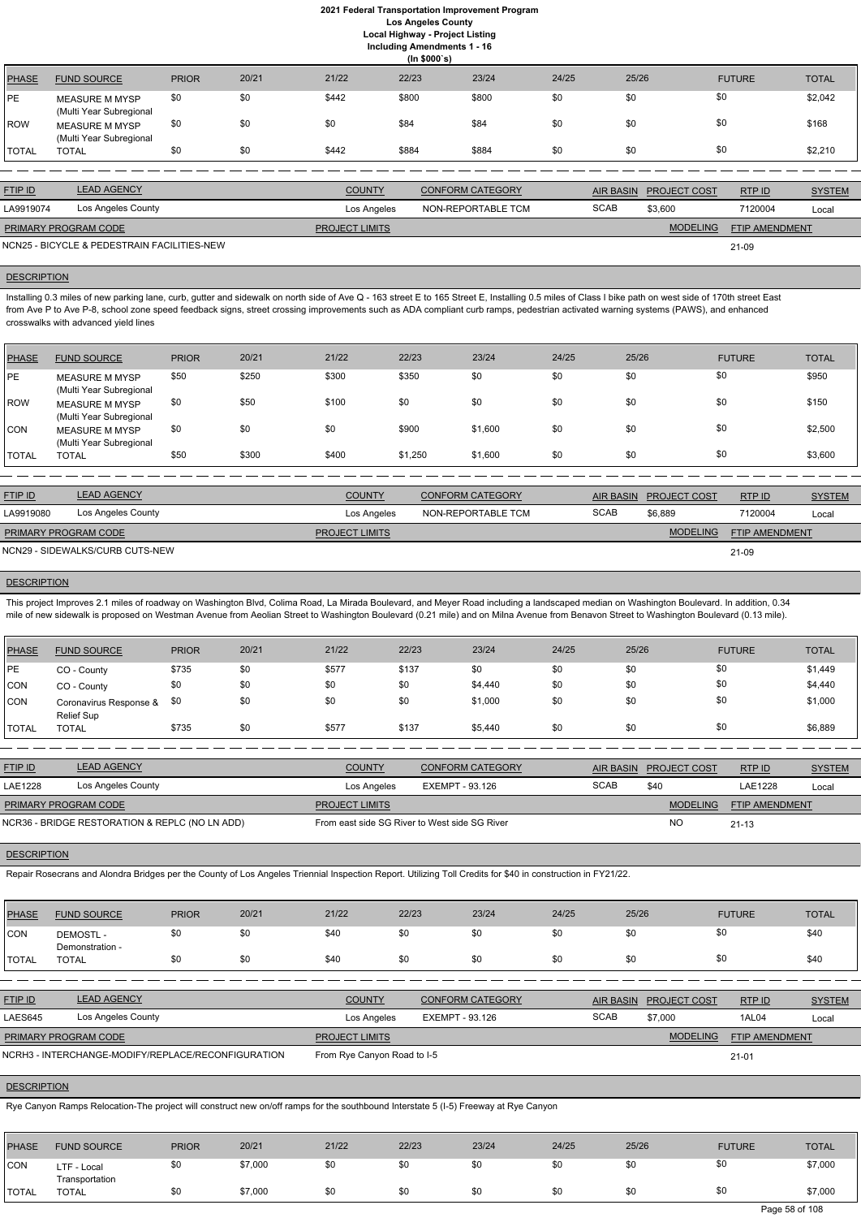**Including Amendments 1 - 16**

| (ln \$000's)   |                                                                                           |              |       |               |       |                         |       |                  |                     |               |               |  |
|----------------|-------------------------------------------------------------------------------------------|--------------|-------|---------------|-------|-------------------------|-------|------------------|---------------------|---------------|---------------|--|
| <b>PHASE</b>   | <b>FUND SOURCE</b>                                                                        | <b>PRIOR</b> | 20/21 | 21/22         | 22/23 | 23/24                   | 24/25 | 25/26            |                     | <b>FUTURE</b> | <b>TOTAL</b>  |  |
| PE             | <b>MEASURE M MYSP</b><br>(Multi Year Subregional                                          | \$0          | \$0   | \$442         | \$800 | \$800                   | \$0   | \$0              | \$0                 |               | \$2,042       |  |
| ROW            | <b>MEASURE M MYSP</b><br>(Multi Year Subregional                                          | \$0          | \$0   | \$0           | \$84  | \$84                    | \$0   | \$0              | \$0                 |               | \$168         |  |
| <b>TOTAL</b>   | <b>TOTAL</b>                                                                              | \$0          | \$0   | \$442         | \$884 | \$884                   | \$0   | \$0              | \$0                 |               | \$2,210       |  |
|                |                                                                                           |              |       |               |       |                         |       |                  |                     |               |               |  |
| <b>FTIP ID</b> | <b>LEAD AGENCY</b>                                                                        |              |       | <b>COUNTY</b> |       | <b>CONFORM CATEGORY</b> |       | <b>AIR BASIN</b> | <b>PROJECT COST</b> | RTP ID        | <b>SYSTEM</b> |  |
| LA9919074      | Los Angeles County                                                                        |              |       | Los Angeles   |       | NON-REPORTABLE TCM      |       | <b>SCAB</b>      | \$3,600             | 7120004       | Local         |  |
|                | <b>MODELING</b><br>PRIMARY PROGRAM CODE<br><b>PROJECT LIMITS</b><br><b>FTIP AMENDMENT</b> |              |       |               |       |                         |       |                  |                     |               |               |  |
|                | NCN25 - BICYCLE & PEDESTRAIN FACILITIES-NEW                                               |              |       |               |       |                         |       |                  |                     | 21-09         |               |  |

Installing 0.3 miles of new parking lane, curb, gutter and sidewalk on north side of Ave Q - 163 street E to 165 Street E, Installing 0.5 miles of Class I bike path on west side of 170th street East from Ave P to Ave P-8, school zone speed feedback signs, street crossing improvements such as ADA compliant curb ramps, pedestrian activated warning systems (PAWS), and enhanced crosswalks with advanced yield lines

## **DESCRIPTION**

| PHASE        | <b>FUND SOURCE</b>                               | <b>PRIOR</b> | 20/21 | 21/22 | 22/23   | 23/24   | 24/25 | 25/26 | <b>FUTURE</b> | <b>TOTAL</b> |
|--------------|--------------------------------------------------|--------------|-------|-------|---------|---------|-------|-------|---------------|--------------|
| PE           | <b>MEASURE M MYSP</b><br>(Multi Year Subregional | \$50         | \$250 | \$300 | \$350   | \$0     | \$0   | \$0   | \$0           | \$950        |
| ROW          | <b>MEASURE M MYSP</b><br>(Multi Year Subregional | \$0          | \$50  | \$100 | \$0     | \$0     | \$0   | \$0   | \$0           | \$150        |
| CON          | <b>MEASURE M MYSP</b><br>(Multi Year Subregional | \$0          | \$0   | \$0   | \$900   | \$1,600 | \$0   | \$0   | \$0           | \$2,500      |
| <b>TOTAL</b> | <b>TOTAL</b>                                     | \$50         | \$300 | \$400 | \$1,250 | \$1,600 | \$0   | \$0   | \$0           | \$3,600      |

| <b>FTIP ID</b>              | <b>LEAD AGENCY</b>              | <b>COUNTY</b>         | CONFORM CATEGORY   |             | AIR BASIN PROJECT COST | RTP ID                | <b>SYSTEM</b> |
|-----------------------------|---------------------------------|-----------------------|--------------------|-------------|------------------------|-----------------------|---------------|
| LA9919080                   | Los Angeles County              | Los Angeles           | NON-REPORTABLE TCM | <b>SCAB</b> | \$6,889                | 7120004               | Local         |
| <b>PRIMARY PROGRAM CODE</b> |                                 | <b>PROJECT LIMITS</b> |                    |             | <b>MODELING</b>        | <b>FTIP AMENDMENT</b> |               |
|                             | NCN29 - SIDEWALKS/CURB CUTS-NEW |                       |                    |             |                        | 21-09                 |               |

### **DESCRIPTION**

This project Improves 2.1 miles of roadway on Washington Blvd, Colima Road, La Mirada Boulevard, and Meyer Road including a landscaped median on Washington Boulevard. In addition, 0.34 mile of new sidewalk is proposed on Westman Avenue from Aeolian Street to Washington Boulevard (0.21 mile) and on Milna Avenue from Benavon Street to Washington Boulevard (0.13 mile).

| PHASE          | <b>FUND SOURCE</b>                             | <b>PRIOR</b> | 20/21 | 21/22                                         | 22/23                  | 23/24                   | 24/25       | 25/26            |                     | <b>FUTURE</b>  | <b>TOTAL</b>  |
|----------------|------------------------------------------------|--------------|-------|-----------------------------------------------|------------------------|-------------------------|-------------|------------------|---------------------|----------------|---------------|
| PE             | CO - County                                    | \$735        | \$0   | \$577                                         | \$137                  | \$0                     | \$0         | \$0              | \$0                 |                | \$1,449       |
| CON            | CO - County                                    | \$0          | \$0   | \$0                                           | \$0                    | \$4,440                 | \$0         | \$0              | \$0                 |                | \$4,440       |
| CON            | Coronavirus Response &<br><b>Relief Sup</b>    | \$0          | \$0   | \$0                                           | \$0                    | \$1,000                 | \$0         | \$0              | \$0                 |                | \$1,000       |
| <b>TOTAL</b>   | <b>TOTAL</b>                                   | \$735        | \$0   | \$577                                         | \$137                  | \$5,440                 | \$0         | \$0              | \$0                 |                | \$6,889       |
|                |                                                |              |       |                                               |                        |                         |             |                  |                     |                |               |
| FTIP ID        | <b>LEAD AGENCY</b>                             |              |       | <b>COUNTY</b>                                 |                        | <b>CONFORM CATEGORY</b> |             | <b>AIR BASIN</b> | <b>PROJECT COST</b> | RTP ID         | <b>SYSTEM</b> |
| <b>LAE1228</b> | Los Angeles County                             |              |       | Los Angeles                                   | <b>EXEMPT - 93.126</b> |                         | <b>SCAB</b> |                  | \$40                | LAE1228        | Local         |
|                | PRIMARY PROGRAM CODE                           |              |       | <b>PROJECT LIMITS</b>                         |                        |                         |             |                  | <b>MODELING</b>     | FTIP AMENDMENT |               |
|                | NCR36 - BRIDGE RESTORATION & REPLC (NO LN ADD) |              |       | From east side SG River to West side SG River |                        |                         |             |                  | <b>NO</b>           | $21 - 13$      |               |

## **DESCRIPTION**

Repair Rosecrans and Alondra Bridges per the County of Los Angeles Triennial Inspection Report. Utilizing Toll Credits for \$40 in construction in FY21/22.

| <b>CON</b>     | DEMOSTL -<br>Demonstration -                       | \$0 | \$0 | \$40                        | \$0         | \$0                     | \$0 | \$0         | \$0                    |                | \$40          |  |
|----------------|----------------------------------------------------|-----|-----|-----------------------------|-------------|-------------------------|-----|-------------|------------------------|----------------|---------------|--|
| <b>ITOTAL</b>  | <b>TOTAL</b>                                       | \$0 | \$0 | \$40                        | \$0         | \$0                     | \$0 | \$0         | \$0                    |                | \$40          |  |
|                |                                                    |     |     |                             |             |                         |     |             |                        |                |               |  |
| <b>FTIP ID</b> | <b>LEAD AGENCY</b>                                 |     |     | <b>COUNTY</b>               |             | <b>CONFORM CATEGORY</b> |     |             | AIR BASIN PROJECT COST | RTP ID         | <b>SYSTEM</b> |  |
| LAES645        | Los Angeles County                                 |     |     |                             | Los Angeles | EXEMPT - 93.126         |     | <b>SCAB</b> | \$7.000                | 1AL04          | Local         |  |
|                | PRIMARY PROGRAM CODE                               |     |     | <b>PROJECT LIMITS</b>       |             |                         |     |             | <b>MODELING</b>        | FTIP AMENDMENT |               |  |
|                | NCRH3 - INTERCHANGE-MODIFY/REPLACE/RECONFIGURATION |     |     | From Rye Canyon Road to I-5 |             |                         |     |             | $21 - 01$              |                |               |  |

# **DESCRIPTION**

Rye Canyon Ramps Relocation-The project will construct new on/off ramps for the southbound Interstate 5 (I-5) Freeway at Rye Canyon

| PHASE        | <b>FUND SOURCE</b>            | <b>PRIOR</b> | 20/21   | 21/22 | 22/23 | 23/24 | 24/25 | 25/26 | <b>FUTURE</b> | <b>TOTAL</b> |
|--------------|-------------------------------|--------------|---------|-------|-------|-------|-------|-------|---------------|--------------|
| <b>CON</b>   | LTF - Local<br>Transportation | \$0          | \$7,000 | \$0   | \$0   | \$0   | \$0   | \$0   | \$0           | \$7,000      |
| <b>TOTAL</b> | TOTAL                         | \$0          | \$7,000 | \$0   | \$0   | \$0   | \$0   | \$0   | \$0           | \$7,000      |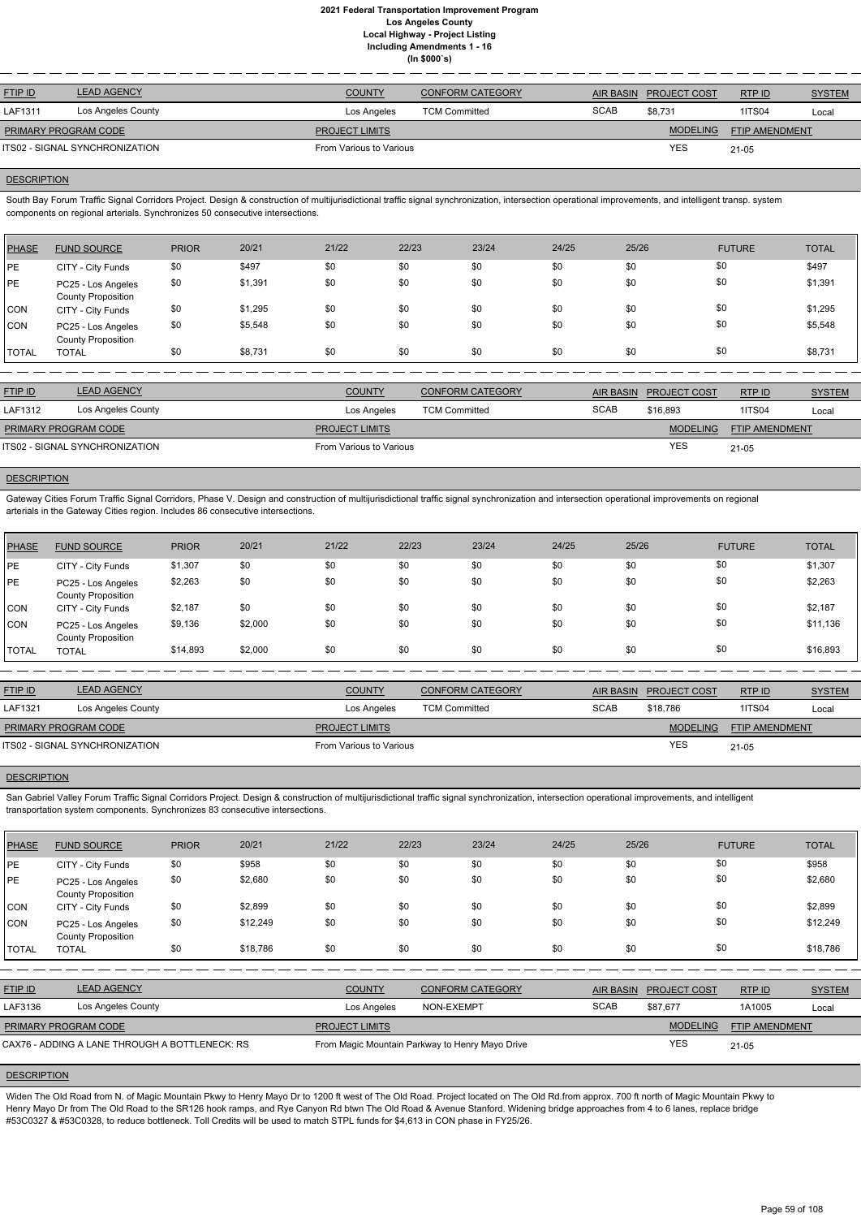| <b>LEAD AGENCY</b>             | <b>COUNTY</b>         | <b>CONFORM CATEGORY</b> | <b>AIR BASIN</b>        |                 | RTP ID              | <b>SYSTEM</b>         |
|--------------------------------|-----------------------|-------------------------|-------------------------|-----------------|---------------------|-----------------------|
| Los Angeles County             | Los Angeles           | <b>TCM Committed</b>    | <b>SCAB</b>             | \$8.731         | 1ITS04              | Local                 |
| <b>PRIMARY PROGRAM CODE</b>    | <b>PROJECT LIMITS</b> |                         |                         | <b>MODELING</b> |                     |                       |
| ITS02 - SIGNAL SYNCHRONIZATION |                       |                         |                         | <b>YES</b>      | 21-05               |                       |
|                                |                       |                         | From Various to Various |                 | <b>PROJECT COST</b> | <b>FTIP AMENDMENT</b> |

## **DESCRIPTION**

South Bay Forum Traffic Signal Corridors Project. Design & construction of multijurisdictional traffic signal synchronization, intersection operational improvements, and intelligent transp. system components on regional arterials. Synchronizes 50 consecutive intersections.

Gateway Cities Forum Traffic Signal Corridors, Phase V. Design and construction of multijurisdictional traffic signal synchronization and intersection operational improvements on regional arterials in the Gateway Cities region. Includes 86 consecutive intersections.

| PHASE        | <b>FUND SOURCE</b>                              | <b>PRIOR</b> | 20/21   | 21/22 | 22/23 | 23/24 | 24/25 | 25/26 | <b>FUTURE</b> | <b>TOTAL</b> |
|--------------|-------------------------------------------------|--------------|---------|-------|-------|-------|-------|-------|---------------|--------------|
| <b>IPE</b>   | CITY - City Funds                               | \$0          | \$497   | \$0   | \$0   | \$0   | \$0   | \$0   | \$0           | \$497        |
| <b>IPE</b>   | PC25 - Los Angeles<br><b>County Proposition</b> | \$0          | \$1,391 | \$0   | \$0   | \$0   | \$0   | \$0   | \$0           | \$1,391      |
| <b>CON</b>   | CITY - City Funds                               | \$0          | \$1,295 | \$0   | \$0   | \$0   | \$0   | \$0   | \$0           | \$1,295      |
| <b>CON</b>   | PC25 - Los Angeles<br><b>County Proposition</b> | \$0          | \$5,548 | \$0   | \$0   | \$0   | \$0   | \$0   | \$0           | \$5,548      |
| <b>TOTAL</b> | <b>TOTAL</b>                                    | \$0          | \$8,731 | \$0   | \$0   | \$0   | \$0   | \$0   | \$0           | \$8,731      |

| <b>FTIP ID</b>                 | <b>LEAD AGENCY</b> | <b>COUNTY</b>           | <b>CONFORM CATEGORY</b> |             | AIR BASIN PROJECT COST | RTP ID                | <b>SYSTEM</b> |
|--------------------------------|--------------------|-------------------------|-------------------------|-------------|------------------------|-----------------------|---------------|
| LAF1312                        | Los Angeles County | Los Angeles             | <b>TCM Committed</b>    | <b>SCAB</b> | \$16,893               | 1ITS04                | Local         |
| <b>PRIMARY PROGRAM CODE</b>    |                    | <b>PROJECT LIMITS</b>   |                         |             | <b>MODELING</b>        | <b>FTIP AMENDMENT</b> |               |
| ITS02 - SIGNAL SYNCHRONIZATION |                    | From Various to Various |                         |             | <b>YES</b>             | $21 - 05$             |               |

## **DESCRIPTION**

San Gabriel Valley Forum Traffic Signal Corridors Project. Design & construction of multijurisdictional traffic signal synchronization, intersection operational improvements, and intelligent transportation system components. Synchronizes 83 consecutive intersections.

| <b>PHASE</b> | <b>FUND SOURCE</b>                              | <b>PRIOR</b> | 20/21   | 21/22 | 22/23 | 23/24 | 24/25 | 25/26 | <b>FUTURE</b> | <b>TOTAL</b> |
|--------------|-------------------------------------------------|--------------|---------|-------|-------|-------|-------|-------|---------------|--------------|
| PE           | CITY - City Funds                               | \$1,307      | \$0     | \$0   | \$0   | \$0   | \$0   | \$0   | \$0           | \$1,307      |
| PE           | PC25 - Los Angeles<br><b>County Proposition</b> | \$2,263      | \$0     | \$0   | \$0   | \$0   | \$0   | \$0   | \$0           | \$2,263      |
| <b>CON</b>   | CITY - City Funds                               | \$2,187      | \$0     | \$0   | \$0   | \$0   | \$0   | \$0   | \$0           | \$2,187      |
| CON          | PC25 - Los Angeles<br><b>County Proposition</b> | \$9,136      | \$2,000 | \$0   | \$0   | \$0   | \$0   | \$0   | \$0           | \$11,136     |
| <b>TOTAL</b> | <b>TOTAL</b>                                    | \$14,893     | \$2,000 | \$0   | \$0   | \$0   | \$0   | \$0   | \$0           | \$16,893     |

| <b>FTIP ID</b>                 | LEAD AGENCY        | <b>COUNTY</b>           | <b>CONFORM CATEGORY</b> |             | AIR BASIN PROJECT COST | RTP ID                | <b>SYSTEM</b> |
|--------------------------------|--------------------|-------------------------|-------------------------|-------------|------------------------|-----------------------|---------------|
| LAF1321                        | Los Angeles County | Los Angeles             | <b>TCM Committed</b>    | <b>SCAB</b> | \$18.786               | <b>1ITS04</b>         | Local         |
| PRIMARY PROGRAM CODE           |                    | <b>PROJECT LIMITS</b>   |                         |             | <b>MODELING</b>        | <b>FTIP AMENDMENT</b> |               |
| ITS02 - SIGNAL SYNCHRONIZATION |                    | From Various to Various |                         |             | <b>YES</b>             | $21 - 05$             |               |
|                                |                    |                         |                         |             |                        |                       |               |

### **DESCRIPTION**

| <b>PHASE</b>   | <b>FUND SOURCE</b>                              | <b>PRIOR</b> | 20/21    | 21/22                                           | 22/23      | 23/24                   | 24/25       | 25/26            |                     | <b>FUTURE</b>         | <b>TOTAL</b>  |
|----------------|-------------------------------------------------|--------------|----------|-------------------------------------------------|------------|-------------------------|-------------|------------------|---------------------|-----------------------|---------------|
| PE             | CITY - City Funds                               | \$0          | \$958    | \$0                                             | \$0        | \$0                     | \$0         | \$0              | \$0                 |                       | \$958         |
| <b>PE</b>      | PC25 - Los Angeles<br><b>County Proposition</b> | \$0          | \$2,680  | \$0                                             | \$0        | \$0                     | \$0         | \$0              | \$0                 |                       | \$2,680       |
| CON            | CITY - City Funds                               | \$0          | \$2,899  | \$0                                             | \$0        | \$0                     | \$0         | \$0              | \$0                 |                       | \$2,899       |
| CON            | PC25 - Los Angeles<br><b>County Proposition</b> | \$0          | \$12,249 | \$0                                             | \$0        | \$0                     | \$0         | \$0              | \$0                 |                       | \$12,249      |
| <b>TOTAL</b>   | <b>TOTAL</b>                                    | \$0          | \$18,786 | \$0                                             | \$0        | \$0                     | \$0         | \$0              | \$0                 |                       | \$18,786      |
|                |                                                 |              |          |                                                 |            |                         |             |                  |                     |                       |               |
| <b>FTIP ID</b> | <b>LEAD AGENCY</b>                              |              |          | <b>COUNTY</b>                                   |            | <b>CONFORM CATEGORY</b> |             | <b>AIR BASIN</b> | <b>PROJECT COST</b> | RTP ID                | <b>SYSTEM</b> |
| LAF3136        | Los Angeles County                              |              |          | Los Angeles                                     | NON-EXEMPT |                         | <b>SCAB</b> |                  | \$87,677            | 1A1005                | Local         |
|                | PRIMARY PROGRAM CODE                            |              |          | PROJECT LIMITS                                  |            |                         |             |                  | <b>MODELING</b>     | <b>FTIP AMENDMENT</b> |               |
|                | CAX76 - ADDING A LANE THROUGH A BOTTLENECK: RS  |              |          | From Magic Mountain Parkway to Henry Mayo Drive |            |                         |             |                  | <b>YES</b>          | $21 - 05$             |               |

# **DESCRIPTION**

Widen The Old Road from N. of Magic Mountain Pkwy to Henry Mayo Dr to 1200 ft west of The Old Road. Project located on The Old Rd.from approx. 700 ft north of Magic Mountain Pkwy to Henry Mayo Dr from The Old Road to the SR126 hook ramps, and Rye Canyon Rd btwn The Old Road & Avenue Stanford. Widening bridge approaches from 4 to 6 lanes, replace bridge #53C0327 & #53C0328, to reduce bottleneck. Toll Credits will be used to match STPL funds for \$4,613 in CON phase in FY25/26.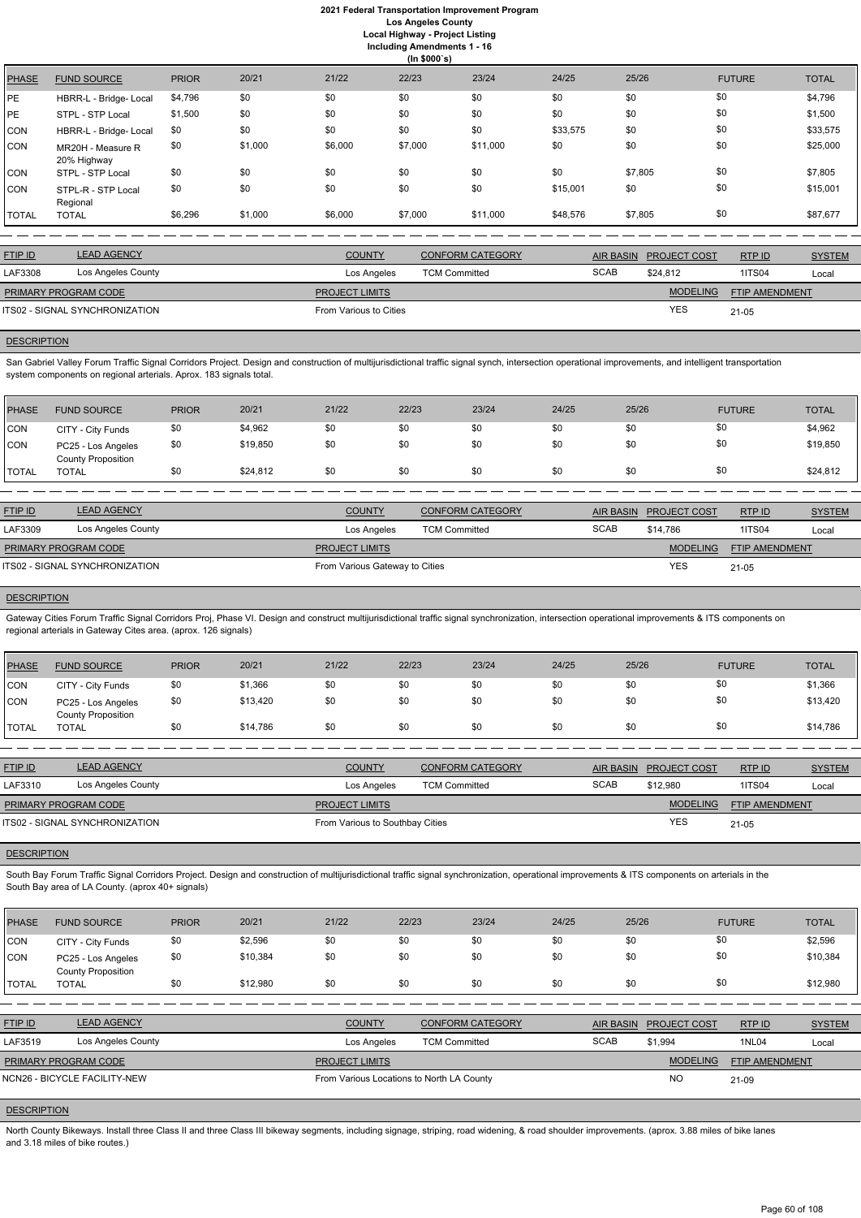|              | (ln \$000's)                     |              |         |         |         |          |          |         |               |              |  |
|--------------|----------------------------------|--------------|---------|---------|---------|----------|----------|---------|---------------|--------------|--|
| <b>PHASE</b> | <b>FUND SOURCE</b>               | <b>PRIOR</b> | 20/21   | 21/22   | 22/23   | 23/24    | 24/25    | 25/26   | <b>FUTURE</b> | <b>TOTAL</b> |  |
| <b>PE</b>    | HBRR-L - Bridge- Local           | \$4,796      | \$0     | \$0     | \$0     | \$0      | \$0      | \$0     | \$0           | \$4,796      |  |
| <b>PE</b>    | STPL - STP Local                 | \$1,500      | \$0     | \$0     | \$0     | \$0      | \$0      | \$0     | \$0           | \$1,500      |  |
| <b>CON</b>   | HBRR-L - Bridge- Local           | \$0          | \$0     | \$0     | \$0     | \$0      | \$33,575 | \$0     | \$0           | \$33,575     |  |
| <b>CON</b>   | MR20H - Measure R<br>20% Highway | \$0          | \$1,000 | \$6,000 | \$7,000 | \$11,000 | \$0      | \$0     | \$0           | \$25,000     |  |
| <b>CON</b>   | STPL - STP Local                 | \$0          | \$0     | \$0     | \$0     | \$0      | \$0      | \$7,805 | \$0           | \$7,805      |  |
| <b>CON</b>   | STPL-R - STP Local<br>Regional   | \$0          | \$0     | \$0     | \$0     | \$0      | \$15,001 | \$0     | \$0           | \$15,001     |  |
| <b>TOTAL</b> | <b>TOTAL</b>                     | \$6,296      | \$1,000 | \$6,000 | \$7,000 | \$11,000 | \$48,576 | \$7,805 | \$0           | \$87,677     |  |

San Gabriel Valley Forum Traffic Signal Corridors Project. Design and construction of multijurisdictional traffic signal synch, intersection operational improvements, and intelligent transportation system components on regional arterials. Aprox. 183 signals total.

| <b>FTIP ID</b>              | <b>LEAD AGENCY</b>             | <b>COUNTY</b>          | <b>CONFORM CATEGORY</b> |             | AIR BASIN PROJECT COST | RTPID          | <b>SYSTEM</b> |
|-----------------------------|--------------------------------|------------------------|-------------------------|-------------|------------------------|----------------|---------------|
| LAF3308                     | Los Angeles County             | Los Angeles            | <b>TCM Committed</b>    | <b>SCAB</b> | \$24.812               | <b>1ITS04</b>  | Local         |
| <b>PRIMARY PROGRAM CODE</b> |                                | <b>PROJECT LIMITS</b>  |                         |             | <b>MODELING</b>        | FTIP AMENDMENT |               |
|                             | ITS02 - SIGNAL SYNCHRONIZATION | From Various to Cities |                         |             | YES                    | 21-05          |               |
|                             |                                |                        |                         |             |                        |                |               |

## **DESCRIPTION**

Gateway Cities Forum Traffic Signal Corridors Proj, Phase VI. Design and construct multijurisdictional traffic signal synchronization, intersection operational improvements & ITS components on regional arterials in Gateway Cites area. (aprox. 126 signals)

| <b>PHASE</b> | <b>FUND SOURCE</b>                              | <b>PRIOR</b> | 20/21    | 21/22 | 22/23 | 23/24 | 24/25 | 25/26 | <b>FUTURE</b> | <b>TOTAL</b> |
|--------------|-------------------------------------------------|--------------|----------|-------|-------|-------|-------|-------|---------------|--------------|
| <b>CON</b>   | CITY - City Funds                               | \$0          | \$4,962  | \$0   | \$0   | \$0   | \$0   | \$0   | \$0           | \$4,962      |
| <b>CON</b>   | PC25 - Los Angeles<br><b>County Proposition</b> | \$0          | \$19,850 | \$0   |       | \$0   | \$0   | \$0   | \$0           | \$19,850     |
| <b>TOTAL</b> | TOTAL                                           | \$0          | \$24,812 | \$0   | \$0   | \$0   | \$0   | \$0   | \$0           | \$24,812     |

South Bay Forum Traffic Signal Corridors Project. Design and construction of multijurisdictional traffic signal synchronization, operational improvements & ITS components on arterials in the South Bay area of LA County. (aprox 40+ signals)

| $\mathsf{F}$ | $\blacksquare$ | 00104 | 04/00 | $0.000$ $0.004$ | 0.4/0F | $\Omega F/ \Omega$ | $\mathbf{r}$ , $\mathbf{r}$ , $\mathbf{r}$ , $\mathbf{r}$ , $\mathbf{r}$ , $\mathbf{r}$ , $\mathbf{r}$ , $\mathbf{r}$ | $-\pi$ |
|--------------|----------------|-------|-------|-----------------|--------|--------------------|-----------------------------------------------------------------------------------------------------------------------|--------|

| <b>FTIP ID</b>              | <b>LEAD AGENCY</b>                    | <b>COUNTY</b>                  | <b>CONFORM CATEGORY</b> |             | AIR BASIN PROJECT COST | RTP ID                | <b>SYSTEM</b> |
|-----------------------------|---------------------------------------|--------------------------------|-------------------------|-------------|------------------------|-----------------------|---------------|
| LAF3309                     | Los Angeles County                    | Los Angeles                    | <b>TCM Committed</b>    | <b>SCAB</b> | \$14.786               | <b>1ITS04</b>         | Local         |
| <b>PRIMARY PROGRAM CODE</b> |                                       | <b>PROJECT LIMITS</b>          |                         |             | <b>MODELING</b>        | <b>FTIP AMENDMENT</b> |               |
|                             | <b>ITS02 - SIGNAL SYNCHRONIZATION</b> | From Various Gateway to Cities |                         |             | <b>YES</b>             | $21 - 05$             |               |

## **DESCRIPTION**

North County Bikeways. Install three Class II and three Class III bikeway segments, including signage, striping, road widening, & road shoulder improvements. (aprox. 3.88 miles of bike lanes and 3.18 miles of bike routes.)

| <b>PHASE</b> | <b>FUND SOURCE</b>                       | <b>PRIOR</b> | 20/21    | 21/22 | 22/23 | 23/24 | 24/25 | 25/26 | <b>FUTURE</b> | <b>TOTAL</b> |
|--------------|------------------------------------------|--------------|----------|-------|-------|-------|-------|-------|---------------|--------------|
| <b>CON</b>   | CITY - City Funds                        | \$0          | \$1,366  | \$0   | \$0   | \$0   | \$0   | \$0   | \$0           | \$1,366      |
| <b>CON</b>   | PC25 - Los Angeles<br>County Proposition | \$0          | \$13,420 | \$0   | \$0   | \$0   | \$0   | \$0   | \$0           | \$13,420     |
| <b>TOTAL</b> | TOTAL                                    | \$0          | \$14,786 | \$0   | \$0   | \$0   | \$0   | \$0   | \$0           | \$14,786     |

| <b>FTIP ID</b>              | <b>LEAD AGENCY</b>             | <b>COUNTY</b>                   | <b>CONFORM CATEGORY</b> |             | AIR BASIN PROJECT COST | RTPID                 | <b>SYSTEM</b> |
|-----------------------------|--------------------------------|---------------------------------|-------------------------|-------------|------------------------|-----------------------|---------------|
| LAF3310                     | Los Angeles County             | Los Angeles                     | <b>TCM Committed</b>    | <b>SCAB</b> | \$12,980               | <b>1ITS04</b>         | Local         |
| <b>PRIMARY PROGRAM CODE</b> |                                | <b>PROJECT LIMITS</b>           |                         |             | <b>MODELING</b>        | <b>FTIP AMENDMENT</b> |               |
|                             | ITS02 - SIGNAL SYNCHRONIZATION | From Various to Southbay Cities |                         |             | YES                    | $21 - 05$             |               |

## **DESCRIPTION**

| <b>PHASE</b>  | <b>FUND SOURCE</b>                              | <b>PRIOR</b> | 20/21    | 21/22 | 22/23 | 23/24 | 24/25 | 25/26 | <b>FUTURE</b> | <b>TOTAL</b> |
|---------------|-------------------------------------------------|--------------|----------|-------|-------|-------|-------|-------|---------------|--------------|
| <b>CON</b>    | CITY - City Funds                               | \$0          | \$2,596  | \$0   | \$0   | \$0   | \$0   |       | \$0           | \$2,596      |
| CON           | PC25 - Los Angeles<br><b>County Proposition</b> | \$0          | \$10,384 | \$0   | \$0   | \$0   | \$0   |       | \$0           | \$10,384     |
| <b>ITOTAL</b> | <b>TOTAL</b>                                    | \$0          | \$12,980 | \$0   | \$0   | \$0   | \$0   | \$0   | \$0           | \$12,980     |

| <b>FTIP ID</b>              | <b>LEAD AGENCY</b>           | <b>COUNTY</b>                             | <b>CONFORM CATEGORY</b> |             | AIR BASIN PROJECT COST | RTP ID                | <b>SYSTEM</b> |
|-----------------------------|------------------------------|-------------------------------------------|-------------------------|-------------|------------------------|-----------------------|---------------|
| LAF3519                     | Los Angeles County           | Los Angeles                               | <b>TCM Committed</b>    | <b>SCAB</b> | \$1.994                | 1NL04                 | Local         |
| <b>PRIMARY PROGRAM CODE</b> |                              | <b>PROJECT LIMITS</b>                     |                         |             | <b>MODELING</b>        | <b>FTIP AMENDMENT</b> |               |
|                             | NCN26 - BICYCLE FACILITY-NEW | From Various Locations to North LA County |                         |             | <b>NC</b>              | 21-09                 |               |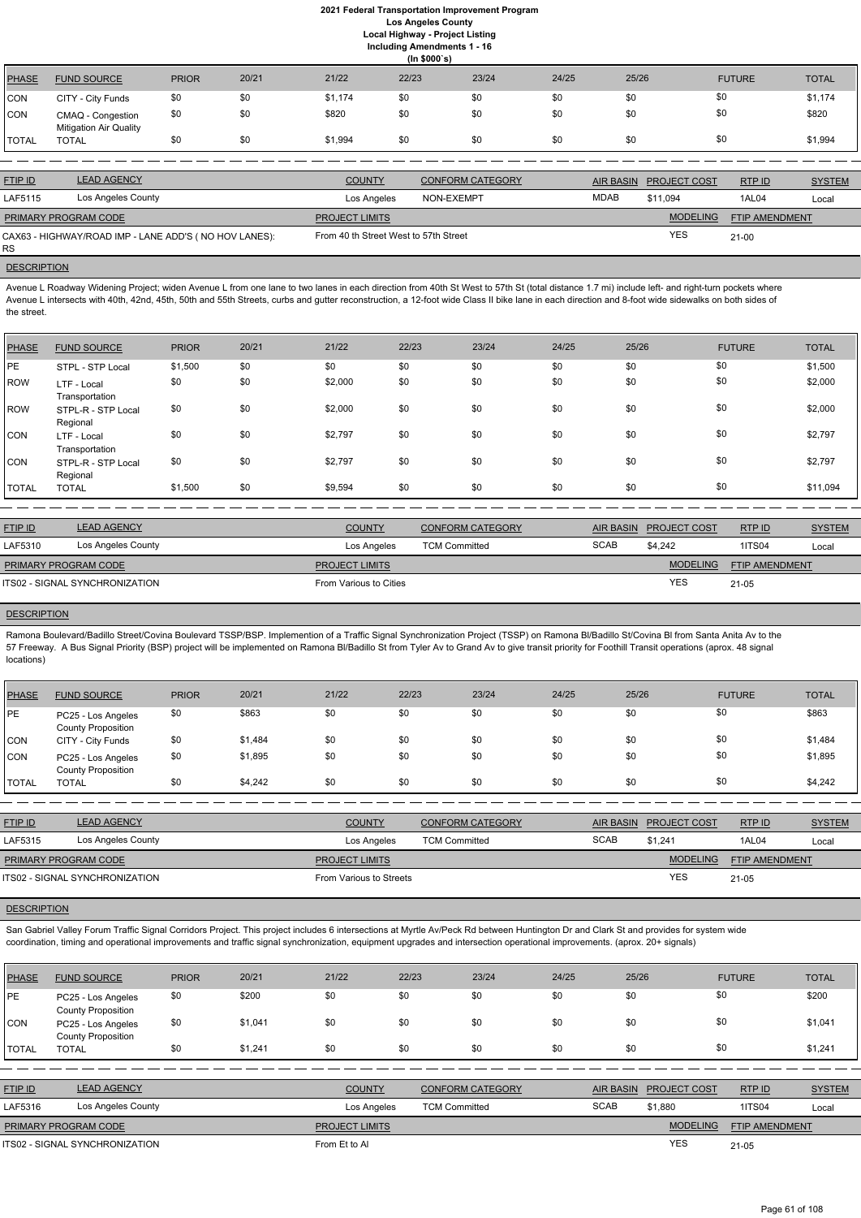**Including Amendments 1 - 16**

**(In \$000`s)** PHASE FUND SOURCE PRIOR 20/21 21/22 22/23 23/24 24/25 25/26 FUTURE TOTAL CON CITY - City Funds \$0 \$0 \$1,174 \$0 \$0 \$0 \$0 \$0 \$0 \$0 \$1,174 CON CMAQ - Congestion Mitigation Air Quality \$0 \$0 \$820 \$0 \$0 \$0 \$0 \$0 \$0 \$0 \$0 \$0 \$0 \$820 TOTAL TOTAL \$0 \$0 \$1,994 \$0 \$0 \$0 \$0 \$0 \$1,994

Avenue L Roadway Widening Project; widen Avenue L from one lane to two lanes in each direction from 40th St West to 57th St (total distance 1.7 mi) include left- and right-turn pockets where Avenue L intersects with 40th, 42nd, 45th, 50th and 55th Streets, curbs and gutter reconstruction, a 12-foot wide Class II bike lane in each direction and 8-foot wide sidewalks on both sides of the street.

| <b>FTIP ID</b>              | <b>LEAD AGENCY</b>                                    | <b>COUNTY</b>                         | <b>CONFORM CATEGORY</b> |             | <b>AIR BASIN PROJECT COST</b> | RTP ID         | <b>SYSTEM</b> |
|-----------------------------|-------------------------------------------------------|---------------------------------------|-------------------------|-------------|-------------------------------|----------------|---------------|
| LAF5115                     | Los Angeles County                                    | Los Angeles                           | NON-EXEMPT              | <b>MDAB</b> | \$11.094                      | 1AL04          | Local         |
| <b>PRIMARY PROGRAM CODE</b> |                                                       | <b>PROJECT LIMITS</b>                 |                         |             | <b>MODELING</b>               | FTIP AMENDMENT |               |
| RS.                         | CAX63 - HIGHWAY/ROAD IMP - LANE ADD'S (NO HOV LANES): | From 40 th Street West to 57th Street |                         |             | <b>YES</b>                    | $21 - 00$      |               |

# **DESCRIPTION**

Ramona Boulevard/Badillo Street/Covina Boulevard TSSP/BSP. Implemention of a Traffic Signal Synchronization Project (TSSP) on Ramona Bl/Badillo St/Covina Bl from Santa Anita Av to the 57 Freeway. A Bus Signal Priority (BSP) project will be implemented on Ramona Bl/Badillo St from Tyler Av to Grand Av to give transit priority for Foothill Transit operations (aprox. 48 signal locations)

| PHASE        | <b>FUND SOURCE</b>             | <b>PRIOR</b> | 20/21 | 21/22   | 22/23 | 23/24 | 24/25 | 25/26 | <b>FUTURE</b> | <b>TOTAL</b> |
|--------------|--------------------------------|--------------|-------|---------|-------|-------|-------|-------|---------------|--------------|
| <b>IPE</b>   | STPL - STP Local               | \$1,500      | \$0   | \$0     | \$0   | \$0   | \$0   | \$0   | \$0           | \$1,500      |
| ROW          | LTF - Local<br>Transportation  | \$0          | \$0   | \$2,000 | \$0   | \$0   | \$0   | \$0   | \$0           | \$2,000      |
| ROW          | STPL-R - STP Local<br>Regional | \$0          | \$0   | \$2,000 | \$0   | \$0   | \$0   | \$0   | \$0           | \$2,000      |
| CON          | LTF - Local<br>Transportation  | \$0          | \$0   | \$2,797 | \$0   | \$0   | \$0   | \$0   | \$0           | \$2,797      |
| <b>CON</b>   | STPL-R - STP Local<br>Regional | \$0          | \$0   | \$2,797 | \$0   | \$0   | \$0   | \$0   | \$0           | \$2,797      |
| <b>TOTAL</b> | <b>TOTAL</b>                   | \$1,500      | \$0   | \$9,594 | \$0   | \$0   | \$0   | \$0   | \$0           | \$11,094     |

| <b>FTIP ID</b>       | <b>LEAD AGENCY</b>             | <b>COUNTY</b>          | <b>CONFORM CATEGORY</b> | AIR BASIN   | <b>PROJECT COST</b> | RTPID                 | <b>SYSTEM</b> |
|----------------------|--------------------------------|------------------------|-------------------------|-------------|---------------------|-----------------------|---------------|
| LAF5310              | Los Angeles County             | Los Angeles            | <b>TCM Committed</b>    | <b>SCAB</b> | \$4,242             | <b>1ITS04</b>         | Local         |
| PRIMARY PROGRAM CODE |                                | <b>PROJECT LIMITS</b>  |                         |             | <b>MODELING</b>     | <b>FTIP AMENDMENT</b> |               |
|                      | ITS02 - SIGNAL SYNCHRONIZATION | From Various to Cities |                         |             | <b>YES</b>          | $21 - 05$             |               |

# **DESCRIPTION**

| <b>PHASE</b> | <b>FUND SOURCE</b>                              | <b>PRIOR</b> | 20/21   | 21/22 | 22/23 | 23/24 | 24/25 | 25/26 | <b>FUTURE</b> | <b>TOTAL</b> |
|--------------|-------------------------------------------------|--------------|---------|-------|-------|-------|-------|-------|---------------|--------------|
| PE           | PC25 - Los Angeles<br><b>County Proposition</b> | \$0          | \$863   | \$0   | \$0   | \$0   | \$0   | \$0   | \$0           | \$863        |
| CON          | CITY - City Funds                               | \$0          | \$1,484 | \$0   | \$0   | \$0   | \$0   | \$0   | \$0           | \$1,484      |
| CON          | PC25 - Los Angeles<br><b>County Proposition</b> | \$0          | \$1,895 | \$0   | \$0   | \$0   | \$0   | \$0   | \$0           | \$1,895      |
| <b>TOTAL</b> | <b>TOTAL</b>                                    | \$0          | \$4,242 | \$0   | \$0   | \$0   | \$0   | \$0   | \$0           | \$4,242      |

| <b>FTIP ID</b>       | <b>LEAD AGENCY</b>             | <b>COUNTY</b>           | <b>CONFORM CATEGORY</b> |             | AIR BASIN PROJECT COST | RTPID                 | <b>SYSTEM</b> |
|----------------------|--------------------------------|-------------------------|-------------------------|-------------|------------------------|-----------------------|---------------|
| LAF5315              | Los Angeles County             | Los Angeles             | <b>TCM Committed</b>    | <b>SCAB</b> | \$1.241                | 1AL04                 | Local         |
| PRIMARY PROGRAM CODE |                                | <b>PROJECT LIMITS</b>   |                         |             | <b>MODELING</b>        | <b>FTIP AMENDMENT</b> |               |
|                      | ITS02 - SIGNAL SYNCHRONIZATION | From Various to Streets |                         |             | <b>YES</b>             | $21 - 05$             |               |
|                      |                                |                         |                         |             |                        |                       |               |

San Gabriel Valley Forum Traffic Signal Corridors Project. This project includes 6 intersections at Myrtle Av/Peck Rd between Huntington Dr and Clark St and provides for system wide coordination, timing and operational improvements and traffic signal synchronization, equipment upgrades and intersection operational improvements. (aprox. 20+ signals)

| <b>PHASE</b>   | <b>FUND SOURCE</b>                              | <b>PRIOR</b> | 20/21   | 21/22                 | 22/23                | 23/24                   | 24/25       | 25/26            |                     | <b>FUTURE</b>         | <b>TOTAL</b>  |
|----------------|-------------------------------------------------|--------------|---------|-----------------------|----------------------|-------------------------|-------------|------------------|---------------------|-----------------------|---------------|
| <b>PE</b>      | PC25 - Los Angeles<br><b>County Proposition</b> | \$0          | \$200   | \$0                   | \$0                  | \$0                     | \$0         | \$0              | \$0                 |                       | \$200         |
| <b>CON</b>     | PC25 - Los Angeles<br><b>County Proposition</b> | \$0          | \$1,041 | \$0                   | \$0                  | \$0                     | \$0         | \$0              | \$0                 |                       | \$1,041       |
| <b>TOTAL</b>   | <b>TOTAL</b>                                    | \$0          | \$1,241 | \$0                   | \$0                  | \$0                     | \$0         | \$0              | \$0                 |                       | \$1,241       |
|                |                                                 |              |         |                       |                      |                         |             |                  |                     |                       |               |
| <b>FTIP ID</b> | <b>LEAD AGENCY</b>                              |              |         | <b>COUNTY</b>         |                      | <b>CONFORM CATEGORY</b> |             | <b>AIR BASIN</b> | <b>PROJECT COST</b> | RTP ID                | <b>SYSTEM</b> |
| LAF5316        | Los Angeles County                              |              |         | Los Angeles           | <b>TCM Committed</b> |                         | <b>SCAB</b> |                  | \$1,880             | <b>1ITS04</b>         | Local         |
|                | PRIMARY PROGRAM CODE                            |              |         | <b>PROJECT LIMITS</b> |                      |                         |             |                  | <b>MODELING</b>     | <b>FTIP AMENDMENT</b> |               |
|                | ITS02 - SIGNAL SYNCHRONIZATION                  |              |         | From Et to Al         |                      |                         |             |                  | <b>YES</b>          | $21 - 05$             |               |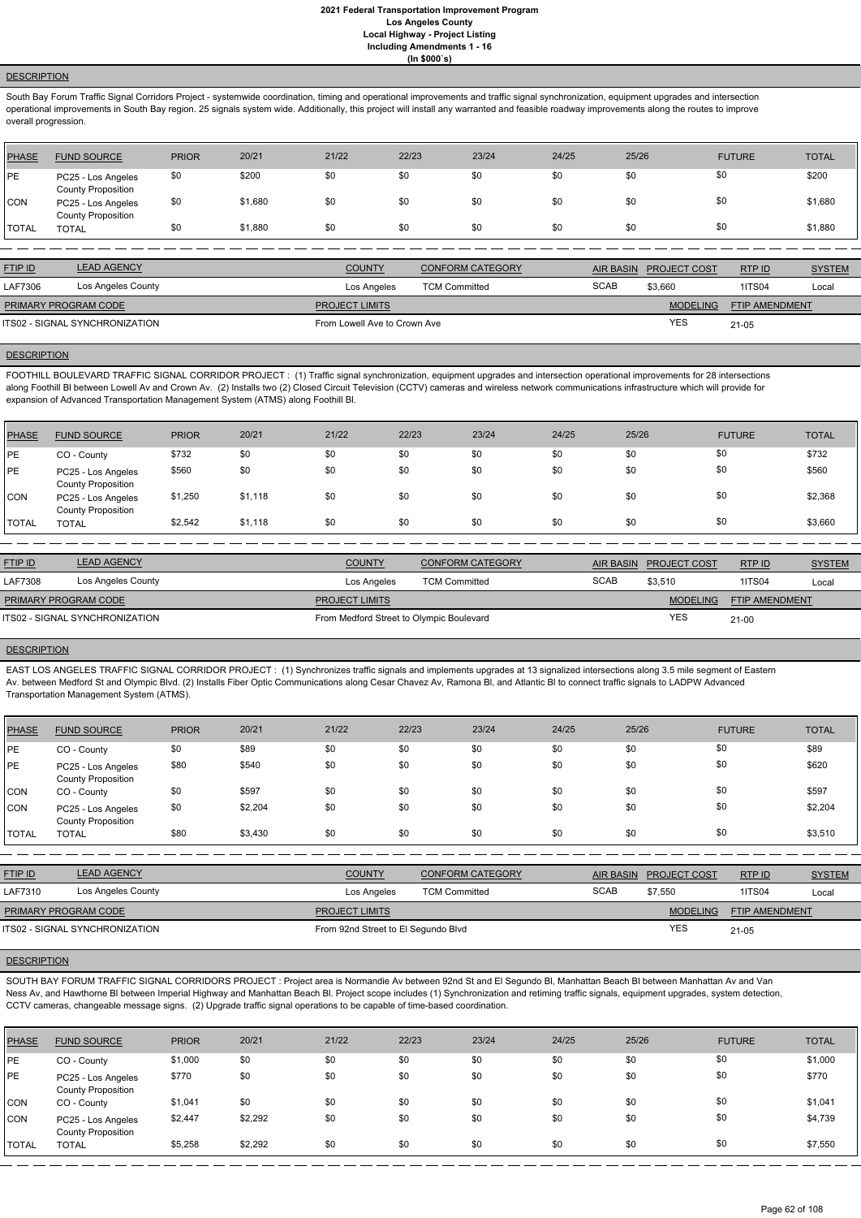# **DESCRIPTION**

South Bay Forum Traffic Signal Corridors Project - systemwide coordination, timing and operational improvements and traffic signal synchronization, equipment upgrades and intersection operational improvements in South Bay region. 25 signals system wide. Additionally, this project will install any warranted and feasible roadway improvements along the routes to improve overall progression.

| PHASE        | <b>FUND SOURCE</b>                              | <b>PRIOR</b> | 20/21   | 21/22 | 22/23 | 23/24 | 24/25 | 25/26 | <b>FUTURE</b> | <b>TOTAL</b> |
|--------------|-------------------------------------------------|--------------|---------|-------|-------|-------|-------|-------|---------------|--------------|
| PE           | PC25 - Los Angeles<br><b>County Proposition</b> | \$0          | \$200   | \$0   | \$0   | \$0   | \$0   | \$0   | \$0           | \$200        |
| <b>CON</b>   | PC25 - Los Angeles<br><b>County Proposition</b> | \$0          | \$1,680 | \$0   | \$0   | \$0   | \$0   | \$0   | \$0           | \$1,680      |
| <b>TOTAL</b> | <b>TOTAL</b>                                    | \$0          | \$1,880 | \$0   | \$0   | \$0   | \$0   | \$0   | \$0           | \$1,880      |

FOOTHILL BOULEVARD TRAFFIC SIGNAL CORRIDOR PROJECT : (1) Traffic signal synchronization, equipment upgrades and intersection operational improvements for 28 intersections along Foothill BI between Lowell Av and Crown Av. (2) Installs two (2) Closed Circuit Television (CCTV) cameras and wireless network communications infrastructure which will provide for expansion of Advanced Transportation Management System (ATMS) along Foothill Bl.

| <b>LEAD AGENCY</b><br><b>FTIP ID</b><br><b>COUNTY</b><br><b>CONFORM CATEGORY</b><br><b>AIR BASIN</b><br>RTP ID<br><b>PROJECT COST</b><br><b>SCAB</b><br>Los Angeles County<br>LAF7306<br>1ITS04<br>\$3,660<br><b>TCM Committed</b><br>Los Angeles<br><b>MODELING</b><br><b>FTIP AMENDMENT</b><br><b>PRIMARY PROGRAM CODE</b><br><b>PROJECT LIMITS</b><br>ITS02 - SIGNAL SYNCHRONIZATION<br>From Lowell Ave to Crown Ave |  |  |            |       |               |
|-------------------------------------------------------------------------------------------------------------------------------------------------------------------------------------------------------------------------------------------------------------------------------------------------------------------------------------------------------------------------------------------------------------------------|--|--|------------|-------|---------------|
|                                                                                                                                                                                                                                                                                                                                                                                                                         |  |  |            |       | <b>SYSTEM</b> |
|                                                                                                                                                                                                                                                                                                                                                                                                                         |  |  |            |       | Local         |
|                                                                                                                                                                                                                                                                                                                                                                                                                         |  |  |            |       |               |
|                                                                                                                                                                                                                                                                                                                                                                                                                         |  |  | <b>YES</b> | 21-05 |               |

### **DESCRIPTION**

| <b>PHASE</b> | <b>FUND SOURCE</b>                              | <b>PRIOR</b> | 20/21   | 21/22 | 22/23 | 23/24 | 24/25 | 25/26 | <b>FUTURE</b> | <b>TOTAL</b> |
|--------------|-------------------------------------------------|--------------|---------|-------|-------|-------|-------|-------|---------------|--------------|
| <b>IPE</b>   | CO - County                                     | \$732        | \$0     | \$0   | \$0   | \$0   | \$0   | \$0   | \$0           | \$732        |
| <b>IPE</b>   | PC25 - Los Angeles<br><b>County Proposition</b> | \$560        | \$0     | \$0   | \$0   | \$0   | \$0   | \$0   | \$0           | \$560        |
| <b>CON</b>   | PC25 - Los Angeles<br><b>County Proposition</b> | \$1,250      | \$1,118 | \$0   | \$0   | \$0   | \$0   | \$0   | \$0           | \$2,368      |
| <b>TOTAL</b> | <b>TOTAL</b>                                    | \$2,542      | \$1,118 | \$0   | \$0   | \$0   | \$0   | \$0   | \$0           | \$3,660      |

| <b>FTIP ID</b>       | <b>LEAD AGENCY</b>             | <b>COUNTY</b>                            | <b>CONFORM CATEGORY</b> |             | AIR BASIN PROJECT COST | <b>RTP ID</b>         | <b>SYSTEM</b> |
|----------------------|--------------------------------|------------------------------------------|-------------------------|-------------|------------------------|-----------------------|---------------|
| LAF7308              | Los Angeles County             | Los Angeles                              | <b>TCM Committed</b>    | <b>SCAB</b> | \$3.510                | <b>1ITS04</b>         | Local         |
| PRIMARY PROGRAM CODE |                                | <b>PROJECT LIMITS</b>                    |                         |             | <b>MODELING</b>        | <b>FTIP AMENDMENT</b> |               |
|                      | ITS02 - SIGNAL SYNCHRONIZATION | From Medford Street to Olympic Boulevard |                         |             | <b>YES</b>             | $21 - 00$             |               |
|                      |                                |                                          |                         |             |                        |                       |               |

### **DESCRIPTION**

EAST LOS ANGELES TRAFFIC SIGNAL CORRIDOR PROJECT : (1) Synchronizes traffic signals and implements upgrades at 13 signalized intersections along 3.5 mile segment of Eastern Av. between Medford St and Olympic Blvd. (2) Installs Fiber Optic Communications along Cesar Chavez Av, Ramona Bl, and Atlantic Bl to connect traffic signals to LADPW Advanced Transportation Management System (ATMS).

| <b>PHASE</b> | <b>FUND SOURCE</b>                              | <b>PRIOR</b> | 20/21   | 21/22 | 22/23 | 23/24 | 24/25 | 25/26 | <b>FUTURE</b> | <b>TOTAL</b> |
|--------------|-------------------------------------------------|--------------|---------|-------|-------|-------|-------|-------|---------------|--------------|
| PE           | CO - County                                     | \$0          | \$89    | \$0   | \$0   | \$0   | \$0   | \$0   | \$0           | \$89         |
| <b>PE</b>    | PC25 - Los Angeles<br><b>County Proposition</b> | \$80         | \$540   | \$0   | \$0   | \$0   | \$0   | \$0   | \$0           | \$620        |
| <b>CON</b>   | CO - County                                     | \$0          | \$597   | \$0   | \$0   | \$0   | \$0   | \$0   | \$0           | \$597        |
| CON          | PC25 - Los Angeles<br><b>County Proposition</b> | \$0          | \$2,204 | \$0   | \$0   | \$0   | \$0   | \$0   | \$0           | \$2,204      |
| <b>TOTAL</b> | <b>TOTAL</b>                                    | \$80         | \$3,430 | \$0   | \$0   | \$0   | \$0   | \$0   | \$0           | \$3,510      |

| <u>FTIP ID</u>              | <b>LEAD AGENCY</b> | <b>COUNTY</b>         | <b>CONFORM CATEGORY</b> | <b>AIR BASIN</b> | <b>PROJECT COST</b> | RTP ID                | <b>SYSTEM</b> |
|-----------------------------|--------------------|-----------------------|-------------------------|------------------|---------------------|-----------------------|---------------|
| LAF7310                     | Los Angeles County | Los Angeles           | <b>TCM Committed</b>    | <b>SCAB</b>      | \$7.550             | 1ITS04                | Loca          |
| <b>PRIMARY PROGRAM CODE</b> |                    | <b>PROJECT LIMITS</b> |                         |                  | <b>MODELING</b>     | <b>FTIP AMENDMENT</b> |               |

YES

### **DESCRIPTION**

SOUTH BAY FORUM TRAFFIC SIGNAL CORRIDORS PROJECT : Project area is Normandie Av between 92nd St and El Segundo Bl, Manhattan Beach Bl between Manhattan Av and Van Ness Av, and Hawthorne Bl between Imperial Highway and Manhattan Beach Bl. Project scope includes (1) Synchronization and retiming traffic signals, equipment upgrades, system detection, CCTV cameras, changeable message signs. (2) Upgrade traffic signal operations to be capable of time-based coordination.

| <b>PHASE</b> | <b>FUND SOURCE</b>                              | <b>PRIOR</b> | 20/21   | 21/22 | 22/23 | 23/24 | 24/25 | 25/26 | <b>FUTURE</b> | <b>TOTAL</b> |
|--------------|-------------------------------------------------|--------------|---------|-------|-------|-------|-------|-------|---------------|--------------|
| <b>IPE</b>   | CO - County                                     | \$1,000      | \$0     | \$0   | \$0   | \$0   | \$0   | \$0   | \$0           | \$1,000      |
| PE           | PC25 - Los Angeles<br><b>County Proposition</b> | \$770        | \$0     | \$0   | \$0   | \$0   | \$0   | \$0   | \$0           | \$770        |
| <b>CON</b>   | CO - County                                     | \$1,041      | \$0     | \$0   | \$0   | \$0   | \$0   | \$0   | \$0           | \$1,041      |
| <b>CON</b>   | PC25 - Los Angeles<br><b>County Proposition</b> | \$2,447      | \$2,292 | \$0   | \$0   | \$0   | \$0   | \$0   | \$0           | \$4,739      |
| <b>TOTAL</b> | <b>TOTAL</b>                                    | \$5,258      | \$2,292 | \$0   | \$0   | \$0   | \$0   | \$0   | \$0           | \$7,550      |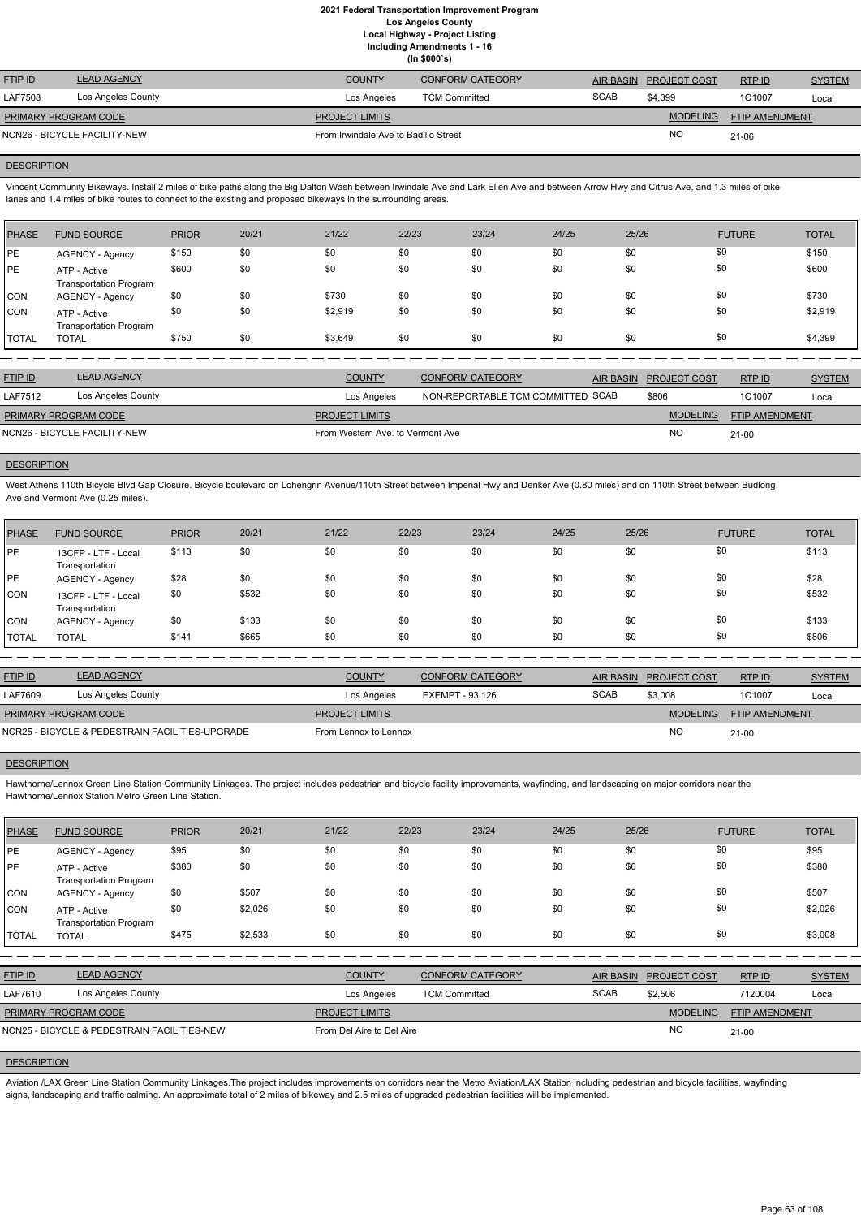**(In \$000`s)**

| <b>LEAD AGENCY</b> | <b>COUNTY</b>                                        | <b>CONFORM CATEGORY</b> |                                      |                 | RTPID                  | <b>SYSTEM</b> |
|--------------------|------------------------------------------------------|-------------------------|--------------------------------------|-----------------|------------------------|---------------|
| Los Angeles County | Los Angeles                                          | <b>TCM Committed</b>    | <b>SCAB</b>                          | \$4.399         | 101007                 | Local         |
|                    | <b>PROJECT LIMITS</b>                                |                         |                                      | <b>MODELING</b> | <b>FTIP AMENDMENT</b>  |               |
|                    |                                                      |                         |                                      | <b>NO</b>       | 21-06                  |               |
|                    | PRIMARY PROGRAM CODE<br>NCN26 - BICYCLE FACILITY-NEW |                         | From Irwindale Ave to Badillo Street |                 | AIR BASIN PROJECT COST |               |

### **DESCRIPTION**

Vincent Community Bikeways. Install 2 miles of bike paths along the Big Dalton Wash between Irwindale Ave and Lark Ellen Ave and between Arrow Hwy and Citrus Ave, and 1.3 miles of bike lanes and 1.4 miles of bike routes to connect to the existing and proposed bikeways in the surrounding areas.

| PHASE        | <b>FUND SOURCE</b>                            | <b>PRIOR</b> | 20/21 | 21/22   | 22/23 | 23/24 | 24/25 | 25/26 | <b>FUTURE</b> | <b>TOTAL</b> |
|--------------|-----------------------------------------------|--------------|-------|---------|-------|-------|-------|-------|---------------|--------------|
| <b>IPE</b>   | <b>AGENCY - Agency</b>                        | \$150        | \$0   | \$0     | \$0   | \$0   | \$0   | \$0   | \$0           | \$150        |
| PE           | ATP - Active<br><b>Transportation Program</b> | \$600        | \$0   | \$0     | \$0   | \$0   | \$0   | \$0   | \$0           | \$600        |
| <b>CON</b>   | <b>AGENCY - Agency</b>                        | \$0          | \$0   | \$730   | \$0   | \$0   | \$0   | \$0   | \$0           | \$730        |
| CON          | ATP - Active<br><b>Transportation Program</b> | \$0          | \$0   | \$2,919 | \$0   | \$0   | \$0   | \$0   | \$0           | \$2,919      |
| <b>TOTAL</b> | <b>TOTAL</b>                                  | \$750        | \$0   | \$3,649 | \$0   | \$0   | \$0   | \$0   | \$0           | \$4,399      |

| <b>FTIP ID</b>              | <b>LEAD AGENCY</b>           | <b>COUNTY</b>                    | CONFORM CATEGORY                  | AIR BASIN | <b>PROJECT COST</b> | RTP ID                | <b>SYSTEM</b> |
|-----------------------------|------------------------------|----------------------------------|-----------------------------------|-----------|---------------------|-----------------------|---------------|
| LAF7512                     | Los Angeles County           | Los Angeles                      | NON-REPORTABLE TCM COMMITTED SCAB |           | \$806               | 101007                | Local         |
| <b>PRIMARY PROGRAM CODE</b> |                              | <b>PROJECT LIMITS</b>            |                                   |           | <b>MODELING</b>     | <b>FTIP AMENDMENT</b> |               |
|                             | NCN26 - BICYCLE FACILITY-NEW | From Western Ave, to Vermont Ave |                                   |           | NO                  | $21 - 00$             |               |

# **DESCRIPTION**

West Athens 110th Bicycle Blvd Gap Closure. Bicycle boulevard on Lohengrin Avenue/110th Street between Imperial Hwy and Denker Ave (0.80 miles) and on 110th Street between Budlong Ave and Vermont Ave (0.25 miles).

Aviation /LAX Green Line Station Community Linkages. The project includes improvements on corridors near the Metro Aviation/LAX Station including pedestrian and bicycle facilities, wayfinding signs, landscaping and traffic calming. An approximate total of 2 miles of bikeway and 2.5 miles of upgraded pedestrian facilities will be implemented.

| <b>PHASE</b> | <b>FUND SOURCE</b>                    | <b>PRIOR</b> | 20/21 | 21/22 | 22/23 | 23/24 | 24/25 | 25/26 | <b>FUTURE</b> | <b>TOTAL</b> |
|--------------|---------------------------------------|--------------|-------|-------|-------|-------|-------|-------|---------------|--------------|
| <b>IPE</b>   | 13CFP - LTF - Local<br>Transportation | \$113        | \$0   | \$0   | \$0   | \$0   | \$0   | \$0   | \$0           | \$113        |
| PE           | AGENCY - Agency                       | \$28         | \$0   | \$0   | \$0   | \$0   | \$0   | \$0   | \$0           | \$28         |
| CON          | 13CFP - LTF - Local<br>Transportation | \$0          | \$532 | \$0   | \$0   | \$0   | \$0   | \$0   | \$0           | \$532        |
| <b>CON</b>   | <b>AGENCY - Agency</b>                | \$0          | \$133 | \$0   | \$0   | \$0   | \$0   | \$0   | \$0           | \$133        |
| <b>TOTAL</b> | <b>TOTAL</b>                          | \$141        | \$665 | \$0   | \$0   | \$0   | \$0   | \$0   | \$0           | \$806        |

| <b>FTIP ID</b>                                  | <b>LEAD AGENCY</b> | <b>COUNTY</b>         | <b>CONFORM CATEGORY</b> |             | AIR BASIN PROJECT COST | RTP ID                | <b>SYSTEM</b> |
|-------------------------------------------------|--------------------|-----------------------|-------------------------|-------------|------------------------|-----------------------|---------------|
| LAF7609                                         | Los Angeles County | Los Angeles           | EXEMPT - 93.126         | <b>SCAB</b> | \$3,008                | 101007                | Local         |
| <b>PRIMARY PROGRAM CODE</b>                     |                    | <b>PROJECT LIMITS</b> |                         |             | <b>MODELING</b>        | <b>FTIP AMENDMENT</b> |               |
| NCR25 - BICYCLE & PEDESTRAIN FACILITIES-UPGRADE |                    | From Lennox to Lennox |                         |             | <b>NC</b>              | $21-00$               |               |

### **DESCRIPTION**

Hawthorne/Lennox Green Line Station Community Linkages. The project includes pedestrian and bicycle facility improvements, wayfinding, and landscaping on major corridors near the Hawthorne/Lennox Station Metro Green Line Station.

| PHASE        | <b>FUND SOURCE</b>                            | <b>PRIOR</b> | 20/21   | 21/22 | 22/23 | 23/24 | 24/25 | 25/26 | <b>FUTURE</b> | <b>TOTAL</b> |
|--------------|-----------------------------------------------|--------------|---------|-------|-------|-------|-------|-------|---------------|--------------|
| <b>IPE</b>   | <b>AGENCY - Agency</b>                        | \$95         | \$0     | \$0   | \$0   | \$0   | \$0   | \$0   | \$0           | \$95         |
| <b>IPE</b>   | ATP - Active<br><b>Transportation Program</b> | \$380        | \$0     | \$0   | \$0   | \$0   | \$0   | \$0   | \$0           | \$380        |
| <b>CON</b>   | AGENCY - Agency                               | \$0          | \$507   | \$0   | \$0   | \$0   | \$0   | \$0   | \$0           | \$507        |
| CON          | ATP - Active<br><b>Transportation Program</b> | \$0          | \$2,026 | \$0   | \$0   | \$0   | \$0   | \$0   | \$0           | \$2,026      |
| <b>TOTAL</b> | <b>TOTAL</b>                                  | \$475        | \$2,533 | \$0   | \$0   | \$0   | \$0   | \$0   | \$0           | \$3,008      |

| <b>FTIP ID</b>                              | <b>LEAD AGENCY</b> | <b>COUNTY</b>             | <b>CONFORM CATEGORY</b> | AIR BASIN   | <b>PROJECT COST</b> | RTPID                 | <b>SYSTEM</b> |
|---------------------------------------------|--------------------|---------------------------|-------------------------|-------------|---------------------|-----------------------|---------------|
| LAF7610                                     | Los Angeles County | Los Angeles               | <b>TCM Committed</b>    | <b>SCAB</b> | \$2,506             | 7120004               | Local         |
| <b>PRIMARY PROGRAM CODE</b>                 |                    | <b>PROJECT LIMITS</b>     |                         |             | <b>MODELING</b>     | <b>FTIP AMENDMENT</b> |               |
| NCN25 - BICYCLE & PEDESTRAIN FACILITIES-NEW |                    | From Del Aire to Del Aire |                         |             | <b>NO</b>           | $21 - 00$             |               |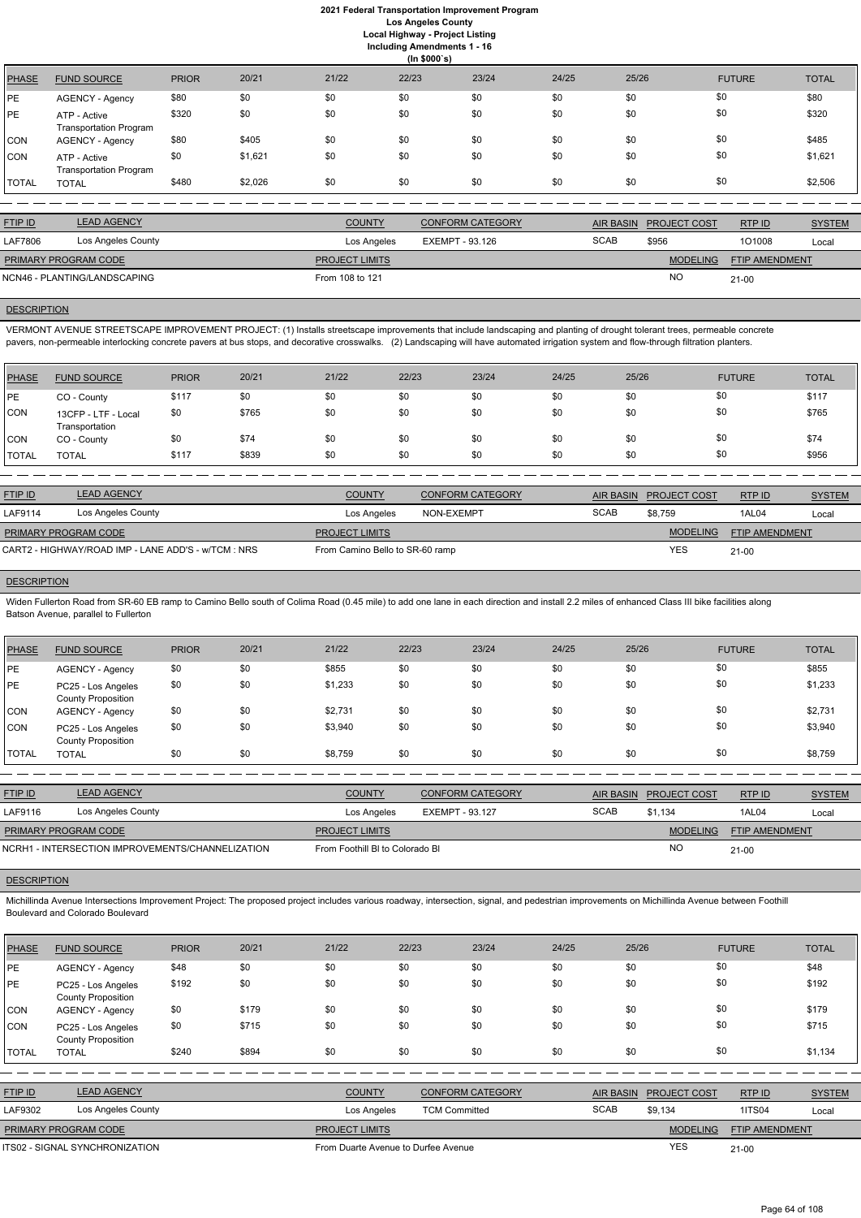**Including Amendments 1 - 16**

|  | ng Amenuments T                        |  |
|--|----------------------------------------|--|
|  | $\mathbf{u}$ $\mathbf{v}$ $\mathbf{v}$ |  |

|              |                                               |              |         |       | (ln \$000's) |       |       |       |               |              |
|--------------|-----------------------------------------------|--------------|---------|-------|--------------|-------|-------|-------|---------------|--------------|
| <b>PHASE</b> | <b>FUND SOURCE</b>                            | <b>PRIOR</b> | 20/21   | 21/22 | 22/23        | 23/24 | 24/25 | 25/26 | <b>FUTURE</b> | <b>TOTAL</b> |
| PE           | AGENCY - Agency                               | \$80         | \$0     | \$0   | \$0          | \$0   | \$0   | \$0   | \$0           | \$80         |
| PE           | ATP - Active<br><b>Transportation Program</b> | \$320        | \$0     | \$0   | \$0          | \$0   | \$0   | \$0   | \$0           | \$320        |
| <b>CON</b>   | AGENCY - Agency                               | \$80         | \$405   | \$0   | \$0          | \$0   | \$0   | \$0   | \$0           | \$485        |
| <b>CON</b>   | ATP - Active<br><b>Transportation Program</b> | \$0          | \$1,621 | \$0   | \$0          | \$0   | \$0   | \$0   | \$0           | \$1,621      |
| <b>TOTAL</b> | <b>TOTAL</b>                                  | \$480        | \$2,026 | \$0   | \$0          | \$0   | \$0   | \$0   | \$0           | \$2,506      |

VERMONT AVENUE STREETSCAPE IMPROVEMENT PROJECT: (1) Installs streetscape improvements that include landscaping and planting of drought tolerant trees, permeable concrete pavers, non-permeable interlocking concrete pavers at bus stops, and decorative crosswalks. (2) Landscaping will have automated irrigation system and flow-through filtration planters.

| <b>SYSTEM</b><br>RTPID |
|------------------------|
|                        |
| 101008<br>Local        |
| FTIP AMENDMENT         |
|                        |
|                        |

## **DESCRIPTION**

Widen Fullerton Road from SR-60 EB ramp to Camino Bello south of Colima Road (0.45 mile) to add one lane in each direction and install 2.2 miles of enhanced Class III bike facilities along Batson Avenue, parallel to Fullerton

| <b>PHASE</b> | <b>FUND SOURCE</b>                    | <b>PRIOR</b> | 20/21 | 21/22 | 22/23 | 23/24 | 24/25 | 25/26 | <b>FUTURE</b> | <b>TOTAL</b> |
|--------------|---------------------------------------|--------------|-------|-------|-------|-------|-------|-------|---------------|--------------|
| <b>PE</b>    | CO - County                           | \$117        | \$0   | \$0   | \$0   | \$0   | \$0   | \$0   | \$0           | \$117        |
| <b>CON</b>   | 13CFP - LTF - Local<br>Transportation | \$0          | \$765 | \$0   | \$0   | \$0   | \$0   | \$0   | \$0           | \$765        |
| <b>CON</b>   | CO - County                           | \$0          | \$74  | \$0   | \$0   | \$0   | \$0   | \$0   | \$0           | \$74         |
| <b>TOTAL</b> | <b>TOTAL</b>                          | \$117        | \$839 | \$0   | \$0   | \$0   | \$0   | \$0   | \$0           | \$956        |

| <b>FTIP ID</b>                                      | <b>LEAD AGENCY</b> | <b>COUNTY</b>                   | <b>CONFORM CATEGORY</b> | AIR BASIN   | <b>PROJECT COST</b> | RTPID                 | <b>SYSTEM</b> |
|-----------------------------------------------------|--------------------|---------------------------------|-------------------------|-------------|---------------------|-----------------------|---------------|
| LAF9114                                             | Los Angeles County | Los Angeles                     | NON-EXEMPT              | <b>SCAB</b> | \$8.759             | 1AL04                 | Local         |
| <b>PRIMARY PROGRAM CODE</b>                         |                    | <b>PROJECT LIMITS</b>           |                         |             | <b>MODELING</b>     | <b>FTIP AMENDMENT</b> |               |
| CART2 - HIGHWAY/ROAD IMP - LANE ADD'S - w/TCM : NRS |                    | From Camino Bello to SR-60 ramp |                         |             | <b>YES</b>          | $21 - 00$             |               |

## **DESCRIPTION**

| PHASE        | <b>FUND SOURCE</b>                              | <b>PRIOR</b> | 20/21 | 21/22   | 22/23 | 23/24 | 24/25 | 25/26 | <b>FUTURE</b> | <b>TOTAL</b> |
|--------------|-------------------------------------------------|--------------|-------|---------|-------|-------|-------|-------|---------------|--------------|
| PE           | <b>AGENCY - Agency</b>                          | \$0          | \$0   | \$855   | \$0   | \$0   | \$0   | \$0   | \$0           | \$855        |
| PE           | PC25 - Los Angeles<br><b>County Proposition</b> | \$0          | \$0   | \$1,233 | \$0   | \$0   | \$0   | \$0   | \$0           | \$1,233      |
| <b>CON</b>   | AGENCY - Agency                                 | \$0          | \$0   | \$2,731 | \$0   | \$0   | \$0   | \$0   | \$0           | \$2,731      |
| CON          | PC25 - Los Angeles<br><b>County Proposition</b> | \$0          | \$0   | \$3,940 | \$0   | \$0   | \$0   | \$0   | \$0           | \$3,940      |
| <b>TOTAL</b> | <b>TOTAL</b>                                    | \$0          | \$0   | \$8,759 | \$0   | \$0   | \$0   | \$0   | \$0           | \$8,759      |

| <b>FTIP ID</b>                                   | <b>LEAD AGENCY</b> | <b>COUNTY</b>                   | <b>CONFORM CATEGORY</b> | AIR BASIN   | <b>PROJECT COST</b> | RTPID                 | <b>SYSTEM</b> |
|--------------------------------------------------|--------------------|---------------------------------|-------------------------|-------------|---------------------|-----------------------|---------------|
| LAF9116                                          | Los Angeles County | Los Angeles                     | EXEMPT - 93.127         | <b>SCAB</b> | \$1.134             | 1AL04                 | Local         |
| <b>PRIMARY PROGRAM CODE</b>                      |                    | <b>PROJECT LIMITS</b>           |                         |             | <b>MODELING</b>     | <b>FTIP AMENDMENT</b> |               |
| NCRH1 - INTERSECTION IMPROVEMENTS/CHANNELIZATION |                    | From Foothill BI to Colorado BI |                         |             | NC                  | 21-00                 |               |

### **DESCRIPTION**

Michillinda Avenue Intersections Improvement Project: The proposed project includes various roadway, intersection, signal, and pedestrian improvements on Michillinda Avenue between Foothill Boulevard and Colorado Boulevard

| <b>PHASE</b>   | <b>FUND SOURCE</b>                              | <b>PRIOR</b> | 20/21 | 21/22                               | 22/23                | 23/24                   | 24/25       | 25/26            |                     | <b>FUTURE</b>  | <b>TOTAL</b>  |
|----------------|-------------------------------------------------|--------------|-------|-------------------------------------|----------------------|-------------------------|-------------|------------------|---------------------|----------------|---------------|
| PE             | <b>AGENCY - Agency</b>                          | \$48         | \$0   | \$0                                 | \$0                  | \$0                     | \$0         | \$0              | \$0                 |                | \$48          |
| <b>PE</b>      | PC25 - Los Angeles<br><b>County Proposition</b> | \$192        | \$0   | \$0                                 | \$0                  | \$0                     | \$0         | \$0              | \$0                 |                | \$192         |
| <b>CON</b>     | <b>AGENCY - Agency</b>                          | \$0          | \$179 | \$0                                 | \$0                  | \$0                     | \$0         | \$0              | \$0                 |                | \$179         |
| <b>CON</b>     | PC25 - Los Angeles<br><b>County Proposition</b> | \$0          | \$715 | \$0                                 | \$0                  | \$0                     | \$0         | \$0              | \$0                 |                | \$715         |
| <b>TOTAL</b>   | <b>TOTAL</b>                                    | \$240        | \$894 | \$0                                 | \$0                  | \$0                     | \$0         | \$0              | \$0                 |                | \$1,134       |
|                |                                                 |              |       |                                     |                      |                         |             |                  |                     |                |               |
| <b>FTIP ID</b> | <b>LEAD AGENCY</b>                              |              |       | <b>COUNTY</b>                       |                      | <b>CONFORM CATEGORY</b> |             | <b>AIR BASIN</b> | <b>PROJECT COST</b> | RTP ID         | <b>SYSTEM</b> |
| LAF9302        | Los Angeles County                              |              |       | Los Angeles                         | <b>TCM Committed</b> |                         | <b>SCAB</b> |                  | \$9,134             | <b>1ITS04</b>  | Local         |
|                | PRIMARY PROGRAM CODE                            |              |       | PROJECT LIMITS                      |                      |                         |             |                  | <b>MODELING</b>     | FTIP AMENDMENT |               |
|                | <b>ITS02 - SIGNAL SYNCHRONIZATION</b>           |              |       | From Duarte Avenue to Durfee Avenue |                      |                         |             |                  | <b>YES</b>          | $21 - 00$      |               |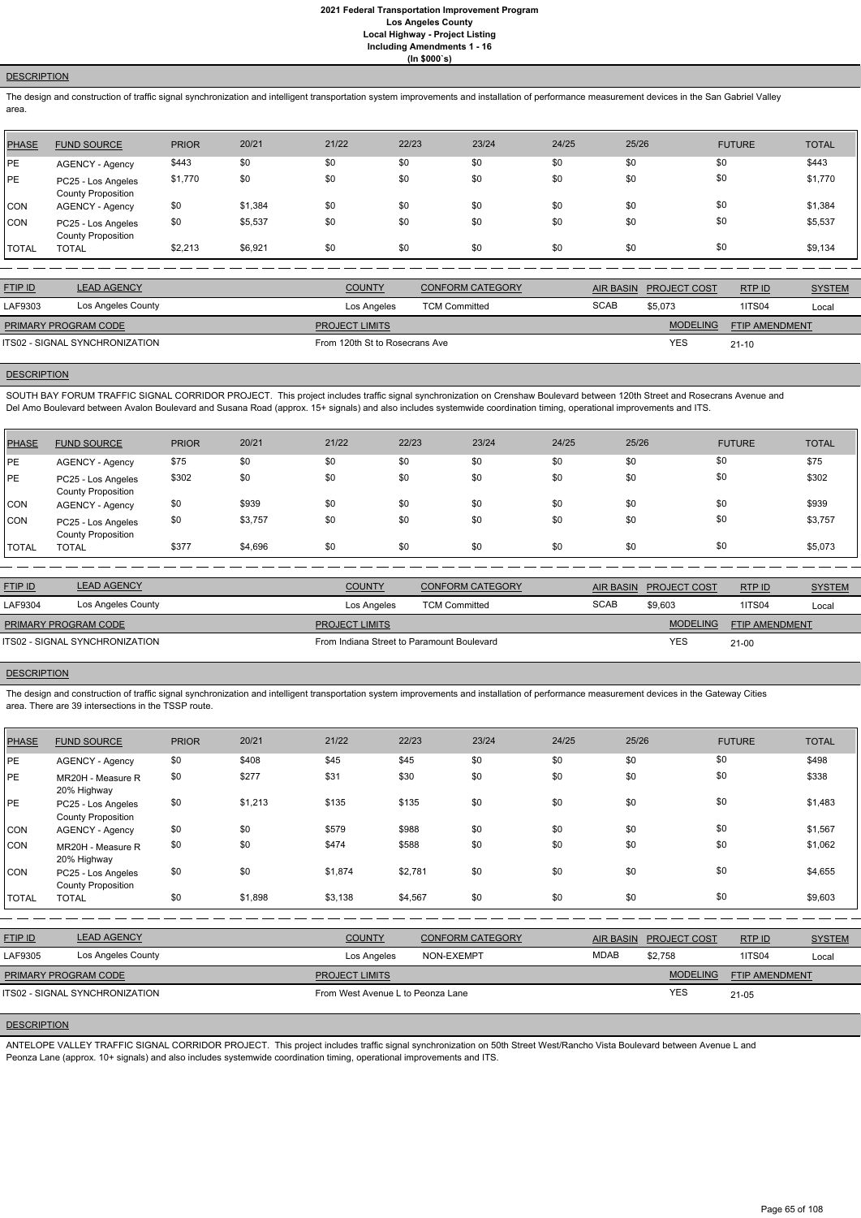# **DESCRIPTION**

The design and construction of traffic signal synchronization and intelligent transportation system improvements and installation of performance measurement devices in the San Gabriel Valley area.

| <b>PHASE</b> | <b>FUND SOURCE</b>                              | <b>PRIOR</b> | 20/21   | 21/22 | 22/23 | 23/24 | 24/25 | 25/26 | <b>FUTURE</b> | <b>TOTAL</b> |
|--------------|-------------------------------------------------|--------------|---------|-------|-------|-------|-------|-------|---------------|--------------|
| PE           | AGENCY - Agency                                 | \$443        | \$0     | \$0   | \$0   | \$0   | \$0   | \$0   | \$0           | \$443        |
| PE           | PC25 - Los Angeles<br><b>County Proposition</b> | \$1,770      | \$0     | \$0   | \$0   | \$0   | \$0   | \$0   | \$0           | \$1,770      |
| CON          | AGENCY - Agency                                 | \$0          | \$1,384 | \$0   | \$0   | \$0   | \$0   | \$0   | \$0           | \$1,384      |
| <b>CON</b>   | PC25 - Los Angeles<br><b>County Proposition</b> | \$0          | \$5,537 | \$0   | \$0   | \$0   | \$0   | \$0   | \$0           | \$5,537      |
| <b>TOTAL</b> | <b>TOTAL</b>                                    | \$2,213      | \$6,921 | \$0   | \$0   | \$0   | \$0   | \$0   | \$0           | \$9,134      |

| <b>LEAD AGENCY</b><br><b>FTIP ID</b><br><b>COUNTY</b><br><b>CONFORM CATEGORY</b><br>AIR BASIN<br>RTPID<br><b>PROJECT COST</b><br><b>SCAB</b><br>Los Angeles County<br>LAF9303<br>\$5,073<br>1ITS04<br>Los Angeles<br><b>TCM Committed</b><br><b>MODELING</b><br><b>FTIP AMENDMENT</b><br><b>PRIMARY PROGRAM CODE</b><br><b>PROJECT LIMITS</b><br><b>YES</b><br>ITS02 - SIGNAL SYNCHRONIZATION<br>From 120th St to Rosecrans Ave<br>$21 - 10$ |  |  |  |               |
|----------------------------------------------------------------------------------------------------------------------------------------------------------------------------------------------------------------------------------------------------------------------------------------------------------------------------------------------------------------------------------------------------------------------------------------------|--|--|--|---------------|
|                                                                                                                                                                                                                                                                                                                                                                                                                                              |  |  |  | <b>SYSTEM</b> |
|                                                                                                                                                                                                                                                                                                                                                                                                                                              |  |  |  | Local         |
|                                                                                                                                                                                                                                                                                                                                                                                                                                              |  |  |  |               |
|                                                                                                                                                                                                                                                                                                                                                                                                                                              |  |  |  |               |

### **DESCRIPTION**

SOUTH BAY FORUM TRAFFIC SIGNAL CORRIDOR PROJECT. This project includes traffic signal synchronization on Crenshaw Boulevard between 120th Street and Rosecrans Avenue and Del Amo Boulevard between Avalon Boulevard and Susana Road (approx. 15+ signals) and also includes systemwide coordination timing, operational improvements and ITS.

| <b>PHASE</b> | <b>FUND SOURCE</b>                              | <b>PRIOR</b> | 20/21   | 21/22 | 22/23 | 23/24 | 24/25 | 25/26 | <b>FUTURE</b> | <b>TOTAL</b> |
|--------------|-------------------------------------------------|--------------|---------|-------|-------|-------|-------|-------|---------------|--------------|
| PE           | AGENCY - Agency                                 | \$75         | \$0     | \$0   | \$0   | \$0   | \$0   | \$0   | \$0           | \$75         |
| PE           | PC25 - Los Angeles<br><b>County Proposition</b> | \$302        | \$0     | \$0   | \$0   | \$0   | \$0   | \$0   | \$0           | \$302        |
| <b>CON</b>   | <b>AGENCY - Agency</b>                          | \$0          | \$939   | \$0   | \$0   | \$0   | \$0   | \$0   | \$0           | \$939        |
| <b>CON</b>   | PC25 - Los Angeles<br><b>County Proposition</b> | \$0          | \$3,757 | \$0   | \$0   | \$0   | \$0   | \$0   | \$0           | \$3,757      |
| TOTAL        | <b>TOTAL</b>                                    | \$377        | \$4,696 | \$0   | \$0   | \$0   | \$0   | \$0   | \$0           | \$5,073      |

| <b>LEAD AGENCY</b>                    | <b>COUNTY</b>         | <b>CONFORM CATEGORY</b>                    | <b>AIR BASIN</b> |                 | RTP ID                     | <b>SYSTEM</b>         |
|---------------------------------------|-----------------------|--------------------------------------------|------------------|-----------------|----------------------------|-----------------------|
| Los Angeles County                    | Los Angeles           | <b>TCM Committed</b>                       | <b>SCAB</b>      | \$9,603         | <b>1ITS04</b>              | Local                 |
| <b>PRIMARY PROGRAM CODE</b>           | <b>PROJECT LIMITS</b> |                                            |                  | <b>MODELING</b> |                            |                       |
| <b>ITS02 - SIGNAL SYNCHRONIZATION</b> |                       | From Indiana Street to Paramount Boulevard |                  |                 | $21 - 00$                  |                       |
|                                       |                       |                                            |                  |                 | <b>PROJECT COST</b><br>YES | <b>FTIP AMENDMENT</b> |

### **DESCRIPTION**

The design and construction of traffic signal synchronization and intelligent transportation system improvements and installation of performance measurement devices in the Gateway Cities area. There are 39 intersections in the TSSP route.

| <b>PHASE</b> | <b>FUND SOURCE</b>                              | <b>PRIOR</b> | 20/21   | 21/22   | 22/23   | 23/24 | 24/25 | 25/26 | <b>FUTURE</b> | <b>TOTAL</b> |
|--------------|-------------------------------------------------|--------------|---------|---------|---------|-------|-------|-------|---------------|--------------|
| PE           | AGENCY - Agency                                 | \$0          | \$408   | \$45    | \$45    | \$0   | \$0   | \$0   | \$0           | \$498        |
| PE           | MR20H - Measure R<br>20% Highway                | \$0          | \$277   | \$31    | \$30    | \$0   | \$0   | \$0   | \$0           | \$338        |
| PE           | PC25 - Los Angeles<br><b>County Proposition</b> | \$0          | \$1,213 | \$135   | \$135   | \$0   | \$0   | \$0   | \$0           | \$1,483      |
| <b>CON</b>   | AGENCY - Agency                                 | \$0          | \$0     | \$579   | \$988   | \$0   | \$0   | \$0   | \$0           | \$1,567      |
| <b>CON</b>   | MR20H - Measure R<br>20% Highway                | \$0          | \$0     | \$474   | \$588   | \$0   | \$0   | \$0   | \$0           | \$1,062      |
| <b>CON</b>   | PC25 - Los Angeles<br><b>County Proposition</b> | \$0          | \$0     | \$1,874 | \$2,781 | \$0   | \$0   | \$0   | \$0           | \$4,655      |
| <b>TOTAL</b> | <b>TOTAL</b>                                    | \$0          | \$1,898 | \$3,138 | \$4,567 | \$0   | \$0   | \$0   | \$0           | \$9,603      |

| <b>FTIP ID</b>              | <b>LEAD AGENCY</b>                    | <b>COUNTY</b>                     | <b>CONFORM CATEGORY</b> | <b>AIR BASIN</b> | <b>PROJECT COST</b> | RTPID          | <b>SYSTEM</b> |
|-----------------------------|---------------------------------------|-----------------------------------|-------------------------|------------------|---------------------|----------------|---------------|
| LAF9305                     | Los Angeles County                    | Los Angeles                       | NON-EXEMPT              | <b>MDAB</b>      | \$2,758             | <b>1ITS04</b>  | Local         |
| <b>PRIMARY PROGRAM CODE</b> |                                       | <b>PROJECT LIMITS</b>             |                         |                  | <b>MODELING</b>     | FTIP AMENDMENT |               |
|                             | <b>ITS02 - SIGNAL SYNCHRONIZATION</b> | From West Avenue L to Peonza Lane |                         |                  | <b>YES</b>          | $21 - 05$      |               |

### **DESCRIPTION**

ANTELOPE VALLEY TRAFFIC SIGNAL CORRIDOR PROJECT. This project includes traffic signal synchronization on 50th Street West/Rancho Vista Boulevard between Avenue L and Peonza Lane (approx. 10+ signals) and also includes systemwide coordination timing, operational improvements and ITS.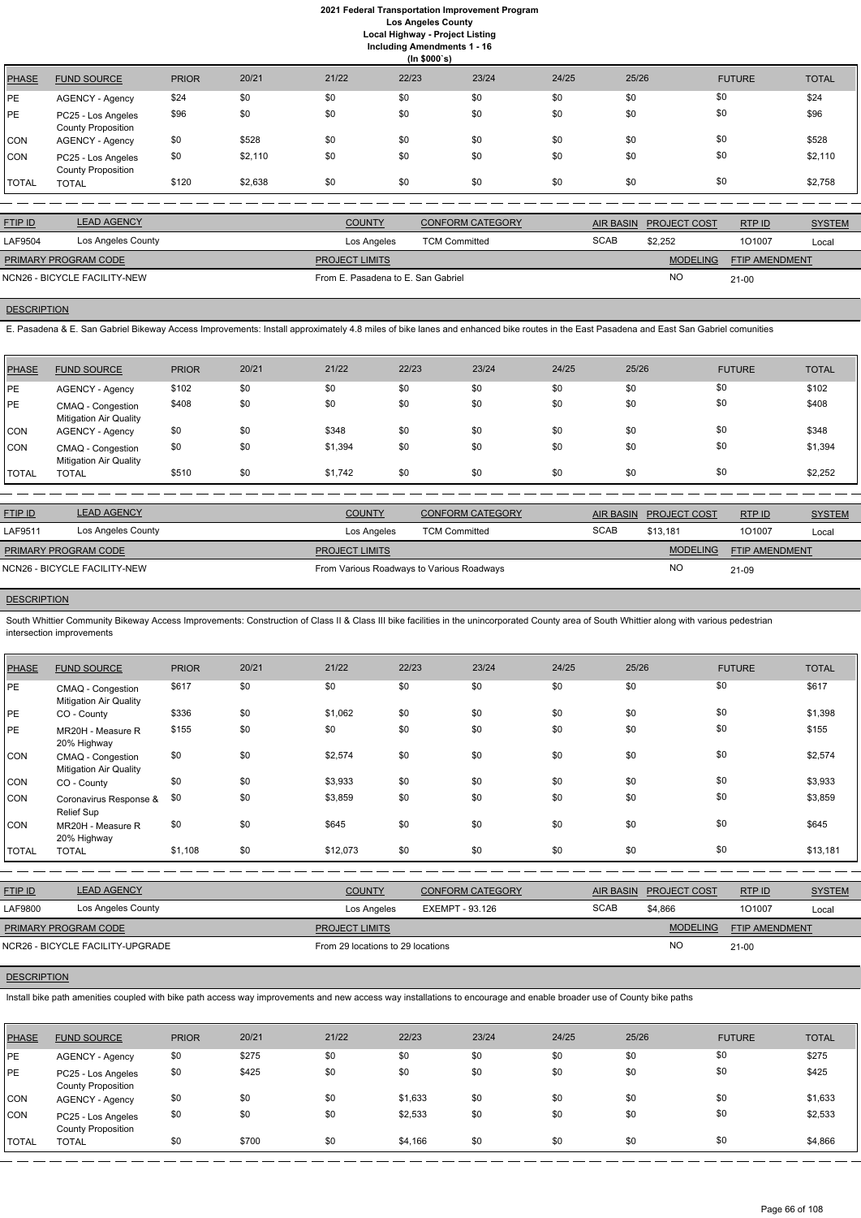**Including Amendments 1 - 16**

**(In \$000`s)** PHASE FUND SOURCE PRIOR 20/21 21/22 22/23 23/24 24/25 25/26 FUTURE TOTAL PE AGENCY - Agency \$24 \$0 \$0 \$0 \$0 \$0 \$0 \$0 \$0 \$0 \$0 \$24 PE PC25 - Los Angeles County Proposition \$96 \$0 \$0 \$0 \$0 \$0 \$0 \$0 \$96 CON AGENCY - Agency \$0 \$528 \$0 \$0 \$0 \$0 \$0 \$0 \$0 \$0 \$0 \$0 \$0 \$528 CON PC25 - Los Angeles County Proposition \$0 \$2,110 \$0 \$0 \$0 \$0 \$0 \$0 \$2,110 TOTAL TOTAL \$120 \$2,638 \$0 \$0 \$0 \$0 \$0 \$0 \$2,758

| <b>FTIP ID</b>       | <b>LEAD AGENCY</b>           | <b>COUNTY</b>                      | CONFORM CATEGORY     | AIR BASIN   | <b>PROJECT COST</b> | RTPID                 | <b>SYSTEM</b> |
|----------------------|------------------------------|------------------------------------|----------------------|-------------|---------------------|-----------------------|---------------|
| LAF9504              | Los Angeles County           | Los Angeles                        | <b>TCM Committed</b> | <b>SCAB</b> | \$2.252             | 101007                | Local         |
| PRIMARY PROGRAM CODE |                              | <b>PROJECT LIMITS</b>              |                      |             | <b>MODELING</b>     | <b>FTIP AMENDMENT</b> |               |
|                      | NCN26 - BICYCLE FACILITY-NEW | From E. Pasadena to E. San Gabriel |                      |             | <b>NO</b>           | $21 - 00$             |               |

## **DESCRIPTION**

E. Pasadena & E. San Gabriel Bikeway Access Improvements: Install approximately 4.8 miles of bike lanes and enhanced bike routes in the East Pasadena and East San Gabriel comunities

South Whittier Community Bikeway Access Improvements: Construction of Class II & Class III bike facilities in the unincorporated County area of South Whittier along with various pedestrian intersection improvements

| <b>PHASE</b> | <b>FUND SOURCE</b>                                 | <b>PRIOR</b> | 20/21 | 21/22   | 22/23 | 23/24 | 24/25 | 25/26 | <b>FUTURE</b> | <b>TOTAL</b> |
|--------------|----------------------------------------------------|--------------|-------|---------|-------|-------|-------|-------|---------------|--------------|
| <b>IPE</b>   | AGENCY - Agency                                    | \$102        | \$0   | \$0     | \$0   | \$0   | \$0   | \$0   | \$0           | \$102        |
| <b>IPE</b>   | CMAQ - Congestion<br><b>Mitigation Air Quality</b> | \$408        | \$0   | \$0     | \$0   | \$0   | \$0   | \$0   | \$0           | \$408        |
| <b>CON</b>   | AGENCY - Agency                                    | \$0          | \$0   | \$348   | \$0   | \$0   | \$0   | \$0   | \$0           | \$348        |
| <b>CON</b>   | CMAQ - Congestion<br><b>Mitigation Air Quality</b> | \$0          | \$0   | \$1,394 | \$0   | \$0   | \$0   | \$0   | \$0           | \$1,394      |
| <b>TOTAL</b> | <b>TOTAL</b>                                       | \$510        | \$0   | \$1,742 | \$0   | \$0   | \$0   | \$0   | \$0           | \$2,252      |

| <b>FTIP ID</b>              | <b>LEAD AGENCY</b>           | <b>COUNTY</b>                             | <b>CONFORM CATEGORY</b> |             | AIR BASIN PROJECT COST | RTP ID                | <b>SYSTEM</b> |
|-----------------------------|------------------------------|-------------------------------------------|-------------------------|-------------|------------------------|-----------------------|---------------|
| LAF9511                     | Los Angeles County           | Los Angeles                               | <b>TCM Committed</b>    | <b>SCAB</b> | \$13.181               | 101007                | Local         |
| <b>PRIMARY PROGRAM CODE</b> |                              | <b>PROJECT LIMITS</b>                     |                         |             | <b>MODELING</b>        | <b>FTIP AMENDMENT</b> |               |
|                             | NCN26 - BICYCLE FACILITY-NEW | From Various Roadways to Various Roadways |                         |             | <b>NO</b>              | 21-09                 |               |

# **DESCRIPTION**

| <b>PHASE</b> | <b>FUND SOURCE</b>                                 | <b>PRIOR</b> | 20/21 | 21/22    | 22/23 | 23/24 | 24/25 | 25/26 | <b>FUTURE</b> | <b>TOTAL</b> |
|--------------|----------------------------------------------------|--------------|-------|----------|-------|-------|-------|-------|---------------|--------------|
| PE           | CMAQ - Congestion<br><b>Mitigation Air Quality</b> | \$617        | \$0   | \$0      | \$0   | \$0   | \$0   | \$0   | \$0           | \$617        |
| PE           | CO - County                                        | \$336        | \$0   | \$1,062  | \$0   | \$0   | \$0   | \$0   | \$0           | \$1,398      |
| PE           | MR20H - Measure R<br>20% Highway                   | \$155        | \$0   | \$0      | \$0   | \$0   | \$0   | \$0   | \$0           | \$155        |
| <b>CON</b>   | CMAQ - Congestion<br><b>Mitigation Air Quality</b> | \$0          | \$0   | \$2,574  | \$0   | \$0   | \$0   | \$0   | \$0           | \$2,574      |
| <b>CON</b>   | CO - County                                        | \$0          | \$0   | \$3,933  | \$0   | \$0   | \$0   | \$0   | \$0           | \$3,933      |
| <b>CON</b>   | Coronavirus Response &<br>Relief Sup               | \$0          | \$0   | \$3,859  | \$0   | \$0   | \$0   | \$0   | \$0           | \$3,859      |
| <b>CON</b>   | MR20H - Measure R<br>20% Highway                   | \$0          | \$0   | \$645    | \$0   | \$0   | \$0   | \$0   | \$0           | \$645        |
| <b>TOTAL</b> | <b>TOTAL</b>                                       | \$1,108      | \$0   | \$12,073 | \$0   | \$0   | \$0   | \$0   | \$0           | \$13,181     |

| <u>FTIP ID</u> | <b>LEAD AGENCY</b> | <b>COUNTY</b> | <b>CONFORM CATEGORY</b>   | AIR BASIN | <b>PROJECT COST</b> | <b>RTPID</b> | <b>SYSTEM</b> |
|----------------|--------------------|---------------|---------------------------|-----------|---------------------|--------------|---------------|
| LAF9800        | ∟os Angeles County | Los Angeles   | - 93.126<br><b>EXEMPT</b> | SCAB      | \$4,866             | 10100        | Loca          |

## **DESCRIPTION**

Install bike path amenities coupled with bike path access way improvements and new access way installations to encourage and enable broader use of County bike paths

| <b>PHASE</b> | <b>FUND SOURCE</b>                              | <b>PRIOR</b> | 20/21 | 21/22 | 22/23   | 23/24 | 24/25 | 25/26 | <b>FUTURE</b> | <b>TOTAL</b> |
|--------------|-------------------------------------------------|--------------|-------|-------|---------|-------|-------|-------|---------------|--------------|
| <b>IPE</b>   | <b>AGENCY - Agency</b>                          | \$0          | \$275 | \$0   | \$0     | \$0   | \$0   | \$0   | \$0           | \$275        |
| <b>IPE</b>   | PC25 - Los Angeles<br><b>County Proposition</b> | \$0          | \$425 | \$0   | \$0     | \$0   | \$0   | \$0   | \$0           | \$425        |
| <b>CON</b>   | <b>AGENCY - Agency</b>                          | \$0          | \$0   | \$0   | \$1,633 | \$0   | \$0   | \$0   | \$0           | \$1,633      |
| <b>CON</b>   | PC25 - Los Angeles<br><b>County Proposition</b> | \$0          | \$0   | \$0   | \$2,533 | \$0   | \$0   | \$0   | \$0           | \$2,533      |
| <b>TOTAL</b> | <b>TOTAL</b>                                    | \$0          | \$700 | \$0   | \$4,166 | \$0   | \$0   | \$0   | \$0           | \$4,866      |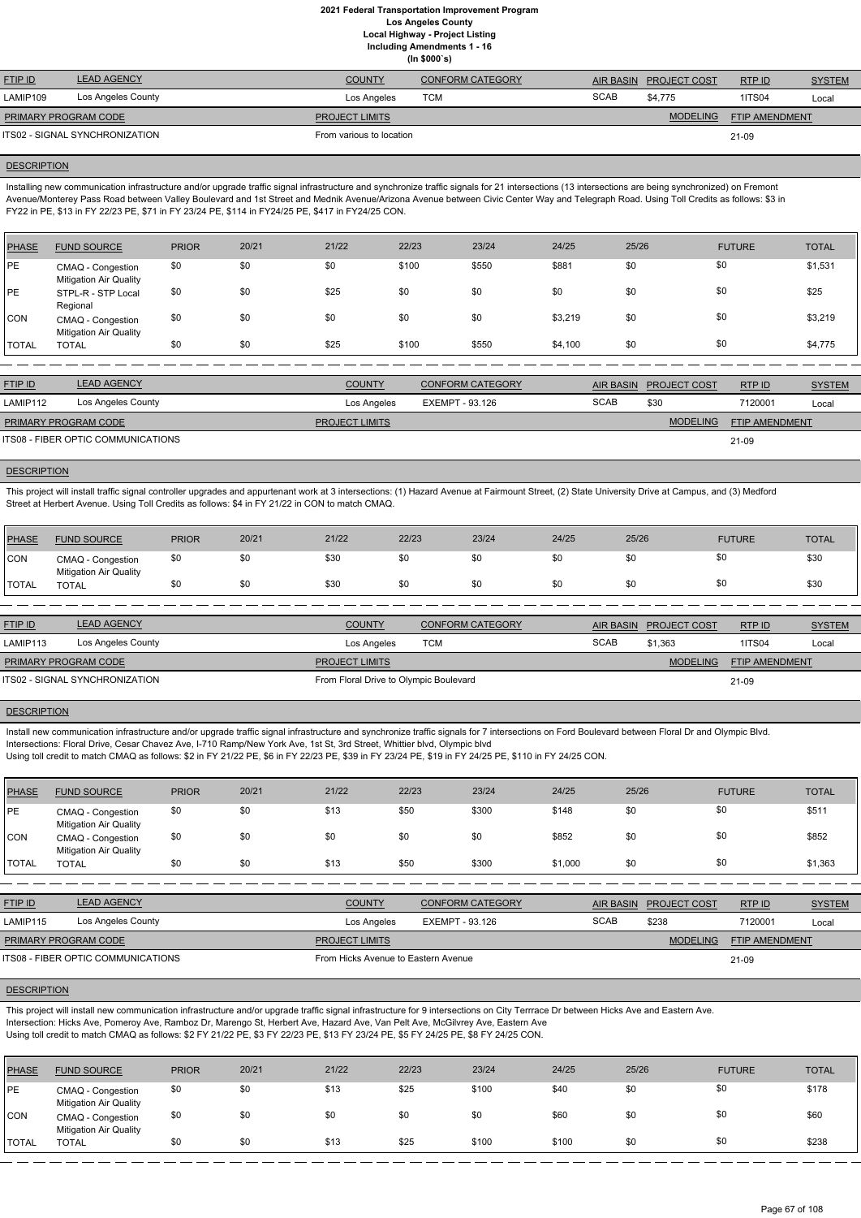|                      |                                |                          | $\cdots$ , we set $\sim$ , |                  |                     |                       |               |
|----------------------|--------------------------------|--------------------------|----------------------------|------------------|---------------------|-----------------------|---------------|
| <b>FTIP ID</b>       | <b>LEAD AGENCY</b>             | <b>COUNTY</b>            | <b>CONFORM CATEGORY</b>    | <b>AIR BASIN</b> | <b>PROJECT COST</b> | RTP ID                | <b>SYSTEM</b> |
| LAMIP109             | Los Angeles County             | Los Angeles              | <b>TCM</b>                 | <b>SCAB</b>      | \$4.775             | <b>1ITS04</b>         | Local         |
| PRIMARY PROGRAM CODE |                                | <b>PROJECT LIMITS</b>    |                            |                  | <b>MODELING</b>     | <b>FTIP AMENDMENT</b> |               |
|                      | ITS02 - SIGNAL SYNCHRONIZATION | From various to location |                            |                  |                     | 21-09                 |               |

### **DESCRIPTION**

Installing new communication infrastructure and/or upgrade traffic signal infrastructure and synchronize traffic signals for 21 intersections (13 intersections are being synchronized) on Fremont Avenue/Monterey Pass Road between Valley Boulevard and 1st Street and Mednik Avenue/Arizona Avenue between Civic Center Way and Telegraph Road. Using Toll Credits as follows: \$3 in FY22 in PE, \$13 in FY 22/23 PE, \$71 in FY 23/24 PE, \$114 in FY24/25 PE, \$417 in FY24/25 CON.

| PHASE        | <b>FUND SOURCE</b>                                 | <b>PRIOR</b> | 20/21 | 21/22 | 22/23 | 23/24 | 24/25   | 25/26 | <b>FUTURE</b> | <b>TOTAL</b> |
|--------------|----------------------------------------------------|--------------|-------|-------|-------|-------|---------|-------|---------------|--------------|
| PE           | CMAQ - Congestion<br><b>Mitigation Air Quality</b> | \$0          | \$0   | \$0   | \$100 | \$550 | \$881   | \$0   | \$0           | \$1,531      |
| PE           | STPL-R - STP Local<br>Regional                     | \$0          | \$0   | \$25  | \$0   | \$0   | \$0     | \$0   | \$0           | \$25         |
| ICON.        | CMAQ - Congestion<br><b>Mitigation Air Quality</b> | \$0          | \$0   | \$0   | \$0   | \$0   | \$3,219 | \$0   | \$0           | \$3,219      |
| <b>TOTAL</b> | <b>TOTAL</b>                                       | \$0          | \$0   | \$25  | \$100 | \$550 | \$4,100 | \$0   | \$0           | \$4,775      |

| <b>FTIP ID</b>                     | <b>LEAD AGENCY</b> | <b>COUNTY</b>         | <b>CONFORM CATEGORY</b> |             | AIR BASIN PROJECT COST | RTPID                 | <b>SYSTEM</b> |
|------------------------------------|--------------------|-----------------------|-------------------------|-------------|------------------------|-----------------------|---------------|
| LAMIP112                           | Los Angeles County | Los Angeles           | EXEMPT - 93.126         | <b>SCAB</b> | \$30                   | 7120001               | Local         |
| PRIMARY PROGRAM CODE               |                    | <b>PROJECT LIMITS</b> |                         |             | <b>MODELING</b>        | <b>FTIP AMENDMENT</b> |               |
| ITS08 - FIBER OPTIC COMMUNICATIONS |                    |                       |                         |             |                        | 21-09                 |               |

# **DESCRIPTION**

This project will install traffic signal controller upgrades and appurtenant work at 3 intersections: (1) Hazard Avenue at Fairmount Street, (2) State University Drive at Campus, and (3) Medford Street at Herbert Avenue. Using Toll Credits as follows: \$4 in FY 21/22 in CON to match CMAQ.

| <b>PHASE</b> | <b>FUND SOURCE</b>                                 | <b>PRIOR</b> | 20/21 | 21/22 | 22/23 | 23/24 | 24/25 | 25/26 | <b>FUTURE</b> | <b>TOTAL</b> |
|--------------|----------------------------------------------------|--------------|-------|-------|-------|-------|-------|-------|---------------|--------------|
| CON          | CMAQ - Congestion<br><b>Mitigation Air Quality</b> | \$0          |       | \$30  | \$0   | \$0   | \$0   | \$0   | \$0           | \$30         |
| <b>TOTAL</b> | <b>TOTAL</b>                                       |              | \$0   | \$30  | \$0   | \$0   | \$0   | \$0   | \$0           | \$30         |

| <b>FTIP ID</b>                 | <b>LEAD AGENCY</b> | <b>COUNTY</b>                          | CONFORM CATEGORY |             | AIR BASIN PROJECT COST | RTPID                 | <b>SYSTEM</b> |
|--------------------------------|--------------------|----------------------------------------|------------------|-------------|------------------------|-----------------------|---------------|
| LAMIP113                       | Los Angeles County | Los Angeles                            | тсм              | <b>SCAB</b> | \$1.363                | <b>1ITS04</b>         | Local         |
| <b>PRIMARY PROGRAM CODE</b>    |                    | <b>PROJECT LIMITS</b>                  |                  |             | <b>MODELING</b>        | <b>FTIP AMENDMENT</b> |               |
| ITS02 - SIGNAL SYNCHRONIZATION |                    | From Floral Drive to Olympic Boulevard |                  |             |                        | 21-09                 |               |

#### **DESCRIPTION**

Install new communication infrastructure and/or upgrade traffic signal infrastructure and synchronize traffic signals for 7 intersections on Ford Boulevard between Floral Dr and Olympic Blvd.

Intersections: Floral Drive, Cesar Chavez Ave, I-710 Ramp/New York Ave, 1st St, 3rd Street, Whittier blvd, Olympic blvd

Using toll credit to match CMAQ as follows: \$2 in FY 21/22 PE, \$6 in FY 22/23 PE, \$39 in FY 23/24 PE, \$19 in FY 24/25 PE, \$110 in FY 24/25 CON.

| <b>PHASE</b>  | <b>FUND SOURCE</b>                                 | <b>PRIOR</b> | 20/21 | 21/22 | 22/23 | 23/24 | 24/25   | 25/26 | <b>FUTURE</b> | <b>TOTAL</b> |
|---------------|----------------------------------------------------|--------------|-------|-------|-------|-------|---------|-------|---------------|--------------|
| <b>PE</b>     | CMAQ - Congestion<br><b>Mitigation Air Quality</b> | \$0          | \$0   | \$13  | \$50  | \$300 | \$148   | \$0   | \$0           | \$511        |
| <b>CON</b>    | CMAQ - Congestion<br><b>Mitigation Air Quality</b> | \$0          | \$0   | \$0   | \$0   | \$0   | \$852   | \$0   | \$0           | \$852        |
| <b>ITOTAL</b> | TOTAL                                              | \$0          | \$0   | \$13  | \$50  | \$300 | \$1,000 | \$0   | \$0           | \$1,363      |

| <b>FTIP ID</b>  | <b>LEAD AGENCY</b>                                                                                                                                                                                                                                                                                                                                                                   | <b>COUNTY</b> | <b>CONFORM CATEGORY</b> | <b>AIR BASIN</b> | <b>PROJECT COST</b> | RTP ID  | <b>SYSTEM</b> |
|-----------------|--------------------------------------------------------------------------------------------------------------------------------------------------------------------------------------------------------------------------------------------------------------------------------------------------------------------------------------------------------------------------------------|---------------|-------------------------|------------------|---------------------|---------|---------------|
| $I$ ANJIDJJ $I$ | $\overline{a}$ $\overline{b}$ $\overline{a}$ $\overline{a}$ $\overline{a}$ $\overline{b}$ $\overline{a}$ $\overline{b}$ $\overline{b}$ $\overline{a}$ $\overline{b}$ $\overline{a}$ $\overline{b}$ $\overline{a}$ $\overline{b}$ $\overline{a}$ $\overline{b}$ $\overline{a}$ $\overline{b}$ $\overline{a}$ $\overline{b}$ $\overline{a}$ $\overline{b}$ $\overline{a}$ $\overline{$ | .             | <b>CVEMOT</b><br>02.420 | 00000            | 0.000               | 7100001 |               |

| Los Angeles County<br>LAMIP115            | Los Angeles                         | EXEMPT - 93.126 | <b>SCAB</b> | \$238           | 7120001               | Local |
|-------------------------------------------|-------------------------------------|-----------------|-------------|-----------------|-----------------------|-------|
| <b>PRIMARY PROGRAM CODE</b>               | <b>PROJECT LIMITS</b>               |                 |             | <b>MODELING</b> | <b>FTIP AMENDMENT</b> |       |
| <b>ITS08 - FIBER OPTIC COMMUNICATIONS</b> | From Hicks Avenue to Eastern Avenue |                 |             |                 | 21-09                 |       |

## **DESCRIPTION**

This project will install new communication infrastructure and/or upgrade traffic signal infrastructure for 9 intersections on City Terrrace Dr between Hicks Ave and Eastern Ave. Intersection: Hicks Ave, Pomeroy Ave, Ramboz Dr, Marengo St, Herbert Ave, Hazard Ave, Van Pelt Ave, McGilvrey Ave, Eastern Ave Using toll credit to match CMAQ as follows: \$2 FY 21/22 PE, \$3 FY 22/23 PE, \$13 FY 23/24 PE, \$5 FY 24/25 PE, \$8 FY 24/25 CON.

| PHASE        | <b>FUND SOURCE</b>                                 | <b>PRIOR</b> | 20/21 | 21/22 | 22/23 | 23/24 | 24/25 | 25/26 | <b>FUTURE</b> | <b>TOTAL</b> |
|--------------|----------------------------------------------------|--------------|-------|-------|-------|-------|-------|-------|---------------|--------------|
| <b>PE</b>    | CMAQ - Congestion<br><b>Mitigation Air Quality</b> | \$0          | \$0   | \$13  | \$25  | \$100 | \$40  | \$0   | \$0           | \$178        |
| <b>CON</b>   | CMAQ - Congestion<br><b>Mitigation Air Quality</b> | \$0          | \$0   | \$0   | \$0   | \$0   | \$60  | \$0   | \$0           | \$60         |
| <b>TOTAL</b> | <b>TOTAL</b>                                       | \$0          | \$0   | \$13  | \$25  | \$100 | \$100 | \$0   | \$0           | \$238        |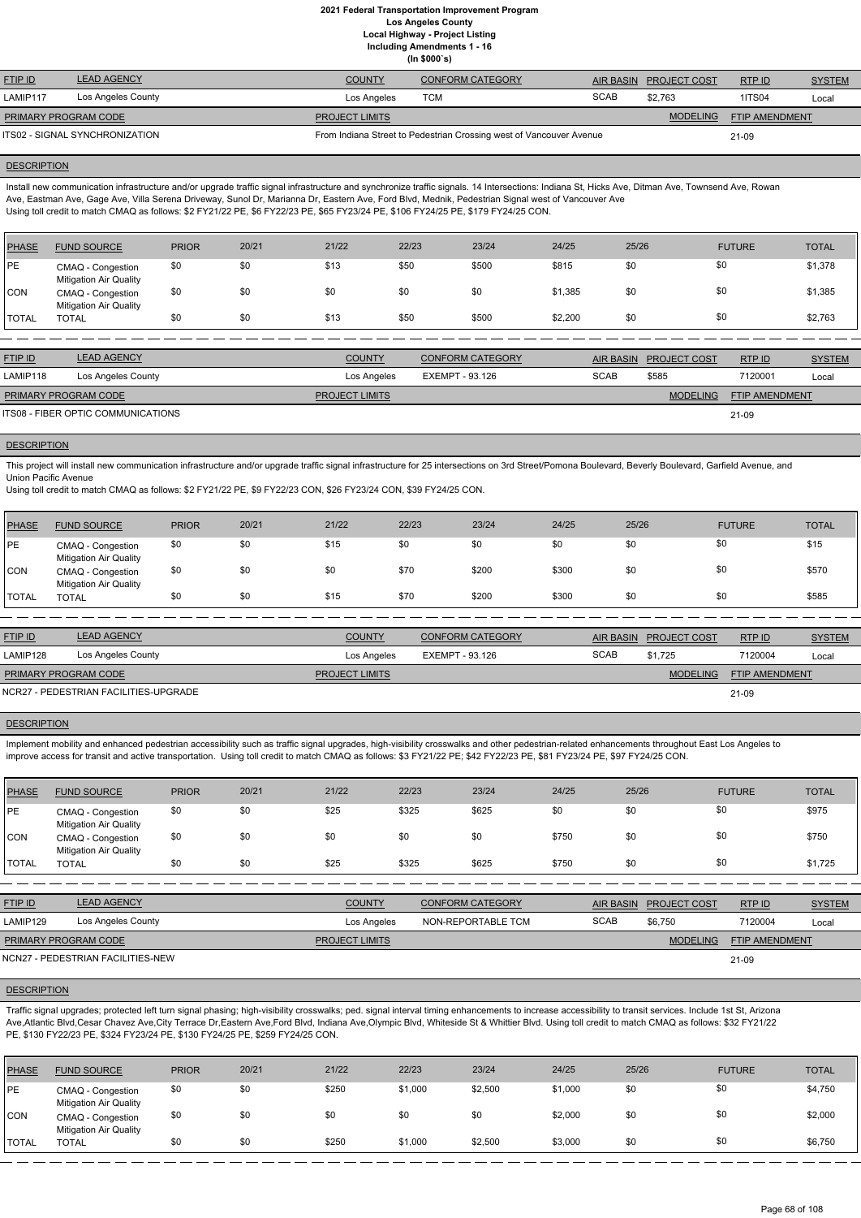**Including Amendments 1 - 16**

|  | (ln \$000's) |  |  |  |
|--|--------------|--|--|--|

| <b>FTIP ID</b>                 | <b>LEAD AGENCY</b> | <b>COUNTY</b>         | <b>CONFORM CATEGORY</b>                                             |             | AIR BASIN PROJECT COST | RTPID          | <b>SYSTEM</b> |
|--------------------------------|--------------------|-----------------------|---------------------------------------------------------------------|-------------|------------------------|----------------|---------------|
| LAMIP117                       | Los Angeles County | Los Angeles           | TCM                                                                 | <b>SCAB</b> | \$2.763                | <b>1ITS04</b>  | Local         |
| <b>PRIMARY PROGRAM CODE</b>    |                    | <b>PROJECT LIMITS</b> |                                                                     |             | <b>MODELING</b>        | FTIP AMENDMENT |               |
| ITS02 - SIGNAL SYNCHRONIZATION |                    |                       | From Indiana Street to Pedestrian Crossing west of Vancouver Avenue |             |                        | 21-09          |               |

### **DESCRIPTION**

Install new communication infrastructure and/or upgrade traffic signal infrastructure and synchronize traffic signals. 14 Intersections: Indiana St, Hicks Ave, Ditman Ave, Townsend Ave, Rowan Ave, Eastman Ave, Gage Ave, Villa Serena Driveway, Sunol Dr, Marianna Dr, Eastern Ave, Ford Blvd, Mednik, Pedestrian Signal west of Vancouver Ave Using toll credit to match CMAQ as follows: \$2 FY21/22 PE, \$6 FY22/23 PE, \$65 FY23/24 PE, \$106 FY24/25 PE, \$179 FY24/25 CON.

This project will install new communication infrastructure and/or upgrade traffic signal infrastructure for 25 intersections on 3rd Street/Pomona Boulevard, Beverly Boulevard, Garfield Avenue, and Union Pacific Avenue

| <b>PHASE</b> | <b>FUND SOURCE</b>                                 | <b>PRIOR</b> | 20/21 | 21/22 | 22/23 | 23/24 | 24/25   | 25/26 | <b>FUTURE</b> | <b>TOTAL</b> |
|--------------|----------------------------------------------------|--------------|-------|-------|-------|-------|---------|-------|---------------|--------------|
| PE           | CMAQ - Congestion<br><b>Mitigation Air Quality</b> | \$0          | \$0   | \$13  | \$50  | \$500 | \$815   | \$0   | \$0           | \$1,378      |
| <b>CON</b>   | CMAQ - Congestion<br><b>Mitigation Air Quality</b> | \$0          | \$0   | \$0   | \$0   | \$0   | \$1,385 | \$0   | \$0           | \$1,385      |
| <b>TOTAL</b> | TOTAL                                              | \$0          | \$0   | \$13  | \$50  | \$500 | \$2,200 | \$0   | \$0           | \$2,763      |

Implement mobility and enhanced pedestrian accessibility such as traffic signal upgrades, high-visibility crosswalks and other pedestrian-related enhancements throughout East Los Angeles to improve access for transit and active transportation. Using toll credit to match CMAQ as follows: \$3 FY21/22 PE; \$42 FY22/23 PE, \$81 FY23/24 PE, \$97 FY24/25 CON.

| <b>FTIP ID</b>              | <b>LEAD AGENCY</b>                 | <b>COUNTY</b>         | CONFORM CATEGORY |             | AIR BASIN PROJECT COST | RTPID                 | <b>SYSTEM</b> |
|-----------------------------|------------------------------------|-----------------------|------------------|-------------|------------------------|-----------------------|---------------|
| LAMIP118                    | Los Angeles County                 | Los Angeles           | EXEMPT - 93.126  | <b>SCAB</b> | \$585                  | 7120001               | Local         |
| <b>PRIMARY PROGRAM CODE</b> |                                    | <b>PROJECT LIMITS</b> |                  |             | <b>MODELING</b>        | <b>FTIP AMENDMENT</b> |               |
|                             | ITS08 - FIBER OPTIC COMMUNICATIONS |                       |                  |             |                        | 21-09                 |               |

### **DESCRIPTION**

Using toll credit to match CMAQ as follows: \$2 FY21/22 PE, \$9 FY22/23 CON, \$26 FY23/24 CON, \$39 FY24/25 CON.

| <b>PHASE</b>  | <b>FUND SOURCE</b>                                 | <b>PRIOR</b> | 20/21 | 21/22 | 22/23 | 23/24 | 24/25 | 25/26 | <b>FUTURE</b> | <b>TOTAL</b> |
|---------------|----------------------------------------------------|--------------|-------|-------|-------|-------|-------|-------|---------------|--------------|
| <b>IPE</b>    | CMAQ - Congestion<br><b>Mitigation Air Quality</b> | \$0          | \$0   | \$15  | \$0   | \$0   | \$0   | \$0   | \$0           | \$15         |
| <b>CON</b>    | CMAQ - Congestion<br><b>Mitigation Air Quality</b> | \$0          | \$0   | \$0   | \$70  | \$200 | \$300 | \$0   | \$0           | \$570        |
| <b>ITOTAL</b> | <b>TOTAL</b>                                       | \$0          | \$0   | \$15  | \$70  | \$200 | \$300 | \$0   | \$0           | \$585        |

| <b>FTIP ID</b>              | <b>LEAD AGENCY</b>                    | <b>COUNTY</b>         | <b>CONFORM CATEGORY</b> |             | AIR BASIN PROJECT COST | RTPID                 | <b>SYSTEM</b> |
|-----------------------------|---------------------------------------|-----------------------|-------------------------|-------------|------------------------|-----------------------|---------------|
| LAMIP128                    | Los Angeles County                    | Los Angeles           | EXEMPT - 93.126         | <b>SCAB</b> | \$1.725                | 7120004               | Local         |
| <b>PRIMARY PROGRAM CODE</b> |                                       | <b>PROJECT LIMITS</b> |                         |             | <b>MODELING</b>        | <b>FTIP AMENDMENT</b> |               |
|                             | NCR27 - PEDESTRIAN FACILITIES-UPGRADE |                       |                         |             |                        | 21-09                 |               |

#### **DESCRIPTION**

| <b>PHASE</b> | <b>FUND SOURCE</b>                                 | <b>PRIOR</b> | 20/21 | 21/22 | 22/23 | 23/24 | 24/25 | 25/26 | <b>FUTURE</b> | <b>TOTAL</b> |
|--------------|----------------------------------------------------|--------------|-------|-------|-------|-------|-------|-------|---------------|--------------|
| <b>IPE</b>   | CMAQ - Congestion<br><b>Mitigation Air Quality</b> | \$0          | \$0   | \$25  | \$325 | \$625 | \$0   | \$0   | \$0           | \$975        |
| <b>CON</b>   | CMAQ - Congestion<br><b>Mitigation Air Quality</b> | \$0          | \$0   | \$0   | \$0   | \$0   | \$750 | \$0   | \$0           | \$750        |
| <b>TOTAL</b> | TOTAL                                              | \$0          | \$0   | \$25  | \$325 | \$625 | \$750 | \$0   | \$0           | \$1,725      |

| <b>FTIP ID</b>        | <b>AGENCY</b><br>$H = H \cup H$ | COUNTY | CONFORM CATEGORY   | <b>AIR BASIN</b> | <b>PROJECT COST</b> | RTP ID  | <b>SYSTEM</b> |
|-----------------------|---------------------------------|--------|--------------------|------------------|---------------------|---------|---------------|
| $\overline{1}$ AMIDIO | $1$ as Angeles County           | .      | NON DEDODTADLE TOM | 0000             | 20.750              | 7100001 |               |

| LAMIP129             | Los Angeles County                | Los Angeles           | NON-REPORTABLE TCM | <b>SCAB</b> | \$6,750         | 7120004               | Local |
|----------------------|-----------------------------------|-----------------------|--------------------|-------------|-----------------|-----------------------|-------|
| PRIMARY PROGRAM CODE |                                   | <b>PROJECT LIMITS</b> |                    |             | <b>MODELING</b> | <b>FTIP AMENDMENT</b> |       |
|                      | NCN27 - PEDESTRIAN FACILITIES-NEW |                       |                    |             |                 | 21-09                 |       |

### **DESCRIPTION**

Traffic signal upgrades; protected left turn signal phasing; high-visibility crosswalks; ped. signal interval timing enhancements to increase accessibility to transit services. Include 1st St, Arizona Ave,Atlantic Blvd,Cesar Chavez Ave,City Terrace Dr,Eastern Ave,Ford Blvd, Indiana Ave,Olympic Blvd, Whiteside St & Whittier Blvd. Using toll credit to match CMAQ as follows: \$32 FY21/22 PE, \$130 FY22/23 PE, \$324 FY23/24 PE, \$130 FY24/25 PE, \$259 FY24/25 CON.

| <b>PHASE</b> | <b>FUND SOURCE</b>                                 | <b>PRIOR</b> | 20/21 | 21/22 | 22/23   | 23/24   | 24/25   | 25/26 | <b>FUTURE</b> | <b>TOTAL</b> |
|--------------|----------------------------------------------------|--------------|-------|-------|---------|---------|---------|-------|---------------|--------------|
| <b>IPE</b>   | CMAQ - Congestion<br><b>Mitigation Air Quality</b> | \$0          | \$0   | \$250 | \$1,000 | \$2,500 | \$1,000 | \$0   | \$0           | \$4,750      |
| CON          | CMAQ - Congestion<br><b>Mitigation Air Quality</b> | \$0          | \$0   | \$0   | \$0     | \$0     | \$2,000 | \$0   | \$0           | \$2,000      |
| 'TOTAL       | <b>TOTAL</b>                                       | \$0          | \$0   | \$250 | \$1,000 | \$2,500 | \$3,000 | \$0   | \$0           | \$6,750      |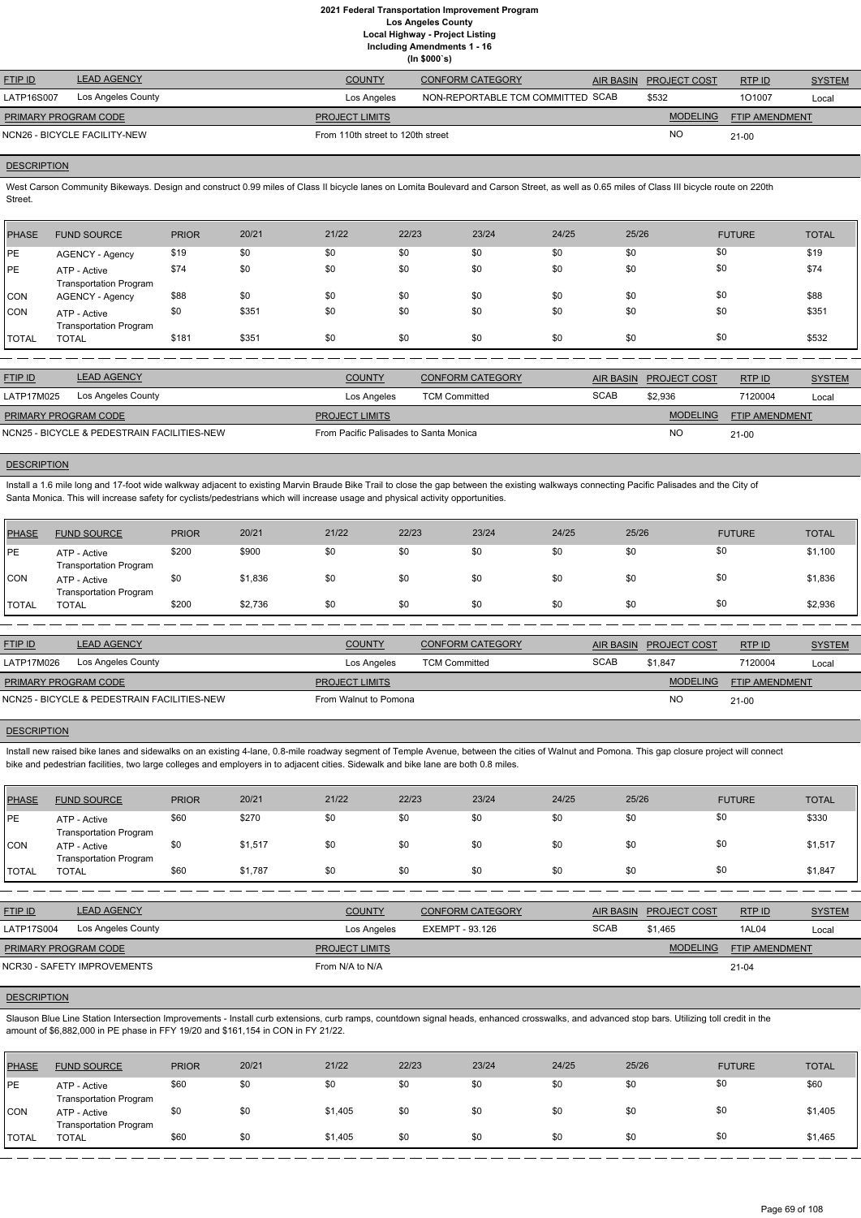**Including Amendments 1 - 16**

**(In \$000`s)**

| <b>FTIP ID</b>              | <b>LEAD AGENCY</b>           | <b>COUNTY</b>                     | <b>CONFORM CATEGORY</b>           | AIR BASIN PROJECT COST | RTP ID                | <b>SYSTEM</b> |
|-----------------------------|------------------------------|-----------------------------------|-----------------------------------|------------------------|-----------------------|---------------|
| LATP16S007                  | Los Angeles County           | Los Angeles                       | NON-REPORTABLE TCM COMMITTED SCAB | \$532                  | 101007                | Local         |
| <b>PRIMARY PROGRAM CODE</b> |                              | <b>PROJECT LIMITS</b>             |                                   | <b>MODELING</b>        | <b>FTIP AMENDMENT</b> |               |
|                             | NCN26 - BICYCLE FACILITY-NEW | From 110th street to 120th street |                                   | <b>NO</b>              | 21-00                 |               |
|                             |                              |                                   |                                   |                        |                       |               |

# **DESCRIPTION**

West Carson Community Bikeways. Design and construct 0.99 miles of Class II bicycle lanes on Lomita Boulevard and Carson Street, as well as 0.65 miles of Class III bicycle route on 220th Street.

| PHASE        | <b>FUND SOURCE</b>                            | <b>PRIOR</b> | 20/21 | 21/22 | 22/23 | 23/24 | 24/25 | 25/26 | <b>FUTURE</b> | <b>TOTAL</b> |
|--------------|-----------------------------------------------|--------------|-------|-------|-------|-------|-------|-------|---------------|--------------|
| <b>IPE</b>   | AGENCY - Agency                               | \$19         | \$0   | \$0   | \$0   | \$0   | \$0   | \$0   | \$0           | \$19         |
| <b>IPE</b>   | ATP - Active<br><b>Transportation Program</b> | \$74         | \$0   | \$0   | \$0   | \$0   | \$0   | \$0   | \$0           | \$74         |
| <b>CON</b>   | AGENCY - Agency                               | \$88         | \$0   | \$0   | \$0   | \$0   | \$0   | \$0   | \$0           | \$88         |
| <b>CON</b>   | ATP - Active<br><b>Transportation Program</b> | \$0          | \$351 | \$0   | \$0   | \$0   | \$0   | \$0   | \$0           | \$351        |
| <b>TOTAL</b> | <b>TOTAL</b>                                  | \$181        | \$351 | \$0   | \$0   | \$0   | \$0   | \$0   | \$0           | \$532        |

| <b>FTIP ID</b>                              | <b>LEAD AGENCY</b> | <b>COUNTY</b>                          | CONFORM CATEGORY     | AIR BASIN   | <b>PROJECT COST</b> | RTP ID                | <b>SYSTEM</b> |
|---------------------------------------------|--------------------|----------------------------------------|----------------------|-------------|---------------------|-----------------------|---------------|
| LATP17M025                                  | Los Angeles County | Los Angeles                            | <b>TCM Committed</b> | <b>SCAB</b> | \$2.936             | 7120004               | Local         |
| <b>PRIMARY PROGRAM CODE</b>                 |                    | <b>PROJECT LIMITS</b>                  |                      |             | <b>MODELING</b>     | <b>FTIP AMENDMENT</b> |               |
| NCN25 - BICYCLE & PEDESTRAIN FACILITIES-NEW |                    | From Pacific Palisades to Santa Monica |                      |             | NO                  | $21 - 00$             |               |

# **DESCRIPTION**

Install a 1.6 mile long and 17-foot wide walkway adjacent to existing Marvin Braude Bike Trail to close the gap between the existing walkways connecting Pacific Palisades and the City of Santa Monica. This will increase safety for cyclists/pedestrians which will increase usage and physical activity opportunities.

Slauson Blue Line Station Intersection Improvements - Install curb extensions, curb ramps, countdown signal heads, enhanced crosswalks, and advanced stop bars. Utilizing toll credit in the amount of \$6,882,000 in PE phase in FFY 19/20 and \$161,154 in CON in FY 21/22.

| <b>PHASE</b> | <b>FUND SOURCE</b>                            | <b>PRIOR</b> | 20/21   | 21/22 | 22/23 | 23/24 | 24/25 | 25/26 | <b>FUTURE</b> | <b>TOTAL</b> |
|--------------|-----------------------------------------------|--------------|---------|-------|-------|-------|-------|-------|---------------|--------------|
| PE           | ATP - Active<br><b>Transportation Program</b> | \$200        | \$900   | \$0   | \$0   | \$0   | \$0   | \$0   | \$0           | \$1,100      |
| <b>CON</b>   | ATP - Active<br><b>Transportation Program</b> | \$0          | \$1,836 | \$0   | \$0   | \$0   | \$0   | \$0   | \$0           | \$1,836      |
| <b>TOTAL</b> | <b>TOTAL</b>                                  | \$200        | \$2,736 | \$0   | \$0   | \$0   | \$0   | \$0   | \$0           | \$2,936      |
|              |                                               |              |         |       |       |       |       |       |               |              |

| <b>LEAD AGENCY</b>                          | <b>COUNTY</b>         | CONFORM CATEGORY     |                       |                 | RTPID                  | <b>SYSTEM</b>         |
|---------------------------------------------|-----------------------|----------------------|-----------------------|-----------------|------------------------|-----------------------|
| Los Angeles County                          | Los Angeles           | <b>TCM Committed</b> | <b>SCAB</b>           | \$1.847         | 7120004                | Local                 |
| <b>PRIMARY PROGRAM CODE</b>                 | <b>PROJECT LIMITS</b> |                      |                       | <b>MODELING</b> |                        |                       |
| NCN25 - BICYCLE & PEDESTRAIN FACILITIES-NEW |                       |                      |                       | <b>NO</b>       | $21-00$                |                       |
|                                             |                       |                      | From Walnut to Pomona |                 | AIR BASIN PROJECT COST | <b>FTIP AMENDMENT</b> |

### **DESCRIPTION**

Install new raised bike lanes and sidewalks on an existing 4-lane, 0.8-mile roadway segment of Temple Avenue, between the cities of Walnut and Pomona. This gap closure project will connect bike and pedestrian facilities, two large colleges and employers in to adjacent cities. Sidewalk and bike lane are both 0.8 miles.

| PHASE        | <b>FUND SOURCE</b>                            | <b>PRIOR</b> | 20/21   | 21/22 | 22/23 | 23/24 | 24/25 | 25/26 | <b>FUTURE</b> | <b>TOTAL</b> |
|--------------|-----------------------------------------------|--------------|---------|-------|-------|-------|-------|-------|---------------|--------------|
| <b>PE</b>    | ATP - Active<br><b>Transportation Program</b> | \$60         | \$270   | \$0   | \$0   | \$0   | \$0   |       | \$0           | \$330        |
| <b>CON</b>   | ATP - Active<br><b>Transportation Program</b> | \$0          | \$1,517 | \$0   | \$0   | \$0   | \$0   | \$0   | \$0           | \$1,517      |
| <b>TOTAL</b> | TOTAL                                         | \$60         | \$1,787 | \$0   | \$0   | \$0   | \$0   | \$0   | \$0           | \$1,847      |

| Los Angeles County<br><b>LATP17S004</b> | Los Angeles           | EXEMPT - 93.126 | <b>SCAB</b> | \$1.465         | 1AL04                 | Local |
|-----------------------------------------|-----------------------|-----------------|-------------|-----------------|-----------------------|-------|
| PRIMARY PROGRAM CODE                    | <b>PROJECT LIMITS</b> |                 |             | <b>MODELING</b> | <b>FTIP AMENDMENT</b> |       |
| NCR30 - SAFETY IMPROVEMENTS             | From N/A to N/A       |                 |             |                 | $21 - 04$             |       |

| <b>PHASE</b> | <b>FUND SOURCE</b>                            | <b>PRIOR</b> | 20/21 | 21/22   | 22/23 | 23/24 | 24/25 | 25/26 | <b>FUTURE</b> | <b>TOTAL</b> |
|--------------|-----------------------------------------------|--------------|-------|---------|-------|-------|-------|-------|---------------|--------------|
| <b>PE</b>    | ATP - Active<br><b>Transportation Program</b> | \$60         | \$0   | \$0     | \$0   | \$0   | \$0   | \$0   | \$0           | \$60         |
| <b>CON</b>   | ATP - Active<br><b>Transportation Program</b> | \$0          | \$0   | \$1,405 | \$0   | \$0   | \$0   | \$0   | \$0           | \$1,405      |
| <b>TOTAL</b> | <b>TOTAL</b>                                  | \$60         | \$0   | \$1,405 | \$0   | \$0   | \$0   | \$0   | \$0           | \$1,465      |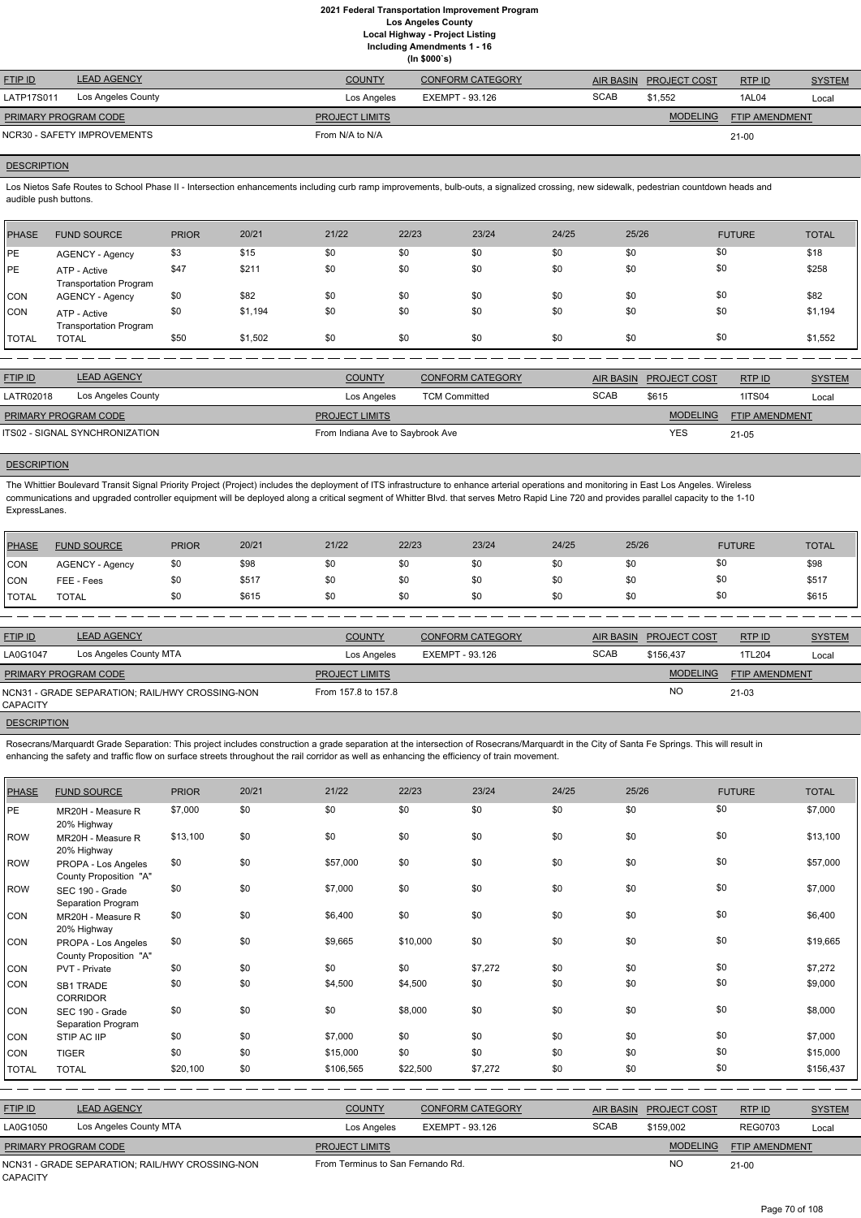| (ln \$000's)                |                             |                       |                         |             |                     |                       |               |  |  |
|-----------------------------|-----------------------------|-----------------------|-------------------------|-------------|---------------------|-----------------------|---------------|--|--|
| <b>FTIP ID</b>              | <b>LEAD AGENCY</b>          | <b>COUNTY</b>         | <b>CONFORM CATEGORY</b> | AIR BASIN   | <b>PROJECT COST</b> | RTP ID                | <b>SYSTEM</b> |  |  |
| LATP17S011                  | Los Angeles County          | Los Angeles           | EXEMPT - 93.126         | <b>SCAB</b> | \$1.552             | 1AL04                 | Local         |  |  |
| <b>PRIMARY PROGRAM CODE</b> |                             | <b>PROJECT LIMITS</b> |                         |             | <b>MODELING</b>     | <b>FTIP AMENDMENT</b> |               |  |  |
|                             | NCR30 - SAFETY IMPROVEMENTS | From N/A to N/A       |                         |             |                     | $21-00$               |               |  |  |

## **DESCRIPTION**

Los Nietos Safe Routes to School Phase II - Intersection enhancements including curb ramp improvements, bulb-outs, a signalized crossing, new sidewalk, pedestrian countdown heads and audible push buttons.

| PHASE        | <b>FUND SOURCE</b>                            | <b>PRIOR</b> | 20/21   | 21/22 | 22/23 | 23/24 | 24/25 | 25/26 | <b>FUTURE</b> | <b>TOTAL</b> |
|--------------|-----------------------------------------------|--------------|---------|-------|-------|-------|-------|-------|---------------|--------------|
| <b>IPE</b>   | AGENCY - Agency                               | \$3          | \$15    | \$0   | \$0   | \$0   | \$0   | \$0   | \$0           | \$18         |
| <b>PE</b>    | ATP - Active<br><b>Transportation Program</b> | \$47         | \$211   | \$0   | \$0   | \$0   | \$0   | \$0   | \$0           | \$258        |
| <b>CON</b>   | <b>AGENCY - Agency</b>                        | \$0          | \$82    | \$0   | \$0   | \$0   | \$0   | \$0   | \$0           | \$82         |
| <b>CON</b>   | ATP - Active<br><b>Transportation Program</b> | \$0          | \$1,194 | \$0   | \$0   | \$0   | \$0   | \$0   | \$0           | \$1,194      |
| <b>TOTAL</b> | <b>TOTAL</b>                                  | \$50         | \$1,502 | \$0   | \$0   | \$0   | \$0   | \$0   | \$0           | \$1,552      |

| <b>FTIP ID</b>              | <b>LEAD AGENCY</b>             | <b>COUNTY</b>                    | <b>CONFORM CATEGORY</b> |             | AIR BASIN PROJECT COST | RTPID                 | <b>SYSTEM</b> |
|-----------------------------|--------------------------------|----------------------------------|-------------------------|-------------|------------------------|-----------------------|---------------|
| LATR02018                   | Los Angeles County             | Los Angeles                      | <b>TCM Committed</b>    | <b>SCAB</b> | \$615                  | <b>1ITS04</b>         | Local         |
| <b>PRIMARY PROGRAM CODE</b> |                                | <b>PROJECT LIMITS</b>            |                         |             | <b>MODELING</b>        | <b>FTIP AMENDMENT</b> |               |
|                             | ITS02 - SIGNAL SYNCHRONIZATION | From Indiana Ave to Saybrook Ave |                         |             | YES                    | $21 - 05$             |               |

# **DESCRIPTION**

Rosecrans/Marquardt Grade Separation: This project includes construction a grade separation at the intersection of Rosecrans/Marquardt in the City of Santa Fe Springs. This will result in enhancing the safety and traffic flow on surface streets throughout the rail corridor as well as enhancing the efficiency of train movement.

The Whittier Boulevard Transit Signal Priority Project (Project) includes the deployment of ITS infrastructure to enhance arterial operations and monitoring in East Los Angeles. Wireless communications and upgraded controller equipment will be deployed along a critical segment of Whitter Blvd. that serves Metro Rapid Line 720 and provides parallel capacity to the 1-10 ExpressLanes.

| PHASE        | <b>FUND SOURCE</b>     | <b>PRIOR</b> | 20/21 | 21/22 | 22/23 | 23/24 | 24/25 | 25/26 | <b>FUTURE</b> | <b>TOTAL</b> |
|--------------|------------------------|--------------|-------|-------|-------|-------|-------|-------|---------------|--------------|
| <b>CON</b>   | <b>AGENCY - Agency</b> | \$0          | \$98  | \$0   | \$0   | \$0   | \$0   | \$0   | \$0           | \$98         |
| <b>CON</b>   | FEE - Fees             | \$0          | \$517 | \$0   | \$0   | \$0   | \$0   | \$0   | \$0           | \$517        |
| <b>TOTAL</b> | <b>TOTAL</b>           | \$0          | \$615 | \$0   | \$0   | \$0   | \$0   | \$0   | \$0           | \$615        |

| <b>FTIP ID</b>              | <b>LEAD AGENCY</b>                              | <b>COUNTY</b>         | <b>CONFORM CATEGORY</b> |             | AIR BASIN PROJECT COST | RTP ID                | <b>SYSTEM</b> |
|-----------------------------|-------------------------------------------------|-----------------------|-------------------------|-------------|------------------------|-----------------------|---------------|
| LA0G1047                    | Los Angeles County MTA                          | Los Angeles           | EXEMPT - 93.126         | <b>SCAB</b> | \$156.437              | 1TL204                | Local         |
| <b>PRIMARY PROGRAM CODE</b> |                                                 | <b>PROJECT LIMITS</b> |                         |             | <b>MODELING</b>        | <b>FTIP AMENDMENT</b> |               |
| CAPACITY                    | NCN31 - GRADE SEPARATION; RAIL/HWY CROSSING-NON | From 157.8 to 157.8   |                         |             | <b>NO</b>              | $21 - 03$             |               |
|                             |                                                 |                       |                         |             |                        |                       |               |

## **DESCRIPTION**

| <b>PHASE</b> | <b>FUND SOURCE</b>                              | <b>PRIOR</b> | 20/21 | 21/22                             | 22/23           | 23/24                   | 24/25       | 25/26            |                     | <b>FUTURE</b>  | <b>TOTAL</b>  |
|--------------|-------------------------------------------------|--------------|-------|-----------------------------------|-----------------|-------------------------|-------------|------------------|---------------------|----------------|---------------|
| PE           | MR20H - Measure R<br>20% Highway                | \$7,000      | \$0   | \$0                               | \$0             | \$0                     | \$0         | \$0              |                     | \$0            | \$7,000       |
| ROW          | MR20H - Measure R<br>20% Highway                | \$13,100     | \$0   | \$0                               | \$0             | \$0                     | \$0         | \$0              |                     | \$0            | \$13,100      |
| ROW          | PROPA - Los Angeles<br>County Proposition "A"   | \$0          | \$0   | \$57,000                          | \$0             | \$0                     | \$0         | \$0              |                     | \$0            | \$57,000      |
| ROW          | SEC 190 - Grade<br>Separation Program           | \$0          | \$0   | \$7,000                           | \$0             | \$0                     | \$0         | \$0              |                     | \$0            | \$7,000       |
| <b>CON</b>   | MR20H - Measure R<br>20% Highway                | \$0          | \$0   | \$6,400                           | \$0             | \$0                     | \$0         | \$0              |                     | \$0            | \$6,400       |
| CON          | PROPA - Los Angeles<br>County Proposition "A"   | \$0          | \$0   | \$9,665                           | \$10,000        | \$0                     | \$0         | \$0              |                     | \$0            | \$19,665      |
| <b>CON</b>   | PVT - Private                                   | \$0          | \$0   | \$0                               | \$0             | \$7,272                 | \$0         | \$0              |                     | \$0            | \$7,272       |
| CON          | <b>SB1 TRADE</b><br><b>CORRIDOR</b>             | \$0          | \$0   | \$4,500                           | \$4,500         | \$0                     | \$0         | \$0              |                     | \$0            | \$9,000       |
| <b>CON</b>   | SEC 190 - Grade<br>Separation Program           | \$0          | \$0   | \$0                               | \$8,000         | \$0                     | \$0         | \$0              |                     | \$0            | \$8,000       |
| <b>CON</b>   | STIP AC IIP                                     | \$0          | \$0   | \$7,000                           | \$0             | \$0                     | \$0         | \$0              |                     | \$0            | \$7,000       |
| CON          | <b>TIGER</b>                                    | \$0          | \$0   | \$15,000                          | \$0             | \$0                     | \$0         | \$0              |                     | \$0            | \$15,000      |
| <b>TOTAL</b> | <b>TOTAL</b>                                    | \$20,100     | \$0   | \$106,565                         | \$22,500        | \$7,272                 | \$0         | \$0              |                     | \$0            | \$156,437     |
|              |                                                 |              |       |                                   |                 |                         |             |                  |                     |                |               |
| FTIP ID      | <b>LEAD AGENCY</b>                              |              |       | <b>COUNTY</b>                     |                 | <b>CONFORM CATEGORY</b> |             | <b>AIR BASIN</b> | <b>PROJECT COST</b> | RTP ID         | <b>SYSTEM</b> |
| LA0G1050     | Los Angeles County MTA                          |              |       | Los Angeles                       | EXEMPT - 93.126 |                         | <b>SCAB</b> |                  | \$159,002           | <b>REG0703</b> | Local         |
|              | PRIMARY PROGRAM CODE                            |              |       | <b>PROJECT LIMITS</b>             |                 |                         |             |                  | <b>MODELING</b>     | FTIP AMENDMENT |               |
|              | NCN31 - GRADE SEPARATION; RAIL/HWY CROSSING-NON |              |       | From Terminus to San Fernando Rd. |                 |                         |             |                  | <b>NO</b>           | $21-00$        |               |

CAPACITY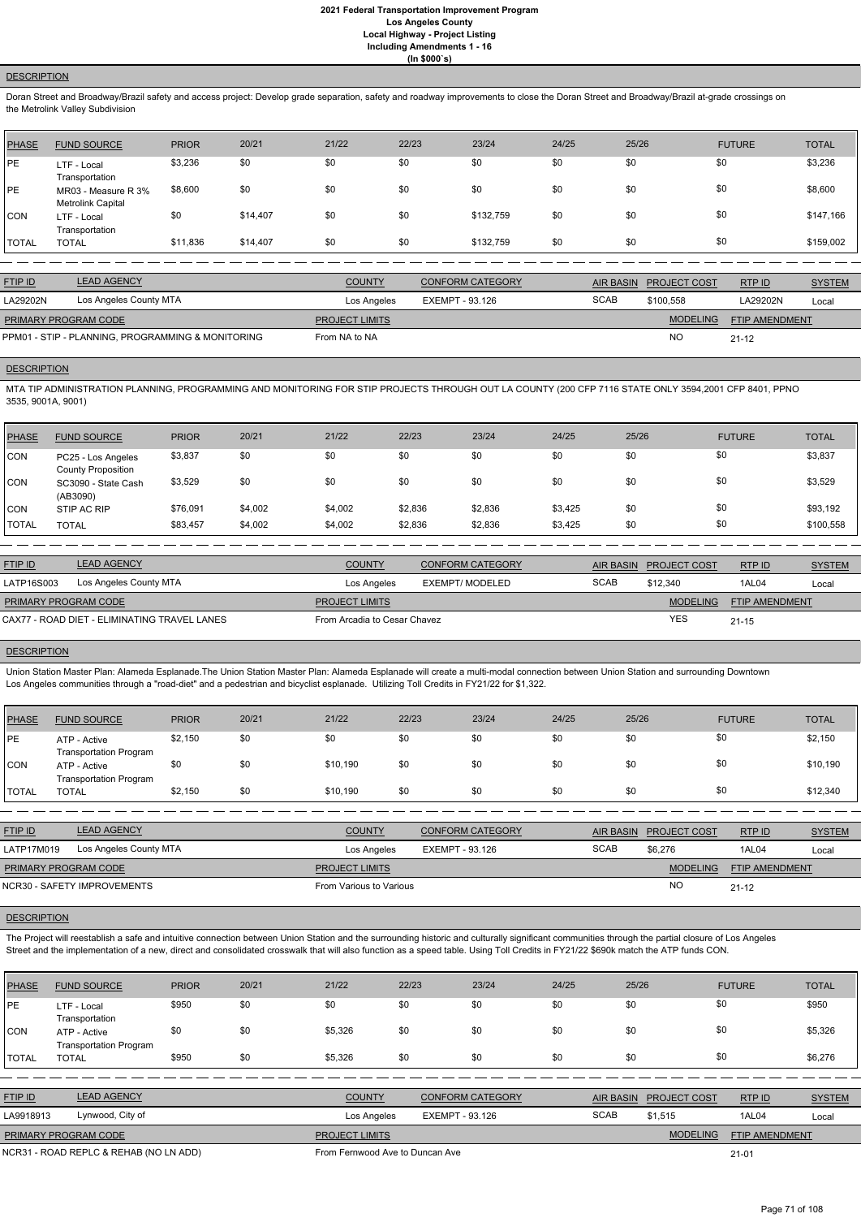## **DESCRIPTION**

Doran Street and Broadway/Brazil safety and access project: Develop grade separation, safety and roadway improvements to close the Doran Street and Broadway/Brazil at-grade crossings on the Metrolink Valley Subdivision

| <b>PHASE</b> | <b>FUND SOURCE</b>                       | <b>PRIOR</b> | 20/21    | 21/22 | 22/23 | 23/24     | 24/25 | 25/26 | <b>FUTURE</b> | <b>TOTAL</b> |
|--------------|------------------------------------------|--------------|----------|-------|-------|-----------|-------|-------|---------------|--------------|
| PE           | LTF - Local<br>Transportation            | \$3,236      | \$0      | \$0   | \$0   | \$0       | \$0   | \$0   | \$0           | \$3,236      |
| PE           | MR03 - Measure R 3%<br>Metrolink Capital | \$8,600      | \$0      | \$0   | \$0   | \$0       | \$0   | \$0   | \$0           | \$8,600      |
| <b>CON</b>   | LTF - Local<br>Transportation            | \$0          | \$14,407 | \$0   | \$0   | \$132,759 | \$0   | \$0   | \$0           | \$147,166    |
| <b>TOTAL</b> | <b>TOTAL</b>                             | \$11,836     | \$14,407 | \$0   | \$0   | \$132,759 | \$0   | \$0   | \$0           | \$159,002    |

| <b>FTIP ID</b>                                    | <b>LEAD AGENCY</b>     | <b>COUNTY</b>         | <b>CONFORM CATEGORY</b> |             | AIR BASIN PROJECT COST | RTPID                 | <b>SYSTEM</b> |
|---------------------------------------------------|------------------------|-----------------------|-------------------------|-------------|------------------------|-----------------------|---------------|
| LA29202N                                          | Los Angeles County MTA | Los Angeles           | EXEMPT - 93.126         | <b>SCAB</b> | \$100.558              | LA29202N              | Local         |
| <b>PRIMARY PROGRAM CODE</b>                       |                        | <b>PROJECT LIMITS</b> |                         |             | <b>MODELING</b>        | <b>FTIP AMENDMENT</b> |               |
| PPM01 - STIP - PLANNING, PROGRAMMING & MONITORING |                        | From NA to NA         |                         |             | <b>NO</b>              | $21 - 12$             |               |

# **DESCRIPTION**

MTA TIP ADMINISTRATION PLANNING, PROGRAMMING AND MONITORING FOR STIP PROJECTS THROUGH OUT LA COUNTY (200 CFP 7116 STATE ONLY 3594,2001 CFP 8401, PPNO 3535, 9001A, 9001)

| PHASE        | <b>FUND SOURCE</b>                              | <b>PRIOR</b> | 20/21   | 21/22   | 22/23   | 23/24   | 24/25   | 25/26 | <b>FUTURE</b> | <b>TOTAL</b> |
|--------------|-------------------------------------------------|--------------|---------|---------|---------|---------|---------|-------|---------------|--------------|
| <b>CON</b>   | PC25 - Los Angeles<br><b>County Proposition</b> | \$3,837      | \$0     | \$0     | \$0     | \$0     | \$0     | \$0   | \$0           | \$3,837      |
| <b>CON</b>   | SC3090 - State Cash<br>(AB3090)                 | \$3,529      | \$0     | \$0     | \$0     | \$0     | \$0     | \$0   | \$0           | \$3,529      |
| <b>CON</b>   | STIP AC RIP                                     | \$76,091     | \$4,002 | \$4,002 | \$2,836 | \$2,836 | \$3,425 | \$0   | \$0           | \$93,192     |
| <b>TOTAL</b> | <b>TOTAL</b>                                    | \$83,457     | \$4,002 | \$4,002 | \$2,836 | \$2,836 | \$3,425 | \$0   | \$0           | \$100,558    |

The Project will reestablish a safe and intuitive connection between Union Station and the surrounding historic and culturally significant communities through the partial closure of Los Angeles Street and the implementation of a new, direct and consolidated crosswalk that will also function as a speed table. Using Toll Credits in FY21/22 \$690k match the ATP funds CON.

| <b>FTIP ID</b>              | <b>LEAD AGENCY</b>                           | <b>COUNTY</b>                | <b>CONFORM CATEGORY</b> |             | AIR BASIN PROJECT COST | RTP ID         | <b>SYSTEM</b> |
|-----------------------------|----------------------------------------------|------------------------------|-------------------------|-------------|------------------------|----------------|---------------|
| LATP16S003                  | Los Angeles County MTA                       | Los Angeles                  | EXEMPT/ MODELED         | <b>SCAB</b> | \$12,340               | 1AL04          | Local         |
| <b>PRIMARY PROGRAM CODE</b> |                                              | <b>PROJECT LIMITS</b>        |                         |             | <b>MODELING</b>        | FTIP AMENDMENT |               |
|                             | CAX77 - ROAD DIET - ELIMINATING TRAVEL LANES | From Arcadia to Cesar Chavez |                         |             | <b>YES</b>             | $21 - 15$      |               |
|                             |                                              |                              |                         |             |                        |                |               |

## **DESCRIPTION**

Union Station Master Plan: Alameda Esplanade.The Union Station Master Plan: Alameda Esplanade will create a multi-modal connection between Union Station and surrounding Downtown Los Angeles communities through a "road-diet" and a pedestrian and bicyclist esplanade. Utilizing Toll Credits in FY21/22 for \$1,322.

| PHASE          | <b>FUND SOURCE</b>                            | <b>PRIOR</b> | 20/21 | 21/22    | 22/23 | 23/24 | 24/25 | 25/26 | <b>FUTURE</b> | <b>TOTAL</b> |
|----------------|-----------------------------------------------|--------------|-------|----------|-------|-------|-------|-------|---------------|--------------|
| <b>PE</b>      | ATP - Active<br><b>Transportation Program</b> | \$2,150      | \$0   | \$0      | \$0   | \$0   | \$0   | \$0   | \$0           | \$2,150      |
| <b>CON</b>     | ATP - Active<br><b>Transportation Program</b> | \$0          | \$0   | \$10.190 | \$0   | \$0   | \$0   | \$0   | \$0           | \$10,190     |
| <b>I</b> TOTAL | TOTAL                                         | \$2,150      | \$0   | \$10.190 | \$0   | \$0   | \$0   | \$0   | \$0           | \$12,340     |

| <b>FTIP ID</b>              | <b>LEAD AGENCY</b>          | <b>COUNTY</b>           | <b>CONFORM CATEGORY</b> |             | AIR BASIN PROJECT COST | RTPID                 | <b>SYSTEM</b> |
|-----------------------------|-----------------------------|-------------------------|-------------------------|-------------|------------------------|-----------------------|---------------|
| LATP17M019                  | Los Angeles County MTA      | Los Angeles             | EXEMPT - 93.126         | <b>SCAB</b> | \$6.276                | 1AL04                 | Local         |
| <b>PRIMARY PROGRAM CODE</b> |                             | <b>PROJECT LIMITS</b>   |                         |             | <b>MODELING</b>        | <b>FTIP AMENDMENT</b> |               |
|                             | NCR30 - SAFETY IMPROVEMENTS | From Various to Various |                         |             | <b>NC</b>              | $21 - 12$             |               |



| <b>PHASE</b>   | <b>FUND SOURCE</b>                            | <b>PRIOR</b> | 20/21 | 21/22                           | 22/23           | 23/24                   | 24/25       | 25/26            |                     | <b>FUTURE</b>         | <b>TOTAL</b>  |
|----------------|-----------------------------------------------|--------------|-------|---------------------------------|-----------------|-------------------------|-------------|------------------|---------------------|-----------------------|---------------|
| <b>IPE</b>     | LTF - Local<br>Transportation                 | \$950        | \$0   | \$0                             | \$0             | \$0                     | \$0         | \$0              | \$0                 |                       | \$950         |
| <b>CON</b>     | ATP - Active<br><b>Transportation Program</b> | \$0          | \$0   | \$5,326                         | \$0             | \$0                     | \$0         | \$0              | \$0                 |                       | \$5,326       |
| <b>I</b> TOTAL | <b>TOTAL</b>                                  | \$950        | \$0   | \$5,326                         | \$0             | \$0                     | \$0         | \$0              | \$0                 |                       | \$6,276       |
|                |                                               |              |       |                                 |                 |                         |             |                  |                     |                       |               |
| <b>FTIP ID</b> | <b>LEAD AGENCY</b>                            |              |       | <b>COUNTY</b>                   |                 | <b>CONFORM CATEGORY</b> |             | <b>AIR BASIN</b> | <b>PROJECT COST</b> | RTP ID                | <b>SYSTEM</b> |
| LA9918913      | Lynwood, City of                              |              |       | Los Angeles                     | EXEMPT - 93.126 |                         | <b>SCAB</b> |                  | \$1,515             | 1AL04                 | Local         |
|                | PRIMARY PROGRAM CODE                          |              |       | <b>PROJECT LIMITS</b>           |                 |                         |             |                  | <b>MODELING</b>     | <b>FTIP AMENDMENT</b> |               |
|                | NCR31 - ROAD REPLC & REHAB (NO LN ADD)        |              |       | From Fernwood Ave to Duncan Ave |                 |                         |             |                  |                     | $21 - 01$             |               |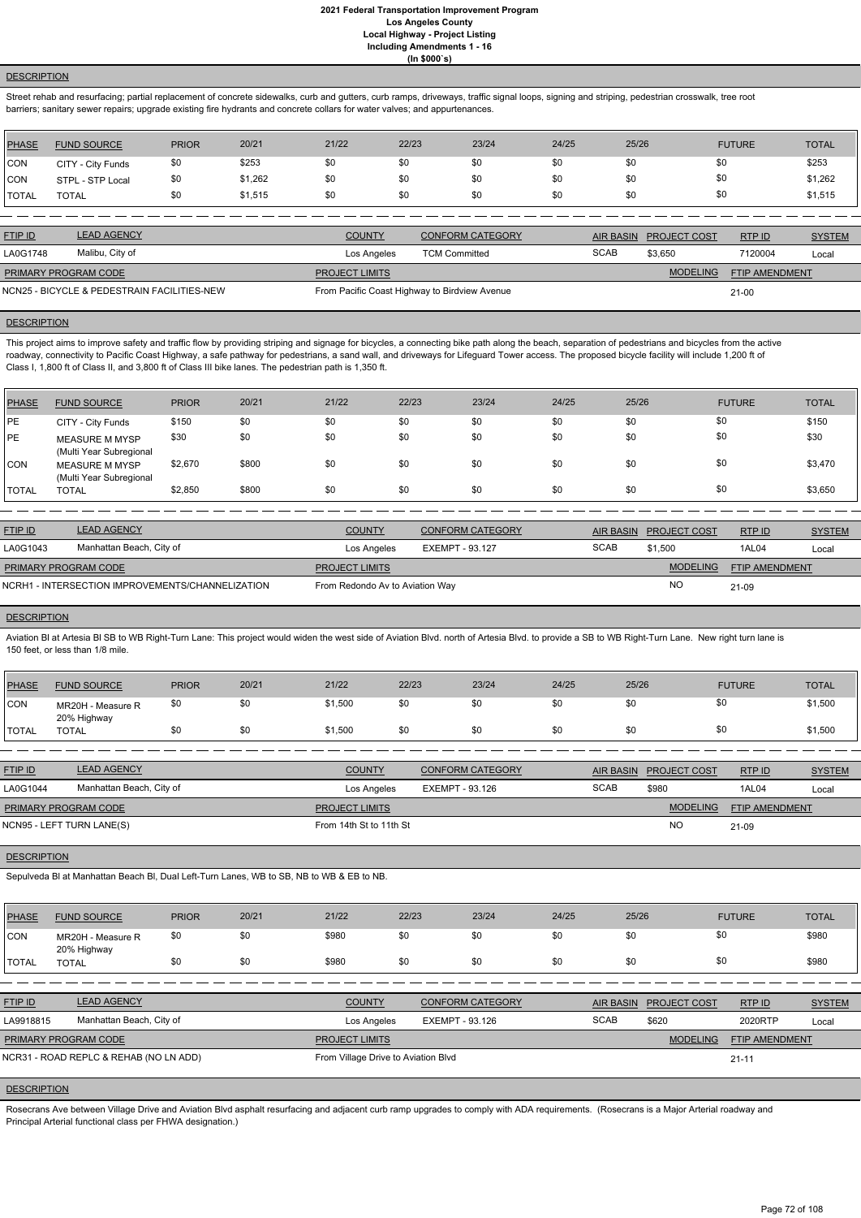## **DESCRIPTION**

Street rehab and resurfacing; partial replacement of concrete sidewalks, curb and gutters, curb ramps, driveways, traffic signal loops, signing and striping, pedestrian crosswalk, tree root barriers; sanitary sewer repairs; upgrade existing fire hydrants and concrete collars for water valves; and appurtenances.

| <b>PHASE</b> | <b>FUND SOURCE</b> | <b>PRIOR</b> | 20/21   | 21/22 | 22/23 | 23/24 | 24/25 | 25/26 | <b>FUTURE</b> | <b>TOTAL</b> |
|--------------|--------------------|--------------|---------|-------|-------|-------|-------|-------|---------------|--------------|
| <b>CON</b>   | CITY - City Funds  | \$0          | \$253   | \$0   |       | \$0   | \$0   | \$0   | \$0           | \$253        |
| <b>CON</b>   | STPL - STP Local   | \$0          | \$1,262 | \$0   |       | \$0   | \$0   | \$0   | \$0           | \$1,262      |
| <b>TOTAL</b> | TOTAL              | \$0          | \$1,515 | \$0   |       | \$0   | \$0   | \$0   | \$0           | \$1,515      |

This project aims to improve safety and traffic flow by providing striping and signage for bicycles, a connecting bike path along the beach, separation of pedestrians and bicycles from the active roadway, connectivity to Pacific Coast Highway, a safe pathway for pedestrians, a sand wall, and driveways for Lifeguard Tower access. The proposed bicycle facility will include 1,200 ft of Class I, 1,800 ft of Class II, and 3,800 ft of Class III bike lanes. The pedestrian path is 1,350 ft.

| <b>FTIP ID</b>              | <b>LEAD AGENCY</b>                          | <b>COUNTY</b>                                 | <b>CONFORM CATEGORY</b> |             | AIR BASIN PROJECT COST | RTP ID         | <b>SYSTEM</b> |
|-----------------------------|---------------------------------------------|-----------------------------------------------|-------------------------|-------------|------------------------|----------------|---------------|
| LA0G1748                    | Malibu, City of                             | Los Angeles                                   | <b>TCM Committed</b>    | <b>SCAB</b> | \$3.650                | 7120004        | Local         |
| <b>PRIMARY PROGRAM CODE</b> |                                             | <b>PROJECT LIMITS</b>                         |                         |             | <b>MODELING</b>        | FTIP AMENDMENT |               |
|                             | NCN25 - BICYCLE & PEDESTRAIN FACILITIES-NEW | From Pacific Coast Highway to Birdview Avenue |                         |             |                        | $21 - 00$      |               |

### **DESCRIPTION**

Aviation BI at Artesia BI SB to WB Right-Turn Lane: This project would widen the west side of Aviation Blvd. north of Artesia Blvd. to provide a SB to WB Right-Turn Lane. New right turn lane is 150 feet, or less than 1/8 mile.

| PHASE        | <b>FUND SOURCE</b>                               | <b>PRIOR</b> | 20/21 | 21/22 | 22/23 | 23/24 | 24/25 | 25/26 | <b>FUTURE</b> | <b>TOTAL</b> |
|--------------|--------------------------------------------------|--------------|-------|-------|-------|-------|-------|-------|---------------|--------------|
| <b>IPE</b>   | CITY - City Funds                                | \$150        | \$0   | \$0   | \$0   | \$0   | \$0   | \$0   | \$0           | \$150        |
| <b>IPE</b>   | <b>MEASURE M MYSP</b><br>(Multi Year Subregional | \$30         | \$0   | \$0   | \$0   | \$0   | \$0   | \$0   | \$0           | \$30         |
| <b>CON</b>   | <b>MEASURE M MYSP</b><br>(Multi Year Subregional | \$2,670      | \$800 | \$0   | \$0   | \$0   | \$0   | \$0   | \$0           | \$3,470      |
| <b>TOTAL</b> | <b>TOTAL</b>                                     | \$2,850      | \$800 | \$0   | \$0   | \$0   | \$0   | \$0   | \$0           | \$3,650      |

Rosecrans Ave between Village Drive and Aviation Blvd asphalt resurfacing and adjacent curb ramp upgrades to comply with ADA requirements. (Rosecrans is a Major Arterial roadway and Principal Arterial functional class per FHWA designation.)

| <b>FTIP ID</b>       | <b>LEAD AGENCY</b>                               | <b>COUNTY</b>                   | <b>CONFORM CATEGORY</b> |             | AIR BASIN PROJECT COST | RTP ID                | <b>SYSTEM</b> |
|----------------------|--------------------------------------------------|---------------------------------|-------------------------|-------------|------------------------|-----------------------|---------------|
| LA0G1043             | Manhattan Beach, City of                         | Los Angeles                     | EXEMPT - 93.127         | <b>SCAB</b> | \$1.500                | 1AL04                 | Local         |
| PRIMARY PROGRAM CODE |                                                  | <b>PROJECT LIMITS</b>           |                         |             | <b>MODELING</b>        | <b>FTIP AMENDMENT</b> |               |
|                      | NCRH1 - INTERSECTION IMPROVEMENTS/CHANNELIZATION | From Redondo Av to Aviation Way |                         |             | NO                     | 21-09                 |               |

### **DESCRIPTION**

| PHASE        | <b>FUND SOURCE</b>               | <b>PRIOR</b> | 20/21 | 21/22   | 22/23 | 23/24 | 24/25 | 25/26 | <b>FUTURE</b> | <b>TOTAL</b> |
|--------------|----------------------------------|--------------|-------|---------|-------|-------|-------|-------|---------------|--------------|
| CON          | MR20H - Measure R<br>20% Highway | \$0          | \$0   | \$1,500 | \$0   | \$0   | \$0   | \$0   | \$0           | \$1,500      |
| <b>TOTAL</b> | <b>TOTAL</b>                     | \$0          | \$0   | \$1,500 | \$0   | \$0   | \$0   | \$0   | \$0           | \$1,500      |
|              |                                  |              |       |         |       |       |       |       |               |              |

| <b>FTIP ID</b>              | <b>LEAD AGENCY</b>       | <b>COUNTY</b>           | <b>CONFORM CATEGORY</b> | <b>AIR BASIN</b> | <b>PROJECT COST</b> | RTPID                 | <b>SYSTEM</b> |
|-----------------------------|--------------------------|-------------------------|-------------------------|------------------|---------------------|-----------------------|---------------|
| LA0G1044                    | Manhattan Beach, City of | Los Angeles             | EXEMPT - 93.126         | <b>SCAB</b>      | \$980               | 1AL04                 | Local         |
| <b>PRIMARY PROGRAM CODE</b> |                          | <b>PROJECT LIMITS</b>   |                         |                  | <b>MODELING</b>     | <b>FTIP AMENDMENT</b> |               |
| NCN95 - LEFT TURN LANE(S)   |                          | From 14th St to 11th St |                         |                  | <b>NO</b>           | 21-09                 |               |

## **DESCRIPTION**

Sepulveda Bl at Manhattan Beach Bl, Dual Left-Turn Lanes, WB to SB, NB to WB & EB to NB.

| <b>PHASE</b> | <b>FUND SOURCE</b> | <b>PRIOR</b> | 20/21 | 21/22 | 22/23 | 23/24 | 24/25 | 25/26 | <b>FUTURE</b> | <b>TOTAL</b> |
|--------------|--------------------|--------------|-------|-------|-------|-------|-------|-------|---------------|--------------|

| ICON                                   | MR20H - Measure R<br>20% Highway | \$0 | \$0 | \$980         | \$0                                 | \$0                     | \$0 | \$0         | \$0                                      |         | \$980         |
|----------------------------------------|----------------------------------|-----|-----|---------------|-------------------------------------|-------------------------|-----|-------------|------------------------------------------|---------|---------------|
| <b>TOTAL</b>                           | <b>TOTAL</b>                     | \$0 | \$0 | \$980         | \$0                                 | \$0                     | \$0 | \$0         | \$0                                      |         | \$980         |
|                                        |                                  |     |     |               |                                     |                         |     |             |                                          |         |               |
| <b>FTIP ID</b>                         | <b>LEAD AGENCY</b>               |     |     | <b>COUNTY</b> |                                     | <b>CONFORM CATEGORY</b> |     | AIR BASIN   | <b>PROJECT COST</b>                      | RTP ID  | <b>SYSTEM</b> |
| LA9918815                              | Manhattan Beach, City of         |     |     | Los Angeles   |                                     | EXEMPT - 93.126         |     | <b>SCAB</b> | \$620                                    | 2020RTP | Local         |
| PRIMARY PROGRAM CODE                   |                                  |     |     |               | <b>PROJECT LIMITS</b>               |                         |     |             | <b>MODELING</b><br><b>FTIP AMENDMENT</b> |         |               |
| NCR31 - ROAD REPLC & REHAB (NO LN ADD) |                                  |     |     |               | From Village Drive to Aviation Blvd |                         |     |             | $21 - 11$                                |         |               |
|                                        |                                  |     |     |               |                                     |                         |     |             |                                          |         |               |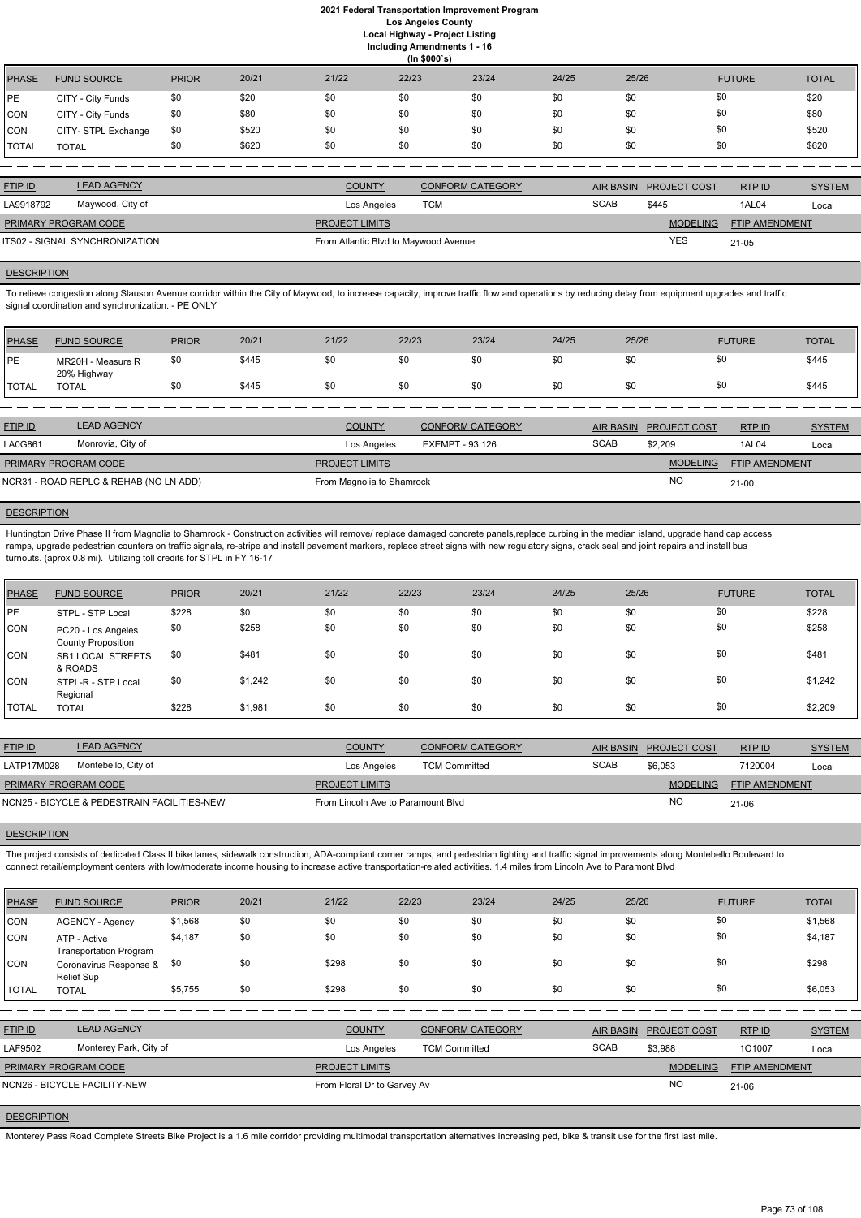|              | (ln \$000's)        |              |       |       |       |       |       |       |               |              |  |
|--------------|---------------------|--------------|-------|-------|-------|-------|-------|-------|---------------|--------------|--|
| PHASE        | <b>FUND SOURCE</b>  | <b>PRIOR</b> | 20/21 | 21/22 | 22/23 | 23/24 | 24/25 | 25/26 | <b>FUTURE</b> | <b>TOTAL</b> |  |
| PE           | CITY - City Funds   | \$0          | \$20  | \$0   | \$0   | \$0   | \$0   | \$0   | \$0           | \$20         |  |
| CON          | CITY - City Funds   | \$0          | \$80  | \$0   | \$0   | \$0   | \$0   | \$0   | \$0           | \$80         |  |
| CON          | CITY- STPL Exchange | \$0          | \$520 | \$0   | \$0   | \$0   | \$0   | \$0   | \$0           | \$520        |  |
| <b>TOTAL</b> | <b>TOTAL</b>        | \$0          | \$620 | \$0   | \$0   | \$0   | \$0   | \$0   | \$0           | \$620        |  |

| <b>FTIP ID</b>       | <b>LEAD AGENCY</b>             | <b>COUNTY</b>                        | <b>CONFORM CATEGORY</b> |             | AIR BASIN PROJECT COST | RTPID                 | <b>SYSTEM</b> |
|----------------------|--------------------------------|--------------------------------------|-------------------------|-------------|------------------------|-----------------------|---------------|
| LA9918792            | Maywood, City of               | Los Angeles                          | <b>TCM</b>              | <b>SCAB</b> | \$445                  | 1AL04                 | Local         |
| PRIMARY PROGRAM CODE |                                | <b>PROJECT LIMITS</b>                |                         |             | <b>MODELING</b>        | <b>FTIP AMENDMENT</b> |               |
|                      | ITS02 - SIGNAL SYNCHRONIZATION | From Atlantic Blvd to Maywood Avenue |                         |             | YES                    | 21-05                 |               |

#### **DESCRIPTION**

To relieve congestion along Slauson Avenue corridor within the City of Maywood, to increase capacity, improve traffic flow and operations by reducing delay from equipment upgrades and traffic signal coordination and synchronization. - PE ONLY

Huntington Drive Phase II from Magnolia to Shamrock - Construction activities will remove/ replace damaged concrete panels,replace curbing in the median island, upgrade handicap access ramps, upgrade pedestrian counters on traffic signals, re-stripe and install pavement markers, replace street signs with new regulatory signs, crack seal and joint repairs and install bus turnouts. (aprox 0.8 mi). Utilizing toll credits for STPL in FY 16-17

| <b>PHASE</b> | <b>FUND SOURCE</b>               | <b>PRIOR</b> | 20/21 | 21/22 | 22/23 | 23/24 | 24/25 | 25/26 | <b>FUTURE</b> | <b>TOTAL</b> |
|--------------|----------------------------------|--------------|-------|-------|-------|-------|-------|-------|---------------|--------------|
| PE           | MR20H - Measure R<br>20% Highway | \$0          | \$445 | \$0   | \$0   |       | \$0   |       |               | \$445        |
| <b>TOTAL</b> | <b>TOTAL</b>                     | \$0          | \$445 | \$0   | \$0   |       | \$0   |       |               | \$445        |

| <b>FTIP ID</b>       | <b>LEAD AGENCY</b>                     | <b>COUNTY</b>             | <b>CONFORM CATEGORY</b> |             | AIR BASIN PROJECT COST | RTPID                 | <b>SYSTEM</b> |
|----------------------|----------------------------------------|---------------------------|-------------------------|-------------|------------------------|-----------------------|---------------|
| LA0G861              | Monrovia, City of                      | Los Angeles               | EXEMPT - 93.126         | <b>SCAB</b> | \$2.209                | 1AL04                 | Local         |
| PRIMARY PROGRAM CODE |                                        | <b>PROJECT LIMITS</b>     |                         |             | <b>MODELING</b>        | <b>FTIP AMENDMENT</b> |               |
|                      | NCR31 - ROAD REPLC & REHAB (NO LN ADD) | From Magnolia to Shamrock |                         |             | <b>NO</b>              | $21 - 00$             |               |

## **DESCRIPTION**

The project consists of dedicated Class II bike lanes, sidewalk construction, ADA-compliant corner ramps, and pedestrian lighting and traffic signal improvements along Montebello Boulevard to connect retail/employment centers with low/moderate income housing to increase active transportation-related activities. 1.4 miles from Lincoln Ave to Paramont Blvd

| <b>PHASE</b> | <b>FUND SOURCE</b>                              | <b>PRIOR</b> | 20/21   | 21/22 | 22/23 | 23/24 | 24/25 | 25/26 | <b>FUTURE</b> | <b>TOTAL</b> |
|--------------|-------------------------------------------------|--------------|---------|-------|-------|-------|-------|-------|---------------|--------------|
| <b>IPE</b>   | STPL - STP Local                                | \$228        | \$0     | \$0   | \$0   | \$0   | \$0   | \$0   | \$0           | \$228        |
| <b>CON</b>   | PC20 - Los Angeles<br><b>County Proposition</b> | \$0          | \$258   | \$0   | \$0   | \$0   | \$0   | \$0   | \$0           | \$258        |
| <b>CON</b>   | <b>SB1 LOCAL STREETS</b><br>& ROADS             | \$0          | \$481   | \$0   | \$0   | \$0   | \$0   | \$0   | \$0           | \$481        |
| <b>CON</b>   | STPL-R - STP Local<br>Regional                  | \$0          | \$1,242 | \$0   | \$0   | \$0   | \$0   | \$0   | \$0           | \$1,242      |
| <b>TOTAL</b> | <b>TOTAL</b>                                    | \$228        | \$1,981 | \$0   | \$0   | \$0   | \$0   | \$0   | \$0           | \$2,209      |

| <b>FTIP ID</b>              | <b>LEAD AGENCY</b>                          | <b>COUNTY</b>                      | CONFORM CATEGORY     | <b>AIR BASIN</b> | <b>PROJECT COST</b> | RTPID                 | <b>SYSTEM</b> |
|-----------------------------|---------------------------------------------|------------------------------------|----------------------|------------------|---------------------|-----------------------|---------------|
| LATP17M028                  | Montebello, City of                         | Los Angeles                        | <b>TCM Committed</b> | <b>SCAB</b>      | \$6,053             | 7120004               | Local         |
| <b>PRIMARY PROGRAM CODE</b> |                                             | <b>PROJECT LIMITS</b>              |                      |                  | <b>MODELING</b>     | <b>FTIP AMENDMENT</b> |               |
|                             | NCN25 - BICYCLE & PEDESTRAIN FACILITIES-NEW | From Lincoln Ave to Paramount Blvd |                      |                  | <b>NO</b>           | 21-06                 |               |

#### **DESCRIPTION**

| <b>PHASE</b>   | <b>FUND SOURCE</b>                            | <b>PRIOR</b> | 20/21 | 21/22                       | 22/23                | 23/24                   | 24/25       | 25/26            |                 | <b>FUTURE</b>  | <b>TOTAL</b>  |
|----------------|-----------------------------------------------|--------------|-------|-----------------------------|----------------------|-------------------------|-------------|------------------|-----------------|----------------|---------------|
| <b>CON</b>     | <b>AGENCY - Agency</b>                        | \$1,568      | \$0   | \$0                         | \$0                  | \$0                     | \$0         | \$0              |                 | \$0            | \$1,568       |
| CON            | ATP - Active<br><b>Transportation Program</b> | \$4,187      | \$0   | \$0                         | \$0                  | \$0                     | \$0         | \$0              |                 | \$0            | \$4,187       |
| CON            | Coronavirus Response &<br>Relief Sup          | \$0          | \$0   | \$298                       | \$0                  | \$0                     | \$0         | \$0              |                 | \$0            | \$298         |
| <b>TOTAL</b>   | <b>TOTAL</b>                                  | \$5,755      | \$0   | \$298                       | \$0                  | \$0                     | \$0         | \$0              |                 | \$0            | \$6,053       |
|                |                                               |              |       |                             |                      |                         |             |                  |                 |                |               |
| <b>FTIP ID</b> | <b>LEAD AGENCY</b>                            |              |       | <b>COUNTY</b>               |                      | <b>CONFORM CATEGORY</b> |             | <b>AIR BASIN</b> | PROJECT COST    | RTP ID         | <b>SYSTEM</b> |
| LAF9502        | Monterey Park, City of                        |              |       | Los Angeles                 | <b>TCM Committed</b> |                         | <b>SCAB</b> |                  | \$3,988         | 101007         | Local         |
|                | PRIMARY PROGRAM CODE                          |              |       | <b>PROJECT LIMITS</b>       |                      |                         |             |                  | <b>MODELING</b> | FTIP AMENDMENT |               |
|                | NCN26 - BICYCLE FACILITY-NEW                  |              |       | From Floral Dr to Garvey Av |                      |                         |             |                  | <b>NO</b>       | $21 - 06$      |               |

# **DESCRIPTION**

Monterey Pass Road Complete Streets Bike Project is a 1.6 mile corridor providing multimodal transportation alternatives increasing ped, bike & transit use for the first last mile.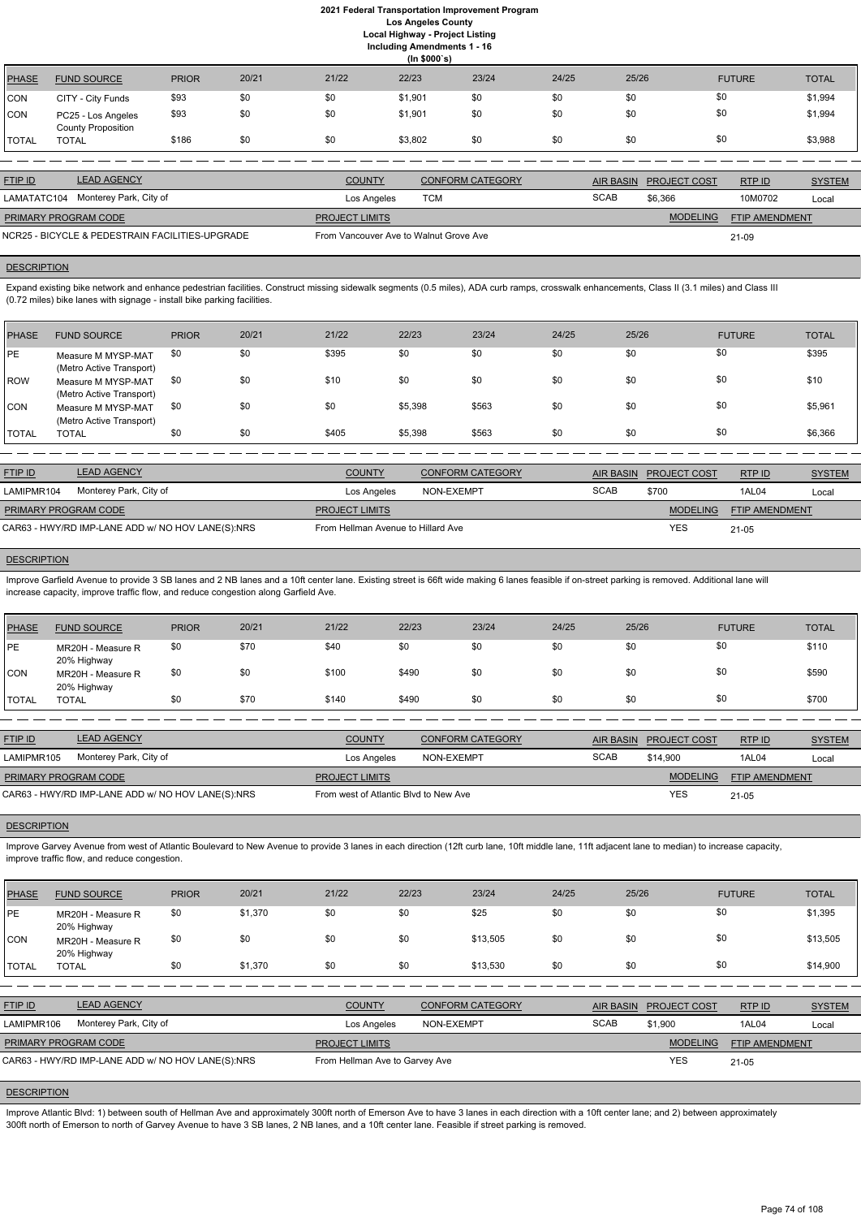**(In \$000`s)** PHASE FUND SOURCE PRIOR 20/21 21/22 22/23 23/24 24/25 25/26 FUTURE TOTAL CON CITY - City Funds \$93 \$0 \$0 \$0 \$1,901 \$0 \$0 \$0 \$0 \$0 \$0 \$1,994 CON PC25 - Los Angeles County Proposition \$93 \$0 \$0 \$1,901 \$0 \$0 \$0 \$0 \$1,994 TOTAL TOTAL \$186 \$0 \$0 \$3,802 \$0 \$0 \$0 \$0 \$3,988

| <b>FTIP ID</b> | <b>LEAD AGENCY</b>                                   | <b>COUNTY</b>                          | CONFORM CATEGORY |             | AIR BASIN PROJECT COST | RTPID                 | <b>SYSTEM</b> |
|----------------|------------------------------------------------------|----------------------------------------|------------------|-------------|------------------------|-----------------------|---------------|
|                | LAMATATC104 Monterey Park, City of                   | Los Angeles                            | TCM              | <b>SCAB</b> | \$6.366                | 10M0702               | Local         |
|                | <b>PRIMARY PROGRAM CODE</b><br><b>PROJECT LIMITS</b> |                                        |                  |             | <b>MODELING</b>        | <b>FTIP AMENDMENT</b> |               |
|                | NCR25 - BICYCLE & PEDESTRAIN FACILITIES-UPGRADE      | From Vancouver Ave to Walnut Grove Ave |                  |             |                        | 21-09                 |               |

# **DESCRIPTION**

Expand existing bike network and enhance pedestrian facilities. Construct missing sidewalk segments (0.5 miles), ADA curb ramps, crosswalk enhancements, Class II (3.1 miles) and Class III (0.72 miles) bike lanes with signage - install bike parking facilities.

Improve Garfield Avenue to provide 3 SB lanes and 2 NB lanes and a 10ft center lane. Existing street is 66ft wide making 6 lanes feasible if on-street parking is removed. Additional lane will increase capacity, improve traffic flow, and reduce congestion along Garfield Ave.

| <b>PHASE</b> | <b>FUND SOURCE</b>                             | <b>PRIOR</b> | 20/21 | 21/22 | 22/23   | 23/24 | 24/25 | 25/26 | <b>FUTURE</b> | <b>TOTAL</b> |
|--------------|------------------------------------------------|--------------|-------|-------|---------|-------|-------|-------|---------------|--------------|
| <b>PE</b>    | Measure M MYSP-MAT<br>(Metro Active Transport) | \$0          | \$0   | \$395 | \$0     | \$0   | \$0   | \$0   | \$0           | \$395        |
| <b>ROW</b>   | Measure M MYSP-MAT<br>(Metro Active Transport) | \$0          | \$0   | \$10  | \$0     | \$0   | \$0   | \$0   | \$0           | \$10         |
| <b>CON</b>   | Measure M MYSP-MAT<br>(Metro Active Transport) | \$0          | \$0   | \$0   | \$5,398 | \$563 | \$0   | \$0   | \$0           | \$5,961      |
| <b>TOTAL</b> | <b>TOTAL</b>                                   | \$0          | \$0   | \$405 | \$5,398 | \$563 | \$0   | \$0   | \$0           | \$6,366      |

Improve Garvey Avenue from west of Atlantic Boulevard to New Avenue to provide 3 lanes in each direction (12ft curb lane, 10ft middle lane, 11ft adjacent lane to median) to increase capacity, improve traffic flow, and reduce congestion.

| <b>FTIP ID</b>       | <b>LEAD AGENCY</b>                                | <b>COUNTY</b>                      | CONFORM CATEGORY |             | AIR BASIN PROJECT COST | RTPID                 | <b>SYSTEM</b> |
|----------------------|---------------------------------------------------|------------------------------------|------------------|-------------|------------------------|-----------------------|---------------|
| LAMIPMR104           | Monterey Park, City of                            | Los Angeles                        | NON-EXEMPT       | <b>SCAB</b> | \$700                  | 1AL04                 | Local         |
| PRIMARY PROGRAM CODE |                                                   | <b>PROJECT LIMITS</b>              |                  |             | <b>MODELING</b>        | <b>FTIP AMENDMENT</b> |               |
|                      | CAR63 - HWY/RD IMP-LANE ADD w/ NO HOV LANE(S):NRS | From Hellman Avenue to Hillard Ave |                  |             | YES                    | 21-05                 |               |

# **DESCRIPTION**

Improve Atlantic Blvd: 1) between south of Hellman Ave and approximately 300ft north of Emerson Ave to have 3 lanes in each direction with a 10ft center lane; and 2) between approximately 300ft north of Emerson to north of Garvey Avenue to have 3 SB lanes, 2 NB lanes, and a 10ft center lane. Feasible if street parking is removed.

| PHASE        | <b>FUND SOURCE</b>               | <b>PRIOR</b> | 20/21 | 21/22 | 22/23 | 23/24 | 24/25 | 25/26 | <b>FUTURE</b> | <b>TOTAL</b> |
|--------------|----------------------------------|--------------|-------|-------|-------|-------|-------|-------|---------------|--------------|
| <b>IPE</b>   | MR20H - Measure R<br>20% Highway | \$0          | \$70  | \$40  | \$0   | \$0   | \$0   | \$0   | \$0           | \$110        |
| <b>CON</b>   | MR20H - Measure R<br>20% Highway | \$0          | \$0   | \$100 | \$490 | \$0   | \$0   | \$0   |               | \$590        |
| <b>TOTAL</b> | TOTAL                            | \$0          | \$70  | \$140 | \$490 | \$0   | \$0   | \$0   | \$0           | \$700        |

| <b>FTIP ID</b>              | <b>LEAD AGENCY</b>                                | <b>COUNTY</b>                         | <b>CONFORM CATEGORY</b> |             | AIR BASIN PROJECT COST | RTPID          | <b>SYSTEM</b> |
|-----------------------------|---------------------------------------------------|---------------------------------------|-------------------------|-------------|------------------------|----------------|---------------|
| LAMIPMR105                  | Monterey Park, City of                            | Los Angeles                           | NON-EXEMPT              | <b>SCAB</b> | \$14,900               | 1AL04          | Local         |
| <b>PRIMARY PROGRAM CODE</b> |                                                   | <b>PROJECT LIMITS</b>                 |                         |             | <b>MODELING</b>        | FTIP AMENDMENT |               |
|                             | CAR63 - HWY/RD IMP-LANE ADD w/ NO HOV LANE(S):NRS | From west of Atlantic Blvd to New Ave |                         |             | <b>YES</b>             | $21 - 05$      |               |

#### **DESCRIPTION**

| PHASE | <b>FUND SOURCE</b> | <b>PRIOR</b> | 20/21   | 21/22 | 22/23 | 23/24 | 24/25 | 25/26 | <b>FUTURE</b> | <b>TOTAL</b> |
|-------|--------------------|--------------|---------|-------|-------|-------|-------|-------|---------------|--------------|
| PE    | MR20H - Measure R  | \$0          | \$1,370 | \$0   |       | \$25  |       | \$0   |               | \$1,395      |

| <b>CON</b>     | 20% Highway<br>MR20H - Measure R<br>20% Highway   | \$0 | \$0     | \$0                   | \$0                            | \$13.505                | \$0 | \$0              | \$0                 |                       | \$13,505      |
|----------------|---------------------------------------------------|-----|---------|-----------------------|--------------------------------|-------------------------|-----|------------------|---------------------|-----------------------|---------------|
| <b>TOTAL</b>   | <b>TOTAL</b>                                      | \$0 | \$1,370 | \$0                   | \$0                            | \$13.530                | \$0 | \$0              | \$0                 |                       | \$14,900      |
|                |                                                   |     |         |                       |                                |                         |     |                  |                     |                       |               |
| <b>FTIP ID</b> | <b>LEAD AGENCY</b>                                |     |         | <b>COUNTY</b>         |                                | <b>CONFORM CATEGORY</b> |     | <b>AIR BASIN</b> | <b>PROJECT COST</b> | RTPID                 | <b>SYSTEM</b> |
| LAMIPMR106     | Monterey Park, City of                            |     |         |                       | Los Angeles                    | NON-EXEMPT              |     | <b>SCAB</b>      | \$1,900             | 1AL04                 | Local         |
|                | PRIMARY PROGRAM CODE                              |     |         | <b>PROJECT LIMITS</b> |                                |                         |     |                  | <b>MODELING</b>     | <b>FTIP AMENDMENT</b> |               |
|                | CAR63 - HWY/RD IMP-LANE ADD w/ NO HOV LANE(S):NRS |     |         |                       | From Hellman Ave to Garvey Ave |                         |     |                  | <b>YES</b>          | 21-05                 |               |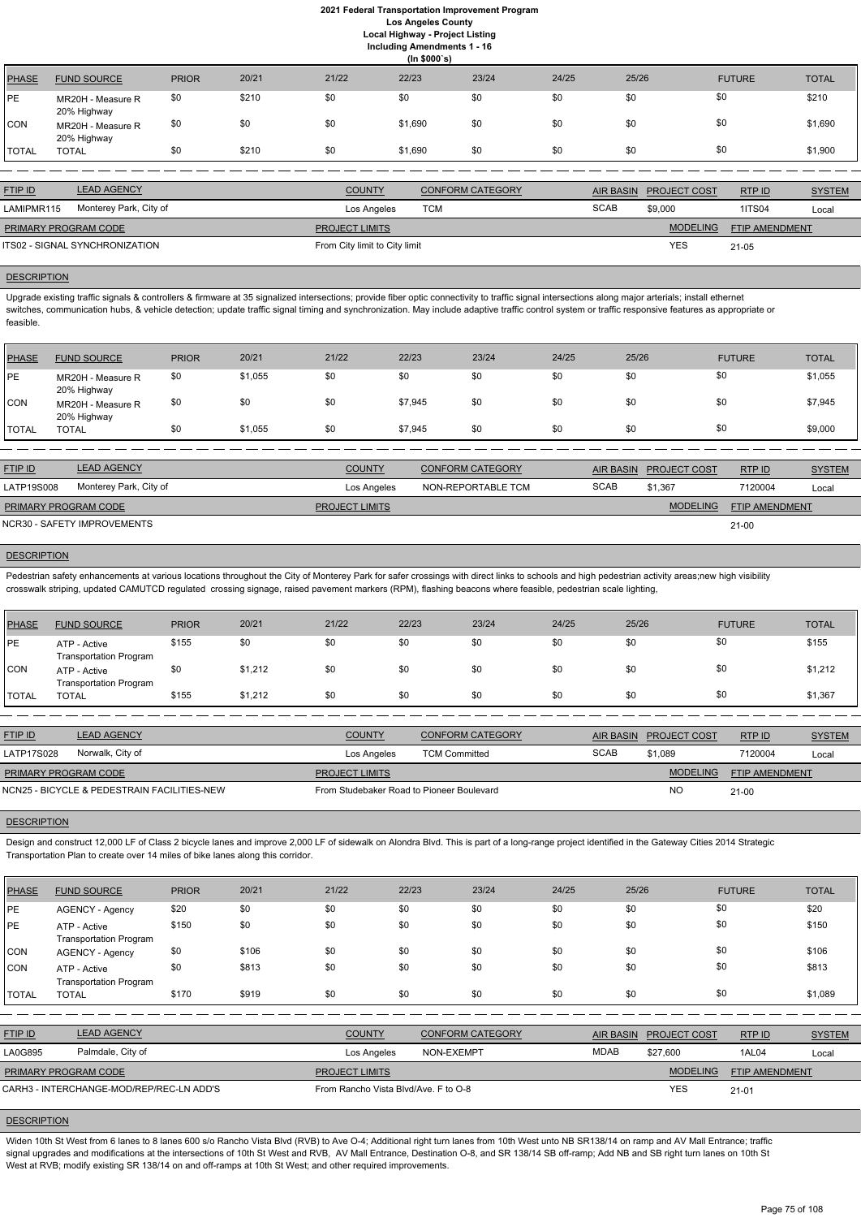**Including Amendments 1 - 16**

|              | (ln \$000's)                     |              |       |       |         |       |       |       |               |              |
|--------------|----------------------------------|--------------|-------|-------|---------|-------|-------|-------|---------------|--------------|
| PHASE        | <b>FUND SOURCE</b>               | <b>PRIOR</b> | 20/21 | 21/22 | 22/23   | 23/24 | 24/25 | 25/26 | <b>FUTURE</b> | <b>TOTAL</b> |
| <b>PE</b>    | MR20H - Measure R<br>20% Highway | \$0          | \$210 | \$0   | \$0     | \$0   | \$0   | \$0   | \$0           | \$210        |
| <b>CON</b>   | MR20H - Measure R<br>20% Highway | \$0          | \$0   | \$0   | \$1,690 | \$0   | \$0   | \$0   | \$0           | \$1,690      |
| <b>TOTAL</b> | <b>TOTAL</b>                     | \$0          | \$210 | \$0   | \$1,690 | \$0   | \$0   | \$0   | \$0           | \$1,900      |
|              |                                  |              |       |       |         |       |       |       |               |              |

Upgrade existing traffic signals & controllers & firmware at 35 signalized intersections; provide fiber optic connectivity to traffic signal intersections along major arterials; install ethernet switches, communication hubs, & vehicle detection; update traffic signal timing and synchronization. May include adaptive traffic control system or traffic responsive features as appropriate or feasible.

| <b>FTIP ID</b>              | <b>LEAD AGENCY</b>             | <b>COUNTY</b>                 | CONFORM CATEGORY |             | AIR BASIN PROJECT COST | RTPID                 | <b>SYSTEM</b> |
|-----------------------------|--------------------------------|-------------------------------|------------------|-------------|------------------------|-----------------------|---------------|
| LAMIPMR115                  | Monterey Park, City of         | Los Angeles                   | TCM              | <b>SCAB</b> | \$9,000                | <b>1ITS04</b>         | Local         |
| <b>PRIMARY PROGRAM CODE</b> |                                | <b>PROJECT LIMITS</b>         |                  |             | <b>MODELING</b>        | <b>FTIP AMENDMENT</b> |               |
|                             | ITS02 - SIGNAL SYNCHRONIZATION | From City limit to City limit |                  |             | <b>YES</b>             | $21 - 05$             |               |
|                             |                                |                               |                  |             |                        |                       |               |

#### **DESCRIPTION**

Pedestrian safety enhancements at various locations throughout the City of Monterey Park for safer crossings with direct links to schools and high pedestrian activity areas;new high visibility crosswalk striping, updated CAMUTCD regulated crossing signage, raised pavement markers (RPM), flashing beacons where feasible, pedestrian scale lighting,

| PHASE        | <b>FUND SOURCE</b>               | <b>PRIOR</b> | 20/21   | 21/22 | 22/23   | 23/24 | 24/25 | 25/26 | <b>FUTURE</b> | <b>TOTAL</b> |
|--------------|----------------------------------|--------------|---------|-------|---------|-------|-------|-------|---------------|--------------|
| <b>IPE</b>   | MR20H - Measure R<br>20% Highway | \$0          | \$1,055 | \$0   | \$0     | \$0   | \$0   | \$0   | \$0           | \$1,055      |
| <b>CON</b>   | MR20H - Measure R<br>20% Highway | \$0          | \$0     | \$0   | \$7,945 | \$0   | \$0   | \$0   | \$0           | \$7,945      |
| <b>TOTAL</b> | TOTAL                            | \$0          | \$1,055 | \$0   | \$7,945 | \$0   | \$0   | \$0   | \$0           | \$9,000      |

| <b>FTIP ID</b>              | <b>LEAD AGENCY</b>          | <b>COUNTY</b>         | <b>CONFORM CATEGORY</b> |             | AIR BASIN PROJECT COST | RTP ID                | <b>SYSTEM</b> |
|-----------------------------|-----------------------------|-----------------------|-------------------------|-------------|------------------------|-----------------------|---------------|
| LATP19S008                  | Monterey Park, City of      | Los Angeles           | NON-REPORTABLE TCM      | <b>SCAB</b> | \$1,367                | 7120004               | Local         |
| <b>PRIMARY PROGRAM CODE</b> |                             | <b>PROJECT LIMITS</b> |                         |             | <b>MODELING</b>        | <b>FTIP AMENDMENT</b> |               |
|                             | NCR30 - SAFETY IMPROVEMENTS |                       |                         |             |                        | $21 - 00$             |               |

## **DESCRIPTION**

Widen 10th St West from 6 lanes to 8 lanes 600 s/o Rancho Vista Blvd (RVB) to Ave O-4; Additional right turn lanes from 10th West unto NB SR138/14 on ramp and AV Mall Entrance; traffic signal upgrades and modifications at the intersections of 10th St West and RVB, AV Mall Entrance, Destination O-8, and SR 138/14 SB off-ramp; Add NB and SB right turn lanes on 10th St West at RVB; modify existing SR 138/14 on and off-ramps at 10th St West; and other required improvements.

| PHASE        | <b>FUND SOURCE</b>                            | <b>PRIOR</b> | 20/21   | 21/22 | 22/23 | 23/24 | 24/25 | 25/26 | <b>FUTURE</b> | <b>TOTAL</b> |
|--------------|-----------------------------------------------|--------------|---------|-------|-------|-------|-------|-------|---------------|--------------|
| IPE.         | ATP - Active<br><b>Transportation Program</b> | \$155        | \$0     | \$0   | \$0   | \$0   | \$0   | \$0   | \$0           | \$155        |
| <b>CON</b>   | ATP - Active<br><b>Transportation Program</b> | \$0          | \$1,212 | \$0   | \$0   | \$0   | \$0   | \$0   | \$0           | \$1,212      |
| <b>TOTAL</b> | TOTAL                                         | \$155        | \$1,212 | \$0   | \$0   | \$0   | \$0   | \$0   | \$0           | \$1,367      |

| <b>FTIP ID</b>              | <b>LEAD AGENCY</b>                          | <b>COUNTY</b>                             | <b>CONFORM CATEGORY</b> |             | AIR BASIN PROJECT COST | RTP ID                | <b>SYSTEM</b> |
|-----------------------------|---------------------------------------------|-------------------------------------------|-------------------------|-------------|------------------------|-----------------------|---------------|
| <b>LATP17S028</b>           | Norwalk, City of                            | Los Angeles                               | <b>TCM Committed</b>    | <b>SCAB</b> | \$1.089                | 7120004               | Local         |
| <b>PRIMARY PROGRAM CODE</b> |                                             | <b>PROJECT LIMITS</b>                     |                         |             | <b>MODELING</b>        | <b>FTIP AMENDMENT</b> |               |
|                             | NCN25 - BICYCLE & PEDESTRAIN FACILITIES-NEW | From Studebaker Road to Pioneer Boulevard |                         |             | NC                     | $21 - 00$             |               |

#### **DESCRIPTION**

Design and construct 12,000 LF of Class 2 bicycle lanes and improve 2,000 LF of sidewalk on Alondra Blvd. This is part of a long-range project identified in the Gateway Cities 2014 Strategic Transportation Plan to create over 14 miles of bike lanes along this corridor.

| <b>PHASE</b> | <b>FUND SOURCE</b>     | <b>PRIOR</b> | 20/21 | 21/22 | 22/23 | 23/24 | 24/25 | 25/26 | <b>FUTURE</b> | <b>TOTAL</b> |
|--------------|------------------------|--------------|-------|-------|-------|-------|-------|-------|---------------|--------------|
| <b>IPE</b>   | <b>AGENCY - Agency</b> | \$20         |       |       | ¢∩    | \$0   |       |       |               | \$20         |

| <b>IPE</b>     | ATP - Active                                            | \$150 | \$0   | \$0                   | \$0                                  | \$0                     | \$0 | \$0              | \$0                 |                       | \$150         |
|----------------|---------------------------------------------------------|-------|-------|-----------------------|--------------------------------------|-------------------------|-----|------------------|---------------------|-----------------------|---------------|
| <b>CON</b>     | <b>Transportation Program</b><br><b>AGENCY - Agency</b> | \$0   | \$106 | \$0                   | \$0                                  | \$0                     | \$0 | \$0              | \$0                 |                       | \$106         |
| ICON           | ATP - Active<br><b>Transportation Program</b>           | \$0   | \$813 | \$0                   | \$0                                  | \$0                     | \$0 | \$0              | \$0                 |                       | \$813         |
| <b>ITOTAL</b>  | <b>TOTAL</b>                                            | \$170 | \$919 | \$0                   | \$0                                  | \$0                     | \$0 | \$0              | \$0                 |                       | \$1,089       |
|                |                                                         |       |       |                       |                                      |                         |     |                  |                     |                       |               |
| <b>FTIP ID</b> | <b>LEAD AGENCY</b>                                      |       |       | <b>COUNTY</b>         |                                      | <b>CONFORM CATEGORY</b> |     | <b>AIR BASIN</b> | <b>PROJECT COST</b> | RTP ID                | <b>SYSTEM</b> |
| <b>LA0G895</b> | Palmdale, City of                                       |       |       |                       | Los Angeles                          | NON-EXEMPT              |     | <b>MDAB</b>      | \$27,600            | 1AL04                 | Local         |
|                | PRIMARY PROGRAM CODE                                    |       |       | <b>PROJECT LIMITS</b> |                                      |                         |     |                  | <b>MODELING</b>     | <b>FTIP AMENDMENT</b> |               |
|                | CARH3 - INTERCHANGE-MOD/REP/REC-LN ADD'S                |       |       |                       | From Rancho Vista Blvd/Ave. F to O-8 |                         |     |                  | <b>YES</b>          | $21 - 01$             |               |
|                |                                                         |       |       |                       |                                      |                         |     |                  |                     |                       |               |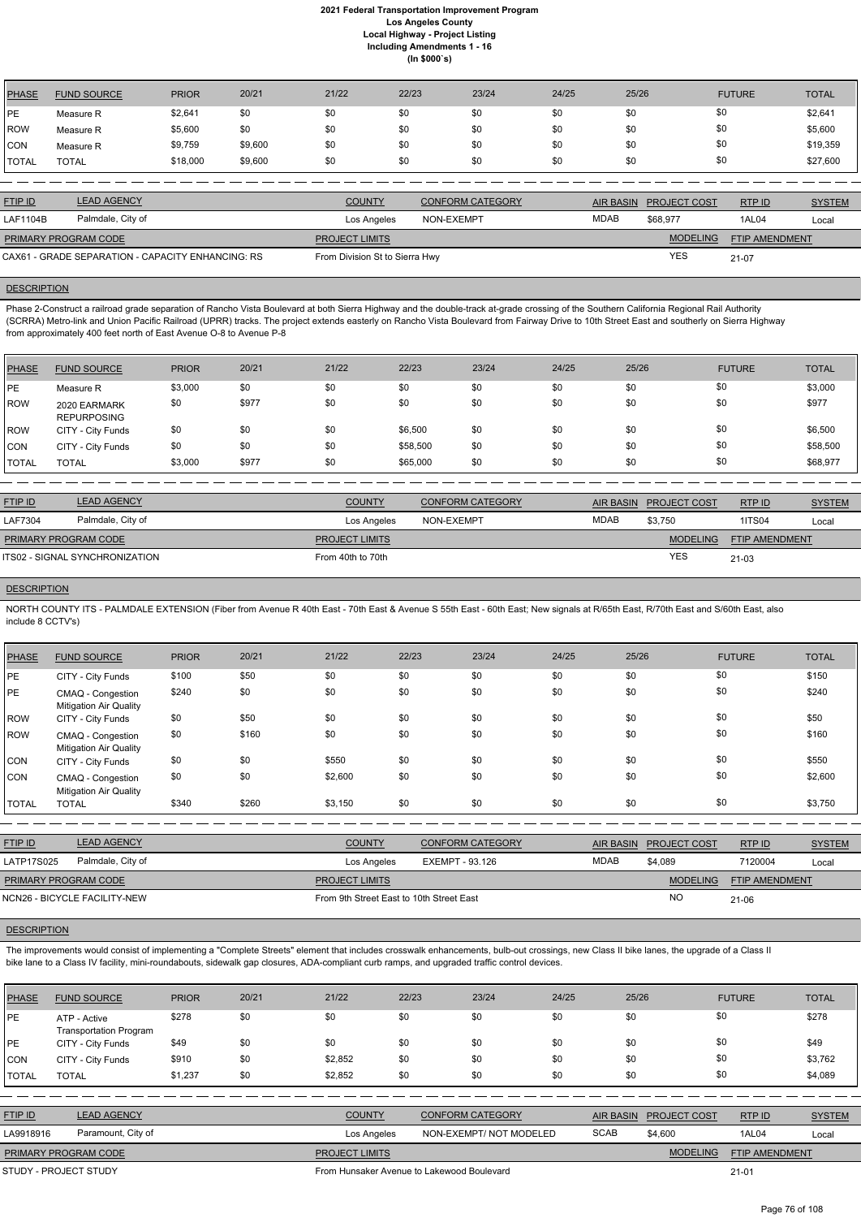| PHASE          | <b>FUND SOURCE</b> | <b>PRIOR</b> | 20/21   | 21/22 | 22/23 | 23/24 | 24/25 | 25/26 | <b>FUTURE</b> | <b>TOTAL</b> |
|----------------|--------------------|--------------|---------|-------|-------|-------|-------|-------|---------------|--------------|
| l PE           | Measure R          | \$2,641      | \$0     | \$0   | \$0   | \$0   | \$0   | \$0   | \$0           | \$2,641      |
| ROW            | Measure R          | \$5,600      | \$0     | \$0   | \$0   | \$0   | \$0   | \$0   | \$0           | \$5,600      |
| <b>CON</b>     | Measure R          | \$9,759      | \$9,600 | \$0   | \$0   | \$0   | \$0   | \$0   | \$0           | \$19,359     |
| <b>!</b> TOTAL | <b>TOTAL</b>       | \$18,000     | \$9,600 | \$0   | \$0   | \$0   | \$0   | \$0   | \$0           | \$27,600     |

| <b>FTIP ID</b>                                    | <b>LEAD AGENCY</b> | <b>COUNTY</b>                  | <b>CONFORM CATEGORY</b> | AIR BASIN | <b>PROJECT COST</b> | RTPID                 | <b>SYSTEM</b> |
|---------------------------------------------------|--------------------|--------------------------------|-------------------------|-----------|---------------------|-----------------------|---------------|
| LAF1104B                                          | Palmdale, City of  | Los Angeles                    | NON-EXEMPT              | MDAB      | \$68.977            | 1AL04                 | Local         |
| PRIMARY PROGRAM CODE                              |                    | <b>PROJECT LIMITS</b>          |                         |           | <b>MODELING</b>     | <b>FTIP AMENDMENT</b> |               |
| CAX61 - GRADE SEPARATION - CAPACITY ENHANCING: RS |                    | From Division St to Sierra Hwy |                         |           | YES                 | $21 - 07$             |               |

#### **DESCRIPTION**

Phase 2-Construct a railroad grade separation of Rancho Vista Boulevard at both Sierra Highway and the double-track at-grade crossing of the Southern California Regional Rail Authority (SCRRA) Metro-link and Union Pacific Railroad (UPRR) tracks. The project extends easterly on Rancho Vista Boulevard from Fairway Drive to 10th Street East and southerly on Sierra Highway from approximately 400 feet north of East Avenue O-8 to Avenue P-8

NORTH COUNTY ITS - PALMDALE EXTENSION (Fiber from Avenue R 40th East - 70th East & Avenue S 55th East - 60th East; New signals at R/65th East, R/70th East and S/60th East, also include 8 CCTV's)

| <b>PHASE</b> | <b>FUND SOURCE</b>                 | <b>PRIOR</b> | 20/21 | 21/22 | 22/23    | 23/24 | 24/25 | 25/26 | <b>FUTURE</b> | <b>TOTAL</b> |
|--------------|------------------------------------|--------------|-------|-------|----------|-------|-------|-------|---------------|--------------|
| PE           | Measure R                          | \$3,000      | \$0   | \$0   | \$0      | \$0   | \$0   | \$0   | \$0           | \$3,000      |
| ROW          | 2020 EARMARK<br><b>REPURPOSING</b> | \$0          | \$977 | \$0   | \$0      | \$0   | \$0   | \$0   | \$0           | \$977        |
| <b>IROW</b>  | CITY - City Funds                  | \$0          | \$0   | \$0   | \$6,500  | \$0   | \$0   | \$0   | \$0           | \$6,500      |
| <b>CON</b>   | CITY - City Funds                  | \$0          | \$0   | \$0   | \$58,500 | \$0   | \$0   | \$0   | \$0           | \$58,500     |
| <b>TOTAL</b> | <b>TOTAL</b>                       | \$3,000      | \$977 | \$0   | \$65,000 | \$0   | \$0   | \$0   | \$0           | \$68,977     |

The improvements would consist of implementing a "Complete Streets" element that includes crosswalk enhancements, bulb-out crossings, new Class II bike lanes, the upgrade of a Class II bike lane to a Class IV facility, mini-roundabouts, sidewalk gap closures, ADA-compliant curb ramps, and upgraded traffic control devices.

| <b>FTIP ID</b>              | <b>LEAD AGENCY</b>             | <b>COUNTY</b>         | <b>CONFORM CATEGORY</b> |             | AIR BASIN PROJECT COST | RTPID                 | <b>SYSTEM</b> |
|-----------------------------|--------------------------------|-----------------------|-------------------------|-------------|------------------------|-----------------------|---------------|
| LAF7304                     | Palmdale, City of              | Los Angeles           | NON-EXEMPT              | <b>MDAB</b> | \$3.750                | <b>1ITS04</b>         | Local         |
| <b>PRIMARY PROGRAM CODE</b> |                                | <b>PROJECT LIMITS</b> |                         |             | <b>MODELING</b>        | <b>FTIP AMENDMENT</b> |               |
|                             | ITS02 - SIGNAL SYNCHRONIZATION | From 40th to 70th     |                         |             | <b>YES</b>             | $21 - 03$             |               |

#### **DESCRIPTION**

| <b>PHASE</b> | <b>FUND SOURCE</b>                                 | <b>PRIOR</b> | 20/21 | 21/22   | 22/23 | 23/24 | 24/25 | 25/26 | <b>FUTURE</b> | <b>TOTAL</b> |
|--------------|----------------------------------------------------|--------------|-------|---------|-------|-------|-------|-------|---------------|--------------|
| PE           | CITY - City Funds                                  | \$100        | \$50  | \$0     | \$0   | \$0   | \$0   | \$0   | \$0           | \$150        |
| PE           | CMAQ - Congestion<br><b>Mitigation Air Quality</b> | \$240        | \$0   | \$0     | \$0   | \$0   | \$0   | \$0   | \$0           | \$240        |
| <b>ROW</b>   | CITY - City Funds                                  | \$0          | \$50  | \$0     | \$0   | \$0   | \$0   | \$0   | \$0           | \$50         |
| <b>ROW</b>   | CMAQ - Congestion<br><b>Mitigation Air Quality</b> | \$0          | \$160 | \$0     | \$0   | \$0   | \$0   | \$0   | \$0           | \$160        |
| CON          | CITY - City Funds                                  | \$0          | \$0   | \$550   | \$0   | \$0   | \$0   | \$0   | \$0           | \$550        |
| CON          | CMAQ - Congestion<br><b>Mitigation Air Quality</b> | \$0          | \$0   | \$2,600 | \$0   | \$0   | \$0   | \$0   | \$0           | \$2,600      |
| <b>TOTAL</b> | <b>TOTAL</b>                                       | \$340        | \$260 | \$3,150 | \$0   | \$0   | \$0   | \$0   | \$0           | \$3,750      |
|              |                                                    |              |       |         |       |       |       |       |               |              |

| <b>FTIP ID</b>               | <b>LEAD AGENCY</b>                       | <b>COUNTY</b>         | <b>CONFORM CATEGORY</b> |             | AIR BASIN PROJECT COST | RTPID                 | <b>SYSTEM</b> |
|------------------------------|------------------------------------------|-----------------------|-------------------------|-------------|------------------------|-----------------------|---------------|
| LATP17S025                   | Palmdale, City of                        | Los Angeles           | EXEMPT - 93.126         | <b>MDAB</b> | \$4.089                | 7120004               | Local         |
| <b>PRIMARY PROGRAM CODE</b>  |                                          | <b>PROJECT LIMITS</b> |                         |             | <b>MODELING</b>        | <b>FTIP AMENDMENT</b> |               |
| NCN26 - BICYCLE FACILITY-NEW | From 9th Street East to 10th Street East |                       |                         |             | <b>NO</b>              | 21-06                 |               |

| <b>PHASE</b>   | <b>FUND SOURCE</b>                            | <b>PRIOR</b> | 20/21 | 21/22                                      | 22/23 | 23/24                   | 24/25       | 25/26            |                 | <b>FUTURE</b>         | <b>TOTAL</b>  |
|----------------|-----------------------------------------------|--------------|-------|--------------------------------------------|-------|-------------------------|-------------|------------------|-----------------|-----------------------|---------------|
| <b>IPE</b>     | ATP - Active<br><b>Transportation Program</b> | \$278        | \$0   | \$0                                        | \$0   | \$0                     | \$0         | \$0              | \$0             |                       | \$278         |
| <b>IPE</b>     | CITY - City Funds                             | \$49         | \$0   | \$0                                        | \$0   | \$0                     | \$0         | \$0              | \$0             |                       | \$49          |
| CON            | CITY - City Funds                             | \$910        | \$0   | \$2,852                                    | \$0   | \$0                     | \$0         | \$0              | \$0             |                       | \$3,762       |
| TOTAL          | <b>TOTAL</b>                                  | \$1,237      | \$0   | \$2,852                                    | \$0   | \$0                     | \$0         | \$0              | \$0             |                       | \$4,089       |
|                |                                               |              |       |                                            |       |                         |             |                  |                 |                       |               |
| <b>FTIP ID</b> | <b>LEAD AGENCY</b>                            |              |       | <b>COUNTY</b>                              |       | <b>CONFORM CATEGORY</b> |             | <b>AIR BASIN</b> | PROJECT COST    | RTP ID                | <b>SYSTEM</b> |
| LA9918916      | Paramount, City of                            |              |       | Los Angeles                                |       | NON-EXEMPT/NOT MODELED  | <b>SCAB</b> |                  | \$4,600         | <b>1AL04</b>          | Local         |
|                | PRIMARY PROGRAM CODE                          |              |       | <b>PROJECT LIMITS</b>                      |       |                         |             |                  | <b>MODELING</b> | <b>FTIP AMENDMENT</b> |               |
|                | STUDY - PROJECT STUDY                         |              |       | From Hunsaker Avenue to Lakewood Boulevard |       |                         |             |                  |                 | $21 - 01$             |               |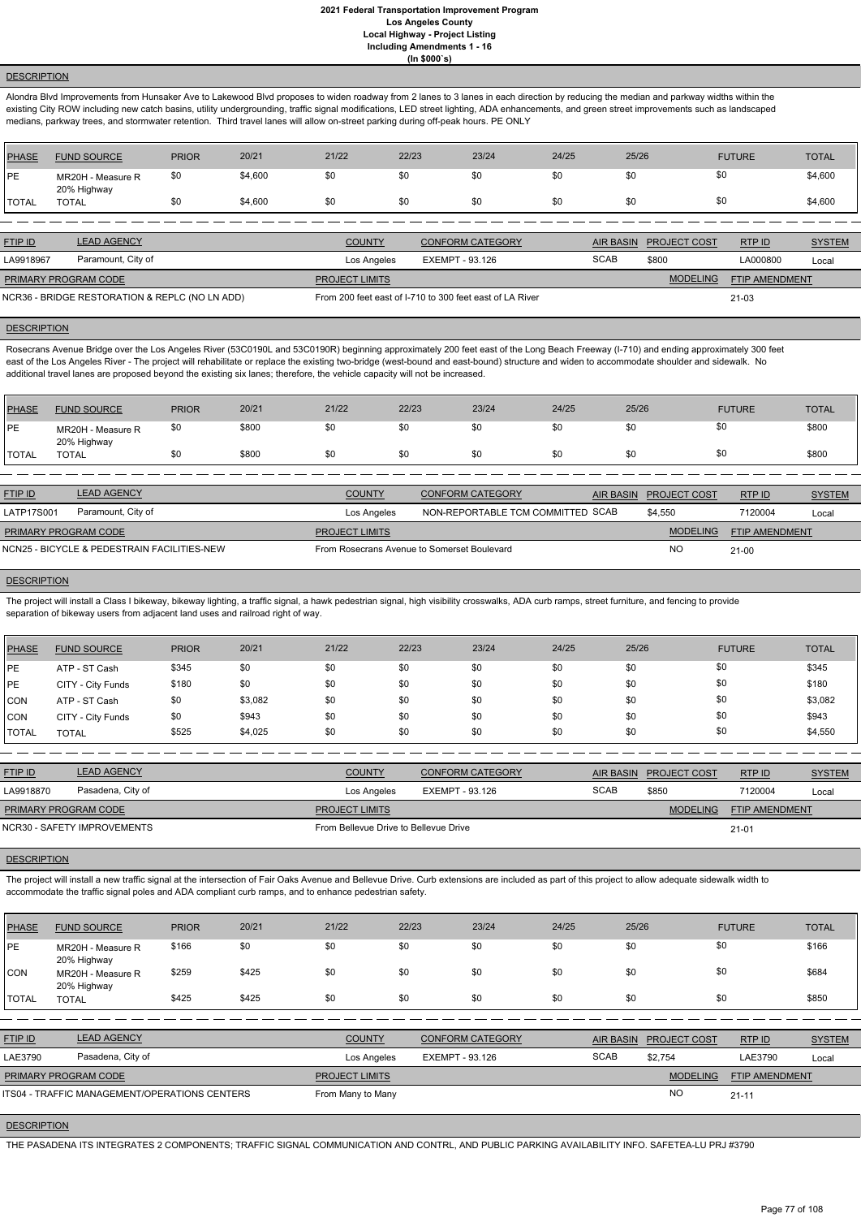## **DESCRIPTION**

Alondra Blvd Improvements from Hunsaker Ave to Lakewood Blvd proposes to widen roadway from 2 lanes to 3 lanes in each direction by reducing the median and parkway widths within the existing City ROW including new catch basins, utility undergrounding, traffic signal modifications, LED street lighting, ADA enhancements, and green street improvements such as landscaped medians, parkway trees, and stormwater retention. Third travel lanes will allow on-street parking during off-peak hours. PE ONLY

| <b>PHASE</b> | <b>FUND SOURCE</b>               | <b>PRIOR</b> | 20/21   | 21/22                 | 22/23           | 23/24                   | 24/25 | 25/26            |                     | <b>FUTURE</b>         | <b>TOTAL</b>  |
|--------------|----------------------------------|--------------|---------|-----------------------|-----------------|-------------------------|-------|------------------|---------------------|-----------------------|---------------|
| <b>IPE</b>   | MR20H - Measure R<br>20% Highway | \$0          | \$4,600 | \$0                   | \$0             | \$0                     | \$0   | \$0              | \$0                 |                       | \$4,600       |
| <b>TOTAL</b> | <b>TOTAL</b>                     | \$0          | \$4,600 | \$0                   | \$0             | \$0                     | \$0   | \$0              | \$0                 |                       | \$4,600       |
|              |                                  |              |         |                       |                 |                         |       |                  |                     |                       |               |
| FTIP ID      | <b>LEAD AGENCY</b>               |              |         | <b>COUNTY</b>         |                 | <b>CONFORM CATEGORY</b> |       | <b>AIR BASIN</b> | <b>PROJECT COST</b> | RTP ID                | <b>SYSTEM</b> |
| LA9918967    | Paramount, City of               |              |         | Los Angeles           | EXEMPT - 93.126 |                         |       | <b>SCAB</b>      | \$800               | LA000800              | Local         |
|              | PRIMARY PROGRAM CODE             |              |         | <b>PROJECT LIMITS</b> |                 |                         |       |                  | <b>MODELING</b>     | <b>FTIP AMENDMENT</b> |               |

NCR36 - BRIDGE RESTORATION & REPLC (NO LN ADD) From 200 feet east of I-710 to 300 feet east of LA River

#### **DESCRIPTION**

21-03

The project will install a Class I bikeway, bikeway lighting, a traffic signal, a hawk pedestrian signal, high visibility crosswalks, ADA curb ramps, street furniture, and fencing to provide separation of bikeway users from adjacent land uses and railroad right of way.

Rosecrans Avenue Bridge over the Los Angeles River (53C0190L and 53C0190R) beginning approximately 200 feet east of the Long Beach Freeway (I-710) and ending approximately 300 feet east of the Los Angeles River - The project will rehabilitate or replace the existing two-bridge (west-bound and east-bound) structure and widen to accommodate shoulder and sidewalk. No additional travel lanes are proposed beyond the existing six lanes; therefore, the vehicle capacity will not be increased.

| PHASE        | <b>FUND SOURCE</b>               | <b>PRIOR</b> | 20/21 | 21/22 | 22/23 | 23/24 | 24/25 | 25/26 | <b>FUTURE</b> | TOTAL |
|--------------|----------------------------------|--------------|-------|-------|-------|-------|-------|-------|---------------|-------|
| <b>IPE</b>   | MR20H - Measure R<br>20% Highway | \$0          | \$800 | \$0   | \$0   | \$0   | \$0   | \$0   | \$0           | \$800 |
| <b>TOTAL</b> | TOTAL                            | \$0          | \$800 | \$0   | \$0   | \$0   | \$0   |       | \$0           | \$800 |

| <b>FTIP ID</b>       | <b>LEAD AGENCY</b>                          | <b>COUNTY</b>                               | <b>CONFORM CATEGORY</b>           | AIR BASIN | <b>PROJECT COST</b> | RTP ID                | <b>SYSTEM</b> |
|----------------------|---------------------------------------------|---------------------------------------------|-----------------------------------|-----------|---------------------|-----------------------|---------------|
| LATP17S001           | Paramount, City of                          | Los Angeles                                 | NON-REPORTABLE TCM COMMITTED SCAB |           | \$4.550             | 7120004               | Local         |
| PRIMARY PROGRAM CODE |                                             | <b>PROJECT LIMITS</b>                       |                                   |           | <b>MODELING</b>     | <b>FTIP AMENDMENT</b> |               |
|                      | NCN25 - BICYCLE & PEDESTRAIN FACILITIES-NEW | From Rosecrans Avenue to Somerset Boulevard |                                   |           | NO                  | $21 - 00$             |               |

#### **DESCRIPTION**

| <b>PHASE</b> | <b>FUND SOURCE</b> | <b>PRIOR</b> | 20/21   | 21/22 | 22/23 | 23/24 | 24/25 | 25/26 | <b>FUTURE</b> | <b>TOTAL</b> |
|--------------|--------------------|--------------|---------|-------|-------|-------|-------|-------|---------------|--------------|
| IPE.         | ATP - ST Cash      | \$345        | \$0     | \$0   | \$0   | \$0   | \$0   | \$0   | \$0           | \$345        |
| <b>IPE</b>   | CITY - City Funds  | \$180        | \$0     | \$0   | \$0   | \$0   | \$0   | \$0   | \$0           | \$180        |
| <b>CON</b>   | ATP - ST Cash      | \$0          | \$3,082 | \$0   | \$0   | \$0   | \$0   | \$0   | \$0           | \$3,082      |
| <b>CON</b>   | CITY - City Funds  | \$0          | \$943   | \$0   | \$0   | \$0   | \$0   | \$0   | \$0           | \$943        |
| <b>TOTAL</b> | <b>TOTAL</b>       | \$525        | \$4,025 | \$0   | \$0   | \$0   | \$0   | \$0   | \$0           | \$4,550      |

| <b>FTIP ID</b>       | <b>LEAD AGENCY</b>          | <b>COUNTY</b>                         | <b>CONFORM CATEGORY</b> |             | AIR BASIN PROJECT COST | RTP ID                | <b>SYSTEM</b> |
|----------------------|-----------------------------|---------------------------------------|-------------------------|-------------|------------------------|-----------------------|---------------|
| LA9918870            | Pasadena, City of           | Los Angeles                           | EXEMPT - 93.126         | <b>SCAB</b> | \$850                  | 7120004               | Local         |
| PRIMARY PROGRAM CODE |                             | <b>PROJECT LIMITS</b>                 |                         |             | <b>MODELING</b>        | <b>FTIP AMENDMENT</b> |               |
|                      | NCR30 - SAFETY IMPROVEMENTS | From Bellevue Drive to Bellevue Drive |                         |             |                        | 21-01                 |               |

#### **DESCRIPTION**

The project will install a new traffic signal at the intersection of Fair Oaks Avenue and Bellevue Drive. Curb extensions are included as part of this project to allow adequate sidewalk width to accommodate the traffic signal poles and ADA compliant curb ramps, and to enhance pedestrian safety.

| <b>PHASE</b>   | <b>FUND SOURCE</b>                            | <b>PRIOR</b> | 20/21 | 21/22                 | 22/23           | 23/24                   | 24/25       | 25/26            |                     | <b>FUTURE</b>         | <b>TOTAL</b>  |
|----------------|-----------------------------------------------|--------------|-------|-----------------------|-----------------|-------------------------|-------------|------------------|---------------------|-----------------------|---------------|
| <b>PE</b>      | MR20H - Measure R<br>20% Highway              | \$166        | \$0   | \$0                   | \$0             | \$0                     | \$0         | \$0              |                     | \$0                   | \$166         |
| CON            | MR20H - Measure R<br>20% Highway              | \$259        | \$425 | \$0                   | \$0             | \$0                     | \$0         | \$0              |                     | \$0                   | \$684         |
| <b>I</b> TOTAL | <b>TOTAL</b>                                  | \$425        | \$425 | \$0                   | \$0             | \$0                     | \$0         | \$0              |                     | \$0                   | \$850         |
|                |                                               |              |       |                       |                 |                         |             |                  |                     |                       |               |
| <b>FTIP ID</b> | <b>LEAD AGENCY</b>                            |              |       | <b>COUNTY</b>         |                 | <b>CONFORM CATEGORY</b> |             | <b>AIR BASIN</b> | <b>PROJECT COST</b> | RTP ID                | <b>SYSTEM</b> |
| LAE3790        | Pasadena, City of                             |              |       | Los Angeles           | EXEMPT - 93.126 |                         | <b>SCAB</b> |                  | \$2,754             | LAE3790               | Local         |
|                | PRIMARY PROGRAM CODE                          |              |       | <b>PROJECT LIMITS</b> |                 |                         |             |                  | <b>MODELING</b>     | <b>FTIP AMENDMENT</b> |               |
|                | ITS04 - TRAFFIC MANAGEMENT/OPERATIONS CENTERS |              |       | From Many to Many     |                 |                         |             |                  | <b>NO</b>           | $21 - 11$             |               |
|                |                                               |              |       |                       |                 |                         |             |                  |                     |                       |               |

**DESCRIPTION** 

THE PASADENA ITS INTEGRATES 2 COMPONENTS; TRAFFIC SIGNAL COMMUNICATION AND CONTRL, AND PUBLIC PARKING AVAILABILITY INFO. SAFETEA-LU PRJ #3790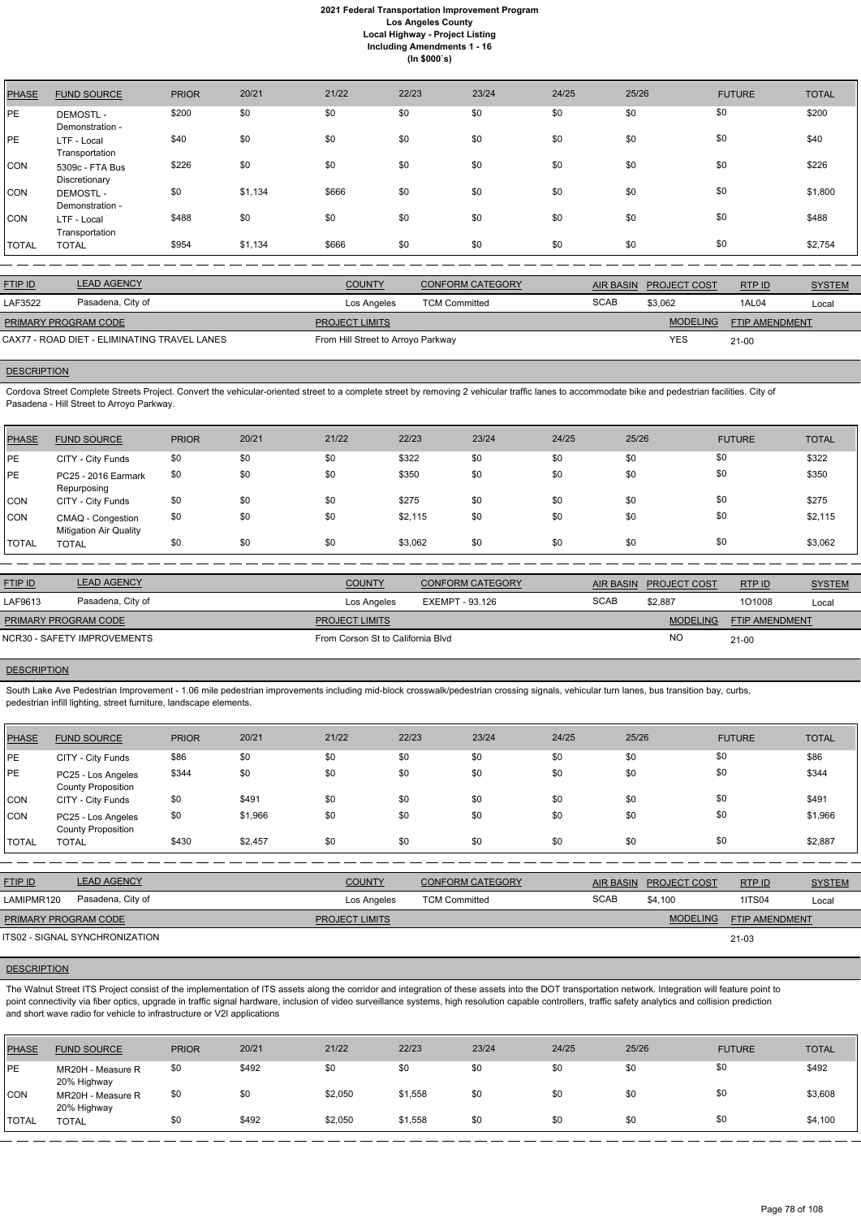| <b>PHASE</b> | <b>FUND SOURCE</b>                 | <b>PRIOR</b> | 20/21   | 21/22 | 22/23 | 23/24 | 24/25 | 25/26 | <b>FUTURE</b> | <b>TOTAL</b> |
|--------------|------------------------------------|--------------|---------|-------|-------|-------|-------|-------|---------------|--------------|
| <b>PE</b>    | <b>DEMOSTL-</b><br>Demonstration - | \$200        | \$0     | \$0   | \$0   | \$0   | \$0   | \$0   | \$0           | \$200        |
| <b>PE</b>    | LTF - Local<br>Transportation      | \$40         | \$0     | \$0   | \$0   | \$0   | \$0   | \$0   | \$0           | \$40         |
| <b>CON</b>   | 5309c - FTA Bus<br>Discretionary   | \$226        | \$0     | \$0   | \$0   | \$0   | \$0   | \$0   | \$0           | \$226        |
| <b>CON</b>   | <b>DEMOSTL-</b><br>Demonstration - | \$0          | \$1,134 | \$666 | \$0   | \$0   | \$0   | \$0   | \$0           | \$1,800      |
| <b>CON</b>   | LTF - Local<br>Transportation      | \$488        | \$0     | \$0   | \$0   | \$0   | \$0   | \$0   | \$0           | \$488        |
| <b>TOTAL</b> | <b>TOTAL</b>                       | \$954        | \$1,134 | \$666 | \$0   | \$0   | \$0   | \$0   | \$0           | \$2,754      |

| <b>FTIP ID</b>                               | <b>LEAD AGENCY</b> | <b>COUNTY</b>                      | CONFORM CATEGORY     | AIR BASIN   | <b>PROJECT COST</b> | RTPID                 | <b>SYSTEM</b> |
|----------------------------------------------|--------------------|------------------------------------|----------------------|-------------|---------------------|-----------------------|---------------|
| LAF3522                                      | Pasadena, City of  | Los Angeles                        | <b>TCM Committed</b> | <b>SCAB</b> | \$3.062             | 1AL04                 | Local         |
| <b>PRIMARY PROGRAM CODE</b>                  |                    | <b>PROJECT LIMITS</b>              |                      |             | <b>MODELING</b>     | <b>FTIP AMENDMENT</b> |               |
| CAX77 - ROAD DIET - ELIMINATING TRAVEL LANES |                    | From Hill Street to Arroyo Parkway |                      | <b>YES</b>  | 21-00               |                       |               |

# **DESCRIPTION**

Cordova Street Complete Streets Project. Convert the vehicular-oriented street to a complete street by removing 2 vehicular traffic lanes to accommodate bike and pedestrian facilities. City of Pasadena - Hill Street to Arroyo Parkway.

South Lake Ave Pedestrian Improvement - 1.06 mile pedestrian improvements including mid-block crosswalk/pedestrian crossing signals, vehicular turn lanes, bus transition bay, curbs, pedestrian infill lighting, street furniture, landscape elements.

| <b>PHASE</b> | <b>FUND SOURCE</b>                                 | <b>PRIOR</b> | 20/21 | 21/22 | 22/23   | 23/24 | 24/25 | 25/26 | <b>FUTURE</b> | <b>TOTAL</b> |
|--------------|----------------------------------------------------|--------------|-------|-------|---------|-------|-------|-------|---------------|--------------|
| IPE.         | CITY - City Funds                                  | \$0          | \$0   | \$0   | \$322   | \$0   | \$0   | \$0   | \$0           | \$322        |
| <b>IPE</b>   | PC25 - 2016 Earmark<br>Repurposing                 | \$0          | \$0   | \$0   | \$350   | \$0   | \$0   | \$0   | \$0           | \$350        |
| CON          | CITY - City Funds                                  | \$0          | \$0   | \$0   | \$275   | \$0   | \$0   | \$0   | \$0           | \$275        |
| <b>CON</b>   | CMAQ - Congestion<br><b>Mitigation Air Quality</b> | \$0          | \$0   | \$0   | \$2,115 | \$0   | \$0   | \$0   | \$0           | \$2,115      |
| <b>TOTAL</b> | <b>TOTAL</b>                                       | \$0          | \$0   | \$0   | \$3,062 | \$0   | \$0   | \$0   | \$0           | \$3,062      |

| <b>FTIP ID</b>              | <b>LEAD AGENCY</b> | <b>COUNTY</b>                     | <b>CONFORM CATEGORY</b> | AIR BASIN   | <b>PROJECT COST</b> | RTPID          | <b>SYSTEM</b> |
|-----------------------------|--------------------|-----------------------------------|-------------------------|-------------|---------------------|----------------|---------------|
| LAF9613                     | Pasadena, City of  | Los Angeles                       | EXEMPT - 93.126         | <b>SCAB</b> | \$2.887             | 101008         | Local         |
| <b>PRIMARY PROGRAM CODE</b> |                    | <b>PROJECT LIMITS</b>             |                         |             | <b>MODELING</b>     | FTIP AMENDMENT |               |
| NCR30 - SAFETY IMPROVEMENTS |                    | From Corson St to California Blvd |                         | <b>NO</b>   | $21-00$             |                |               |

## **DESCRIPTION**

| PHASE        | <b>FUND SOURCE</b>                              | <b>PRIOR</b> | 20/21   | 21/22 | 22/23 | 23/24 | 24/25 | 25/26 | <b>FUTURE</b> | <b>TOTAL</b> |
|--------------|-------------------------------------------------|--------------|---------|-------|-------|-------|-------|-------|---------------|--------------|
| PE           | CITY - City Funds                               | \$86         | \$0     | \$0   | \$0   | \$0   | \$0   | \$0   | \$0           | \$86         |
| PE           | PC25 - Los Angeles<br><b>County Proposition</b> | \$344        | \$0     | \$0   | \$0   | \$0   | \$0   | \$0   | \$0           | \$344        |
| CON          | CITY - City Funds                               | \$0          | \$491   | \$0   | \$0   | \$0   | \$0   | \$0   | \$0           | \$491        |
| CON          | PC25 - Los Angeles<br><b>County Proposition</b> | \$0          | \$1,966 | \$0   | \$0   | \$0   | \$0   | \$0   | \$0           | \$1,966      |
| <b>TOTAL</b> | <b>TOTAL</b>                                    | \$430        | \$2,457 | \$0   | \$0   | \$0   | \$0   | \$0   | \$0           | \$2,887      |

FTIP AMENDMENT

| <u>FTIP ID</u>       | <b>LEAD AGENCY</b> | <b>COUNTY</b>         | <b>CONFORM CATEGORY</b> | <b>AIR BASIN</b> | <b>PROJECT COST</b> | RTP ID                | <b>SYSTEM</b> |
|----------------------|--------------------|-----------------------|-------------------------|------------------|---------------------|-----------------------|---------------|
| LAMIPMR120           | Pasadena, City of  | Los Angeles           | <b>TCM Committed</b>    | <b>SCAB</b>      | \$4.100             | <b>1ITS04</b>         | Local         |
| PRIMARY PROGRAM CODE |                    | <b>PROJECT LIMITS</b> |                         |                  | <b>MODELING</b>     | <b>FTIP AMENDMENT</b> |               |

21-03

## **DESCRIPTION**

PROJECT LIMITS

ITS02 - SIGNAL SYNCHRONIZATION

The Walnut Street ITS Project consist of the implementation of ITS assets along the corridor and integration of these assets into the DOT transportation network. Integration will feature point to point connectivity via fiber optics, upgrade in traffic signal hardware, inclusion of video surveillance systems, high resolution capable controllers, traffic safety analytics and collision prediction and short wave radio for vehicle to infrastructure or V2I applications

| <b>PHASE</b>  | <b>FUND SOURCE</b>               | <b>PRIOR</b> | 20/21 | 21/22   | 22/23   | 23/24 | 24/25 | 25/26 | <b>FUTURE</b> | <b>TOTAL</b> |
|---------------|----------------------------------|--------------|-------|---------|---------|-------|-------|-------|---------------|--------------|
| <b>PE</b>     | MR20H - Measure R<br>20% Highway | \$0          | \$492 | \$0     | \$0     | \$0   | \$0   | \$0   | \$0           | \$492        |
| <b>CON</b>    | MR20H - Measure R<br>20% Highway | \$0          | \$0   | \$2,050 | \$1,558 | \$0   | \$0   | \$0   | \$0           | \$3,608      |
| <b>'TOTAL</b> | <b>TOTAL</b>                     | \$0          | \$492 | \$2,050 | \$1,558 | \$0   | \$0   | \$0   | \$0           | \$4,100      |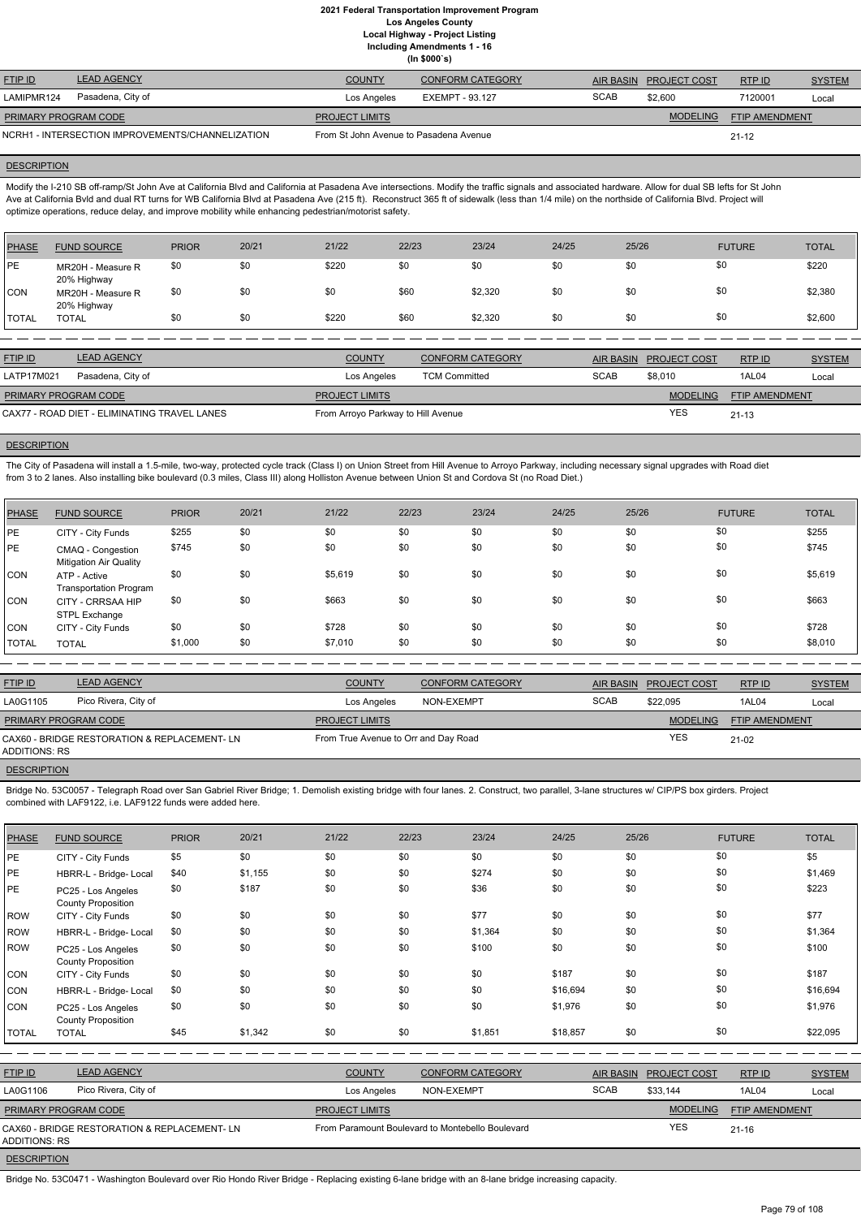**Including Amendments 1 - 16**

| (ln \$000's) |  |
|--------------|--|
|              |  |

| <b>FTIP ID</b>                                   | <b>LEAD AGENCY</b> | <b>COUNTY</b>                          | <b>CONFORM CATEGORY</b> | <b>AIR BASIN</b> | <b>PROJECT COST</b> | RTPID                 | <b>SYSTEM</b> |
|--------------------------------------------------|--------------------|----------------------------------------|-------------------------|------------------|---------------------|-----------------------|---------------|
| LAMIPMR124                                       | Pasadena, City of  | Los Angeles                            | EXEMPT - 93.127         | <b>SCAB</b>      | \$2.600             | 7120001               | Local         |
| <b>PRIMARY PROGRAM CODE</b>                      |                    | <b>PROJECT LIMITS</b>                  |                         |                  | <b>MODELING</b>     | <b>FTIP AMENDMENT</b> |               |
| NCRH1 - INTERSECTION IMPROVEMENTS/CHANNELIZATION |                    | From St John Avenue to Pasadena Avenue |                         |                  |                     | $21 - 12$             |               |

#### **DESCRIPTION**

Modify the I-210 SB off-ramp/St John Ave at California Blvd and California at Pasadena Ave intersections. Modify the traffic signals and associated hardware. Allow for dual SB lefts for St John Ave at California Bvld and dual RT turns for WB California Blvd at Pasadena Ave (215 ft). Reconstruct 365 ft of sidewalk (less than 1/4 mile) on the northside of California Blvd. Project will optimize operations, reduce delay, and improve mobility while enhancing pedestrian/motorist safety.

The City of Pasadena will install a 1.5-mile, two-way, protected cycle track (Class I) on Union Street from Hill Avenue to Arroyo Parkway, including necessary signal upgrades with Road diet from 3 to 2 lanes. Also installing bike boulevard (0.3 miles, Class III) along Holliston Avenue between Union St and Cordova St (no Road Diet.)

| <b>PHASE</b> | <b>FUND SOURCE</b>               | <b>PRIOR</b> | 20/21 | 21/22 | 22/23 | 23/24   | 24/25 | 25/26 | <b>FUTURE</b> | <b>TOTAL</b> |
|--------------|----------------------------------|--------------|-------|-------|-------|---------|-------|-------|---------------|--------------|
| <b>IPE</b>   | MR20H - Measure R<br>20% Highway | \$0          | \$0   | \$220 | \$0   | \$0     | \$0   | \$0   | \$0           | \$220        |
| CON          | MR20H - Measure R<br>20% Highway | \$0          | \$0   | \$0   | \$60  | \$2,320 | \$0   | \$0   | \$0           | \$2,380      |
| <b>TOTAL</b> | <b>TOTAL</b>                     | \$0          | \$0   | \$220 | \$60  | \$2,320 | \$0   | \$0   | \$0           | \$2,600      |

| <b>FTIP ID</b>                               | <b>LEAD AGENCY</b> | <b>COUNTY</b>                      | <b>CONFORM CATEGORY</b> | <b>AIR BASIN</b> | <b>PROJECT COST</b> | RTPID                 | <b>SYSTEM</b> |
|----------------------------------------------|--------------------|------------------------------------|-------------------------|------------------|---------------------|-----------------------|---------------|
| LATP17M021                                   | Pasadena, City of  | Los Angeles                        | <b>TCM Committed</b>    | <b>SCAB</b>      | \$8,010             | 1AL04                 | Local         |
| <b>PRIMARY PROGRAM CODE</b>                  |                    | <b>PROJECT LIMITS</b>              |                         |                  | <b>MODELING</b>     | <b>FTIP AMENDMENT</b> |               |
| CAX77 - ROAD DIET - ELIMINATING TRAVEL LANES |                    | From Arroyo Parkway to Hill Avenue |                         |                  | YES                 | $21 - 13$             |               |

#### **DESCRIPTION**

Bridge No. 53C0057 - Telegraph Road over San Gabriel River Bridge; 1. Demolish existing bridge with four lanes. 2. Construct, two parallel, 3-lane structures w/ CIP/PS box girders. Project combined with LAF9122, i.e. LAF9122 funds were added here.

| 22/23<br>20/21<br>21/22<br>23/24<br>25/26<br>24/25<br><b>PHASE</b><br><b>FUND SOURCE</b><br><b>PRIOR</b><br>\$0<br>\$0<br>\$0<br>\$0<br>\$0<br>\$255<br>\$0<br><b>IPE</b><br>CITY - City Funds<br>\$0<br>\$0<br>\$0<br>\$0<br>\$0<br><b>PE</b><br>\$0<br>\$745<br>CMAQ - Congestion<br><b>Mitigation Air Quality</b> |                               |  |
|----------------------------------------------------------------------------------------------------------------------------------------------------------------------------------------------------------------------------------------------------------------------------------------------------------------------|-------------------------------|--|
|                                                                                                                                                                                                                                                                                                                      | <b>TOTAL</b><br><b>FUTURE</b> |  |
|                                                                                                                                                                                                                                                                                                                      | \$0<br>\$255                  |  |
|                                                                                                                                                                                                                                                                                                                      | \$0<br>\$745                  |  |
| \$0<br>\$0<br>\$0<br>\$0<br>\$0<br>\$0<br>\$5,619<br>CON<br>ATP - Active<br><b>Transportation Program</b>                                                                                                                                                                                                            | \$0<br>\$5,619                |  |
| \$0<br>\$0<br>\$0<br>\$0<br>\$0<br>\$663<br>\$0<br>CON<br>CITY - CRRSAA HIP<br>STPL Exchange                                                                                                                                                                                                                         | \$0<br>\$663                  |  |
| \$0<br>\$0<br>\$0<br>\$0<br>\$0<br>\$728<br>\$0<br><b>CON</b><br>CITY - City Funds                                                                                                                                                                                                                                   | \$0<br>\$728                  |  |
| \$0<br>\$0<br>\$0<br>\$0<br>\$0<br>\$1,000<br>\$7,010<br><b>TOTAL</b><br><b>TOTAL</b>                                                                                                                                                                                                                                | \$0<br>\$8,010                |  |

| <b>FTIP ID</b>       | <b>LEAD AGENCY</b>                           | <b>COUNTY</b>                        | CONFORM CATEGORY | <b>AIR BASIN</b> | <b>PROJECT COST</b> | RTPID                 | <b>SYSTEM</b> |
|----------------------|----------------------------------------------|--------------------------------------|------------------|------------------|---------------------|-----------------------|---------------|
| LA0G1105             | Pico Rivera, City of                         | Los Angeles                          | NON-EXEMPT       | <b>SCAB</b>      | \$22,095            | 1AL04                 | Local         |
| PRIMARY PROGRAM CODE |                                              | <b>PROJECT LIMITS</b>                |                  |                  | <b>MODELING</b>     | <b>FTIP AMENDMENT</b> |               |
| ADDITIONS: RS        | CAX60 - BRIDGE RESTORATION & REPLACEMENT- LN | From True Avenue to Orr and Day Road |                  |                  | <b>YES</b>          | 21-02                 |               |

#### **DESCRIPTION**

| PHASE        | <b>FUND SOURCE</b>                              | <b>PRIOR</b> | 20/21   | 21/22 | 22/23 | 23/24   | 24/25    | 25/26 | <b>FUTURE</b> | <b>TOTAL</b> |
|--------------|-------------------------------------------------|--------------|---------|-------|-------|---------|----------|-------|---------------|--------------|
| <b>PE</b>    | CITY - City Funds                               | \$5          | \$0     | \$0   | \$0   | \$0     | \$0      | \$0   | \$0           | \$5          |
| PE           | HBRR-L - Bridge- Local                          | \$40         | \$1,155 | \$0   | \$0   | \$274   | \$0      | \$0   | \$0           | \$1,469      |
| PE           | PC25 - Los Angeles<br><b>County Proposition</b> | \$0          | \$187   | \$0   | \$0   | \$36    | \$0      | \$0   | \$0           | \$223        |
| ROW          | CITY - City Funds                               | \$0          | \$0     | \$0   | \$0   | \$77    | \$0      | \$0   | \$0           | \$77         |
| ROW          | HBRR-L - Bridge- Local                          | \$0          | \$0     | \$0   | \$0   | \$1,364 | \$0      | \$0   | \$0           | \$1,364      |
| ROW          | PC25 - Los Angeles<br><b>County Proposition</b> | \$0          | \$0     | \$0   | \$0   | \$100   | \$0      | \$0   | \$0           | \$100        |
| <b>CON</b>   | CITY - City Funds                               | \$0          | \$0     | \$0   | \$0   | \$0     | \$187    | \$0   | \$0           | \$187        |
| CON          | HBRR-L - Bridge- Local                          | \$0          | \$0     | \$0   | \$0   | \$0     | \$16,694 | \$0   | \$0           | \$16,694     |
| CON          | PC25 - Los Angeles<br><b>County Proposition</b> | \$0          | \$0     | \$0   | \$0   | \$0     | \$1,976  | \$0   | \$0           | \$1,976      |
| <b>TOTAL</b> | <b>TOTAL</b>                                    | \$45         | \$1,342 | \$0   | \$0   | \$1,851 | \$18,857 | \$0   | \$0           | \$22,095     |

| <b>FTIP ID</b>              | <b>LEAD AGENCY</b>                           | <b>COUNTY</b>         | <b>CONFORM CATEGORY</b>                          |             | AIR BASIN PROJECT COST | RTP ID         | <b>SYSTEM</b> |
|-----------------------------|----------------------------------------------|-----------------------|--------------------------------------------------|-------------|------------------------|----------------|---------------|
| LA0G1106                    | Pico Rivera, City of                         | Los Angeles           | NON-EXEMPT                                       | <b>SCAB</b> | \$33.144               | 1AL04          | Local         |
| <b>PRIMARY PROGRAM CODE</b> |                                              | <b>PROJECT LIMITS</b> |                                                  |             | <b>MODELING</b>        | FTIP AMENDMENT |               |
| ADDITIONS: RS               | CAX60 - BRIDGE RESTORATION & REPLACEMENT- LN |                       | From Paramount Boulevard to Montebello Boulevard |             | <b>YES</b>             | 21-16          |               |
|                             |                                              |                       |                                                  |             |                        |                |               |

**DESCRIPTION** 

Bridge No. 53C0471 - Washington Boulevard over Rio Hondo River Bridge - Replacing existing 6-lane bridge with an 8-lane bridge increasing capacity.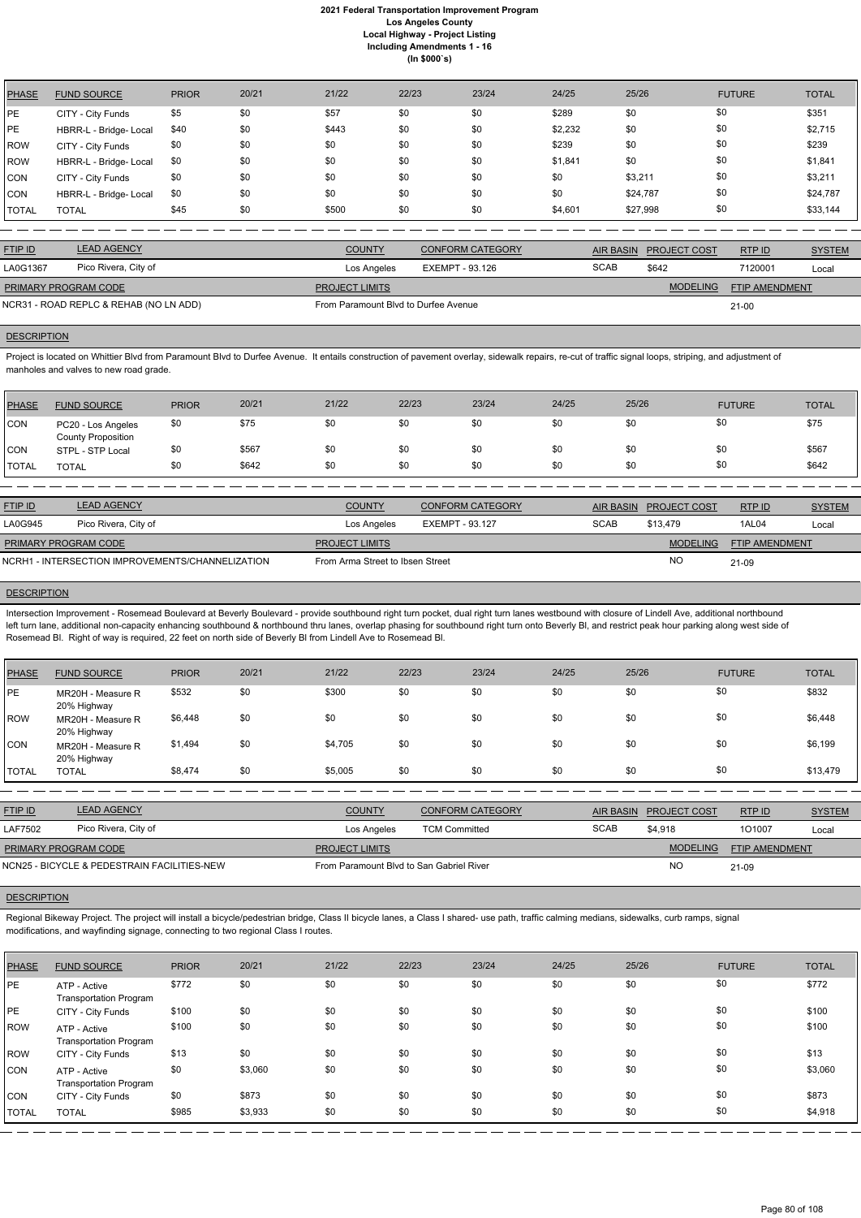| <b>PHASE</b> | <b>FUND SOURCE</b>     | <b>PRIOR</b> | 20/21 | 21/22 | 22/23 | 23/24 | 24/25   | 25/26    | <b>FUTURE</b> | <b>TOTAL</b> |
|--------------|------------------------|--------------|-------|-------|-------|-------|---------|----------|---------------|--------------|
| PE           | CITY - City Funds      | \$5          | \$0   | \$57  | \$0   | \$0   | \$289   | \$0      | \$0           | \$351        |
| <b>PE</b>    | HBRR-L - Bridge- Local | \$40         | \$0   | \$443 | \$0   | \$0   | \$2,232 | \$0      | \$0           | \$2,715      |
| <b>ROW</b>   | CITY - City Funds      | \$0          | \$0   | \$0   | \$0   | \$0   | \$239   | \$0      | \$0           | \$239        |
| <b>ROW</b>   | HBRR-L - Bridge- Local | \$0          | \$0   | \$0   | \$0   | \$0   | \$1,841 | \$0      | \$0           | \$1,841      |
| <b>CON</b>   | CITY - City Funds      | \$0          | \$0   | \$0   | \$0   | \$0   | \$0     | \$3,211  | \$0           | \$3,211      |
| <b>CON</b>   | HBRR-L - Bridge- Local | \$0          | \$0   | \$0   | \$0   | \$0   | \$0     | \$24,787 | \$0           | \$24,787     |
| <b>TOTAL</b> | <b>TOTAL</b>           | \$45         | \$0   | \$500 | \$0   | \$0   | \$4,601 | \$27,998 | \$0           | \$33,144     |

Project is located on Whittier Blvd from Paramount Blvd to Durfee Avenue. It entails construction of pavement overlay, sidewalk repairs, re-cut of traffic signal loops, striping, and adjustment of manholes and valves to new road grade.

| <b>FTIP ID</b>                         | <b>LEAD AGENCY</b>   | <b>COUNTY</b>                        | <b>CONFORM CATEGORY</b> |             | AIR BASIN PROJECT COST | RTP ID                | <b>SYSTEM</b> |
|----------------------------------------|----------------------|--------------------------------------|-------------------------|-------------|------------------------|-----------------------|---------------|
| LA0G1367                               | Pico Rivera, City of | Los Angeles                          | EXEMPT - 93.126         | <b>SCAB</b> | \$642                  | 7120001               | Local         |
| <b>PRIMARY PROGRAM CODE</b>            |                      | <b>PROJECT LIMITS</b>                |                         |             | <b>MODELING</b>        | <b>FTIP AMENDMENT</b> |               |
| NCR31 - ROAD REPLC & REHAB (NO LN ADD) |                      | From Paramount Blvd to Durfee Avenue |                         |             |                        | $21 - 00$             |               |

# **DESCRIPTION**

| <b>PHASE</b> | <b>FUND SOURCE</b>                              | <b>PRIOR</b> | 20/21 | 21/22 | 22/23 | 23/24 | 24/25 | 25/26 | <b>FUTURE</b> | TOTAL |
|--------------|-------------------------------------------------|--------------|-------|-------|-------|-------|-------|-------|---------------|-------|
| <b>CON</b>   | PC20 - Los Angeles<br><b>County Proposition</b> | \$0          | \$75  | \$0   | \$0   | \$0   | \$0   | \$0   | \$0           | \$75  |
| CON          | STPL - STP Local                                | \$0          | \$567 | \$0   | \$0   | \$0   | \$0   | \$0   | \$0           | \$567 |
| <b>TOTAL</b> | <b>TOTAL</b>                                    | \$0          | \$642 | \$0   | \$0   | \$0   | \$0   | \$0   | \$0           | \$642 |

| <b>FTIP ID</b>              | <b>LEAD AGENCY</b>                               | <b>COUNTY</b>                    | <b>CONFORM CATEGORY</b> |             | AIR BASIN PROJECT COST | RTP ID                | <b>SYSTEM</b> |
|-----------------------------|--------------------------------------------------|----------------------------------|-------------------------|-------------|------------------------|-----------------------|---------------|
| LA0G945                     | Pico Rivera, City of                             | Los Angeles                      | EXEMPT - 93.127         | <b>SCAB</b> | \$13.479               | 1AL04                 | Local         |
| <b>PRIMARY PROGRAM CODE</b> |                                                  | <b>PROJECT LIMITS</b>            |                         |             | <b>MODELING</b>        | <b>FTIP AMENDMENT</b> |               |
|                             | NCRH1 - INTERSECTION IMPROVEMENTS/CHANNELIZATION | From Arma Street to Ibsen Street |                         |             | <b>NC</b>              | 21-09                 |               |

## **DESCRIPTION**

Intersection Improvement - Rosemead Boulevard at Beverly Boulevard - provide southbound right turn pocket, dual right turn lanes westbound with closure of Lindell Ave, additional northbound left turn lane, additional non-capacity enhancing southbound & northbound thru lanes, overlap phasing for southbound right turn onto Beverly BI, and restrict peak hour parking along west side of Rosemead Bl. Right of way is required, 22 feet on north side of Beverly Bl from Lindell Ave to Rosemead Bl.

| <b>PHASE</b> | <b>FUND SOURCE</b>               | <b>PRIOR</b> | 20/21 | 21/22   | 22/23 | 23/24 | 24/25 | 25/26 | <b>FUTURE</b> | <b>TOTAL</b> |
|--------------|----------------------------------|--------------|-------|---------|-------|-------|-------|-------|---------------|--------------|
| PE           | MR20H - Measure R<br>20% Highway | \$532        | \$0   | \$300   | \$0   | \$0   | \$0   | \$0   | \$0           | \$832        |
| <b>ROW</b>   | MR20H - Measure R<br>20% Highway | \$6,448      | \$0   | \$0     | \$0   | \$0   | \$0   | \$0   | \$0           | \$6,448      |
| CON          | MR20H - Measure R<br>20% Highway | \$1,494      | \$0   | \$4,705 | \$0   | \$0   | \$0   | \$0   | \$0           | \$6,199      |
| <b>TOTAL</b> | <b>TOTAL</b>                     | \$8,474      | \$0   | \$5,005 | \$0   | \$0   | \$0   | \$0   | \$0           | \$13,479     |

| <b>FTIP ID</b>              | <b>LEAD AGENCY</b>                          | <b>COUNTY</b>                            | CONFORM CATEGORY     | AIR BASIN   | <b>PROJECT COST</b> | RTPID                 | <b>SYSTEM</b> |
|-----------------------------|---------------------------------------------|------------------------------------------|----------------------|-------------|---------------------|-----------------------|---------------|
| LAF7502                     | Pico Rivera, City of                        | Los Angeles                              | <b>TCM Committed</b> | <b>SCAB</b> | \$4.918             | 101007                | Local         |
| <b>PRIMARY PROGRAM CODE</b> |                                             | <b>PROJECT LIMITS</b>                    |                      |             | <b>MODELING</b>     | <b>FTIP AMENDMENT</b> |               |
|                             | NCN25 - BICYCLE & PEDESTRAIN FACILITIES-NEW | From Paramount Blvd to San Gabriel River |                      |             | <b>NC</b>           | 21-09                 |               |

# **DESCRIPTION**

Regional Bikeway Project. The project will install a bicycle/pedestrian bridge, Class II bicycle lanes, a Class I shared- use path, traffic calming medians, sidewalks, curb ramps, signal

modifications, and wayfinding signage, connecting to two regional Class I routes.

| PHASE        | <b>FUND SOURCE</b>                            | <b>PRIOR</b> | 20/21   | 21/22 | 22/23 | 23/24 | 24/25 | 25/26 | <b>FUTURE</b> | <b>TOTAL</b> |
|--------------|-----------------------------------------------|--------------|---------|-------|-------|-------|-------|-------|---------------|--------------|
| <b>IPE</b>   | ATP - Active<br><b>Transportation Program</b> | \$772        | \$0     | \$0   | \$0   | \$0   | \$0   | \$0   | \$0           | \$772        |
| <b>PE</b>    | CITY - City Funds                             | \$100        | \$0     | \$0   | \$0   | \$0   | \$0   | \$0   | \$0           | \$100        |
| ROW          | ATP - Active<br><b>Transportation Program</b> | \$100        | \$0     | \$0   | \$0   | \$0   | \$0   | \$0   | \$0           | \$100        |
| ROW          | CITY - City Funds                             | \$13         | \$0     | \$0   | \$0   | \$0   | \$0   | \$0   | \$0           | \$13         |
| <b>ICON</b>  | ATP - Active<br><b>Transportation Program</b> | \$0          | \$3,060 | \$0   | \$0   | \$0   | \$0   | \$0   | \$0           | \$3,060      |
| CON          | CITY - City Funds                             | \$0          | \$873   | \$0   | \$0   | \$0   | \$0   | \$0   | \$0           | \$873        |
| <b>TOTAL</b> | <b>TOTAL</b>                                  | \$985        | \$3,933 | \$0   | \$0   | \$0   | \$0   | \$0   | \$0           | \$4,918      |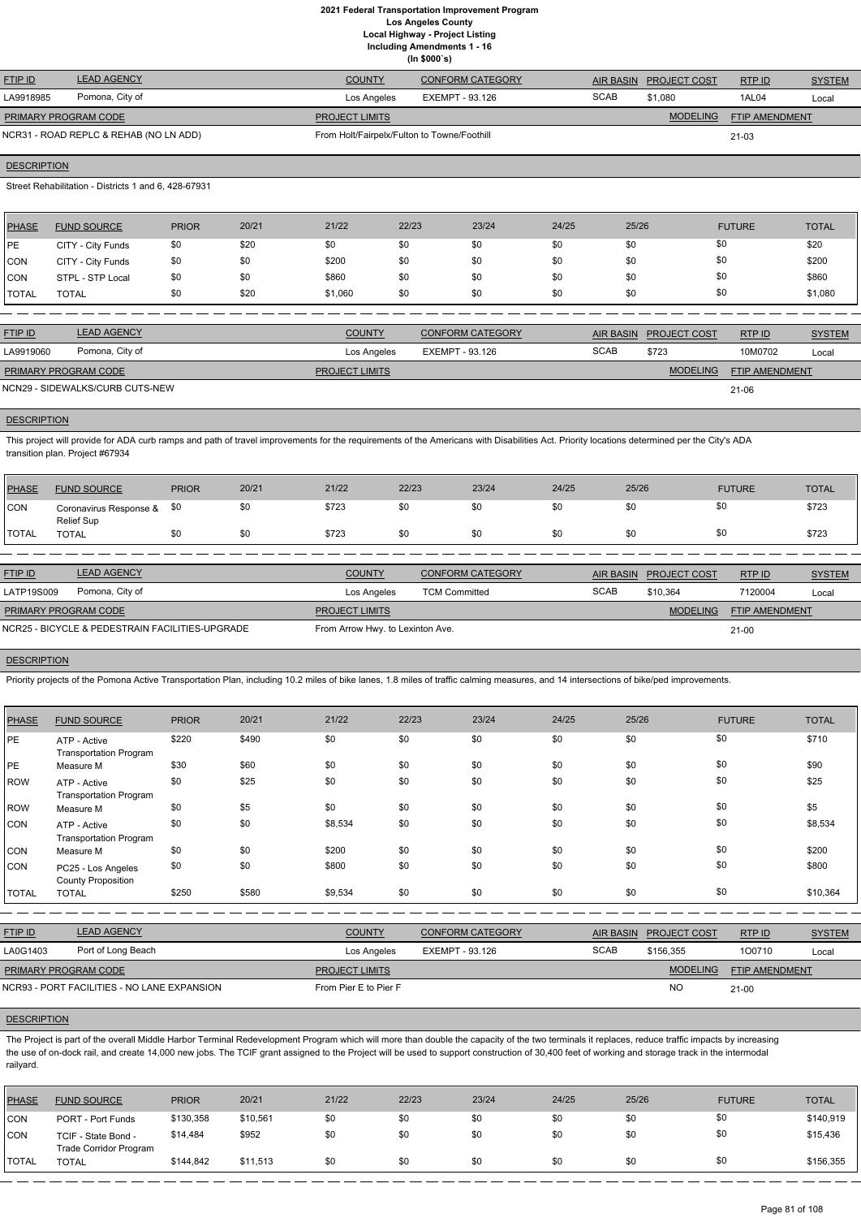**Including Amendments 1 - 16**

**(In \$000`s)**

| <b>FTIP ID</b>       | <b>LEAD AGENCY</b>                     | <b>COUNTY</b>                               | <b>CONFORM CATEGORY</b> |             | AIR BASIN PROJECT COST | RTPID          | <b>SYSTEM</b> |
|----------------------|----------------------------------------|---------------------------------------------|-------------------------|-------------|------------------------|----------------|---------------|
| LA9918985            | Pomona, City of                        | Los Angeles                                 | EXEMPT - 93.126         | <b>SCAB</b> | \$1,080                | 1AL04          | Local         |
| PRIMARY PROGRAM CODE |                                        | <b>PROJECT LIMITS</b>                       |                         |             | <b>MODELING</b>        | FTIP AMENDMENT |               |
|                      | NCR31 - ROAD REPLC & REHAB (NO LN ADD) | From Holt/Fairpelx/Fulton to Towne/Foothill |                         |             |                        | 21-03          |               |

## **DESCRIPTION**

Street Rehabilitation - Districts 1 and 6, 428-67931

This project will provide for ADA curb ramps and path of travel improvements for the requirements of the Americans with Disabilities Act. Priority locations determined per the City's ADA transition plan. Project #67934

| <b>PHASE</b> | <b>FUND SOURCE</b> | <b>PRIOR</b> | 20/21 | 21/22   | 22/23 | 23/24 | 24/25 | 25/26 | <b>FUTURE</b> | <b>TOTAL</b> |
|--------------|--------------------|--------------|-------|---------|-------|-------|-------|-------|---------------|--------------|
| <b>PE</b>    | CITY - City Funds  | \$0          | \$20  | \$0     | \$0   | \$0   | \$0   | \$0   | \$0           | \$20         |
| <b>CON</b>   | CITY - City Funds  | \$0          | \$0   | \$200   | \$0   | \$0   | \$0   | \$0   | \$0           | \$200        |
| <b>CON</b>   | STPL - STP Local   | \$0          | \$0   | \$860   | \$0   | \$0   | \$0   | \$0   | \$0           | \$860        |
| <b>TOTAL</b> | <b>TOTAL</b>       | \$0          | \$20  | \$1,060 | \$0   | \$0   | \$0   | \$0   | \$0           | \$1,080      |

| <b>FTIP ID</b>                  | <b>LEAD AGENCY</b> | <b>COUNTY</b>         | CONFORM CATEGORY |             | AIR BASIN PROJECT COST | <b>RTPID</b>          | <b>SYSTEM</b> |
|---------------------------------|--------------------|-----------------------|------------------|-------------|------------------------|-----------------------|---------------|
| LA9919060                       | Pomona, City of    | Los Angeles           | EXEMPT - 93.126  | <b>SCAB</b> | \$723                  | 10M0702               | Local         |
| <b>PRIMARY PROGRAM CODE</b>     |                    | <b>PROJECT LIMITS</b> |                  |             | <b>MODELING</b>        | <b>FTIP AMENDMENT</b> |               |
| NCN29 - SIDEWALKS/CURB CUTS-NEW |                    |                       |                  |             |                        | 21-06                 |               |

#### **DESCRIPTION**

| <b>PHASE</b> | <b>FUND SOURCE</b>                              | <b>PRIOR</b> | 20/21 | 21/22                            | 22/23                | 23/24                   | 24/25 | 25/26            |                     | <b>FUTURE</b>  | <b>TOTAL</b>  |
|--------------|-------------------------------------------------|--------------|-------|----------------------------------|----------------------|-------------------------|-------|------------------|---------------------|----------------|---------------|
| CON          | Coronavirus Response &<br>Relief Sup            | \$0          | \$0   | \$723                            | \$0                  | \$0                     | \$0   | \$0              | \$0                 |                | \$723         |
| <b>TOTAL</b> | <b>TOTAL</b>                                    | \$0          | \$0   | \$723                            | \$0                  | \$0                     | \$0   | \$0              | \$0                 |                | \$723         |
|              |                                                 |              |       |                                  |                      |                         |       |                  |                     |                |               |
| FTIP ID      | <b>LEAD AGENCY</b>                              |              |       | <b>COUNTY</b>                    |                      | <b>CONFORM CATEGORY</b> |       | <b>AIR BASIN</b> | <b>PROJECT COST</b> | RTP ID         | <b>SYSTEM</b> |
| LATP19S009   | Pomona, City of                                 |              |       | Los Angeles                      | <b>TCM Committed</b> |                         |       | <b>SCAB</b>      | \$10.364            | 7120004        | Local         |
|              | PRIMARY PROGRAM CODE                            |              |       | <b>PROJECT LIMITS</b>            |                      |                         |       |                  | <b>MODELING</b>     | FTIP AMENDMENT |               |
|              | NCR25 - BICYCLE & PEDESTRAIN FACILITIES-UPGRADE |              |       | From Arrow Hwy. to Lexinton Ave. |                      |                         |       |                  |                     | $21-00$        |               |

## **DESCRIPTION**

Priority projects of the Pomona Active Transportation Plan, including 10.2 miles of bike lanes, 1.8 miles of traffic calming measures, and 14 intersections of bike/ped improvements.

The Project is part of the overall Middle Harbor Terminal Redevelopment Program which will more than double the capacity of the two terminals it replaces, reduce traffic impacts by increasing the use of on-dock rail, and create 14,000 new jobs. The TCIF grant assigned to the Project will be used to support construction of 30,400 feet of working and storage track in the intermodal railyard.

| <b>PHASE</b> | <b>FUND SOURCE</b>                              | <b>PRIOR</b> | 20/21 | 21/22   | 22/23 | 23/24 | 24/25 | 25/26 | <b>FUTURE</b> | <b>TOTAL</b> |
|--------------|-------------------------------------------------|--------------|-------|---------|-------|-------|-------|-------|---------------|--------------|
| PE           | ATP - Active<br><b>Transportation Program</b>   | \$220        | \$490 | \$0     | \$0   | \$0   | \$0   | \$0   | \$0           | \$710        |
| PE           | Measure M                                       | \$30         | \$60  | \$0     | \$0   | \$0   | \$0   | \$0   | \$0           | \$90         |
| ROW          | ATP - Active<br><b>Transportation Program</b>   | \$0          | \$25  | \$0     | \$0   | \$0   | \$0   | \$0   | \$0           | \$25         |
| ROW          | Measure M                                       | \$0          | \$5   | \$0     | \$0   | \$0   | \$0   | \$0   | \$0           | \$5          |
| CON          | ATP - Active<br><b>Transportation Program</b>   | \$0          | \$0   | \$8,534 | \$0   | \$0   | \$0   | \$0   | \$0           | \$8,534      |
| <b>CON</b>   | Measure M                                       | \$0          | \$0   | \$200   | \$0   | \$0   | \$0   | \$0   | \$0           | \$200        |
| <b>CON</b>   | PC25 - Los Angeles<br><b>County Proposition</b> | \$0          | \$0   | \$800   | \$0   | \$0   | \$0   | \$0   | \$0           | \$800        |
| <b>TOTAL</b> | <b>TOTAL</b>                                    | \$250        | \$580 | \$9,534 | \$0   | \$0   | \$0   | \$0   | \$0           | \$10,364     |

| <b>FTIP ID</b>              | <b>LEAD AGENCY</b>                          | <b>COUNTY</b>         | CONFORM CATEGORY | AIR BASIN   | <b>PROJECT COST</b> | RTPID                 | <b>SYSTEM</b> |
|-----------------------------|---------------------------------------------|-----------------------|------------------|-------------|---------------------|-----------------------|---------------|
| LA0G1403                    | Port of Long Beach                          | Los Angeles           | EXEMPT - 93.126  | <b>SCAB</b> | \$156.355           | 100710                | Local         |
| <b>PRIMARY PROGRAM CODE</b> |                                             | <b>PROJECT LIMITS</b> |                  |             | <b>MODELING</b>     | <b>FTIP AMENDMENT</b> |               |
|                             | NCR93 - PORT FACILITIES - NO LANE EXPANSION | From Pier E to Pier F |                  |             | <b>NO</b>           | $21-00$               |               |

| PHASE          | <b>FUND SOURCE</b>                                   | <b>PRIOR</b> | 20/21    | 21/22 | 22/23 | 23/24 | 24/25 | 25/26 | <b>FUTURE</b> | <b>TOTAL</b> |
|----------------|------------------------------------------------------|--------------|----------|-------|-------|-------|-------|-------|---------------|--------------|
| ICON           | PORT - Port Funds                                    | \$130,358    | \$10,561 | \$0   | \$0   | \$0   | \$0   | \$0   | \$0           | \$140,919    |
| <b>CON</b>     | TCIF - State Bond -<br><b>Trade Corridor Program</b> | \$14,484     | \$952    | \$0   | \$0   | \$0   | \$0   | \$0   | \$0           | \$15,436     |
| <b>I</b> TOTAL | <b>TOTAL</b>                                         | \$144,842    | \$11,513 | \$0   | \$0   | \$0   | \$0   | \$0   |               | \$156,355    |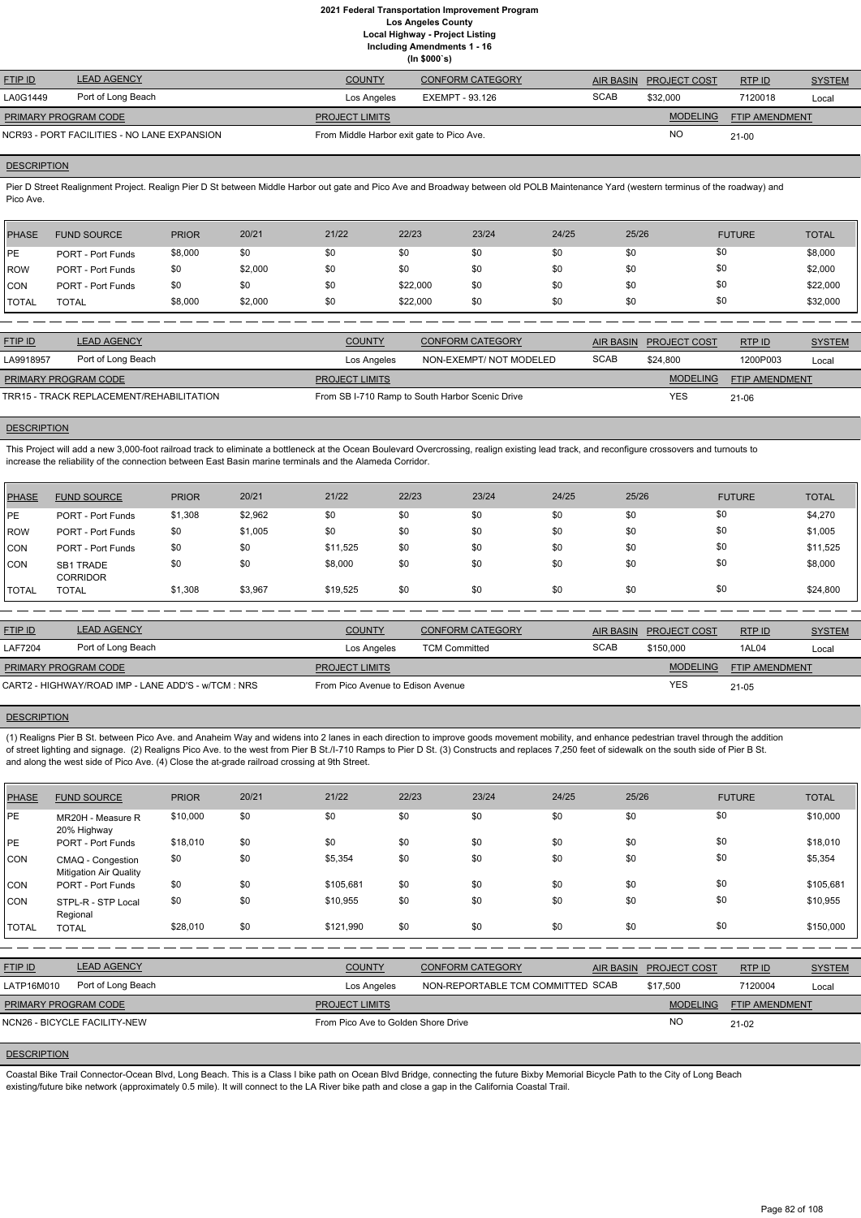**Including Amendments 1 - 16**

|  | (ln \$000's) |
|--|--------------|
|--|--------------|

| <b>FTIP ID</b>                              | <b>LEAD AGENCY</b> | <b>COUNTY</b>                             | <b>CONFORM CATEGORY</b> |             | AIR BASIN PROJECT COST | RTPID          | <b>SYSTEM</b> |
|---------------------------------------------|--------------------|-------------------------------------------|-------------------------|-------------|------------------------|----------------|---------------|
| LA0G1449                                    | Port of Long Beach | Los Angeles                               | EXEMPT - 93.126         | <b>SCAB</b> | \$32,000               | 7120018        | Local         |
| PRIMARY PROGRAM CODE                        |                    | <b>PROJECT LIMITS</b>                     |                         |             | <b>MODELING</b>        | FTIP AMENDMENT |               |
| NCR93 - PORT FACILITIES - NO LANE EXPANSION |                    | From Middle Harbor exit gate to Pico Ave. |                         |             | ΝC                     | $21 - 00$      |               |

#### **DESCRIPTION**

Pier D Street Realignment Project. Realign Pier D St between Middle Harbor out gate and Pico Ave and Broadway between old POLB Maintenance Yard (western terminus of the roadway) and Pico Ave.

| PHASE        | <b>FUND SOURCE</b>       | <b>PRIOR</b> | 20/21   | 21/22 | 22/23    | 23/24 | 24/25 | 25/26 | <b>FUTURE</b> | <b>TOTAL</b> |
|--------------|--------------------------|--------------|---------|-------|----------|-------|-------|-------|---------------|--------------|
| <b>IPE</b>   | <b>PORT - Port Funds</b> | \$8,000      | \$0     | \$0   | \$0      | \$0   | \$0   | \$0   | \$0           | \$8,000      |
| <b>IROW</b>  | <b>PORT - Port Funds</b> | \$0          | \$2,000 | \$0   | \$0      | \$0   | \$0   | \$0   | \$0           | \$2,000      |
| <b>CON</b>   | <b>PORT - Port Funds</b> | \$0          | \$0     | \$0   | \$22,000 | \$0   | \$0   | \$0   | \$0           | \$22,000     |
| <b>TOTAL</b> | TOTAL                    | \$8,000      | \$2,000 | \$0   | \$22,000 | \$0   | \$0   | \$0   | \$0           | \$32,000     |

| <b>FTIP ID</b>                           | <b>LEAD AGENCY</b> | <b>COUNTY</b>         | <b>CONFORM CATEGORY</b>                         |             | AIR BASIN PROJECT COST | RTP ID                | <b>SYSTEM</b> |
|------------------------------------------|--------------------|-----------------------|-------------------------------------------------|-------------|------------------------|-----------------------|---------------|
| LA9918957                                | Port of Long Beach | Los Angeles           | NON-EXEMPT/NOT MODELED                          | <b>SCAB</b> | \$24.800               | 1200P003              | Local         |
| <b>PRIMARY PROGRAM CODE</b>              |                    | <b>PROJECT LIMITS</b> |                                                 |             | <b>MODELING</b>        | <b>FTIP AMENDMENT</b> |               |
| TRR15 - TRACK REPLACEMENT/REHABILITATION |                    |                       | From SB I-710 Ramp to South Harbor Scenic Drive |             | YES                    | $21 - 06$             |               |

#### **DESCRIPTION**

This Project will add a new 3,000-foot railroad track to eliminate a bottleneck at the Ocean Boulevard Overcrossing, realign existing lead track, and reconfigure crossovers and turnouts to increase the reliability of the connection between East Basin marine terminals and the Alameda Corridor.

| PHASE        | <b>FUND SOURCE</b>           | <b>PRIOR</b> | 20/21   | 21/22    | 22/23 | 23/24 | 24/25 | 25/26 | <b>FUTURE</b> | <b>TOTAL</b> |
|--------------|------------------------------|--------------|---------|----------|-------|-------|-------|-------|---------------|--------------|
| PE           | <b>PORT - Port Funds</b>     | \$1,308      | \$2,962 | \$0      | \$0   | \$0   | \$0   | \$0   | \$0           | \$4,270      |
| <b>ROW</b>   | <b>PORT - Port Funds</b>     | \$0          | \$1,005 | \$0      | \$0   | \$0   | \$0   | \$0   | \$0           | \$1,005      |
| <b>CON</b>   | PORT - Port Funds            | \$0          | \$0     | \$11,525 | \$0   | \$0   | \$0   | \$0   | \$0           | \$11,525     |
| <b>CON</b>   | SB1 TRADE<br><b>CORRIDOR</b> | \$0          | \$0     | \$8,000  | \$0   | \$0   | \$0   | \$0   | \$0           | \$8,000      |
| <b>TOTAL</b> | <b>TOTAL</b>                 | \$1,308      | \$3,967 | \$19,525 | \$0   | \$0   | \$0   | \$0   | \$0           | \$24,800     |

| <b>FTIP ID</b>                                      | <b>LEAD AGENCY</b> | <b>COUNTY</b>                     | <b>CONFORM CATEGORY</b> |             | AIR BASIN PROJECT COST | RTPID                 | <b>SYSTEM</b> |
|-----------------------------------------------------|--------------------|-----------------------------------|-------------------------|-------------|------------------------|-----------------------|---------------|
| <b>LAF7204</b>                                      | Port of Long Beach | Los Angeles                       | <b>TCM Committed</b>    | <b>SCAB</b> | \$150,000              | 1AL04                 | Local         |
| PRIMARY PROGRAM CODE                                |                    | <b>PROJECT LIMITS</b>             |                         |             | <b>MODELING</b>        | <b>FTIP AMENDMENT</b> |               |
| CART2 - HIGHWAY/ROAD IMP - LANE ADD'S - w/TCM : NRS |                    | From Pico Avenue to Edison Avenue |                         |             | <b>YES</b>             | 21-05                 |               |

## **DESCRIPTION**

(1) Realigns Pier B St. between Pico Ave. and Anaheim Way and widens into 2 lanes in each direction to improve goods movement mobility, and enhance pedestrian travel through the addition of street lighting and signage. (2) Realigns Pico Ave. to the west from Pier B St./I-710 Ramps to Pier D St. (3) Constructs and replaces 7,250 feet of sidewalk on the south side of Pier B St. and along the west side of Pico Ave. (4) Close the at-grade railroad crossing at 9th Street.

| <b>PHASE</b>   | <b>FUND SOURCE</b>                                 | <b>PRIOR</b> | 20/21 | 21/22                               | 22/23 | 23/24                             | 24/25            | 25/26               | <b>FUTURE</b>  | <b>TOTAL</b>  |
|----------------|----------------------------------------------------|--------------|-------|-------------------------------------|-------|-----------------------------------|------------------|---------------------|----------------|---------------|
| PE             | MR20H - Measure R<br>20% Highway                   | \$10,000     | \$0   | \$0                                 | \$0   | \$0                               | \$0              | \$0                 | \$0            | \$10,000      |
| PE             | <b>PORT - Port Funds</b>                           | \$18,010     | \$0   | \$0                                 | \$0   | \$0                               | \$0              | \$0                 | \$0            | \$18,010      |
| <b>CON</b>     | CMAQ - Congestion<br><b>Mitigation Air Quality</b> | \$0          | \$0   | \$5,354                             | \$0   | \$0                               | \$0              | \$0                 | \$0            | \$5,354       |
| <b>CON</b>     | <b>PORT - Port Funds</b>                           | \$0          | \$0   | \$105,681                           | \$0   | \$0                               | \$0              | \$0                 | \$0            | \$105,681     |
| <b>CON</b>     | STPL-R - STP Local<br>Regional                     | \$0          | \$0   | \$10,955                            | \$0   | \$0                               | \$0              | \$0                 | \$0            | \$10,955      |
| <b>TOTAL</b>   | <b>TOTAL</b>                                       | \$28,010     | \$0   | \$121,990                           | \$0   | \$0                               | \$0              | \$0                 | \$0            | \$150,000     |
|                |                                                    |              |       |                                     |       |                                   |                  |                     |                |               |
| <b>FTIP ID</b> | <b>LEAD AGENCY</b>                                 |              |       | <b>COUNTY</b>                       |       | <b>CONFORM CATEGORY</b>           | <b>AIR BASIN</b> | <b>PROJECT COST</b> | RTP ID         | <b>SYSTEM</b> |
| LATP16M010     | Port of Long Beach                                 |              |       | Los Angeles                         |       | NON-REPORTABLE TCM COMMITTED SCAB |                  | \$17,500            | 7120004        | Local         |
|                | PRIMARY PROGRAM CODE                               |              |       | <b>PROJECT LIMITS</b>               |       |                                   |                  | <b>MODELING</b>     | FTIP AMENDMENT |               |
|                | NCN26 - BICYCLE FACILITY-NEW                       |              |       | From Pico Ave to Golden Shore Drive |       |                                   |                  | <b>NO</b>           | $21-02$        |               |
|                |                                                    |              |       |                                     |       |                                   |                  |                     |                |               |

## **DESCRIPTION**

Coastal Bike Trail Connector-Ocean Blvd, Long Beach. This is a Class I bike path on Ocean Blvd Bridge, connecting the future Bixby Memorial Bicycle Path to the City of Long Beach existing/future bike network (approximately 0.5 mile). It will connect to the LA River bike path and close a gap in the California Coastal Trail.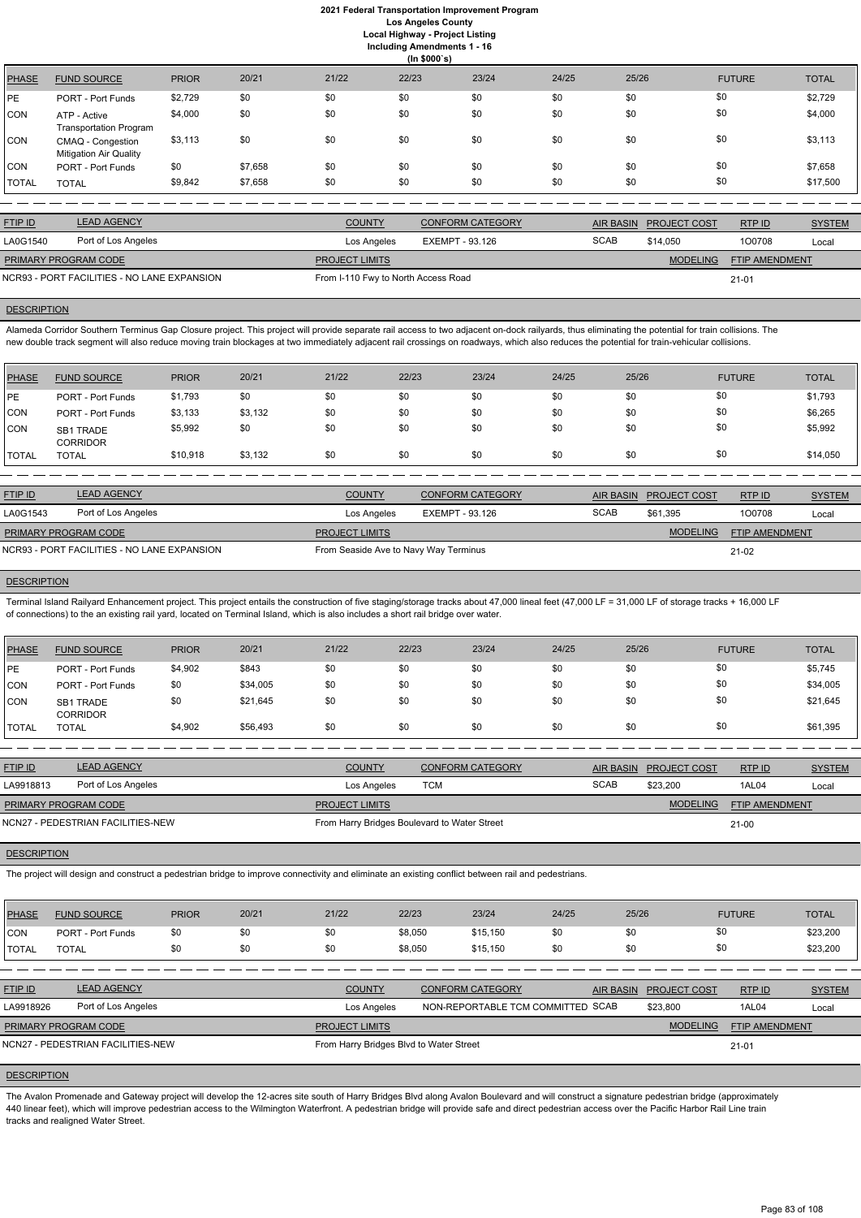**Including Amendments 1 - 16**

|  |              | ing Amendments 1 - ′ |  |  |
|--|--------------|----------------------|--|--|
|  | $(1 - A A A$ |                      |  |  |

|              |                                                    |              |         |       | (ln \$000's) |       |       |       |               |              |
|--------------|----------------------------------------------------|--------------|---------|-------|--------------|-------|-------|-------|---------------|--------------|
| <b>PHASE</b> | <b>FUND SOURCE</b>                                 | <b>PRIOR</b> | 20/21   | 21/22 | 22/23        | 23/24 | 24/25 | 25/26 | <b>FUTURE</b> | <b>TOTAL</b> |
| <b>PE</b>    | PORT - Port Funds                                  | \$2,729      | \$0     | \$0   | \$0          | \$0   | \$0   | \$0   | \$0           | \$2,729      |
| <b>CON</b>   | ATP - Active<br><b>Transportation Program</b>      | \$4,000      | \$0     | \$0   | \$0          | \$0   | \$0   | \$0   | \$0           | \$4,000      |
| <b>CON</b>   | CMAQ - Congestion<br><b>Mitigation Air Quality</b> | \$3,113      | \$0     | \$0   | \$0          | \$0   | \$0   | \$0   | \$0           | \$3,113      |
| <b>CON</b>   | PORT - Port Funds                                  | \$0          | \$7,658 | \$0   | \$0          | \$0   | \$0   | \$0   | \$0           | \$7,658      |
| <b>TOTAL</b> | <b>TOTAL</b>                                       | \$9,842      | \$7,658 | \$0   | \$0          | \$0   | \$0   | \$0   | \$0           | \$17,500     |

Alameda Corridor Southern Terminus Gap Closure project. This project will provide separate rail access to two adjacent on-dock railyards, thus eliminating the potential for train collisions. The new double track segment will also reduce moving train blockages at two immediately adjacent rail crossings on roadways, which also reduces the potential for train-vehicular collisions.

| <b>FTIP ID</b>              | <b>LEAD AGENCY</b>                          | <b>COUNTY</b>                                    | <b>CONFORM CATEGORY</b> |             | AIR BASIN PROJECT COST | RTPID                 | <b>SYSTEM</b> |
|-----------------------------|---------------------------------------------|--------------------------------------------------|-------------------------|-------------|------------------------|-----------------------|---------------|
| LA0G1540                    | Port of Los Angeles                         | Los Angeles                                      | EXEMPT - 93.126         | <b>SCAB</b> | \$14,050               | 100708                | Local         |
| <b>PRIMARY PROGRAM CODE</b> |                                             | <b>PROJECT LIMITS</b>                            |                         |             | <b>MODELING</b>        | <b>FTIP AMENDMENT</b> |               |
|                             | NCR93 - PORT FACILITIES - NO LANE EXPANSION | From I-110 Fwy to North Access Road<br>$21 - 01$ |                         |             |                        |                       |               |

# **DESCRIPTION**

| <b>IPE</b><br>\$1,793<br><b>PORT - Port Funds</b>            | \$0     | \$0 | \$0 | \$0 | \$0 | \$0 | \$0 |          |
|--------------------------------------------------------------|---------|-----|-----|-----|-----|-----|-----|----------|
|                                                              |         |     |     |     |     |     |     | \$1,793  |
| \$3,133<br><b>CON</b><br>PORT - Port Funds                   | \$3,132 | \$0 | \$0 | \$0 | \$0 | \$0 | \$0 | \$6,265  |
| <b>CON</b><br>\$5,992<br><b>SB1 TRADE</b><br><b>CORRIDOR</b> | \$0     | \$0 | \$0 | \$0 | \$0 | \$0 | \$0 | \$5,992  |
| \$10,918<br><b>TOTAL</b><br><b>TOTAL</b>                     | \$3,132 | \$0 | \$0 | \$0 | \$0 | \$0 | \$0 | \$14,050 |

| <b>FTIP ID</b>       | <b>LEAD AGENCY</b>                          | <b>COUNTY</b>                         | CONFORM CATEGORY |             | AIR BASIN PROJECT COST | RTP ID                | <b>SYSTEM</b> |
|----------------------|---------------------------------------------|---------------------------------------|------------------|-------------|------------------------|-----------------------|---------------|
| LA0G1543             | Port of Los Angeles                         | Los Angeles                           | EXEMPT - 93.126  | <b>SCAB</b> | \$61.395               | 100708                | Local         |
| PRIMARY PROGRAM CODE |                                             | <b>PROJECT LIMITS</b>                 |                  |             | <b>MODELING</b>        | <b>FTIP AMENDMENT</b> |               |
|                      | NCR93 - PORT FACILITIES - NO LANE EXPANSION | From Seaside Ave to Navy Way Terminus |                  |             |                        | 21-02                 |               |

## **DESCRIPTION**

Terminal Island Railyard Enhancement project. This project entails the construction of five staging/storage tracks about 47,000 lineal feet (47,000 LF = 31,000 LF of storage tracks + 16,000 LF of connections) to the an existing rail yard, located on Terminal Island, which is also includes a short rail bridge over water.

| PHASE   | <b>FUND SOURCE</b>           | <b>PRIOR</b> | 20/21    | 21/22 | 22/23 | 23/24 | 24/25 | 25/26 | <b>FUTURE</b> | <b>TOTAL</b> |
|---------|------------------------------|--------------|----------|-------|-------|-------|-------|-------|---------------|--------------|
| PE      | <b>PORT - Port Funds</b>     | \$4,902      | \$843    | \$0   | \$0   | \$0   | \$0   | \$0   | \$0           | \$5,745      |
| CON     | <b>PORT - Port Funds</b>     | \$0          | \$34,005 | \$0   | \$0   | \$0   | \$0   | \$0   | \$0           | \$34,005     |
| CON     | SB1 TRADE<br><b>CORRIDOR</b> | \$0          | \$21,645 | \$0   | \$0   | \$0   | \$0   | \$0   | \$0           | \$21,645     |
| I TOTAL | TOTAL                        | \$4,902      | \$56,493 | \$0   | \$0   | \$0   | \$0   | \$0   | \$0           | \$61,395     |

| <b>FTIP ID</b>       | <b>LEAD AGENCY</b>                | <b>COUNTY</b>                                | <b>CONFORM CATEGORY</b> |             | AIR BASIN PROJECT COST | RTPID          | <b>SYSTEM</b> |
|----------------------|-----------------------------------|----------------------------------------------|-------------------------|-------------|------------------------|----------------|---------------|
| LA9918813            | Port of Los Angeles               | Los Angeles                                  | тсм                     | <b>SCAB</b> | \$23.200               | 1AL04          | Local         |
| PRIMARY PROGRAM CODE |                                   | <b>PROJECT LIMITS</b>                        |                         |             | <b>MODELING</b>        | FTIP AMENDMENT |               |
|                      | NCN27 - PEDESTRIAN FACILITIES-NEW | From Harry Bridges Boulevard to Water Street |                         |             |                        | $21 - 00$      |               |

#### **DESCRIPTION**

The project will design and construct a pedestrian bridge to improve connectivity and eliminate an existing conflict between rail and pedestrians.

| <b>PHASE</b> | <b>FUND SOURCE</b> | <b>PRIOR</b> | 20/21 | 21/22 | 22/23 | 23/24 | 24/25 | 25/26 | <b>FUTURE</b> | <b>TOTAL</b> |
|--------------|--------------------|--------------|-------|-------|-------|-------|-------|-------|---------------|--------------|

| CON            | <b>PORT - Port Funds</b>          | \$0 | \$0 | \$0                                     | \$8,050 | \$15,150                          | \$0 | \$0 | \$0                    |                       | \$23,200      |
|----------------|-----------------------------------|-----|-----|-----------------------------------------|---------|-----------------------------------|-----|-----|------------------------|-----------------------|---------------|
| <b>I</b> TOTAL | <b>TOTAL</b>                      | \$0 | \$0 | \$0                                     | \$8.050 | \$15,150                          | \$0 | \$0 | \$0                    |                       | \$23,200      |
|                |                                   |     |     |                                         |         |                                   |     |     |                        |                       |               |
| <b>FTIP ID</b> | <b>LEAD AGENCY</b>                |     |     | <b>COUNTY</b>                           |         | <b>CONFORM CATEGORY</b>           |     |     | AIR BASIN PROJECT COST | RTPID                 | <b>SYSTEM</b> |
| LA9918926      | Port of Los Angeles               |     |     | Los Angeles                             |         | NON-REPORTABLE TCM COMMITTED SCAB |     |     | \$23,800               | 1AL04                 | Local         |
|                | <b>PRIMARY PROGRAM CODE</b>       |     |     | <b>PROJECT LIMITS</b>                   |         |                                   |     |     | <b>MODELING</b>        | <b>FTIP AMENDMENT</b> |               |
|                | NCN27 - PEDESTRIAN FACILITIES-NEW |     |     | From Harry Bridges Blvd to Water Street |         |                                   |     |     |                        | 21-01                 |               |

# **DESCRIPTION**

The Avalon Promenade and Gateway project will develop the 12-acres site south of Harry Bridges Blvd along Avalon Boulevard and will construct a signature pedestrian bridge (approximately 440 linear feet), which will improve pedestrian access to the Wilmington Waterfront. A pedestrian bridge will provide safe and direct pedestrian access over the Pacific Harbor Rail Line train tracks and realigned Water Street.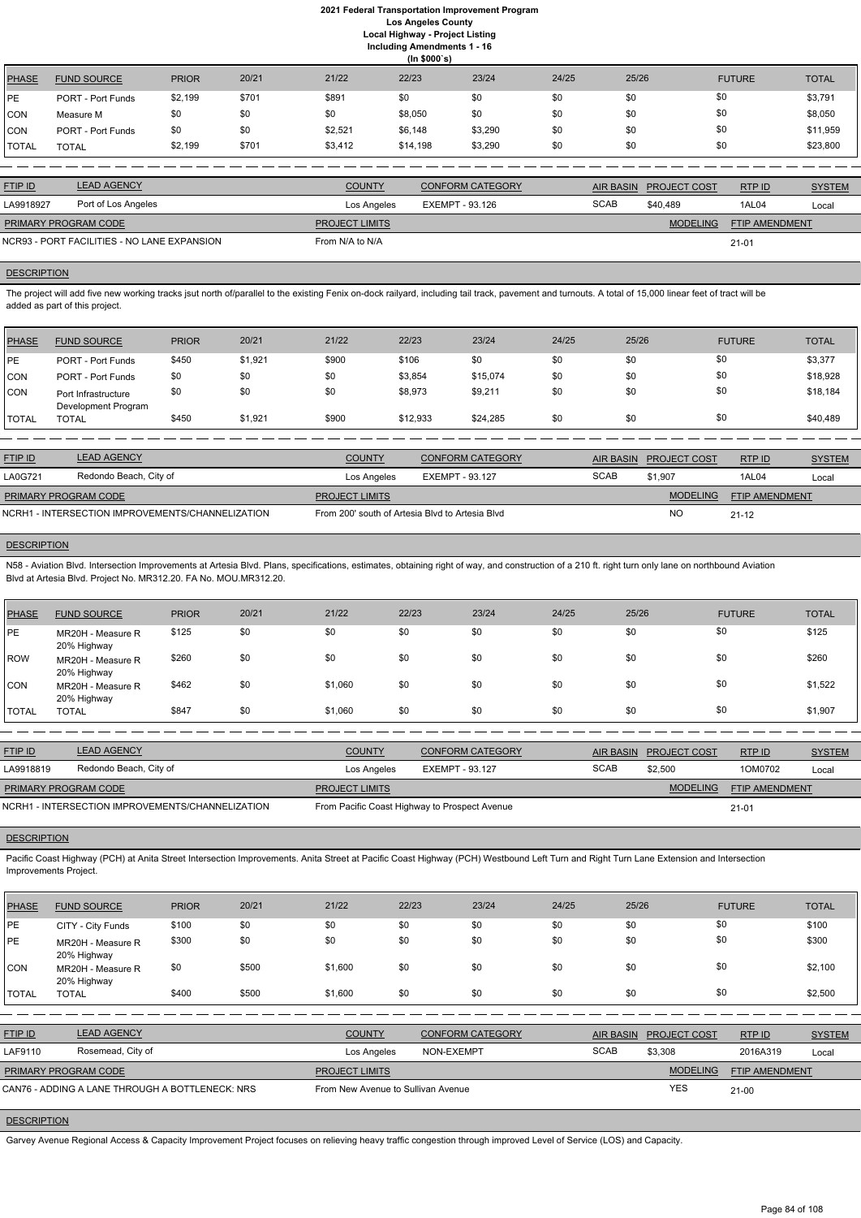|              | (ln \$000's)             |              |       |         |          |         |       |       |               |              |  |  |
|--------------|--------------------------|--------------|-------|---------|----------|---------|-------|-------|---------------|--------------|--|--|
| PHASE        | <b>FUND SOURCE</b>       | <b>PRIOR</b> | 20/21 | 21/22   | 22/23    | 23/24   | 24/25 | 25/26 | <b>FUTURE</b> | <b>TOTAL</b> |  |  |
| <b>IPE</b>   | <b>PORT - Port Funds</b> | \$2,199      | \$701 | \$891   | \$0      | \$0     | \$0   | \$0   | \$0           | \$3,791      |  |  |
| CON          | Measure M                | \$0          | \$0   | \$0     | \$8,050  | \$0     | \$0   | \$0   | \$0           | \$8,050      |  |  |
| CON          | <b>PORT - Port Funds</b> | \$0          | \$0   | \$2,521 | \$6,148  | \$3,290 | \$0   | \$0   | \$0           | \$11,959     |  |  |
| <b>TOTAL</b> | <b>TOTAL</b>             | \$2,199      | \$701 | \$3,412 | \$14,198 | \$3,290 | \$0   | \$0   | \$0           | \$23,800     |  |  |

The project will add five new working tracks jsut north of/parallel to the existing Fenix on-dock railyard, including tail track, pavement and turnouts. A total of 15,000 linear feet of tract will be added as part of this project.

| <b>FTIP ID</b>              | <b>LEAD AGENCY</b>                          | <b>COUNTY</b>         | CONFORM CATEGORY |             | AIR BASIN PROJECT COST | RTP ID                | <b>SYSTEM</b> |
|-----------------------------|---------------------------------------------|-----------------------|------------------|-------------|------------------------|-----------------------|---------------|
| LA9918927                   | Port of Los Angeles                         | Los Angeles           | EXEMPT - 93.126  | <b>SCAB</b> | \$40.489               | 1AL04                 | Local         |
| <b>PRIMARY PROGRAM CODE</b> |                                             | <b>PROJECT LIMITS</b> |                  |             | <b>MODELING</b>        | <b>FTIP AMENDMENT</b> |               |
|                             | NCR93 - PORT FACILITIES - NO LANE EXPANSION | From N/A to N/A       |                  |             |                        | $21 - 01$             |               |

#### **DESCRIPTION**

N58 - Aviation Blvd. Intersection Improvements at Artesia Blvd. Plans, specifications, estimates, obtaining right of way, and construction of a 210 ft. right turn only lane on northbound Aviation Blvd at Artesia Blvd. Project No. MR312.20. FA No. MOU.MR312.20.

| PHASE        | <b>FUND SOURCE</b>                         | <b>PRIOR</b> | 20/21   | 21/22 | 22/23    | 23/24    | 24/25 | 25/26 | <b>FUTURE</b> | <b>TOTAL</b> |
|--------------|--------------------------------------------|--------------|---------|-------|----------|----------|-------|-------|---------------|--------------|
| l PE         | <b>PORT - Port Funds</b>                   | \$450        | \$1,921 | \$900 | \$106    | \$0      | \$0   | \$0   | \$0           | \$3,377      |
| CON          | <b>PORT - Port Funds</b>                   | \$0          | \$0     | \$0   | \$3,854  | \$15,074 | \$0   | \$0   | \$0           | \$18,928     |
| <b>CON</b>   | Port Infrastructure<br>Development Program | \$0          | \$0     | \$0   | \$8,973  | \$9,211  | \$0   | \$0   | \$0           | \$18,184     |
| <b>TOTAL</b> | TOTAL                                      | \$450        | \$1,921 | \$900 | \$12,933 | \$24,285 | \$0   | \$0   | \$0           | \$40,489     |

Pacific Coast Highway (PCH) at Anita Street Intersection Improvements. Anita Street at Pacific Coast Highway (PCH) Westbound Left Turn and Right Turn Lane Extension and Intersection Improvements Project.

| <b>FTIP ID</b>                                   | <b>LEAD AGENCY</b>     | <b>COUNTY</b>                                   | <b>CONFORM CATEGORY</b> |             | AIR BASIN PROJECT COST | RTP ID                | <b>SYSTEM</b> |
|--------------------------------------------------|------------------------|-------------------------------------------------|-------------------------|-------------|------------------------|-----------------------|---------------|
| <b>LA0G721</b>                                   | Redondo Beach, City of | Los Angeles                                     | EXEMPT - 93.127         | <b>SCAB</b> | \$1.907                | 1AL04                 | Local         |
| <b>PRIMARY PROGRAM CODE</b>                      |                        | <b>PROJECT LIMITS</b>                           |                         |             | <b>MODELING</b>        | <b>FTIP AMENDMENT</b> |               |
| NCRH1 - INTERSECTION IMPROVEMENTS/CHANNELIZATION |                        | From 200' south of Artesia Blyd to Artesia Blyd |                         |             | <b>NO</b>              | $21 - 12$             |               |

#### **DESCRIPTION**

| PHASE        | <b>FUND SOURCE</b>               | <b>PRIOR</b> | 20/21 | 21/22   | 22/23 | 23/24 | 24/25 | 25/26 | <b>FUTURE</b> | <b>TOTAL</b> |
|--------------|----------------------------------|--------------|-------|---------|-------|-------|-------|-------|---------------|--------------|
| PE           | MR20H - Measure R<br>20% Highway | \$125        | \$0   | \$0     | \$0   | \$0   | \$0   | \$0   | \$0           | \$125        |
| ROW          | MR20H - Measure R<br>20% Highway | \$260        | \$0   | \$0     | \$0   | \$0   | \$0   | \$0   | \$0           | \$260        |
| ICON.        | MR20H - Measure R<br>20% Highway | \$462        | \$0   | \$1,060 | \$0   | \$0   | \$0   | \$0   | \$0           | \$1,522      |
| <b>TOTAL</b> | <b>TOTAL</b>                     | \$847        | \$0   | \$1,060 | \$0   | \$0   | \$0   | \$0   | \$0           | \$1,907      |

| <b>LEAD AGENCY</b><br><b>FTIP ID</b>             |  | <b>COUNTY</b>                                 | CONFORM CATEGORY | <b>AIR BASIN</b>       | <b>PROJECT COST</b> | RTP ID                | <b>SYSTEM</b> |
|--------------------------------------------------|--|-----------------------------------------------|------------------|------------------------|---------------------|-----------------------|---------------|
| Redondo Beach, City of<br>LA9918819              |  | Los Angeles<br>EXEMPT - 93.127                |                  | <b>SCAB</b><br>\$2.500 |                     | 1OM0702               | Local         |
| <b>PRIMARY PROGRAM CODE</b>                      |  | <b>PROJECT LIMITS</b>                         |                  |                        | <b>MODELING</b>     | <b>FTIP AMENDMENT</b> |               |
| NCRH1 - INTERSECTION IMPROVEMENTS/CHANNELIZATION |  | From Pacific Coast Highway to Prospect Avenue |                  |                        |                     | $21 - 01$             |               |

# **DESCRIPTION**

|--|

| PE                                              | CITY - City Funds                | \$100 | \$0   | \$0           | \$0                                | \$0                     | \$0 | \$0              | \$0                 |                | \$100         |
|-------------------------------------------------|----------------------------------|-------|-------|---------------|------------------------------------|-------------------------|-----|------------------|---------------------|----------------|---------------|
| <b>PE</b>                                       | MR20H - Measure R<br>20% Highway | \$300 | \$0   | \$0           | \$0                                | \$0                     | \$0 | \$0              | \$0                 |                | \$300         |
| CON                                             | MR20H - Measure R<br>20% Highway | \$0   | \$500 | \$1,600       | \$0                                | \$0                     | \$0 | \$0              | \$0                 |                | \$2,100       |
| <b>I</b> TOTAL                                  | <b>TOTAL</b>                     | \$400 | \$500 | \$1,600       | \$0                                | \$0                     | \$0 | \$0              | \$0                 |                | \$2,500       |
|                                                 |                                  |       |       |               |                                    |                         |     |                  |                     |                |               |
| <b>FTIP ID</b>                                  | <b>LEAD AGENCY</b>               |       |       | <b>COUNTY</b> |                                    | <b>CONFORM CATEGORY</b> |     | <b>AIR BASIN</b> | <b>PROJECT COST</b> | RTP ID         | <b>SYSTEM</b> |
| LAF9110                                         | Rosemead, City of                |       |       | Los Angeles   |                                    | NON-EXEMPT              |     | <b>SCAB</b>      | \$3,308             | 2016A319       | Local         |
|                                                 | PRIMARY PROGRAM CODE             |       |       |               | <b>PROJECT LIMITS</b>              |                         |     |                  | <b>MODELING</b>     | FTIP AMENDMENT |               |
| CAN76 - ADDING A LANE THROUGH A BOTTLENECK: NRS |                                  |       |       |               | From New Avenue to Sullivan Avenue |                         |     |                  | <b>YES</b>          | $21 - 00$      |               |

**DESCRIPTION** 

Garvey Avenue Regional Access & Capacity Improvement Project focuses on relieving heavy traffic congestion through improved Level of Service (LOS) and Capacity.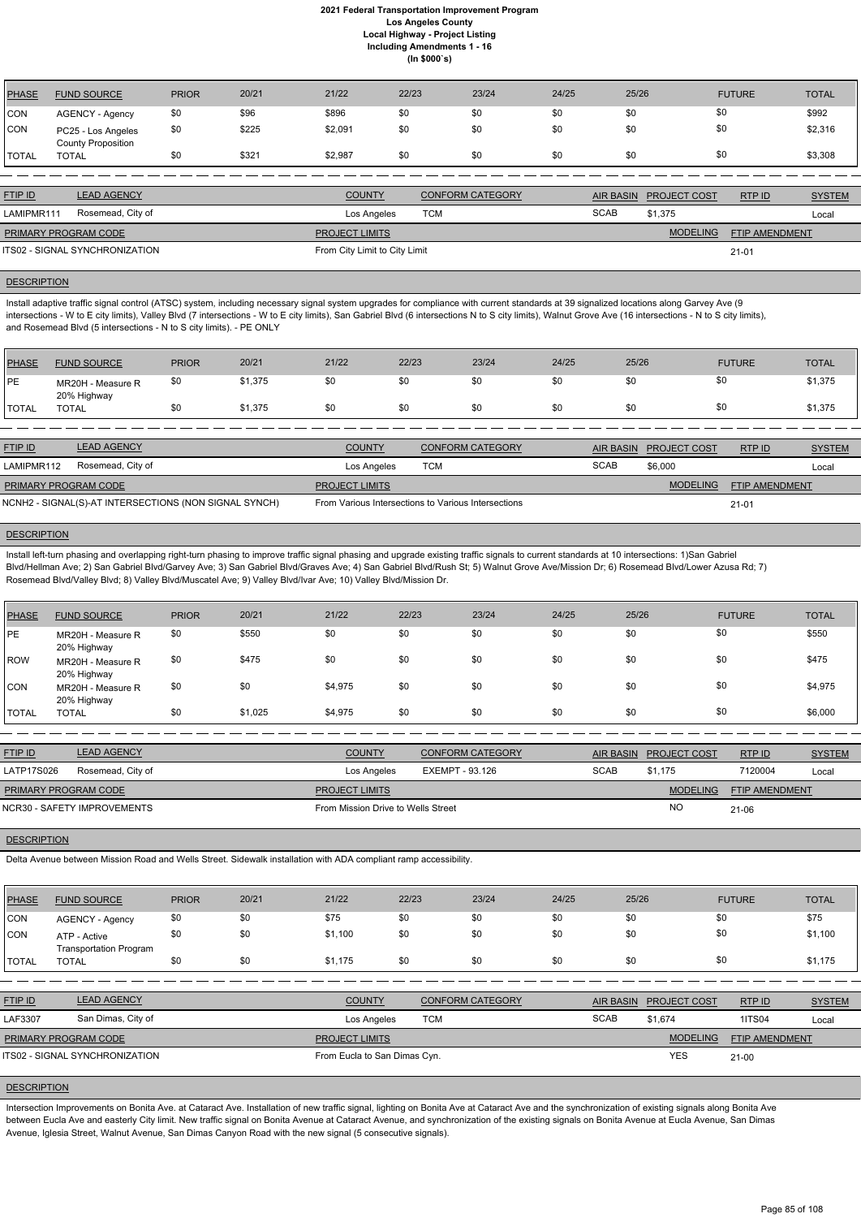| PHASE          | <b>FUND SOURCE</b>                              | <b>PRIOR</b> | 20/21 | 21/22   | 22/23 | 23/24 | 24/25 | 25/26 | <b>FUTURE</b> | <b>TOTAL</b> |
|----------------|-------------------------------------------------|--------------|-------|---------|-------|-------|-------|-------|---------------|--------------|
| <b>CON</b>     | <b>AGENCY - Agency</b>                          | \$0          | \$96  | \$896   |       | \$0   | \$0   | \$0   | \$0           | \$992        |
| <b>CON</b>     | PC25 - Los Angeles<br><b>County Proposition</b> | \$0          | \$225 | \$2,091 |       | \$0   | \$0   | \$0   | \$0           | \$2,316      |
| <b>I</b> TOTAL | <b>TOTAL</b>                                    |              | \$321 | \$2,987 |       | \$0   | \$0   | \$0   | \$0           | \$3,308      |

| <b>FTIP ID</b>                 | LEAD AGENCY       | <b>COUNTY</b>                 | CONFORM CATEGORY |             | AIR BASIN PROJECT COST | RTPID                 | <b>SYSTEM</b> |
|--------------------------------|-------------------|-------------------------------|------------------|-------------|------------------------|-----------------------|---------------|
| LAMIPMR111                     | Rosemead, City of | Los Angeles                   | тсм              | <b>SCAB</b> | \$1.375                |                       | Local         |
| PRIMARY PROGRAM CODE           |                   | <b>PROJECT LIMITS</b>         |                  |             | <b>MODELING</b>        | <b>FTIP AMENDMENT</b> |               |
| ITS02 - SIGNAL SYNCHRONIZATION |                   | From City Limit to City Limit |                  |             |                        | 21-01                 |               |
|                                |                   |                               |                  |             |                        |                       |               |

#### **DESCRIPTION**

Install adaptive traffic signal control (ATSC) system, including necessary signal system upgrades for compliance with current standards at 39 signalized locations along Garvey Ave (9 intersections - W to E city limits), Valley Blvd (7 intersections - W to E city limits), San Gabriel Blvd (6 intersections N to S city limits), Walnut Grove Ave (16 intersections - N to S city limits), and Rosemead Blvd (5 intersections - N to S city limits). - PE ONLY

| <b>PHASE</b> | <b>FUND SOURCE</b>               | <b>PRIOR</b> | 20/21   | 21/22 | 22/23 | 23/24 | 24/25 | 25/26 | <b>FUTURE</b> | <b>TOTAL</b> |
|--------------|----------------------------------|--------------|---------|-------|-------|-------|-------|-------|---------------|--------------|
| <b>IPE</b>   | MR20H - Measure R<br>20% Highway | \$0          | \$1,375 | \$0   | \$0   | \$0   | \$0   | \$0   | \$0           | \$1,375      |
| <b>TOTAL</b> | <b>TOTAL</b>                     | \$0          | \$1,375 | \$0   | \$0   | \$0   | \$0   | \$0   | \$0           | \$1,375      |

| <b>LEAD AGENCY</b><br><b>FTIP ID</b>                  |                   | <b>COUNTY</b>         | <b>CONFORM CATEGORY</b>                             |             | AIR BASIN PROJECT COST | <b>RTPID</b>          | <b>SYSTEM</b> |
|-------------------------------------------------------|-------------------|-----------------------|-----------------------------------------------------|-------------|------------------------|-----------------------|---------------|
| LAMIPMR112                                            | Rosemead, City of | Los Angeles           | тсм                                                 | <b>SCAB</b> | \$6,000                |                       | Local         |
| <b>PRIMARY PROGRAM CODE</b>                           |                   | <b>PROJECT LIMITS</b> |                                                     |             | <b>MODELING</b>        | <b>FTIP AMENDMENT</b> |               |
| NCNH2 - SIGNAL(S)-AT INTERSECTIONS (NON SIGNAL SYNCH) |                   |                       | From Various Intersections to Various Intersections |             |                        | $21 - 01$             |               |

#### **DESCRIPTION**

Install left-turn phasing and overlapping right-turn phasing to improve traffic signal phasing and upgrade existing traffic signals to current standards at 10 intersections: 1)San Gabriel Blvd/Hellman Ave; 2) San Gabriel Blvd/Garvey Ave; 3) San Gabriel Blvd/Graves Ave; 4) San Gabriel Blvd/Rush St; 5) Walnut Grove Ave/Mission Dr; 6) Rosemead Blvd/Lower Azusa Rd; 7) Rosemead Blvd/Valley Blvd; 8) Valley Blvd/Muscatel Ave; 9) Valley Blvd/Ivar Ave; 10) Valley Blvd/Mission Dr.

| PHASE        | <b>FUND SOURCE</b>               | <b>PRIOR</b> | 20/21   | 21/22   | 22/23 | 23/24 | 24/25 | 25/26 | <b>FUTURE</b> | <b>TOTAL</b> |
|--------------|----------------------------------|--------------|---------|---------|-------|-------|-------|-------|---------------|--------------|
| <b>PE</b>    | MR20H - Measure R<br>20% Highway | \$0          | \$550   | \$0     | \$0   | \$0   | \$0   | \$0   | \$0           | \$550        |
| ROW          | MR20H - Measure R<br>20% Highway | \$0          | \$475   | \$0     | \$0   | \$0   | \$0   | \$0   | \$0           | \$475        |
| CON          | MR20H - Measure R<br>20% Highway | \$0          | \$0     | \$4,975 | \$0   | \$0   | \$0   | \$0   | \$0           | \$4,975      |
| <b>TOTAL</b> | <b>TOTAL</b>                     | \$0          | \$1,025 | \$4,975 | \$0   | \$0   | \$0   | \$0   | \$0           | \$6,000      |

| <b>FTIP ID</b>              | <b>LEAD AGENCY</b> | <b>COUNTY</b>                      | <b>CONFORM CATEGORY</b> | <b>AIR BASIN</b> | <b>PROJECT COST</b> | RTPID                 | <b>SYSTEM</b> |
|-----------------------------|--------------------|------------------------------------|-------------------------|------------------|---------------------|-----------------------|---------------|
| LATP17S026                  | Rosemead, City of  | Los Angeles                        | EXEMPT - 93.126         | <b>SCAB</b>      | \$1.175             | 7120004               | Local         |
| <b>PRIMARY PROGRAM CODE</b> |                    | <b>PROJECT LIMITS</b>              |                         |                  | <b>MODELING</b>     | <b>FTIP AMENDMENT</b> |               |
| NCR30 - SAFETY IMPROVEMENTS |                    | From Mission Drive to Wells Street |                         |                  | NO                  | 21-06                 |               |

# **DESCRIPTION**

Delta Avenue between Mission Road and Wells Street. Sidewalk installation with ADA compliant ramp accessibility.

| <b>PHASE</b>   | <b>FUND SOURCE</b>                            | <b>PRIOR</b> | 20/21 | 21/22                 | 22/23                        | 23/24                   | 24/25       | 25/26            |                     | <b>FUTURE</b>  | <b>TOTAL</b>  |
|----------------|-----------------------------------------------|--------------|-------|-----------------------|------------------------------|-------------------------|-------------|------------------|---------------------|----------------|---------------|
| CON            | AGENCY - Agency                               | \$0          | \$0   | \$75                  | \$0                          | \$0                     | \$0         | \$0              | \$0                 |                | \$75          |
| <b>CON</b>     | ATP - Active<br><b>Transportation Program</b> | \$0          | \$0   | \$1,100               | \$0                          | \$0                     | \$0         | \$0              | \$0                 |                | \$1,100       |
| <b>ITOTAL</b>  | <b>TOTAL</b>                                  | \$0          | \$0   | \$1,175               | \$0                          | \$0                     | \$0         | \$0              | \$0                 |                | \$1,175       |
|                |                                               |              |       |                       |                              |                         |             |                  |                     |                |               |
| <b>FTIP ID</b> | <b>LEAD AGENCY</b>                            |              |       | <b>COUNTY</b>         |                              | <b>CONFORM CATEGORY</b> |             | <b>AIR BASIN</b> | <b>PROJECT COST</b> | RTPID          | <b>SYSTEM</b> |
| LAF3307        | San Dimas, City of                            |              |       | Los Angeles           | <b>TCM</b>                   |                         | <b>SCAB</b> |                  | \$1,674             | <b>1ITS04</b>  | Local         |
|                | PRIMARY PROGRAM CODE                          |              |       | <b>PROJECT LIMITS</b> |                              |                         |             |                  | <b>MODELING</b>     | FTIP AMENDMENT |               |
|                | <b>ITS02 - SIGNAL SYNCHRONIZATION</b>         |              |       |                       | From Eucla to San Dimas Cyn. |                         |             |                  | <b>YES</b>          | $21 - 00$      |               |

# **DESCRIPTION**

Intersection Improvements on Bonita Ave. at Cataract Ave. Installation of new traffic signal, lighting on Bonita Ave at Cataract Ave and the synchronization of existing signals along Bonita Ave between Eucla Ave and easterly City limit. New traffic signal on Bonita Avenue at Cataract Avenue, and synchronization of the existing signals on Bonita Avenue at Eucla Avenue, San Dimas Avenue, Iglesia Street, Walnut Avenue, San Dimas Canyon Road with the new signal (5 consecutive signals).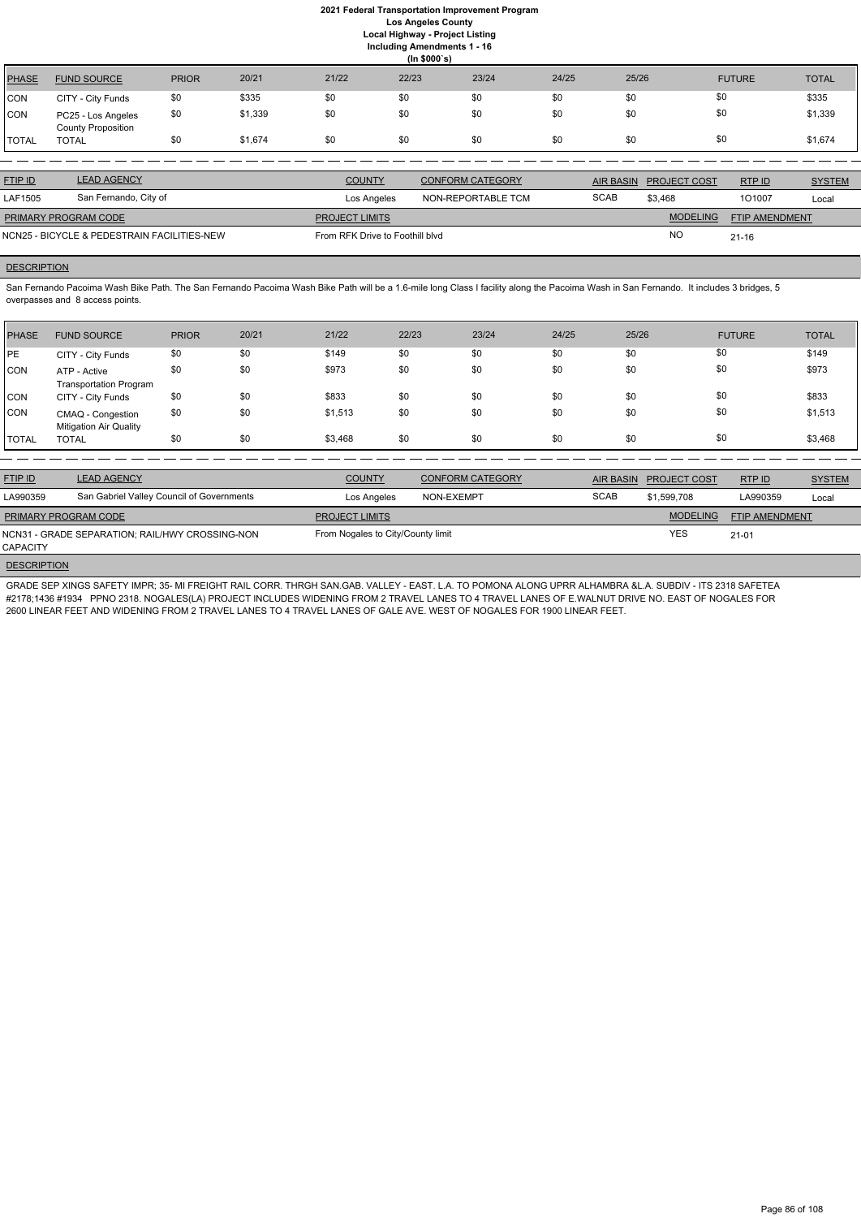**(In \$000`s)** PHASE FUND SOURCE PRIOR 20/21 21/22 22/23 23/24 24/25 25/26 FUTURE TOTAL CON CITY - City Funds \$0 \$335 \$0 \$0 \$0 \$0 \$0 \$0 \$0 \$0 \$0 \$0 \$0 \$335 CON PC25 - Los Angeles County Proposition \$0 \$1,339 \$0 \$0 \$0 \$0 \$0 \$0 \$1,339 TOTAL TOTAL \$0 \$1,674 \$0 \$0 \$0 \$0 \$0 \$0 \$1,674

San Fernando Pacoima Wash Bike Path. The San Fernando Pacoima Wash Bike Path will be a 1.6-mile long Class I facility along the Pacoima Wash in San Fernando. It includes 3 bridges, 5 overpasses and 8 access points.

| <b>LEAD AGENCY</b>                          | <b>COUNTY</b> | <b>CONFORM CATEGORY</b> |                                 |                 | RTP ID                 | <b>SYSTEM</b> |
|---------------------------------------------|---------------|-------------------------|---------------------------------|-----------------|------------------------|---------------|
| San Fernando, City of                       | Los Angeles   | NON-REPORTABLE TCM      | <b>SCAB</b>                     | \$3.468         | 101007                 | Local         |
| PRIMARY PROGRAM CODE                        |               |                         |                                 | <b>MODELING</b> | FTIP AMENDMENT         |               |
| NCN25 - BICYCLE & PEDESTRAIN FACILITIES-NEW |               |                         |                                 | <b>NC</b>       | $21 - 16$              |               |
|                                             |               | <b>PROJECT LIMITS</b>   | From RFK Drive to Foothill blyd |                 | AIR BASIN PROJECT COST |               |

# **DESCRIPTION**

| <b>PHASE</b> | <b>FUND SOURCE</b>                                 | <b>PRIOR</b> | 20/21 | 21/22   | 22/23 | 23/24 | 24/25 | 25/26 | <b>FUTURE</b> | <b>TOTAL</b> |
|--------------|----------------------------------------------------|--------------|-------|---------|-------|-------|-------|-------|---------------|--------------|
| <b>IPE</b>   | CITY - City Funds                                  | \$0          | \$0   | \$149   | \$0   | \$0   | \$0   | \$0   | \$0           | \$149        |
| CON          | ATP - Active<br><b>Transportation Program</b>      | \$0          | \$0   | \$973   | \$0   | \$0   | \$0   | \$0   | \$0           | \$973        |
| <b>CON</b>   | CITY - City Funds                                  | \$0          | \$0   | \$833   | \$0   | \$0   | \$0   | \$0   | \$0           | \$833        |
| <b>CON</b>   | CMAQ - Congestion<br><b>Mitigation Air Quality</b> | \$0          | \$0   | \$1,513 | \$0   | \$0   | \$0   | \$0   | \$0           | \$1,513      |
| <b>TOTAL</b> | <b>TOTAL</b>                                       | \$0          | \$0   | \$3,468 | \$0   | \$0   | \$0   | \$0   | \$0           | \$3,468      |

| <b>FTIP ID</b>              | <b>LEAD AGENCY</b>                              | <b>COUNTY</b>                     | <b>CONFORM CATEGORY</b> | AIR BASIN   | <b>PROJECT COST</b> | RTP ID                | <b>SYSTEM</b> |
|-----------------------------|-------------------------------------------------|-----------------------------------|-------------------------|-------------|---------------------|-----------------------|---------------|
| LA990359                    | San Gabriel Valley Council of Governments       | Los Angeles                       | NON-EXEMPT              | <b>SCAB</b> | \$1,599,708         | LA990359              | Local         |
| <b>PRIMARY PROGRAM CODE</b> |                                                 | <b>PROJECT LIMITS</b>             |                         |             | <b>MODELING</b>     | <b>FTIP AMENDMENT</b> |               |
| <b>CAPACITY</b>             | NCN31 - GRADE SEPARATION; RAIL/HWY CROSSING-NON | From Nogales to City/County limit |                         |             | <b>YES</b>          | $21 - 01$             |               |

**DESCRIPTION** 

GRADE SEP XINGS SAFETY IMPR; 35- MI FREIGHT RAIL CORR. THRGH SAN.GAB. VALLEY - EAST. L.A. TO POMONA ALONG UPRR ALHAMBRA &L.A. SUBDIV - ITS 2318 SAFETEA #2178;1436 #1934 PPNO 2318. NOGALES(LA) PROJECT INCLUDES WIDENING FROM 2 TRAVEL LANES TO 4 TRAVEL LANES OF E.WALNUT DRIVE NO. EAST OF NOGALES FOR 2600 LINEAR FEET AND WIDENING FROM 2 TRAVEL LANES TO 4 TRAVEL LANES OF GALE AVE. WEST OF NOGALES FOR 1900 LINEAR FEET.

Page 86 of 108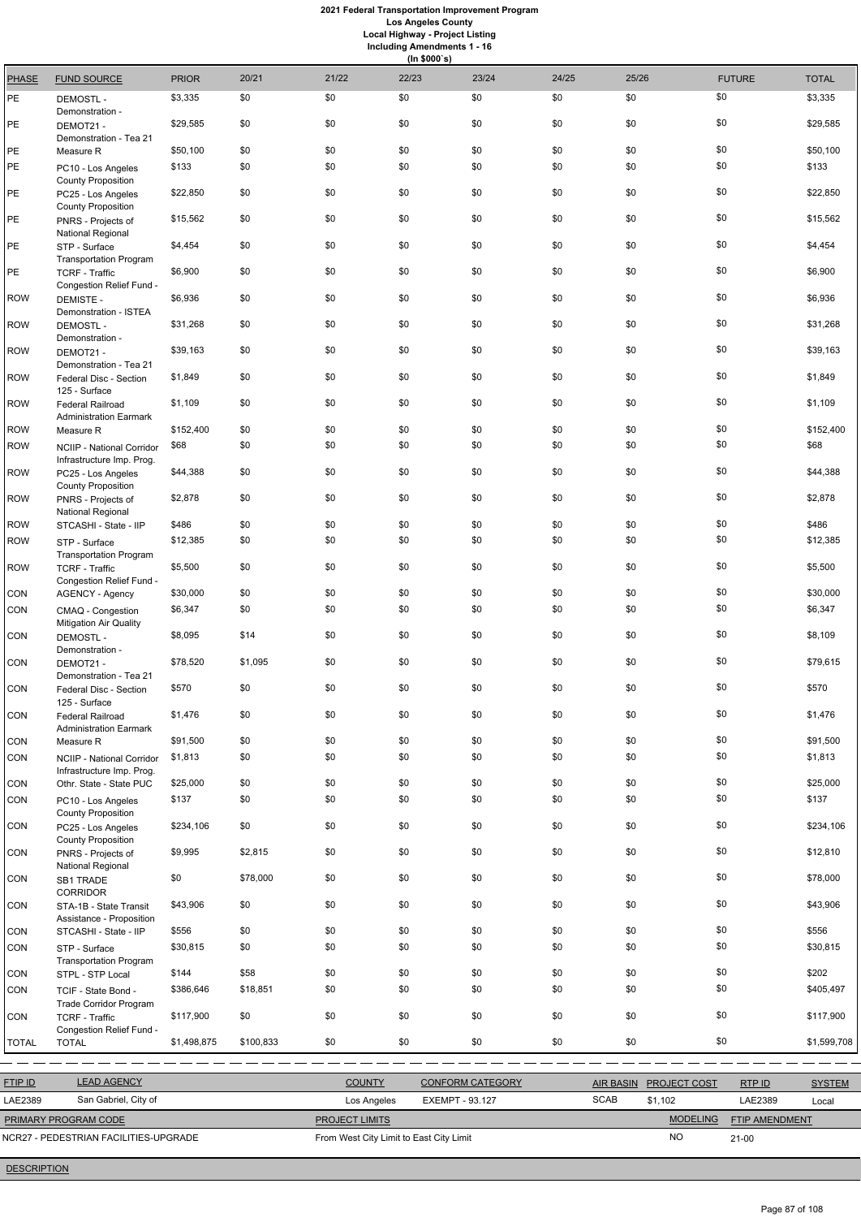# **2021 Federal Transportation Improvement Program Los Angeles County**

**Local Highway - Project Listing**

|              | <b>Including Amendments 1 - 16</b><br>(ln \$000's)                   |              |         |       |       |       |       |       |               |              |  |  |
|--------------|----------------------------------------------------------------------|--------------|---------|-------|-------|-------|-------|-------|---------------|--------------|--|--|
| <b>PHASE</b> | <b>FUND SOURCE</b>                                                   | <b>PRIOR</b> | 20/21   | 21/22 | 22/23 | 23/24 | 24/25 | 25/26 | <b>FUTURE</b> | <b>TOTAL</b> |  |  |
| PE           | <b>DEMOSTL-</b><br>Demonstration -                                   | \$3,335      | \$0     | \$0   | \$0   | \$0   | \$0   | \$0   | \$0           | \$3,335      |  |  |
| PE           | DEMOT21-<br>Demonstration - Tea 21                                   | \$29,585     | \$0     | \$0   | \$0   | \$0   | \$0   | \$0   | \$0           | \$29,585     |  |  |
| PE           | Measure R                                                            | \$50,100     | \$0     | \$0   | \$0   | \$0   | \$0   | \$0   | \$0           | \$50,100     |  |  |
| PE           | PC10 - Los Angeles<br><b>County Proposition</b>                      | \$133        | \$0     | \$0   | \$0   | \$0   | \$0   | \$0   | \$0           | \$133        |  |  |
| PE           | PC25 - Los Angeles<br><b>County Proposition</b>                      | \$22,850     | \$0     | \$0   | \$0   | \$0   | \$0   | \$0   | \$0           | \$22,850     |  |  |
| PE           | PNRS - Projects of                                                   | \$15,562     | \$0     | \$0   | \$0   | \$0   | \$0   | \$0   | \$0           | \$15,562     |  |  |
| PE           | National Regional<br>STP - Surface                                   | \$4,454      | \$0     | \$0   | \$0   | \$0   | \$0   | \$0   | \$0           | \$4,454      |  |  |
| PE           | <b>Transportation Program</b><br><b>TCRF - Traffic</b>               | \$6,900      | \$0     | \$0   | \$0   | \$0   | \$0   | \$0   | \$0           | \$6,900      |  |  |
| <b>ROW</b>   | Congestion Relief Fund -<br><b>DEMISTE -</b>                         | \$6,936      | \$0     | \$0   | \$0   | \$0   | \$0   | \$0   | \$0           | \$6,936      |  |  |
| <b>ROW</b>   | Demonstration - ISTEA<br><b>DEMOSTL-</b>                             | \$31,268     | \$0     | \$0   | \$0   | \$0   | \$0   | \$0   | \$0           | \$31,268     |  |  |
| <b>ROW</b>   | Demonstration -<br>DEMOT21-                                          | \$39,163     | \$0     | \$0   | \$0   | \$0   | \$0   | \$0   | \$0           | \$39,163     |  |  |
| ROW          | Demonstration - Tea 21<br>Federal Disc - Section                     | \$1,849      | \$0     | \$0   | \$0   | \$0   | \$0   | \$0   | \$0           | \$1,849      |  |  |
| <b>ROW</b>   | 125 - Surface<br><b>Federal Railroad</b>                             | \$1,109      | \$0     | \$0   | \$0   | \$0   | \$0   | \$0   | \$0           | \$1,109      |  |  |
| ROW          | <b>Administration Earmark</b><br>Measure R                           | \$152,400    | \$0     | \$0   | \$0   | \$0   | \$0   | \$0   | \$0           | \$152,400    |  |  |
| <b>ROW</b>   | <b>NCIIP - National Corridor</b>                                     | \$68         | \$0     | \$0   | \$0   | \$0   | \$0   | \$0   | \$0           | \$68         |  |  |
| <b>ROW</b>   | Infrastructure Imp. Prog.<br>PC25 - Los Angeles                      | \$44,388     | \$0     | \$0   | \$0   | \$0   | \$0   | \$0   | \$0           | \$44,388     |  |  |
| ROW          | <b>County Proposition</b><br>PNRS - Projects of<br>National Regional | \$2,878      | \$0     | \$0   | \$0   | \$0   | \$0   | \$0   | \$0           | \$2,878      |  |  |
| ROW          | STCASHI - State - IIP                                                | \$486        | \$0     | \$0   | \$0   | $$0$$ | \$0   | \$0   | \$0           | \$486        |  |  |
| ROW          | STP - Surface<br><b>Transportation Program</b>                       | \$12,385     | \$0     | \$0   | \$0   | \$0   | \$0   | \$0   | \$0           | \$12,385     |  |  |
| ROW          | <b>TCRF - Traffic</b><br>Congestion Relief Fund -                    | \$5,500      | \$0     | \$0   | \$0   | \$0   | \$0   | \$0   | \$0           | \$5,500      |  |  |
| <b>CON</b>   | <b>AGENCY - Agency</b>                                               | \$30,000     | \$0     | \$0   | \$0   | \$0   | \$0   | \$0   | \$0           | \$30,000     |  |  |
| CON          | CMAQ - Congestion<br><b>Mitigation Air Quality</b>                   | \$6,347      | \$0     | \$0   | \$0   | \$0   | \$0   | \$0   | \$0           | \$6,347      |  |  |
| CON          | <b>DEMOSTL-</b><br>Demonstration -                                   | \$8,095      | \$14    | \$0   | \$0   | \$0   | \$0   | \$0   | \$0           | \$8,109      |  |  |
| CON          | DEMOT21-<br>Demonstration - Tea 21                                   | \$78,520     | \$1,095 | \$0   | \$0   | \$0   | \$0   | \$0   | \$0           | \$79,615     |  |  |
| CON          | Federal Disc - Section<br>125 - Surface                              | \$570        | \$0     | \$0   | \$0   | \$0   | \$0   | \$0   | \$0           | \$570        |  |  |
| CON          | Federal Railroad<br><b>Administration Earmark</b>                    | \$1,476      | \$0     | \$0   | \$0   | \$0   | \$0   | \$0   | \$0           | \$1,476      |  |  |
| <b>CON</b>   | Measure R                                                            | \$91,500     | \$0     | \$0   | \$0   | \$0   | \$0   | \$0   | \$0           | \$91,500     |  |  |
| CON          | <b>NCIIP - National Corridor</b><br>Infrastructure Imp. Prog.        | \$1,813      | \$0     | \$0   | \$0   | \$0   | \$0   | \$0   | \$0           | \$1,813      |  |  |
| CON          | Othr. State - State PUC                                              | \$25,000     | \$0     | \$0   | \$0   | \$0   | \$0   | \$0   | \$0           | \$25,000     |  |  |
| CON          | PC10 - Los Angeles<br><b>County Proposition</b>                      | \$137        | \$0     | \$0   | \$0   | \$0   | \$0   | \$0   | \$0           | \$137        |  |  |
| CON          | PC25 - Los Angeles<br><b>County Proposition</b>                      | \$234,106    | \$0     | \$0   | \$0   | \$0   | \$0   | \$0   | \$0           | \$234,106    |  |  |
| CON          | PNRS - Projects of                                                   | \$9,995      | \$2,815 | \$0   | \$0   | \$0   | \$0   | \$0   | \$0           | \$12,810     |  |  |

National Regional

CORRIDOR

CON STA-1B - State Transit

CON SB1 TRADE

\$0 \$78,000 \$0 \$0 \$0 \$0 \$0 \$0 \$78,000

\$43,906 \$0 \$0 \$0 \$0 \$0 \$0 \$0 \$43,906

|                                       | Assistance - Proposition                             |             |           |                                                      |     |                         |     |                  |                     |                       |               |
|---------------------------------------|------------------------------------------------------|-------------|-----------|------------------------------------------------------|-----|-------------------------|-----|------------------|---------------------|-----------------------|---------------|
| <b>CON</b>                            | STCASHI - State - IIP                                | \$556       | \$0       | \$0                                                  | \$0 | \$0                     | \$0 | \$0              | \$0                 |                       | \$556         |
| <b>CON</b>                            | STP - Surface<br><b>Transportation Program</b>       | \$30,815    | \$0       | \$0                                                  | \$0 | \$0                     | \$0 | \$0              | \$0                 |                       | \$30,815      |
| CON                                   | STPL - STP Local                                     | \$144       | \$58      | \$0                                                  | \$0 | \$0                     | \$0 | \$0              | \$0                 |                       | \$202         |
| CON                                   | TCIF - State Bond -<br><b>Trade Corridor Program</b> | \$386,646   | \$18,851  | \$0                                                  | \$0 | \$0                     | \$0 | \$0              | \$0                 |                       | \$405,497     |
| CON                                   | <b>TCRF - Traffic</b><br>Congestion Relief Fund -    | \$117,900   | \$0       | \$0                                                  | \$0 | \$0                     | \$0 | \$0              | \$0                 |                       | \$117,900     |
| <b>TOTAL</b>                          | <b>TOTAL</b>                                         | \$1,498,875 | \$100,833 | \$0                                                  | \$0 | \$0                     | \$0 | \$0              | \$0                 |                       | \$1,599,708   |
|                                       |                                                      |             |           |                                                      |     |                         |     |                  |                     |                       |               |
| <b>FTIP ID</b>                        | <b>LEAD AGENCY</b>                                   |             |           | <b>COUNTY</b>                                        |     | <b>CONFORM CATEGORY</b> |     | <b>AIR BASIN</b> | <b>PROJECT COST</b> | RTP ID                | <b>SYSTEM</b> |
| LAE2389                               | San Gabriel, City of                                 |             |           | Los Angeles                                          |     | <b>EXEMPT - 93.127</b>  |     | <b>SCAB</b>      | \$1,102             | LAE2389               | Local         |
| PRIMARY PROGRAM CODE                  |                                                      |             |           | PROJECT LIMITS                                       |     |                         |     |                  | <b>MODELING</b>     | <b>FTIP AMENDMENT</b> |               |
| NCR27 - PEDESTRIAN FACILITIES-UPGRADE |                                                      |             |           | <b>NO</b><br>From West City Limit to East City Limit |     |                         |     |                  |                     | $21 - 00$             |               |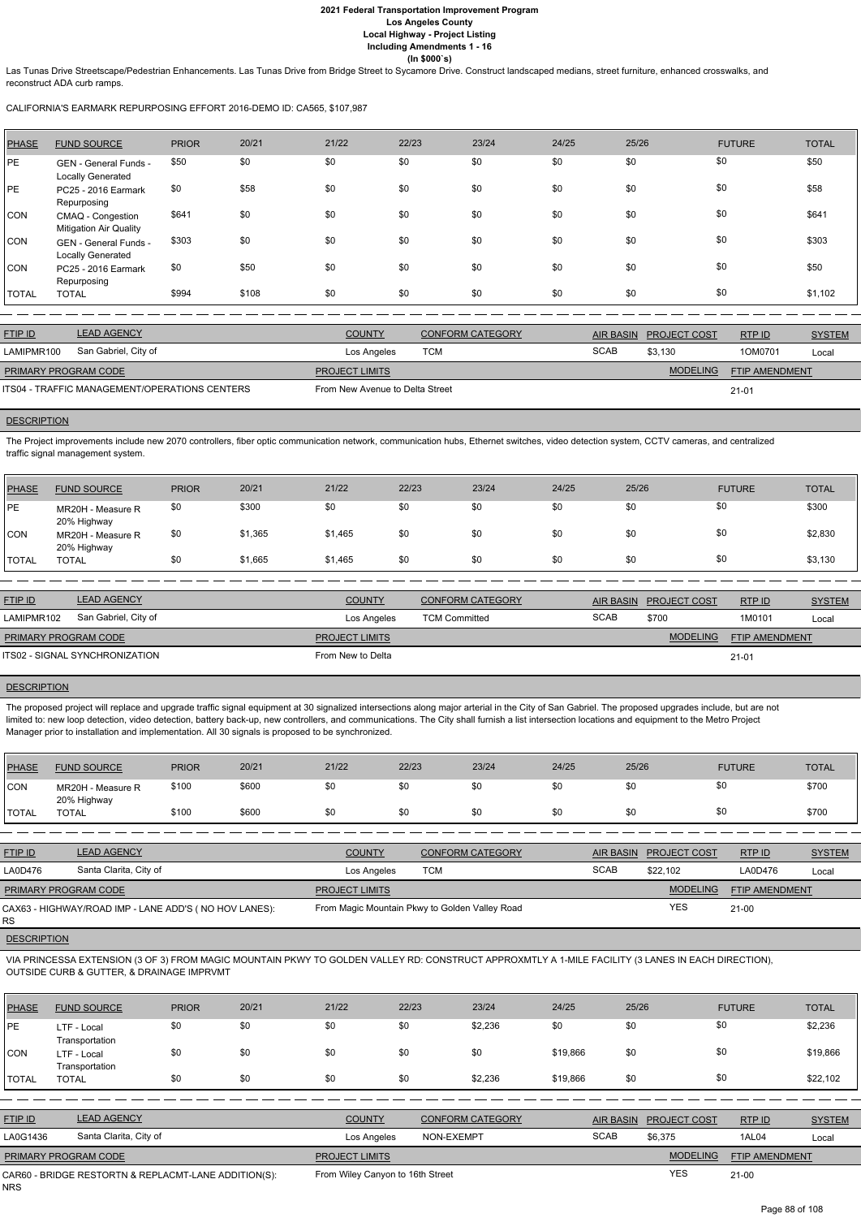Las Tunas Drive Streetscape/Pedestrian Enhancements. Las Tunas Drive from Bridge Street to Sycamore Drive. Construct landscaped medians, street furniture, enhanced crosswalks, and reconstruct ADA curb ramps.

CALIFORNIA'S EARMARK REPURPOSING EFFORT 2016-DEMO ID: CA565, \$107,987

| PHASE        | <b>FUND SOURCE</b>                                 | <b>PRIOR</b> | 20/21 | 21/22 | 22/23 | 23/24 | 24/25 | 25/26 | <b>FUTURE</b> | <b>TOTAL</b> |
|--------------|----------------------------------------------------|--------------|-------|-------|-------|-------|-------|-------|---------------|--------------|
| <b>IPE</b>   | GEN - General Funds -<br><b>Locally Generated</b>  | \$50         | \$0   | \$0   | \$0   | \$0   | \$0   | \$0   | \$0           | \$50         |
| <b>PE</b>    | PC25 - 2016 Earmark<br>Repurposing                 | \$0          | \$58  | \$0   | \$0   | \$0   | \$0   | \$0   | \$0           | \$58         |
| <b>CON</b>   | CMAQ - Congestion<br><b>Mitigation Air Quality</b> | \$641        | \$0   | \$0   | \$0   | \$0   | \$0   | \$0   | \$0           | \$641        |
| <b>CON</b>   | GEN - General Funds -<br>Locally Generated         | \$303        | \$0   | \$0   | \$0   | \$0   | \$0   | \$0   | \$0           | \$303        |
| CON          | PC25 - 2016 Earmark<br>Repurposing                 | \$0          | \$50  | \$0   | \$0   | \$0   | \$0   | \$0   | \$0           | \$50         |
| <b>TOTAL</b> | <b>TOTAL</b>                                       | \$994        | \$108 | \$0   | \$0   | \$0   | \$0   | \$0   | \$0           | \$1,102      |

| <b>FTIP ID</b>              | <b>LEAD AGENCY</b>                            | <b>COUNTY</b>                   | <b>CONFORM CATEGORY</b> |             | AIR BASIN PROJECT COST | RTPID          | <b>SYSTEM</b> |
|-----------------------------|-----------------------------------------------|---------------------------------|-------------------------|-------------|------------------------|----------------|---------------|
| LAMIPMR100                  | San Gabriel, City of                          | Los Angeles                     | TCM                     | <b>SCAB</b> | \$3.130                | 1OM0701        | Local         |
| <b>PRIMARY PROGRAM CODE</b> |                                               | <b>PROJECT LIMITS</b>           |                         |             | <b>MODELING</b>        | FTIP AMENDMENT |               |
|                             | ITS04 - TRAFFIC MANAGEMENT/OPERATIONS CENTERS | From New Avenue to Delta Street |                         |             |                        | $21 - 01$      |               |

# **DESCRIPTION**

The proposed project will replace and upgrade traffic signal equipment at 30 signalized intersections along major arterial in the City of San Gabriel. The proposed upgrades include, but are not limited to: new loop detection, video detection, battery back-up, new controllers, and communications. The City shall furnish a list intersection locations and equipment to the Metro Project Manager prior to installation and implementation. All 30 signals is proposed to be synchronized.

The Project improvements include new 2070 controllers, fiber optic communication network, communication hubs, Ethernet switches, video detection system, CCTV cameras, and centralized traffic signal management system.

| PHASE        | <b>FUND SOURCE</b>               | <b>PRIOR</b> | 20/21   | 21/22   | 22/23 | 23/24 | 24/25 | 25/26 | <b>FUTURE</b> | <b>TOTAL</b> |
|--------------|----------------------------------|--------------|---------|---------|-------|-------|-------|-------|---------------|--------------|
| <b>PE</b>    | MR20H - Measure R<br>20% Highway | \$0          | \$300   | \$0     | \$0   | \$0   | \$0   | \$0   | \$0           | \$300        |
| <b>CON</b>   | MR20H - Measure R<br>20% Highway | \$0          | \$1,365 | \$1,465 | \$0   | \$0   | \$0   | \$0   | \$0           | \$2,830      |
| <b>TOTAL</b> | TOTAL                            | \$0          | \$1,665 | \$1,465 | \$0   | \$0   | \$0   | \$0   | \$0           | \$3,130      |

| <b>FTIP ID</b>              | <b>LEAD AGENCY</b>                    | <b>COUNTY</b>         | <b>CONFORM CATEGORY</b> | AIR BASIN   | <b>PROJECT COST</b> | RTPID          | <b>SYSTEM</b> |
|-----------------------------|---------------------------------------|-----------------------|-------------------------|-------------|---------------------|----------------|---------------|
| LAMIPMR102                  | San Gabriel, City of                  | Los Angeles           | <b>TCM Committed</b>    | <b>SCAB</b> | \$700               | 1M0101         | Local         |
| <b>PRIMARY PROGRAM CODE</b> |                                       | <b>PROJECT LIMITS</b> |                         |             | <b>MODELING</b>     | FTIP AMENDMENT |               |
|                             | <b>ITS02 - SIGNAL SYNCHRONIZATION</b> | From New to Delta     |                         |             |                     | $21 - 01$      |               |

#### **DESCRIPTION**

| <b>PHASE</b> | <b>FUND SOURCE</b>               | <b>PRIOR</b> | 20/21 | 21/22 | 22/23 | 23/24 | 24/25 | 25/26    | <b>FUTURE</b> | <b>TOTAL</b> |
|--------------|----------------------------------|--------------|-------|-------|-------|-------|-------|----------|---------------|--------------|
| CON          | MR20H - Measure R<br>20% Highway | \$100        | \$600 | \$0   | \$0   | \$0   | \$0   |          |               | \$700        |
| <b>TOTAL</b> | <b>TOTAL</b>                     | \$100        | \$600 | \$0   | \$0   | \$0   | \$0   | ሖለ<br>งบ |               | \$700        |

| <b>FTIP ID</b>       | <b>LEAD AGENCY</b>                                    | <b>COUNTY</b>         | <b>CONFORM CATEGORY</b>                        |             | AIR BASIN PROJECT COST | RTPID                 | <b>SYSTEM</b> |
|----------------------|-------------------------------------------------------|-----------------------|------------------------------------------------|-------------|------------------------|-----------------------|---------------|
| LA0D476              | Santa Clarita, City of                                | Los Angeles           | тсм                                            | <b>SCAB</b> | \$22,102               | LA0D476               | Local         |
| PRIMARY PROGRAM CODE |                                                       | <b>PROJECT LIMITS</b> |                                                |             | <b>MODELING</b>        | <b>FTIP AMENDMENT</b> |               |
|                      | CAX63 - HIGHWAY/ROAD IMP - LANE ADD'S (NO HOV LANES): |                       | From Magic Mountain Pkwy to Golden Valley Road |             | YES                    | $21 - 00$             |               |

#### **DESCRIPTION**

#### VIA PRINCESSA EXTENSION (3 OF 3) FROM MAGIC MOUNTAIN PKWY TO GOLDEN VALLEY RD: CONSTRUCT APPROXMTLY A 1-MILE FACILITY (3 LANES IN EACH DIRECTION), OUTSIDE CURB & GUTTER, & DRAINAGE IMPRVMT

| <b>PHASE</b> | <b>FUND SOURCE</b>                                   | <b>PRIOR</b> | 20/21 | 21/22                            | 22/23      | 23/24                   | 24/25       | 25/26            |                     | <b>FUTURE</b>  | <b>TOTAL</b>  |
|--------------|------------------------------------------------------|--------------|-------|----------------------------------|------------|-------------------------|-------------|------------------|---------------------|----------------|---------------|
| PE           | LTF - Local<br>Transportation                        | \$0          | \$0   | \$0                              | \$0        | \$2,236                 | \$0         | \$0              |                     | \$0            | \$2,236       |
| <b>CON</b>   | LTF - Local<br>Transportation                        | \$0          | \$0   | \$0                              | \$0        | \$0                     | \$19,866    | \$0              |                     | \$0            | \$19,866      |
| <b>TOTAL</b> | <b>TOTAL</b>                                         | \$0          | \$0   | \$0                              | \$0        | \$2,236                 | \$19,866    | \$0              |                     | \$0            | \$22,102      |
|              |                                                      |              |       |                                  |            |                         |             |                  |                     |                |               |
| FTIP ID      | <b>LEAD AGENCY</b>                                   |              |       | <b>COUNTY</b>                    |            | <b>CONFORM CATEGORY</b> |             | <b>AIR BASIN</b> | <b>PROJECT COST</b> | RTP ID         | <b>SYSTEM</b> |
| LA0G1436     | Santa Clarita, City of                               |              |       | Los Angeles                      | NON-EXEMPT |                         | <b>SCAB</b> |                  | \$6,375             | 1AL04          | Local         |
|              | PRIMARY PROGRAM CODE                                 |              |       | <b>PROJECT LIMITS</b>            |            |                         |             |                  | <b>MODELING</b>     | FTIP AMENDMENT |               |
| NRS.         | CAR60 - BRIDGE RESTORTN & REPLACMT-LANE ADDITION(S): |              |       | From Wiley Canyon to 16th Street |            |                         |             |                  | <b>YES</b>          | $21-00$        |               |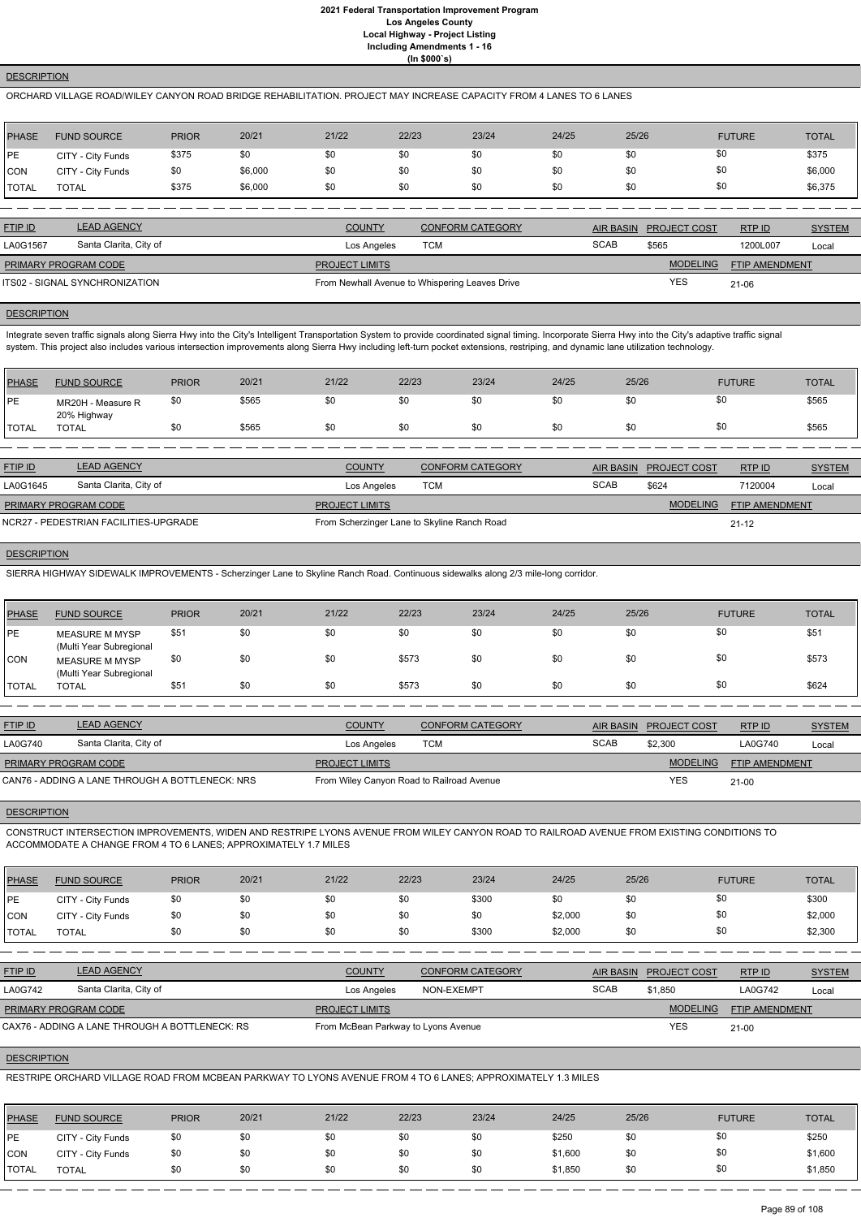#### **DESCRIPTION**

#### ORCHARD VILLAGE ROAD/WILEY CANYON ROAD BRIDGE REHABILITATION. PROJECT MAY INCREASE CAPACITY FROM 4 LANES TO 6 LANES

| PHASE          | <b>FUND SOURCE</b> | <b>PRIOR</b> | 20/21   | 21/22 | 22/23 | 23/24 | 24/25 | 25/26 | <b>FUTURE</b> | <b>TOTAL</b> |
|----------------|--------------------|--------------|---------|-------|-------|-------|-------|-------|---------------|--------------|
| PE             | CITY - City Funds  | \$375        | \$0     | \$0   | \$0   | \$0   | \$0   | \$0   | \$0           | \$375        |
| <b>CON</b>     | CITY - City Funds  | \$0          | \$6,000 | \$0   | \$0   | \$0   | \$0   | \$0   | \$0           | \$6,000      |
| <b>!</b> TOTAL | <b>TOTAL</b>       | \$375        | \$6,000 | \$0   | \$0   | \$0   | \$0   | \$0   | \$0           | \$6,375      |

| <b>FTIP ID</b>              | <b>LEAD AGENCY</b>             | <b>COUNTY</b>         | <b>CONFORM CATEGORY</b>                        |             | AIR BASIN PROJECT COST | RTP ID                | <b>SYSTEM</b> |
|-----------------------------|--------------------------------|-----------------------|------------------------------------------------|-------------|------------------------|-----------------------|---------------|
| LA0G1567                    | Santa Clarita, City of         | Los Angeles           | тсм                                            | <b>SCAB</b> | \$565                  | 1200L007              | Local         |
| <b>PRIMARY PROGRAM CODE</b> |                                | <b>PROJECT LIMITS</b> |                                                |             | <b>MODELING</b>        | <b>FTIP AMENDMENT</b> |               |
|                             | ITS02 - SIGNAL SYNCHRONIZATION |                       | From Newhall Avenue to Whispering Leaves Drive |             | <b>YES</b>             | $21 - 06$             |               |

# **DESCRIPTION**

Integrate seven traffic signals along Sierra Hwy into the City's Intelligent Transportation System to provide coordinated signal timing. Incorporate Sierra Hwy into the City's adaptive traffic signal system. This project also includes various intersection improvements along Sierra Hwy including left-turn pocket extensions, restriping, and dynamic lane utilization technology.

| PHASE         | <b>FUND SOURCE</b>               | <b>PRIOR</b> | 20/21 | 21/22 | 22/23 | 23/24 | 24/25 | 25/26 | <b>FUTURE</b> | TOTAL |
|---------------|----------------------------------|--------------|-------|-------|-------|-------|-------|-------|---------------|-------|
| <b>IPE</b>    | MR20H - Measure R<br>20% Highway | \$0          | \$565 | \$0   | \$0   |       | งบ    |       | \$C           | \$565 |
| <b>'TOTAL</b> | <b>TOTAL</b>                     | \$0          | \$565 | \$0   | \$0   | \$0   | \$0   |       | - SC          | \$565 |

| <b>FTIP ID</b>                        | <b>LEAD AGENCY</b>     | <b>COUNTY</b>                               | CONFORM CATEGORY |             | AIR BASIN PROJECT COST | RTP ID                | <b>SYSTEM</b> |
|---------------------------------------|------------------------|---------------------------------------------|------------------|-------------|------------------------|-----------------------|---------------|
| LA0G1645                              | Santa Clarita, City of | Los Angeles                                 | <b>TCM</b>       | <b>SCAB</b> | \$624                  | 7120004               | Local         |
| <b>PRIMARY PROGRAM CODE</b>           |                        | <b>PROJECT LIMITS</b>                       |                  |             | <b>MODELING</b>        | <b>FTIP AMENDMENT</b> |               |
| NCR27 - PEDESTRIAN FACILITIES-UPGRADE |                        | From Scherzinger Lane to Skyline Ranch Road |                  |             |                        | $21 - 12$             |               |

## **DESCRIPTION**

SIERRA HIGHWAY SIDEWALK IMPROVEMENTS - Scherzinger Lane to Skyline Ranch Road. Continuous sidewalks along 2/3 mile-long corridor.

| <b>PHASE</b>  | <b>FUND SOURCE</b>                        | <b>PRIOR</b> | 20/21 | 21/22 | 22/23 | 23/24 | 24/25 | 25/26 | <b>FUTURE</b> | <b>TOTAL</b> |
|---------------|-------------------------------------------|--------------|-------|-------|-------|-------|-------|-------|---------------|--------------|
| <b>IPE</b>    | MEASURE M MYSP<br>(Multi Year Subregional | \$51         | \$0   | \$0   | \$0   | \$0   | \$0   | \$0   | \$0           | \$5'         |
| <b>CON</b>    | MEASURE M MYSP<br>(Multi Year Subregional | \$0          | \$0   | \$0   | \$573 | \$0   | \$0   | \$0   | \$0           | \$573        |
| <b>ITOTAL</b> | <b>TOTAL</b>                              | \$51         | \$0   | \$0   | \$573 | \$0   | \$0   | \$0   | \$0           | \$624        |

| <b>FTIP ID</b>       | <b>LEAD AGENCY</b>                              | <b>COUNTY</b>                             | <b>CONFORM CATEGORY</b> | <b>AIR BASIN</b> | <b>PROJECT COST</b> | RTP ID                | <b>SYSTEM</b> |
|----------------------|-------------------------------------------------|-------------------------------------------|-------------------------|------------------|---------------------|-----------------------|---------------|
| LA0G740              | Santa Clarita, City of                          | Los Angeles                               | тсм                     | <b>SCAB</b>      | \$2,300             | LA0G740               | Local         |
| PRIMARY PROGRAM CODE |                                                 | <b>PROJECT LIMITS</b>                     |                         |                  | <b>MODELING</b>     | <b>FTIP AMENDMENT</b> |               |
|                      | CAN76 - ADDING A LANE THROUGH A BOTTLENECK: NRS | From Wiley Canyon Road to Railroad Avenue |                         |                  | <b>YES</b>          | $21 - 00$             |               |

#### **DESCRIPTION**

CONSTRUCT INTERSECTION IMPROVEMENTS, WIDEN AND RESTRIPE LYONS AVENUE FROM WILEY CANYON ROAD TO RAILROAD AVENUE FROM EXISTING CONDITIONS TO ACCOMMODATE A CHANGE FROM 4 TO 6 LANES; APPROXIMATELY 1.7 MILES

| <b>PHASE</b> | <b>FUND SOURCE</b> | <b>PRIOR</b> | 20/21 | 21/22 | 22/23 | 23/24 | 24/25   | 25/26 | <b>FUTURE</b> | <b>TOTAL</b> |
|--------------|--------------------|--------------|-------|-------|-------|-------|---------|-------|---------------|--------------|
| <b>IPE</b>   | CITY - City Funds  | \$0          |       |       |       | \$300 |         |       |               | \$300        |
| <b>CON</b>   | CITY - City Funds  | \$0          |       |       |       |       | \$2,000 | \$0   |               | \$2,000      |

| <b>TOTAL</b>         | TOTAL                                          | \$0 | \$0 | \$0                   | \$0 | \$300                               | \$2,000 | \$0         | \$0                    |                | \$2,300       |
|----------------------|------------------------------------------------|-----|-----|-----------------------|-----|-------------------------------------|---------|-------------|------------------------|----------------|---------------|
|                      |                                                |     |     |                       |     |                                     |         |             |                        |                |               |
| <b>FTIP ID</b>       | <b>LEAD AGENCY</b>                             |     |     | <b>COUNTY</b>         |     | <b>CONFORM CATEGORY</b>             |         |             | AIR BASIN PROJECT COST | RTPID          | <b>SYSTEM</b> |
| LA0G742              | Santa Clarita, City of                         |     |     | Los Angeles           |     | NON-EXEMPT                          |         | <b>SCAB</b> | \$1,850                | LA0G742        | Local         |
| PRIMARY PROGRAM CODE |                                                |     |     | <b>PROJECT LIMITS</b> |     |                                     |         |             | <b>MODELING</b>        | FTIP AMENDMENT |               |
|                      | CAX76 - ADDING A LANE THROUGH A BOTTLENECK: RS |     |     |                       |     | From McBean Parkway to Lyons Avenue |         |             | <b>YES</b>             | $21 - 00$      |               |

# **DESCRIPTION**

RESTRIPE ORCHARD VILLAGE ROAD FROM MCBEAN PARKWAY TO LYONS AVENUE FROM 4 TO 6 LANES; APPROXIMATELY 1.3 MILES

| <b>PHASE</b> | <b>FUND SOURCE</b> | <b>PRIOR</b> | 20/21 | 21/22 | 22/23 | 23/24 | 24/25   | 25/26 | <b>FUTURE</b> | <b>TOTAL</b> |
|--------------|--------------------|--------------|-------|-------|-------|-------|---------|-------|---------------|--------------|
| PE           | CITY - City Funds  | \$0          | \$0   | \$0   | \$0   | \$0   | \$250   | \$0   | \$0           | \$250        |
| <b>CON</b>   | CITY - City Funds  | \$0          | \$0   | \$0   | \$0   | \$0   | \$1,600 | \$0   | \$0           | \$1,600      |
| <b>TOTAL</b> | <b>TOTAL</b>       |              | \$0   | \$0   | \$0   | \$0   | \$1,850 | \$0   | \$0           | \$1,850      |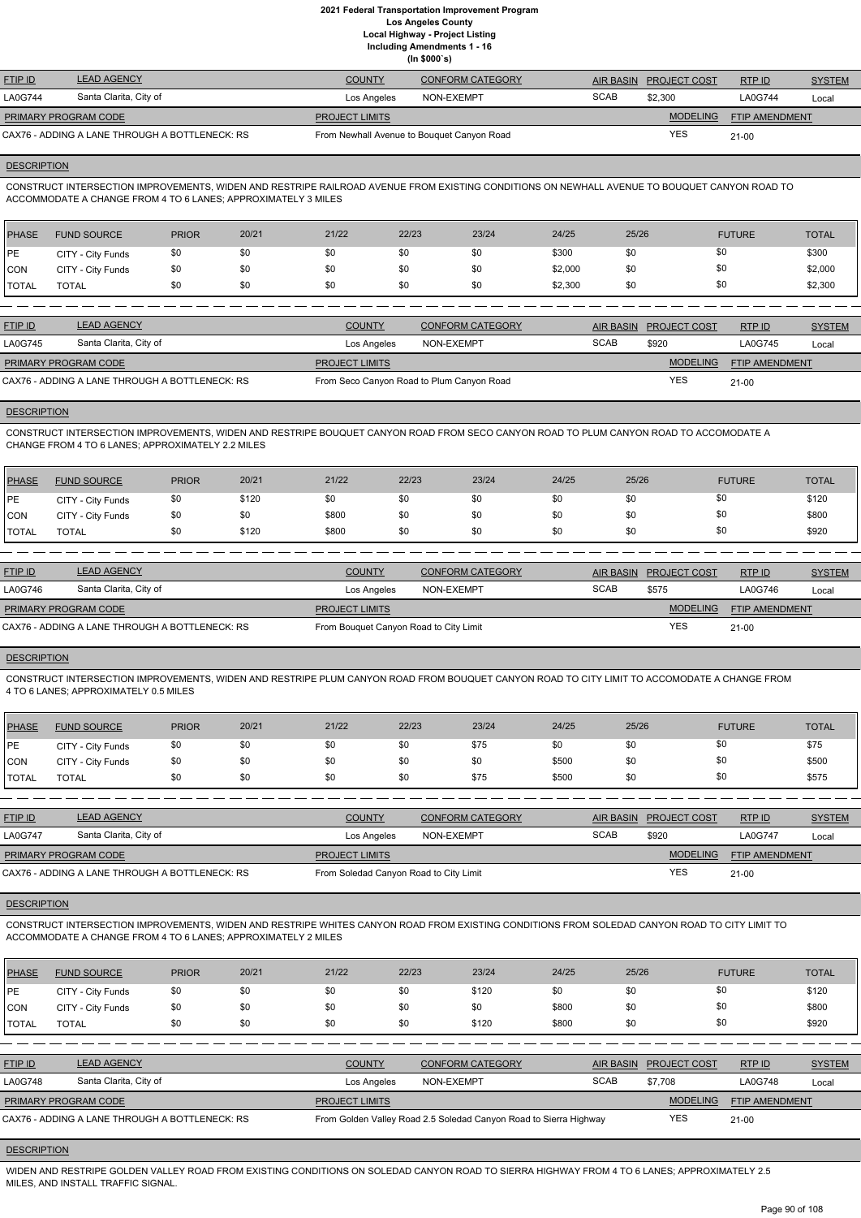**Including Amendments 1 - 16**

|  | (ln \$000's) |
|--|--------------|
|--|--------------|

| <b>FTIP ID</b>              | <b>LEAD AGENCY</b>                             | <b>COUNTY</b>                              | CONFORM CATEGORY |             | AIR BASIN PROJECT COST | RTP ID                | <b>SYSTEM</b> |
|-----------------------------|------------------------------------------------|--------------------------------------------|------------------|-------------|------------------------|-----------------------|---------------|
| <b>LA0G744</b>              | Santa Clarita, City of                         | Los Angeles                                | NON-EXEMPT       | <b>SCAB</b> | \$2,300                | LA0G744               | Local         |
| <b>PRIMARY PROGRAM CODE</b> |                                                | <b>PROJECT LIMITS</b>                      |                  |             | <b>MODELING</b>        | <b>FTIP AMENDMENT</b> |               |
|                             | CAX76 - ADDING A LANE THROUGH A BOTTLENECK: RS | From Newhall Avenue to Bouquet Canyon Road |                  |             | YES                    | $21 - 00$             |               |

#### **DESCRIPTION**

CONSTRUCT INTERSECTION IMPROVEMENTS, WIDEN AND RESTRIPE RAILROAD AVENUE FROM EXISTING CONDITIONS ON NEWHALL AVENUE TO BOUQUET CANYON ROAD TO ACCOMMODATE A CHANGE FROM 4 TO 6 LANES; APPROXIMATELY 3 MILES

| PHASE        | <b>FUND SOURCE</b> | <b>PRIOR</b> | 20/21 | 21/22 | 22/23 | 23/24 | 24/25   | 25/26 | <b>FUTURE</b> | <b>TOTAL</b> |
|--------------|--------------------|--------------|-------|-------|-------|-------|---------|-------|---------------|--------------|
| <b>IPE</b>   | CITY - City Funds  | \$0          |       | \$0   | \$0   | \$0   | \$300   | \$0   | \$0           | \$300        |
| <b>CON</b>   | CITY - City Funds  | \$0          | \$0   | \$0   | \$0   | \$0   | \$2,000 | \$0   | \$0           | \$2,000      |
| <b>TOTAL</b> | TOTAL              |              | \$0   | \$0   | \$0   | \$0   | \$2,300 | \$0   | \$0           | \$2,300      |

| <b>FTIP ID</b>              | <b>LEAD AGENCY</b>                             | <b>COUNTY</b>                             | CONFORM CATEGORY |             | AIR BASIN PROJECT COST | RTPID                 | <b>SYSTEM</b> |
|-----------------------------|------------------------------------------------|-------------------------------------------|------------------|-------------|------------------------|-----------------------|---------------|
| <b>LA0G745</b>              | Santa Clarita, City of                         | Los Angeles                               | NON-EXEMPT       | <b>SCAB</b> | \$920                  | LA0G745               | Local         |
| <b>PRIMARY PROGRAM CODE</b> |                                                | <b>PROJECT LIMITS</b>                     |                  |             | <b>MODELING</b>        | <b>FTIP AMENDMENT</b> |               |
|                             | CAX76 - ADDING A LANE THROUGH A BOTTLENECK: RS | From Seco Canyon Road to Plum Canyon Road |                  |             | <b>YES</b>             | $21 - 00$             |               |

## **DESCRIPTION**

CONSTRUCT INTERSECTION IMPROVEMENTS, WIDEN AND RESTRIPE BOUQUET CANYON ROAD FROM SECO CANYON ROAD TO PLUM CANYON ROAD TO ACCOMODATE A CHANGE FROM 4 TO 6 LANES; APPROXIMATELY 2.2 MILES

| <b>PHASE</b> | <b>FUND SOURCE</b> | <b>PRIOR</b> | 20/21 | 21/22 | 22/23 | 23/24 | 24/25 | 25/26 | <b>FUTURE</b> | <b>TOTAL</b> |
|--------------|--------------------|--------------|-------|-------|-------|-------|-------|-------|---------------|--------------|
| <b>IPE</b>   | CITY - City Funds  | \$0          | \$120 | \$0   | \$0   | \$0   | \$0   |       | \$0           | \$120        |
| <b>CON</b>   | CITY - City Funds  | \$0          | \$0   | \$800 |       | \$0   | \$0   |       | \$0           | \$800        |
| <b>TOTAL</b> | <b>TOTAL</b>       | \$0          | \$120 | \$800 | \$0   | \$0   | \$0   |       | \$0           | \$920        |

| <b>FTIP ID</b>              | <b>LEAD AGENCY</b>                             | <b>COUNTY</b>                          | <b>CONFORM CATEGORY</b> |             | AIR BASIN PROJECT COST | RTP ID                | <b>SYSTEM</b> |
|-----------------------------|------------------------------------------------|----------------------------------------|-------------------------|-------------|------------------------|-----------------------|---------------|
| <b>LA0G746</b>              | Santa Clarita, City of                         | Los Angeles                            | NON-EXEMPT              | <b>SCAB</b> | \$575                  | LA0G746               | Local         |
| <b>PRIMARY PROGRAM CODE</b> |                                                | <b>PROJECT LIMITS</b>                  |                         |             | <b>MODELING</b>        | <b>FTIP AMENDMENT</b> |               |
|                             | CAX76 - ADDING A LANE THROUGH A BOTTLENECK: RS | From Bouquet Canyon Road to City Limit |                         |             | YES                    | $21 - 00$             |               |

## **DESCRIPTION**

CONSTRUCT INTERSECTION IMPROVEMENTS, WIDEN AND RESTRIPE PLUM CANYON ROAD FROM BOUQUET CANYON ROAD TO CITY LIMIT TO ACCOMODATE A CHANGE FROM 4 TO 6 LANES; APPROXIMATELY 0.5 MILES

| PHASE         | <b>FUND SOURCE</b> | <b>PRIOR</b> | 20/21 | 21/22 | 22/23 | 23/24 | 24/25 | 25/26 | <b>FUTURE</b> | <b>TOTAL</b> |
|---------------|--------------------|--------------|-------|-------|-------|-------|-------|-------|---------------|--------------|
| PE            | CITY - City Funds  | \$0          |       | \$0   | \$0   | \$75  | \$0   | \$0   | \$0           | \$75         |
| CON           | CITY - City Funds  | \$0          |       | \$0   | \$0   | \$0   | \$500 | \$0   | \$0           | \$500        |
| <b>ITOTAL</b> | <b>TOTAL</b>       | \$0          |       | \$0   | \$0   | \$75  | \$500 | \$0   | \$0           | \$575        |

| <b>FTIP ID</b>                                 | <b>LEAD AGENCY</b>     | <b>COUNTY</b>                          | <b>CONFORM CATEGORY</b> |             | AIR BASIN PROJECT COST | RTPID                 | <b>SYSTEM</b> |
|------------------------------------------------|------------------------|----------------------------------------|-------------------------|-------------|------------------------|-----------------------|---------------|
| <b>LA0G747</b>                                 | Santa Clarita, City of | Los Angeles                            | NON-EXEMPT              | <b>SCAB</b> | \$920                  | LA0G747               | Local         |
| <b>PRIMARY PROGRAM CODE</b>                    |                        | <b>PROJECT LIMITS</b>                  |                         |             | <b>MODELING</b>        | <b>FTIP AMENDMENT</b> |               |
| CAX76 - ADDING A LANE THROUGH A BOTTLENECK: RS |                        | From Soledad Canyon Road to City Limit |                         | <b>YES</b>  | 21-00                  |                       |               |

**DESCRIPTION** 

CONSTRUCT INTERSECTION IMPROVEMENTS, WIDEN AND RESTRIPE WHITES CANYON ROAD FROM EXISTING CONDITIONS FROM SOLEDAD CANYON ROAD TO CITY LIMIT TO ACCOMMODATE A CHANGE FROM 4 TO 6 LANES; APPROXIMATELY 2 MILES

| <b>PHASE</b>   | <b>FUND SOURCE</b>                             | <b>PRIOR</b> | 20/21 | 21/22                 | 22/23      | 23/24                                                             | 24/25       | 25/26            |                     | <b>FUTURE</b>         | <b>TOTAL</b>  |
|----------------|------------------------------------------------|--------------|-------|-----------------------|------------|-------------------------------------------------------------------|-------------|------------------|---------------------|-----------------------|---------------|
| PE             | CITY - City Funds                              | \$0          | \$0   | \$0                   | \$0        | \$120                                                             | \$0         | \$0              | \$0                 |                       | \$120         |
| CON            | CITY - City Funds                              | \$0          | \$0   | \$0                   | \$0        | \$0                                                               | \$800       | \$0              | \$0                 |                       | \$800         |
| <b>TOTAL</b>   | <b>TOTAL</b>                                   | \$0          | \$0   | \$0                   | \$0        | \$120                                                             | \$800       | \$0              | \$0                 |                       | \$920         |
|                |                                                |              |       |                       |            |                                                                   |             |                  |                     |                       |               |
| <b>FTIP ID</b> | <b>LEAD AGENCY</b>                             |              |       | <b>COUNTY</b>         |            | <b>CONFORM CATEGORY</b>                                           |             | <b>AIR BASIN</b> | <b>PROJECT COST</b> | RTP ID                | <b>SYSTEM</b> |
| <b>LA0G748</b> | Santa Clarita, City of                         |              |       | Los Angeles           | NON-EXEMPT |                                                                   | <b>SCAB</b> |                  | \$7.708             | <b>LA0G748</b>        | Local         |
|                | PRIMARY PROGRAM CODE                           |              |       | <b>PROJECT LIMITS</b> |            |                                                                   |             |                  | <b>MODELING</b>     | <b>FTIP AMENDMENT</b> |               |
|                | CAX76 - ADDING A LANE THROUGH A BOTTLENECK: RS |              |       |                       |            | From Golden Valley Road 2.5 Soledad Canyon Road to Sierra Highway |             |                  | YES                 | $21 - 00$             |               |

#### **DESCRIPTION**

WIDEN AND RESTRIPE GOLDEN VALLEY ROAD FROM EXISTING CONDITIONS ON SOLEDAD CANYON ROAD TO SIERRA HIGHWAY FROM 4 TO 6 LANES; APPROXIMATELY 2.5 MILES, AND INSTALL TRAFFIC SIGNAL.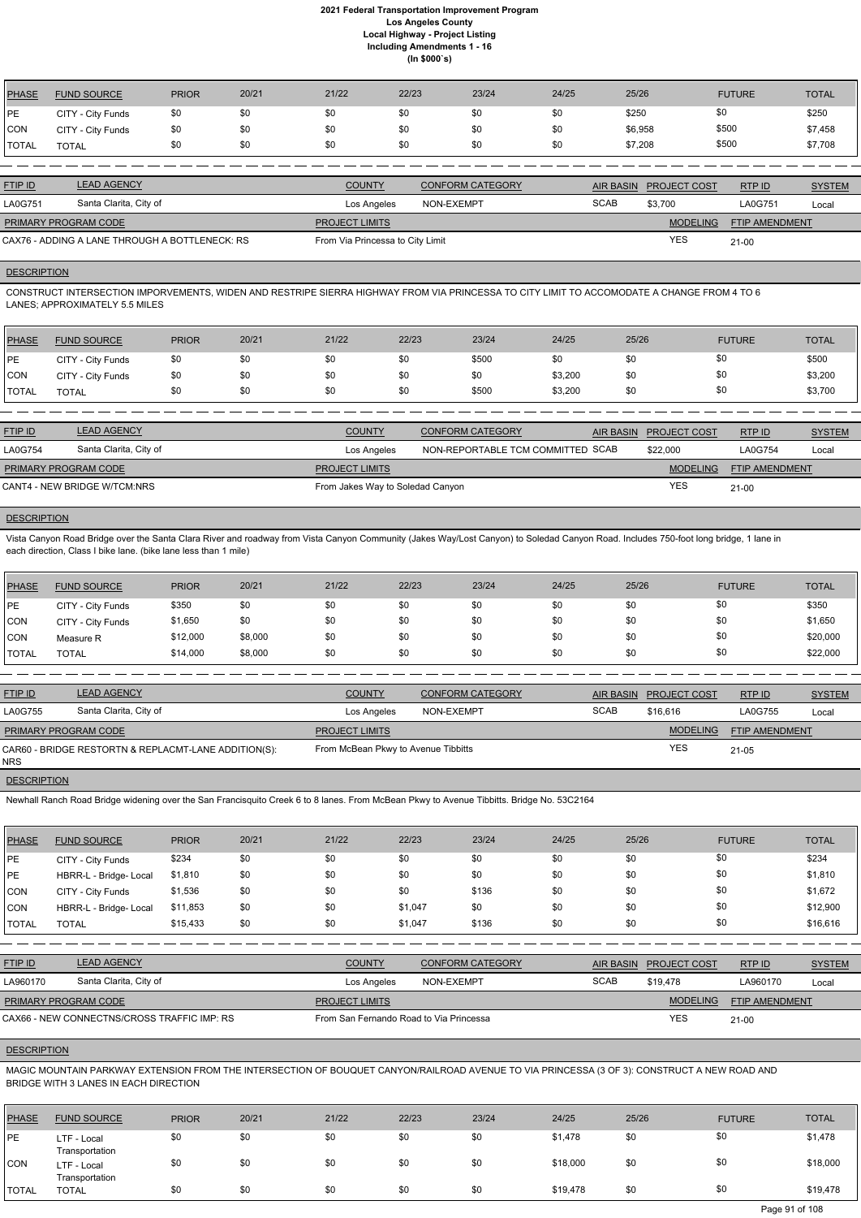| <b>PHASE</b> | <b>FUND SOURCE</b> | <b>PRIOR</b> | 20/21 | 21/22 | 22/23 | 23/24 | 24/25 | 25/26   | <b>FUTURE</b> | <b>TOTAL</b> |
|--------------|--------------------|--------------|-------|-------|-------|-------|-------|---------|---------------|--------------|
| PE           | CITY - City Funds  | \$0          | \$0   | \$0   | \$0   | \$0   | \$0   | \$250   | \$0           | \$250        |
| <b>CON</b>   | CITY - City Funds  | \$0          | \$0   | \$0   | \$0   | \$0   | \$0   | \$6,958 | \$500         | \$7,458      |
| <b>TOTAL</b> | <b>TOTAL</b>       | \$0          | \$0   | \$0   | \$0   | \$0   | \$0   | \$7,208 | \$500         | \$7,708      |
|              |                    |              |       |       |       |       |       |         |               |              |

| <b>FTIP ID</b>       | <b>LEAD AGENCY</b>                             | <b>COUNTY</b>                    | CONFORM CATEGORY | AIR BASIN   | <b>PROJECT COST</b> | RTP ID                | <b>SYSTEM</b> |
|----------------------|------------------------------------------------|----------------------------------|------------------|-------------|---------------------|-----------------------|---------------|
| <b>LA0G751</b>       | Santa Clarita, City of                         | Los Angeles                      | NON-EXEMPT       | <b>SCAB</b> | \$3.700             | LA0G751               | Local         |
| PRIMARY PROGRAM CODE |                                                | <b>PROJECT LIMITS</b>            |                  |             | <b>MODELING</b>     | <b>FTIP AMENDMENT</b> |               |
|                      | CAX76 - ADDING A LANE THROUGH A BOTTLENECK: RS | From Via Princessa to City Limit |                  |             | YES                 | 21-00                 |               |

# **DESCRIPTION**

CONSTRUCT INTERSECTION IMPORVEMENTS, WIDEN AND RESTRIPE SIERRA HIGHWAY FROM VIA PRINCESSA TO CITY LIMIT TO ACCOMODATE A CHANGE FROM 4 TO 6 LANES; APPROXIMATELY 5.5 MILES

| <b>PHASE</b> | <b>FUND SOURCE</b> | <b>PRIOR</b> | 20/21 | 21/22 | 22/23 | 23/24 | 24/25   | 25/26 | <b>FUTURE</b> | <b>TOTAL</b> |
|--------------|--------------------|--------------|-------|-------|-------|-------|---------|-------|---------------|--------------|
| <b>IPE</b>   | CITY - City Funds  | \$0          | \$0   | \$0   |       | \$500 | \$0     | \$0   | \$0           | \$500        |
| <b>CON</b>   | CITY - City Funds  | \$0          | \$0   | \$0   |       | \$0   | \$3,200 | \$0   | \$0           | \$3,200      |
| <b>TOTAL</b> | <b>TOTAL</b>       | \$0          | \$0   | \$0   |       | \$500 | \$3,200 | \$0   | \$0           | \$3,700      |

| <b>FTIP ID</b>              | <b>LEAD AGENCY</b>           | <b>COUNTY</b>                    | <b>CONFORM CATEGORY</b>           | AIR BASIN PROJECT COST | RTP ID         | <b>SYSTEM</b> |
|-----------------------------|------------------------------|----------------------------------|-----------------------------------|------------------------|----------------|---------------|
| <b>LA0G754</b>              | Santa Clarita, City of       | Los Angeles                      | NON-REPORTABLE TCM COMMITTED SCAB | \$22,000               | <b>LA0G754</b> | Local         |
| <b>PRIMARY PROGRAM CODE</b> |                              | <b>PROJECT LIMITS</b>            |                                   | <b>MODELING</b>        | FTIP AMENDMENT |               |
|                             | CANT4 - NEW BRIDGE W/TCM:NRS | From Jakes Way to Soledad Canyon |                                   | <b>YES</b>             | $21 - 00$      |               |

# **DESCRIPTION**

Vista Canyon Road Bridge over the Santa Clara River and roadway from Vista Canyon Community (Jakes Way/Lost Canyon) to Soledad Canyon Road. Includes 750-foot long bridge, 1 lane in each direction, Class I bike lane. (bike lane less than 1 mile)

| <b>PHASE</b> | <b>FUND SOURCE</b> | <b>PRIOR</b> | 20/21   | 21/22 | 22/23 | 23/24 | 24/25 | 25/26 | <b>FUTURE</b> | <b>TOTAL</b> |
|--------------|--------------------|--------------|---------|-------|-------|-------|-------|-------|---------------|--------------|
| PE           | CITY - City Funds  | \$350        | \$0     | \$0   | \$0   | \$0   | \$0   | \$0   | \$0           | \$350        |
| CON          | CITY - City Funds  | \$1,650      | \$0     | \$0   | \$0   | \$0   | \$0   | \$0   | \$0           | \$1,650      |
| CON          | Measure R          | \$12,000     | \$8,000 | \$0   | \$0   | \$0   | \$0   | \$0   | \$0           | \$20,000     |
| <b>TOTAL</b> | <b>TOTAL</b>       | \$14,000     | \$8,000 | \$0   | \$0   | \$0   | \$0   | \$0   | \$0           | \$22,000     |

| <b>FTIP ID</b>              | <b>LEAD AGENCY</b>                                   | <b>COUNTY</b>                       | <b>CONFORM CATEGORY</b> |             | <b>AIR BASIN PROJECT COST</b> | RTP ID                | <b>SYSTEM</b> |
|-----------------------------|------------------------------------------------------|-------------------------------------|-------------------------|-------------|-------------------------------|-----------------------|---------------|
| <b>LA0G755</b>              | Santa Clarita, City of                               | Los Angeles                         | NON-EXEMPT              | <b>SCAB</b> | \$16,616                      | LA0G755               | Local         |
| <b>PRIMARY PROGRAM CODE</b> |                                                      | <b>PROJECT LIMITS</b>               |                         |             | <b>MODELING</b>               | <b>FTIP AMENDMENT</b> |               |
| <b>NRS</b>                  | CAR60 - BRIDGE RESTORTN & REPLACMT-LANE ADDITION(S): | From McBean Pkwy to Avenue Tibbitts |                         | <b>YES</b>  | $21 - 05$                     |                       |               |

## **DESCRIPTION**

Newhall Ranch Road Bridge widening over the San Francisquito Creek 6 to 8 lanes. From McBean Pkwy to Avenue Tibbitts. Bridge No. 53C2164

| <b>PHASE</b>       | <b>FUND SOURCE</b>                                                                                                                                                                    | <b>PRIOR</b> | 20/21 | 21/22                                   | 22/23      | 23/24                   | 24/25       | 25/26            |                     | <b>FUTURE</b>         | <b>TOTAL</b>  |
|--------------------|---------------------------------------------------------------------------------------------------------------------------------------------------------------------------------------|--------------|-------|-----------------------------------------|------------|-------------------------|-------------|------------------|---------------------|-----------------------|---------------|
| PE                 | CITY - City Funds                                                                                                                                                                     | \$234        | \$0   | \$0                                     | \$0        | \$0                     | \$0         | \$0              | \$0                 |                       | \$234         |
| PE                 | HBRR-L - Bridge- Local                                                                                                                                                                | \$1,810      | \$0   | \$0                                     | \$0        | \$0                     | \$0         | \$0              | \$0                 |                       | \$1,810       |
| <b>CON</b>         | CITY - City Funds                                                                                                                                                                     | \$1,536      | \$0   | \$0                                     | \$0        | \$136                   | \$0         | \$0              | \$0                 |                       | \$1,672       |
| <b>CON</b>         | HBRR-L - Bridge- Local                                                                                                                                                                | \$11,853     | \$0   | \$0                                     | \$1,047    | \$0                     | \$0         | \$0              | \$0                 |                       | \$12,900      |
| TOTAL              | <b>TOTAL</b>                                                                                                                                                                          | \$15,433     | \$0   | \$0                                     | \$1,047    | \$136                   | \$0         | \$0              | \$0                 |                       | \$16,616      |
|                    |                                                                                                                                                                                       |              |       |                                         |            |                         |             |                  |                     |                       |               |
| FTIP ID            | <b>LEAD AGENCY</b>                                                                                                                                                                    |              |       | <b>COUNTY</b>                           |            | <b>CONFORM CATEGORY</b> |             | <b>AIR BASIN</b> | <b>PROJECT COST</b> | RTP ID                | <b>SYSTEM</b> |
| LA960170           | Santa Clarita, City of                                                                                                                                                                |              |       | Los Angeles                             | NON-EXEMPT |                         | <b>SCAB</b> |                  | \$19,478            | LA960170              | Local         |
|                    | PRIMARY PROGRAM CODE                                                                                                                                                                  |              |       | <b>PROJECT LIMITS</b>                   |            |                         |             |                  | <b>MODELING</b>     | <b>FTIP AMENDMENT</b> |               |
|                    | CAX66 - NEW CONNECTNS/CROSS TRAFFIC IMP: RS                                                                                                                                           |              |       | From San Fernando Road to Via Princessa |            |                         |             |                  | <b>YES</b>          | $21 - 00$             |               |
| <b>DESCRIPTION</b> |                                                                                                                                                                                       |              |       |                                         |            |                         |             |                  |                     |                       |               |
|                    | MAGIC MOUNTAIN PARKWAY EXTENSION FROM THE INTERSECTION OF BOUQUET CANYON/RAILROAD AVENUE TO VIA PRINCESSA (3 OF 3): CONSTRUCT A NEW ROAD AND<br>BRIDGE WITH 3 LANES IN EACH DIRECTION |              |       |                                         |            |                         |             |                  |                     |                       |               |

| PHASE        | <b>FUND SOURCE</b>            | <b>PRIOR</b> | 20/21 | 21/22 | 22/23 | 23/24 | 24/25    | 25/26 | <b>FUTURE</b> | <b>TOTAL</b> |
|--------------|-------------------------------|--------------|-------|-------|-------|-------|----------|-------|---------------|--------------|
| PE           | LTF - Local<br>Transportation | \$0          | \$0   | \$0   | \$0   | \$0   | \$1,478  | \$0   | \$0           | \$1,478      |
| CON          | LTF - Local<br>Transportation | \$0          | \$0   | \$0   | \$0   | \$0   | \$18,000 | \$0   | \$0           | \$18,000     |
| <b>TOTAL</b> | <b>TOTAL</b>                  | \$0          | \$0   | \$0   | \$0   | \$0   | \$19,478 | \$0   | \$0           | \$19,478     |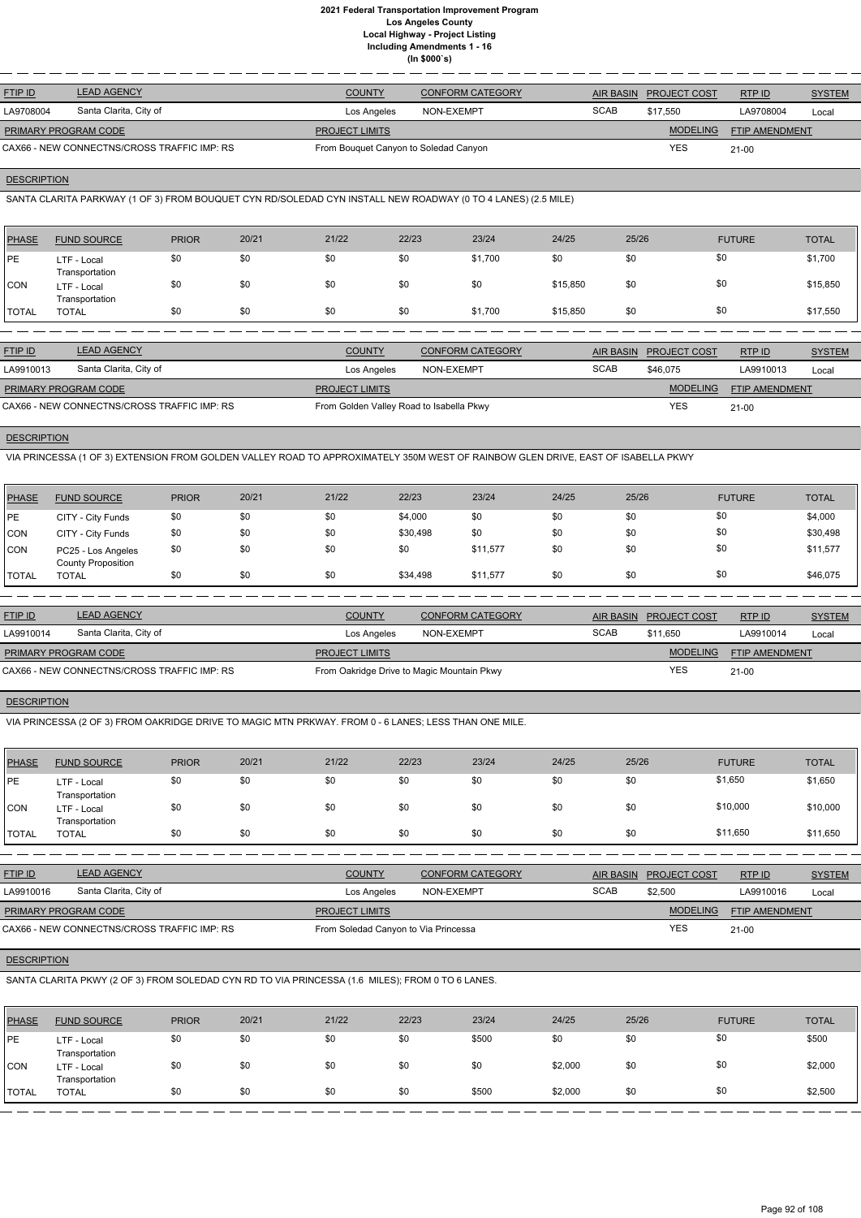| <b>FTIP ID</b>       | <b>LEAD AGENCY</b>                          | <b>COUNTY</b>                         | <b>CONFORM CATEGORY</b> |             | AIR BASIN PROJECT COST | RTPID                 | <b>SYSTEM</b> |
|----------------------|---------------------------------------------|---------------------------------------|-------------------------|-------------|------------------------|-----------------------|---------------|
| LA9708004            | Santa Clarita, City of                      | Los Angeles                           | NON-EXEMPT              | <b>SCAB</b> | \$17.550               | LA9708004             | Local         |
| PRIMARY PROGRAM CODE |                                             | <b>PROJECT LIMITS</b>                 |                         |             | <b>MODELING</b>        | <b>FTIP AMENDMENT</b> |               |
|                      | CAX66 - NEW CONNECTNS/CROSS TRAFFIC IMP: RS | From Bouquet Canyon to Soledad Canyon |                         |             | YES                    | $21-00$               |               |

# **DESCRIPTION**

SANTA CLARITA PARKWAY (1 OF 3) FROM BOUQUET CYN RD/SOLEDAD CYN INSTALL NEW ROADWAY (0 TO 4 LANES) (2.5 MILE)

| <b>PHASE</b> | <b>FUND SOURCE</b>            | <b>PRIOR</b> | 20/21 | 21/22 | 22/23 | 23/24   | 24/25    | 25/26 | <b>FUTURE</b> | <b>TOTAL</b> |
|--------------|-------------------------------|--------------|-------|-------|-------|---------|----------|-------|---------------|--------------|
| <b>IPE</b>   | LTF - Local<br>Transportation | \$0          | \$0   | \$0   | \$0   | \$1,700 | \$0      | \$0   | \$0           | \$1,700      |
| CON          | LTF - Local<br>Transportation | \$0          | \$0   | \$0   | \$0   | \$0     | \$15,850 | \$0   | \$0           | \$15,850     |
| <b>TOTAL</b> | <b>TOTAL</b>                  | \$0          | \$0   | \$0   | \$0   | \$1,700 | \$15,850 | \$0   | \$0           | \$17,550     |

| <b>FTIP ID</b>              | <b>LEAD AGENCY</b>                          | <b>COUNTY</b>                            | <b>CONFORM CATEGORY</b> |             | AIR BASIN PROJECT COST | RTP ID                | <b>SYSTEM</b> |
|-----------------------------|---------------------------------------------|------------------------------------------|-------------------------|-------------|------------------------|-----------------------|---------------|
| LA9910013                   | Santa Clarita, City of                      | Los Angeles                              | NON-EXEMPT              | <b>SCAB</b> | \$46,075               | LA9910013             | Local         |
| <b>PRIMARY PROGRAM CODE</b> |                                             | <b>PROJECT LIMITS</b>                    |                         |             | <b>MODELING</b>        | <b>FTIP AMENDMENT</b> |               |
|                             | CAX66 - NEW CONNECTNS/CROSS TRAFFIC IMP: RS | From Golden Valley Road to Isabella Pkwy |                         |             | <b>YES</b>             | $21 - 00$             |               |

## **DESCRIPTION**

VIA PRINCESSA (1 OF 3) EXTENSION FROM GOLDEN VALLEY ROAD TO APPROXIMATELY 350M WEST OF RAINBOW GLEN DRIVE, EAST OF ISABELLA PKWY

| <b>PHASE</b> | <b>FUND SOURCE</b>                              | <b>PRIOR</b> | 20/21 | 21/22 | 22/23    | 23/24    | 24/25 | 25/26 | <b>FUTURE</b> | <b>TOTAL</b> |
|--------------|-------------------------------------------------|--------------|-------|-------|----------|----------|-------|-------|---------------|--------------|
| <b>PE</b>    | CITY - City Funds                               | \$0          | \$0   | \$0   | \$4,000  | \$0      | \$0   | \$0   | \$0           | \$4,000      |
| <b>CON</b>   | CITY - City Funds                               | \$0          | \$0   | \$0   | \$30,498 | \$0      | \$0   | \$0   | \$0           | \$30,498     |
| <b>CON</b>   | PC25 - Los Angeles<br><b>County Proposition</b> | \$0          | \$0   | \$0   | \$0      | \$11.577 | \$0   | \$0   | \$0           | \$11,577     |
| <b>TOTAL</b> | <b>TOTAL</b>                                    | \$0          | \$0   | \$0   | \$34,498 | \$11,577 | \$0   | \$0   | \$0           | \$46,075     |

| <b>FTIP ID</b>       | <b>LEAD AGENCY</b>                          | <b>COUNTY</b>                              | <b>CONFORM CATEGORY</b> |             | AIR BASIN PROJECT COST | RTPID                 | <b>SYSTEM</b> |
|----------------------|---------------------------------------------|--------------------------------------------|-------------------------|-------------|------------------------|-----------------------|---------------|
| LA9910014            | Santa Clarita, City of                      | Los Angeles                                | NON-EXEMPT              | <b>SCAB</b> | \$11.650               | LA9910014             | Local         |
| PRIMARY PROGRAM CODE |                                             | <b>PROJECT LIMITS</b>                      |                         |             | MODELING               | <b>FTIP AMENDMENT</b> |               |
|                      | CAX66 - NEW CONNECTNS/CROSS TRAFFIC IMP: RS | From Oakridge Drive to Magic Mountain Pkwy |                         |             | <b>YES</b>             | $21-00$               |               |

## **DESCRIPTION**

VIA PRINCESSA (2 OF 3) FROM OAKRIDGE DRIVE TO MAGIC MTN PRKWAY. FROM 0 - 6 LANES; LESS THAN ONE MILE.

| <b>PHASE</b> | <b>FUND SOURCE</b>            | <b>PRIOR</b> | 20/21 | 21/22 | 22/23 | 23/24 | 24/25 | 25/26 | <b>FUTURE</b> | <b>TOTAL</b> |
|--------------|-------------------------------|--------------|-------|-------|-------|-------|-------|-------|---------------|--------------|
| PE           | LTF - Local<br>Transportation | \$0          | \$0   | \$0   | \$0   | \$0   | \$0   | \$0   | \$1,650       | \$1,650      |
| <b>CON</b>   | LTF - Local<br>Transportation | \$0          | \$0   | \$0   | \$0   | \$0   | \$0   | \$0   | \$10,000      | \$10,000     |
| <b>TOTAL</b> | <b>TOTAL</b>                  | \$0          | \$0   | \$0   | \$0   | -\$0  | \$0   | \$0   | \$11,650      | \$11,650     |

| <u>FTIP ID</u>              | <b>LEAD AGENCY</b>     | <b>COUNTY</b>         | <b>CONFORM CATEGORY</b> |             | AIR BASIN PROJECT COST | RTP ID                | <b>SYSTEM</b> |
|-----------------------------|------------------------|-----------------------|-------------------------|-------------|------------------------|-----------------------|---------------|
| LA9910016                   | Santa Clarita, City of | Los Angeles           | NON-EXEMPT              | <b>SCAB</b> | \$2,500                | LA9910016             | Local         |
| <b>PRIMARY PROGRAM CODE</b> |                        | <b>PROJECT LIMITS</b> |                         |             | <b>MODELING</b>        | <b>FTIP AMENDMENT</b> |               |

YES

#### **DESCRIPTION**

21-00

SANTA CLARITA PKWY (2 OF 3) FROM SOLEDAD CYN RD TO VIA PRINCESSA (1.6 MILES); FROM 0 TO 6 LANES.

| PHASE        | <b>FUND SOURCE</b>            | <b>PRIOR</b> | 20/21 | 21/22 | 22/23 | 23/24 | 24/25   | 25/26 | <b>FUTURE</b> | <b>TOTAL</b> |
|--------------|-------------------------------|--------------|-------|-------|-------|-------|---------|-------|---------------|--------------|
| <b>IPE</b>   | LTF - Local<br>Transportation | \$0          | \$0   | \$0   | \$0   | \$500 | \$0     | \$0   | \$0           | \$500        |
| <b>CON</b>   | LTF - Local<br>Transportation | \$0          | \$0   | \$0   | \$0   | \$0   | \$2,000 | \$0   | \$0           | \$2,000      |
| <b>TOTAL</b> | <b>TOTAL</b>                  | \$0          | \$0   | \$0   | \$0   | \$500 | \$2,000 | \$0   | \$0           | \$2,500      |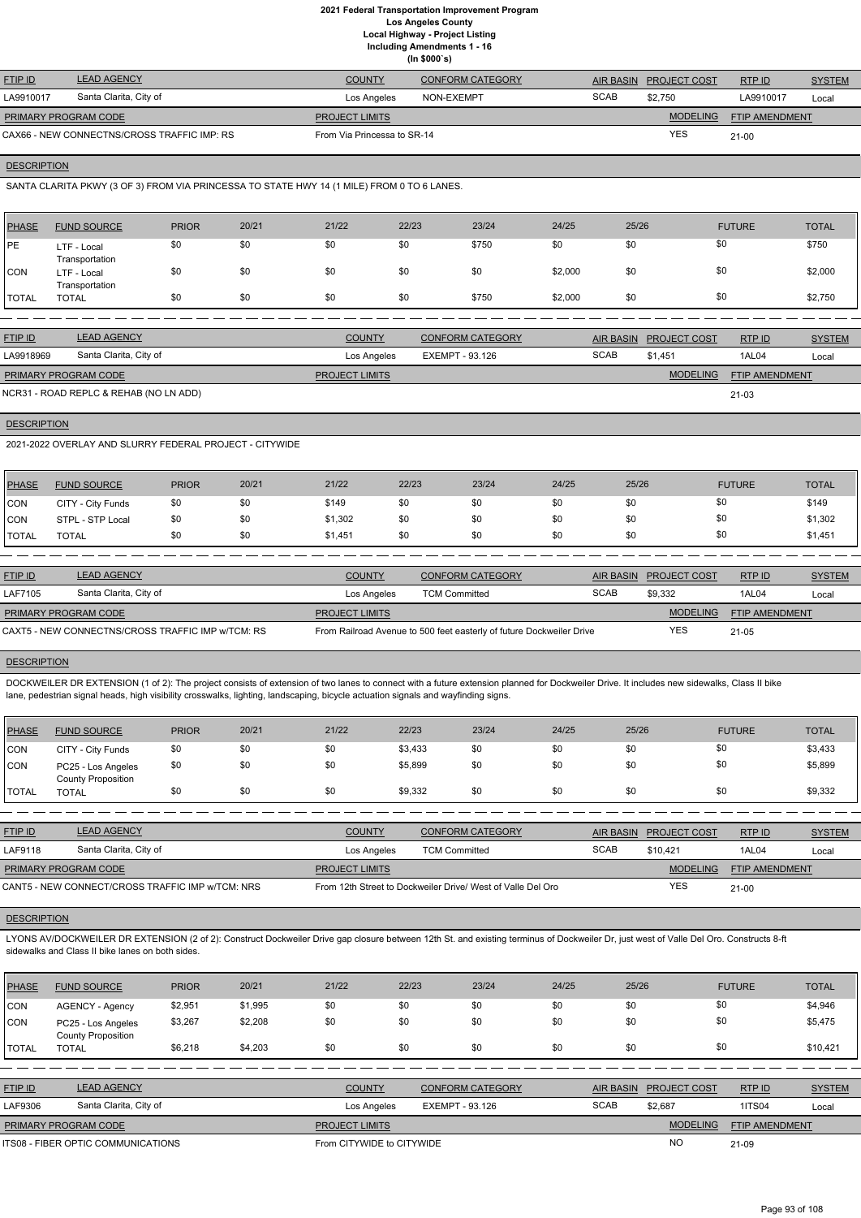**(In \$000`s)**

| <b>FTIP ID</b>              | <b>LEAD AGENCY</b>                          | <b>COUNTY</b>               | <b>CONFORM CATEGORY</b> | <b>AIR BASIN</b> | <b>PROJECT COST</b> | RTPID                 | <b>SYSTEM</b> |
|-----------------------------|---------------------------------------------|-----------------------------|-------------------------|------------------|---------------------|-----------------------|---------------|
| LA9910017                   | Santa Clarita, City of                      | Los Angeles                 | NON-EXEMPT              | <b>SCAB</b>      | \$2.750             | LA9910017             | Local         |
| <b>PRIMARY PROGRAM CODE</b> |                                             | <b>PROJECT LIMITS</b>       |                         |                  | <b>MODELING</b>     | <b>FTIP AMENDMENT</b> |               |
|                             | CAX66 - NEW CONNECTNS/CROSS TRAFFIC IMP: RS | From Via Princessa to SR-14 |                         |                  | <b>YES</b>          | $21 - 00$             |               |

## **DESCRIPTION**

SANTA CLARITA PKWY (3 OF 3) FROM VIA PRINCESSA TO STATE HWY 14 (1 MILE) FROM 0 TO 6 LANES.

| PHASE        | <b>FUND SOURCE</b>            | <b>PRIOR</b> | 20/21 | 21/22 | 22/23 | 23/24 | 24/25   | 25/26 | <b>FUTURE</b> | <b>TOTAL</b> |
|--------------|-------------------------------|--------------|-------|-------|-------|-------|---------|-------|---------------|--------------|
| <b>PE</b>    | LTF - Local<br>Transportation | \$0          | \$0   | \$0   | \$0   | \$750 | \$0     | \$0   | \$0           | \$750        |
| <b>CON</b>   | LTF - Local<br>Transportation | \$0          | \$0   | \$0   | \$0   | \$0   | \$2,000 | \$0   | \$0           | \$2,000      |
| <b>TOTAL</b> | <b>TOTAL</b>                  | \$0          | \$0   | \$0   | \$0   | \$750 | \$2,000 | \$0   | \$0           | \$2,750      |

| <b>FTIP ID</b>       | <b>LEAD AGENCY</b>                     | <b>COUNTY</b>         | <b>CONFORM CATEGORY</b> |             | AIR BASIN PROJECT COST | RTPID                 | <b>SYSTEM</b> |
|----------------------|----------------------------------------|-----------------------|-------------------------|-------------|------------------------|-----------------------|---------------|
| LA9918969            | Santa Clarita, City of                 | Los Angeles           | EXEMPT - 93.126         | <b>SCAB</b> | \$1.451                | 1AL04                 | Local         |
| PRIMARY PROGRAM CODE |                                        | <b>PROJECT LIMITS</b> |                         |             | <b>MODELING</b>        | <b>FTIP AMENDMENT</b> |               |
|                      | NCR31 - ROAD REPLC & REHAB (NO LN ADD) |                       |                         |             |                        | $21 - 03$             |               |

# **DESCRIPTION**

2021-2022 OVERLAY AND SLURRY FEDERAL PROJECT - CITYWIDE

| <b>PHASE</b> | <b>FUND SOURCE</b> | <b>PRIOR</b> | 20/21 | 21/22   | 22/23 | 23/24 | 24/25 | 25/26 | <b>FUTURE</b> | <b>TOTAL</b> |
|--------------|--------------------|--------------|-------|---------|-------|-------|-------|-------|---------------|--------------|
| <b>CON</b>   | CITY - City Funds  | \$0          | \$0   | \$149   |       | \$0   | \$0   | \$0   | \$0           | \$149        |
| <b>CON</b>   | STPL - STP Local   | \$0          | \$0   | \$1,302 |       | \$0   | \$0   | \$0   | \$0           | \$1,302      |
| <b>TOTAL</b> | <b>TOTAL</b>       | \$0          | \$0   | \$1,451 |       | \$0   | \$0   | \$0   | \$0           | \$1,451      |

| <b>FTIP ID</b>       | <b>LEAD AGENCY</b>                                | <b>COUNTY</b>         | <b>CONFORM CATEGORY</b>                                              |             | AIR BASIN PROJECT COST | RTPID                 | <b>SYSTEM</b> |
|----------------------|---------------------------------------------------|-----------------------|----------------------------------------------------------------------|-------------|------------------------|-----------------------|---------------|
| LAF7105              | Santa Clarita, City of                            | Los Angeles           | <b>TCM Committed</b>                                                 | <b>SCAB</b> | \$9.332                | 1AL04                 | Local         |
| PRIMARY PROGRAM CODE |                                                   | <b>PROJECT LIMITS</b> |                                                                      |             | <b>MODELING</b>        | <b>FTIP AMENDMENT</b> |               |
|                      | CAXT5 - NEW CONNECTNS/CROSS TRAFFIC IMP w/TCM: RS |                       | From Railroad Avenue to 500 feet easterly of future Dockweiler Drive |             | <b>YES</b>             | 21-05                 |               |

## **DESCRIPTION**

DOCKWEILER DR EXTENSION (1 of 2): The project consists of extension of two lanes to connect with a future extension planned for Dockweiler Drive. It includes new sidewalks, Class II bike lane, pedestrian signal heads, high visibility crosswalks, lighting, landscaping, bicycle actuation signals and wayfinding signs.

| PHASE          | <b>FUND SOURCE</b>                              | <b>PRIOR</b> | 20/21 | 21/22 | 22/23   | 23/24 | 24/25 | 25/26 | <b>FUTURE</b> | <b>TOTAL</b> |
|----------------|-------------------------------------------------|--------------|-------|-------|---------|-------|-------|-------|---------------|--------------|
| <b>CON</b>     | CITY - City Funds                               | \$0          | \$0   | \$0   | \$3,433 | \$0   | \$0   | \$0   | \$0           | \$3,433      |
| CON            | PC25 - Los Angeles<br><b>County Proposition</b> | \$0          | \$0   | \$0   | \$5,899 | \$0   | \$0   | \$0   | \$0           | \$5,899      |
| <b>!</b> TOTAL | <b>TOTAL</b>                                    | \$0          | \$0   | \$0   | \$9,332 | \$0   | \$0   | \$0   | \$0           | \$9,332      |

| <b>FTIP ID</b>                                   | <b>LEAD AGENCY</b>     | <b>COUNTY</b>                                               | <b>CONFORM CATEGORY</b> |             | AIR BASIN PROJECT COST | RTPID                 | <b>SYSTEM</b> |
|--------------------------------------------------|------------------------|-------------------------------------------------------------|-------------------------|-------------|------------------------|-----------------------|---------------|
| LAF9118                                          | Santa Clarita, City of | Los Angeles                                                 | <b>TCM Committed</b>    | <b>SCAB</b> | \$10.421               | 1AL04                 | Local         |
| <b>PRIMARY PROGRAM CODE</b>                      |                        | <b>PROJECT LIMITS</b>                                       |                         |             | <b>MODELING</b>        | <b>FTIP AMENDMENT</b> |               |
| CANT5 - NEW CONNECT/CROSS TRAFFIC IMP w/TCM: NRS |                        | From 12th Street to Dockweiler Drive/ West of Valle Del Oro |                         | <b>YES</b>  | $21 - 00$              |                       |               |

LYONS AV/DOCKWEILER DR EXTENSION (2 of 2): Construct Dockweiler Drive gap closure between 12th St. and existing terminus of Dockweiler Dr, just west of Valle Del Oro. Constructs 8-ft sidewalks and Class II bike lanes on both sides.

| <b>PHASE</b>   | <b>FUND SOURCE</b>                              | <b>PRIOR</b> | 20/21   | 21/22                     | 22/23                  | 23/24                   | 24/25 | 25/26            |                     | <b>FUTURE</b>         | <b>TOTAL</b>  |
|----------------|-------------------------------------------------|--------------|---------|---------------------------|------------------------|-------------------------|-------|------------------|---------------------|-----------------------|---------------|
| <b>CON</b>     | <b>AGENCY - Agency</b>                          | \$2,951      | \$1,995 | \$0                       | \$0                    | \$0                     | \$0   | \$0              | \$0                 |                       | \$4,946       |
| <b>CON</b>     | PC25 - Los Angeles<br><b>County Proposition</b> | \$3,267      | \$2,208 | \$0                       | \$0                    | \$0                     | \$0   | \$0              | \$0                 |                       | \$5,475       |
| <b>TOTAL</b>   | <b>TOTAL</b>                                    | \$6.218      | \$4.203 | \$0                       | \$0                    | \$0                     | \$0   | \$0              | \$0                 |                       | \$10,421      |
|                |                                                 |              |         |                           |                        |                         |       |                  |                     |                       |               |
| <b>FTIP ID</b> | <b>LEAD AGENCY</b>                              |              |         | <b>COUNTY</b>             |                        | <b>CONFORM CATEGORY</b> |       | <b>AIR BASIN</b> | <b>PROJECT COST</b> | RTP ID                | <b>SYSTEM</b> |
| LAF9306        | Santa Clarita, City of                          |              |         | Los Angeles               | <b>EXEMPT - 93.126</b> |                         |       | <b>SCAB</b>      | \$2,687             | <b>1ITS04</b>         | Local         |
|                | PRIMARY PROGRAM CODE                            |              |         | <b>PROJECT LIMITS</b>     |                        |                         |       |                  | <b>MODELING</b>     | <b>FTIP AMENDMENT</b> |               |
|                | ITS08 - FIBER OPTIC COMMUNICATIONS              |              |         | From CITYWIDE to CITYWIDE |                        |                         |       |                  | <b>NO</b>           | 21-09                 |               |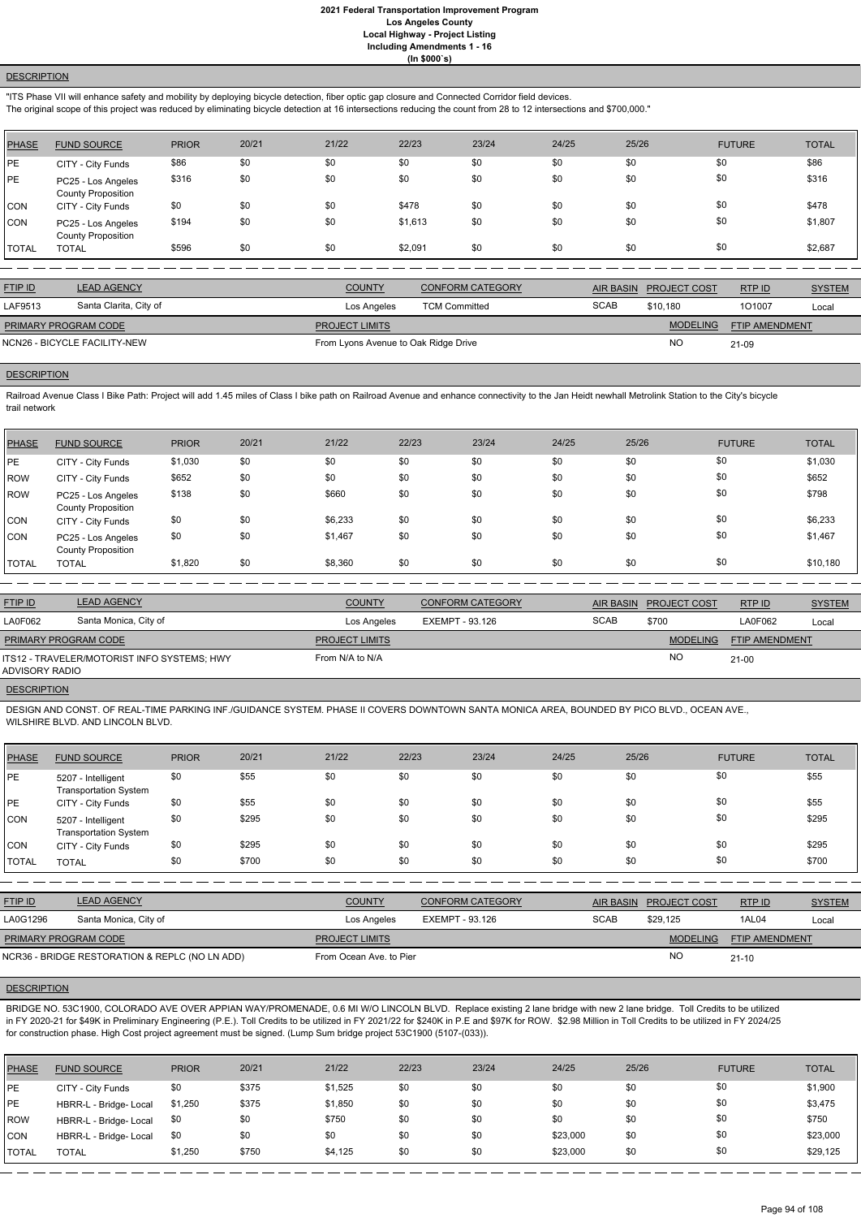## **DESCRIPTION**

"ITS Phase VII will enhance safety and mobility by deploying bicycle detection, fiber optic gap closure and Connected Corridor field devices.

The original scope of this project was reduced by eliminating bicycle detection at 16 intersections reducing the count from 28 to 12 intersections and \$700,000."

| PHASE        | <b>FUND SOURCE</b>                              | <b>PRIOR</b> | 20/21 | 21/22 | 22/23   | 23/24 | 24/25 | 25/26 | <b>FUTURE</b> | <b>TOTAL</b> |
|--------------|-------------------------------------------------|--------------|-------|-------|---------|-------|-------|-------|---------------|--------------|
| <b>IPE</b>   | CITY - City Funds                               | \$86         | \$0   | \$0   | \$0     | \$0   | \$0   | \$0   | \$0           | \$86         |
| <b>PE</b>    | PC25 - Los Angeles<br><b>County Proposition</b> | \$316        | \$0   | \$0   | \$0     | \$0   | \$0   | \$0   | \$0           | \$316        |
| CON          | CITY - City Funds                               | \$0          | \$0   | \$0   | \$478   | \$0   | \$0   | \$0   | \$0           | \$478        |
| <b>CON</b>   | PC25 - Los Angeles<br><b>County Proposition</b> | \$194        | \$0   | \$0   | \$1,613 | \$0   | \$0   | \$0   | \$0           | \$1,807      |
| <b>TOTAL</b> | <b>TOTAL</b>                                    | \$596        | \$0   | \$0   | \$2,091 | \$0   | \$0   | \$0   | \$0           | \$2,687      |

Railroad Avenue Class I Bike Path: Project will add 1.45 miles of Class I bike path on Railroad Avenue and enhance connectivity to the Jan Heidt newhall Metrolink Station to the City's bicycle trail network

| <b>FTIP ID</b>              | <b>LEAD AGENCY</b>           | <b>COUNTY</b>                        | <b>CONFORM CATEGORY</b> | <b>AIR BASIN</b> | <b>PROJECT COST</b> | RTP ID                | <b>SYSTEM</b> |
|-----------------------------|------------------------------|--------------------------------------|-------------------------|------------------|---------------------|-----------------------|---------------|
| LAF9513                     | Santa Clarita, City of       | Los Angeles                          | <b>TCM Committed</b>    | <b>SCAB</b>      | \$10.180            | 101007                | Local         |
| <b>PRIMARY PROGRAM CODE</b> |                              | <b>PROJECT LIMITS</b>                |                         |                  | <b>MODELING</b>     | <b>FTIP AMENDMENT</b> |               |
|                             | NCN26 - BICYCLE FACILITY-NEW | From Lyons Avenue to Oak Ridge Drive |                         |                  | <b>NO</b>           | 21-09                 |               |
|                             |                              |                                      |                         |                  |                     |                       |               |

#### **DESCRIPTION**

| <b>PHASE</b> | <b>FUND SOURCE</b>                              | <b>PRIOR</b> | 20/21 | 21/22   | 22/23 | 23/24 | 24/25 | 25/26 | <b>FUTURE</b> | <b>TOTAL</b> |
|--------------|-------------------------------------------------|--------------|-------|---------|-------|-------|-------|-------|---------------|--------------|
| PE           | CITY - City Funds                               | \$1,030      | \$0   | \$0     | \$0   | \$0   | \$0   | \$0   | \$0           | \$1,030      |
| <b>ROW</b>   | CITY - City Funds                               | \$652        | \$0   | \$0     | \$0   | \$0   | \$0   | \$0   | \$0           | \$652        |
| <b>ROW</b>   | PC25 - Los Angeles<br><b>County Proposition</b> | \$138        | \$0   | \$660   | \$0   | \$0   | \$0   | \$0   | \$0           | \$798        |
| <b>CON</b>   | CITY - City Funds                               | \$0          | \$0   | \$6,233 | \$0   | \$0   | \$0   | \$0   | \$0           | \$6,233      |
| <b>CON</b>   | PC25 - Los Angeles<br><b>County Proposition</b> | \$0          | \$0   | \$1,467 | \$0   | \$0   | \$0   | \$0   | \$0           | \$1,467      |
| <b>TOTAL</b> | <b>TOTAL</b>                                    | \$1,820      | \$0   | \$8,360 | \$0   | \$0   | \$0   | \$0   | \$0           | \$10,180     |
|              |                                                 |              |       |         |       |       |       |       |               |              |

| <b>FTIP ID</b>       | <b>LEAD AGENCY</b>                          | <b>COUNTY</b>         | <b>CONFORM CATEGORY</b> | AIR BASIN   | <b>PROJECT COST</b> | RTP ID                | <b>SYSTEM</b> |
|----------------------|---------------------------------------------|-----------------------|-------------------------|-------------|---------------------|-----------------------|---------------|
| LA0F062              | Santa Monica, City of                       | Los Angeles           | EXEMPT - 93.126         | <b>SCAB</b> | \$700               | LA0F062               | Local         |
| PRIMARY PROGRAM CODE |                                             | <b>PROJECT LIMITS</b> |                         |             | <b>MODELING</b>     | <b>FTIP AMENDMENT</b> |               |
| ADVISORY RADIO       | ITS12 - TRAVELER/MOTORIST INFO SYSTEMS; HWY | From N/A to N/A       |                         |             | <b>NO</b>           | $21 - 00$             |               |
| <b>DESCRIPTION</b>   |                                             |                       |                         |             |                     |                       |               |

DESIGN AND CONST. OF REAL-TIME PARKING INF./GUIDANCE SYSTEM. PHASE II COVERS DOWNTOWN SANTA MONICA AREA, BOUNDED BY PICO BLVD., OCEAN AVE., WILSHIRE BLVD. AND LINCOLN BLVD.

| <b>PHASE</b> | <b>FUND SOURCE</b>                                 | <b>PRIOR</b> | 20/21 | 21/22 | 22/23 | 23/24 | 24/25 | 25/26 | <b>FUTURE</b> | <b>TOTAL</b> |
|--------------|----------------------------------------------------|--------------|-------|-------|-------|-------|-------|-------|---------------|--------------|
| PE           | 5207 - Intelligent<br><b>Transportation System</b> | \$0          | \$55  | \$0   | \$0   | \$0   | \$0   | \$0   | \$0           | \$55         |
| PE           | CITY - City Funds                                  | \$0          | \$55  | \$0   | \$0   | \$0   | \$0   | \$0   | \$0           | \$55         |
| CON          | 5207 - Intelligent<br><b>Transportation System</b> | \$0          | \$295 | \$0   | \$0   | \$0   | \$0   | \$0   | \$0           | \$295        |
| <b>CON</b>   | CITY - City Funds                                  | \$0          | \$295 | \$0   | \$0   | \$0   | \$0   | \$0   | \$0           | \$295        |
| <b>TOTAL</b> | <b>TOTAL</b>                                       | \$0          | \$700 | \$0   | \$0   | \$0   | \$0   | \$0   | \$0           | \$700        |

| <b>FTIP ID</b>              | <b>LEAD AGENCY</b>                             | <b>COUNTY</b>           | <b>CONFORM CATEGORY</b> |             | AIR BASIN PROJECT COST | RTPID                 | <b>SYSTEM</b> |
|-----------------------------|------------------------------------------------|-------------------------|-------------------------|-------------|------------------------|-----------------------|---------------|
| LA0G1296                    | Santa Monica, City of                          | Los Angeles             | EXEMPT - 93.126         | <b>SCAB</b> | \$29.125               | 1AL04                 | Local         |
| <b>PRIMARY PROGRAM CODE</b> |                                                | <b>PROJECT LIMITS</b>   |                         |             | <b>MODELING</b>        | <b>FTIP AMENDMENT</b> |               |
|                             | NCR36 - BRIDGE RESTORATION & REPLC (NO LN ADD) | From Ocean Ave, to Pier |                         |             | <b>NO</b>              | $21 - 10$             |               |

#### **DESCRIPTION**

BRIDGE NO. 53C1900, COLORADO AVE OVER APPIAN WAY/PROMENADE, 0.6 MI W/O LINCOLN BLVD. Replace existing 2 lane bridge with new 2 lane bridge. Toll Credits to be utilized in FY 2020-21 for \$49K in Preliminary Engineering (P.E.). Toll Credits to be utilized in FY 2021/22 for \$240K in P.E and \$97K for ROW. \$2.98 Million in Toll Credits to be utilized in FY 2024/25 for construction phase. High Cost project agreement must be signed. (Lump Sum bridge project 53C1900 (5107-(033)).

| <b>PHASE</b> | <b>FUND SOURCE</b>     | <b>PRIOR</b> | 20/21 | 21/22   | 22/23 | 23/24 | 24/25    | 25/26 | <b>FUTURE</b> | <b>TOTAL</b> |
|--------------|------------------------|--------------|-------|---------|-------|-------|----------|-------|---------------|--------------|
| <b>IPE</b>   | CITY - City Funds      | \$0          | \$375 | \$1,525 | \$0   | \$0   | \$0      | \$0   | \$0           | \$1,900      |
| <b>IPE</b>   | HBRR-L - Bridge- Local | \$1,250      | \$375 | \$1,850 | \$0   | \$0   | \$0      | \$0   | \$0           | \$3,475      |
| <b>ROW</b>   | HBRR-L - Bridge- Local | \$0          | \$0   | \$750   | \$0   | \$0   | \$0      | \$0   | \$0           | \$750        |
| <b>CON</b>   | HBRR-L - Bridge- Local | \$0          | \$0   | \$0     | \$0   | \$0   | \$23,000 | \$0   | \$0           | \$23,000     |
| <b>TOTAL</b> | <b>TOTAL</b>           | \$1,250      | \$750 | \$4,125 | \$0   | \$0   | \$23,000 | \$0   | \$0           | \$29,125     |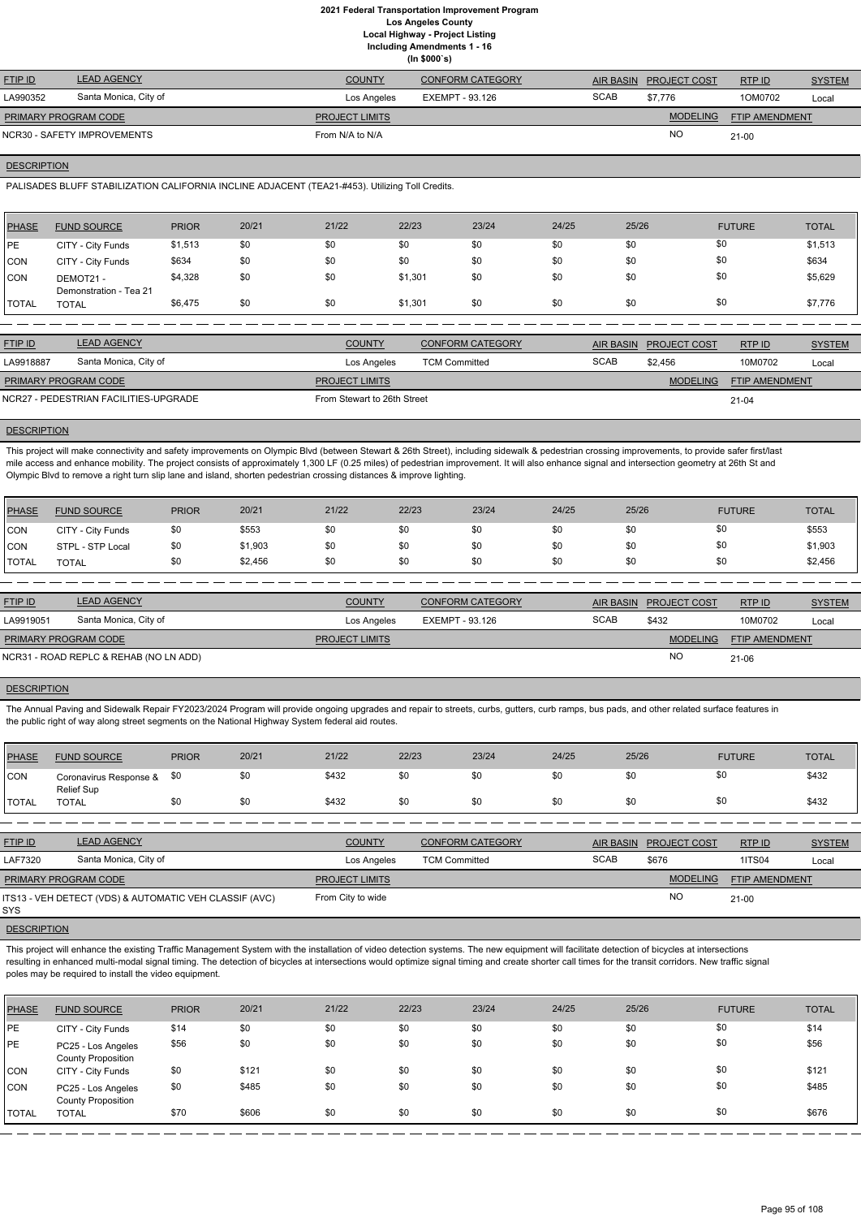**(In \$000`s)**

| <b>FTIP ID</b>       | <b>LEAD AGENCY</b>          | <b>COUNTY</b>         | <b>CONFORM CATEGORY</b> |             | AIR BASIN PROJECT COST | RTP ID         | <b>SYSTEM</b> |
|----------------------|-----------------------------|-----------------------|-------------------------|-------------|------------------------|----------------|---------------|
| LA990352             | Santa Monica, City of       | Los Angeles           | EXEMPT - 93.126         | <b>SCAB</b> | \$7.776                | 1OM0702        | Local         |
| PRIMARY PROGRAM CODE |                             | <b>PROJECT LIMITS</b> |                         |             | <b>MODELING</b>        | FTIP AMENDMENT |               |
|                      | NCR30 - SAFETY IMPROVEMENTS | From N/A to N/A       |                         |             | <b>NO</b>              | $21 - 00$      |               |
|                      |                             |                       |                         |             |                        |                |               |

#### **DESCRIPTION**

PALISADES BLUFF STABILIZATION CALIFORNIA INCLINE ADJACENT (TEA21-#453). Utilizing Toll Credits.

This project will make connectivity and safety improvements on Olympic Blvd (between Stewart & 26th Street), including sidewalk & pedestrian crossing improvements, to provide safer first/last mile access and enhance mobility. The project consists of approximately 1,300 LF (0.25 miles) of pedestrian improvement. It will also enhance signal and intersection geometry at 26th St and Olympic Blvd to remove a right turn slip lane and island, shorten pedestrian crossing distances & improve lighting.

| <b>PHASE</b> | <b>FUND SOURCE</b>                  | <b>PRIOR</b> | 20/21 | 21/22                 | 22/23   | 23/24                   | 24/25 | 25/26                  | <b>FUTURE</b>       |                       | <b>TOTAL</b>  |
|--------------|-------------------------------------|--------------|-------|-----------------------|---------|-------------------------|-------|------------------------|---------------------|-----------------------|---------------|
| PE           | CITY - City Funds                   | \$1,513      | \$0   | \$0                   | \$0     | \$0                     | \$0   | \$0                    | \$0                 |                       | \$1,513       |
| CON          | CITY - City Funds                   | \$634        | \$0   | \$0                   | \$0     | \$0                     | \$0   | \$0                    | \$0                 |                       | \$634         |
| <b>CON</b>   | DEMOT21 -<br>Demonstration - Tea 21 | \$4,328      | \$0   | \$0                   | \$1,301 | \$0                     | \$0   | \$0                    | \$0                 |                       | \$5,629       |
| <b>TOTAL</b> | <b>TOTAL</b>                        | \$6,475      | \$0   | \$0                   | \$1,301 | \$0                     | \$0   | \$0                    | \$0                 |                       | \$7,776       |
|              |                                     |              |       |                       |         |                         |       |                        |                     |                       |               |
| FTIP ID      | <b>LEAD AGENCY</b>                  |              |       | <b>COUNTY</b>         |         | <b>CONFORM CATEGORY</b> |       | <b>AIR BASIN</b>       | <b>PROJECT COST</b> | RTP ID                | <b>SYSTEM</b> |
| LA9918887    | Santa Monica, City of               |              |       | Los Angeles           |         | <b>TCM Committed</b>    |       | <b>SCAB</b><br>\$2,456 |                     | 10M0702               | Local         |
|              | PRIMARY PROGRAM CODE                |              |       | <b>PROJECT LIMITS</b> |         |                         |       |                        | <b>MODELING</b>     | <b>FTIP AMENDMENT</b> |               |

NCR27 - PEDESTRIAN FACILITIES-UPGRADE FROM Stewart to 26th Street

#### **DESCRIPTION**

21-04

The Annual Paving and Sidewalk Repair FY2023/2024 Program will provide ongoing upgrades and repair to streets, curbs, gutters, curb ramps, bus pads, and other related surface features in the public right of way along street segments on the National Highway System federal aid routes.

This project will enhance the existing Traffic Management System with the installation of video detection systems. The new equipment will facilitate detection of bicycles at intersections resulting in enhanced multi-modal signal timing. The detection of bicycles at intersections would optimize signal timing and create shorter call times for the transit corridors. New traffic signal poles may be required to install the video equipment.

| PHASE        | <b>FUND SOURCE</b> | <b>PRIOR</b> | 20/21   | 21/22 | 22/23 | 23/24 | 24/25 | 25/26 | <b>FUTURE</b> | <b>TOTAL</b> |
|--------------|--------------------|--------------|---------|-------|-------|-------|-------|-------|---------------|--------------|
| <b>CON</b>   | CITY - City Funds  | \$0          | \$553   | \$0   | \$0   | \$0   | \$0   |       | \$0           | \$553        |
| CON          | STPL - STP Local   | \$0          | \$1,903 | \$0   | \$0   | \$0   | \$0   |       | \$0           | \$1,903      |
| <b>TOTAL</b> | TOTAL              | \$0          | \$2,456 | \$0   | \$0   | \$0   | \$0   |       | \$0           | \$2,456      |

| <b>FTIP ID</b>       | <b>LEAD AGENCY</b>                     | <b>COUNTY</b>         | <b>CONFORM CATEGORY</b> | AIR BASIN   | <b>PROJECT COST</b> | RTPID          | <b>SYSTEM</b> |
|----------------------|----------------------------------------|-----------------------|-------------------------|-------------|---------------------|----------------|---------------|
| LA9919051            | Santa Monica, City of                  | Los Angeles           | EXEMPT - 93.126         | <b>SCAB</b> | \$432               | 10M0702        | Local         |
| PRIMARY PROGRAM CODE |                                        | <b>PROJECT LIMITS</b> |                         |             | <b>MODELING</b>     | FTIP AMENDMENT |               |
|                      | NCR31 - ROAD REPLC & REHAB (NO LN ADD) |                       |                         |             | <b>NC</b>           | 21-06          |               |

## **DESCRIPTION**

| PHASE        | <b>FUND SOURCE</b>                   | <b>PRIOR</b> | 20/21 | 21/22 | 22/23 | 23/24 | 24/25 | 25/26                  | <b>FUTURE</b> | <b>TOTAL</b> |
|--------------|--------------------------------------|--------------|-------|-------|-------|-------|-------|------------------------|---------------|--------------|
| <b>CON</b>   | Coronavirus Response &<br>Relief Sup | -\$0         |       | \$432 | \$0   | \$0   | \$0   | $\triangleright$<br>აι | \$0           | \$432        |
| <b>TOTAL</b> | <b>TOTAL</b>                         |              |       | \$432 | \$0   | \$0   | \$0   | \$0                    | \$0           | \$432        |

| <b>FTIP ID</b>              | <b>LEAD AGENCY</b>                                     | <b>COUNTY</b>         | <b>CONFORM CATEGORY</b> |             | AIR BASIN PROJECT COST | RTP ID                | <b>SYSTEM</b> |
|-----------------------------|--------------------------------------------------------|-----------------------|-------------------------|-------------|------------------------|-----------------------|---------------|
| <b>LAF7320</b>              | Santa Monica, City of                                  | Los Angeles           | <b>TCM Committed</b>    | <b>SCAB</b> | \$676                  | <b>1ITS04</b>         | Local         |
| <b>PRIMARY PROGRAM CODE</b> |                                                        | <b>PROJECT LIMITS</b> |                         |             | <b>MODELING</b>        | <b>FTIP AMENDMENT</b> |               |
| SYS                         | ITS13 - VEH DETECT (VDS) & AUTOMATIC VEH CLASSIF (AVC) | From City to wide     |                         |             | <b>NO</b>              | $21 - 00$             |               |

| PHASE          | <b>FUND SOURCE</b>                              | <b>PRIOR</b> | 20/21 | 21/22 | 22/23 | 23/24 | 24/25 | 25/26 | <b>FUTURE</b> | <b>TOTAL</b> |
|----------------|-------------------------------------------------|--------------|-------|-------|-------|-------|-------|-------|---------------|--------------|
| <b>IPE</b>     | CITY - City Funds                               | \$14         | \$0   | \$0   | \$0   | \$0   | \$0   | \$0   | \$0           | \$14         |
| PE             | PC25 - Los Angeles<br><b>County Proposition</b> | \$56         | \$0   | \$0   | \$0   | \$0   | \$0   | \$0   | \$0           | \$56         |
| CON            | CITY - City Funds                               | \$0          | \$121 | \$0   | \$0   | \$0   | \$0   | \$0   | \$0           | \$121        |
| CON            | PC25 - Los Angeles<br><b>County Proposition</b> | \$0          | \$485 | \$0   | \$0   | \$0   | \$0   | \$0   | \$0           | \$485        |
| <b>I</b> TOTAL | <b>TOTAL</b>                                    | \$70         | \$606 | \$0   | \$0   | \$0   | \$0   | \$0   | \$0           | \$676        |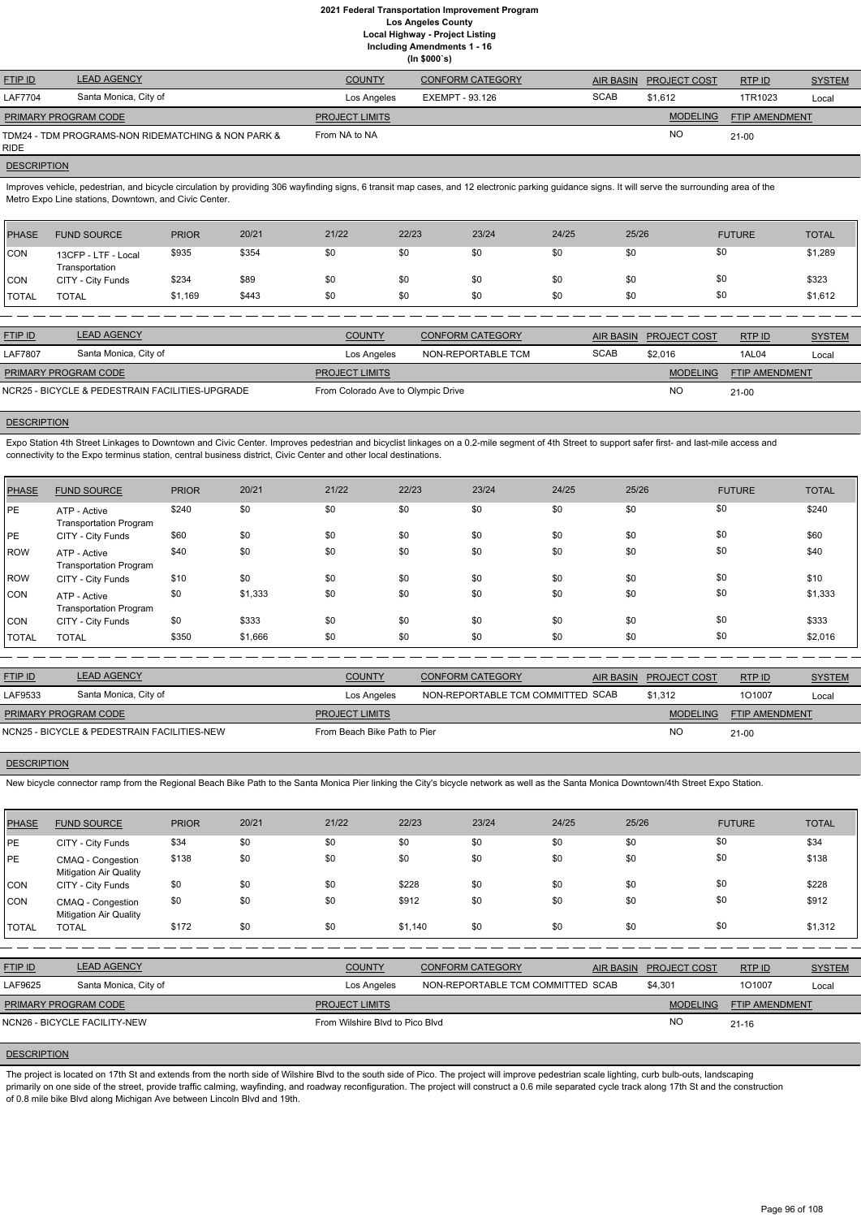| <b>FTIP ID</b>              | <b>LEAD AGENCY</b>                                 | <b>COUNTY</b>         | <b>CONFORM CATEGORY</b> | <b>AIR BASIN</b> | <b>PROJECT COST</b> | RTPID          | <b>SYSTEM</b> |
|-----------------------------|----------------------------------------------------|-----------------------|-------------------------|------------------|---------------------|----------------|---------------|
| <b>LAF7704</b>              | Santa Monica, City of                              | Los Angeles           | EXEMPT - 93.126         | <b>SCAB</b>      | \$1.612             | 1TR1023        | Local         |
| <b>PRIMARY PROGRAM CODE</b> |                                                    | <b>PROJECT LIMITS</b> |                         |                  | <b>MODELING</b>     | FTIP AMENDMENT |               |
| <b>RIDE</b>                 | TDM24 - TDM PROGRAMS-NON RIDEMATCHING & NON PARK & | From NA to NA         |                         |                  | <b>NO</b>           | $21 - 00$      |               |

#### **DESCRIPTION**

Improves vehicle, pedestrian, and bicycle circulation by providing 306 wayfinding signs, 6 transit map cases, and 12 electronic parking guidance signs. It will serve the surrounding area of the Metro Expo Line stations, Downtown, and Civic Center.

Expo Station 4th Street Linkages to Downtown and Civic Center. Improves pedestrian and bicyclist linkages on a 0.2-mile segment of 4th Street to support safer first- and last-mile access and connectivity to the Expo terminus station, central business district, Civic Center and other local destinations.

| <b>PHASE</b>   | <b>FUND SOURCE</b>                    | <b>PRIOR</b> | 20/21 | 21/22         | 22/23 | 23/24                   | 24/25       | 25/26                                   | <b>FUTURE</b> | <b>TOTAL</b>  |
|----------------|---------------------------------------|--------------|-------|---------------|-------|-------------------------|-------------|-----------------------------------------|---------------|---------------|
| <b>CON</b>     | 13CFP - LTF - Local<br>Transportation | \$935        | \$354 | \$0           | \$0   | \$0                     | \$0         | \$0                                     | \$0           | \$1,289       |
| <b>CON</b>     | CITY - City Funds                     | \$234        | \$89  | \$0           | \$0   | \$0                     | \$0         | \$0                                     | \$0           | \$323         |
| <b>TOTAL</b>   | <b>TOTAL</b>                          | \$1,169      | \$443 | \$0           | \$0   | \$0                     | \$0         | \$0                                     | \$0           | \$1,612       |
|                |                                       |              |       |               |       |                         |             |                                         |               |               |
| <b>FTIP ID</b> | <b>LEAD AGENCY</b>                    |              |       | <b>COUNTY</b> |       | <b>CONFORM CATEGORY</b> |             | <b>PROJECT COST</b><br><b>AIR BASIN</b> | RTP ID        | <b>SYSTEM</b> |
| <b>LAF7807</b> | Santa Monica, City of                 |              |       | Los Angeles   |       | NON-REPORTABLE TCM      | <b>SCAB</b> | \$2,016                                 | 1AL04         | Local         |

MODELING FTIP AMENDMENT NO 21-00 **PROJECT LIMITS** NCR25 - BICYCLE & PEDESTRAIN FACILITIES-UPGRADE From Colorado Ave to Olympic Drive PRIMARY PROGRAM CODE

#### **DESCRIPTION**

| <b>PHASE</b> | <b>FUND SOURCE</b>                            | <b>PRIOR</b> | 20/21   | 21/22 | 22/23 | 23/24 | 24/25 | 25/26 | <b>FUTURE</b> | <b>TOTAL</b> |
|--------------|-----------------------------------------------|--------------|---------|-------|-------|-------|-------|-------|---------------|--------------|
| PE           | ATP - Active<br><b>Transportation Program</b> | \$240        | \$0     | \$0   | \$0   | \$0   | \$0   | \$0   | \$0           | \$240        |
| PE           | CITY - City Funds                             | \$60         | \$0     | \$0   | \$0   | \$0   | \$0   | \$0   | \$0           | \$60         |
| ROW          | ATP - Active<br><b>Transportation Program</b> | \$40         | \$0     | \$0   | \$0   | \$0   | \$0   | \$0   | \$0           | \$40         |
| ROW          | CITY - City Funds                             | \$10         | \$0     | \$0   | \$0   | \$0   | \$0   | \$0   | \$0           | \$10         |
| <b>CON</b>   | ATP - Active<br><b>Transportation Program</b> | \$0          | \$1,333 | \$0   | \$0   | \$0   | \$0   | \$0   | \$0           | \$1,333      |
| <b>CON</b>   | CITY - City Funds                             | \$0          | \$333   | \$0   | \$0   | \$0   | \$0   | \$0   | \$0           | \$333        |
| <b>TOTAL</b> | <b>TOTAL</b>                                  | \$350        | \$1,666 | \$0   | \$0   | \$0   | \$0   | \$0   | \$0           | \$2,016      |

The project is located on 17th St and extends from the north side of Wilshire Blvd to the south side of Pico. The project will improve pedestrian scale lighting, curb bulb-outs, landscaping primarily on one side of the street, provide traffic calming, wayfinding, and roadway reconfiguration. The project will construct a 0.6 mile separated cycle track along 17th St and the construction of 0.8 mile bike Blvd along Michigan Ave between Lincoln Blvd and 19th.

| <b>FTIP ID</b>              | <b>LEAD AGENCY</b>                          | <b>COUNTY</b>                | CONFORM CATEGORY                  | AIR BASIN PROJECT COST | RTP ID                | <b>SYSTEM</b> |
|-----------------------------|---------------------------------------------|------------------------------|-----------------------------------|------------------------|-----------------------|---------------|
| LAF9533                     | Santa Monica, City of                       | Los Angeles                  | NON-REPORTABLE TCM COMMITTED SCAB | \$1.312                | 101007                | Local         |
| <b>PRIMARY PROGRAM CODE</b> |                                             | <b>PROJECT LIMITS</b>        |                                   | <b>MODELING</b>        | <b>FTIP AMENDMENT</b> |               |
|                             | NCN25 - BICYCLE & PEDESTRAIN FACILITIES-NEW | From Beach Bike Path to Pier |                                   | NC.                    | 21-00                 |               |

#### **DESCRIPTION**

New bicycle connector ramp from the Regional Beach Bike Path to the Santa Monica Pier linking the City's bicycle network as well as the Santa Monica Downtown/4th Street Expo Station.

| <b>PHASE</b> | <b>FUND SOURCE</b>                                 | <b>PRIOR</b> | 20/21 | 21/22                           | 22/23   | 23/24                             | 24/25            | 25/26           | <b>FUTURE</b>         | <b>TOTAL</b>  |
|--------------|----------------------------------------------------|--------------|-------|---------------------------------|---------|-----------------------------------|------------------|-----------------|-----------------------|---------------|
| <b>PE</b>    | CITY - City Funds                                  | \$34         | \$0   | \$0                             | \$0     | \$0                               | \$0              | \$0             | \$0                   | \$34          |
| <b>PE</b>    | CMAQ - Congestion<br><b>Mitigation Air Quality</b> | \$138        | \$0   | \$0                             | \$0     | \$0                               | \$0              | \$0             | \$0                   | \$138         |
| <b>CON</b>   | CITY - City Funds                                  | \$0          | \$0   | \$0                             | \$228   | \$0                               | \$0              | \$0             | \$0                   | \$228         |
| CON          | CMAQ - Congestion<br><b>Mitigation Air Quality</b> | \$0          | \$0   | \$0                             | \$912   | \$0                               | \$0              | \$0             | \$0                   | \$912         |
| <b>TOTAL</b> | <b>TOTAL</b>                                       | \$172        | \$0   | \$0                             | \$1,140 | \$0                               | \$0              | \$0             | \$0                   | \$1,312       |
|              |                                                    |              |       |                                 |         |                                   |                  |                 |                       |               |
| FTIP ID      | <b>LEAD AGENCY</b>                                 |              |       | <b>COUNTY</b>                   |         | <b>CONFORM CATEGORY</b>           | <b>AIR BASIN</b> | PROJECT COST    | RTP ID                | <b>SYSTEM</b> |
| LAF9625      | Santa Monica, City of                              |              |       | Los Angeles                     |         | NON-REPORTABLE TCM COMMITTED SCAB |                  | \$4,301         | 101007                | Local         |
|              | PRIMARY PROGRAM CODE                               |              |       | <b>PROJECT LIMITS</b>           |         |                                   |                  | <b>MODELING</b> | <b>FTIP AMENDMENT</b> |               |
|              | NCN26 - BICYCLE FACILITY-NEW                       |              |       | From Wilshire Blvd to Pico Blvd |         |                                   |                  | <b>NO</b>       | $21 - 16$             |               |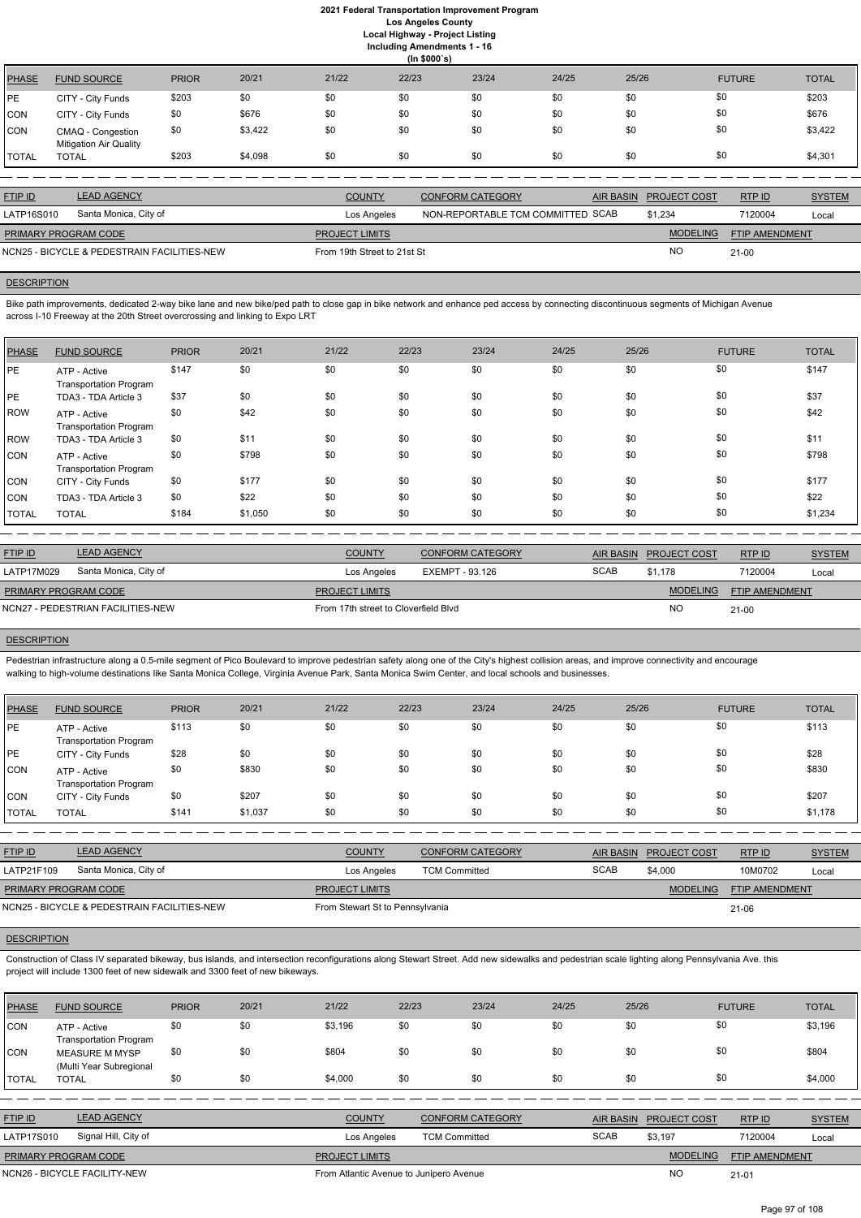|              | (ln \$000's)                                       |              |         |       |       |       |       |       |               |              |  |  |
|--------------|----------------------------------------------------|--------------|---------|-------|-------|-------|-------|-------|---------------|--------------|--|--|
| PHASE        | <b>FUND SOURCE</b>                                 | <b>PRIOR</b> | 20/21   | 21/22 | 22/23 | 23/24 | 24/25 | 25/26 | <b>FUTURE</b> | <b>TOTAL</b> |  |  |
| PE           | CITY - City Funds                                  | \$203        | \$0     | \$0   | \$0   | \$0   | \$0   | \$0   | \$0           | \$203        |  |  |
| <b>CON</b>   | CITY - City Funds                                  | \$0          | \$676   | \$0   | \$0   | \$0   | \$0   | \$0   | \$0           | \$676        |  |  |
| CON          | CMAQ - Congestion<br><b>Mitigation Air Quality</b> | \$0          | \$3,422 | \$0   | \$0   | \$0   | \$0   | \$0   | \$0           | \$3,422      |  |  |
| <b>TOTAL</b> | <b>TOTAL</b>                                       | \$203        | \$4,098 | \$0   | \$0   | \$0   | \$0   | \$0   | \$0           | \$4,301      |  |  |

| <b>FTIP ID</b>       | <b>LEAD AGENCY</b>                          | <b>COUNTY</b>               | CONFORM CATEGORY                  | AIR BASIN PROJECT COST | RTPID                 | <b>SYSTEM</b> |
|----------------------|---------------------------------------------|-----------------------------|-----------------------------------|------------------------|-----------------------|---------------|
| LATP16S010           | Santa Monica, City of                       | Los Angeles                 | NON-REPORTABLE TCM COMMITTED SCAB | \$1,234                | 7120004               | Local         |
| PRIMARY PROGRAM CODE |                                             | <b>PROJECT LIMITS</b>       |                                   | <b>MODELING</b>        | <b>FTIP AMENDMENT</b> |               |
|                      | NCN25 - BICYCLE & PEDESTRAIN FACILITIES-NEW | From 19th Street to 21st St |                                   | <b>NO</b>              | $21 - 00$             |               |

## **DESCRIPTION**

Bike path improvements, dedicated 2-way bike lane and new bike/ped path to close gap in bike network and enhance ped access by connecting discontinuous segments of Michigan Avenue across I-10 Freeway at the 20th Street overcrossing and linking to Expo LRT

Pedestrian infrastructure along a 0.5-mile segment of Pico Boulevard to improve pedestrian safety along one of the City's highest collision areas, and improve connectivity and encourage walking to high-volume destinations like Santa Monica College, Virginia Avenue Park, Santa Monica Swim Center, and local schools and businesses.

| <b>PHASE</b> | <b>FUND SOURCE</b>                            | <b>PRIOR</b> | 20/21   | 21/22 | 22/23 | 23/24 | 24/25 | 25/26 | <b>FUTURE</b> | <b>TOTAL</b> |
|--------------|-----------------------------------------------|--------------|---------|-------|-------|-------|-------|-------|---------------|--------------|
| PE           | ATP - Active<br><b>Transportation Program</b> | \$147        | \$0     | \$0   | \$0   | \$0   | \$0   | \$0   | \$0           | \$147        |
| PE           | TDA3 - TDA Article 3                          | \$37         | \$0     | \$0   | \$0   | \$0   | \$0   | \$0   | \$0           | \$37         |
| ROW          | ATP - Active<br><b>Transportation Program</b> | \$0          | \$42    | \$0   | \$0   | \$0   | \$0   | \$0   | \$0           | \$42         |
| ROW          | TDA3 - TDA Article 3                          | \$0          | \$11    | \$0   | \$0   | \$0   | \$0   | \$0   | \$0           | \$11         |
| ICON         | ATP - Active<br><b>Transportation Program</b> | \$0          | \$798   | \$0   | \$0   | \$0   | \$0   | \$0   | \$0           | \$798        |
| <b>CON</b>   | CITY - City Funds                             | \$0          | \$177   | \$0   | \$0   | \$0   | \$0   | \$0   | \$0           | \$177        |
| <b>CON</b>   | TDA3 - TDA Article 3                          | \$0          | \$22    | \$0   | \$0   | \$0   | \$0   | \$0   | \$0           | \$22         |
| TOTAL        | <b>TOTAL</b>                                  | \$184        | \$1,050 | \$0   | \$0   | \$0   | \$0   | \$0   | \$0           | \$1,234      |

| <b>FTIP ID</b>                    | <b>LEAD AGENCY</b>    | <b>COUNTY</b>                        | <b>CONFORM CATEGORY</b> |             | AIR BASIN PROJECT COST | RTPID          | <b>SYSTEM</b> |
|-----------------------------------|-----------------------|--------------------------------------|-------------------------|-------------|------------------------|----------------|---------------|
| LATP17M029                        | Santa Monica, City of | Los Angeles                          | EXEMPT - 93.126         | <b>SCAB</b> | \$1.178                | 7120004        | Local         |
| <b>PRIMARY PROGRAM CODE</b>       |                       | <b>PROJECT LIMITS</b>                |                         |             | <b>MODELING</b>        | FTIP AMENDMENT |               |
| NCN27 - PEDESTRIAN FACILITIES-NEW |                       | From 17th street to Cloverfield Blvd |                         | NC          | $21-00$                |                |               |
|                                   |                       |                                      |                         |             |                        |                |               |

#### **DESCRIPTION**

| <b>PHASE</b> | <b>FUND SOURCE</b>                            | <b>PRIOR</b> | 20/21   | 21/22 | 22/23 | 23/24 | 24/25 | 25/26 | <b>FUTURE</b> | <b>TOTAL</b> |
|--------------|-----------------------------------------------|--------------|---------|-------|-------|-------|-------|-------|---------------|--------------|
| <b>PE</b>    | ATP - Active<br><b>Transportation Program</b> | \$113        | \$0     | \$0   | \$0   | \$0   | \$0   | \$0   | \$0           | \$113        |
| PE           | CITY - City Funds                             | \$28         | \$0     | \$0   | \$0   | \$0   | \$0   | \$0   | \$0           | \$28         |
| <b>CON</b>   | ATP - Active<br><b>Transportation Program</b> | \$0          | \$830   | \$0   | \$0   | \$0   | \$0   | \$0   | \$0           | \$830        |
| <b>CON</b>   | CITY - City Funds                             | \$0          | \$207   | \$0   | \$0   | \$0   | \$0   | \$0   | \$0           | \$207        |
| TOTAL        | <b>TOTAL</b>                                  | \$141        | \$1,037 | \$0   | \$0   | \$0   | \$0   | \$0   | \$0           | \$1,178      |

| <b>FTIP ID</b>                              | <b>LEAD AGENCY</b>    | <b>COUNTY</b>                   | <b>CONFORM CATEGORY</b> |             | AIR BASIN PROJECT COST | RTP ID                | <b>SYSTEM</b> |
|---------------------------------------------|-----------------------|---------------------------------|-------------------------|-------------|------------------------|-----------------------|---------------|
| LATP21F109                                  | Santa Monica, City of | Los Angeles                     | <b>TCM Committed</b>    | <b>SCAB</b> | \$4,000                | 10M0702               | Local         |
| <b>PRIMARY PROGRAM CODE</b>                 |                       | <b>PROJECT LIMITS</b>           |                         |             | MODELING               | <b>FTIP AMENDMENT</b> |               |
| NCN25 - BICYCLE & PEDESTRAIN FACILITIES-NEW |                       | From Stewart St to Pennsylvania |                         |             |                        | 21-06                 |               |

## **DESCRIPTION**

Construction of Class IV separated bikeway, bus islands, and intersection reconfigurations along Stewart Street. Add new sidewalks and pedestrian scale lighting along Pennsylvania Ave. this project will include 1300 feet of new sidewalk and 3300 feet of new bikeways.

| <b>PHASE</b>   | <b>FUND SOURCE</b>                               | <b>PRIOR</b> | 20/21 | 21/22                                   | 22/23                | 23/24                   | 24/25       | 25/26            |                 | <b>FUTURE</b>         | <b>TOTAL</b>  |
|----------------|--------------------------------------------------|--------------|-------|-----------------------------------------|----------------------|-------------------------|-------------|------------------|-----------------|-----------------------|---------------|
| CON            | ATP - Active<br><b>Transportation Program</b>    | \$0          | \$0   | \$3,196                                 | \$0                  | \$0                     | \$0         | \$0              |                 | \$0                   | \$3,196       |
| CON            | <b>MEASURE M MYSP</b><br>(Multi Year Subregional | \$0          | \$0   | \$804                                   | \$0                  | \$0                     | \$0         | \$0              |                 | \$0                   | \$804         |
| TOTAL          | <b>TOTAL</b>                                     | \$0          | \$0   | \$4,000                                 | \$0                  | \$0                     | \$0         | \$0              |                 | \$0                   | \$4,000       |
|                |                                                  |              |       |                                         |                      |                         |             |                  |                 |                       |               |
| <b>FTIP ID</b> | <b>LEAD AGENCY</b>                               |              |       | <b>COUNTY</b>                           |                      | <b>CONFORM CATEGORY</b> |             | <b>AIR BASIN</b> | PROJECT COST    | RTP ID                | <b>SYSTEM</b> |
| LATP17S010     | Signal Hill, City of                             |              |       | Los Angeles                             | <b>TCM Committed</b> |                         | <b>SCAB</b> |                  | \$3,197         | 7120004               | Local         |
|                | PRIMARY PROGRAM CODE                             |              |       | <b>PROJECT LIMITS</b>                   |                      |                         |             |                  | <b>MODELING</b> | <b>FTIP AMENDMENT</b> |               |
|                | NCN26 - BICYCLE FACILITY-NEW                     |              |       | From Atlantic Avenue to Junipero Avenue |                      |                         |             |                  | <b>NO</b>       | $21 - 01$             |               |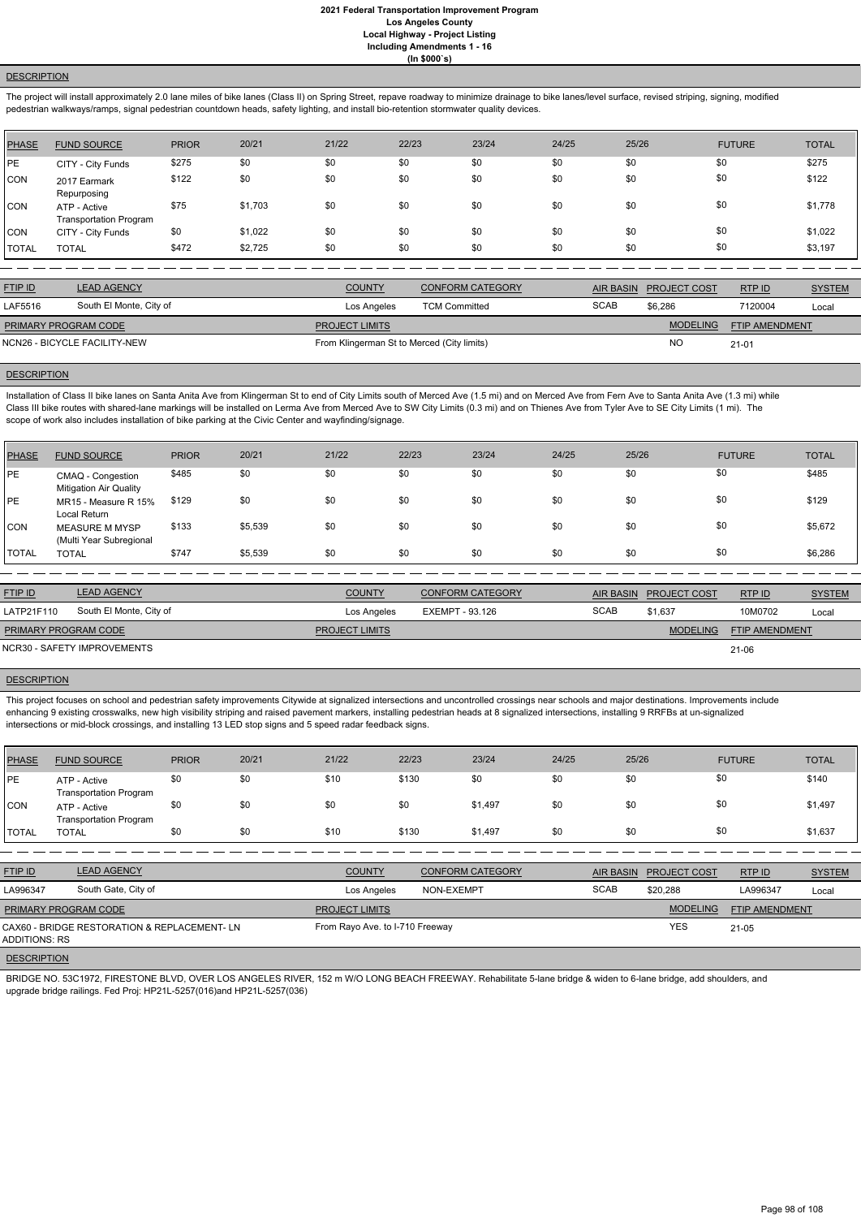# **DESCRIPTION**

The project will install approximately 2.0 lane miles of bike lanes (Class II) on Spring Street, repave roadway to minimize drainage to bike lanes/level surface, revised striping, signing, modified pedestrian walkways/ramps, signal pedestrian countdown heads, safety lighting, and install bio-retention stormwater quality devices.

| PHASE        | <b>FUND SOURCE</b>                            | <b>PRIOR</b> | 20/21   | 21/22 | 22/23 | 23/24 | 24/25 | 25/26 | <b>FUTURE</b> | <b>TOTAL</b> |
|--------------|-----------------------------------------------|--------------|---------|-------|-------|-------|-------|-------|---------------|--------------|
| PE           | CITY - City Funds                             | \$275        | \$0     | \$0   | \$0   | \$0   | \$0   | \$0   | \$0           | \$275        |
| <b>CON</b>   | 2017 Earmark<br>Repurposing                   | \$122        | \$0     | \$0   | \$0   | \$0   | \$0   | \$0   | \$0           | \$122        |
| CON          | ATP - Active<br><b>Transportation Program</b> | \$75         | \$1,703 | \$0   | \$0   | \$0   | \$0   | \$0   | \$0           | \$1,778      |
| <b>CON</b>   | CITY - City Funds                             | \$0          | \$1,022 | \$0   | \$0   | \$0   | \$0   | \$0   | \$0           | \$1,022      |
| <b>TOTAL</b> | <b>TOTAL</b>                                  | \$472        | \$2,725 | \$0   | \$0   | \$0   | \$0   | \$0   | \$0           | \$3,197      |

Installation of Class II bike lanes on Santa Anita Ave from Klingerman St to end of City Limits south of Merced Ave (1.5 mi) and on Merced Ave from Fern Ave to Santa Anita Ave (1.3 mi) while Class III bike routes with shared-lane markings will be installed on Lerma Ave from Merced Ave to SW City Limits (0.3 mi) and on Thienes Ave from Tyler Ave to SE City Limits (1 mi). The scope of work also includes installation of bike parking at the Civic Center and wayfinding/signage.

| <b>FTIP ID</b>              | <b>LEAD AGENCY</b>           | <b>COUNTY</b>                              | <b>CONFORM CATEGORY</b> |             | AIR BASIN PROJECT COST | RTP ID                | <b>SYSTEM</b> |
|-----------------------------|------------------------------|--------------------------------------------|-------------------------|-------------|------------------------|-----------------------|---------------|
| LAF5516                     | South El Monte, City of      | Los Angeles                                | <b>TCM Committed</b>    | <b>SCAB</b> | \$6.286                | 7120004               | Local         |
| <b>PRIMARY PROGRAM CODE</b> |                              | <b>PROJECT LIMITS</b>                      |                         |             | <b>MODELING</b>        | <b>FTIP AMENDMENT</b> |               |
|                             | NCN26 - BICYCLE FACILITY-NEW | From Klingerman St to Merced (City limits) |                         |             | <b>NO</b>              | $21 - 01$             |               |
|                             |                              |                                            |                         |             |                        |                       |               |

#### **DESCRIPTION**

This project focuses on school and pedestrian safety improvements Citywide at signalized intersections and uncontrolled crossings near schools and major destinations. Improvements include enhancing 9 existing crosswalks, new high visibility striping and raised pavement markers, installing pedestrian heads at 8 signalized intersections, installing 9 RRFBs at un-signalized intersections or mid-block crossings, and installing 13 LED stop signs and 5 speed radar feedback signs.

| PHASE          | <b>FUND SOURCE</b>                                 | <b>PRIOR</b> | 20/21   | 21/22 | 22/23 | 23/24 | 24/25 | 25/26 | <b>FUTURE</b> | <b>TOTAL</b> |
|----------------|----------------------------------------------------|--------------|---------|-------|-------|-------|-------|-------|---------------|--------------|
| <b>IPE</b>     | CMAQ - Congestion<br><b>Mitigation Air Quality</b> | \$485        | \$0     | \$0   | \$0   | \$0   | \$0   | \$0   | \$0           | \$485        |
| <b>IPE</b>     | MR15 - Measure R 15%<br>Local Return               | \$129        | \$0     | \$0   | \$0   | \$0   | \$0   | \$0   | \$0           | \$129        |
| CON            | <b>MEASURE M MYSP</b><br>(Multi Year Subregional   | \$133        | \$5,539 | \$0   | \$0   | \$0   | \$0   | \$0   | \$0           | \$5,672      |
| <b>I</b> TOTAL | <b>TOTAL</b>                                       | \$747        | \$5,539 | \$0   | \$0   | \$0   | \$0   | \$0   | \$0           | \$6,286      |

| <b>FTIP ID</b>              | <b>LEAD AGENCY</b>          | <b>COUNTY</b>         | <b>CONFORM CATEGORY</b> |             | AIR BASIN PROJECT COST | RTP ID                | <b>SYSTEM</b> |
|-----------------------------|-----------------------------|-----------------------|-------------------------|-------------|------------------------|-----------------------|---------------|
| LATP21F110                  | South El Monte, City of     | Los Angeles           | EXEMPT - 93.126         | <b>SCAB</b> | \$1.637                | 10M0702               | Local         |
| <b>PRIMARY PROGRAM CODE</b> |                             | <b>PROJECT LIMITS</b> |                         |             | <b>MODELING</b>        | <b>FTIP AMENDMENT</b> |               |
|                             | NCR30 - SAFETY IMPROVEMENTS |                       |                         |             |                        | 21-06                 |               |

## **DESCRIPTION**

| <b>PHASE</b> | <b>FUND SOURCE</b>                            | <b>PRIOR</b> | 20/21 | 21/22 | 22/23 | 23/24   | 24/25 | 25/26 | <b>FUTURE</b> | <b>TOTAL</b> |
|--------------|-----------------------------------------------|--------------|-------|-------|-------|---------|-------|-------|---------------|--------------|
| PE           | ATP - Active<br><b>Transportation Program</b> | \$0          | \$0   | \$10  | \$130 | \$0     | \$0   | \$0   | \$0           | \$140        |
| <b>CON</b>   | ATP - Active<br><b>Transportation Program</b> | \$0          | \$0   | \$0   | \$0   | \$1,497 | \$0   | \$0   | \$0           | \$1,497      |
| <b>TOTAL</b> | <b>TOTAL</b>                                  | \$0          | \$0   | \$10  | \$130 | \$1,497 | \$0   | \$0   | \$0           | \$1,637      |

| <b>FTIP ID</b>       | <b>LEAD AGENCY</b>  | <b>COUNTY</b>         | <b>CONFORM CATEGORY</b> |             | AIR BASIN PROJECT COST | RTP ID                | <b>SYSTEM</b> |
|----------------------|---------------------|-----------------------|-------------------------|-------------|------------------------|-----------------------|---------------|
| LA996347             | South Gate, City of | Los Angeles           | NON-EXEMPT              | <b>SCAB</b> | \$20.288               | LA996347              | Local         |
| PRIMARY PROGRAM CODE |                     | <b>PROJECT LIMITS</b> |                         |             | <b>MODELING</b>        | <b>FTIP AMENDMENT</b> |               |

## **DESCRIPTION**

BRIDGE NO. 53C1972, FIRESTONE BLVD, OVER LOS ANGELES RIVER, 152 m W/O LONG BEACH FREEWAY. Rehabilitate 5-lane bridge & widen to 6-lane bridge, add shoulders, and upgrade bridge railings. Fed Proj: HP21L-5257(016)and HP21L-5257(036)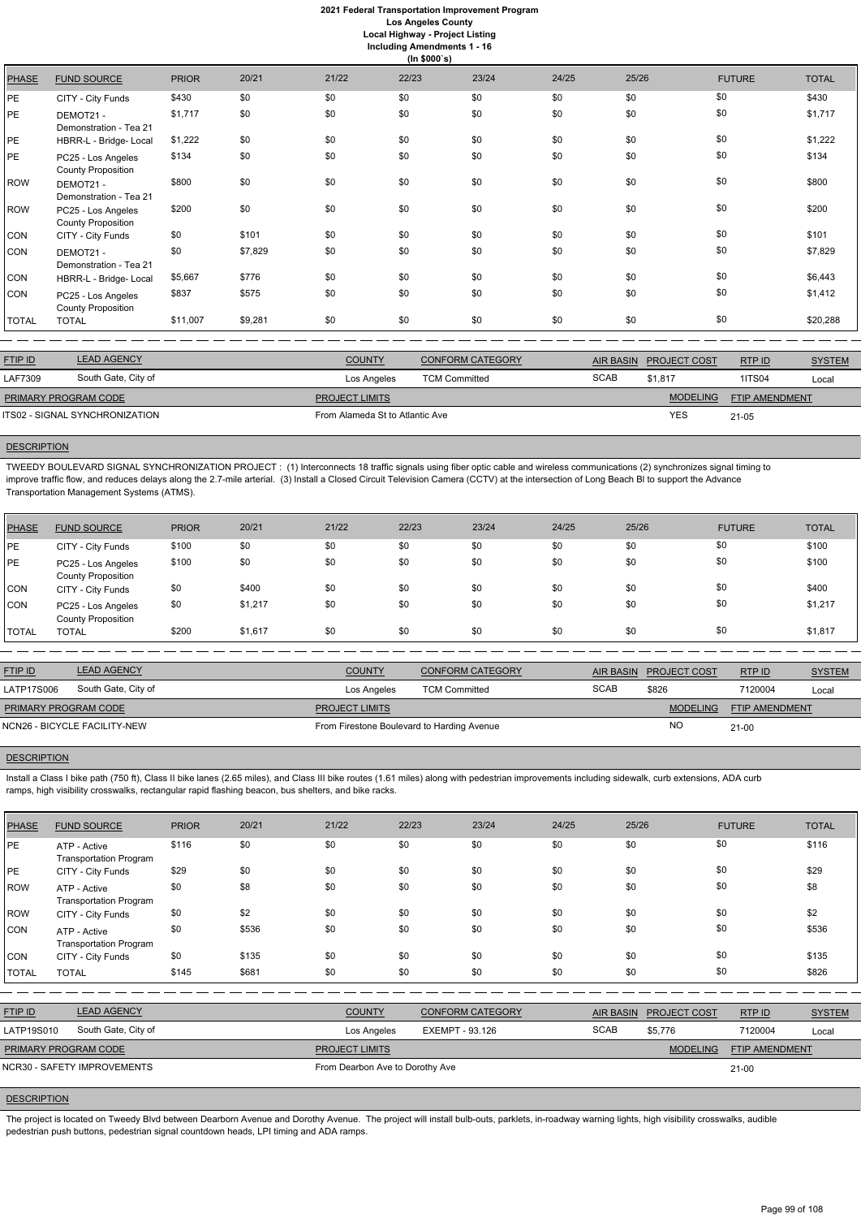# **2021 Federal Transportation Improvement Program Los Angeles County**

**Local Highway - Project Listing**

|  | <b>Including Amendments 1 - 16</b> |  |  |  |
|--|------------------------------------|--|--|--|
|--|------------------------------------|--|--|--|

| (ln \$000's) |                                                 |              |         |       |       |       |       |       |               |              |
|--------------|-------------------------------------------------|--------------|---------|-------|-------|-------|-------|-------|---------------|--------------|
| <b>PHASE</b> | <b>FUND SOURCE</b>                              | <b>PRIOR</b> | 20/21   | 21/22 | 22/23 | 23/24 | 24/25 | 25/26 | <b>FUTURE</b> | <b>TOTAL</b> |
| PE           | CITY - City Funds                               | \$430        | \$0     | \$0   | \$0   | \$0   | \$0   | \$0   | \$0           | \$430        |
| <b>PE</b>    | DEMOT21-<br>Demonstration - Tea 21              | \$1,717      | \$0     | \$0   | \$0   | \$0   | \$0   | \$0   | \$0           | \$1,717      |
| PE           | HBRR-L - Bridge- Local                          | \$1,222      | \$0     | \$0   | \$0   | \$0   | \$0   | \$0   | \$0           | \$1,222      |
| <b>PE</b>    | PC25 - Los Angeles<br><b>County Proposition</b> | \$134        | \$0     | \$0   | \$0   | \$0   | \$0   | \$0   | \$0           | \$134        |
| <b>ROW</b>   | DEMOT21-<br>Demonstration - Tea 21              | \$800        | \$0     | \$0   | \$0   | \$0   | \$0   | \$0   | \$0           | \$800        |
| <b>ROW</b>   | PC25 - Los Angeles<br><b>County Proposition</b> | \$200        | \$0     | \$0   | \$0   | \$0   | \$0   | \$0   | \$0           | \$200        |
| <b>CON</b>   | CITY - City Funds                               | \$0          | \$101   | \$0   | \$0   | \$0   | \$0   | \$0   | \$0           | \$101        |
| CON          | DEMOT21 -<br>Demonstration - Tea 21             | \$0          | \$7,829 | \$0   | \$0   | \$0   | \$0   | \$0   | \$0           | \$7,829      |
| CON          | HBRR-L - Bridge- Local                          | \$5,667      | \$776   | \$0   | \$0   | \$0   | \$0   | \$0   | \$0           | \$6,443      |
| CON          | PC25 - Los Angeles<br><b>County Proposition</b> | \$837        | \$575   | \$0   | \$0   | \$0   | \$0   | \$0   | \$0           | \$1,412      |
| <b>TOTAL</b> | <b>TOTAL</b>                                    | \$11,007     | \$9,281 | \$0   | \$0   | \$0   | \$0   | \$0   | \$0           | \$20,288     |

| <b>FTIP ID</b>                 | <b>LEAD AGENCY</b>  | <b>COUNTY</b>                   | <b>CONFORM CATEGORY</b> |             | AIR BASIN PROJECT COST | RTPID          | <b>SYSTEM</b> |
|--------------------------------|---------------------|---------------------------------|-------------------------|-------------|------------------------|----------------|---------------|
| LAF7309                        | South Gate, City of | Los Angeles                     | <b>TCM Committed</b>    | <b>SCAB</b> | \$1,817                | <b>1ITS04</b>  | Local         |
| <b>PRIMARY PROGRAM CODE</b>    |                     | <b>PROJECT LIMITS</b>           |                         |             | <b>MODELING</b>        | FTIP AMENDMENT |               |
| ITS02 - SIGNAL SYNCHRONIZATION |                     | From Alameda St to Atlantic Ave |                         | YES         | $21 - 05$              |                |               |

## **DESCRIPTION**

Install a Class I bike path (750 ft), Class II bike lanes (2.65 miles), and Class III bike routes (1.61 miles) along with pedestrian improvements including sidewalk, curb extensions, ADA curb ramps, high visibility crosswalks, rectangular rapid flashing beacon, bus shelters, and bike racks.

TWEEDY BOULEVARD SIGNAL SYNCHRONIZATION PROJECT : (1) Interconnects 18 traffic signals using fiber optic cable and wireless communications (2) synchronizes signal timing to improve traffic flow, and reduces delays along the 2.7-mile arterial. (3) Install a Closed Circuit Television Camera (CCTV) at the intersection of Long Beach Bl to support the Advance Transportation Management Systems (ATMS).

| PHASE        | <b>FUND SOURCE</b>                              | <b>PRIOR</b> | 20/21   | 21/22 | 22/23 | 23/24 | 24/25 | 25/26 | <b>FUTURE</b> | <b>TOTAL</b> |
|--------------|-------------------------------------------------|--------------|---------|-------|-------|-------|-------|-------|---------------|--------------|
| <b>IPE</b>   | CITY - City Funds                               | \$100        | \$0     | \$0   | \$0   | \$0   | \$0   | \$0   | \$0           | \$100        |
| PE           | PC25 - Los Angeles<br><b>County Proposition</b> | \$100        | \$0     | \$0   | \$0   | \$0   | \$0   | \$0   | \$0           | \$100        |
| <b>CON</b>   | CITY - City Funds                               | \$0          | \$400   | \$0   | \$0   | \$0   | \$0   | \$0   | \$0           | \$400        |
| <b>CON</b>   | PC25 - Los Angeles<br><b>County Proposition</b> | \$0          | \$1,217 | \$0   | \$0   | \$0   | \$0   | \$0   | \$0           | \$1,217      |
| <b>TOTAL</b> | <b>TOTAL</b>                                    | \$200        | \$1,617 | \$0   | \$0   | \$0   | \$0   | \$0   | \$0           | \$1,817      |

The project is located on Tweedy Blvd between Dearborn Avenue and Dorothy Avenue. The project will install bulb-outs, parklets, in-roadway warning lights, high visibility crosswalks, audible pedestrian push buttons, pedestrian signal countdown heads, LPI timing and ADA ramps.

| <b>FTIP ID</b>               | <b>LEAD AGENCY</b>  | <b>COUNTY</b>                              | <b>CONFORM CATEGORY</b> |             | AIR BASIN PROJECT COST | RTPID                 | <b>SYSTEM</b> |
|------------------------------|---------------------|--------------------------------------------|-------------------------|-------------|------------------------|-----------------------|---------------|
| LATP17S006                   | South Gate, City of | Los Angeles                                | <b>TCM Committed</b>    | <b>SCAB</b> | \$826                  | 7120004               | Local         |
| PRIMARY PROGRAM CODE         |                     | <b>PROJECT LIMITS</b>                      |                         |             | MODELING               | <b>FTIP AMENDMENT</b> |               |
| NCN26 - BICYCLE FACILITY-NEW |                     | From Firestone Boulevard to Harding Avenue |                         |             | <b>NC</b>              | $21 - 00$             |               |

#### **DESCRIPTION**

| <b>PHASE</b> | <b>FUND SOURCE</b>                            | <b>PRIOR</b> | 20/21 | 21/22                 | 22/23                           | 23/24                   | 24/25 | 25/26            |                 | <b>FUTURE</b>  | <b>TOTAL</b>  |
|--------------|-----------------------------------------------|--------------|-------|-----------------------|---------------------------------|-------------------------|-------|------------------|-----------------|----------------|---------------|
| PE           | ATP - Active<br><b>Transportation Program</b> | \$116        | \$0   | \$0                   | \$0                             | \$0                     | \$0   | \$0              |                 | \$0            | \$116         |
| PE           | CITY - City Funds                             | \$29         | \$0   | \$0                   | \$0                             | \$0                     | \$0   | \$0              |                 | \$0            | \$29          |
| ROW          | ATP - Active<br><b>Transportation Program</b> | \$0          | \$8   | \$0                   | \$0                             | \$0                     | \$0   | \$0              |                 | \$0            | \$8           |
| ROW          | CITY - City Funds                             | \$0          | \$2   | \$0                   | \$0                             | \$0                     | \$0   | \$0              |                 | \$0            | \$2           |
| CON          | ATP - Active<br><b>Transportation Program</b> | \$0          | \$536 | \$0                   | \$0                             | \$0                     | \$0   | \$0              |                 | \$0            | \$536         |
| CON          | CITY - City Funds                             | \$0          | \$135 | \$0                   | \$0                             | \$0                     | \$0   | \$0              |                 | \$0            | \$135         |
| <b>TOTAL</b> | <b>TOTAL</b>                                  | \$145        | \$681 | \$0                   | \$0                             | \$0                     | \$0   | \$0              |                 | \$0            | \$826         |
|              |                                               |              |       |                       |                                 |                         |       |                  |                 |                |               |
| FTIP ID      | <b>LEAD AGENCY</b>                            |              |       | <b>COUNTY</b>         |                                 | <b>CONFORM CATEGORY</b> |       | <b>AIR BASIN</b> | PROJECT COST    | RTP ID         | <b>SYSTEM</b> |
| LATP19S010   | South Gate, City of                           |              |       | Los Angeles           | EXEMPT - 93.126                 |                         |       | <b>SCAB</b>      | \$5,776         | 7120004        | Local         |
|              | PRIMARY PROGRAM CODE                          |              |       | <b>PROJECT LIMITS</b> |                                 |                         |       |                  | <b>MODELING</b> | FTIP AMENDMENT |               |
|              | NCR30 - SAFETY IMPROVEMENTS                   |              |       |                       | From Dearbon Ave to Dorothy Ave |                         |       |                  |                 | $21-00$        |               |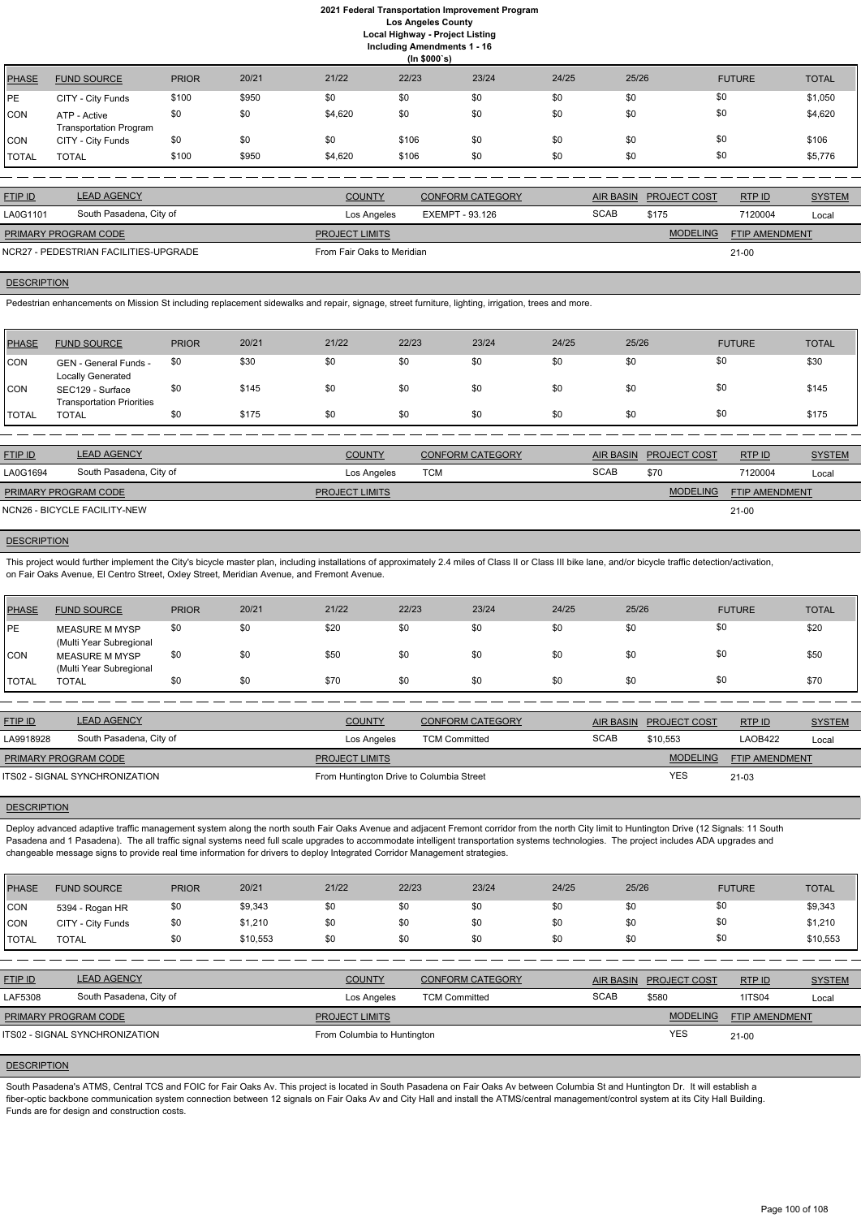**Including Amendments 1 - 16**

|              | (ln \$000's)                                  |              |       |         |       |       |       |       |               |              |  |
|--------------|-----------------------------------------------|--------------|-------|---------|-------|-------|-------|-------|---------------|--------------|--|
| <b>PHASE</b> | <b>FUND SOURCE</b>                            | <b>PRIOR</b> | 20/21 | 21/22   | 22/23 | 23/24 | 24/25 | 25/26 | <b>FUTURE</b> | <b>TOTAL</b> |  |
| PE           | CITY - City Funds                             | \$100        | \$950 | \$0     | \$0   | \$0   | \$0   | \$0   | \$0           | \$1,050      |  |
| <b>CON</b>   | ATP - Active<br><b>Transportation Program</b> | \$0          | \$0   | \$4,620 | \$0   | \$0   | \$0   | \$0   | \$0           | \$4,620      |  |
| <b>CON</b>   | CITY - City Funds                             | \$0          | \$0   | \$0     | \$106 | \$0   | \$0   | \$0   | \$0           | \$106        |  |
| <b>TOTAL</b> | <b>TOTAL</b>                                  | \$100        | \$950 | \$4,620 | \$106 | \$0   | \$0   | \$0   | \$0           | \$5,776      |  |

| <b>FTIP ID</b>                        | <b>LEAD AGENCY</b>      | <b>COUNTY</b>              | <b>CONFORM CATEGORY</b> | <b>AIR BASIN</b> | <b>PROJECT COST</b> | RTP ID                | <b>SYSTEM</b> |
|---------------------------------------|-------------------------|----------------------------|-------------------------|------------------|---------------------|-----------------------|---------------|
| LA0G1101                              | South Pasadena, City of | Los Angeles                | EXEMPT - 93.126         | <b>SCAB</b>      | \$175               | 7120004               | Local         |
| <b>PRIMARY PROGRAM CODE</b>           |                         | <b>PROJECT LIMITS</b>      |                         |                  | <b>MODELING</b>     | <b>FTIP AMENDMENT</b> |               |
| NCR27 - PEDESTRIAN FACILITIES-UPGRADE |                         | From Fair Oaks to Meridian |                         |                  |                     | 21-00                 |               |

# **DESCRIPTION**

Pedestrian enhancements on Mission St including replacement sidewalks and repair, signage, street furniture, lighting, irrigation, trees and more.

This project would further implement the City's bicycle master plan, including installations of approximately 2.4 miles of Class II or Class III bike lane, and/or bicycle traffic detection/activation, on Fair Oaks Avenue, El Centro Street, Oxley Street, Meridian Avenue, and Fremont Avenue.

| PHASE         | <b>FUND SOURCE</b>                                   | <b>PRIOR</b> | 20/21 | 21/22 | 22/23 | 23/24 | 24/25 | 25/26 | <b>FUTURE</b> | <b>TOTAL</b> |
|---------------|------------------------------------------------------|--------------|-------|-------|-------|-------|-------|-------|---------------|--------------|
| <b>CON</b>    | GEN - General Funds -<br>Locally Generated           | \$0          | \$30  | \$0   | \$0   | \$0   | \$0   | \$0   | \$0           | \$30         |
| <b>CON</b>    | SEC129 - Surface<br><b>Transportation Priorities</b> | \$0          | \$145 | \$0   | \$0   | \$0   | \$0   | \$0   | \$0           | \$145        |
| <b>ITOTAL</b> | <b>TOTAL</b>                                         | \$0          | \$175 | \$0   | \$0   | \$0   | \$0   | \$0   | \$0           | \$175        |

| <b>FTIP ID</b>              | <b>LEAD AGENCY</b>           | <b>COUNTY</b>         | <b>CONFORM CATEGORY</b> |             | AIR BASIN PROJECT COST | RTP ID                | <b>SYSTEM</b> |
|-----------------------------|------------------------------|-----------------------|-------------------------|-------------|------------------------|-----------------------|---------------|
| LA0G1694                    | South Pasadena, City of      | Los Angeles           | тсм                     | <b>SCAB</b> | \$70                   | 7120004               | Local         |
| <b>PRIMARY PROGRAM CODE</b> |                              | <b>PROJECT LIMITS</b> |                         |             | <b>MODELING</b>        | <b>FTIP AMENDMENT</b> |               |
|                             | NCN26 - BICYCLE FACILITY-NEW |                       |                         |             |                        | 21-00                 |               |

# **DESCRIPTION**

Deploy advanced adaptive traffic management system along the north south Fair Oaks Avenue and adjacent Fremont corridor from the north City limit to Huntington Drive (12 Signals: 11 South Pasadena and 1 Pasadena). The all traffic signal systems need full scale upgrades to accommodate intelligent transportation systems technologies. The project includes ADA upgrades and changeable message signs to provide real time information for drivers to deploy Integrated Corridor Management strategies.

| <b>PHASE</b> | <b>FUND SOURCE</b>                        | <b>PRIOR</b> | 20/21 | 21/22 | 22/23 | 23/24 | 24/25 | 25/26 | <b>FUTURE</b> | <b>TOTAL</b> |
|--------------|-------------------------------------------|--------------|-------|-------|-------|-------|-------|-------|---------------|--------------|
| <b>IPE</b>   | MEASURE M MYSP<br>(Multi Year Subregional | \$0          | \$0   | \$20  | \$0   | \$0   | \$0   | \$0   | \$0           | \$20         |
| ICON         | MEASURE M MYSP<br>(Multi Year Subregional | \$0          | \$0   | \$50  | \$0   | \$0   | \$0   | \$0   | \$0           | \$50         |
| 'TOTAL       | <b>TOTAL</b>                              | \$0          | \$0   | \$70  | \$0   | \$0   | \$0   | \$0   | \$0           | \$70         |

South Pasadena's ATMS, Central TCS and FOIC for Fair Oaks Av. This project is located in South Pasadena on Fair Oaks Av between Columbia St and Huntington Dr. It will establish a fiber-optic backbone communication system connection between 12 signals on Fair Oaks Av and City Hall and install the ATMS/central management/control system at its City Hall Building. Funds are for design and construction costs.

| <b>FTIP ID</b>              | <b>LEAD AGENCY</b>             | <b>COUNTY</b>                            | <b>CONFORM CATEGORY</b> | <b>AIR BASIN</b> | <b>PROJECT COST</b> | RTPID                 | <b>SYSTEM</b> |
|-----------------------------|--------------------------------|------------------------------------------|-------------------------|------------------|---------------------|-----------------------|---------------|
| LA9918928                   | South Pasadena, City of        | Los Angeles                              | <b>TCM Committed</b>    | <b>SCAB</b>      | \$10,553            | LAOB422               | Local         |
| <b>PRIMARY PROGRAM CODE</b> |                                | <b>PROJECT LIMITS</b>                    |                         |                  | <b>MODELING</b>     | <b>FTIP AMENDMENT</b> |               |
|                             | ITS02 - SIGNAL SYNCHRONIZATION | From Huntington Drive to Columbia Street |                         |                  | <b>YES</b>          | 21-03                 |               |
|                             |                                |                                          |                         |                  |                     |                       |               |

## **DESCRIPTION**

| <b>PHASE</b> | <b>FUND SOURCE</b> | <b>PRIOR</b>  | 20/21                             | 21/22         | 22/23 | 23/24         | 24/25         | 25/26         | <b>FUTURE</b> | <b>TOTAL</b>                      |
|--------------|--------------------|---------------|-----------------------------------|---------------|-------|---------------|---------------|---------------|---------------|-----------------------------------|
| <b>CON</b>   | 5394 - Rogan HR    | \$0           | \$9,343                           |               |       |               |               |               | \$C           | \$9,343                           |
| .            |                    | $\sim$ $\sim$ | $\bullet$ . $\bullet$ . $\bullet$ | $\sim$ $\sim$ | --    | $\sim$ $\sim$ | $\sim$ $\sim$ | $\sim$ $\sim$ | $\sim$        | $\bullet$ . $\bullet$ . $\bullet$ |

| <b>CON</b>     | CITY - City Funds                     | \$0 | \$1,210  | \$0                   | \$0                         | \$0                     | \$0 | \$0              | \$0                 |                       | \$1,210       |
|----------------|---------------------------------------|-----|----------|-----------------------|-----------------------------|-------------------------|-----|------------------|---------------------|-----------------------|---------------|
| <b>ITOTAL</b>  | <b>TOTAL</b>                          | \$0 | \$10,553 | \$0                   | \$0                         | \$0                     | \$0 | \$0              | \$0                 |                       | \$10,553      |
|                |                                       |     |          |                       |                             |                         |     |                  |                     |                       |               |
| <b>FTIP ID</b> | <b>LEAD AGENCY</b>                    |     |          | <b>COUNTY</b>         |                             | <b>CONFORM CATEGORY</b> |     | <b>AIR BASIN</b> | <b>PROJECT COST</b> | RTPID                 | <b>SYSTEM</b> |
| LAF5308        | South Pasadena, City of               |     |          |                       | Los Angeles                 | <b>TCM Committed</b>    |     | <b>SCAB</b>      | \$580               | <b>1ITS04</b>         | Local         |
|                | PRIMARY PROGRAM CODE                  |     |          | <b>PROJECT LIMITS</b> |                             |                         |     |                  | <b>MODELING</b>     | <b>FTIP AMENDMENT</b> |               |
|                | <b>ITS02 - SIGNAL SYNCHRONIZATION</b> |     |          |                       | From Columbia to Huntington |                         |     |                  | <b>YES</b>          | 21-00                 |               |
|                |                                       |     |          |                       |                             |                         |     |                  |                     |                       |               |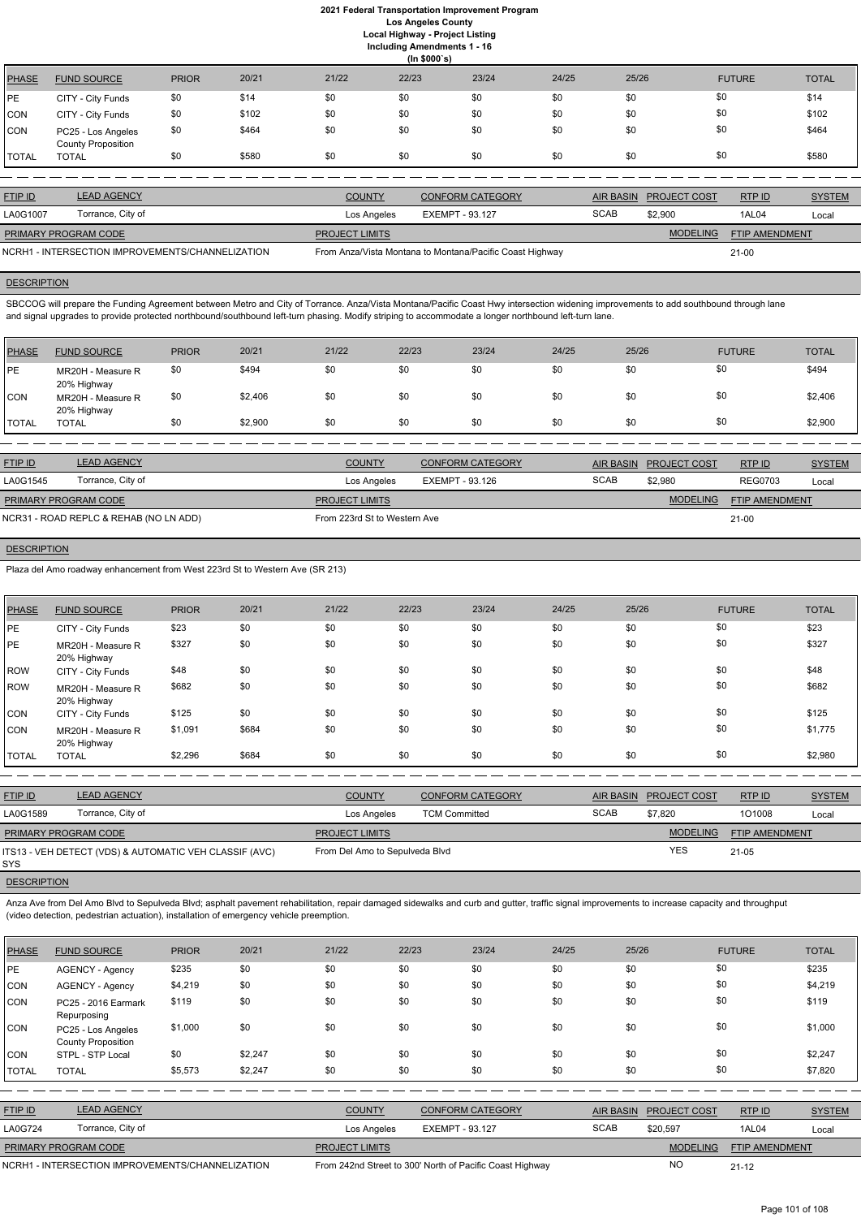|              |                                                 |              |       |       | (ln \$000's) |       |       |       |               |              |
|--------------|-------------------------------------------------|--------------|-------|-------|--------------|-------|-------|-------|---------------|--------------|
| PHASE        | <b>FUND SOURCE</b>                              | <b>PRIOR</b> | 20/21 | 21/22 | 22/23        | 23/24 | 24/25 | 25/26 | <b>FUTURE</b> | <b>TOTAL</b> |
| <b>IPE</b>   | CITY - City Funds                               | \$0          | \$14  | \$0   | \$0          | \$0   | \$0   | \$0   | \$0           | \$14         |
| CON          | CITY - City Funds                               | \$0          | \$102 | \$0   | \$0          | \$0   | \$0   | \$0   | \$0           | \$102        |
| <b>CON</b>   | PC25 - Los Angeles<br><b>County Proposition</b> | \$0          | \$464 | \$0   | \$0          | \$0   | \$0   | \$0   | \$0           | \$464        |
| <b>TOTAL</b> | <b>TOTAL</b>                                    | \$0          | \$580 | \$0   | \$0          | \$0   | \$0   | \$0   | \$0           | \$580        |

SBCCOG will prepare the Funding Agreement between Metro and City of Torrance. Anza/Vista Montana/Pacific Coast Hwy intersection widening improvements to add southbound through lane and signal upgrades to provide protected northbound/southbound left-turn phasing. Modify striping to accommodate a longer northbound left-turn lane.

| <b>FTIP ID</b>              | <b>LEAD AGENCY</b>                               | <b>COUNTY</b>         | <b>CONFORM CATEGORY</b>                                  |             | AIR BASIN PROJECT COST | RTP ID                | <b>SYSTEM</b> |
|-----------------------------|--------------------------------------------------|-----------------------|----------------------------------------------------------|-------------|------------------------|-----------------------|---------------|
| LA0G1007                    | Torrance, City of                                | Los Angeles           | EXEMPT - 93.127                                          | <b>SCAB</b> | \$2,900                | 1AL04                 | Local         |
| <b>PRIMARY PROGRAM CODE</b> |                                                  | <b>PROJECT LIMITS</b> |                                                          |             | <b>MODELING</b>        | <b>FTIP AMENDMENT</b> |               |
|                             | NCRH1 - INTERSECTION IMPROVEMENTS/CHANNELIZATION |                       | From Anza/Vista Montana to Montana/Pacific Coast Highway |             |                        | $21-00$               |               |

# **DESCRIPTION**

| <b>PHASE</b> | <b>FUND SOURCE</b>               | <b>PRIOR</b> | 20/21   | 21/22 | 22/23 | 23/24 | 24/25 | 25/26 | <b>FUTURE</b> | <b>TOTAL</b> |
|--------------|----------------------------------|--------------|---------|-------|-------|-------|-------|-------|---------------|--------------|
| <b>IPE</b>   | MR20H - Measure R<br>20% Highway | \$0          | \$494   | \$0   | \$0   | \$0   | \$0   | \$0   | \$0           | \$494        |
| <b>CON</b>   | MR20H - Measure R<br>20% Highway | \$0          | \$2,406 | \$0   | \$0   | \$0   | \$0   | \$0   | \$0           | \$2,406      |
| <b>TOTAL</b> | <b>TOTAL</b>                     | \$0          | \$2,900 | \$0   | \$0   | \$0   | \$0   | \$0   | \$0           | \$2,900      |

Anza Ave from Del Amo Blvd to Sepulveda Blvd; asphalt pavement rehabilitation, repair damaged sidewalks and curb and gutter, traffic signal improvements to increase capacity and throughput (video detection, pedestrian actuation), installation of emergency vehicle preemption.

| <b>FTIP ID</b>              | <b>LEAD AGENCY</b>                     | <b>COUNTY</b>                | CONFORM CATEGORY | <b>AIR BASIN</b> | <b>PROJECT COST</b> | RTP ID                | <b>SYSTEM</b> |
|-----------------------------|----------------------------------------|------------------------------|------------------|------------------|---------------------|-----------------------|---------------|
| LA0G1545                    | Torrance, City of                      | Los Angeles                  | EXEMPT - 93.126  | <b>SCAB</b>      | \$2.980             | <b>REG0703</b>        | Local         |
| <b>PRIMARY PROGRAM CODE</b> |                                        | <b>PROJECT LIMITS</b>        |                  |                  | <b>MODELING</b>     | <b>FTIP AMENDMENT</b> |               |
|                             | NCR31 - ROAD REPLC & REHAB (NO LN ADD) | From 223rd St to Western Ave |                  |                  |                     | $21 - 00$             |               |

# **DESCRIPTION**

Plaza del Amo roadway enhancement from West 223rd St to Western Ave (SR 213)

| <b>PHASE</b> | <b>FUND SOURCE</b>               | <b>PRIOR</b> | 20/21 | 21/22 | 22/23 | 23/24 | 24/25 | 25/26 | <b>FUTURE</b> | <b>TOTAL</b> |
|--------------|----------------------------------|--------------|-------|-------|-------|-------|-------|-------|---------------|--------------|
| <b>IPE</b>   | CITY - City Funds                | \$23         | \$0   | \$0   | \$0   | \$0   | \$0   | \$0   | \$0           | \$23         |
| <b>IPE</b>   | MR20H - Measure R<br>20% Highway | \$327        | \$0   | \$0   | \$0   | \$0   | \$0   | \$0   | \$0           | \$327        |
| ROW          | CITY - City Funds                | \$48         | \$0   | \$0   | \$0   | \$0   | \$0   | \$0   | \$0           | \$48         |
| ROW          | MR20H - Measure R<br>20% Highway | \$682        | \$0   | \$0   | \$0   | \$0   | \$0   | \$0   | \$0           | \$682        |
| <b>CON</b>   | CITY - City Funds                | \$125        | \$0   | \$0   | \$0   | \$0   | \$0   | \$0   | \$0           | \$125        |
| <b>CON</b>   | MR20H - Measure R<br>20% Highway | \$1,091      | \$684 | \$0   | \$0   | \$0   | \$0   | \$0   | \$0           | \$1,775      |
| <b>TOTAL</b> | <b>TOTAL</b>                     | \$2,296      | \$684 | \$0   | \$0   | \$0   | \$0   | \$0   | \$0           | \$2,980      |

| <b>FTIP ID</b>       | <b>LEAD AGENCY</b>                                     | <b>COUNTY</b>                  | <b>CONFORM CATEGORY</b> |             | AIR BASIN PROJECT COST | RTPID                 | <b>SYSTEM</b> |
|----------------------|--------------------------------------------------------|--------------------------------|-------------------------|-------------|------------------------|-----------------------|---------------|
| LA0G1589             | Torrance, City of                                      | Los Angeles                    | <b>TCM Committed</b>    | <b>SCAB</b> | \$7.820                | 101008                | Local         |
| PRIMARY PROGRAM CODE |                                                        | <b>PROJECT LIMITS</b>          |                         |             | <b>MODELING</b>        | <b>FTIP AMENDMENT</b> |               |
| SYS                  | ITS13 - VEH DETECT (VDS) & AUTOMATIC VEH CLASSIF (AVC) | From Del Amo to Sepulveda Blvd |                         |             | YES                    | $21 - 05$             |               |

| <b>PHASE</b>   | <b>FUND SOURCE</b>                               | <b>PRIOR</b> | 20/21   | 21/22                 | 22/23                  | 23/24                                                    | 24/25       | 25/26            |                     | <b>FUTURE</b>         | <b>TOTAL</b>  |
|----------------|--------------------------------------------------|--------------|---------|-----------------------|------------------------|----------------------------------------------------------|-------------|------------------|---------------------|-----------------------|---------------|
| PE             | <b>AGENCY - Agency</b>                           | \$235        | \$0     | \$0                   | \$0                    | \$0                                                      | \$0         | \$0              | \$0                 |                       | \$235         |
| <b>CON</b>     | <b>AGENCY - Agency</b>                           | \$4,219      | \$0     | \$0                   | \$0                    | \$0                                                      | \$0         | \$0              | \$0                 |                       | \$4,219       |
| CON            | PC25 - 2016 Earmark<br>Repurposing               | \$119        | \$0     | \$0                   | \$0                    | \$0                                                      | \$0         | \$0              | \$0                 |                       | \$119         |
| CON            | PC25 - Los Angeles<br><b>County Proposition</b>  | \$1,000      | \$0     | \$0                   | \$0                    | \$0                                                      | \$0         | \$0              | \$0                 |                       | \$1,000       |
| <b>CON</b>     | STPL - STP Local                                 | \$0          | \$2,247 | \$0                   | \$0                    | \$0                                                      | \$0         | \$0              | \$0                 |                       | \$2,247       |
| <b>TOTAL</b>   | <b>TOTAL</b>                                     | \$5,573      | \$2,247 | \$0                   | \$0                    | \$0                                                      | \$0         | \$0              | \$0                 |                       | \$7,820       |
|                |                                                  |              |         |                       |                        |                                                          |             |                  |                     |                       |               |
| FTIP ID        | <b>LEAD AGENCY</b>                               |              |         | <b>COUNTY</b>         |                        | <b>CONFORM CATEGORY</b>                                  |             | <b>AIR BASIN</b> | <b>PROJECT COST</b> | RTP ID                | <b>SYSTEM</b> |
| <b>LA0G724</b> | Torrance, City of                                |              |         | Los Angeles           | <b>EXEMPT - 93.127</b> |                                                          | <b>SCAB</b> |                  | \$20,597            | 1AL04                 | Local         |
|                | PRIMARY PROGRAM CODE                             |              |         | <b>PROJECT LIMITS</b> |                        |                                                          |             |                  | <b>MODELING</b>     | <b>FTIP AMENDMENT</b> |               |
|                | NCRH1 - INTERSECTION IMPROVEMENTS/CHANNELIZATION |              |         |                       |                        | From 242nd Street to 300' North of Pacific Coast Highway |             |                  | <b>NO</b>           | $21 - 12$             |               |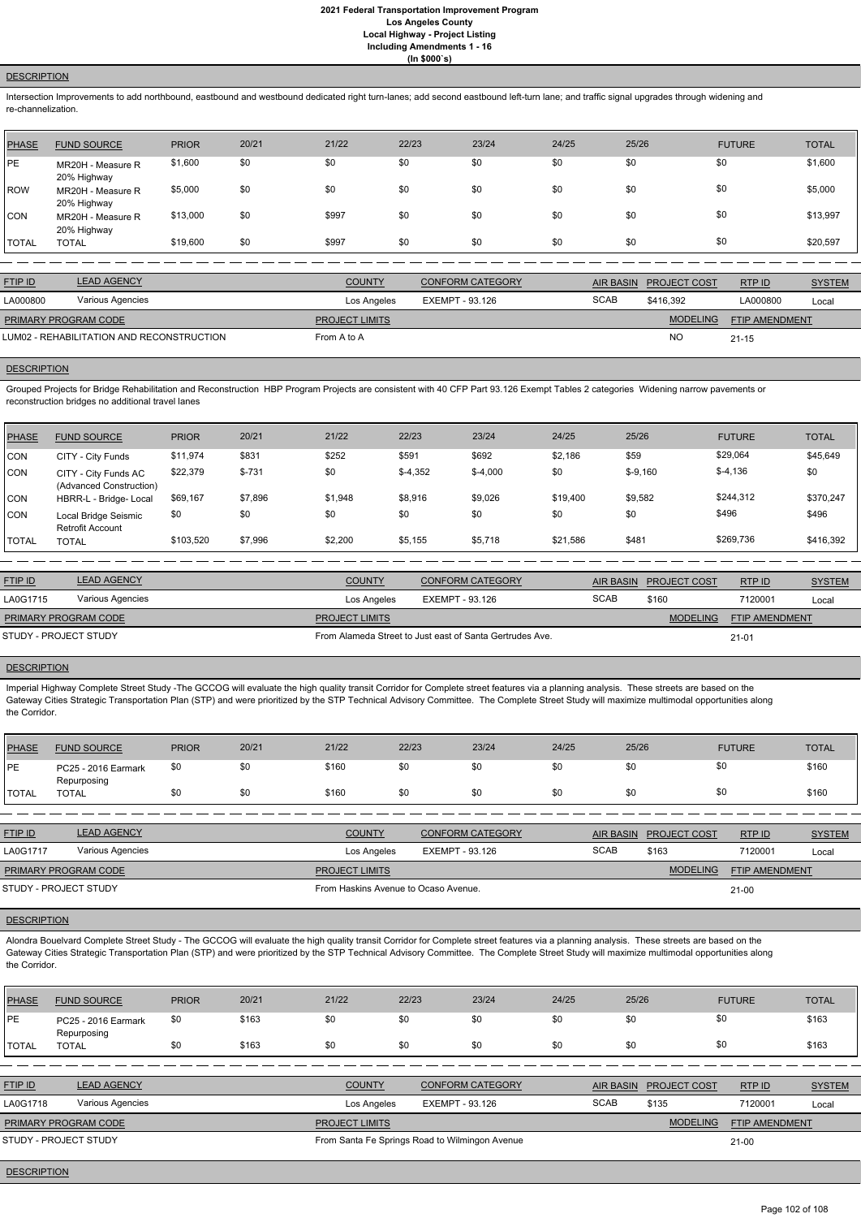#### **DESCRIPTION**

Intersection Improvements to add northbound, eastbound and westbound dedicated right turn-lanes; add second eastbound left-turn lane; and traffic signal upgrades through widening and re-channelization.

| <b>PHASE</b> | <b>FUND SOURCE</b>               | <b>PRIOR</b> | 20/21 | 21/22 | 22/23 | 23/24 | 24/25 | 25/26 | <b>FUTURE</b> | <b>TOTAL</b> |
|--------------|----------------------------------|--------------|-------|-------|-------|-------|-------|-------|---------------|--------------|
| PE           | MR20H - Measure R<br>20% Highway | \$1,600      | \$0   | \$0   | \$0   | \$0   | \$0   | \$0   | \$0           | \$1,600      |
| ROW          | MR20H - Measure R<br>20% Highway | \$5,000      | \$0   | \$0   | \$0   | \$0   | \$0   | \$0   | \$0           | \$5,000      |
| CON          | MR20H - Measure R<br>20% Highway | \$13,000     | \$0   | \$997 | \$0   | \$0   | \$0   | \$0   | \$0           | \$13,997     |
| <b>TOTAL</b> | <b>TOTAL</b>                     | \$19,600     | \$0   | \$997 | \$0   | \$0   | \$0   | \$0   | \$0           | \$20,597     |

| <b>FTIP ID</b>                            | <b>LEAD AGENCY</b> | <b>COUNTY</b>         | <b>CONFORM CATEGORY</b> | AIR BASIN   | <b>PROJECT COST</b> | RTPID                 | <b>SYSTEM</b> |
|-------------------------------------------|--------------------|-----------------------|-------------------------|-------------|---------------------|-----------------------|---------------|
| LA000800                                  | Various Agencies   | Los Angeles           | EXEMPT - 93.126         | <b>SCAB</b> | \$416,392           | LA000800              | Local         |
| <b>PRIMARY PROGRAM CODE</b>               |                    | <b>PROJECT LIMITS</b> |                         |             | <b>MODELING</b>     | <b>FTIP AMENDMENT</b> |               |
| LUM02 - REHABILITATION AND RECONSTRUCTION |                    | From A to A           |                         |             | <b>NO</b>           | $21 - 15$             |               |

# **DESCRIPTION**

Grouped Projects for Bridge Rehabilitation and Reconstruction HBP Program Projects are consistent with 40 CFP Part 93.126 Exempt Tables 2 categories Widening narrow pavements or reconstruction bridges no additional travel lanes

Imperial Highway Complete Street Study -The GCCOG will evaluate the high quality transit Corridor for Complete street features via a planning analysis. These streets are based on the Gateway Cities Strategic Transportation Plan (STP) and were prioritized by the STP Technical Advisory Committee. The Complete Street Study will maximize multimodal opportunities along the Corridor.

| PHASE        | <b>FUND SOURCE</b>                              | <b>PRIOR</b> | 20/21    | 21/22   | 22/23     | 23/24     | 24/25    | 25/26      | <b>FUTURE</b> | <b>TOTAL</b> |
|--------------|-------------------------------------------------|--------------|----------|---------|-----------|-----------|----------|------------|---------------|--------------|
| <b>CON</b>   | CITY - City Funds                               | \$11,974     | \$831    | \$252   | \$591     | \$692     | \$2,186  | \$59       | \$29,064      | \$45,649     |
| <b>CON</b>   | CITY - City Funds AC<br>(Advanced Construction) | \$22,379     | $$ -731$ | \$0     | $$-4,352$ | $$-4,000$ | \$0      | $$ -9,160$ | $$-4,136$     | \$0          |
| <b>CON</b>   | HBRR-L - Bridge- Local                          | \$69,167     | \$7,896  | \$1,948 | \$8,916   | \$9,026   | \$19,400 | \$9,582    | \$244,312     | \$370,247    |
| <b>CON</b>   | Local Bridge Seismic<br><b>Retrofit Account</b> | \$0          | \$0      | \$0     | \$0       | \$0       | \$0      | \$0        | \$496         | \$496        |
| <b>TOTAL</b> | <b>TOTAL</b>                                    | \$103.520    | \$7,996  | \$2,200 | \$5,155   | \$5,718   | \$21,586 | \$481      | \$269,736     | \$416,392    |

Alondra Bouelvard Complete Street Study - The GCCOG will evaluate the high quality transit Corridor for Complete street features via a planning analysis. These streets are based on the Gateway Cities Strategic Transportation Plan (STP) and were prioritized by the STP Technical Advisory Committee. The Complete Street Study will maximize multimodal opportunities along the Corridor.

| <b>FTIP ID</b>              | <b>LEAD AGENCY</b> | <b>COUNTY</b>         | <b>CONFORM CATEGORY</b>                                  | AIR BASIN   | <b>PROJECT COST</b> | RTPID                 | <b>SYSTEM</b> |
|-----------------------------|--------------------|-----------------------|----------------------------------------------------------|-------------|---------------------|-----------------------|---------------|
| LA0G1715                    | Various Agencies   | Los Angeles           | EXEMPT - 93.126                                          | <b>SCAB</b> | \$160               | 7120001               | Local         |
| <b>PRIMARY PROGRAM CODE</b> |                    | <b>PROJECT LIMITS</b> |                                                          |             | <b>MODELING</b>     | <b>FTIP AMENDMENT</b> |               |
| STUDY - PROJECT STUDY       |                    |                       | From Alameda Street to Just east of Santa Gertrudes Ave. |             |                     | $21 - 01$             |               |

## **DESCRIPTION**

| PHASE        | <b>FUND SOURCE</b>                 | <b>PRIOR</b> | 20/21 | 21/22 | 22/23 | 23/24 | 24/25 | 25/26 | <b>FUTURE</b> | <b>TOTAL</b> |
|--------------|------------------------------------|--------------|-------|-------|-------|-------|-------|-------|---------------|--------------|
| PE           | PC25 - 2016 Earmark<br>Repurposing |              | \$0   | \$160 | \$0   | \$0   | \$0   | \$0   |               | \$160        |
| <b>TOTAL</b> | TOTAL                              |              | \$0   | \$160 | \$0   | \$0   | \$0   | \$0   |               | \$160        |

| <b>FTIP ID</b>              | <b>LEAD AGENCY</b> | <b>COUNTY</b>                        | <b>CONFORM CATEGORY</b> |             | AIR BASIN PROJECT COST | RTP ID                | <b>SYSTEM</b> |
|-----------------------------|--------------------|--------------------------------------|-------------------------|-------------|------------------------|-----------------------|---------------|
| LA0G1717                    | Various Agencies   | Los Angeles                          | EXEMPT - 93.126         | <b>SCAB</b> | \$163                  | 7120001               | Local         |
| <b>PRIMARY PROGRAM CODE</b> |                    | <b>PROJECT LIMITS</b>                |                         |             | <b>MODELING</b>        | <b>FTIP AMENDMENT</b> |               |
| STUDY - PROJECT STUDY       |                    | From Haskins Avenue to Ocaso Avenue. |                         |             |                        | $21 - 00$             |               |

| <b>PHASE</b> | <b>FUND SOURCE</b>                 | <b>PRIOR</b> | 20/21 | 21/22                                          | 22/23                  | 23/24                   | 24/25       | 25/26            |                     | <b>FUTURE</b>         | <b>TOTAL</b>  |
|--------------|------------------------------------|--------------|-------|------------------------------------------------|------------------------|-------------------------|-------------|------------------|---------------------|-----------------------|---------------|
| <b>IPE</b>   | PC25 - 2016 Earmark<br>Repurposing | \$0          | \$163 | \$0                                            | \$0                    | \$0                     | \$0         | \$0              | \$0                 |                       | \$163         |
| <b>TOTAL</b> | <b>TOTAL</b>                       | \$0          | \$163 | \$0                                            | \$0                    | \$0                     | \$0         | \$0              | \$0                 |                       | \$163         |
|              |                                    |              |       |                                                |                        |                         |             |                  |                     |                       |               |
| FTIP ID      | <b>LEAD AGENCY</b>                 |              |       | <b>COUNTY</b>                                  |                        | <b>CONFORM CATEGORY</b> |             | <b>AIR BASIN</b> | <b>PROJECT COST</b> | RTPID                 | <b>SYSTEM</b> |
| LA0G1718     | Various Agencies                   |              |       | Los Angeles                                    | <b>EXEMPT - 93.126</b> |                         | <b>SCAB</b> |                  | \$135               | 7120001               | Local         |
|              | PRIMARY PROGRAM CODE               |              |       | <b>PROJECT LIMITS</b>                          |                        |                         |             |                  | <b>MODELING</b>     | <b>FTIP AMENDMENT</b> |               |
|              | STUDY - PROJECT STUDY              |              |       | From Santa Fe Springs Road to Wilmingon Avenue |                        |                         |             |                  |                     | $21 - 00$             |               |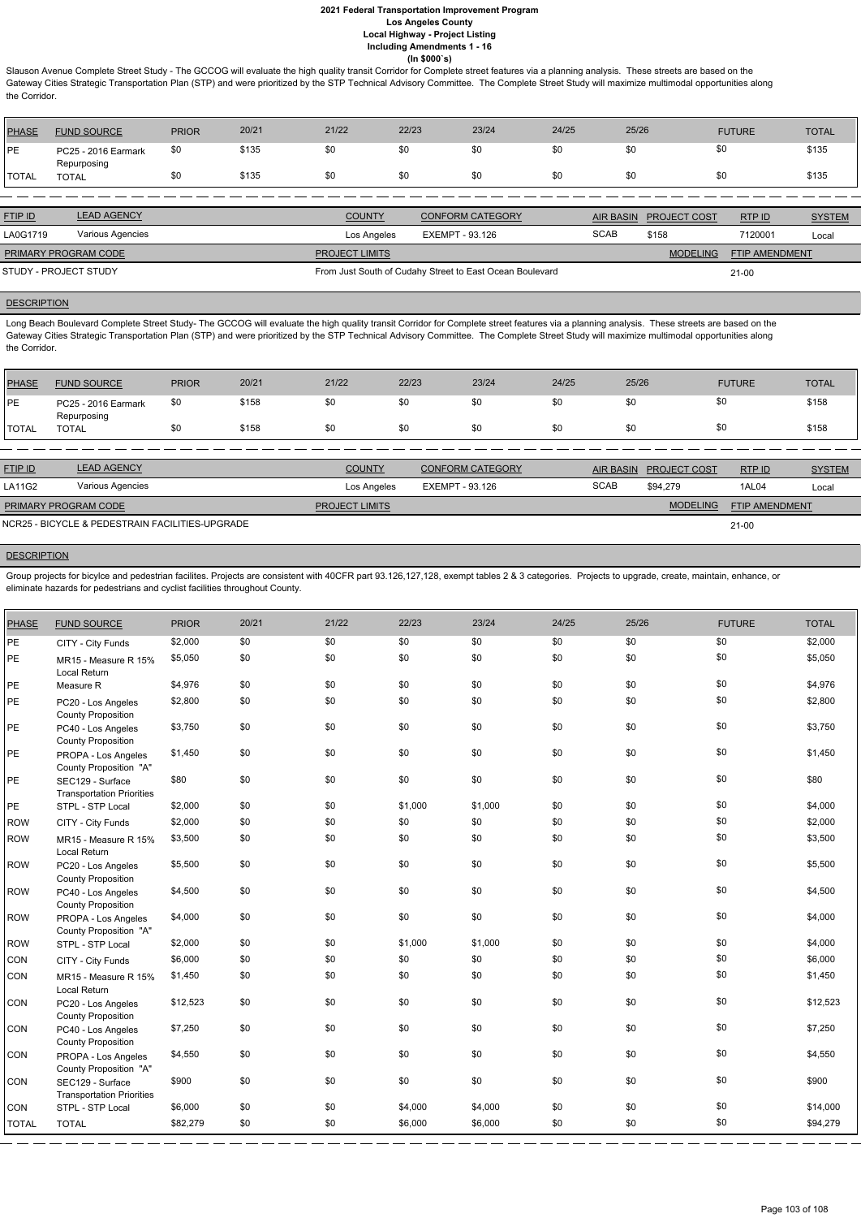Slauson Avenue Complete Street Study - The GCCOG will evaluate the high quality transit Corridor for Complete street features via a planning analysis. These streets are based on the Gateway Cities Strategic Transportation Plan (STP) and were prioritized by the STP Technical Advisory Committee. The Complete Street Study will maximize multimodal opportunities along the Corridor.

| PHASE         | <b>FUND SOURCE</b>                 | <b>PRIOR</b> | 20/21 | 21/22 | 22/23 | 23/24 | 24/25 | 25/26 | <b>FUTURE</b> | <b>TOTAL</b> |
|---------------|------------------------------------|--------------|-------|-------|-------|-------|-------|-------|---------------|--------------|
| <b>IPE</b>    | PC25 - 2016 Earmark<br>Repurposing | \$0          | \$135 | \$0   | \$0   |       | \$0   |       |               | \$135        |
| <b>ITOTAL</b> | TOTAL                              | \$0          | \$135 | \$0   | \$0   | \$0   | \$0   |       |               | \$135        |

Long Beach Boulevard Complete Street Study- The GCCOG will evaluate the high quality transit Corridor for Complete street features via a planning analysis. These streets are based on the Gateway Cities Strategic Transportation Plan (STP) and were prioritized by the STP Technical Advisory Committee. The Complete Street Study will maximize multimodal opportunities along the Corridor.

| <b>FTIP ID</b>              | <b>LEAD AGENCY</b> | <b>COUNTY</b><br><b>CONFORM CATEGORY</b> |                                                          | <b>AIR BASIN</b> | <b>PROJECT COST</b> | RTPID                 | <b>SYSTEM</b> |
|-----------------------------|--------------------|------------------------------------------|----------------------------------------------------------|------------------|---------------------|-----------------------|---------------|
| LA0G1719                    | Various Agencies   | Los Angeles                              | EXEMPT - 93.126                                          | <b>SCAB</b>      | \$158               | 7120001               | Local         |
| <b>PRIMARY PROGRAM CODE</b> |                    | <b>PROJECT LIMITS</b>                    |                                                          |                  | <b>MODELING</b>     | <b>FTIP AMENDMENT</b> |               |
| STUDY - PROJECT STUDY       |                    |                                          | From Just South of Cudahy Street to East Ocean Boulevard |                  |                     | $21-00$               |               |

## **DESCRIPTION**

| <b>PHASE</b>  | <b>FUND SOURCE</b>                 | <b>PRIOR</b> | 20/21 | 21/22 | 22/23 | 23/24 | 24/25 | 25/26 | <b>FUTURE</b> | <b>TOTAL</b> |
|---------------|------------------------------------|--------------|-------|-------|-------|-------|-------|-------|---------------|--------------|
| <b>IPE</b>    | PC25 - 2016 Earmark<br>Repurposing | \$0          | \$158 | \$0   | \$0   |       | .৯৷   |       | \$0           | \$158        |
| <b>'TOTAL</b> | <b>TOTAL</b>                       | \$0          | \$158 | \$0   | \$0   | \$0   | \$0   | \$0   | \$0           | \$158        |

| <b>FTIP ID</b>              | <b>LEAD AGENCY</b>                              | <b>COUNTY</b>         | <b>CONFORM CATEGORY</b> |             | AIR BASIN PROJECT COST | RTP ID         | <b>SYSTEM</b> |
|-----------------------------|-------------------------------------------------|-----------------------|-------------------------|-------------|------------------------|----------------|---------------|
| LA11G2                      | Various Agencies                                | Los Angeles           | EXEMPT - 93.126         | <b>SCAB</b> | \$94.279               | 1AL04          | Local         |
| <b>PRIMARY PROGRAM CODE</b> |                                                 | <b>PROJECT LIMITS</b> |                         |             | <b>MODELING</b>        | FTIP AMENDMENT |               |
|                             | NCR25 - BICYCLE & PEDESTRAIN FACILITIES-UPGRADE |                       |                         |             |                        | $21 - 00$      |               |

#### **DESCRIPTION**

Group projects for bicylce and pedestrian facilites. Projects are consistent with 40CFR part 93.126,127,128, exempt tables 2 & 3 categories. Projects to upgrade, create, maintain, enhance, or eliminate hazards for pedestrians and cyclist facilities throughout County.

| <b>PHASE</b> | <b>FUND SOURCE</b>                                   | <b>PRIOR</b> | 20/21 | 21/22 | 22/23   | 23/24   | 24/25 | 25/26 | <b>FUTURE</b> | <b>TOTAL</b> |
|--------------|------------------------------------------------------|--------------|-------|-------|---------|---------|-------|-------|---------------|--------------|
| PE           | CITY - City Funds                                    | \$2,000      | \$0   | \$0   | \$0     | \$0     | \$0   | \$0   | \$0           | \$2,000      |
| PE           | MR15 - Measure R 15%<br>Local Return                 | \$5,050      | \$0   | \$0   | \$0     | \$0     | \$0   | \$0   | \$0           | \$5,050      |
| PE           | Measure R                                            | \$4,976      | \$0   | \$0   | \$0     | \$0     | \$0   | \$0   | \$0           | \$4,976      |
| PE           | PC20 - Los Angeles<br><b>County Proposition</b>      | \$2,800      | \$0   | \$0   | \$0     | \$0     | \$0   | \$0   | \$0           | \$2,800      |
| PE           | PC40 - Los Angeles<br><b>County Proposition</b>      | \$3,750      | \$0   | \$0   | \$0     | \$0     | \$0   | \$0   | \$0           | \$3,750      |
| PE           | PROPA - Los Angeles<br>County Proposition "A"        | \$1,450      | \$0   | \$0   | \$0     | \$0     | \$0   | \$0   | \$0           | \$1,450      |
| PE           | SEC129 - Surface<br><b>Transportation Priorities</b> | \$80         | \$0   | \$0   | \$0     | \$0     | \$0   | \$0   | \$0           | \$80         |
| PE           | STPL - STP Local                                     | \$2,000      | \$0   | \$0   | \$1,000 | \$1,000 | \$0   | \$0   | \$0           | \$4,000      |
| ROW          | CITY - City Funds                                    | \$2,000      | \$0   | \$0   | \$0     | \$0     | \$0   | \$0   | \$0           | \$2,000      |
| ROW          | MR15 - Measure R 15%<br>Local Return                 | \$3,500      | \$0   | \$0   | \$0     | \$0     | \$0   | \$0   | \$0           | \$3,500      |
| ROW          | PC20 - Los Angeles<br><b>County Proposition</b>      | \$5,500      | \$0   | \$0   | \$0     | \$0     | \$0   | \$0   | \$0           | \$5,500      |
| ROW          | PC40 - Los Angeles<br><b>County Proposition</b>      | \$4,500      | \$0   | \$0   | \$0     | \$0     | \$0   | \$0   | \$0           | \$4,500      |
| ROW          | PROPA - Los Angeles<br>County Proposition "A"        | \$4,000      | \$0   | \$0   | \$0     | \$0     | \$0   | \$0   | \$0           | \$4,000      |
| ROW          | STPL - STP Local                                     | \$2,000      | \$0   | \$0   | \$1,000 | \$1,000 | \$0   | \$0   | \$0           | \$4,000      |
| <b>CON</b>   | CITY - City Funds                                    | \$6,000      | \$0   | \$0   | \$0     | \$0     | \$0   | \$0   | \$0           | \$6,000      |
| <b>CON</b>   | MR15 - Measure R 15%<br>Local Return                 | \$1,450      | \$0   | \$0   | \$0     | \$0     | \$0   | \$0   | \$0           | \$1,450      |
| <b>CON</b>   | PC20 - Los Angeles<br><b>County Proposition</b>      | \$12,523     | \$0   | \$0   | \$0     | \$0     | \$0   | \$0   | \$0           | \$12,523     |
| <b>CON</b>   | PC40 - Los Angeles<br><b>County Proposition</b>      | \$7,250      | \$0   | \$0   | \$0     | \$0     | \$0   | \$0   | \$0           | \$7,250      |
| <b>CON</b>   | PROPA - Los Angeles<br>County Proposition "A"        | \$4,550      | \$0   | \$0   | \$0     | \$0     | \$0   | \$0   | \$0           | \$4,550      |
| <b>CON</b>   | SEC129 - Surface<br><b>Transportation Priorities</b> | \$900        | \$0   | \$0   | \$0     | \$0     | \$0   | \$0   | \$0           | \$900        |
| <b>CON</b>   | STPL - STP Local                                     | \$6,000      | \$0   | \$0   | \$4,000 | \$4,000 | \$0   | \$0   | \$0           | \$14,000     |
| <b>TOTAL</b> | <b>TOTAL</b>                                         | \$82,279     | \$0   | \$0   | \$6,000 | \$6,000 | \$0   | \$0   | \$0           | \$94,279     |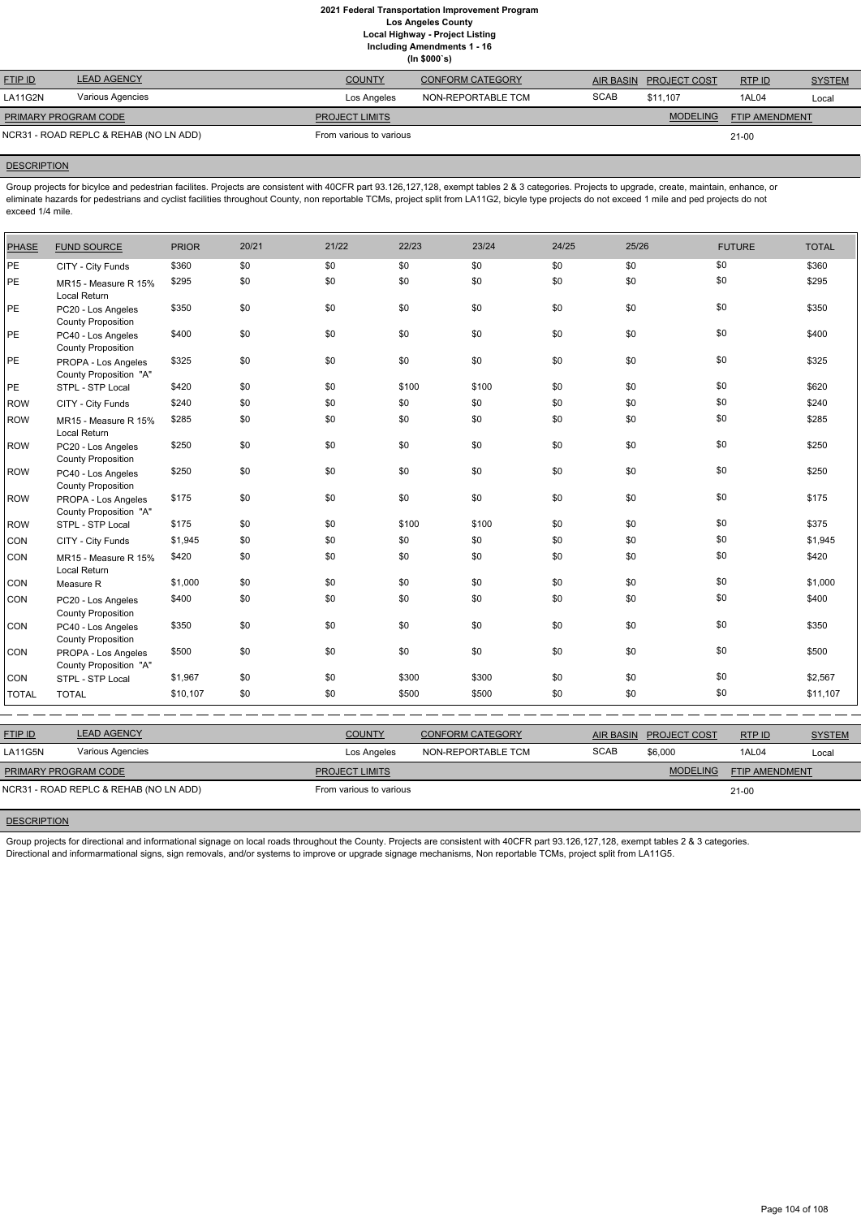**(In \$000`s)**

| <b>LEAD AGENCY</b> | <b>COUNTY</b>                                                  | <b>CONFORM CATEGORY</b> | AIR BASIN   |                 | RTP ID              | <b>SYSTEM</b>  |
|--------------------|----------------------------------------------------------------|-------------------------|-------------|-----------------|---------------------|----------------|
| Various Agencies   | Los Angeles                                                    | NON-REPORTABLE TCM      | <b>SCAB</b> | \$11.107        | 1AL04               | Local          |
|                    | <b>PROJECT LIMITS</b>                                          |                         |             | <b>MODELING</b> |                     |                |
|                    | From various to various                                        |                         |             |                 | 21-00               |                |
|                    | PRIMARY PROGRAM CODE<br>NCR31 - ROAD REPLC & REHAB (NO LN ADD) |                         |             |                 | <b>PROJECT COST</b> | FTIP AMENDMENT |

## **DESCRIPTION**

Group projects for bicylce and pedestrian facilites. Projects are consistent with 40CFR part 93.126,127,128, exempt tables 2 & 3 categories. Projects to upgrade, create, maintain, enhance, or eliminate hazards for pedestrians and cyclist facilities throughout County, non reportable TCMs, project split from LA11G2, bicyle type projects do not exceed 1 mile and ped projects do not exceed 1/4 mile.

| <b>PHASE</b> | <b>FUND SOURCE</b>                              | <b>PRIOR</b> | 20/21 | 21/22 | 22/23 | 23/24 | 24/25 | 25/26 | <b>FUTURE</b> | <b>TOTAL</b> |
|--------------|-------------------------------------------------|--------------|-------|-------|-------|-------|-------|-------|---------------|--------------|
| <b>PE</b>    | CITY - City Funds                               | \$360        | \$0   | \$0   | \$0   | \$0   | \$0   | \$0   | \$0           | \$360        |
| PE           | MR15 - Measure R 15%<br>Local Return            | \$295        | \$0   | \$0   | \$0   | \$0   | \$0   | \$0   | \$0           | \$295        |
| PE           | PC20 - Los Angeles<br><b>County Proposition</b> | \$350        | \$0   | \$0   | \$0   | \$0   | \$0   | \$0   | \$0           | \$350        |
| PE           | PC40 - Los Angeles<br><b>County Proposition</b> | \$400        | \$0   | \$0   | \$0   | \$0   | \$0   | \$0   | \$0           | \$400        |
| PE           | PROPA - Los Angeles<br>County Proposition "A"   | \$325        | \$0   | \$0   | \$0   | \$0   | \$0   | \$0   | \$0           | \$325        |
| PE           | STPL - STP Local                                | \$420        | \$0   | \$0   | \$100 | \$100 | \$0   | \$0   | \$0           | \$620        |
| <b>ROW</b>   | CITY - City Funds                               | \$240        | \$0   | \$0   | \$0   | \$0   | \$0   | \$0   | \$0           | \$240        |
| <b>ROW</b>   | MR15 - Measure R 15%<br>Local Return            | \$285        | \$0   | \$0   | \$0   | \$0   | \$0   | \$0   | \$0           | \$285        |
| <b>ROW</b>   | PC20 - Los Angeles<br><b>County Proposition</b> | \$250        | \$0   | \$0   | \$0   | \$0   | \$0   | \$0   | \$0           | \$250        |
| <b>ROW</b>   | PC40 - Los Angeles<br><b>County Proposition</b> | \$250        | \$0   | \$0   | \$0   | \$0   | \$0   | \$0   | \$0           | \$250        |
| <b>ROW</b>   | PROPA - Los Angeles<br>County Proposition "A"   | \$175        | \$0   | \$0   | \$0   | \$0   | \$0   | \$0   | \$0           | \$175        |
| <b>ROW</b>   | STPL - STP Local                                | \$175        | \$0   | \$0   | \$100 | \$100 | \$0   | \$0   | \$0           | \$375        |
| CON          | CITY - City Funds                               | \$1,945      | \$0   | \$0   | \$0   | \$0   | \$0   | \$0   | \$0           | \$1,945      |
| CON          | MR15 - Measure R 15%<br>Local Return            | \$420        | \$0   | \$0   | \$0   | \$0   | \$0   | \$0   | \$0           | \$420        |
| CON          | Measure R                                       | \$1,000      | \$0   | \$0   | \$0   | \$0   | \$0   | \$0   | \$0           | \$1,000      |
| CON          | PC20 - Los Angeles<br><b>County Proposition</b> | \$400        | \$0   | \$0   | \$0   | \$0   | \$0   | \$0   | \$0           | \$400        |
| CON          | PC40 - Los Angeles<br><b>County Proposition</b> | \$350        | \$0   | \$0   | \$0   | \$0   | \$0   | \$0   | \$0           | \$350        |
| CON          | PROPA - Los Angeles<br>County Proposition "A"   | \$500        | \$0   | \$0   | \$0   | \$0   | \$0   | \$0   | \$0           | \$500        |
| CON          | STPL - STP Local                                | \$1,967      | \$0   | \$0   | \$300 | \$300 | \$0   | \$0   | \$0           | \$2,567      |
| <b>TOTAL</b> | <b>TOTAL</b>                                    | \$10,107     | \$0   | \$0   | \$500 | \$500 | \$0   | \$0   | \$0           | \$11,107     |

| <b>LEAD AGENCY</b><br><b>FTIP ID</b><br><b>COUNTY</b><br><b>CONFORM CATEGORY</b><br>RTPID<br><b>PROJECT COST</b><br><b>AIR BASIN</b><br><b>SCAB</b><br>Various Agencies<br>LA11G5N<br>\$6,000<br>NON-REPORTABLE TCM<br>1AL04<br>Los Angeles<br>Local<br><b>MODELING</b><br><b>FTIP AMENDMENT</b><br><b>PRIMARY PROGRAM CODE</b><br><b>PROJECT LIMITS</b><br>NCR31 - ROAD REPLC & REHAB (NO LN ADD)<br>From various to various<br>21-00 |  |  |  |               |
|----------------------------------------------------------------------------------------------------------------------------------------------------------------------------------------------------------------------------------------------------------------------------------------------------------------------------------------------------------------------------------------------------------------------------------------|--|--|--|---------------|
|                                                                                                                                                                                                                                                                                                                                                                                                                                        |  |  |  | <b>SYSTEM</b> |
|                                                                                                                                                                                                                                                                                                                                                                                                                                        |  |  |  |               |
|                                                                                                                                                                                                                                                                                                                                                                                                                                        |  |  |  |               |
|                                                                                                                                                                                                                                                                                                                                                                                                                                        |  |  |  |               |

## **DESCRIPTION**

Group projects for directional and informational signage on local roads throughout the County. Projects are consistent with 40CFR part 93.126,127,128, exempt tables 2 & 3 categories. Directional and informarmational signs, sign removals, and/or systems to improve or upgrade signage mechanisms, Non reportable TCMs, project split from LA11G5.

Page 104 of 108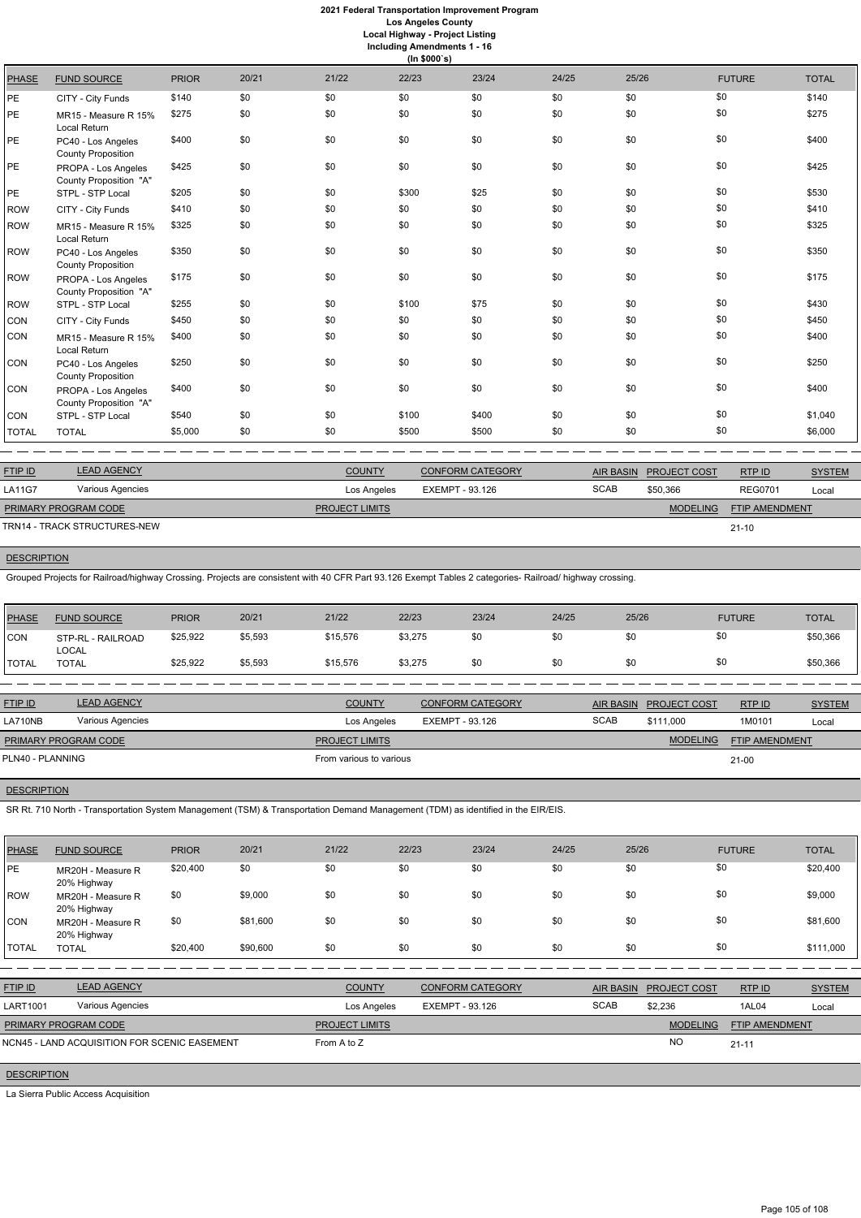**Including Amendments 1 - 16**

|              | (ln \$000's)                                    |              |       |       |       |       |       |       |               |              |  |  |  |
|--------------|-------------------------------------------------|--------------|-------|-------|-------|-------|-------|-------|---------------|--------------|--|--|--|
| <b>PHASE</b> | <b>FUND SOURCE</b>                              | <b>PRIOR</b> | 20/21 | 21/22 | 22/23 | 23/24 | 24/25 | 25/26 | <b>FUTURE</b> | <b>TOTAL</b> |  |  |  |
| PE           | CITY - City Funds                               | \$140        | \$0   | \$0   | \$0   | \$0   | \$0   | \$0   | \$0           | \$140        |  |  |  |
| PE           | MR15 - Measure R 15%<br>Local Return            | \$275        | \$0   | \$0   | \$0   | \$0   | \$0   | \$0   | \$0           | \$275        |  |  |  |
| PE           | PC40 - Los Angeles<br><b>County Proposition</b> | \$400        | \$0   | \$0   | \$0   | \$0   | \$0   | \$0   | \$0           | \$400        |  |  |  |
| PE           | PROPA - Los Angeles<br>County Proposition "A"   | \$425        | \$0   | \$0   | \$0   | \$0   | \$0   | \$0   | \$0           | \$425        |  |  |  |
| PE           | STPL - STP Local                                | \$205        | \$0   | \$0   | \$300 | \$25  | \$0   | \$0   | \$0           | \$530        |  |  |  |
| <b>ROW</b>   | CITY - City Funds                               | \$410        | \$0   | \$0   | \$0   | \$0   | \$0   | \$0   | \$0           | \$410        |  |  |  |
| <b>ROW</b>   | MR15 - Measure R 15%<br>Local Return            | \$325        | \$0   | \$0   | \$0   | \$0   | \$0   | \$0   | \$0           | \$325        |  |  |  |
| <b>ROW</b>   | PC40 - Los Angeles<br><b>County Proposition</b> | \$350        | \$0   | \$0   | \$0   | \$0   | \$0   | \$0   | \$0           | \$350        |  |  |  |
| <b>ROW</b>   | PROPA - Los Angeles<br>County Proposition "A"   | \$175        | \$0   | \$0   | \$0   | \$0   | \$0   | \$0   | \$0           | \$175        |  |  |  |
| <b>ROW</b>   | STPL - STP Local                                | \$255        | \$0   | \$0   | \$100 | \$75  | \$0   | \$0   | \$0           | \$430        |  |  |  |
| CON          | CITY - City Funds                               | \$450        | \$0   | \$0   | \$0   | \$0   | \$0   | \$0   | \$0           | \$450        |  |  |  |
| CON          | MR15 - Measure R 15%<br>Local Return            | \$400        | \$0   | \$0   | \$0   | \$0   | \$0   | \$0   | \$0           | \$400        |  |  |  |
| CON          | PC40 - Los Angeles<br><b>County Proposition</b> | \$250        | \$0   | \$0   | \$0   | \$0   | \$0   | \$0   | \$0           | \$250        |  |  |  |
| CON          | PROPA - Los Angeles<br>County Proposition "A"   | \$400        | \$0   | \$0   | \$0   | \$0   | \$0   | \$0   | \$0           | \$400        |  |  |  |
| CON          | STPL - STP Local                                | \$540        | \$0   | \$0   | \$100 | \$400 | \$0   | \$0   | \$0           | \$1,040      |  |  |  |
| <b>TOTAL</b> | <b>TOTAL</b>                                    | \$5,000      | \$0   | \$0   | \$500 | \$500 | \$0   | \$0   | \$0           | \$6,000      |  |  |  |

| <b>FTIP ID</b>              | <b>LEAD AGENCY</b>           | <b>COUNTY</b>         | <b>CONFORM CATEGORY</b> |             | AIR BASIN PROJECT COST | RTP ID                | <b>SYSTEM</b> |
|-----------------------------|------------------------------|-----------------------|-------------------------|-------------|------------------------|-----------------------|---------------|
| <b>LA11G7</b>               | Various Agencies             | Los Angeles           | EXEMPT - 93.126         | <b>SCAB</b> | \$50.366               | <b>REG0701</b>        | Local         |
| <b>PRIMARY PROGRAM CODE</b> |                              | <b>PROJECT LIMITS</b> |                         |             | <b>MODELING</b>        | <b>FTIP AMENDMENT</b> |               |
|                             | TRN14 - TRACK STRUCTURES-NEW |                       |                         |             |                        | $21 - 10$             |               |

**DESCRIPTION** 

Grouped Projects for Railroad/highway Crossing. Projects are consistent with 40 CFR Part 93.126 Exempt Tables 2 categories- Railroad/ highway crossing.

| PHASE        | <b>FUND SOURCE</b>                | <b>PRIOR</b> | 20/21   | 21/22         | 22/23   | 23/24                   | 24/25 | 25/26                  | <b>FUTURE</b> | <b>TOTAL</b>  |
|--------------|-----------------------------------|--------------|---------|---------------|---------|-------------------------|-------|------------------------|---------------|---------------|
| <b>ICON</b>  | STP-RL - RAILROAD<br><b>LOCAL</b> | \$25,922     | \$5,593 | \$15,576      | \$3,275 | \$0                     | \$0   | \$0                    | \$0           | \$50,366      |
| <b>TOTAL</b> | <b>TOTAL</b>                      | \$25,922     | \$5,593 | \$15,576      | \$3,275 | \$0                     | \$0   | \$0                    | \$0           | \$50,366      |
|              |                                   |              |         |               |         |                         |       |                        |               |               |
| FTIP ID      | <b>LEAD AGENCY</b>                |              |         | <b>COUNTY</b> |         | <b>CONFORM CATEGORY</b> |       | AIR BASIN PROJECT COST | RTP ID        | <b>SYSTEM</b> |

| LA710NB                     | Various Agencies | Los Angeles             | EXEMPT - 93.126 | <b>SCAB</b> | \$111,000       | 1M0101                | Local |
|-----------------------------|------------------|-------------------------|-----------------|-------------|-----------------|-----------------------|-------|
| <b>PRIMARY PROGRAM CODE</b> |                  | <b>PROJECT LIMITS</b>   |                 |             | <b>MODELING</b> | <b>FTIP AMENDMENT</b> |       |
| PLN40 - PLANNING            |                  | From various to various |                 |             |                 | $21 - 00$             |       |
|                             |                  |                         |                 |             |                 |                       |       |

**DESCRIPTION** 

SR Rt. 710 North - Transportation System Management (TSM) & Transportation Demand Management (TDM) as identified in the EIR/EIS.

| <b>PHASE</b>    | <b>FUND SOURCE</b>                           | <b>PRIOR</b> | 20/21    | 21/22                 | 22/23                  | 23/24                   | 24/25       | 25/26            |                     | <b>FUTURE</b>  | <b>TOTAL</b>  |
|-----------------|----------------------------------------------|--------------|----------|-----------------------|------------------------|-------------------------|-------------|------------------|---------------------|----------------|---------------|
| <b>PE</b>       | MR20H - Measure R<br>20% Highway             | \$20,400     | \$0      | \$0                   | \$0                    | \$0                     | \$0         | \$0              |                     | \$0            | \$20,400      |
| ROW             | MR20H - Measure R<br>20% Highway             | \$0          | \$9,000  | \$0                   | \$0                    | \$0                     | \$0         | \$0              |                     | \$0            | \$9,000       |
| <b>CON</b>      | MR20H - Measure R<br>20% Highway             | \$0          | \$81,600 | \$0                   | \$0                    | \$0                     | \$0         | \$0              |                     | \$0            | \$81,600      |
| <b>TOTAL</b>    | <b>TOTAL</b>                                 | \$20,400     | \$90,600 | \$0                   | \$0                    | \$0                     | \$0         | \$0              |                     | \$0            | \$111,000     |
|                 |                                              |              |          |                       |                        |                         |             |                  |                     |                |               |
| FTIP ID         | <b>LEAD AGENCY</b>                           |              |          | <b>COUNTY</b>         |                        | <b>CONFORM CATEGORY</b> |             | <b>AIR BASIN</b> | <b>PROJECT COST</b> | RTP ID         | <b>SYSTEM</b> |
| <b>LART1001</b> | Various Agencies                             |              |          | Los Angeles           | <b>EXEMPT - 93.126</b> |                         | <b>SCAB</b> |                  | \$2,236             | 1AL04          | Local         |
|                 | PRIMARY PROGRAM CODE                         |              |          | <b>PROJECT LIMITS</b> |                        |                         |             |                  | <b>MODELING</b>     | FTIP AMENDMENT |               |
|                 | NCN45 - LAND ACQUISITION FOR SCENIC EASEMENT |              |          | From A to Z           |                        |                         |             |                  | <b>NO</b>           | $21 - 11$      |               |

**DESCRIPTION** 

La Sierra Public Access Acquisition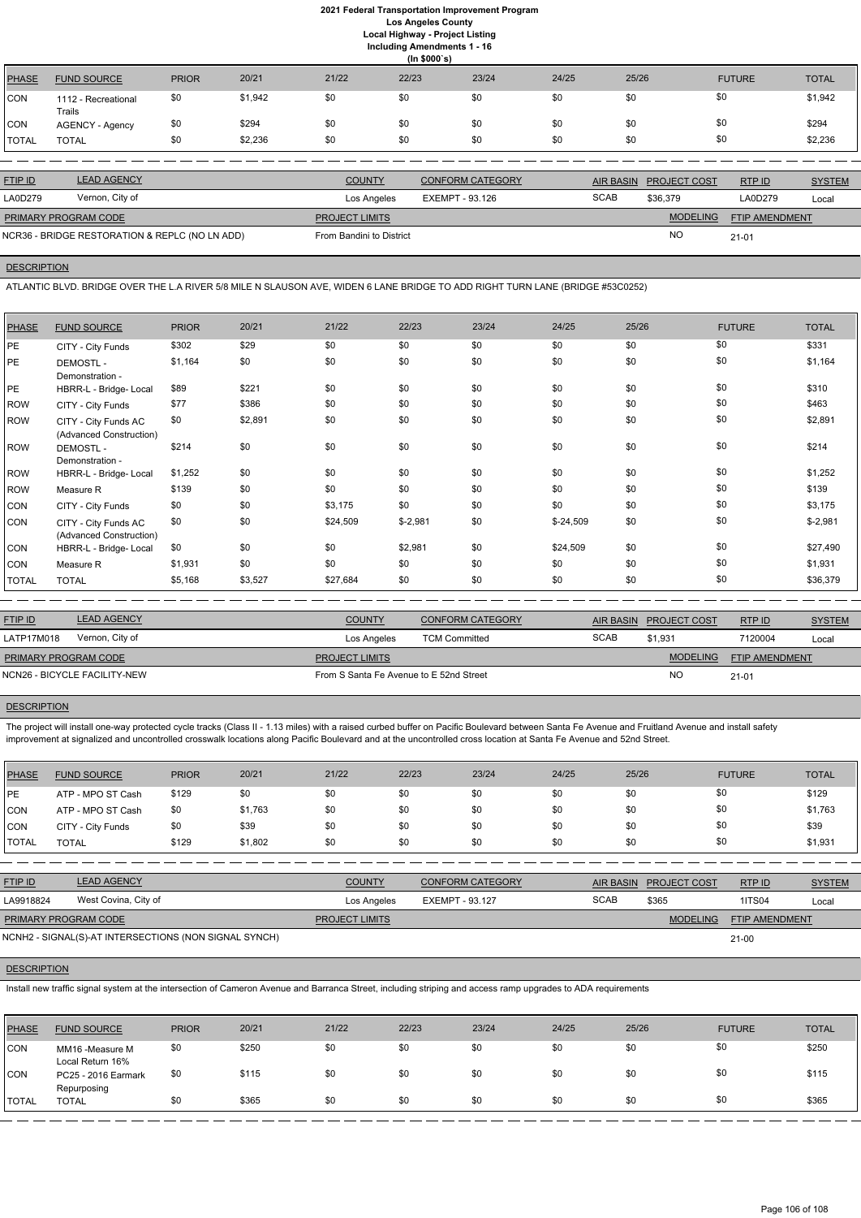|              | (ln \$000's)                  |              |         |       |       |       |       |       |               |              |  |  |  |
|--------------|-------------------------------|--------------|---------|-------|-------|-------|-------|-------|---------------|--------------|--|--|--|
| <b>PHASE</b> | <b>FUND SOURCE</b>            | <b>PRIOR</b> | 20/21   | 21/22 | 22/23 | 23/24 | 24/25 | 25/26 | <b>FUTURE</b> | <b>TOTAL</b> |  |  |  |
| <b>CON</b>   | 1112 - Recreational<br>Trails | \$0          | \$1,942 | \$0   | \$0   | \$0   | \$0   | \$0   | \$0           | \$1,942      |  |  |  |
| CON          | <b>AGENCY - Agency</b>        | \$0          | \$294   | \$0   | \$0   | \$0   | \$0   | \$0   | \$0           | \$294        |  |  |  |
| <b>TOTAL</b> | <b>TOTAL</b>                  | \$0          | \$2,236 | \$0   | \$0   | \$0   | \$0   | \$0   | \$0           | \$2,236      |  |  |  |

| <b>FTIP ID</b>       | <b>LEAD AGENCY</b>                             | <b>COUNTY</b>            | <b>CONFORM CATEGORY</b> | AIR BASIN   | <b>PROJECT COST</b> | RTPID                 | <b>SYSTEM</b> |
|----------------------|------------------------------------------------|--------------------------|-------------------------|-------------|---------------------|-----------------------|---------------|
| LA0D279              | Vernon, City of                                | Los Angeles              | EXEMPT - 93.126         | <b>SCAB</b> | \$36,379            | LA0D279               | Local         |
| PRIMARY PROGRAM CODE |                                                | <b>PROJECT LIMITS</b>    |                         |             | <b>MODELING</b>     | <b>FTIP AMENDMENT</b> |               |
|                      | NCR36 - BRIDGE RESTORATION & REPLC (NO LN ADD) | From Bandini to District |                         |             | <b>NO</b>           | 21-01                 |               |

# **DESCRIPTION**

ATLANTIC BLVD. BRIDGE OVER THE L.A RIVER 5/8 MILE N SLAUSON AVE, WIDEN 6 LANE BRIDGE TO ADD RIGHT TURN LANE (BRIDGE #53C0252)

The project will install one-way protected cycle tracks (Class II - 1.13 miles) with a raised curbed buffer on Pacific Boulevard between Santa Fe Avenue and Fruitland Avenue and install safety improvement at signalized and uncontrolled crosswalk locations along Pacific Boulevard and at the uncontrolled cross location at Santa Fe Avenue and 52nd Street.

| <b>PHASE</b> | <b>FUND SOURCE</b>                              | <b>PRIOR</b> | 20/21   | 21/22    | 22/23     | 23/24 | 24/25      | 25/26 | <b>FUTURE</b> | <b>TOTAL</b> |
|--------------|-------------------------------------------------|--------------|---------|----------|-----------|-------|------------|-------|---------------|--------------|
| PE           | CITY - City Funds                               | \$302        | \$29    | \$0      | \$0       | \$0   | \$0        | \$0   | \$0           | \$331        |
| <b>PE</b>    | <b>DEMOSTL-</b><br>Demonstration -              | \$1,164      | \$0     | \$0      | \$0       | \$0   | \$0        | \$0   | \$0           | \$1,164      |
| <b>PE</b>    | HBRR-L - Bridge- Local                          | \$89         | \$221   | \$0      | \$0       | \$0   | \$0        | \$0   | \$0           | \$310        |
| ROW          | CITY - City Funds                               | \$77         | \$386   | \$0      | \$0       | \$0   | \$0        | \$0   | \$0           | \$463        |
| ROW          | CITY - City Funds AC<br>(Advanced Construction) | \$0          | \$2,891 | \$0      | \$0       | \$0   | \$0        | \$0   | \$0           | \$2,891      |
| ROW          | <b>DEMOSTL-</b><br>Demonstration -              | \$214        | \$0     | \$0      | \$0       | \$0   | \$0        | \$0   | \$0           | \$214        |
| ROW          | HBRR-L - Bridge- Local                          | \$1,252      | \$0     | \$0      | \$0       | \$0   | \$0        | \$0   | \$0           | \$1,252      |
| ROW          | Measure R                                       | \$139        | \$0     | \$0      | \$0       | \$0   | \$0        | \$0   | \$0           | \$139        |
| CON          | CITY - City Funds                               | \$0          | \$0     | \$3,175  | \$0       | \$0   | \$0        | \$0   | \$0           | \$3,175      |
| CON          | CITY - City Funds AC<br>(Advanced Construction) | \$0          | \$0     | \$24,509 | $$-2,981$ | \$0   | $$-24,509$ | \$0   | \$0           | $$-2,981$    |
| CON          | HBRR-L - Bridge- Local                          | \$0          | \$0     | \$0      | \$2,981   | \$0   | \$24,509   | \$0   | \$0           | \$27,490     |
| CON          | Measure R                                       | \$1,931      | \$0     | \$0      | \$0       | \$0   | \$0        | \$0   | \$0           | \$1,931      |
| <b>TOTAL</b> | <b>TOTAL</b>                                    | \$5,168      | \$3,527 | \$27,684 | \$0       | \$0   | \$0        | \$0   | \$0           | \$36,379     |

| <b>LEAD AGENCY</b><br><b>FTIP ID</b> | <b>COUNTY</b><br><b>CONFORM CATEGORY</b> |             | AIR BASIN PROJECT COST | RTPID                 | <b>SYSTEM</b> |
|--------------------------------------|------------------------------------------|-------------|------------------------|-----------------------|---------------|
| Vernon, City of<br>LATP17M018        | <b>TCM Committed</b><br>Los Angeles      | <b>SCAB</b> | \$1.931                | 7120004               | Local         |
| PRIMARY PROGRAM CODE                 | <b>PROJECT LIMITS</b>                    |             | <b>MODELING</b>        | <b>FTIP AMENDMENT</b> |               |
| NCN26 - BICYCLE FACILITY-NEW         | From S Santa Fe Avenue to E 52nd Street  |             | <b>NO</b>              | $21 - 01$             |               |

## **DESCRIPTION**

| <b>PHASE</b> | <b>FUND SOURCE</b> | <b>PRIOR</b> | 20/21   | 21/22 | 22/23 | 23/24 | 24/25 | 25/26 | <b>FUTURE</b> | <b>TOTAL</b> |
|--------------|--------------------|--------------|---------|-------|-------|-------|-------|-------|---------------|--------------|
| <b>PE</b>    | ATP - MPO ST Cash  | \$129        | \$0     | \$0   | \$0   | \$0   | \$0   | \$0   | \$0           | \$129        |
| <b>CON</b>   | ATP - MPO ST Cash  | \$0          | \$1,763 | \$0   | \$0   | \$0   | \$0   | \$0   | \$0           | \$1,763      |
| <b>CON</b>   | CITY - City Funds  | \$0          | \$39    | \$0   | \$0   | \$0   | \$0   | \$0   | \$0           | \$39         |
| <b>TOTAL</b> | <b>TOTAL</b>       | \$129        | \$1,802 | \$0   | \$0   | \$0   | \$0   | \$0   | \$0           | \$1,931      |

| <u>FTIP ID</u>       | <b>LEAD AGENCY</b>   | <b>COUNTY</b>         | <b>CONFORM CATEGORY</b> |             | AIR BASIN PROJECT COST | <b>RTPID</b>          | <b>SYSTEM</b> |
|----------------------|----------------------|-----------------------|-------------------------|-------------|------------------------|-----------------------|---------------|
| LA9918824            | West Covina, City of | Los Angeles           | EXEMPT - 93.127         | <b>SCAB</b> | \$365                  | <b>1ITS04</b>         | Local         |
| PRIMARY PROGRAM CODE |                      | <b>PROJECT LIMITS</b> |                         |             | <b>MODELING</b>        | <b>FTIP AMENDMENT</b> |               |

21-00

#### **DESCRIPTION**

NCNH2 - SIGNAL(S)-AT INTERSECTIONS (NON SIGNAL SYNCH)

Install new traffic signal system at the intersection of Cameron Avenue and Barranca Street, including striping and access ramp upgrades to ADA requirements

| <b>PHASE</b> | <b>FUND SOURCE</b>                  | <b>PRIOR</b> | 20/21 | 21/22 | 22/23 | 23/24 | 24/25 | 25/26 | <b>FUTURE</b> | <b>TOTAL</b> |
|--------------|-------------------------------------|--------------|-------|-------|-------|-------|-------|-------|---------------|--------------|
| <b>CON</b>   | MM16 -Measure M<br>Local Return 16% | \$0          | \$250 | \$0   | \$0   | \$0   | \$0   | \$0   | \$0           | \$250        |
| <b>CON</b>   | PC25 - 2016 Earmark<br>Repurposing  | \$0          | \$115 | \$0   | \$0   | \$0   | \$0   | \$0   | \$0           | \$115        |
| <b>TOTAL</b> | <b>TOTAL</b>                        | \$0          | \$365 | \$0   | \$0   | \$0   | \$0   | \$0   | \$0           | \$365        |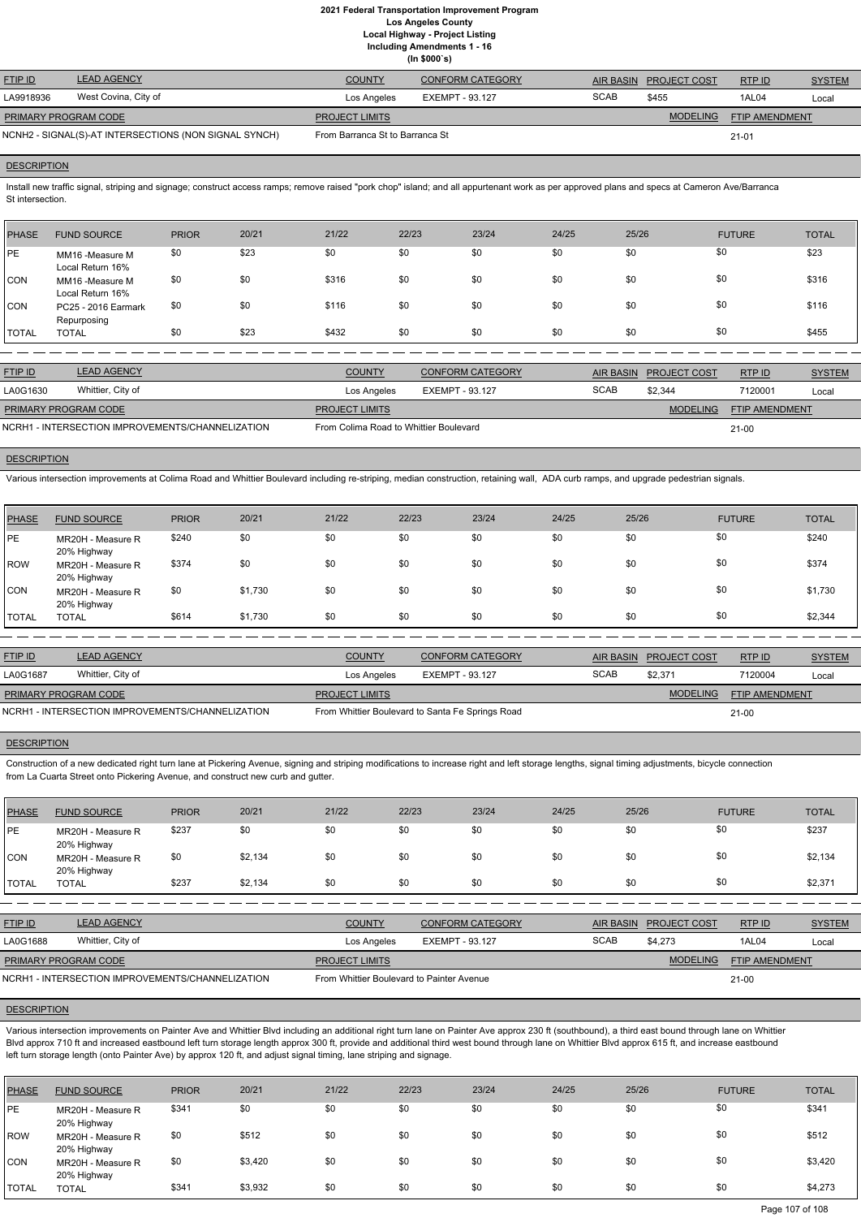**(In \$000`s)**

| <b>FTIP ID</b>       | <b>LEAD AGENCY</b>                                    | <b>COUNTY</b>                   | CONFORM CATEGORY |             | AIR BASIN PROJECT COST | RTPID          | <b>SYSTEM</b> |
|----------------------|-------------------------------------------------------|---------------------------------|------------------|-------------|------------------------|----------------|---------------|
| LA9918936            | West Covina, City of                                  | Los Angeles                     | EXEMPT - 93.127  | <b>SCAB</b> | \$455                  | 1AL04          | Local         |
| PRIMARY PROGRAM CODE |                                                       | <b>PROJECT LIMITS</b>           |                  |             | <b>MODELING</b>        | FTIP AMENDMENT |               |
|                      | NCNH2 - SIGNAL(S)-AT INTERSECTIONS (NON SIGNAL SYNCH) | From Barranca St to Barranca St |                  |             |                        | $21 - 01$      |               |

#### **DESCRIPTION**

Install new traffic signal, striping and signage; construct access ramps; remove raised "pork chop" island; and all appurtenant work as per approved plans and specs at Cameron Ave/Barranca St intersection.

| PHASE        | <b>FUND SOURCE</b>                  | <b>PRIOR</b> | 20/21 | 21/22 | 22/23 | 23/24 | 24/25 | 25/26 | <b>FUTURE</b> | <b>TOTAL</b> |
|--------------|-------------------------------------|--------------|-------|-------|-------|-------|-------|-------|---------------|--------------|
| <b>PE</b>    | MM16 -Measure M<br>Local Return 16% | \$0          | \$23  | \$0   | \$0   | \$0   | \$0   | \$0   | \$0           | \$23         |
| <b>CON</b>   | MM16 -Measure M<br>Local Return 16% | \$0          | \$0   | \$316 | \$0   | \$0   | \$0   | \$0   | \$0           | \$316        |
| <b>CON</b>   | PC25 - 2016 Earmark<br>Repurposing  | \$0          | \$0   | \$116 | \$0   | \$0   | \$0   | \$0   | \$0           | \$116        |
| <b>TOTAL</b> | <b>TOTAL</b>                        | \$0          | \$23  | \$432 | \$0   | \$0   | \$0   | \$0   | \$0           | \$455        |

| <b>FTIP ID</b>                                   | <b>LEAD AGENCY</b> | <b>COUNTY</b>                          | CONFORM CATEGORY |             | AIR BASIN PROJECT COST | RTP ID                | <b>SYSTEM</b> |
|--------------------------------------------------|--------------------|----------------------------------------|------------------|-------------|------------------------|-----------------------|---------------|
| LA0G1630                                         | Whittier, City of  | Los Angeles                            | EXEMPT - 93.127  | <b>SCAB</b> | \$2.344                | 7120001               | Local         |
| <b>PRIMARY PROGRAM CODE</b>                      |                    | <b>PROJECT LIMITS</b>                  |                  |             | <b>MODELING</b>        | <b>FTIP AMENDMENT</b> |               |
| NCRH1 - INTERSECTION IMPROVEMENTS/CHANNELIZATION |                    | From Colima Road to Whittier Boulevard |                  |             |                        | $21 - 00$             |               |

# **DESCRIPTION**

Various intersection improvements at Colima Road and Whittier Boulevard including re-striping, median construction, retaining wall, ADA curb ramps, and upgrade pedestrian signals.

| <b>PHASE</b> | <b>FUND SOURCE</b>               | <b>PRIOR</b> | 20/21   | 21/22 | 22/23 | 23/24 | 24/25 | 25/26 | <b>FUTURE</b> | <b>TOTAL</b> |
|--------------|----------------------------------|--------------|---------|-------|-------|-------|-------|-------|---------------|--------------|
| <b>IPE</b>   | MR20H - Measure R<br>20% Highway | \$240        | \$0     | \$0   | \$0   | \$0   | \$0   | \$0   | \$0           | \$240        |
| ROW          | MR20H - Measure R<br>20% Highway | \$374        | \$0     | \$0   | \$0   | \$0   | \$0   | \$0   | \$0           | \$374        |
| <b>CON</b>   | MR20H - Measure R<br>20% Highway | \$0          | \$1,730 | \$0   | \$0   | \$0   | \$0   | \$0   | \$0           | \$1,730      |
| <b>TOTAL</b> | <b>TOTAL</b>                     | \$614        | \$1,730 | \$0   | \$0   | \$0   | \$0   | \$0   | \$0           | \$2,344      |

| <b>FTIP ID</b>              | <b>LEAD AGENCY</b>                               | <b>COUNTY</b>         | <b>CONFORM CATEGORY</b>                          |             | AIR BASIN PROJECT COST | RTPID                 | <b>SYSTEM</b> |  |
|-----------------------------|--------------------------------------------------|-----------------------|--------------------------------------------------|-------------|------------------------|-----------------------|---------------|--|
| LA0G1687                    | Whittier, City of                                | Los Angeles           | EXEMPT - 93.127                                  | <b>SCAB</b> | \$2.371                | 7120004               | Local         |  |
| <b>PRIMARY PROGRAM CODE</b> |                                                  | <b>PROJECT LIMITS</b> |                                                  |             | <b>MODELING</b>        | <b>FTIP AMENDMENT</b> |               |  |
|                             | NCRH1 - INTERSECTION IMPROVEMENTS/CHANNELIZATION |                       | From Whittier Boulevard to Santa Fe Springs Road |             |                        | $21 - 00$             |               |  |

#### **DESCRIPTION**

Construction of a new dedicated right turn lane at Pickering Avenue, signing and striping modifications to increase right and left storage lengths, signal timing adjustments, bicycle connection from La Cuarta Street onto Pickering Avenue, and construct new curb and gutter.

| <b>PHASE</b> | <b>FUND SOURCE</b>               | <b>PRIOR</b> | 20/21   | 21/22 | 22/23 | 23/24 | 24/25 | 25/26 | <b>FUTURE</b> | <b>TOTAL</b> |
|--------------|----------------------------------|--------------|---------|-------|-------|-------|-------|-------|---------------|--------------|
| l PE         | MR20H - Measure R<br>20% Highway | \$237        | \$0     | \$0   | \$0   | \$0   | \$0   | \$0   | \$0           | \$237        |
| CON          | MR20H - Measure R<br>20% Highway | \$0          | \$2,134 | \$0   | \$0   | \$0   | \$0   | \$0   | \$0           | \$2,134      |
| <b>TOTAL</b> | <b>TOTAL</b>                     | \$237        | \$2,134 | \$0   | \$0   | \$0   | \$0   | \$0   | \$0           | \$2,371      |

| <b>FTIP ID</b>              | <b>LEAD AGENCY</b>                               | <b>COUNTY</b>                             | <b>CONFORM CATEGORY</b> |             | AIR BASIN PROJECT COST | RTP ID                | <b>SYSTEM</b> |
|-----------------------------|--------------------------------------------------|-------------------------------------------|-------------------------|-------------|------------------------|-----------------------|---------------|
| LA0G1688                    | Whittier, City of                                | Los Angeles                               | EXEMPT - 93.127         | <b>SCAB</b> | \$4.273                | 1AL04                 | Local         |
| <b>PRIMARY PROGRAM CODE</b> |                                                  | <b>PROJECT LIMITS</b>                     |                         |             | <b>MODELING</b>        | <b>FTIP AMENDMENT</b> |               |
|                             | NCRH1 - INTERSECTION IMPROVEMENTS/CHANNELIZATION | From Whittier Boulevard to Painter Avenue |                         |             |                        | $21 - 00$             |               |

#### **DESCRIPTION**

Various intersection improvements on Painter Ave and Whittier Blvd including an additional right turn lane on Painter Ave approx 230 ft (southbound), a third east bound through lane on Whittier Blvd approx 710 ft and increased eastbound left turn storage length approx 300 ft, provide and additional third west bound through lane on Whittier Blvd approx 615 ft, and increase eastbound left turn storage length (onto Painter Ave) by approx 120 ft, and adjust signal timing, lane striping and signage.

| PHASE        | <b>FUND SOURCE</b>               | <b>PRIOR</b> | 20/21   | 21/22 | 22/23 | 23/24 | 24/25 | 25/26 | <b>FUTURE</b> | <b>TOTAL</b> |
|--------------|----------------------------------|--------------|---------|-------|-------|-------|-------|-------|---------------|--------------|
| <b>IPE</b>   | MR20H - Measure R<br>20% Highway | \$341        | \$0     | \$0   | \$0   | \$0   | \$0   | \$0   | \$0           | \$341        |
| ROW          | MR20H - Measure R<br>20% Highway | \$0          | \$512   | \$0   | \$0   | \$0   | \$0   | \$0   | \$0           | \$512        |
| CON          | MR20H - Measure R<br>20% Highway | \$0          | \$3,420 | \$0   | \$0   | \$0   | \$0   | \$0   | \$0           | \$3,420      |
| <b>TOTAL</b> | <b>TOTAL</b>                     | \$341        | \$3,932 | \$0   | \$0   | \$0   | \$0   | \$0   | \$0           | \$4,273      |